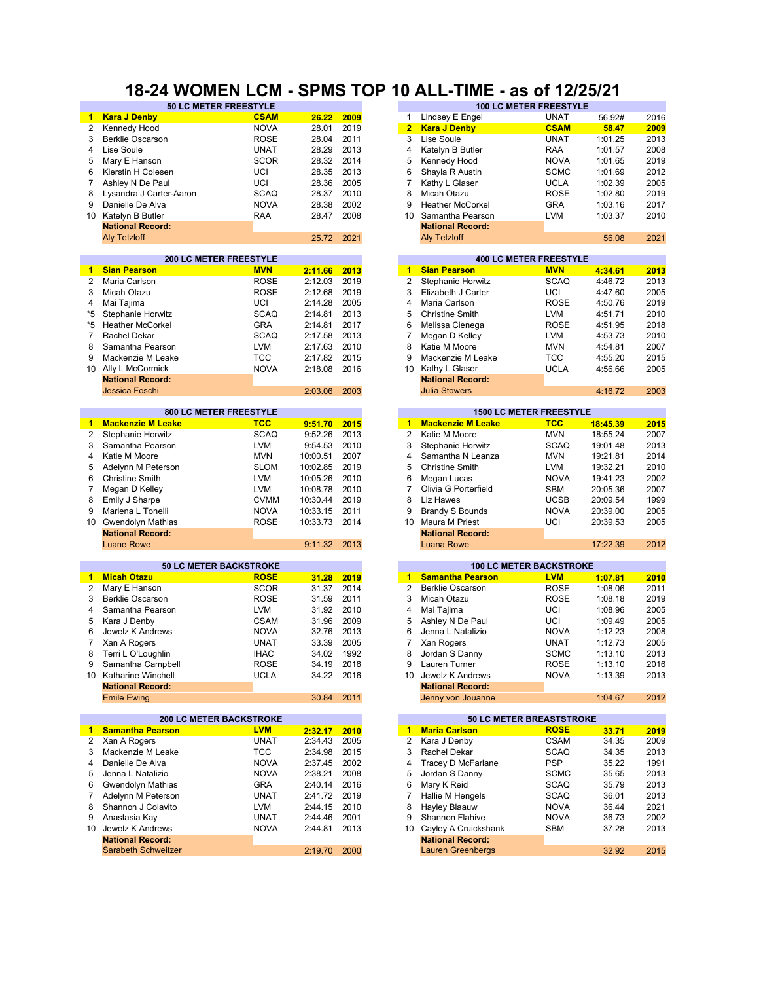# **18-24 WOMEN LCM - SPMS TOP 10 ALL-TIME - as of 12/25/21**

| <b>Kara J Denby</b><br><b>CSAM</b><br>Lindsey E Engel<br><b>UNAT</b><br>56.92#<br>26.22<br>2009<br>1<br>1.<br><b>NOVA</b><br>2019<br><b>CSAM</b><br>$\overline{2}$<br>Kennedy Hood<br>28.01<br>$\overline{2}$<br><b>Kara J Denby</b><br>58.47<br><b>ROSE</b><br>2011<br>3<br>Lise Soule<br><b>UNAT</b><br>1:01.25<br>3<br><b>Berklie Oscarson</b><br>28.04<br>2013<br>4<br>Lise Soule<br><b>UNAT</b><br>28.29<br>4<br>Katelyn B Butler<br>RAA<br>1:01.57<br><b>SCOR</b><br>2014<br>5<br>Mary E Hanson<br>28.32<br>5<br>Kennedy Hood<br><b>NOVA</b><br>1:01.65<br>6<br>Kierstin H Colesen<br>UCI<br>2013<br>6<br>Shayla R Austin<br><b>SCMC</b><br>28.35<br>1:01.69<br>UCI<br>7<br>7<br>Ashley N De Paul<br>28.36<br>2005<br>Kathy L Glaser<br><b>UCLA</b><br>1:02.39<br>2010<br>8<br>Lysandra J Carter-Aaron<br><b>SCAQ</b><br>28.37<br>8<br>Micah Otazu<br><b>ROSE</b><br>1:02.80<br>2002<br>9<br>9<br>Danielle De Alva<br><b>NOVA</b><br>28.38<br><b>Heather McCorkel</b><br><b>GRA</b><br>1:03.16<br>Katelyn B Butler<br>2008<br>Samantha Pearson<br>10<br>RAA<br>28.47<br>10<br><b>LVM</b><br>1:03.37<br><b>National Record:</b><br><b>National Record:</b><br>2021<br><b>Aly Tetzloff</b><br>25.72<br><b>Aly Tetzloff</b><br>56.08<br><b>200 LC METER FREESTYLE</b><br><b>400 LC METER FREESTYLE</b><br><b>Sian Pearson</b><br><b>MVN</b><br>2:11.66<br>$\blacktriangleleft$<br><b>Sian Pearson</b><br><b>MVN</b><br>2013<br>4:34.61<br>1<br><b>ROSE</b><br>2:12.03<br>2019<br>2<br>Stephanie Horwitz<br><b>SCAQ</b><br>$\overline{2}$<br>Maria Carlson<br>4:46.72<br><b>ROSE</b><br>2:12.68<br>2019<br>3<br>3<br>Micah Otazu<br>Elizabeth J Carter<br>UCI<br>4:47.60<br>$\overline{4}$<br>UCI<br>2005<br>4<br>Maria Carlson<br><b>ROSE</b><br>Mai Tajima<br>2:14.28<br>4:50.76<br>*5<br><b>SCAQ</b><br>2013<br>5<br>Stephanie Horwitz<br>2:14.81<br><b>Christine Smith</b><br><b>LVM</b><br>4:51.71<br><b>GRA</b><br>2017<br>6<br>*5<br><b>Heather McCorkel</b><br>2:14.81<br>Melissa Cienega<br><b>ROSE</b><br>4:51.95<br><b>SCAQ</b><br>7<br>Rachel Dekar<br>2:17.58<br>2013<br>7<br>Megan D Kelley<br><b>LVM</b><br>4:53.73<br><b>LVM</b><br>2010<br>8<br>8<br>Samantha Pearson<br>2:17.63<br>Katie M Moore<br><b>MVN</b><br>4:54.81<br>9<br>TCC<br>2:17.82<br>2015<br>9<br>Mackenzie M Leake<br>TCC<br>4:55.20<br>Mackenzie M Leake<br><b>NOVA</b><br>Ally L McCormick<br>2:18.08<br>2016<br>10<br>Kathy L Glaser<br>UCLA<br>4:56.66<br>10<br><b>National Record:</b><br><b>National Record:</b><br>Jessica Foschi<br><b>Julia Stowers</b><br>2:03.06<br>2003<br>4:16.72<br>800 LC METER FREESTYLE<br><b>1500 LC METER FREESTYLE</b><br><b>Mackenzie M Leake</b><br><b>TCC</b><br><b>Mackenzie M Leake</b><br><b>TCC</b><br>$\blacktriangleleft$<br>9:51.70<br>2015<br>18:45.39<br>1.<br><b>SCAQ</b><br>9:52.26<br>2013<br>$\overline{2}$<br><b>MVN</b><br>2<br>Stephanie Horwitz<br>Katie M Moore<br>18:55.24<br><b>LVM</b><br>9:54.53<br>2010<br>3<br><b>SCAQ</b><br>3<br>Samantha Pearson<br>Stephanie Horwitz<br>19:01.48<br><b>MVN</b><br>2007<br>4<br>Katie M Moore<br>10:00.51<br>4<br>Samantha N Leanza<br><b>MVN</b><br>19:21.81<br><b>SLOM</b><br>10:02.85<br>2019<br>5<br>Adelynn M Peterson<br>5<br><b>Christine Smith</b><br><b>LVM</b><br>19:32.21<br><b>LVM</b><br>2010<br>6<br>6<br><b>Christine Smith</b><br>10:05.26<br>Megan Lucas<br><b>NOVA</b><br>19:41.23<br>$\overline{7}$<br>7<br><b>LVM</b><br>2010<br>Olivia G Porterfield<br>Megan D Kelley<br>10:08.78<br><b>SBM</b><br>20:05.36<br>8<br><b>CVMM</b><br>2019<br>8<br>Liz Hawes<br>Emily J Sharpe<br>10:30.44<br><b>UCSB</b><br>20:09.54<br>2011<br>9<br>9<br>Marlena L Tonelli<br><b>NOVA</b><br>10:33.15<br><b>Brandy S Bounds</b><br><b>NOVA</b><br>20:39.00<br><b>ROSE</b><br>2014<br>10 Gwendolyn Mathias<br>10:33.73<br>10 <sup>1</sup><br>Maura M Priest<br>UCI<br>20:39.53<br><b>National Record:</b><br><b>National Record:</b><br><b>Luane Rowe</b><br>17:22.39<br>9:11.32<br>2013<br><b>Luana Rowe</b><br><b>50 LC METER BACKSTROKE</b><br><b>100 LC METER BACKSTROKE</b><br><b>Micah Otazu</b><br><b>Samantha Pearson</b><br><b>ROSE</b><br>31.28<br>2019<br><b>LVM</b><br>1:07.81<br>$\mathbf{1}$<br>$\mathbf{1}$<br>2014<br>2<br>2<br>Mary E Hanson<br><b>SCOR</b><br>31.37<br><b>Berklie Oscarson</b><br><b>ROSE</b><br>1:08.06<br>2011<br>3<br>3<br><b>Berklie Oscarson</b><br><b>ROSE</b><br>31.59<br>Micah Otazu<br><b>ROSE</b><br>1:08.18<br>$\overline{4}$<br>2010<br>Samantha Pearson<br>LVM<br>31.92<br>4<br>Mai Tajima<br>UCI<br>1:08.96<br>2009<br>5<br>Kara J Denby<br><b>CSAM</b><br>31.96<br>5<br>Ashley N De Paul<br>UCI<br>1:09.49<br>6<br>Jewelz K Andrews<br>2013<br>Jenna L Natalizio<br><b>NOVA</b><br>32.76<br>6<br><b>NOVA</b><br>1:12.23<br>33.39<br>2005<br>7<br>Xan A Rogers<br><b>UNAT</b><br>7<br>Xan Rogers<br><b>UNAT</b><br>1:12.73<br><b>IHAC</b><br>34.02<br>1992<br><b>SCMC</b><br>8<br>Terri L O'Loughlin<br>8<br>Jordan S Danny<br>1:13.10<br><b>ROSE</b><br><b>ROSE</b><br>Samantha Campbell<br>34.19<br>2018<br>Lauren Turner<br>1:13.10<br>9<br>9<br><b>UCLA</b><br>2016<br><b>NOVA</b><br>1:13.39<br>10 Katharine Winchell<br>34.22<br>Jewelz K Andrews<br>10<br><b>National Record:</b><br><b>National Record:</b><br><b>Emile Ewing</b><br>30.84<br>2011<br>Jenny von Jouanne<br>1:04.67<br><b>200 LC METER BACKSTROKE</b><br><b>50 LC METER BREASTSTROKE</b><br><b>Samantha Pearson</b><br><b>LVM</b><br>1<br><b>Maria Carlson</b><br><b>ROSE</b><br>33.71<br>2:32.17<br>2010<br>$\blacksquare$<br><b>UNAT</b><br>Xan A Rogers<br>2:34.43<br>2005<br>2<br>Kara J Denby<br><b>CSAM</b><br>34.35<br>2<br><b>TCC</b><br>Mackenzie M Leake<br>2:34.98<br>2015<br>3<br>Rachel Dekar<br><b>SCAQ</b><br>34.35<br>3<br><b>PSP</b><br>Danielle De Alva<br><b>NOVA</b><br>2:37.45<br>2002<br>4<br>Tracey D McFarlane<br>35.22<br>4<br>5<br>Jenna L Natalizio<br><b>NOVA</b><br>2:38.21<br>2008<br>5<br>Jordan S Danny<br>SCMC<br>35.65<br>GRA<br>6<br>Gwendolyn Mathias<br>2:40.14<br>2016<br>Mary K Reid<br>SCAQ<br>6<br>35.79<br><b>UNAT</b><br>Hallie M Hengels<br>Adelynn M Peterson<br>2:41.72<br>2019<br>7<br><b>SCAQ</b><br>36.01<br>$\overline{7}$<br>LVM<br>2010<br>Shannon J Colavito<br>2:44.15<br>8<br>Hayley Blaauw<br><b>NOVA</b><br>36.44<br>8<br><b>UNAT</b><br>2001<br><b>NOVA</b><br>9<br>Anastasia Kay<br>2:44.46<br>9<br>Shannon Flahive<br>36.73<br>Jewelz K Andrews<br><b>NOVA</b><br>2013<br>Cayley A Cruickshank<br>2:44.81<br>10<br><b>SBM</b><br>37.28<br>10<br><b>National Record:</b><br><b>National Record:</b><br>32.92<br>Sarabeth Schweitzer<br>2:19.70<br>2000<br><b>Lauren Greenbergs</b> | 50 LC METER FREESTYLE |  |  | <b>100 LC METER FREESTYLE</b> |      |
|----------------------------------------------------------------------------------------------------------------------------------------------------------------------------------------------------------------------------------------------------------------------------------------------------------------------------------------------------------------------------------------------------------------------------------------------------------------------------------------------------------------------------------------------------------------------------------------------------------------------------------------------------------------------------------------------------------------------------------------------------------------------------------------------------------------------------------------------------------------------------------------------------------------------------------------------------------------------------------------------------------------------------------------------------------------------------------------------------------------------------------------------------------------------------------------------------------------------------------------------------------------------------------------------------------------------------------------------------------------------------------------------------------------------------------------------------------------------------------------------------------------------------------------------------------------------------------------------------------------------------------------------------------------------------------------------------------------------------------------------------------------------------------------------------------------------------------------------------------------------------------------------------------------------------------------------------------------------------------------------------------------------------------------------------------------------------------------------------------------------------------------------------------------------------------------------------------------------------------------------------------------------------------------------------------------------------------------------------------------------------------------------------------------------------------------------------------------------------------------------------------------------------------------------------------------------------------------------------------------------------------------------------------------------------------------------------------------------------------------------------------------------------------------------------------------------------------------------------------------------------------------------------------------------------------------------------------------------------------------------------------------------------------------------------------------------------------------------------------------------------------------------------------------------------------------------------------------------------------------------------------------------------------------------------------------------------------------------------------------------------------------------------------------------------------------------------------------------------------------------------------------------------------------------------------------------------------------------------------------------------------------------------------------------------------------------------------------------------------------------------------------------------------------------------------------------------------------------------------------------------------------------------------------------------------------------------------------------------------------------------------------------------------------------------------------------------------------------------------------------------------------------------------------------------------------------------------------------------------------------------------------------------------------------------------------------------------------------------------------------------------------------------------------------------------------------------------------------------------------------------------------------------------------------------------------------------------------------------------------------------------------------------------------------------------------------------------------------------------------------------------------------------------------------------------------------------------------------------------------------------------------------------------------------------------------------------------------------------------------------------------------------------------------------------------------------------------------------------------------------------------------------------------------------------------------------------------------------------------------------------------------------------------------------------------------------------------------------------------------------------------------------------------------------------------------------------------------------------------------------------------------------------------------------------------------------------------------------------------------------------------------------------------------------------------------------------------------------------------------------------------------------------------------------------------------------------------------------------------------------------------------------------------------------------------------------------------------------------------------------------------------------------------------------------------------------------------------------------------------------------------------------------------------------------------------------------------------------------------------------------------------------------------------------------------------------------------------------------------------------------------------------------------------------------------------------------------------------------------------------------------------------------------------------------------------------------------------------------------------------------------------------------------------|-----------------------|--|--|-------------------------------|------|
|                                                                                                                                                                                                                                                                                                                                                                                                                                                                                                                                                                                                                                                                                                                                                                                                                                                                                                                                                                                                                                                                                                                                                                                                                                                                                                                                                                                                                                                                                                                                                                                                                                                                                                                                                                                                                                                                                                                                                                                                                                                                                                                                                                                                                                                                                                                                                                                                                                                                                                                                                                                                                                                                                                                                                                                                                                                                                                                                                                                                                                                                                                                                                                                                                                                                                                                                                                                                                                                                                                                                                                                                                                                                                                                                                                                                                                                                                                                                                                                                                                                                                                                                                                                                                                                                                                                                                                                                                                                                                                                                                                                                                                                                                                                                                                                                                                                                                                                                                                                                                                                                                                                                                                                                                                                                                                                                                                                                                                                                                                                                                                                                                                                                                                                                                                                                                                                                                                                                                                                                                                                                                                                                                                                                                                                                                                                                                                                                                                                                                                                                                                                                                                                                |                       |  |  |                               | 2016 |
|                                                                                                                                                                                                                                                                                                                                                                                                                                                                                                                                                                                                                                                                                                                                                                                                                                                                                                                                                                                                                                                                                                                                                                                                                                                                                                                                                                                                                                                                                                                                                                                                                                                                                                                                                                                                                                                                                                                                                                                                                                                                                                                                                                                                                                                                                                                                                                                                                                                                                                                                                                                                                                                                                                                                                                                                                                                                                                                                                                                                                                                                                                                                                                                                                                                                                                                                                                                                                                                                                                                                                                                                                                                                                                                                                                                                                                                                                                                                                                                                                                                                                                                                                                                                                                                                                                                                                                                                                                                                                                                                                                                                                                                                                                                                                                                                                                                                                                                                                                                                                                                                                                                                                                                                                                                                                                                                                                                                                                                                                                                                                                                                                                                                                                                                                                                                                                                                                                                                                                                                                                                                                                                                                                                                                                                                                                                                                                                                                                                                                                                                                                                                                                                                |                       |  |  |                               | 2009 |
|                                                                                                                                                                                                                                                                                                                                                                                                                                                                                                                                                                                                                                                                                                                                                                                                                                                                                                                                                                                                                                                                                                                                                                                                                                                                                                                                                                                                                                                                                                                                                                                                                                                                                                                                                                                                                                                                                                                                                                                                                                                                                                                                                                                                                                                                                                                                                                                                                                                                                                                                                                                                                                                                                                                                                                                                                                                                                                                                                                                                                                                                                                                                                                                                                                                                                                                                                                                                                                                                                                                                                                                                                                                                                                                                                                                                                                                                                                                                                                                                                                                                                                                                                                                                                                                                                                                                                                                                                                                                                                                                                                                                                                                                                                                                                                                                                                                                                                                                                                                                                                                                                                                                                                                                                                                                                                                                                                                                                                                                                                                                                                                                                                                                                                                                                                                                                                                                                                                                                                                                                                                                                                                                                                                                                                                                                                                                                                                                                                                                                                                                                                                                                                                                |                       |  |  |                               | 2013 |
|                                                                                                                                                                                                                                                                                                                                                                                                                                                                                                                                                                                                                                                                                                                                                                                                                                                                                                                                                                                                                                                                                                                                                                                                                                                                                                                                                                                                                                                                                                                                                                                                                                                                                                                                                                                                                                                                                                                                                                                                                                                                                                                                                                                                                                                                                                                                                                                                                                                                                                                                                                                                                                                                                                                                                                                                                                                                                                                                                                                                                                                                                                                                                                                                                                                                                                                                                                                                                                                                                                                                                                                                                                                                                                                                                                                                                                                                                                                                                                                                                                                                                                                                                                                                                                                                                                                                                                                                                                                                                                                                                                                                                                                                                                                                                                                                                                                                                                                                                                                                                                                                                                                                                                                                                                                                                                                                                                                                                                                                                                                                                                                                                                                                                                                                                                                                                                                                                                                                                                                                                                                                                                                                                                                                                                                                                                                                                                                                                                                                                                                                                                                                                                                                |                       |  |  |                               | 2008 |
|                                                                                                                                                                                                                                                                                                                                                                                                                                                                                                                                                                                                                                                                                                                                                                                                                                                                                                                                                                                                                                                                                                                                                                                                                                                                                                                                                                                                                                                                                                                                                                                                                                                                                                                                                                                                                                                                                                                                                                                                                                                                                                                                                                                                                                                                                                                                                                                                                                                                                                                                                                                                                                                                                                                                                                                                                                                                                                                                                                                                                                                                                                                                                                                                                                                                                                                                                                                                                                                                                                                                                                                                                                                                                                                                                                                                                                                                                                                                                                                                                                                                                                                                                                                                                                                                                                                                                                                                                                                                                                                                                                                                                                                                                                                                                                                                                                                                                                                                                                                                                                                                                                                                                                                                                                                                                                                                                                                                                                                                                                                                                                                                                                                                                                                                                                                                                                                                                                                                                                                                                                                                                                                                                                                                                                                                                                                                                                                                                                                                                                                                                                                                                                                                |                       |  |  |                               | 2019 |
|                                                                                                                                                                                                                                                                                                                                                                                                                                                                                                                                                                                                                                                                                                                                                                                                                                                                                                                                                                                                                                                                                                                                                                                                                                                                                                                                                                                                                                                                                                                                                                                                                                                                                                                                                                                                                                                                                                                                                                                                                                                                                                                                                                                                                                                                                                                                                                                                                                                                                                                                                                                                                                                                                                                                                                                                                                                                                                                                                                                                                                                                                                                                                                                                                                                                                                                                                                                                                                                                                                                                                                                                                                                                                                                                                                                                                                                                                                                                                                                                                                                                                                                                                                                                                                                                                                                                                                                                                                                                                                                                                                                                                                                                                                                                                                                                                                                                                                                                                                                                                                                                                                                                                                                                                                                                                                                                                                                                                                                                                                                                                                                                                                                                                                                                                                                                                                                                                                                                                                                                                                                                                                                                                                                                                                                                                                                                                                                                                                                                                                                                                                                                                                                                |                       |  |  |                               | 2012 |
|                                                                                                                                                                                                                                                                                                                                                                                                                                                                                                                                                                                                                                                                                                                                                                                                                                                                                                                                                                                                                                                                                                                                                                                                                                                                                                                                                                                                                                                                                                                                                                                                                                                                                                                                                                                                                                                                                                                                                                                                                                                                                                                                                                                                                                                                                                                                                                                                                                                                                                                                                                                                                                                                                                                                                                                                                                                                                                                                                                                                                                                                                                                                                                                                                                                                                                                                                                                                                                                                                                                                                                                                                                                                                                                                                                                                                                                                                                                                                                                                                                                                                                                                                                                                                                                                                                                                                                                                                                                                                                                                                                                                                                                                                                                                                                                                                                                                                                                                                                                                                                                                                                                                                                                                                                                                                                                                                                                                                                                                                                                                                                                                                                                                                                                                                                                                                                                                                                                                                                                                                                                                                                                                                                                                                                                                                                                                                                                                                                                                                                                                                                                                                                                                |                       |  |  |                               | 2005 |
|                                                                                                                                                                                                                                                                                                                                                                                                                                                                                                                                                                                                                                                                                                                                                                                                                                                                                                                                                                                                                                                                                                                                                                                                                                                                                                                                                                                                                                                                                                                                                                                                                                                                                                                                                                                                                                                                                                                                                                                                                                                                                                                                                                                                                                                                                                                                                                                                                                                                                                                                                                                                                                                                                                                                                                                                                                                                                                                                                                                                                                                                                                                                                                                                                                                                                                                                                                                                                                                                                                                                                                                                                                                                                                                                                                                                                                                                                                                                                                                                                                                                                                                                                                                                                                                                                                                                                                                                                                                                                                                                                                                                                                                                                                                                                                                                                                                                                                                                                                                                                                                                                                                                                                                                                                                                                                                                                                                                                                                                                                                                                                                                                                                                                                                                                                                                                                                                                                                                                                                                                                                                                                                                                                                                                                                                                                                                                                                                                                                                                                                                                                                                                                                                |                       |  |  |                               |      |
|                                                                                                                                                                                                                                                                                                                                                                                                                                                                                                                                                                                                                                                                                                                                                                                                                                                                                                                                                                                                                                                                                                                                                                                                                                                                                                                                                                                                                                                                                                                                                                                                                                                                                                                                                                                                                                                                                                                                                                                                                                                                                                                                                                                                                                                                                                                                                                                                                                                                                                                                                                                                                                                                                                                                                                                                                                                                                                                                                                                                                                                                                                                                                                                                                                                                                                                                                                                                                                                                                                                                                                                                                                                                                                                                                                                                                                                                                                                                                                                                                                                                                                                                                                                                                                                                                                                                                                                                                                                                                                                                                                                                                                                                                                                                                                                                                                                                                                                                                                                                                                                                                                                                                                                                                                                                                                                                                                                                                                                                                                                                                                                                                                                                                                                                                                                                                                                                                                                                                                                                                                                                                                                                                                                                                                                                                                                                                                                                                                                                                                                                                                                                                                                                |                       |  |  |                               | 2019 |
|                                                                                                                                                                                                                                                                                                                                                                                                                                                                                                                                                                                                                                                                                                                                                                                                                                                                                                                                                                                                                                                                                                                                                                                                                                                                                                                                                                                                                                                                                                                                                                                                                                                                                                                                                                                                                                                                                                                                                                                                                                                                                                                                                                                                                                                                                                                                                                                                                                                                                                                                                                                                                                                                                                                                                                                                                                                                                                                                                                                                                                                                                                                                                                                                                                                                                                                                                                                                                                                                                                                                                                                                                                                                                                                                                                                                                                                                                                                                                                                                                                                                                                                                                                                                                                                                                                                                                                                                                                                                                                                                                                                                                                                                                                                                                                                                                                                                                                                                                                                                                                                                                                                                                                                                                                                                                                                                                                                                                                                                                                                                                                                                                                                                                                                                                                                                                                                                                                                                                                                                                                                                                                                                                                                                                                                                                                                                                                                                                                                                                                                                                                                                                                                                |                       |  |  |                               | 2017 |
|                                                                                                                                                                                                                                                                                                                                                                                                                                                                                                                                                                                                                                                                                                                                                                                                                                                                                                                                                                                                                                                                                                                                                                                                                                                                                                                                                                                                                                                                                                                                                                                                                                                                                                                                                                                                                                                                                                                                                                                                                                                                                                                                                                                                                                                                                                                                                                                                                                                                                                                                                                                                                                                                                                                                                                                                                                                                                                                                                                                                                                                                                                                                                                                                                                                                                                                                                                                                                                                                                                                                                                                                                                                                                                                                                                                                                                                                                                                                                                                                                                                                                                                                                                                                                                                                                                                                                                                                                                                                                                                                                                                                                                                                                                                                                                                                                                                                                                                                                                                                                                                                                                                                                                                                                                                                                                                                                                                                                                                                                                                                                                                                                                                                                                                                                                                                                                                                                                                                                                                                                                                                                                                                                                                                                                                                                                                                                                                                                                                                                                                                                                                                                                                                |                       |  |  |                               | 2010 |
|                                                                                                                                                                                                                                                                                                                                                                                                                                                                                                                                                                                                                                                                                                                                                                                                                                                                                                                                                                                                                                                                                                                                                                                                                                                                                                                                                                                                                                                                                                                                                                                                                                                                                                                                                                                                                                                                                                                                                                                                                                                                                                                                                                                                                                                                                                                                                                                                                                                                                                                                                                                                                                                                                                                                                                                                                                                                                                                                                                                                                                                                                                                                                                                                                                                                                                                                                                                                                                                                                                                                                                                                                                                                                                                                                                                                                                                                                                                                                                                                                                                                                                                                                                                                                                                                                                                                                                                                                                                                                                                                                                                                                                                                                                                                                                                                                                                                                                                                                                                                                                                                                                                                                                                                                                                                                                                                                                                                                                                                                                                                                                                                                                                                                                                                                                                                                                                                                                                                                                                                                                                                                                                                                                                                                                                                                                                                                                                                                                                                                                                                                                                                                                                                |                       |  |  |                               |      |
|                                                                                                                                                                                                                                                                                                                                                                                                                                                                                                                                                                                                                                                                                                                                                                                                                                                                                                                                                                                                                                                                                                                                                                                                                                                                                                                                                                                                                                                                                                                                                                                                                                                                                                                                                                                                                                                                                                                                                                                                                                                                                                                                                                                                                                                                                                                                                                                                                                                                                                                                                                                                                                                                                                                                                                                                                                                                                                                                                                                                                                                                                                                                                                                                                                                                                                                                                                                                                                                                                                                                                                                                                                                                                                                                                                                                                                                                                                                                                                                                                                                                                                                                                                                                                                                                                                                                                                                                                                                                                                                                                                                                                                                                                                                                                                                                                                                                                                                                                                                                                                                                                                                                                                                                                                                                                                                                                                                                                                                                                                                                                                                                                                                                                                                                                                                                                                                                                                                                                                                                                                                                                                                                                                                                                                                                                                                                                                                                                                                                                                                                                                                                                                                                |                       |  |  |                               | 2021 |
|                                                                                                                                                                                                                                                                                                                                                                                                                                                                                                                                                                                                                                                                                                                                                                                                                                                                                                                                                                                                                                                                                                                                                                                                                                                                                                                                                                                                                                                                                                                                                                                                                                                                                                                                                                                                                                                                                                                                                                                                                                                                                                                                                                                                                                                                                                                                                                                                                                                                                                                                                                                                                                                                                                                                                                                                                                                                                                                                                                                                                                                                                                                                                                                                                                                                                                                                                                                                                                                                                                                                                                                                                                                                                                                                                                                                                                                                                                                                                                                                                                                                                                                                                                                                                                                                                                                                                                                                                                                                                                                                                                                                                                                                                                                                                                                                                                                                                                                                                                                                                                                                                                                                                                                                                                                                                                                                                                                                                                                                                                                                                                                                                                                                                                                                                                                                                                                                                                                                                                                                                                                                                                                                                                                                                                                                                                                                                                                                                                                                                                                                                                                                                                                                |                       |  |  |                               |      |
|                                                                                                                                                                                                                                                                                                                                                                                                                                                                                                                                                                                                                                                                                                                                                                                                                                                                                                                                                                                                                                                                                                                                                                                                                                                                                                                                                                                                                                                                                                                                                                                                                                                                                                                                                                                                                                                                                                                                                                                                                                                                                                                                                                                                                                                                                                                                                                                                                                                                                                                                                                                                                                                                                                                                                                                                                                                                                                                                                                                                                                                                                                                                                                                                                                                                                                                                                                                                                                                                                                                                                                                                                                                                                                                                                                                                                                                                                                                                                                                                                                                                                                                                                                                                                                                                                                                                                                                                                                                                                                                                                                                                                                                                                                                                                                                                                                                                                                                                                                                                                                                                                                                                                                                                                                                                                                                                                                                                                                                                                                                                                                                                                                                                                                                                                                                                                                                                                                                                                                                                                                                                                                                                                                                                                                                                                                                                                                                                                                                                                                                                                                                                                                                                |                       |  |  |                               |      |
|                                                                                                                                                                                                                                                                                                                                                                                                                                                                                                                                                                                                                                                                                                                                                                                                                                                                                                                                                                                                                                                                                                                                                                                                                                                                                                                                                                                                                                                                                                                                                                                                                                                                                                                                                                                                                                                                                                                                                                                                                                                                                                                                                                                                                                                                                                                                                                                                                                                                                                                                                                                                                                                                                                                                                                                                                                                                                                                                                                                                                                                                                                                                                                                                                                                                                                                                                                                                                                                                                                                                                                                                                                                                                                                                                                                                                                                                                                                                                                                                                                                                                                                                                                                                                                                                                                                                                                                                                                                                                                                                                                                                                                                                                                                                                                                                                                                                                                                                                                                                                                                                                                                                                                                                                                                                                                                                                                                                                                                                                                                                                                                                                                                                                                                                                                                                                                                                                                                                                                                                                                                                                                                                                                                                                                                                                                                                                                                                                                                                                                                                                                                                                                                                |                       |  |  |                               | 2013 |
|                                                                                                                                                                                                                                                                                                                                                                                                                                                                                                                                                                                                                                                                                                                                                                                                                                                                                                                                                                                                                                                                                                                                                                                                                                                                                                                                                                                                                                                                                                                                                                                                                                                                                                                                                                                                                                                                                                                                                                                                                                                                                                                                                                                                                                                                                                                                                                                                                                                                                                                                                                                                                                                                                                                                                                                                                                                                                                                                                                                                                                                                                                                                                                                                                                                                                                                                                                                                                                                                                                                                                                                                                                                                                                                                                                                                                                                                                                                                                                                                                                                                                                                                                                                                                                                                                                                                                                                                                                                                                                                                                                                                                                                                                                                                                                                                                                                                                                                                                                                                                                                                                                                                                                                                                                                                                                                                                                                                                                                                                                                                                                                                                                                                                                                                                                                                                                                                                                                                                                                                                                                                                                                                                                                                                                                                                                                                                                                                                                                                                                                                                                                                                                                                |                       |  |  |                               | 2013 |
|                                                                                                                                                                                                                                                                                                                                                                                                                                                                                                                                                                                                                                                                                                                                                                                                                                                                                                                                                                                                                                                                                                                                                                                                                                                                                                                                                                                                                                                                                                                                                                                                                                                                                                                                                                                                                                                                                                                                                                                                                                                                                                                                                                                                                                                                                                                                                                                                                                                                                                                                                                                                                                                                                                                                                                                                                                                                                                                                                                                                                                                                                                                                                                                                                                                                                                                                                                                                                                                                                                                                                                                                                                                                                                                                                                                                                                                                                                                                                                                                                                                                                                                                                                                                                                                                                                                                                                                                                                                                                                                                                                                                                                                                                                                                                                                                                                                                                                                                                                                                                                                                                                                                                                                                                                                                                                                                                                                                                                                                                                                                                                                                                                                                                                                                                                                                                                                                                                                                                                                                                                                                                                                                                                                                                                                                                                                                                                                                                                                                                                                                                                                                                                                                |                       |  |  |                               | 2005 |
|                                                                                                                                                                                                                                                                                                                                                                                                                                                                                                                                                                                                                                                                                                                                                                                                                                                                                                                                                                                                                                                                                                                                                                                                                                                                                                                                                                                                                                                                                                                                                                                                                                                                                                                                                                                                                                                                                                                                                                                                                                                                                                                                                                                                                                                                                                                                                                                                                                                                                                                                                                                                                                                                                                                                                                                                                                                                                                                                                                                                                                                                                                                                                                                                                                                                                                                                                                                                                                                                                                                                                                                                                                                                                                                                                                                                                                                                                                                                                                                                                                                                                                                                                                                                                                                                                                                                                                                                                                                                                                                                                                                                                                                                                                                                                                                                                                                                                                                                                                                                                                                                                                                                                                                                                                                                                                                                                                                                                                                                                                                                                                                                                                                                                                                                                                                                                                                                                                                                                                                                                                                                                                                                                                                                                                                                                                                                                                                                                                                                                                                                                                                                                                                                |                       |  |  |                               | 2019 |
|                                                                                                                                                                                                                                                                                                                                                                                                                                                                                                                                                                                                                                                                                                                                                                                                                                                                                                                                                                                                                                                                                                                                                                                                                                                                                                                                                                                                                                                                                                                                                                                                                                                                                                                                                                                                                                                                                                                                                                                                                                                                                                                                                                                                                                                                                                                                                                                                                                                                                                                                                                                                                                                                                                                                                                                                                                                                                                                                                                                                                                                                                                                                                                                                                                                                                                                                                                                                                                                                                                                                                                                                                                                                                                                                                                                                                                                                                                                                                                                                                                                                                                                                                                                                                                                                                                                                                                                                                                                                                                                                                                                                                                                                                                                                                                                                                                                                                                                                                                                                                                                                                                                                                                                                                                                                                                                                                                                                                                                                                                                                                                                                                                                                                                                                                                                                                                                                                                                                                                                                                                                                                                                                                                                                                                                                                                                                                                                                                                                                                                                                                                                                                                                                |                       |  |  |                               | 2010 |
|                                                                                                                                                                                                                                                                                                                                                                                                                                                                                                                                                                                                                                                                                                                                                                                                                                                                                                                                                                                                                                                                                                                                                                                                                                                                                                                                                                                                                                                                                                                                                                                                                                                                                                                                                                                                                                                                                                                                                                                                                                                                                                                                                                                                                                                                                                                                                                                                                                                                                                                                                                                                                                                                                                                                                                                                                                                                                                                                                                                                                                                                                                                                                                                                                                                                                                                                                                                                                                                                                                                                                                                                                                                                                                                                                                                                                                                                                                                                                                                                                                                                                                                                                                                                                                                                                                                                                                                                                                                                                                                                                                                                                                                                                                                                                                                                                                                                                                                                                                                                                                                                                                                                                                                                                                                                                                                                                                                                                                                                                                                                                                                                                                                                                                                                                                                                                                                                                                                                                                                                                                                                                                                                                                                                                                                                                                                                                                                                                                                                                                                                                                                                                                                                |                       |  |  |                               | 2018 |
|                                                                                                                                                                                                                                                                                                                                                                                                                                                                                                                                                                                                                                                                                                                                                                                                                                                                                                                                                                                                                                                                                                                                                                                                                                                                                                                                                                                                                                                                                                                                                                                                                                                                                                                                                                                                                                                                                                                                                                                                                                                                                                                                                                                                                                                                                                                                                                                                                                                                                                                                                                                                                                                                                                                                                                                                                                                                                                                                                                                                                                                                                                                                                                                                                                                                                                                                                                                                                                                                                                                                                                                                                                                                                                                                                                                                                                                                                                                                                                                                                                                                                                                                                                                                                                                                                                                                                                                                                                                                                                                                                                                                                                                                                                                                                                                                                                                                                                                                                                                                                                                                                                                                                                                                                                                                                                                                                                                                                                                                                                                                                                                                                                                                                                                                                                                                                                                                                                                                                                                                                                                                                                                                                                                                                                                                                                                                                                                                                                                                                                                                                                                                                                                                |                       |  |  |                               | 2010 |
|                                                                                                                                                                                                                                                                                                                                                                                                                                                                                                                                                                                                                                                                                                                                                                                                                                                                                                                                                                                                                                                                                                                                                                                                                                                                                                                                                                                                                                                                                                                                                                                                                                                                                                                                                                                                                                                                                                                                                                                                                                                                                                                                                                                                                                                                                                                                                                                                                                                                                                                                                                                                                                                                                                                                                                                                                                                                                                                                                                                                                                                                                                                                                                                                                                                                                                                                                                                                                                                                                                                                                                                                                                                                                                                                                                                                                                                                                                                                                                                                                                                                                                                                                                                                                                                                                                                                                                                                                                                                                                                                                                                                                                                                                                                                                                                                                                                                                                                                                                                                                                                                                                                                                                                                                                                                                                                                                                                                                                                                                                                                                                                                                                                                                                                                                                                                                                                                                                                                                                                                                                                                                                                                                                                                                                                                                                                                                                                                                                                                                                                                                                                                                                                                |                       |  |  |                               | 2007 |
|                                                                                                                                                                                                                                                                                                                                                                                                                                                                                                                                                                                                                                                                                                                                                                                                                                                                                                                                                                                                                                                                                                                                                                                                                                                                                                                                                                                                                                                                                                                                                                                                                                                                                                                                                                                                                                                                                                                                                                                                                                                                                                                                                                                                                                                                                                                                                                                                                                                                                                                                                                                                                                                                                                                                                                                                                                                                                                                                                                                                                                                                                                                                                                                                                                                                                                                                                                                                                                                                                                                                                                                                                                                                                                                                                                                                                                                                                                                                                                                                                                                                                                                                                                                                                                                                                                                                                                                                                                                                                                                                                                                                                                                                                                                                                                                                                                                                                                                                                                                                                                                                                                                                                                                                                                                                                                                                                                                                                                                                                                                                                                                                                                                                                                                                                                                                                                                                                                                                                                                                                                                                                                                                                                                                                                                                                                                                                                                                                                                                                                                                                                                                                                                                |                       |  |  |                               | 2015 |
|                                                                                                                                                                                                                                                                                                                                                                                                                                                                                                                                                                                                                                                                                                                                                                                                                                                                                                                                                                                                                                                                                                                                                                                                                                                                                                                                                                                                                                                                                                                                                                                                                                                                                                                                                                                                                                                                                                                                                                                                                                                                                                                                                                                                                                                                                                                                                                                                                                                                                                                                                                                                                                                                                                                                                                                                                                                                                                                                                                                                                                                                                                                                                                                                                                                                                                                                                                                                                                                                                                                                                                                                                                                                                                                                                                                                                                                                                                                                                                                                                                                                                                                                                                                                                                                                                                                                                                                                                                                                                                                                                                                                                                                                                                                                                                                                                                                                                                                                                                                                                                                                                                                                                                                                                                                                                                                                                                                                                                                                                                                                                                                                                                                                                                                                                                                                                                                                                                                                                                                                                                                                                                                                                                                                                                                                                                                                                                                                                                                                                                                                                                                                                                                                |                       |  |  |                               | 2005 |
|                                                                                                                                                                                                                                                                                                                                                                                                                                                                                                                                                                                                                                                                                                                                                                                                                                                                                                                                                                                                                                                                                                                                                                                                                                                                                                                                                                                                                                                                                                                                                                                                                                                                                                                                                                                                                                                                                                                                                                                                                                                                                                                                                                                                                                                                                                                                                                                                                                                                                                                                                                                                                                                                                                                                                                                                                                                                                                                                                                                                                                                                                                                                                                                                                                                                                                                                                                                                                                                                                                                                                                                                                                                                                                                                                                                                                                                                                                                                                                                                                                                                                                                                                                                                                                                                                                                                                                                                                                                                                                                                                                                                                                                                                                                                                                                                                                                                                                                                                                                                                                                                                                                                                                                                                                                                                                                                                                                                                                                                                                                                                                                                                                                                                                                                                                                                                                                                                                                                                                                                                                                                                                                                                                                                                                                                                                                                                                                                                                                                                                                                                                                                                                                                |                       |  |  |                               |      |
|                                                                                                                                                                                                                                                                                                                                                                                                                                                                                                                                                                                                                                                                                                                                                                                                                                                                                                                                                                                                                                                                                                                                                                                                                                                                                                                                                                                                                                                                                                                                                                                                                                                                                                                                                                                                                                                                                                                                                                                                                                                                                                                                                                                                                                                                                                                                                                                                                                                                                                                                                                                                                                                                                                                                                                                                                                                                                                                                                                                                                                                                                                                                                                                                                                                                                                                                                                                                                                                                                                                                                                                                                                                                                                                                                                                                                                                                                                                                                                                                                                                                                                                                                                                                                                                                                                                                                                                                                                                                                                                                                                                                                                                                                                                                                                                                                                                                                                                                                                                                                                                                                                                                                                                                                                                                                                                                                                                                                                                                                                                                                                                                                                                                                                                                                                                                                                                                                                                                                                                                                                                                                                                                                                                                                                                                                                                                                                                                                                                                                                                                                                                                                                                                |                       |  |  |                               | 2003 |
|                                                                                                                                                                                                                                                                                                                                                                                                                                                                                                                                                                                                                                                                                                                                                                                                                                                                                                                                                                                                                                                                                                                                                                                                                                                                                                                                                                                                                                                                                                                                                                                                                                                                                                                                                                                                                                                                                                                                                                                                                                                                                                                                                                                                                                                                                                                                                                                                                                                                                                                                                                                                                                                                                                                                                                                                                                                                                                                                                                                                                                                                                                                                                                                                                                                                                                                                                                                                                                                                                                                                                                                                                                                                                                                                                                                                                                                                                                                                                                                                                                                                                                                                                                                                                                                                                                                                                                                                                                                                                                                                                                                                                                                                                                                                                                                                                                                                                                                                                                                                                                                                                                                                                                                                                                                                                                                                                                                                                                                                                                                                                                                                                                                                                                                                                                                                                                                                                                                                                                                                                                                                                                                                                                                                                                                                                                                                                                                                                                                                                                                                                                                                                                                                |                       |  |  |                               |      |
|                                                                                                                                                                                                                                                                                                                                                                                                                                                                                                                                                                                                                                                                                                                                                                                                                                                                                                                                                                                                                                                                                                                                                                                                                                                                                                                                                                                                                                                                                                                                                                                                                                                                                                                                                                                                                                                                                                                                                                                                                                                                                                                                                                                                                                                                                                                                                                                                                                                                                                                                                                                                                                                                                                                                                                                                                                                                                                                                                                                                                                                                                                                                                                                                                                                                                                                                                                                                                                                                                                                                                                                                                                                                                                                                                                                                                                                                                                                                                                                                                                                                                                                                                                                                                                                                                                                                                                                                                                                                                                                                                                                                                                                                                                                                                                                                                                                                                                                                                                                                                                                                                                                                                                                                                                                                                                                                                                                                                                                                                                                                                                                                                                                                                                                                                                                                                                                                                                                                                                                                                                                                                                                                                                                                                                                                                                                                                                                                                                                                                                                                                                                                                                                                |                       |  |  |                               |      |
|                                                                                                                                                                                                                                                                                                                                                                                                                                                                                                                                                                                                                                                                                                                                                                                                                                                                                                                                                                                                                                                                                                                                                                                                                                                                                                                                                                                                                                                                                                                                                                                                                                                                                                                                                                                                                                                                                                                                                                                                                                                                                                                                                                                                                                                                                                                                                                                                                                                                                                                                                                                                                                                                                                                                                                                                                                                                                                                                                                                                                                                                                                                                                                                                                                                                                                                                                                                                                                                                                                                                                                                                                                                                                                                                                                                                                                                                                                                                                                                                                                                                                                                                                                                                                                                                                                                                                                                                                                                                                                                                                                                                                                                                                                                                                                                                                                                                                                                                                                                                                                                                                                                                                                                                                                                                                                                                                                                                                                                                                                                                                                                                                                                                                                                                                                                                                                                                                                                                                                                                                                                                                                                                                                                                                                                                                                                                                                                                                                                                                                                                                                                                                                                                |                       |  |  |                               | 2015 |
|                                                                                                                                                                                                                                                                                                                                                                                                                                                                                                                                                                                                                                                                                                                                                                                                                                                                                                                                                                                                                                                                                                                                                                                                                                                                                                                                                                                                                                                                                                                                                                                                                                                                                                                                                                                                                                                                                                                                                                                                                                                                                                                                                                                                                                                                                                                                                                                                                                                                                                                                                                                                                                                                                                                                                                                                                                                                                                                                                                                                                                                                                                                                                                                                                                                                                                                                                                                                                                                                                                                                                                                                                                                                                                                                                                                                                                                                                                                                                                                                                                                                                                                                                                                                                                                                                                                                                                                                                                                                                                                                                                                                                                                                                                                                                                                                                                                                                                                                                                                                                                                                                                                                                                                                                                                                                                                                                                                                                                                                                                                                                                                                                                                                                                                                                                                                                                                                                                                                                                                                                                                                                                                                                                                                                                                                                                                                                                                                                                                                                                                                                                                                                                                                |                       |  |  |                               | 2007 |
|                                                                                                                                                                                                                                                                                                                                                                                                                                                                                                                                                                                                                                                                                                                                                                                                                                                                                                                                                                                                                                                                                                                                                                                                                                                                                                                                                                                                                                                                                                                                                                                                                                                                                                                                                                                                                                                                                                                                                                                                                                                                                                                                                                                                                                                                                                                                                                                                                                                                                                                                                                                                                                                                                                                                                                                                                                                                                                                                                                                                                                                                                                                                                                                                                                                                                                                                                                                                                                                                                                                                                                                                                                                                                                                                                                                                                                                                                                                                                                                                                                                                                                                                                                                                                                                                                                                                                                                                                                                                                                                                                                                                                                                                                                                                                                                                                                                                                                                                                                                                                                                                                                                                                                                                                                                                                                                                                                                                                                                                                                                                                                                                                                                                                                                                                                                                                                                                                                                                                                                                                                                                                                                                                                                                                                                                                                                                                                                                                                                                                                                                                                                                                                                                |                       |  |  |                               | 2013 |
|                                                                                                                                                                                                                                                                                                                                                                                                                                                                                                                                                                                                                                                                                                                                                                                                                                                                                                                                                                                                                                                                                                                                                                                                                                                                                                                                                                                                                                                                                                                                                                                                                                                                                                                                                                                                                                                                                                                                                                                                                                                                                                                                                                                                                                                                                                                                                                                                                                                                                                                                                                                                                                                                                                                                                                                                                                                                                                                                                                                                                                                                                                                                                                                                                                                                                                                                                                                                                                                                                                                                                                                                                                                                                                                                                                                                                                                                                                                                                                                                                                                                                                                                                                                                                                                                                                                                                                                                                                                                                                                                                                                                                                                                                                                                                                                                                                                                                                                                                                                                                                                                                                                                                                                                                                                                                                                                                                                                                                                                                                                                                                                                                                                                                                                                                                                                                                                                                                                                                                                                                                                                                                                                                                                                                                                                                                                                                                                                                                                                                                                                                                                                                                                                |                       |  |  |                               | 2014 |
|                                                                                                                                                                                                                                                                                                                                                                                                                                                                                                                                                                                                                                                                                                                                                                                                                                                                                                                                                                                                                                                                                                                                                                                                                                                                                                                                                                                                                                                                                                                                                                                                                                                                                                                                                                                                                                                                                                                                                                                                                                                                                                                                                                                                                                                                                                                                                                                                                                                                                                                                                                                                                                                                                                                                                                                                                                                                                                                                                                                                                                                                                                                                                                                                                                                                                                                                                                                                                                                                                                                                                                                                                                                                                                                                                                                                                                                                                                                                                                                                                                                                                                                                                                                                                                                                                                                                                                                                                                                                                                                                                                                                                                                                                                                                                                                                                                                                                                                                                                                                                                                                                                                                                                                                                                                                                                                                                                                                                                                                                                                                                                                                                                                                                                                                                                                                                                                                                                                                                                                                                                                                                                                                                                                                                                                                                                                                                                                                                                                                                                                                                                                                                                                                |                       |  |  |                               | 2010 |
|                                                                                                                                                                                                                                                                                                                                                                                                                                                                                                                                                                                                                                                                                                                                                                                                                                                                                                                                                                                                                                                                                                                                                                                                                                                                                                                                                                                                                                                                                                                                                                                                                                                                                                                                                                                                                                                                                                                                                                                                                                                                                                                                                                                                                                                                                                                                                                                                                                                                                                                                                                                                                                                                                                                                                                                                                                                                                                                                                                                                                                                                                                                                                                                                                                                                                                                                                                                                                                                                                                                                                                                                                                                                                                                                                                                                                                                                                                                                                                                                                                                                                                                                                                                                                                                                                                                                                                                                                                                                                                                                                                                                                                                                                                                                                                                                                                                                                                                                                                                                                                                                                                                                                                                                                                                                                                                                                                                                                                                                                                                                                                                                                                                                                                                                                                                                                                                                                                                                                                                                                                                                                                                                                                                                                                                                                                                                                                                                                                                                                                                                                                                                                                                                |                       |  |  |                               | 2002 |
|                                                                                                                                                                                                                                                                                                                                                                                                                                                                                                                                                                                                                                                                                                                                                                                                                                                                                                                                                                                                                                                                                                                                                                                                                                                                                                                                                                                                                                                                                                                                                                                                                                                                                                                                                                                                                                                                                                                                                                                                                                                                                                                                                                                                                                                                                                                                                                                                                                                                                                                                                                                                                                                                                                                                                                                                                                                                                                                                                                                                                                                                                                                                                                                                                                                                                                                                                                                                                                                                                                                                                                                                                                                                                                                                                                                                                                                                                                                                                                                                                                                                                                                                                                                                                                                                                                                                                                                                                                                                                                                                                                                                                                                                                                                                                                                                                                                                                                                                                                                                                                                                                                                                                                                                                                                                                                                                                                                                                                                                                                                                                                                                                                                                                                                                                                                                                                                                                                                                                                                                                                                                                                                                                                                                                                                                                                                                                                                                                                                                                                                                                                                                                                                                |                       |  |  |                               | 2007 |
|                                                                                                                                                                                                                                                                                                                                                                                                                                                                                                                                                                                                                                                                                                                                                                                                                                                                                                                                                                                                                                                                                                                                                                                                                                                                                                                                                                                                                                                                                                                                                                                                                                                                                                                                                                                                                                                                                                                                                                                                                                                                                                                                                                                                                                                                                                                                                                                                                                                                                                                                                                                                                                                                                                                                                                                                                                                                                                                                                                                                                                                                                                                                                                                                                                                                                                                                                                                                                                                                                                                                                                                                                                                                                                                                                                                                                                                                                                                                                                                                                                                                                                                                                                                                                                                                                                                                                                                                                                                                                                                                                                                                                                                                                                                                                                                                                                                                                                                                                                                                                                                                                                                                                                                                                                                                                                                                                                                                                                                                                                                                                                                                                                                                                                                                                                                                                                                                                                                                                                                                                                                                                                                                                                                                                                                                                                                                                                                                                                                                                                                                                                                                                                                                |                       |  |  |                               | 1999 |
|                                                                                                                                                                                                                                                                                                                                                                                                                                                                                                                                                                                                                                                                                                                                                                                                                                                                                                                                                                                                                                                                                                                                                                                                                                                                                                                                                                                                                                                                                                                                                                                                                                                                                                                                                                                                                                                                                                                                                                                                                                                                                                                                                                                                                                                                                                                                                                                                                                                                                                                                                                                                                                                                                                                                                                                                                                                                                                                                                                                                                                                                                                                                                                                                                                                                                                                                                                                                                                                                                                                                                                                                                                                                                                                                                                                                                                                                                                                                                                                                                                                                                                                                                                                                                                                                                                                                                                                                                                                                                                                                                                                                                                                                                                                                                                                                                                                                                                                                                                                                                                                                                                                                                                                                                                                                                                                                                                                                                                                                                                                                                                                                                                                                                                                                                                                                                                                                                                                                                                                                                                                                                                                                                                                                                                                                                                                                                                                                                                                                                                                                                                                                                                                                |                       |  |  |                               | 2005 |
|                                                                                                                                                                                                                                                                                                                                                                                                                                                                                                                                                                                                                                                                                                                                                                                                                                                                                                                                                                                                                                                                                                                                                                                                                                                                                                                                                                                                                                                                                                                                                                                                                                                                                                                                                                                                                                                                                                                                                                                                                                                                                                                                                                                                                                                                                                                                                                                                                                                                                                                                                                                                                                                                                                                                                                                                                                                                                                                                                                                                                                                                                                                                                                                                                                                                                                                                                                                                                                                                                                                                                                                                                                                                                                                                                                                                                                                                                                                                                                                                                                                                                                                                                                                                                                                                                                                                                                                                                                                                                                                                                                                                                                                                                                                                                                                                                                                                                                                                                                                                                                                                                                                                                                                                                                                                                                                                                                                                                                                                                                                                                                                                                                                                                                                                                                                                                                                                                                                                                                                                                                                                                                                                                                                                                                                                                                                                                                                                                                                                                                                                                                                                                                                                |                       |  |  |                               | 2005 |
|                                                                                                                                                                                                                                                                                                                                                                                                                                                                                                                                                                                                                                                                                                                                                                                                                                                                                                                                                                                                                                                                                                                                                                                                                                                                                                                                                                                                                                                                                                                                                                                                                                                                                                                                                                                                                                                                                                                                                                                                                                                                                                                                                                                                                                                                                                                                                                                                                                                                                                                                                                                                                                                                                                                                                                                                                                                                                                                                                                                                                                                                                                                                                                                                                                                                                                                                                                                                                                                                                                                                                                                                                                                                                                                                                                                                                                                                                                                                                                                                                                                                                                                                                                                                                                                                                                                                                                                                                                                                                                                                                                                                                                                                                                                                                                                                                                                                                                                                                                                                                                                                                                                                                                                                                                                                                                                                                                                                                                                                                                                                                                                                                                                                                                                                                                                                                                                                                                                                                                                                                                                                                                                                                                                                                                                                                                                                                                                                                                                                                                                                                                                                                                                                |                       |  |  |                               |      |
|                                                                                                                                                                                                                                                                                                                                                                                                                                                                                                                                                                                                                                                                                                                                                                                                                                                                                                                                                                                                                                                                                                                                                                                                                                                                                                                                                                                                                                                                                                                                                                                                                                                                                                                                                                                                                                                                                                                                                                                                                                                                                                                                                                                                                                                                                                                                                                                                                                                                                                                                                                                                                                                                                                                                                                                                                                                                                                                                                                                                                                                                                                                                                                                                                                                                                                                                                                                                                                                                                                                                                                                                                                                                                                                                                                                                                                                                                                                                                                                                                                                                                                                                                                                                                                                                                                                                                                                                                                                                                                                                                                                                                                                                                                                                                                                                                                                                                                                                                                                                                                                                                                                                                                                                                                                                                                                                                                                                                                                                                                                                                                                                                                                                                                                                                                                                                                                                                                                                                                                                                                                                                                                                                                                                                                                                                                                                                                                                                                                                                                                                                                                                                                                                |                       |  |  |                               | 2012 |
|                                                                                                                                                                                                                                                                                                                                                                                                                                                                                                                                                                                                                                                                                                                                                                                                                                                                                                                                                                                                                                                                                                                                                                                                                                                                                                                                                                                                                                                                                                                                                                                                                                                                                                                                                                                                                                                                                                                                                                                                                                                                                                                                                                                                                                                                                                                                                                                                                                                                                                                                                                                                                                                                                                                                                                                                                                                                                                                                                                                                                                                                                                                                                                                                                                                                                                                                                                                                                                                                                                                                                                                                                                                                                                                                                                                                                                                                                                                                                                                                                                                                                                                                                                                                                                                                                                                                                                                                                                                                                                                                                                                                                                                                                                                                                                                                                                                                                                                                                                                                                                                                                                                                                                                                                                                                                                                                                                                                                                                                                                                                                                                                                                                                                                                                                                                                                                                                                                                                                                                                                                                                                                                                                                                                                                                                                                                                                                                                                                                                                                                                                                                                                                                                |                       |  |  |                               |      |
|                                                                                                                                                                                                                                                                                                                                                                                                                                                                                                                                                                                                                                                                                                                                                                                                                                                                                                                                                                                                                                                                                                                                                                                                                                                                                                                                                                                                                                                                                                                                                                                                                                                                                                                                                                                                                                                                                                                                                                                                                                                                                                                                                                                                                                                                                                                                                                                                                                                                                                                                                                                                                                                                                                                                                                                                                                                                                                                                                                                                                                                                                                                                                                                                                                                                                                                                                                                                                                                                                                                                                                                                                                                                                                                                                                                                                                                                                                                                                                                                                                                                                                                                                                                                                                                                                                                                                                                                                                                                                                                                                                                                                                                                                                                                                                                                                                                                                                                                                                                                                                                                                                                                                                                                                                                                                                                                                                                                                                                                                                                                                                                                                                                                                                                                                                                                                                                                                                                                                                                                                                                                                                                                                                                                                                                                                                                                                                                                                                                                                                                                                                                                                                                                |                       |  |  |                               |      |
|                                                                                                                                                                                                                                                                                                                                                                                                                                                                                                                                                                                                                                                                                                                                                                                                                                                                                                                                                                                                                                                                                                                                                                                                                                                                                                                                                                                                                                                                                                                                                                                                                                                                                                                                                                                                                                                                                                                                                                                                                                                                                                                                                                                                                                                                                                                                                                                                                                                                                                                                                                                                                                                                                                                                                                                                                                                                                                                                                                                                                                                                                                                                                                                                                                                                                                                                                                                                                                                                                                                                                                                                                                                                                                                                                                                                                                                                                                                                                                                                                                                                                                                                                                                                                                                                                                                                                                                                                                                                                                                                                                                                                                                                                                                                                                                                                                                                                                                                                                                                                                                                                                                                                                                                                                                                                                                                                                                                                                                                                                                                                                                                                                                                                                                                                                                                                                                                                                                                                                                                                                                                                                                                                                                                                                                                                                                                                                                                                                                                                                                                                                                                                                                                |                       |  |  |                               | 2010 |
|                                                                                                                                                                                                                                                                                                                                                                                                                                                                                                                                                                                                                                                                                                                                                                                                                                                                                                                                                                                                                                                                                                                                                                                                                                                                                                                                                                                                                                                                                                                                                                                                                                                                                                                                                                                                                                                                                                                                                                                                                                                                                                                                                                                                                                                                                                                                                                                                                                                                                                                                                                                                                                                                                                                                                                                                                                                                                                                                                                                                                                                                                                                                                                                                                                                                                                                                                                                                                                                                                                                                                                                                                                                                                                                                                                                                                                                                                                                                                                                                                                                                                                                                                                                                                                                                                                                                                                                                                                                                                                                                                                                                                                                                                                                                                                                                                                                                                                                                                                                                                                                                                                                                                                                                                                                                                                                                                                                                                                                                                                                                                                                                                                                                                                                                                                                                                                                                                                                                                                                                                                                                                                                                                                                                                                                                                                                                                                                                                                                                                                                                                                                                                                                                |                       |  |  |                               | 2011 |
|                                                                                                                                                                                                                                                                                                                                                                                                                                                                                                                                                                                                                                                                                                                                                                                                                                                                                                                                                                                                                                                                                                                                                                                                                                                                                                                                                                                                                                                                                                                                                                                                                                                                                                                                                                                                                                                                                                                                                                                                                                                                                                                                                                                                                                                                                                                                                                                                                                                                                                                                                                                                                                                                                                                                                                                                                                                                                                                                                                                                                                                                                                                                                                                                                                                                                                                                                                                                                                                                                                                                                                                                                                                                                                                                                                                                                                                                                                                                                                                                                                                                                                                                                                                                                                                                                                                                                                                                                                                                                                                                                                                                                                                                                                                                                                                                                                                                                                                                                                                                                                                                                                                                                                                                                                                                                                                                                                                                                                                                                                                                                                                                                                                                                                                                                                                                                                                                                                                                                                                                                                                                                                                                                                                                                                                                                                                                                                                                                                                                                                                                                                                                                                                                |                       |  |  |                               | 2019 |
|                                                                                                                                                                                                                                                                                                                                                                                                                                                                                                                                                                                                                                                                                                                                                                                                                                                                                                                                                                                                                                                                                                                                                                                                                                                                                                                                                                                                                                                                                                                                                                                                                                                                                                                                                                                                                                                                                                                                                                                                                                                                                                                                                                                                                                                                                                                                                                                                                                                                                                                                                                                                                                                                                                                                                                                                                                                                                                                                                                                                                                                                                                                                                                                                                                                                                                                                                                                                                                                                                                                                                                                                                                                                                                                                                                                                                                                                                                                                                                                                                                                                                                                                                                                                                                                                                                                                                                                                                                                                                                                                                                                                                                                                                                                                                                                                                                                                                                                                                                                                                                                                                                                                                                                                                                                                                                                                                                                                                                                                                                                                                                                                                                                                                                                                                                                                                                                                                                                                                                                                                                                                                                                                                                                                                                                                                                                                                                                                                                                                                                                                                                                                                                                                |                       |  |  |                               | 2005 |
|                                                                                                                                                                                                                                                                                                                                                                                                                                                                                                                                                                                                                                                                                                                                                                                                                                                                                                                                                                                                                                                                                                                                                                                                                                                                                                                                                                                                                                                                                                                                                                                                                                                                                                                                                                                                                                                                                                                                                                                                                                                                                                                                                                                                                                                                                                                                                                                                                                                                                                                                                                                                                                                                                                                                                                                                                                                                                                                                                                                                                                                                                                                                                                                                                                                                                                                                                                                                                                                                                                                                                                                                                                                                                                                                                                                                                                                                                                                                                                                                                                                                                                                                                                                                                                                                                                                                                                                                                                                                                                                                                                                                                                                                                                                                                                                                                                                                                                                                                                                                                                                                                                                                                                                                                                                                                                                                                                                                                                                                                                                                                                                                                                                                                                                                                                                                                                                                                                                                                                                                                                                                                                                                                                                                                                                                                                                                                                                                                                                                                                                                                                                                                                                                |                       |  |  |                               | 2005 |
|                                                                                                                                                                                                                                                                                                                                                                                                                                                                                                                                                                                                                                                                                                                                                                                                                                                                                                                                                                                                                                                                                                                                                                                                                                                                                                                                                                                                                                                                                                                                                                                                                                                                                                                                                                                                                                                                                                                                                                                                                                                                                                                                                                                                                                                                                                                                                                                                                                                                                                                                                                                                                                                                                                                                                                                                                                                                                                                                                                                                                                                                                                                                                                                                                                                                                                                                                                                                                                                                                                                                                                                                                                                                                                                                                                                                                                                                                                                                                                                                                                                                                                                                                                                                                                                                                                                                                                                                                                                                                                                                                                                                                                                                                                                                                                                                                                                                                                                                                                                                                                                                                                                                                                                                                                                                                                                                                                                                                                                                                                                                                                                                                                                                                                                                                                                                                                                                                                                                                                                                                                                                                                                                                                                                                                                                                                                                                                                                                                                                                                                                                                                                                                                                |                       |  |  |                               | 2008 |
|                                                                                                                                                                                                                                                                                                                                                                                                                                                                                                                                                                                                                                                                                                                                                                                                                                                                                                                                                                                                                                                                                                                                                                                                                                                                                                                                                                                                                                                                                                                                                                                                                                                                                                                                                                                                                                                                                                                                                                                                                                                                                                                                                                                                                                                                                                                                                                                                                                                                                                                                                                                                                                                                                                                                                                                                                                                                                                                                                                                                                                                                                                                                                                                                                                                                                                                                                                                                                                                                                                                                                                                                                                                                                                                                                                                                                                                                                                                                                                                                                                                                                                                                                                                                                                                                                                                                                                                                                                                                                                                                                                                                                                                                                                                                                                                                                                                                                                                                                                                                                                                                                                                                                                                                                                                                                                                                                                                                                                                                                                                                                                                                                                                                                                                                                                                                                                                                                                                                                                                                                                                                                                                                                                                                                                                                                                                                                                                                                                                                                                                                                                                                                                                                |                       |  |  |                               | 2005 |
|                                                                                                                                                                                                                                                                                                                                                                                                                                                                                                                                                                                                                                                                                                                                                                                                                                                                                                                                                                                                                                                                                                                                                                                                                                                                                                                                                                                                                                                                                                                                                                                                                                                                                                                                                                                                                                                                                                                                                                                                                                                                                                                                                                                                                                                                                                                                                                                                                                                                                                                                                                                                                                                                                                                                                                                                                                                                                                                                                                                                                                                                                                                                                                                                                                                                                                                                                                                                                                                                                                                                                                                                                                                                                                                                                                                                                                                                                                                                                                                                                                                                                                                                                                                                                                                                                                                                                                                                                                                                                                                                                                                                                                                                                                                                                                                                                                                                                                                                                                                                                                                                                                                                                                                                                                                                                                                                                                                                                                                                                                                                                                                                                                                                                                                                                                                                                                                                                                                                                                                                                                                                                                                                                                                                                                                                                                                                                                                                                                                                                                                                                                                                                                                                |                       |  |  |                               | 2013 |
|                                                                                                                                                                                                                                                                                                                                                                                                                                                                                                                                                                                                                                                                                                                                                                                                                                                                                                                                                                                                                                                                                                                                                                                                                                                                                                                                                                                                                                                                                                                                                                                                                                                                                                                                                                                                                                                                                                                                                                                                                                                                                                                                                                                                                                                                                                                                                                                                                                                                                                                                                                                                                                                                                                                                                                                                                                                                                                                                                                                                                                                                                                                                                                                                                                                                                                                                                                                                                                                                                                                                                                                                                                                                                                                                                                                                                                                                                                                                                                                                                                                                                                                                                                                                                                                                                                                                                                                                                                                                                                                                                                                                                                                                                                                                                                                                                                                                                                                                                                                                                                                                                                                                                                                                                                                                                                                                                                                                                                                                                                                                                                                                                                                                                                                                                                                                                                                                                                                                                                                                                                                                                                                                                                                                                                                                                                                                                                                                                                                                                                                                                                                                                                                                |                       |  |  |                               | 2016 |
|                                                                                                                                                                                                                                                                                                                                                                                                                                                                                                                                                                                                                                                                                                                                                                                                                                                                                                                                                                                                                                                                                                                                                                                                                                                                                                                                                                                                                                                                                                                                                                                                                                                                                                                                                                                                                                                                                                                                                                                                                                                                                                                                                                                                                                                                                                                                                                                                                                                                                                                                                                                                                                                                                                                                                                                                                                                                                                                                                                                                                                                                                                                                                                                                                                                                                                                                                                                                                                                                                                                                                                                                                                                                                                                                                                                                                                                                                                                                                                                                                                                                                                                                                                                                                                                                                                                                                                                                                                                                                                                                                                                                                                                                                                                                                                                                                                                                                                                                                                                                                                                                                                                                                                                                                                                                                                                                                                                                                                                                                                                                                                                                                                                                                                                                                                                                                                                                                                                                                                                                                                                                                                                                                                                                                                                                                                                                                                                                                                                                                                                                                                                                                                                                |                       |  |  |                               | 2013 |
|                                                                                                                                                                                                                                                                                                                                                                                                                                                                                                                                                                                                                                                                                                                                                                                                                                                                                                                                                                                                                                                                                                                                                                                                                                                                                                                                                                                                                                                                                                                                                                                                                                                                                                                                                                                                                                                                                                                                                                                                                                                                                                                                                                                                                                                                                                                                                                                                                                                                                                                                                                                                                                                                                                                                                                                                                                                                                                                                                                                                                                                                                                                                                                                                                                                                                                                                                                                                                                                                                                                                                                                                                                                                                                                                                                                                                                                                                                                                                                                                                                                                                                                                                                                                                                                                                                                                                                                                                                                                                                                                                                                                                                                                                                                                                                                                                                                                                                                                                                                                                                                                                                                                                                                                                                                                                                                                                                                                                                                                                                                                                                                                                                                                                                                                                                                                                                                                                                                                                                                                                                                                                                                                                                                                                                                                                                                                                                                                                                                                                                                                                                                                                                                                |                       |  |  |                               |      |
|                                                                                                                                                                                                                                                                                                                                                                                                                                                                                                                                                                                                                                                                                                                                                                                                                                                                                                                                                                                                                                                                                                                                                                                                                                                                                                                                                                                                                                                                                                                                                                                                                                                                                                                                                                                                                                                                                                                                                                                                                                                                                                                                                                                                                                                                                                                                                                                                                                                                                                                                                                                                                                                                                                                                                                                                                                                                                                                                                                                                                                                                                                                                                                                                                                                                                                                                                                                                                                                                                                                                                                                                                                                                                                                                                                                                                                                                                                                                                                                                                                                                                                                                                                                                                                                                                                                                                                                                                                                                                                                                                                                                                                                                                                                                                                                                                                                                                                                                                                                                                                                                                                                                                                                                                                                                                                                                                                                                                                                                                                                                                                                                                                                                                                                                                                                                                                                                                                                                                                                                                                                                                                                                                                                                                                                                                                                                                                                                                                                                                                                                                                                                                                                                |                       |  |  |                               | 2012 |
|                                                                                                                                                                                                                                                                                                                                                                                                                                                                                                                                                                                                                                                                                                                                                                                                                                                                                                                                                                                                                                                                                                                                                                                                                                                                                                                                                                                                                                                                                                                                                                                                                                                                                                                                                                                                                                                                                                                                                                                                                                                                                                                                                                                                                                                                                                                                                                                                                                                                                                                                                                                                                                                                                                                                                                                                                                                                                                                                                                                                                                                                                                                                                                                                                                                                                                                                                                                                                                                                                                                                                                                                                                                                                                                                                                                                                                                                                                                                                                                                                                                                                                                                                                                                                                                                                                                                                                                                                                                                                                                                                                                                                                                                                                                                                                                                                                                                                                                                                                                                                                                                                                                                                                                                                                                                                                                                                                                                                                                                                                                                                                                                                                                                                                                                                                                                                                                                                                                                                                                                                                                                                                                                                                                                                                                                                                                                                                                                                                                                                                                                                                                                                                                                |                       |  |  |                               |      |
|                                                                                                                                                                                                                                                                                                                                                                                                                                                                                                                                                                                                                                                                                                                                                                                                                                                                                                                                                                                                                                                                                                                                                                                                                                                                                                                                                                                                                                                                                                                                                                                                                                                                                                                                                                                                                                                                                                                                                                                                                                                                                                                                                                                                                                                                                                                                                                                                                                                                                                                                                                                                                                                                                                                                                                                                                                                                                                                                                                                                                                                                                                                                                                                                                                                                                                                                                                                                                                                                                                                                                                                                                                                                                                                                                                                                                                                                                                                                                                                                                                                                                                                                                                                                                                                                                                                                                                                                                                                                                                                                                                                                                                                                                                                                                                                                                                                                                                                                                                                                                                                                                                                                                                                                                                                                                                                                                                                                                                                                                                                                                                                                                                                                                                                                                                                                                                                                                                                                                                                                                                                                                                                                                                                                                                                                                                                                                                                                                                                                                                                                                                                                                                                                |                       |  |  |                               |      |
|                                                                                                                                                                                                                                                                                                                                                                                                                                                                                                                                                                                                                                                                                                                                                                                                                                                                                                                                                                                                                                                                                                                                                                                                                                                                                                                                                                                                                                                                                                                                                                                                                                                                                                                                                                                                                                                                                                                                                                                                                                                                                                                                                                                                                                                                                                                                                                                                                                                                                                                                                                                                                                                                                                                                                                                                                                                                                                                                                                                                                                                                                                                                                                                                                                                                                                                                                                                                                                                                                                                                                                                                                                                                                                                                                                                                                                                                                                                                                                                                                                                                                                                                                                                                                                                                                                                                                                                                                                                                                                                                                                                                                                                                                                                                                                                                                                                                                                                                                                                                                                                                                                                                                                                                                                                                                                                                                                                                                                                                                                                                                                                                                                                                                                                                                                                                                                                                                                                                                                                                                                                                                                                                                                                                                                                                                                                                                                                                                                                                                                                                                                                                                                                                |                       |  |  |                               | 2019 |
|                                                                                                                                                                                                                                                                                                                                                                                                                                                                                                                                                                                                                                                                                                                                                                                                                                                                                                                                                                                                                                                                                                                                                                                                                                                                                                                                                                                                                                                                                                                                                                                                                                                                                                                                                                                                                                                                                                                                                                                                                                                                                                                                                                                                                                                                                                                                                                                                                                                                                                                                                                                                                                                                                                                                                                                                                                                                                                                                                                                                                                                                                                                                                                                                                                                                                                                                                                                                                                                                                                                                                                                                                                                                                                                                                                                                                                                                                                                                                                                                                                                                                                                                                                                                                                                                                                                                                                                                                                                                                                                                                                                                                                                                                                                                                                                                                                                                                                                                                                                                                                                                                                                                                                                                                                                                                                                                                                                                                                                                                                                                                                                                                                                                                                                                                                                                                                                                                                                                                                                                                                                                                                                                                                                                                                                                                                                                                                                                                                                                                                                                                                                                                                                                |                       |  |  |                               | 2009 |
|                                                                                                                                                                                                                                                                                                                                                                                                                                                                                                                                                                                                                                                                                                                                                                                                                                                                                                                                                                                                                                                                                                                                                                                                                                                                                                                                                                                                                                                                                                                                                                                                                                                                                                                                                                                                                                                                                                                                                                                                                                                                                                                                                                                                                                                                                                                                                                                                                                                                                                                                                                                                                                                                                                                                                                                                                                                                                                                                                                                                                                                                                                                                                                                                                                                                                                                                                                                                                                                                                                                                                                                                                                                                                                                                                                                                                                                                                                                                                                                                                                                                                                                                                                                                                                                                                                                                                                                                                                                                                                                                                                                                                                                                                                                                                                                                                                                                                                                                                                                                                                                                                                                                                                                                                                                                                                                                                                                                                                                                                                                                                                                                                                                                                                                                                                                                                                                                                                                                                                                                                                                                                                                                                                                                                                                                                                                                                                                                                                                                                                                                                                                                                                                                |                       |  |  |                               | 2013 |
|                                                                                                                                                                                                                                                                                                                                                                                                                                                                                                                                                                                                                                                                                                                                                                                                                                                                                                                                                                                                                                                                                                                                                                                                                                                                                                                                                                                                                                                                                                                                                                                                                                                                                                                                                                                                                                                                                                                                                                                                                                                                                                                                                                                                                                                                                                                                                                                                                                                                                                                                                                                                                                                                                                                                                                                                                                                                                                                                                                                                                                                                                                                                                                                                                                                                                                                                                                                                                                                                                                                                                                                                                                                                                                                                                                                                                                                                                                                                                                                                                                                                                                                                                                                                                                                                                                                                                                                                                                                                                                                                                                                                                                                                                                                                                                                                                                                                                                                                                                                                                                                                                                                                                                                                                                                                                                                                                                                                                                                                                                                                                                                                                                                                                                                                                                                                                                                                                                                                                                                                                                                                                                                                                                                                                                                                                                                                                                                                                                                                                                                                                                                                                                                                |                       |  |  |                               | 1991 |
|                                                                                                                                                                                                                                                                                                                                                                                                                                                                                                                                                                                                                                                                                                                                                                                                                                                                                                                                                                                                                                                                                                                                                                                                                                                                                                                                                                                                                                                                                                                                                                                                                                                                                                                                                                                                                                                                                                                                                                                                                                                                                                                                                                                                                                                                                                                                                                                                                                                                                                                                                                                                                                                                                                                                                                                                                                                                                                                                                                                                                                                                                                                                                                                                                                                                                                                                                                                                                                                                                                                                                                                                                                                                                                                                                                                                                                                                                                                                                                                                                                                                                                                                                                                                                                                                                                                                                                                                                                                                                                                                                                                                                                                                                                                                                                                                                                                                                                                                                                                                                                                                                                                                                                                                                                                                                                                                                                                                                                                                                                                                                                                                                                                                                                                                                                                                                                                                                                                                                                                                                                                                                                                                                                                                                                                                                                                                                                                                                                                                                                                                                                                                                                                                |                       |  |  |                               | 2013 |
|                                                                                                                                                                                                                                                                                                                                                                                                                                                                                                                                                                                                                                                                                                                                                                                                                                                                                                                                                                                                                                                                                                                                                                                                                                                                                                                                                                                                                                                                                                                                                                                                                                                                                                                                                                                                                                                                                                                                                                                                                                                                                                                                                                                                                                                                                                                                                                                                                                                                                                                                                                                                                                                                                                                                                                                                                                                                                                                                                                                                                                                                                                                                                                                                                                                                                                                                                                                                                                                                                                                                                                                                                                                                                                                                                                                                                                                                                                                                                                                                                                                                                                                                                                                                                                                                                                                                                                                                                                                                                                                                                                                                                                                                                                                                                                                                                                                                                                                                                                                                                                                                                                                                                                                                                                                                                                                                                                                                                                                                                                                                                                                                                                                                                                                                                                                                                                                                                                                                                                                                                                                                                                                                                                                                                                                                                                                                                                                                                                                                                                                                                                                                                                                                |                       |  |  |                               | 2013 |
|                                                                                                                                                                                                                                                                                                                                                                                                                                                                                                                                                                                                                                                                                                                                                                                                                                                                                                                                                                                                                                                                                                                                                                                                                                                                                                                                                                                                                                                                                                                                                                                                                                                                                                                                                                                                                                                                                                                                                                                                                                                                                                                                                                                                                                                                                                                                                                                                                                                                                                                                                                                                                                                                                                                                                                                                                                                                                                                                                                                                                                                                                                                                                                                                                                                                                                                                                                                                                                                                                                                                                                                                                                                                                                                                                                                                                                                                                                                                                                                                                                                                                                                                                                                                                                                                                                                                                                                                                                                                                                                                                                                                                                                                                                                                                                                                                                                                                                                                                                                                                                                                                                                                                                                                                                                                                                                                                                                                                                                                                                                                                                                                                                                                                                                                                                                                                                                                                                                                                                                                                                                                                                                                                                                                                                                                                                                                                                                                                                                                                                                                                                                                                                                                |                       |  |  |                               | 2013 |
|                                                                                                                                                                                                                                                                                                                                                                                                                                                                                                                                                                                                                                                                                                                                                                                                                                                                                                                                                                                                                                                                                                                                                                                                                                                                                                                                                                                                                                                                                                                                                                                                                                                                                                                                                                                                                                                                                                                                                                                                                                                                                                                                                                                                                                                                                                                                                                                                                                                                                                                                                                                                                                                                                                                                                                                                                                                                                                                                                                                                                                                                                                                                                                                                                                                                                                                                                                                                                                                                                                                                                                                                                                                                                                                                                                                                                                                                                                                                                                                                                                                                                                                                                                                                                                                                                                                                                                                                                                                                                                                                                                                                                                                                                                                                                                                                                                                                                                                                                                                                                                                                                                                                                                                                                                                                                                                                                                                                                                                                                                                                                                                                                                                                                                                                                                                                                                                                                                                                                                                                                                                                                                                                                                                                                                                                                                                                                                                                                                                                                                                                                                                                                                                                |                       |  |  |                               | 2021 |
|                                                                                                                                                                                                                                                                                                                                                                                                                                                                                                                                                                                                                                                                                                                                                                                                                                                                                                                                                                                                                                                                                                                                                                                                                                                                                                                                                                                                                                                                                                                                                                                                                                                                                                                                                                                                                                                                                                                                                                                                                                                                                                                                                                                                                                                                                                                                                                                                                                                                                                                                                                                                                                                                                                                                                                                                                                                                                                                                                                                                                                                                                                                                                                                                                                                                                                                                                                                                                                                                                                                                                                                                                                                                                                                                                                                                                                                                                                                                                                                                                                                                                                                                                                                                                                                                                                                                                                                                                                                                                                                                                                                                                                                                                                                                                                                                                                                                                                                                                                                                                                                                                                                                                                                                                                                                                                                                                                                                                                                                                                                                                                                                                                                                                                                                                                                                                                                                                                                                                                                                                                                                                                                                                                                                                                                                                                                                                                                                                                                                                                                                                                                                                                                                |                       |  |  |                               | 2002 |
|                                                                                                                                                                                                                                                                                                                                                                                                                                                                                                                                                                                                                                                                                                                                                                                                                                                                                                                                                                                                                                                                                                                                                                                                                                                                                                                                                                                                                                                                                                                                                                                                                                                                                                                                                                                                                                                                                                                                                                                                                                                                                                                                                                                                                                                                                                                                                                                                                                                                                                                                                                                                                                                                                                                                                                                                                                                                                                                                                                                                                                                                                                                                                                                                                                                                                                                                                                                                                                                                                                                                                                                                                                                                                                                                                                                                                                                                                                                                                                                                                                                                                                                                                                                                                                                                                                                                                                                                                                                                                                                                                                                                                                                                                                                                                                                                                                                                                                                                                                                                                                                                                                                                                                                                                                                                                                                                                                                                                                                                                                                                                                                                                                                                                                                                                                                                                                                                                                                                                                                                                                                                                                                                                                                                                                                                                                                                                                                                                                                                                                                                                                                                                                                                |                       |  |  |                               | 2013 |
|                                                                                                                                                                                                                                                                                                                                                                                                                                                                                                                                                                                                                                                                                                                                                                                                                                                                                                                                                                                                                                                                                                                                                                                                                                                                                                                                                                                                                                                                                                                                                                                                                                                                                                                                                                                                                                                                                                                                                                                                                                                                                                                                                                                                                                                                                                                                                                                                                                                                                                                                                                                                                                                                                                                                                                                                                                                                                                                                                                                                                                                                                                                                                                                                                                                                                                                                                                                                                                                                                                                                                                                                                                                                                                                                                                                                                                                                                                                                                                                                                                                                                                                                                                                                                                                                                                                                                                                                                                                                                                                                                                                                                                                                                                                                                                                                                                                                                                                                                                                                                                                                                                                                                                                                                                                                                                                                                                                                                                                                                                                                                                                                                                                                                                                                                                                                                                                                                                                                                                                                                                                                                                                                                                                                                                                                                                                                                                                                                                                                                                                                                                                                                                                                |                       |  |  |                               |      |
|                                                                                                                                                                                                                                                                                                                                                                                                                                                                                                                                                                                                                                                                                                                                                                                                                                                                                                                                                                                                                                                                                                                                                                                                                                                                                                                                                                                                                                                                                                                                                                                                                                                                                                                                                                                                                                                                                                                                                                                                                                                                                                                                                                                                                                                                                                                                                                                                                                                                                                                                                                                                                                                                                                                                                                                                                                                                                                                                                                                                                                                                                                                                                                                                                                                                                                                                                                                                                                                                                                                                                                                                                                                                                                                                                                                                                                                                                                                                                                                                                                                                                                                                                                                                                                                                                                                                                                                                                                                                                                                                                                                                                                                                                                                                                                                                                                                                                                                                                                                                                                                                                                                                                                                                                                                                                                                                                                                                                                                                                                                                                                                                                                                                                                                                                                                                                                                                                                                                                                                                                                                                                                                                                                                                                                                                                                                                                                                                                                                                                                                                                                                                                                                                |                       |  |  |                               | 2015 |

| 28.04   | 2011 | 3               | Lise Soule                                          | <b>UNAT</b>                    | 1:01.25  | 2013 |
|---------|------|-----------------|-----------------------------------------------------|--------------------------------|----------|------|
| 28.29   | 2013 | 4               | Katelyn B Butler                                    | RAA                            | 1:01.57  | 2008 |
| 28.32   | 2014 | 5               | Kennedy Hood                                        | NOVA                           | 1:01.65  | 2019 |
| 28.35   | 2013 | 6               | Shayla R Austin                                     | <b>SCMC</b>                    | 1:01.69  | 2012 |
|         |      |                 |                                                     |                                |          |      |
| 28.36   | 2005 | 7               | Kathy L Glaser                                      | UCLA                           | 1:02.39  | 2005 |
| 28.37   | 2010 | 8               | Micah Otazu                                         | ROSE                           | 1:02.80  | 2019 |
| 28.38   | 2002 | 9               | <b>Heather McCorkel</b>                             | <b>GRA</b>                     | 1:03.16  | 2017 |
| 28.47   | 2008 | 10 <sup>°</sup> | Samantha Pearson                                    | LVM                            | 1:03.37  | 2010 |
|         |      |                 | <b>National Record:</b>                             |                                |          |      |
| 25.72   | 2021 |                 | <b>Aly Tetzloff</b>                                 |                                | 56.08    | 2021 |
|         |      |                 |                                                     |                                |          |      |
|         |      |                 |                                                     | <b>400 LC METER FREESTYLE</b>  |          |      |
| 2:11.66 | 2013 | 1               | <b>Sian Pearson</b>                                 | <b>MVN</b>                     | 4:34.61  | 2013 |
| 2:12.03 | 2019 | 2               | Stephanie Horwitz                                   | <b>SCAQ</b>                    | 4:46.72  | 2013 |
| 2:12.68 |      | 3               | Elizabeth J Carter                                  | UCI                            |          |      |
|         | 2019 |                 |                                                     |                                | 4:47.60  | 2005 |
| 2:14.28 | 2005 | 4               | Maria Carlson                                       | <b>ROSE</b>                    | 4:50.76  | 2019 |
| 2:14.81 | 2013 | 5               | <b>Christine Smith</b>                              | <b>LVM</b>                     | 4:51.71  | 2010 |
| 2:14.81 | 2017 | 6               | Melissa Cienega                                     | ROSE                           | 4:51.95  | 2018 |
| 2:17.58 | 2013 | 7               | Megan D Kelley                                      | LVM                            | 4:53.73  | 2010 |
| 2:17.63 | 2010 | 8               | Katie M Moore                                       | MVN                            | 4:54.81  | 2007 |
| 2:17.82 | 2015 | 9               | Mackenzie M Leake                                   | тсс                            | 4:55.20  | 2015 |
|         |      |                 |                                                     |                                |          |      |
| 2:18.08 | 2016 | 10              | Kathy L Glaser                                      | UCLA                           | 4:56.66  | 2005 |
|         |      |                 | <b>National Record:</b>                             |                                |          |      |
| 2:03.06 | 2003 |                 | <b>Julia Stowers</b>                                |                                | 4:16.72  | 2003 |
|         |      |                 |                                                     |                                |          |      |
|         |      |                 |                                                     | <b>1500 LC METER FREESTYLE</b> |          |      |
| 9:51.70 | 2015 | $\mathbf{1}$    | <b>Mackenzie M Leake</b>                            | <b>TCC</b>                     | 18:45.39 | 2015 |
| 9:52.26 | 2013 | 2               | Katie M Moore                                       | <b>MVN</b>                     | 18:55.24 | 2007 |
| 9:54.53 | 2010 | 3               | Stephanie Horwitz                                   | SCAQ                           | 19:01.48 | 2013 |
| 0:00.51 | 2007 | 4               | Samantha N Leanza                                   | <b>MVN</b>                     | 19:21.81 | 2014 |
|         | 2019 | 5               | <b>Christine Smith</b>                              | <b>LVM</b>                     | 19:32.21 | 2010 |
| 0:02.85 |      |                 |                                                     |                                |          |      |
| 0:05.26 | 2010 | 6               | Megan Lucas                                         | NOVA                           | 19:41.23 | 2002 |
| 0:08.78 | 2010 | $\overline{7}$  | Olivia G Porterfield                                | SBM                            | 20:05.36 | 2007 |
| 0:30.44 | 2019 | 8               | Liz Hawes                                           | UCSB                           | 20:09.54 | 1999 |
| 0:33.15 | 2011 | 9               | <b>Brandy S Bounds</b>                              | NOVA                           | 20:39.00 | 2005 |
| 0:33.73 | 2014 | 10              | Maura M Priest                                      | UCI                            | 20:39.53 | 2005 |
|         |      |                 | <b>National Record:</b>                             |                                |          |      |
| 9:11.32 | 2013 |                 | <b>Luana Rowe</b>                                   |                                | 17:22.39 | 2012 |
|         |      |                 |                                                     |                                |          |      |
|         |      |                 |                                                     | <b>100 LC METER BACKSTROKE</b> |          |      |
|         |      |                 |                                                     | <b>LVM</b>                     |          |      |
| 31.28   | 2019 | 1               | <b>Samantha Pearson</b>                             |                                | 1:07.81  | 2010 |
| 31.37   | 2014 | $\overline{2}$  | <b>Berklie Oscarson</b>                             | ROSE                           | 1:08.06  | 2011 |
| 31.59   | 2011 | 3               | Micah Otazu                                         | ROSE                           | 1:08.18  | 2019 |
| 31.92   | 2010 | 4               | Mai Tajima                                          | UCI                            | 1:08.96  | 2005 |
| 31.96   | 2009 | 5               | Ashley N De Paul                                    | UCI                            | 1:09.49  | 2005 |
| 32.76   | 2013 | 6               | Jenna L Natalizio                                   | NOVA                           | 1:12.23  | 2008 |
| 33.39   | 2005 | 7               | Xan Rogers                                          | <b>UNAT</b>                    | 1:12.73  | 2005 |
|         |      |                 |                                                     | <b>SCMC</b>                    |          |      |
| 34.02   | 1992 | 8               | Jordan S Danny                                      |                                | 1:13.10  | 2013 |
| 34.19   | 2018 | 9               | Lauren Turner                                       | <b>ROSE</b>                    | 1:13.10  | 2016 |
| 34.22   | 2016 | 10              | Jewelz K Andrews                                    | NOVA                           | 1:13.39  | 2013 |
|         |      |                 | <b>National Record:</b>                             |                                |          |      |
| 30.84   | 2011 |                 | Jenny von Jouanne                                   |                                | 1:04.67  | 2012 |
|         |      |                 |                                                     |                                |          |      |
|         |      |                 |                                                     | 50 LC METER BREASTSTROKE       |          |      |
| 2:32.17 | 2010 | $\mathbf{1}$    | <b>Maria Carlson</b>                                | <b>ROSE</b>                    | 33.71    | 2019 |
| 2:34.43 | 2005 | 2               | Kara J Denby                                        | <b>CSAM</b>                    | 34.35    | 2009 |
|         |      |                 |                                                     |                                |          |      |
| 2:34.98 | 2015 | 3               | Rachel Dekar                                        | SCAQ                           | 34.35    | 2013 |
| 2:37.45 | 2002 | 4               | Tracey D McFarlane                                  | <b>PSP</b>                     | 35.22    | 1991 |
| 2:38.21 | 2008 | 5               | Jordan S Danny                                      | <b>SCMC</b>                    | 35.65    | 2013 |
| 2:40.14 | 2016 | 6               | Mary K Reid                                         | SCAQ                           | 35.79    | 2013 |
| 2:41.72 | 2019 | 7               | Hallie M Hengels                                    | <b>SCAQ</b>                    | 36.01    | 2013 |
| 2:44.15 | 2010 | 8               | Hayley Blaauw                                       | NOVA                           | 36.44    | 2021 |
| 2:44.46 |      | 9               | Shannon Flahive                                     | <b>NOVA</b>                    | 36.73    | 2002 |
|         |      |                 |                                                     |                                |          |      |
|         | 2001 |                 |                                                     |                                |          |      |
| 2:44.81 | 2013 | 10              | Cayley A Cruickshank                                | SBM                            | 37.28    | 2013 |
| 2:19.70 | 2000 |                 | <b>National Record:</b><br><b>Lauren Greenbergs</b> |                                | 32.92    | 2015 |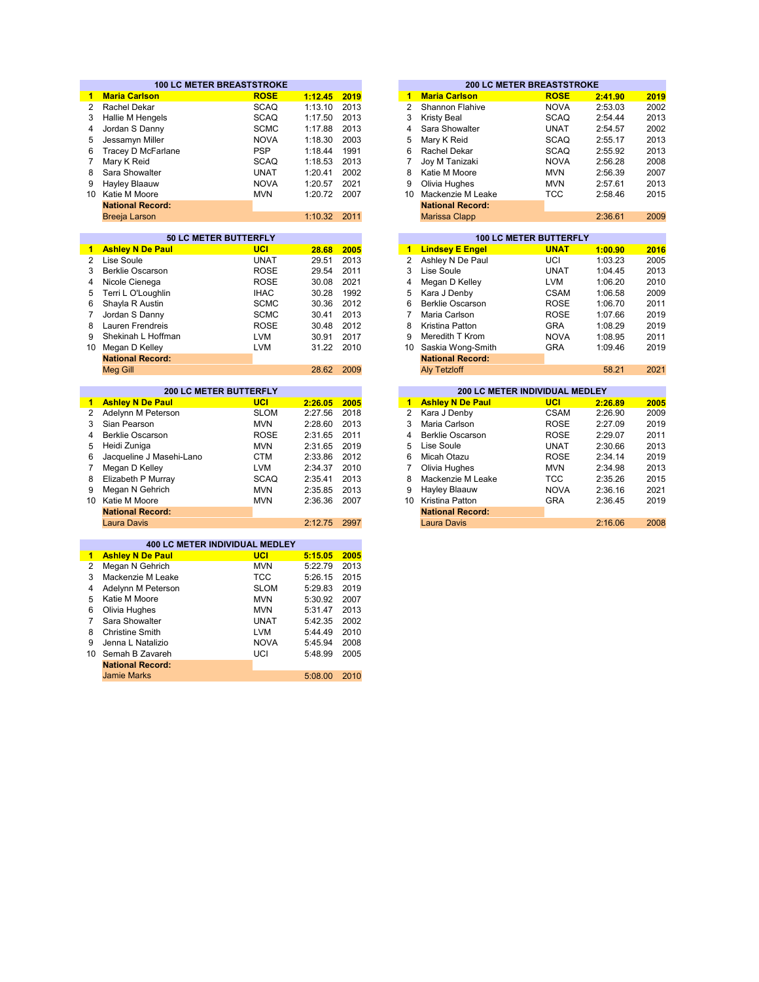|                | <b>100 LC METER BREASTSTROKE</b>      |                          |                    |              |                | <b>200 LC METER BREASTSTROKE</b> |                               |         |      |
|----------------|---------------------------------------|--------------------------|--------------------|--------------|----------------|----------------------------------|-------------------------------|---------|------|
| 1.             | <b>Maria Carlson</b>                  | <b>ROSE</b>              | 1:12.45            | 2019         | $\mathbf{1}$   | <b>Maria Carlson</b>             | <b>ROSE</b>                   | 2:41.90 | 2019 |
| $\overline{2}$ | Rachel Dekar                          | <b>SCAQ</b>              | 1:13.10            | 2013         | $\overline{2}$ | Shannon Flahive                  | <b>NOVA</b>                   | 2:53.03 | 2002 |
| 3              | Hallie M Hengels                      | <b>SCAQ</b>              | 1:17.50            | 2013         | 3              | <b>Kristy Beal</b>               | <b>SCAQ</b>                   | 2:54.44 | 2013 |
| 4              | Jordan S Danny                        | <b>SCMC</b>              | 1:17.88            | 2013         | 4              | Sara Showalter                   | <b>UNAT</b>                   | 2:54.57 | 2002 |
| 5              | Jessamyn Miller                       | <b>NOVA</b>              | 1:18.30            | 2003         | 5              | Mary K Reid                      | <b>SCAQ</b>                   | 2:55.17 | 2013 |
| 6              | Tracey D McFarlane                    | <b>PSP</b>               | 1:18.44            | 1991         | 6              | Rachel Dekar                     | <b>SCAQ</b>                   | 2:55.92 | 2013 |
| $\overline{7}$ | Mary K Reid                           | <b>SCAQ</b>              | 1:18.53            | 2013         | $\overline{7}$ | Joy M Tanizaki                   | <b>NOVA</b>                   | 2:56.28 | 2008 |
| 8              | Sara Showalter                        | <b>UNAT</b>              | 1:20.41            | 2002         | 8              | Katie M Moore                    | <b>MVN</b>                    | 2:56.39 | 2007 |
| 9              | Hayley Blaauw                         | <b>NOVA</b>              | 1:20.57            | 2021         | 9              | Olivia Hughes                    | <b>MVN</b>                    | 2:57.61 | 2013 |
|                | 10 Katie M Moore                      | <b>MVN</b>               | 1:20.72            | 2007         | 10             | Mackenzie M Leake                | <b>TCC</b>                    | 2:58.46 | 2015 |
|                | <b>National Record:</b>               |                          |                    |              |                | <b>National Record:</b>          |                               |         |      |
|                | <b>Breeja Larson</b>                  |                          | 1:10.32            | 2011         |                | <b>Marissa Clapp</b>             |                               | 2:36.61 | 2009 |
|                |                                       |                          |                    |              |                |                                  |                               |         |      |
|                | <b>50 LC METER BUTTERFLY</b>          |                          |                    |              |                |                                  | <b>100 LC METER BUTTERFLY</b> |         |      |
| 1.             | <b>Ashley N De Paul</b>               | UCI                      | 28.68              | 2005         | 1              | <b>Lindsey E Engel</b>           | <b>UNAT</b>                   | 1:00.90 | 2016 |
| $\mathbf{2}$   | Lise Soule                            | <b>UNAT</b>              | 29.51              | 2013         | $\overline{2}$ | Ashley N De Paul                 | UCI                           | 1:03.23 | 2005 |
| 3              | <b>Berklie Oscarson</b>               | <b>ROSE</b>              | 29.54              | 2011         | 3              | Lise Soule                       | <b>UNAT</b>                   | 1:04.45 | 2013 |
| 4              | Nicole Cienega                        | <b>ROSE</b>              | 30.08              | 2021         | 4              | Megan D Kelley                   | <b>LVM</b>                    | 1:06.20 | 2010 |
| 5              | Terri L O'Loughlin                    | <b>IHAC</b>              | 30.28              | 1992         | 5              | Kara J Denby                     | <b>CSAM</b>                   | 1:06.58 | 2009 |
| 6              | Shayla R Austin                       | <b>SCMC</b>              | 30.36              | 2012         | 6              | <b>Berklie Oscarson</b>          | <b>ROSE</b>                   | 1:06.70 | 2011 |
| 7              | Jordan S Danny                        | <b>SCMC</b>              | 30.41              | 2013         | 7              | Maria Carlson                    | <b>ROSE</b>                   | 1:07.66 | 2019 |
| 8              | Lauren Frendreis                      | <b>ROSE</b>              | 30.48              | 2012         | 8              | Kristina Patton                  | <b>GRA</b>                    | 1:08.29 | 2019 |
| 9              | Shekinah L Hoffman                    | <b>LVM</b>               | 30.91              | 2017         | 9              | Meredith T Krom                  | <b>NOVA</b>                   | 1:08.95 | 2011 |
|                | 10 Megan D Kelley                     | <b>LVM</b>               | 31.22              | 2010         | 10             | Saskia Wong-Smith                | <b>GRA</b>                    | 1:09.46 | 2019 |
|                | <b>National Record:</b>               |                          |                    |              |                | <b>National Record:</b>          |                               |         |      |
|                | <b>Meg Gill</b>                       |                          | 28.62              | 2009         |                | <b>Aly Tetzloff</b>              |                               | 58.21   | 2021 |
|                |                                       |                          |                    |              |                |                                  |                               |         |      |
|                | <b>200 LC METER BUTTERFLY</b>         |                          |                    |              |                | 200 LC METER INDIVIDUAL MEDLEY   |                               |         |      |
| $\blacksquare$ | <b>Ashley N De Paul</b>               | UCI                      | 2:26.05            | 2005         | $\mathbf{1}$   | <b>Ashley N De Paul</b>          | <b>UCI</b>                    | 2:26.89 | 2005 |
| $\overline{2}$ | Adelynn M Peterson                    | <b>SLOM</b>              | 2:27.56            | 2018         | $\overline{2}$ | Kara J Denby                     | <b>CSAM</b>                   | 2:26.90 | 2009 |
| 3              | Sian Pearson                          | <b>MVN</b>               | 2:28.60            | 2013         | 3              | Maria Carlson                    | <b>ROSE</b>                   | 2:27.09 | 2019 |
| 4              | <b>Berklie Oscarson</b>               | <b>ROSE</b>              | 2:31.65            | 2011         | 4              | <b>Berklie Oscarson</b>          | <b>ROSE</b>                   | 2:29.07 | 2011 |
| 5              | Heidi Zuniga                          | <b>MVN</b>               | 2:31.65            | 2019         | 5              | Lise Soule                       | <b>UNAT</b>                   | 2:30.66 | 2013 |
| 6              | Jacqueline J Masehi-Lano              | <b>CTM</b>               | 2:33.86            | 2012         | 6              | Micah Otazu                      | <b>ROSE</b>                   | 2:34.14 | 2019 |
| 7              | Megan D Kelley                        | <b>LVM</b>               | 2:34.37            | 2010         | 7              | Olivia Hughes                    | <b>MVN</b>                    | 2:34.98 | 2013 |
| 8              | Elizabeth P Murray                    | <b>SCAQ</b>              | 2:35.41            | 2013         | 8              | Mackenzie M Leake                | TCC                           | 2:35.26 | 2015 |
| 9              | Megan N Gehrich                       | <b>MVN</b>               | 2:35.85            | 2013         | 9              | <b>Hayley Blaauw</b>             | <b>NOVA</b>                   | 2:36.16 | 2021 |
|                | 10 Katie M Moore                      | <b>MVN</b>               | 2:36.36            | 2007         | 10             | Kristina Patton                  | <b>GRA</b>                    | 2:36.45 | 2019 |
|                | <b>National Record:</b>               |                          |                    |              |                | <b>National Record:</b>          |                               |         |      |
|                | <b>Laura Davis</b>                    |                          | 2:12.75            | 2997         |                | <b>Laura Davis</b>               |                               | 2:16.06 | 2008 |
|                |                                       |                          |                    |              |                |                                  |                               |         |      |
|                | <b>400 LC METER INDIVIDUAL MEDLEY</b> |                          |                    |              |                |                                  |                               |         |      |
| $\mathbf{1}$   | <b>Ashley N De Paul</b>               | <b>UCI</b>               | 5:15.05            | 2005         |                |                                  |                               |         |      |
| 2<br>3         | Megan N Gehrich                       | <b>MVN</b><br><b>TCC</b> | 5:22.79<br>5:26.15 | 2013<br>2015 |                |                                  |                               |         |      |
|                | Mackenzie M Leake                     |                          |                    |              |                |                                  |                               |         |      |
| 4              | Adelynn M Peterson                    | <b>SLOM</b>              | 5:29.83            | 2019         |                |                                  |                               |         |      |
| 5              | Katie M Moore                         | <b>MVN</b>               | 5:30.92            | 2007         |                |                                  |                               |         |      |
| 6              | Olivia Hughes                         | <b>MVN</b>               | 5:31.47            | 2013         |                |                                  |                               |         |      |
| $\overline{7}$ | Sara Showalter                        | <b>UNAT</b>              | 5:42.35            | 2002         |                |                                  |                               |         |      |
| 8              | <b>Christine Smith</b>                | <b>LVM</b>               | 5:44.49            | 2010         |                |                                  |                               |         |      |
| 9              | Jenna L Natalizio                     | <b>NOVA</b>              | 5:45.94            | 2008         |                |                                  |                               |         |      |
| 10             | Semah B Zavareh                       | UCI                      | 5:48.99            | 2005         |                |                                  |                               |         |      |
|                | <b>National Record:</b>               |                          |                    |              |                |                                  |                               |         |      |
|                | <b>Jamie Marks</b>                    |                          | 5:08.00            | 2010         |                |                                  |                               |         |      |

|         |      |    |                         | <b>200 LC METER BREASTSTROKE</b> |         |      |
|---------|------|----|-------------------------|----------------------------------|---------|------|
| 1:12.45 | 2019 | 1  | <b>Maria Carlson</b>    | <b>ROSE</b>                      | 2:41.90 | 2019 |
| 1:13.10 | 2013 | 2  | Shannon Flahive         | <b>NOVA</b>                      | 2:53.03 | 2002 |
| 1:17.50 | 2013 | 3  | <b>Kristy Beal</b>      | <b>SCAQ</b>                      | 2:54.44 | 2013 |
| 1:17.88 | 2013 | 4  | Sara Showalter          | <b>UNAT</b>                      | 2:54.57 | 2002 |
| 1:18.30 | 2003 | 5  | Mary K Reid             | <b>SCAQ</b>                      | 2:55.17 | 2013 |
| 1:18.44 | 1991 | 6  | Rachel Dekar            | <b>SCAQ</b>                      | 2:55.92 | 2013 |
| 1:18.53 | 2013 | 7  | Joy M Tanizaki          | <b>NOVA</b>                      | 2:56.28 | 2008 |
| 1:20.41 | 2002 | 8  | Katie M Moore           | <b>MVN</b>                       | 2:56.39 | 2007 |
| 1:20.57 | 2021 | 9  | Olivia Hughes           | <b>MVN</b>                       | 2:57.61 | 2013 |
| 1:20.72 | 2007 | 10 | Mackenzie M Leake       | TCC                              | 2:58.46 | 2015 |
|         |      |    | <b>National Record:</b> |                                  |         |      |
| 1:10.32 | 2011 |    | <b>Marissa Clapp</b>    |                                  | 2:36.61 | 2009 |
|         |      |    |                         |                                  |         |      |

| <b>50 LC METER BUTTERFLY</b>  |             |         |      |    |                         | <b>100 LC METER BUTTERFLY</b>         |         |      |
|-------------------------------|-------------|---------|------|----|-------------------------|---------------------------------------|---------|------|
| ul                            | UCI         | 28.68   | 2005 | 1. | <b>Lindsey E Engel</b>  | <b>UNAT</b>                           | 1:00.90 | 2016 |
|                               | <b>UNAT</b> | 29.51   | 2013 | 2  | Ashley N De Paul        | UCI                                   | 1:03.23 | 2005 |
|                               | <b>ROSE</b> | 29.54   | 2011 | 3  | Lise Soule              | UNAT                                  | 1:04.45 | 2013 |
|                               | <b>ROSE</b> | 30.08   | 2021 | 4  | Megan D Kelley          | LVM                                   | 1:06.20 | 2010 |
| in                            | <b>IHAC</b> | 30.28   | 1992 | 5  | Kara J Denby            | <b>CSAM</b>                           | 1:06.58 | 2009 |
|                               | <b>SCMC</b> | 30.36   | 2012 | 6  | <b>Berklie Oscarson</b> | <b>ROSE</b>                           | 1:06.70 | 2011 |
|                               | <b>SCMC</b> | 30.41   | 2013 |    | Maria Carlson           | <b>ROSE</b>                           | 1:07.66 | 2019 |
|                               | <b>ROSE</b> | 30.48   | 2012 | 8  | Kristina Patton         | <b>GRA</b>                            | 1:08.29 | 2019 |
| man                           | <b>LVM</b>  | 30.91   | 2017 | 9  | Meredith T Krom         | <b>NOVA</b>                           | 1:08.95 | 2011 |
|                               | LVM         | 31.22   | 2010 | 10 | Saskia Wong-Smith       | <b>GRA</b>                            | 1:09.46 | 2019 |
| d:                            |             |         |      |    | <b>National Record:</b> |                                       |         |      |
|                               |             | 28.62   | 2009 |    | <b>Aly Tetzloff</b>     |                                       | 58.21   | 2021 |
|                               |             |         |      |    |                         |                                       |         |      |
| <b>200 LC METER BUTTERFLY</b> |             |         |      |    |                         | <b>200 LC METER INDIVIDUAL MEDLEY</b> |         |      |
| ωI                            | UCI         | 2:26.05 | 2005 | 1  | <b>Ashley N De Paul</b> | UCI                                   | 2:26.89 | 2005 |
| rson                          | <b>SLOM</b> | 2:27.56 | 2018 | 2  | Kara J Denby            | <b>CSAM</b>                           | 2:26.90 | 2009 |
|                               | <b>MVN</b>  | 2:28.60 | 2013 | 3  | Maria Carlson           | <b>ROSE</b>                           | 2:27.09 | 2019 |

| 2:27.56 2018 |      |                | 2 Kara J Denby          | CSAM        | 2:26.90 | 2009 |
|--------------|------|----------------|-------------------------|-------------|---------|------|
| 2:28.60      | 2013 | 3              | Maria Carlson           | <b>ROSE</b> | 2:27.09 | 2019 |
| 2:31.65      | 2011 | $\overline{4}$ | Berklie Oscarson        | <b>ROSE</b> | 2:29.07 | 2011 |
| 2:31.65      | 2019 |                | 5 Lise Soule            | <b>UNAT</b> | 2:30.66 | 2013 |
| 2:33.86      | 2012 | 6              | Micah Otazu             | <b>ROSE</b> | 2:34.14 | 2019 |
| 2:34.37      | 2010 |                | Olivia Hughes           | <b>MVN</b>  | 2:34.98 | 2013 |
| 2:35.41      | 2013 | 8              | Mackenzie M Leake       | TCC         | 2:35.26 | 2015 |
| 2:35.85      | 2013 | 9              | <b>Hayley Blaauw</b>    | <b>NOVA</b> | 2:36.16 | 2021 |
| 2:36.36      | 2007 | 10             | Kristina Patton         | <b>GRA</b>  | 2:36.45 | 2019 |
|              |      |                | <b>National Record:</b> |             |         |      |
| 2:12.75      | 2997 |                | Laura Davis             |             | 2:16.06 | 2008 |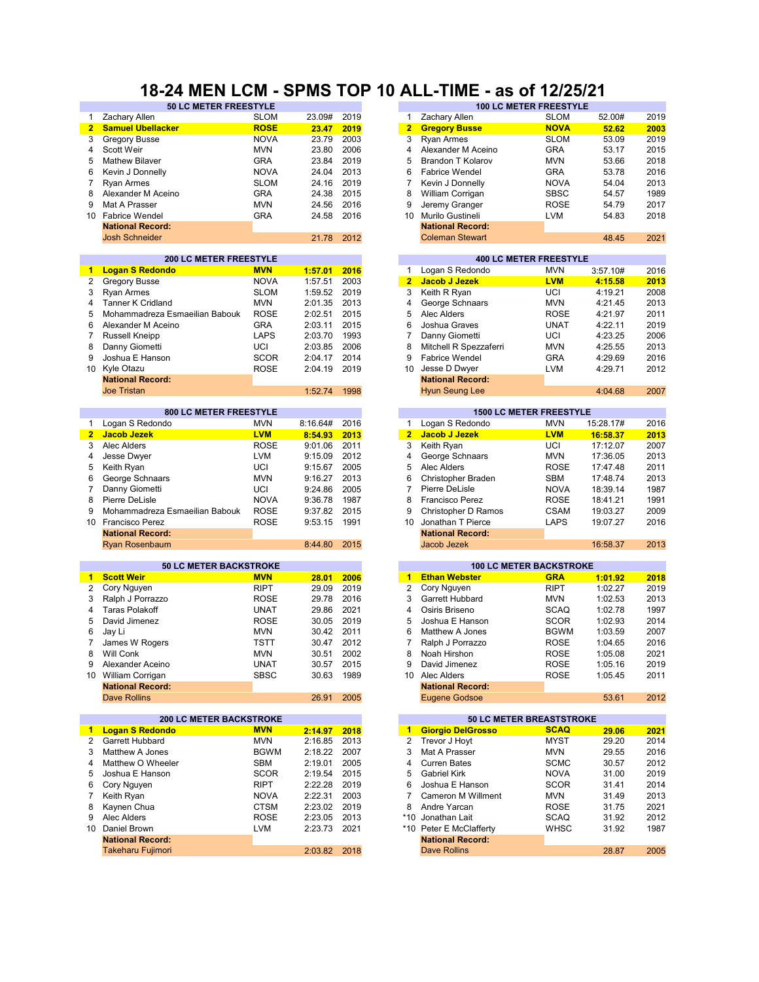### **18-24 MEN LCM - SPMS TOP 10 ALL-TIME - as of 12/25/21**

|                | <b>50 LC METER FREESTYLE</b>                        |             |          |      |                 |                          | <b>100 LC METER FREESTYLE</b>                  |           |      |
|----------------|-----------------------------------------------------|-------------|----------|------|-----------------|--------------------------|------------------------------------------------|-----------|------|
| 1              | Zachary Allen                                       | <b>SLOM</b> | 23.09#   | 2019 | $\mathbf{1}$    | Zachary Allen            | <b>SLOM</b>                                    | 52.00#    | 2019 |
| $\overline{2}$ | <b>Samuel Ubellacker</b>                            | <b>ROSE</b> | 23.47    | 2019 | $\overline{2}$  | <b>Gregory Busse</b>     | <b>NOVA</b>                                    | 52.62     | 2003 |
| 3              | <b>Gregory Busse</b>                                | <b>NOVA</b> | 23.79    | 2003 | 3               | <b>Ryan Armes</b>        | <b>SLOM</b>                                    | 53.09     | 2019 |
| 4              | <b>Scott Weir</b>                                   | <b>MVN</b>  | 23.80    | 2006 | 4               | Alexander M Aceino       | <b>GRA</b>                                     | 53.17     | 2015 |
| 5              | <b>Mathew Bilaver</b>                               | <b>GRA</b>  | 23.84    | 2019 | 5               | Brandon T Kolarov        | <b>MVN</b>                                     | 53.66     | 2018 |
| 6              | Kevin J Donnelly                                    | <b>NOVA</b> | 24.04    | 2013 | 6               | <b>Fabrice Wendel</b>    | <b>GRA</b>                                     | 53.78     | 2016 |
| 7              | <b>Ryan Armes</b>                                   | <b>SLOM</b> | 24.16    | 2019 | $\overline{7}$  | Kevin J Donnelly         | <b>NOVA</b>                                    | 54.04     | 2013 |
| 8              | Alexander M Aceino                                  | GRA         | 24.38    | 2015 | 8               | William Corrigan         | <b>SBSC</b>                                    | 54.57     | 1989 |
| 9              | Mat A Prasser                                       | <b>MVN</b>  | 24.56    | 2016 | 9               | Jeremy Granger           | <b>ROSE</b>                                    | 54.79     | 2017 |
|                | 10 Fabrice Wendel                                   | <b>GRA</b>  | 24.58    | 2016 | 10              | Murilo Gustineli         | <b>LVM</b>                                     | 54.83     | 2018 |
|                | <b>National Record:</b>                             |             |          |      |                 | <b>National Record:</b>  |                                                |           |      |
|                | <b>Josh Schneider</b>                               |             | 21.78    | 2012 |                 | <b>Coleman Stewart</b>   |                                                | 48.45     | 2021 |
|                |                                                     |             |          |      |                 |                          |                                                |           |      |
|                | <b>200 LC METER FREESTYLE</b>                       |             |          |      |                 |                          | <b>400 LC METER FREESTYLE</b>                  |           |      |
| 1              | <b>Logan S Redondo</b>                              | <b>MVN</b>  | 1:57.01  | 2016 | $\mathbf{1}$    | Logan S Redondo          | <b>MVN</b>                                     | 3:57.10#  | 2016 |
| 2              | <b>Gregory Busse</b>                                | <b>NOVA</b> | 1:57.51  | 2003 | $\overline{2}$  | Jacob J Jezek            | <b>LVM</b>                                     | 4:15.58   | 2013 |
| 3              | Ryan Armes                                          | <b>SLOM</b> | 1:59.52  | 2019 | 3               | Keith R Ryan             | UCI                                            | 4:19.21   | 2008 |
| 4              | Tanner K Cridland                                   | <b>MVN</b>  | 2:01.35  | 2013 | 4               | George Schnaars          | <b>MVN</b>                                     | 4:21.45   | 2013 |
| 5              | Mohammadreza Esmaeilian Babouk                      | <b>ROSE</b> | 2:02.51  | 2015 | 5               | Alec Alders              | <b>ROSE</b>                                    | 4:21.97   | 2011 |
| 6              | Alexander M Aceino                                  | <b>GRA</b>  | 2:03.11  | 2015 | 6               | Joshua Graves            | <b>UNAT</b>                                    | 4:22.11   | 2019 |
| 7              | <b>Russell Kneipp</b>                               | <b>LAPS</b> | 2:03.70  | 1993 | 7               | Danny Giometti           | UCI                                            | 4:23.25   | 2006 |
| 8              | Danny Giometti                                      | UCI         | 2:03.85  | 2006 | 8               | Mitchell R Spezzaferri   | <b>MVN</b>                                     | 4:25.55   | 2013 |
| 9              | Joshua E Hanson                                     | <b>SCOR</b> | 2:04.17  | 2014 | 9               | <b>Fabrice Wendel</b>    | <b>GRA</b>                                     | 4:29.69   | 2016 |
| 10             | Kyle Otazu                                          | <b>ROSE</b> | 2:04.19  | 2019 | 10              | Jesse D Dwyer            | <b>LVM</b>                                     | 4:29.71   | 2012 |
|                | <b>National Record:</b>                             |             |          |      |                 | <b>National Record:</b>  |                                                |           |      |
|                | <b>Joe Tristan</b>                                  |             | 1:52.74  | 1998 |                 | <b>Hyun Seung Lee</b>    |                                                | 4:04.68   | 2007 |
|                |                                                     |             |          |      |                 |                          |                                                |           |      |
|                | 800 LC METER FREESTYLE                              |             |          |      |                 |                          | <b>1500 LC METER FREESTYLE</b>                 |           |      |
| 1              | Logan S Redondo                                     | <b>MVN</b>  | 8:16.64# | 2016 | $\mathbf{1}$    | Logan S Redondo          | <b>MVN</b>                                     | 15:28.17# | 2016 |
| 2 <sub>1</sub> | <b>Jacob Jezek</b>                                  | <b>LVM</b>  | 8:54.93  | 2013 | 2 <sup>2</sup>  | Jacob J Jezek            | <b>LVM</b>                                     | 16:58.37  | 2013 |
| 3              | Alec Alders                                         | <b>ROSE</b> | 9:01.06  | 2011 | 3               | Keith Ryan               | UCI                                            | 17:12.07  | 2007 |
| 4              | Jesse Dwyer                                         | <b>LVM</b>  | 9:15.09  | 2012 | 4               | George Schnaars          | <b>MVN</b>                                     | 17:36.05  | 2013 |
| 5              | Keith Ryan                                          | UCI         | 9:15.67  | 2005 | 5               | Alec Alders              | <b>ROSE</b>                                    | 17:47.48  | 2011 |
| 6              | George Schnaars                                     | <b>MVN</b>  | 9:16.27  | 2013 | 6               | Christopher Braden       | <b>SBM</b>                                     | 17:48.74  | 2013 |
| $\overline{7}$ | Danny Giometti                                      | UCI         | 9:24.86  | 2005 | $\overline{7}$  | Pierre DeLisle           | <b>NOVA</b>                                    | 18:39.14  | 1987 |
| 8              | Pierre DeLisle                                      | <b>NOVA</b> | 9:36.78  | 1987 | 8               | Francisco Perez          | <b>ROSE</b>                                    | 18:41.21  | 1991 |
| 9              | Mohammadreza Esmaeilian Babouk                      | <b>ROSE</b> | 9:37.82  | 2015 | 9               | Christopher D Ramos      | <b>CSAM</b>                                    | 19:03.27  | 2009 |
|                | 10 Francisco Perez                                  | <b>ROSE</b> | 9:53.15  | 1991 | 10 <sup>°</sup> | Jonathan T Pierce        | LAPS                                           | 19:07.27  | 2016 |
|                | <b>National Record:</b>                             |             |          |      |                 | <b>National Record:</b>  |                                                |           |      |
|                | <b>Ryan Rosenbaum</b>                               |             | 8:44.80  | 2015 |                 | Jacob Jezek              |                                                | 16:58.37  | 2013 |
|                |                                                     |             |          |      |                 |                          |                                                |           |      |
|                | <b>50 LC METER BACKSTROKE</b>                       |             |          |      |                 |                          | <b>100 LC METER BACKSTROKE</b>                 |           |      |
| $\blacksquare$ | <b>Scott Weir</b>                                   | <b>MVN</b>  | 28.01    | 2006 | $\mathbf{1}$    | <b>Ethan Webster</b>     | <b>GRA</b>                                     | 1:01.92   | 2018 |
| $\overline{2}$ | Cory Nguyen                                         | <b>RIPT</b> | 29.09    | 2019 | $\overline{2}$  | Cory Nguyen              | <b>RIPT</b>                                    | 1:02.27   | 2019 |
| 3              | Ralph J Porrazzo                                    | <b>ROSE</b> | 29.78    | 2016 | 3               | Garrett Hubbard          | <b>MVN</b>                                     | 1:02.53   | 2013 |
| 4              | <b>Taras Polakoff</b>                               | <b>UNAT</b> | 29.86    | 2021 | $\overline{4}$  | Osiris Briseno           | <b>SCAQ</b>                                    | 1:02.78   | 1997 |
| 5              | David Jimenez                                       | <b>ROSE</b> | 30.05    | 2019 | 5               | Joshua E Hanson          | <b>SCOR</b>                                    | 1:02.93   | 2014 |
| 6              | Jay Li                                              | <b>MVN</b>  | 30.42    | 2011 | 6               | Matthew A Jones          | <b>BGWM</b>                                    | 1:03.59   | 2007 |
| 7              | James W Rogers                                      | <b>TSTT</b> | 30.47    | 2012 | 7               | Ralph J Porrazzo         | <b>ROSE</b>                                    | 1:04.65   | 2016 |
| 8              | Will Conk                                           | <b>MVN</b>  | 30.51    | 2002 | 8               | Noah Hirshon             | <b>ROSE</b>                                    | 1:05.08   | 2021 |
| 9              | Alexander Aceino                                    | <b>UNAT</b> | 30.57    | 2015 | 9               | David Jimenez            | <b>ROSE</b>                                    | 1:05.16   | 2019 |
|                | 10 William Corrigan                                 | <b>SBSC</b> | 30.63    | 1989 |                 | 10 Alec Alders           | <b>ROSE</b>                                    | 1:05.45   | 2011 |
|                | <b>National Record:</b>                             |             |          |      |                 | <b>National Record:</b>  |                                                |           |      |
|                | Dave Rollins                                        |             | 26.91    | 2005 |                 | <b>Eugene Godsoe</b>     |                                                | 53.61     | 2012 |
|                |                                                     |             |          |      |                 |                          |                                                |           |      |
|                | <b>200 LC METER BACKSTROKE</b><br>1 Logan S Redondo | <b>MVN</b>  | 2:14.97  | 2018 | $\blacksquare$  | <b>Giorgio DelGrosso</b> | <b>50 LC METER BREASTSTROKE</b><br><b>SCAQ</b> | 29.06     | 2021 |
| 2              | Garrett Hubbard                                     | <b>MVN</b>  | 2:16.85  | 2013 | 2               | Trevor J Hoyt            | <b>MYST</b>                                    | 29.20     | 2014 |
| 3              | Matthew A Jones                                     | <b>BGWM</b> | 2:18.22  | 2007 | 3               | Mat A Prasser            | MVN                                            | 29.55     | 2016 |
| 4              | Matthew O Wheeler                                   | SBM         | 2:19.01  | 2005 | 4               | <b>Curren Bates</b>      | <b>SCMC</b>                                    | 30.57     | 2012 |
| 5              | Joshua E Hanson                                     | SCOR        | 2:19.54  | 2015 | 5               | <b>Gabriel Kirk</b>      | <b>NOVA</b>                                    | 31.00     | 2019 |
| 6              | Cory Nguyen                                         | <b>RIPT</b> | 2:22.28  | 2019 | 6               | Joshua E Hanson          | <b>SCOR</b>                                    | 31.41     | 2014 |
| $\overline{7}$ | Keith Ryan                                          | <b>NOVA</b> | 2:22.31  | 2003 | 7               | Cameron M Willment       | MVN                                            | 31.49     | 2013 |
| 8              | Kaynen Chua                                         | <b>CTSM</b> | 2:23.02  | 2019 | 8               | Andre Yarcan             | <b>ROSE</b>                                    | 31.75     | 2021 |
| 9              | Alec Alders                                         | <b>ROSE</b> | 2:23.05  | 2013 |                 | *10 Jonathan Lait        | SCAQ                                           | 31.92     | 2012 |
|                | 10 Daniel Brown                                     | <b>LVM</b>  | 2:23.73  | 2021 |                 | *10 Peter E McClafferty  |                                                |           | 1987 |
|                | <b>National Record:</b>                             |             |          |      |                 | <b>National Record:</b>  | WHSC                                           | 31.92     |      |
|                | <b>Takeharu Fujimori</b>                            |             |          |      |                 | <b>Dave Rollins</b>      |                                                |           |      |
|                |                                                     |             | 2:03.82  | 2018 |                 |                          |                                                | 28.87     | 2005 |

| 23.09#  | 2019 | $\mathbf{1}$            | Zachary Allen            | <b>SLOM</b>                    | 52.00#    | 2019         |
|---------|------|-------------------------|--------------------------|--------------------------------|-----------|--------------|
| 23.47   | 2019 | $\overline{2}$          | <b>Gregory Busse</b>     | <b>NOVA</b>                    | 52.62     | 2003         |
| 23.79   | 2003 | 3                       | Ryan Armes               | <b>SLOM</b>                    | 53.09     | 2019         |
| 23.80   | 2006 | 4                       | Alexander M Aceino       | <b>GRA</b>                     | 53.17     | 2015         |
| 23.84   | 2019 | 5                       | <b>Brandon T Kolarov</b> | <b>MVN</b>                     | 53.66     | 2018         |
| 24.04   | 2013 | 6                       | <b>Fabrice Wendel</b>    | <b>GRA</b>                     | 53.78     | 2016         |
| 24.16   | 2019 | $\overline{7}$          | Kevin J Donnelly         | <b>NOVA</b>                    | 54.04     | 2013         |
| 24.38   | 2015 | 8                       | William Corrigan         | <b>SBSC</b>                    | 54.57     | 1989         |
| 24.56   | 2016 | 9                       | Jeremy Granger           | <b>ROSE</b>                    | 54.79     | 2017         |
| 24.58   | 2016 | 10                      | Murilo Gustineli         | <b>LVM</b>                     | 54.83     | 2018         |
|         |      |                         | <b>National Record:</b>  |                                |           |              |
| 21.78   | 2012 |                         | <b>Coleman Stewart</b>   |                                | 48.45     | 2021         |
|         |      |                         |                          |                                |           |              |
|         |      |                         |                          | <b>400 LC METER FREESTYLE</b>  |           |              |
| 1:57.01 | 2016 | 1                       | Logan S Redondo          | <b>MVN</b>                     | 3:57.10#  | 2016         |
| 1:57.51 | 2003 | $\overline{\mathbf{2}}$ | <b>Jacob J Jezek</b>     | <b>LVM</b>                     | 4:15.58   | 2013         |
| 1:59.52 | 2019 | 3                       | Keith R Ryan             | UCI                            | 4:19.21   | 2008         |
| 2:01.35 | 2013 | 4                       | George Schnaars          | <b>MVN</b>                     | 4:21.45   | 2013         |
| 2:02.51 | 2015 | 5                       | Alec Alders              | <b>ROSE</b>                    | 4:21.97   | 2011         |
| 2:03.11 | 2015 | 6                       | Joshua Graves            | <b>UNAT</b>                    | 4:22.11   | 2019         |
| 2:03.70 | 1993 | $\overline{7}$          | Danny Giometti           | UCI                            | 4:23.25   | 2006         |
| 2:03.85 | 2006 | 8                       | Mitchell R Spezzaferri   | <b>MVN</b>                     | 4:25.55   | 2013         |
| 2:04.17 | 2014 | 9                       | Fabrice Wendel           | <b>GRA</b>                     | 4:29.69   | 2016         |
| 2:04.19 | 2019 | 10                      | Jesse D Dwyer            | <b>LVM</b>                     | 4:29.71   | 2012         |
|         |      |                         | <b>National Record:</b>  |                                |           |              |
| 1:52.74 | 1998 |                         | <b>Hyun Seung Lee</b>    |                                | 4:04.68   | 2007         |
|         |      |                         |                          | <b>1500 LC METER FREESTYLE</b> |           |              |
| :16.64# | 2016 | $\mathbf{1}$            | Logan S Redondo          | MVN                            | 15:28.17# | 2016         |
| 8:54.93 | 2013 | $\overline{\mathbf{2}}$ | <b>Jacob J Jezek</b>     | <b>LVM</b>                     | 16:58.37  | 2013         |
| 9:01.06 | 2011 | 3                       | Keith Ryan               | UCI                            | 17:12.07  | 2007         |
| 9:15.09 | 2012 | 4                       | George Schnaars          | <b>MVN</b>                     | 17:36.05  | 2013         |
| 9:15.67 | 2005 | 5                       | Alec Alders              | <b>ROSE</b>                    | 17:47.48  | 2011         |
| 9:16.27 | 2013 | 6                       | Christopher Braden       | <b>SBM</b>                     | 17:48.74  | 2013         |
| 9:24.86 | 2005 | $\overline{7}$          | Pierre DeLisle           | <b>NOVA</b>                    | 18:39.14  | 1987         |
|         |      | 8                       | Francisco Perez          | <b>ROSE</b>                    |           |              |
| 9:36.78 | 1987 | 9                       |                          |                                | 18:41.21  | 1991<br>2009 |
| 9:37.82 | 2015 |                         | Christopher D Ramos      | <b>CSAM</b>                    | 19:03.27  |              |
| 9:53.15 | 1991 | 10                      | Jonathan T Pierce        | LAPS                           | 19:07.27  | 2016         |
|         |      |                         | <b>National Record:</b>  |                                |           |              |
| 8:44.80 | 2015 |                         | Jacob Jezek              |                                | 16:58.37  | 2013         |
|         |      |                         |                          |                                |           |              |

|       |      |    |                         | <b>100 LC METER BACKSTROKE</b> |         |
|-------|------|----|-------------------------|--------------------------------|---------|
| 28.01 | 2006 | 1  | <b>Ethan Webster</b>    | <b>GRA</b>                     | 1:01.92 |
| 29.09 | 2019 | 2  | Cory Nguyen             | <b>RIPT</b>                    | 1:02.27 |
| 29.78 | 2016 | 3  | Garrett Hubbard         | <b>MVN</b>                     | 1:02.53 |
| 29.86 | 2021 | 4  | Osiris Briseno          | <b>SCAQ</b>                    | 1:02.78 |
| 30.05 | 2019 | 5  | Joshua E Hanson         | <b>SCOR</b>                    | 1:02.93 |
| 30.42 | 2011 | 6  | Matthew A Jones         | <b>BGWM</b>                    | 1:03.59 |
| 30.47 | 2012 | 7  | Ralph J Porrazzo        | <b>ROSE</b>                    | 1:04.65 |
| 30.51 | 2002 | 8  | Noah Hirshon            | <b>ROSE</b>                    | 1:05.08 |
| 30.57 | 2015 | 9  | David Jimenez           | <b>ROSE</b>                    | 1:05.16 |
| 30.63 | 1989 | 10 | Alec Alders             | <b>ROSE</b>                    | 1:05.45 |
|       |      |    | <b>National Record:</b> |                                |         |
| 26.91 | 2005 |    | <b>Eugene Godsoe</b>    |                                | 53.61   |

|         |      |   |                          | <b>50 LC METER BREASTSTROKE</b> |       |      |
|---------|------|---|--------------------------|---------------------------------|-------|------|
| 2:14.97 | 2018 | 1 | <b>Giorgio DelGrosso</b> | <b>SCAQ</b>                     | 29.06 | 2021 |
| 2:16.85 | 2013 |   | 2 Trevor J Hoyt          | <b>MYST</b>                     | 29.20 | 2014 |
| 2:18.22 | 2007 | 3 | Mat A Prasser            | <b>MVN</b>                      | 29.55 | 2016 |
| 2:19.01 | 2005 | 4 | Curren Bates             | <b>SCMC</b>                     | 30.57 | 2012 |
| 2:19.54 | 2015 | 5 | <b>Gabriel Kirk</b>      | <b>NOVA</b>                     | 31.00 | 2019 |
| 2:22.28 | 2019 | 6 | Joshua E Hanson          | <b>SCOR</b>                     | 31.41 | 2014 |
| 2:22.31 | 2003 |   | Cameron M Willment       | <b>MVN</b>                      | 31.49 | 2013 |
| 2:23.02 | 2019 | 8 | Andre Yarcan             | <b>ROSE</b>                     | 31.75 | 2021 |
| 2:23.05 | 2013 |   | *10 Jonathan Lait        | <b>SCAQ</b>                     | 31.92 | 2012 |
| 2:23.73 | 2021 |   | *10 Peter E McClafferty  | <b>WHSC</b>                     | 31.92 | 1987 |
|         |      |   | <b>National Record:</b>  |                                 |       |      |
| 2:03.82 | 2018 |   | <b>Dave Rollins</b>      |                                 | 28.87 | 2005 |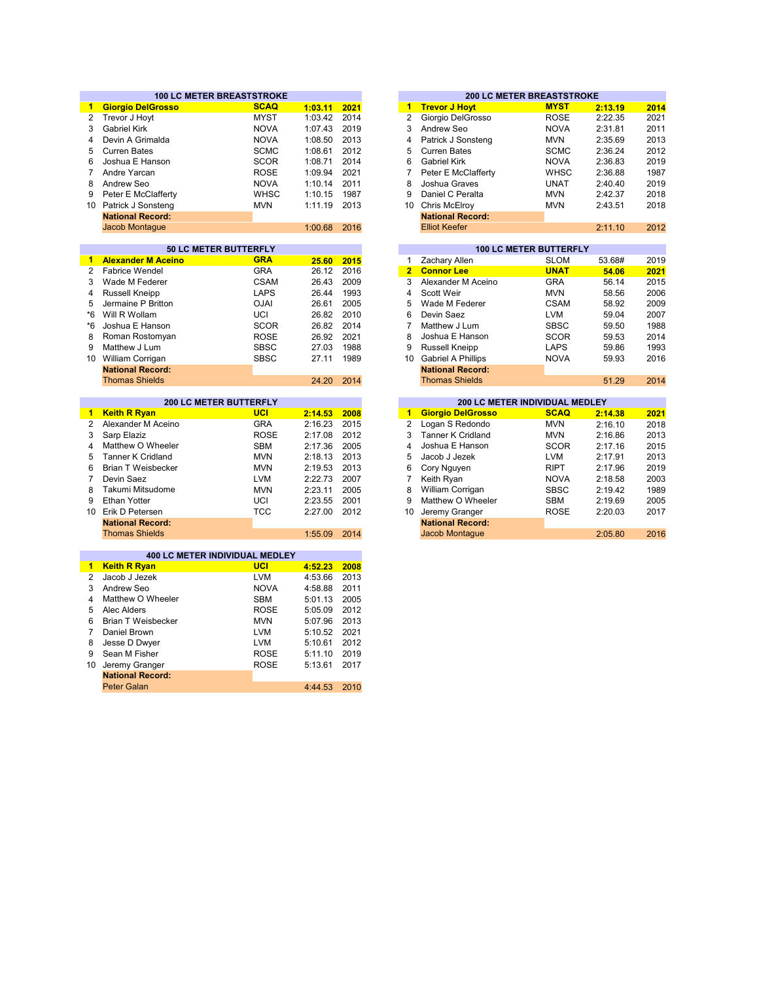|                 |                           | <b>100 LC METER BREASTSTROKE</b> |         |      |
|-----------------|---------------------------|----------------------------------|---------|------|
| $\mathbf{1}$    | <b>Giorgio DelGrosso</b>  | <b>SCAQ</b>                      | 1:03.11 | 2021 |
| $\overline{2}$  | Trevor J Hoyt             | <b>MYST</b>                      | 1:03.42 | 2014 |
| 3               | <b>Gabriel Kirk</b>       | <b>NOVA</b>                      | 1:07.43 | 2019 |
| 4               | Devin A Grimalda          | <b>NOVA</b>                      | 1:08.50 | 2013 |
| 5               | <b>Curren Bates</b>       | <b>SCMC</b>                      | 1:08.61 | 2012 |
| 6               | Joshua E Hanson           | <b>SCOR</b>                      | 1:08.71 | 2014 |
|                 |                           |                                  |         | 2021 |
| 7               | Andre Yarcan              | <b>ROSE</b>                      | 1:09.94 |      |
| 8               | Andrew Seo                | <b>NOVA</b>                      | 1:10.14 | 2011 |
| 9               | Peter E McClafferty       | <b>WHSC</b>                      | 1:10.15 | 1987 |
| 10 <sup>°</sup> | Patrick J Sonsteng        | <b>MVN</b>                       | 1:11.19 | 2013 |
|                 | <b>National Record:</b>   |                                  |         |      |
|                 | Jacob Montague            |                                  | 1:00.68 | 2016 |
|                 |                           |                                  |         |      |
|                 |                           | 50 LC METER BUTTERFLY            |         |      |
| $\mathbf{1}$    | <b>Alexander M Aceino</b> | <b>GRA</b>                       | 25.60   | 2015 |
| $\overline{2}$  | <b>Fabrice Wendel</b>     | <b>GRA</b>                       | 26.12   | 2016 |
| 3               | Wade M Federer            | <b>CSAM</b>                      | 26.43   | 2009 |
| 4               | <b>Russell Kneipp</b>     | <b>LAPS</b>                      | 26.44   | 1993 |
| 5               | Jermaine P Britton        | <b>NUO</b>                       | 26.61   | 2005 |
| *6              | Will R Wollam             | UCI                              | 26.82   | 2010 |
| *6              | Joshua E Hanson           | <b>SCOR</b>                      | 26.82   | 2014 |
| 8               | Roman Rostomyan           | <b>ROSE</b>                      | 26.92   | 2021 |
| 9               | Matthew J Lum             | <b>SBSC</b>                      | 27.03   | 1988 |
| 10              | William Corrigan          | <b>SBSC</b>                      | 27.11   | 1989 |
|                 | <b>National Record:</b>   |                                  |         |      |
|                 |                           |                                  |         |      |
|                 | <b>Thomas Shields</b>     |                                  | 24.20   | 2014 |
|                 |                           |                                  |         |      |
|                 |                           |                                  |         |      |
|                 | 200 LC METER BUTTERFLY    |                                  |         |      |
| $\mathbf{1}$    | <b>Keith R Ryan</b>       | <b>UCI</b>                       | 2:14.53 | 2008 |
| $\overline{2}$  | Alexander M Aceino        | <b>GRA</b>                       | 2:16.23 | 2015 |
| 3               | Sarp Elaziz               | <b>ROSE</b>                      | 2:17.08 | 2012 |
| 4               | Matthew O Wheeler         | SBM                              | 2:17.36 | 2005 |
| 5               | <b>Tanner K Cridland</b>  | <b>MVN</b>                       | 2:18.13 | 2013 |
| 6               | <b>Brian T Weisbecker</b> | <b>MVN</b>                       | 2:19.53 | 2013 |
| $\overline{7}$  | Devin Saez                | <b>LVM</b>                       | 2:22.73 | 2007 |
| 8               | Takumi Mitsudome          | <b>MVN</b>                       | 2:23.11 | 2005 |
| 9               | <b>Ethan Yotter</b>       | UCI                              | 2:23.55 | 2001 |
|                 | 10 Erik D Petersen        | <b>TCC</b>                       | 2:27.00 | 2012 |
|                 | <b>National Record:</b>   |                                  |         |      |
|                 |                           |                                  |         |      |
|                 | <b>Thomas Shields</b>     |                                  | 1:55.09 | 2014 |
|                 |                           | 400 LC METER INDIVIDUAL MEDLEY   |         |      |
| $\mathbf{1}$    | <b>Keith R Ryan</b>       | <b>UCI</b>                       | 4:52.23 | 2008 |
| 2               | Jacob J Jezek             | <b>LVM</b>                       | 4:53.66 |      |
|                 |                           |                                  |         | 2013 |
| 3               | Andrew Seo                | <b>NOVA</b>                      | 4:58.88 | 2011 |
| 4               | Matthew O Wheeler         | <b>SBM</b>                       | 5:01.13 | 2005 |
| 5               | Alec Alders               | <b>ROSE</b>                      | 5:05.09 | 2012 |
| 6               | <b>Brian T Weisbecker</b> | <b>MVN</b>                       | 5:07.96 | 2013 |
| $\overline{7}$  | Daniel Brown              | <b>LVM</b>                       | 5:10.52 | 2021 |
| 8               | Jesse D Dwyer             | <b>LVM</b>                       | 5:10.61 | 2012 |
| 9               | Sean M Fisher             | <b>ROSE</b>                      | 5:11.10 | 2019 |
| 10              | Jeremy Granger            | <b>ROSE</b>                      | 5:13.61 | 2017 |

Peter Galan

4:44.53 2010

|         |      |    |                         | <b>200 LC METER BREASTSTROKE</b> |         |      |
|---------|------|----|-------------------------|----------------------------------|---------|------|
| 1:03.11 | 2021 | 1  | <b>Trevor J Hoyt</b>    | <b>MYST</b>                      | 2:13.19 | 2014 |
| 1:03.42 | 2014 | 2  | Giorgio DelGrosso       | <b>ROSE</b>                      | 2:22.35 | 2021 |
| 1:07.43 | 2019 | 3  | Andrew Seo              | <b>NOVA</b>                      | 2:31.81 | 2011 |
| 1:08.50 | 2013 | 4  | Patrick J Sonsteng      | <b>MVN</b>                       | 2:35.69 | 2013 |
| 1:08.61 | 2012 | 5  | Curren Bates            | <b>SCMC</b>                      | 2:36.24 | 2012 |
| 1:08.71 | 2014 | 6  | <b>Gabriel Kirk</b>     | <b>NOVA</b>                      | 2:36.83 | 2019 |
| 1:09.94 | 2021 |    | Peter E McClafferty     | <b>WHSC</b>                      | 2:36.88 | 1987 |
| 1:10.14 | 2011 | 8  | Joshua Graves           | <b>UNAT</b>                      | 2:40.40 | 2019 |
| 1:10.15 | 1987 | 9  | Daniel C Peralta        | <b>MVN</b>                       | 2:42.37 | 2018 |
| 1:11.19 | 2013 | 10 | Chris McElroy           | <b>MVN</b>                       | 2:43.51 | 2018 |
|         |      |    | <b>National Record:</b> |                                  |         |      |
| 1:00.68 | 2016 |    | <b>Elliot Keefer</b>    |                                  | 2:11.10 | 2012 |
|         |      |    |                         |                                  |         |      |

|       |      |                         |                           | <b>100 LC METER BUTTERFLY</b> |        |      |
|-------|------|-------------------------|---------------------------|-------------------------------|--------|------|
| 25.60 | 2015 | 1                       | <b>Zachary Allen</b>      | <b>SLOM</b>                   | 53.68# | 2019 |
| 26.12 | 2016 | $\overline{\mathbf{2}}$ | <b>Connor Lee</b>         | <b>UNAT</b>                   | 54.06  | 2021 |
| 26.43 | 2009 | 3                       | Alexander M Aceino        | <b>GRA</b>                    | 56.14  | 2015 |
| 26.44 | 1993 | 4                       | Scott Weir                | <b>MVN</b>                    | 58.56  | 2006 |
| 26.61 | 2005 | 5                       | Wade M Federer            | <b>CSAM</b>                   | 58.92  | 2009 |
| 26.82 | 2010 | 6                       | Devin Saez                | <b>LVM</b>                    | 59.04  | 2007 |
| 26.82 | 2014 | 7                       | Matthew J Lum             | <b>SBSC</b>                   | 59.50  | 1988 |
| 26.92 | 2021 | 8                       | Joshua E Hanson           | <b>SCOR</b>                   | 59.53  | 2014 |
| 27.03 | 1988 | 9                       | Russell Kneipp            | <b>LAPS</b>                   | 59.86  | 1993 |
| 27.11 | 1989 | 10                      | <b>Gabriel A Phillips</b> | <b>NOVA</b>                   | 59.93  | 2016 |
|       |      |                         | <b>National Record:</b>   |                               |        |      |
| 24.20 | 2014 |                         | <b>Thomas Shields</b>     |                               | 51.29  | 2014 |
|       |      |                         |                           |                               |        |      |

| 2:14.38<br>2021 |
|-----------------|
| 2:16.10<br>2018 |
| 2013<br>2:16.86 |
| 2015<br>2:17.16 |
| 2013<br>2:17.91 |
| 2019<br>2:17.96 |
| 2:18.58<br>2003 |
| 2:19.42<br>1989 |
| 2:19.69<br>2005 |
| 2017<br>2:20.03 |
|                 |
| 2:05.80<br>2016 |
|                 |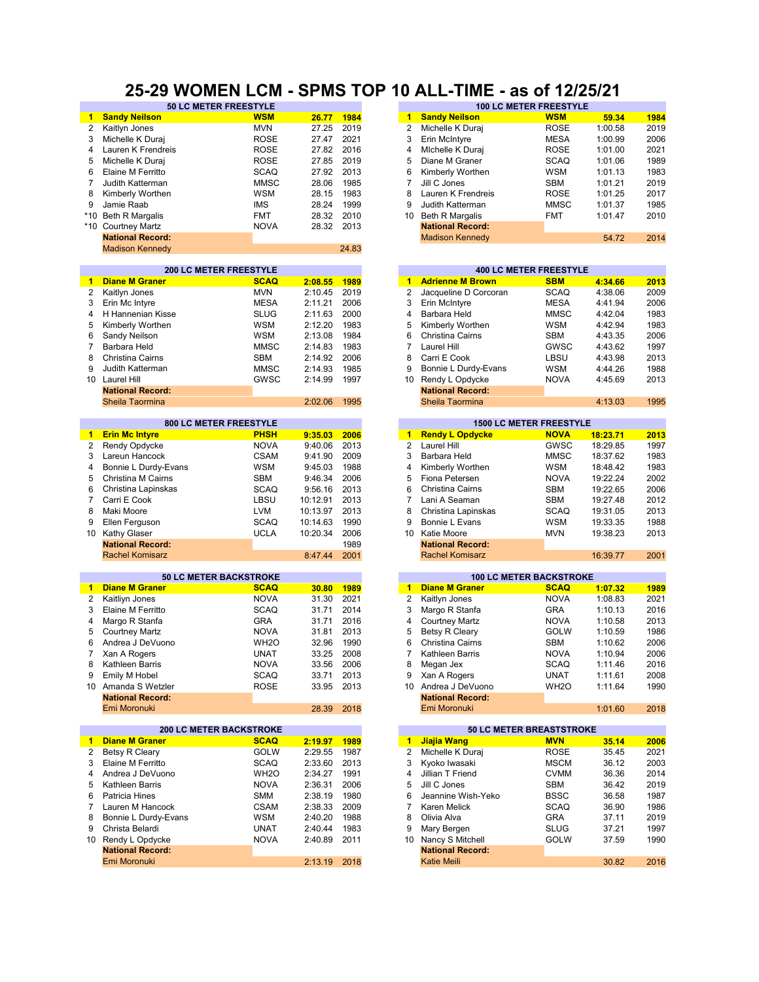## **25-29 WOMEN LCM - SPMS TOP 10 ALL-TIME - as of 12/25/21**

|                 | 50 LC METER FREESTYLE          |                   |          |       |                |                         | <b>100 LC METER FREESTYLE</b>  |          |      |
|-----------------|--------------------------------|-------------------|----------|-------|----------------|-------------------------|--------------------------------|----------|------|
| 1               | <b>Sandy Neilson</b>           | <b>WSM</b>        | 26.77    | 1984  | 1              | <b>Sandy Neilson</b>    | <b>WSM</b>                     | 59.34    | 1984 |
| $\overline{2}$  | Kaitlyn Jones                  | <b>MVN</b>        | 27.25    | 2019  | $\overline{2}$ | Michelle K Duraj        | <b>ROSE</b>                    | 1:00.58  | 2019 |
| 3               | Michelle K Duraj               | <b>ROSE</b>       | 27.47    | 2021  | 3              | Erin McIntyre           | <b>MESA</b>                    | 1:00.99  | 2006 |
| 4               | Lauren K Frendreis             | <b>ROSE</b>       | 27.82    | 2016  | 4              |                         | <b>ROSE</b>                    | 1:01.00  | 2021 |
|                 |                                |                   |          |       |                | Michelle K Duraj        |                                |          |      |
| 5               | Michelle K Duraj               | <b>ROSE</b>       | 27.85    | 2019  | 5              | Diane M Graner          | <b>SCAQ</b>                    | 1:01.06  | 1989 |
| 6               | Elaine M Ferritto              | <b>SCAQ</b>       | 27.92    | 2013  | 6              | Kimberly Worthen        | <b>WSM</b>                     | 1:01.13  | 1983 |
| 7               | Judith Katterman               | <b>MMSC</b>       | 28.06    | 1985  | 7              | Jill C Jones            | <b>SBM</b>                     | 1:01.21  | 2019 |
| 8               | Kimberly Worthen               | <b>WSM</b>        | 28.15    | 1983  | 8              | Lauren K Frendreis      | <b>ROSE</b>                    | 1:01.25  | 2017 |
| 9               | Jamie Raab                     | <b>IMS</b>        | 28.24    | 1999  | 9              | Judith Katterman        | <b>MMSC</b>                    | 1:01.37  | 1985 |
|                 |                                |                   |          |       |                |                         |                                |          |      |
| $*10$           | <b>Beth R Margalis</b>         | <b>FMT</b>        | 28.32    | 2010  | 10             | <b>Beth R Margalis</b>  | <b>FMT</b>                     | 1:01.47  | 2010 |
|                 | *10 Courtney Martz             | <b>NOVA</b>       | 28.32    | 2013  |                | <b>National Record:</b> |                                |          |      |
|                 | <b>National Record:</b>        |                   |          |       |                | <b>Madison Kennedy</b>  |                                | 54.72    | 2014 |
|                 | <b>Madison Kennedy</b>         |                   |          | 24.83 |                |                         |                                |          |      |
|                 |                                |                   |          |       |                |                         |                                |          |      |
|                 | <b>200 LC METER FREESTYLE</b>  |                   |          |       |                |                         | <b>400 LC METER FREESTYLE</b>  |          |      |
| 1               | <b>Diane M Graner</b>          | <b>SCAQ</b>       | 2:08.55  | 1989  | $\mathbf{1}$   | <b>Adrienne M Brown</b> | <b>SBM</b>                     | 4:34.66  | 2013 |
| $\overline{2}$  | Kaitlyn Jones                  | <b>MVN</b>        | 2:10.45  | 2019  | 2              | Jacqueline D Corcoran   | <b>SCAQ</b>                    | 4:38.06  | 2009 |
| 3               | Erin Mc Intyre                 | <b>MESA</b>       | 2:11.21  | 2006  | 3              | Erin McIntyre           | <b>MESA</b>                    | 4:41.94  | 2006 |
| 4               | H Hannenian Kisse              | <b>SLUG</b>       | 2:11.63  | 2000  | $\overline{4}$ | Barbara Held            | <b>MMSC</b>                    | 4:42.04  | 1983 |
|                 |                                |                   |          |       |                |                         |                                |          |      |
| 5               | Kimberly Worthen               | <b>WSM</b>        | 2:12.20  | 1983  | 5              | Kimberly Worthen        | <b>WSM</b>                     | 4:42.94  | 1983 |
| 6               | Sandy Neilson                  | <b>WSM</b>        | 2:13.08  | 1984  | 6              | Christina Cairns        | <b>SBM</b>                     | 4:43.35  | 2006 |
| 7               | Barbara Held                   | <b>MMSC</b>       | 2:14.83  | 1983  | $\overline{7}$ | Laurel Hill             | GWSC                           | 4:43.62  | 1997 |
| 8               | Christina Cairns               | <b>SBM</b>        | 2:14.92  | 2006  | 8              | Carri E Cook            | LBSU                           | 4:43.98  | 2013 |
| 9               | Judith Katterman               | <b>MMSC</b>       | 2:14.93  | 1985  | 9              | Bonnie L Durdy-Evans    | <b>WSM</b>                     | 4:44.26  | 1988 |
|                 |                                |                   |          |       |                |                         |                                |          |      |
| 10              | Laurel Hill                    | GWSC              | 2:14.99  | 1997  | 10             | Rendy L Opdycke         | <b>NOVA</b>                    | 4:45.69  | 2013 |
|                 | <b>National Record:</b>        |                   |          |       |                | <b>National Record:</b> |                                |          |      |
|                 | Sheila Taormina                |                   | 2:02.06  | 1995  |                | Sheila Taormina         |                                | 4:13.03  | 1995 |
|                 |                                |                   |          |       |                |                         |                                |          |      |
|                 | 800 LC METER FREESTYLE         |                   |          |       |                |                         | <b>1500 LC METER FREESTYLE</b> |          |      |
| $\blacksquare$  | <b>Erin Mc Intyre</b>          | <b>PHSH</b>       | 9:35.03  | 2006  | $1 -$          | <b>Rendy L Opdycke</b>  | <b>NOVA</b>                    | 18:23.71 | 2013 |
| 2               | Rendy Opdycke                  | <b>NOVA</b>       | 9:40.06  | 2013  | $\overline{2}$ | Laurel Hill             | GWSC                           | 18:29.85 | 1997 |
| 3               | Lareun Hancock                 | <b>CSAM</b>       | 9:41.90  | 2009  | 3              | Barbara Held            | <b>MMSC</b>                    | 18:37.62 | 1983 |
| 4               | Bonnie L Durdy-Evans           | <b>WSM</b>        | 9:45.03  | 1988  | 4              | Kimberly Worthen        | <b>WSM</b>                     | 18:48.42 | 1983 |
| 5               | Christina M Cairns             | <b>SBM</b>        | 9:46.34  | 2006  | 5              | Fiona Petersen          | <b>NOVA</b>                    | 19:22.24 | 2002 |
|                 |                                |                   |          | 2013  | 6              |                         |                                |          |      |
| 6               | Christina Lapinskas            | <b>SCAQ</b>       | 9:56.16  |       |                | Christina Cairns        | <b>SBM</b>                     | 19:22.65 | 2006 |
| 7               | Carri E Cook                   | LBSU              | 10:12.91 | 2013  | 7              | Lani A Seaman           | <b>SBM</b>                     | 19:27.48 | 2012 |
| 8               | Maki Moore                     | <b>LVM</b>        | 10:13.97 | 2013  | 8              | Christina Lapinskas     | <b>SCAQ</b>                    | 19:31.05 | 2013 |
| 9               | Ellen Ferguson                 | <b>SCAQ</b>       | 10:14.63 | 1990  | 9              | Bonnie L Evans          | <b>WSM</b>                     | 19:33.35 | 1988 |
| 10              | <b>Kathy Glaser</b>            | <b>UCLA</b>       | 10:20.34 | 2006  | 10             | Katie Moore             | <b>MVN</b>                     | 19:38.23 | 2013 |
|                 | <b>National Record:</b>        |                   |          | 1989  |                | <b>National Record:</b> |                                |          |      |
|                 | <b>Rachel Komisarz</b>         |                   | 8:47.44  | 2001  |                | <b>Rachel Komisarz</b>  |                                | 16:39.77 | 2001 |
|                 |                                |                   |          |       |                |                         |                                |          |      |
|                 | <b>50 LC METER BACKSTROKE</b>  |                   |          |       |                |                         | <b>100 LC METER BACKSTROKE</b> |          |      |
| $\mathbf{1}$    | <b>Diane M Graner</b>          | <b>SCAQ</b>       | 30.80    | 1989  | $\mathbf{1}$   | <b>Diane M Graner</b>   | <b>SCAQ</b>                    | 1:07.32  | 1989 |
| 2               | Kaitliyn Jones                 | <b>NOVA</b>       | 31.30    | 2021  | $\overline{2}$ | Kaitlyn Jones           | <b>NOVA</b>                    | 1:08.83  | 2021 |
| 3               | Elaine M Ferritto              | <b>SCAQ</b>       | 31.71    | 2014  | 3              | Margo R Stanfa          | <b>GRA</b>                     | 1:10.13  | 2016 |
|                 |                                |                   |          |       |                |                         |                                |          |      |
| 4               | Margo R Stanfa                 | <b>GRA</b>        | 31.71    | 2016  | $\overline{4}$ | <b>Courtney Martz</b>   | <b>NOVA</b>                    | 1:10.58  | 2013 |
| 5               | <b>Courtney Martz</b>          | <b>NOVA</b>       | 31.81    | 2013  | 5              | Betsy R Cleary          | <b>GOLW</b>                    | 1:10.59  | 1986 |
| 6               | Andrea J DeVuono               | WH <sub>2</sub> O | 32.96    | 1990  | 6              | Christina Cairns        | <b>SBM</b>                     | 1:10.62  | 2006 |
| $\overline{7}$  | Xan A Rogers                   | <b>UNAT</b>       | 33.25    | 2008  | $\overline{7}$ | Kathleen Barris         | <b>NOVA</b>                    | 1:10.94  | 2006 |
| 8               | Kathleen Barris                | NOVA              | 33.56    | 2006  | 8              | Megan Jex               | SCAQ                           | 1:11.46  | 2016 |
| 9               | Emily M Hobel                  | SCAQ              | 33.71    | 2013  | 9              | Xan A Rogers            | <b>UNAT</b>                    | 1:11.61  | 2008 |
|                 |                                |                   |          |       | 10             | Andrea J DeVuono        |                                | 1:11.64  |      |
|                 | 10 Amanda S Wetzler            | <b>ROSE</b>       | 33.95    | 2013  |                |                         | WH <sub>2</sub> O              |          | 1990 |
|                 | <b>National Record:</b>        |                   |          |       |                | <b>National Record:</b> |                                |          |      |
|                 | Emi Moronuki                   |                   | 28.39    | 2018  |                | Emi Moronuki            |                                | 1:01.60  | 2018 |
|                 |                                |                   |          |       |                |                         |                                |          |      |
|                 | <b>200 LC METER BACKSTROKE</b> |                   |          |       |                |                         | 50 LC METER BREASTSTROKE       |          |      |
| $\mathbf{1}$    | <b>Diane M Graner</b>          | <b>SCAQ</b>       | 2:19.97  | 1989  | $\mathbf{1}$   | Jiajia Wang             | <b>MVN</b>                     | 35.14    | 2006 |
| 2               | Betsy R Cleary                 | <b>GOLW</b>       | 2:29.55  | 1987  | 2              | Michelle K Duraj        | <b>ROSE</b>                    | 35.45    | 2021 |
| 3               | Elaine M Ferritto              | SCAQ              | 2:33.60  | 2013  | 3              | Kyoko lwasaki           | <b>MSCM</b>                    | 36.12    | 2003 |
| 4               | Andrea J DeVuono               | WH <sub>2</sub> O | 2:34.27  | 1991  | 4              | Jillian T Friend        | <b>CVMM</b>                    | 36.36    | 2014 |
| 5               | Kathleen Barris                | <b>NOVA</b>       | 2:36.31  | 2006  | 5              | Jill C Jones            | SBM                            | 36.42    | 2019 |
| 6               | Patricia Hines                 | SMM               | 2:38.19  | 1980  | 6              | Jeannine Wish-Yeko      | <b>BSSC</b>                    | 36.58    | 1987 |
| $\overline{7}$  | Lauren M Hancock               | <b>CSAM</b>       | 2:38.33  | 2009  | $\overline{7}$ | Karen Melick            | <b>SCAQ</b>                    | 36.90    | 1986 |
|                 |                                |                   |          |       |                |                         |                                |          |      |
| 8               | Bonnie L Durdy-Evans           | WSM               | 2:40.20  | 1988  | 8              | Olivia Alva             | <b>GRA</b>                     | 37.11    | 2019 |
| 9               | Christa Belardi                | <b>UNAT</b>       | 2:40.44  | 1983  | 9              | Mary Bergen             | <b>SLUG</b>                    | 37.21    | 1997 |
| 10 <sup>°</sup> | Rendy L Opdycke                | <b>NOVA</b>       | 2:40.89  | 2011  | 10             | Nancy S Mitchell        | GOLW                           | 37.59    | 1990 |
|                 | <b>National Record:</b>        |                   |          |       |                | <b>National Record:</b> |                                |          |      |
|                 | Emi Moronuki                   |                   | 2:13.19  | 2018  |                | <b>Katie Meili</b>      |                                | 30.82    | 2016 |
|                 |                                |                   |          |       |                |                         |                                |          |      |

| <b>50 LC METER FREESTYLE</b> |             |       |      | <b>100 LC METER FREESTYLE</b> |                         |             |         |      |  |  |
|------------------------------|-------------|-------|------|-------------------------------|-------------------------|-------------|---------|------|--|--|
|                              | <b>WSM</b>  | 26.77 | 1984 |                               | <b>Sandy Neilson</b>    | <b>WSM</b>  | 59.34   | 1984 |  |  |
|                              | <b>MVN</b>  | 27.25 | 2019 |                               | Michelle K Duraj        | <b>ROSE</b> | 1:00.58 | 2019 |  |  |
|                              | <b>ROSE</b> | 27.47 | 2021 | 3                             | Erin McIntyre           | <b>MESA</b> | 1:00.99 | 2006 |  |  |
| eis                          | <b>ROSE</b> | 27.82 | 2016 | 4                             | Michelle K Duraj        | <b>ROSE</b> | 1:01.00 | 2021 |  |  |
|                              | <b>ROSE</b> | 27.85 | 2019 | 5                             | Diane M Graner          | <b>SCAQ</b> | 1:01.06 | 1989 |  |  |
|                              | <b>SCAQ</b> | 27.92 | 2013 | 6                             | Kimberly Worthen        | <b>WSM</b>  | 1:01.13 | 1983 |  |  |
|                              | <b>MMSC</b> | 28.06 | 1985 |                               | Jill C Jones            | <b>SBM</b>  | 1:01.21 | 2019 |  |  |
|                              | <b>WSM</b>  | 28.15 | 1983 | 8                             | Lauren K Frendreis      | <b>ROSE</b> | 1:01.25 | 2017 |  |  |
|                              | <b>IMS</b>  | 28.24 | 1999 | 9                             | Judith Katterman        | <b>MMSC</b> | 1:01.37 | 1985 |  |  |
|                              | <b>FMT</b>  | 28.32 | 2010 | 10                            | Beth R Margalis         | <b>FMT</b>  | 1:01.47 | 2010 |  |  |
|                              | <b>NOVA</b> | 28.32 | 2013 |                               | <b>National Record:</b> |             |         |      |  |  |
|                              |             |       |      |                               | <b>Madison Kennedy</b>  |             | 54.72   | 2014 |  |  |
|                              |             |       |      |                               |                         |             |         |      |  |  |

|         |      |    |                         | <b>400 LC METER FREESTYLE</b> |         |      |
|---------|------|----|-------------------------|-------------------------------|---------|------|
| 2:08.55 | 1989 | 1  | <b>Adrienne M Brown</b> | <b>SBM</b>                    | 4:34.66 | 2013 |
| 2:10.45 | 2019 | 2  | Jacqueline D Corcoran   | <b>SCAQ</b>                   | 4:38.06 | 2009 |
| 2:11.21 | 2006 | 3  | Erin McIntyre           | <b>MESA</b>                   | 4:41.94 | 2006 |
| 2:11.63 | 2000 | 4  | Barbara Held            | <b>MMSC</b>                   | 4:42.04 | 1983 |
| 2:12.20 | 1983 | 5  | Kimberly Worthen        | <b>WSM</b>                    | 4:42.94 | 1983 |
| 2:13.08 | 1984 | 6  | Christina Cairns        | <b>SBM</b>                    | 4:43.35 | 2006 |
| 2:14.83 | 1983 |    | Laurel Hill             | GWSC                          | 4:43.62 | 1997 |
| 2:14.92 | 2006 | 8  | Carri E Cook            | LBSU                          | 4:43.98 | 2013 |
| 2:14.93 | 1985 | 9  | Bonnie L Durdy-Evans    | <b>WSM</b>                    | 4:44.26 | 1988 |
| 2:14.99 | 1997 | 10 | Rendy L Opdycke         | <b>NOVA</b>                   | 4:45.69 | 2013 |
|         |      |    | <b>National Record:</b> |                               |         |      |
| 2:02.06 | 1995 |    | Sheila Taormina         |                               | 4:13.03 | 1995 |
|         |      |    |                         |                               |         |      |

|         |      |    |                         | <b>1500 LC METER FREESTYLE</b> |          |      |
|---------|------|----|-------------------------|--------------------------------|----------|------|
| 9:35.03 | 2006 | 1  | <b>Rendy L Opdycke</b>  | <b>NOVA</b>                    | 18:23.71 | 2013 |
| 9:40.06 | 2013 | 2  | Laurel Hill             | <b>GWSC</b>                    | 18:29.85 | 1997 |
| 9:41.90 | 2009 | 3  | Barbara Held            | <b>MMSC</b>                    | 18:37.62 | 1983 |
| 9:45.03 | 1988 | 4  | Kimberly Worthen        | <b>WSM</b>                     | 18:48.42 | 1983 |
| 9:46.34 | 2006 | 5  | Fiona Petersen          | <b>NOVA</b>                    | 19:22.24 | 2002 |
| 9:56.16 | 2013 | 6  | Christina Cairns        | <b>SBM</b>                     | 19:22.65 | 2006 |
| 0:12.91 | 2013 |    | Lani A Seaman           | <b>SBM</b>                     | 19:27.48 | 2012 |
| 0:13.97 | 2013 | 8  | Christina Lapinskas     | <b>SCAQ</b>                    | 19:31.05 | 2013 |
| 0:14.63 | 1990 | 9  | Bonnie L Evans          | <b>WSM</b>                     | 19:33.35 | 1988 |
| 0:20.34 | 2006 | 10 | Katie Moore             | <b>MVN</b>                     | 19:38.23 | 2013 |
|         | 1989 |    | <b>National Record:</b> |                                |          |      |
| 8:47.44 | 2001 |    | <b>Rachel Komisarz</b>  |                                | 16:39.77 | 2001 |

|       |      |    |                         | <b>100 LC METER BACKSTROKE</b> |                   |         |
|-------|------|----|-------------------------|--------------------------------|-------------------|---------|
| 30.80 | 1989 | 1  | <b>Diane M Graner</b>   |                                | <b>SCAQ</b>       | 1:07.32 |
| 31.30 | 2021 | 2  | Kaitlyn Jones           |                                | <b>NOVA</b>       | 1:08.83 |
| 31.71 | 2014 | 3  | Margo R Stanfa          |                                | <b>GRA</b>        | 1:10.13 |
| 31.71 | 2016 | 4  | <b>Courtney Martz</b>   |                                | <b>NOVA</b>       | 1:10.58 |
| 31.81 | 2013 | 5  | <b>Betsy R Cleary</b>   |                                | <b>GOLW</b>       | 1:10.59 |
| 32.96 | 1990 | 6  | Christina Cairns        |                                | <b>SBM</b>        | 1:10.62 |
| 33.25 | 2008 | 7  | Kathleen Barris         |                                | <b>NOVA</b>       | 1:10.94 |
| 33.56 | 2006 | 8  | Megan Jex               |                                | <b>SCAQ</b>       | 1:11.46 |
| 33.71 | 2013 | 9  | Xan A Rogers            |                                | <b>UNAT</b>       | 1:11.61 |
| 33.95 | 2013 | 10 | Andrea J DeVuono        |                                | WH <sub>2</sub> O | 1:11.64 |
|       |      |    | <b>National Record:</b> |                                |                   |         |
| 28.39 | 2018 |    | Emi Moronuki            |                                |                   | 1:01.60 |

|         |      |    |                         | <b>50 LC METER BREASTSTROKE</b> |       |
|---------|------|----|-------------------------|---------------------------------|-------|
| 2:19.97 | 1989 | 1  | Jiajia Wang             | <b>MVN</b>                      | 35.14 |
| 2:29.55 | 1987 | 2  | Michelle K Duraj        | <b>ROSE</b>                     | 35.45 |
| 2:33.60 | 2013 | 3  | Kyoko Iwasaki           | <b>MSCM</b>                     | 36.12 |
| 2:34.27 | 1991 | 4  | Jillian T Friend        | <b>CVMM</b>                     | 36.36 |
| 2:36.31 | 2006 | 5  | Jill C Jones            | <b>SBM</b>                      | 36.42 |
| 2:38.19 | 1980 | 6  | Jeannine Wish-Yeko      | <b>BSSC</b>                     | 36.58 |
| 2:38.33 | 2009 |    | Karen Melick            | <b>SCAQ</b>                     | 36.90 |
| 2:40.20 | 1988 | 8  | Olivia Alva             | <b>GRA</b>                      | 37.11 |
| 2:40.44 | 1983 | 9  | Mary Bergen             | <b>SLUG</b>                     | 37.21 |
| 2:40.89 | 2011 | 10 | Nancy S Mitchell        | GOLW                            | 37.59 |
|         |      |    | <b>National Record:</b> |                                 |       |
| 2:13.19 | 2018 |    | <b>Katie Meili</b>      |                                 | 30.82 |
|         |      |    |                         |                                 |       |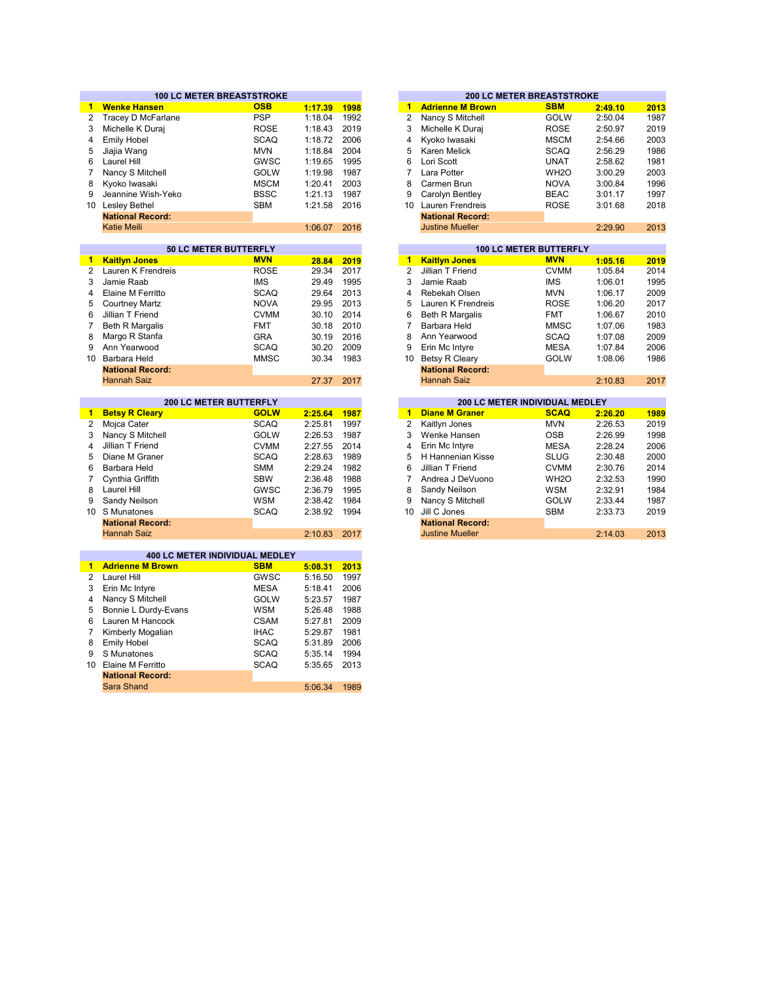|                      | <b>100 LC METER BREASTSTROKE</b>                          |             |         |      | <b>200 LC METER BREASTSTROKE</b>                        |                 |
|----------------------|-----------------------------------------------------------|-------------|---------|------|---------------------------------------------------------|-----------------|
| 1.                   | <b>Wenke Hansen</b>                                       | <b>OSB</b>  | 1:17.39 | 1998 | <b>Adrienne M Brown</b><br><b>SBM</b><br>$\mathbf{1}$   | 2013<br>2:49.10 |
| $\overline{2}$       | Tracey D McFarlane                                        | <b>PSP</b>  | 1:18.04 | 1992 | 2<br>Nancy S Mitchell<br><b>GOLW</b>                    | 1987<br>2:50.04 |
| 3                    | Michelle K Duraj                                          | <b>ROSE</b> | 1:18.43 | 2019 | 3<br>Michelle K Duraj<br><b>ROSE</b>                    | 2:50.97<br>2019 |
| 4                    | <b>Emily Hobel</b>                                        | <b>SCAQ</b> | 1:18.72 | 2006 | 4<br>Kyoko Iwasaki<br><b>MSCM</b>                       | 2003<br>2:54.66 |
| 5                    | Jiajia Wang                                               | <b>MVN</b>  | 1:18.84 | 2004 | 5<br>Karen Melick<br><b>SCAQ</b>                        | 1986<br>2:56.29 |
| 6                    | Laurel Hill                                               | <b>GWSC</b> | 1:19.65 | 1995 | 6<br>Lori Scott<br><b>UNAT</b>                          | 2:58.62         |
| 7                    | Nancy S Mitchell                                          | GOLW        | 1:19.98 | 1987 | $\overline{7}$<br>Lara Potter<br>WH <sub>2</sub> O      | 2003<br>3:00.29 |
| 8                    | Kyoko Iwasaki                                             | <b>MSCM</b> | 1:20.41 | 2003 | 8<br>Carmen Brun<br><b>NOVA</b>                         | 3:00.84         |
| 9                    | Jeannine Wish-Yeko                                        | <b>BSSC</b> | 1:21.13 | 1987 | 9<br><b>BEAC</b><br>Carolyn Bentley                     | 3:01.17         |
| 10 <sup>1</sup>      | Lesley Bethel                                             | <b>SBM</b>  | 1:21.58 | 2016 | 10 <sup>°</sup><br>Lauren Frendreis<br><b>ROSE</b>      | 3:01.68<br>2018 |
|                      | <b>National Record:</b>                                   |             |         |      | <b>National Record:</b>                                 |                 |
|                      | <b>Katie Meili</b>                                        |             | 1:06.07 | 2016 | <b>Justine Mueller</b>                                  | 2:29.90         |
|                      |                                                           |             |         |      |                                                         |                 |
|                      | 50 LC METER BUTTERFLY                                     |             |         |      | <b>100 LC METER BUTTERFLY</b>                           |                 |
| 1.                   | <b>Kaitlyn Jones</b>                                      | <b>MVN</b>  | 28.84   | 2019 | <b>Kaitlyn Jones</b><br><b>MVN</b><br>$\mathbf{1}$      | 1:05.16         |
| $\overline{2}$       | Lauren K Frendreis                                        | <b>ROSE</b> | 29.34   | 2017 | $\overline{2}$<br>Jillian T Friend<br><b>CVMM</b>       | 1:05.84         |
| 3                    | Jamie Raab                                                | <b>IMS</b>  | 29.49   | 1995 | 3<br>Jamie Raab<br><b>IMS</b>                           | 1:06.01         |
| 4                    | Elaine M Ferritto                                         | <b>SCAQ</b> | 29.64   | 2013 | $\overline{4}$<br>Rebekah Olsen<br><b>MVN</b>           | 1:06.17         |
| 5                    | <b>Courtney Martz</b>                                     | <b>NOVA</b> | 29.95   | 2013 | 5<br>Lauren K Frendreis<br><b>ROSE</b>                  | 1:06.20         |
| 6                    | Jillian T Friend                                          | <b>CVMM</b> | 30.10   | 2014 | 6<br><b>Beth R Margalis</b><br><b>FMT</b>               | 1:06.67         |
| $\overline{7}$       | <b>Beth R Margalis</b>                                    | <b>FMT</b>  | 30.18   | 2010 | $\overline{7}$<br>Barbara Held<br><b>MMSC</b>           | 1:07.06         |
| 8                    | Margo R Stanfa                                            | <b>GRA</b>  | 30.19   | 2016 | 8<br>Ann Yearwood<br><b>SCAQ</b>                        | 1:07.08         |
| 9                    | Ann Yearwood                                              | <b>SCAQ</b> | 30.20   | 2009 | 9<br>Erin Mc Intyre<br><b>MESA</b>                      | 1:07.84         |
| 10                   | Barbara Held                                              | <b>MMSC</b> | 30.34   | 1983 | <b>Betsy R Cleary</b><br><b>GOLW</b><br>10              | 1:08.06         |
|                      | <b>National Record:</b>                                   |             |         |      | <b>National Record:</b>                                 |                 |
|                      | <b>Hannah Saiz</b>                                        |             | 27.37   | 2017 | <b>Hannah Saiz</b>                                      | 2:10.83         |
|                      |                                                           |             |         |      |                                                         |                 |
|                      | 200 LC METER BUTTERFLY                                    |             |         |      | 200 LC METER INDIVIDUAL MEDLEY                          |                 |
| $\blacktriangleleft$ | <b>Betsy R Cleary</b>                                     | <b>GOLW</b> | 2:25.64 | 1987 | <b>Diane M Graner</b><br><b>SCAQ</b><br>$\mathbf{1}$    | 2:26.20         |
| $\overline{2}$       | Mojca Cater                                               | <b>SCAQ</b> | 2:25.81 | 1997 | 2<br><b>MVN</b><br>Kaitlyn Jones                        | 2:26.53         |
| 3                    | Nancy S Mitchell                                          | <b>GOLW</b> | 2:26.53 | 1987 | 3<br>Wenke Hansen<br><b>OSB</b>                         | 2:26.99         |
| 4                    | Jillian T Friend                                          | <b>CVMM</b> | 2:27.55 | 2014 | $\overline{4}$<br>Erin Mc Intyre<br><b>MESA</b>         | 2:28.24         |
| 5                    | Diane M Graner                                            | <b>SCAQ</b> | 2:28.63 | 1989 | 5<br>H Hannenian Kisse<br><b>SLUG</b>                   | 2:30.48         |
| 6                    | Barbara Held                                              | <b>SMM</b>  | 2:29.24 | 1982 | 6<br>Jillian T Friend<br><b>CVMM</b>                    | 2:30.76         |
| $\overline{7}$       | Cynthia Griffith                                          | <b>SBW</b>  | 2:36.48 | 1988 | $\overline{7}$<br>WH <sub>2</sub> O<br>Andrea J DeVuono | 2:32.53         |
| 8                    | Laurel Hill                                               | GWSC        | 2:36.79 | 1995 | 8<br>Sandy Neilson<br><b>WSM</b>                        | 2:32.91         |
| 9                    | Sandy Neilson                                             | <b>WSM</b>  | 2:38.42 | 1984 | 9<br>Nancy S Mitchell<br><b>GOLW</b>                    | 2:33.44         |
|                      | 10 S Munatones                                            | <b>SCAQ</b> | 2:38.92 | 1994 | 10<br>Jill C Jones<br><b>SBM</b>                        | 2:33.73<br>2019 |
|                      | <b>National Record:</b>                                   |             |         |      | <b>National Record:</b>                                 |                 |
|                      | <b>Hannah Saiz</b>                                        |             | 2:10.83 | 2017 | <b>Justine Mueller</b>                                  | 2:14.03         |
|                      |                                                           |             |         |      |                                                         |                 |
| $\blacksquare$       | 400 LC METER INDIVIDUAL MEDLEY<br><b>Adrienne M Brown</b> | <b>SBM</b>  | 5:08.31 | 2013 |                                                         |                 |
| $\overline{2}$       | Laurel Hill                                               | GWSC        | 5:16.50 | 1997 |                                                         |                 |
| 3                    | Erin Mc Intyre                                            | <b>MESA</b> | 5:18.41 | 2006 |                                                         |                 |
| 4                    | Nancy S Mitchell                                          | GOLW        | 5:23.57 | 1987 |                                                         |                 |
| 5                    | Bonnie L Durdy-Evans                                      | <b>WSM</b>  | 5:26.48 | 1988 |                                                         |                 |
| 6                    | Lauren M Hancock                                          | <b>CSAM</b> | 5:27.81 | 2009 |                                                         |                 |
|                      |                                                           |             |         |      |                                                         |                 |
| 7                    | Kimberly Mogalian                                         | <b>IHAC</b> | 5:29.87 | 1981 |                                                         |                 |
| 8                    | <b>Emily Hobel</b>                                        | <b>SCAQ</b> | 5:31.89 | 2006 |                                                         |                 |
| 9                    | S Munatones                                               | <b>SCAQ</b> | 5:35.14 | 1994 |                                                         |                 |
| 10 <sup>1</sup>      | Elaine M Ferritto                                         | <b>SCAQ</b> | 5:35.65 | 2013 |                                                         |                 |
|                      | <b>National Record:</b>                                   |             |         |      |                                                         |                 |

Sara Shand

5:06.34 1989

|         |      |    |                         | 200 LU METER BREASTSTRUNE     |         |      |
|---------|------|----|-------------------------|-------------------------------|---------|------|
| 1:17.39 | 1998 | 1  | <b>Adrienne M Brown</b> | <b>SBM</b>                    | 2:49.10 | 2013 |
| 1:18.04 | 1992 | 2  | Nancy S Mitchell        | <b>GOLW</b>                   | 2:50.04 | 1987 |
| 1:18.43 | 2019 | 3  | Michelle K Duraj        | <b>ROSE</b>                   | 2:50.97 | 2019 |
| 1:18.72 | 2006 | 4  | Kyoko Iwasaki           | <b>MSCM</b>                   | 2:54.66 | 2003 |
| 1:18.84 | 2004 | 5  | Karen Melick            | <b>SCAQ</b>                   | 2:56.29 | 1986 |
| 1:19.65 | 1995 | 6  | Lori Scott              | UNAT                          | 2:58.62 | 1981 |
| 1:19.98 | 1987 | 7  | Lara Potter             | WH <sub>2</sub> O             | 3:00.29 | 2003 |
| 1:20.41 | 2003 | 8  | Carmen Brun             | <b>NOVA</b>                   | 3:00.84 | 1996 |
| 1:21.13 | 1987 | 9  | Carolyn Bentley         | <b>BEAC</b>                   | 3:01.17 | 1997 |
| 1:21.58 | 2016 | 10 | Lauren Frendreis        | <b>ROSE</b>                   | 3:01.68 | 2018 |
|         |      |    | <b>National Record:</b> |                               |         |      |
| 1:06.07 | 2016 |    | <b>Justine Mueller</b>  |                               | 2:29.90 | 2013 |
|         |      |    |                         |                               |         |      |
|         |      |    |                         | <b>100 LC METER BUTTERFLY</b> |         |      |
| 28.84   | 2019 | 1  | <b>Kaitlyn Jones</b>    | <b>MVN</b>                    | 1:05.16 | 2019 |
| 29.34   | 2017 | 2  | Jillian T Friend        | <b>CVMM</b>                   | 1:05.84 | 2014 |
| 29.49   | 1995 | 3  | Jamie Raab              | IMS                           | 1:06.01 | 1995 |
| 29.64   | 2013 | 4  | Rebekah Olsen           | <b>MVN</b>                    | 1:0617  | 2009 |

| 29.64 | 2013 |
|-------|------|
| 29.95 | 2013 |
| 30.10 | 2014 |
| 30.18 | 2010 |
| 30.19 | 2016 |
| 30.20 | 2009 |
| 30.34 | 1983 |
|       |      |
| 27.37 | 2017 |
|       |      |
|       |      |
| 25.64 | 1987 |
| 25.81 | 1997 |
| 26.53 | 1987 |
| 27.55 | 2014 |
| 28.63 | 1989 |
|       |      |
| 29.24 | 1982 |
| 36.48 | 1988 |
| 36.79 | 1995 |

| 2:38.42<br>2:38.92 | 1984<br>- 1994 | 9 Nancy S Mitchell<br>10 Jill C Jones | GOLW<br><b>SBM</b> | 2:33:44<br>2.3373 | 1987<br>2019 |
|--------------------|----------------|---------------------------------------|--------------------|-------------------|--------------|
|                    |                | <b>National Record:</b>               |                    |                   |              |
| 2:10.83 2017       |                | <b>Justine Mueller</b>                |                    | 2:14.03           | 2013         |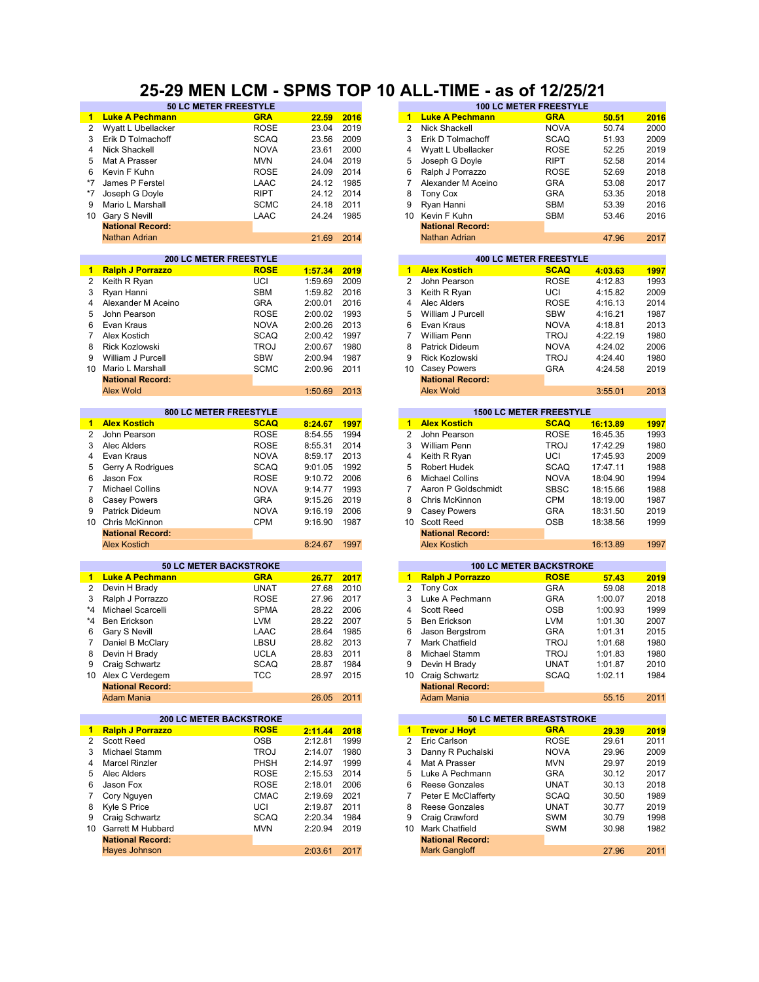#### **25-29 MEN LCM - SPMS TOP 10 ALL-TIME - as of 12/25/21**

| $\blacktriangleleft$ | <b>Luke A Pechmann</b>         | <b>GRA</b>  | 22.59      | 2016 | $\mathbf{1}$         | <b>Luke A Pechmann</b>         | <b>GRA</b>  | 50.51    | 2016 |
|----------------------|--------------------------------|-------------|------------|------|----------------------|--------------------------------|-------------|----------|------|
| 2                    | Wyatt L Ubellacker             | <b>ROSE</b> | 23.04      | 2019 | 2                    | Nick Shackell                  | <b>NOVA</b> | 50.74    | 2000 |
|                      |                                |             |            |      | 3                    |                                |             |          |      |
| 3                    | Erik D Tolmachoff              | <b>SCAQ</b> | 23.56      | 2009 |                      | Erik D Tolmachoff              | <b>SCAQ</b> | 51.93    | 2009 |
| 4                    | Nick Shackell                  | <b>NOVA</b> | 23.61      | 2000 | 4                    | Wyatt L Ubellacker             | <b>ROSE</b> | 52.25    | 2019 |
| 5                    | Mat A Prasser                  | <b>MVN</b>  | 24.04      | 2019 | 5                    | Joseph G Doyle                 | <b>RIPT</b> | 52.58    | 2014 |
| 6                    | Kevin F Kuhn                   | <b>ROSE</b> | 24.09      | 2014 | 6                    | Ralph J Porrazzo               | <b>ROSE</b> | 52.69    | 2018 |
| $*7$                 | James P Ferstel                | LAAC        | 24.12      | 1985 | $\overline{7}$       | Alexander M Aceino             | <b>GRA</b>  | 53.08    | 2017 |
|                      |                                |             |            |      |                      |                                |             |          |      |
| $*7$                 | Joseph G Doyle                 | <b>RIPT</b> | 24.12      | 2014 | 8                    | <b>Tony Cox</b>                | <b>GRA</b>  | 53.35    | 2018 |
| 9                    | Mario L Marshall               | <b>SCMC</b> | 24.18      | 2011 | 9                    | Ryan Hanni                     | <b>SBM</b>  | 53.39    | 2016 |
| 10                   | Gary S Nevill                  | LAAC        | 24.24      | 1985 | 10                   | Kevin F Kuhn                   | <b>SBM</b>  | 53.46    | 2016 |
|                      | <b>National Record:</b>        |             |            |      |                      | <b>National Record:</b>        |             |          |      |
|                      | <b>Nathan Adrian</b>           |             | 21.69      | 2014 |                      | Nathan Adrian                  |             | 47.96    | 2017 |
|                      |                                |             |            |      |                      |                                |             |          |      |
|                      | <b>200 LC METER FREESTYLE</b>  |             |            |      |                      | <b>400 LC METER FREESTYLE</b>  |             |          |      |
| $\mathbf{1}$         | <b>Ralph J Porrazzo</b>        | <b>ROSE</b> | 1:57.34    | 2019 | $\blacktriangleleft$ | <b>Alex Kostich</b>            | <b>SCAQ</b> | 4:03.63  | 1997 |
| $\overline{2}$       | Keith R Ryan                   | UCI         | 1:59.69    | 2009 | 2                    | John Pearson                   | <b>ROSE</b> | 4:12.83  | 1993 |
|                      |                                |             |            |      |                      |                                |             |          |      |
| 3                    | Ryan Hanni                     | <b>SBM</b>  | 1:59.82    | 2016 | 3                    | Keith R Ryan                   | UCI         | 4:15.82  | 2009 |
| 4                    | Alexander M Aceino             | <b>GRA</b>  | 2:00.01    | 2016 | $\overline{4}$       | Alec Alders                    | <b>ROSE</b> | 4:16.13  | 2014 |
| 5                    | John Pearson                   | <b>ROSE</b> | 2:00.02    | 1993 | 5                    | William J Purcell              | <b>SBW</b>  | 4:16.21  | 1987 |
| 6                    | Evan Kraus                     | <b>NOVA</b> | 2:00.26    | 2013 | 6                    | Evan Kraus                     | <b>NOVA</b> | 4:18.81  | 2013 |
| $\overline{7}$       | Alex Kostich                   | <b>SCAQ</b> | 2:00.42    | 1997 | 7                    | <b>William Penn</b>            | <b>TROJ</b> | 4:22.19  | 1980 |
|                      |                                |             |            |      |                      |                                |             |          |      |
| 8                    | Rick Kozlowski                 | <b>TROJ</b> | 2:00.67    | 1980 | 8                    | Patrick Dideum                 | <b>NOVA</b> | 4:24.02  | 2006 |
| 9                    | William J Purcell              | <b>SBW</b>  | 2:00.94    | 1987 | 9                    | Rick Kozlowski                 | <b>TROJ</b> | 4:24.40  | 1980 |
| 10                   | Mario L Marshall               | <b>SCMC</b> | 2:00.96    | 2011 | 10                   | <b>Casey Powers</b>            | GRA         | 4:24.58  | 2019 |
|                      | <b>National Record:</b>        |             |            |      |                      | <b>National Record:</b>        |             |          |      |
|                      | <b>Alex Wold</b>               |             | 1:50.69    | 2013 |                      | <b>Alex Wold</b>               |             | 3:55.01  | 2013 |
|                      |                                |             |            |      |                      |                                |             |          |      |
|                      | <b>800 LC METER FREESTYLE</b>  |             |            |      |                      | <b>1500 LC METER FREESTYLE</b> |             |          |      |
|                      | 1 Alex Kostich                 | <b>SCAQ</b> | 8:24.67    | 1997 | $\mathbf{1}$         | <b>Alex Kostich</b>            | <b>SCAQ</b> | 16:13.89 | 1997 |
|                      |                                |             |            |      |                      |                                |             |          |      |
| 2                    | John Pearson                   | <b>ROSE</b> | 8:54.55    | 1994 | 2                    | John Pearson                   | <b>ROSE</b> | 16:45.35 | 1993 |
| 3                    | Alec Alders                    | <b>ROSE</b> | 8:55.31    | 2014 | 3                    | <b>William Penn</b>            | <b>TROJ</b> | 17:42.29 | 1980 |
| 4                    | Evan Kraus                     | <b>NOVA</b> | 8:59.17    | 2013 | 4                    | Keith R Ryan                   | UCI         | 17:45.93 | 2009 |
| 5                    | Gerry A Rodrigues              | <b>SCAQ</b> | 9:01.05    | 1992 | 5                    | Robert Hudek                   | <b>SCAQ</b> | 17:47.11 | 1988 |
| 6                    | Jason Fox                      | <b>ROSE</b> | 9:10.72    | 2006 | 6                    | <b>Michael Collins</b>         | <b>NOVA</b> | 18:04.90 | 1994 |
|                      |                                |             |            |      |                      |                                |             |          |      |
| $\overline{7}$       | <b>Michael Collins</b>         | <b>NOVA</b> | 9:14.77    | 1993 | $\overline{7}$       | Aaron P Goldschmidt            | <b>SBSC</b> | 18:15.66 | 1988 |
| 8                    | <b>Casey Powers</b>            | <b>GRA</b>  | 9:15.26    | 2019 | 8                    | Chris McKinnon                 | <b>CPM</b>  | 18:19.00 | 1987 |
| 9                    | Patrick Dideum                 | <b>NOVA</b> | 9:16.19    | 2006 | 9                    | <b>Casey Powers</b>            | <b>GRA</b>  | 18:31.50 | 2019 |
|                      | 10 Chris McKinnon              | <b>CPM</b>  | 9:16.90    | 1987 | 10                   | <b>Scott Reed</b>              | <b>OSB</b>  | 18:38.56 | 1999 |
|                      | <b>National Record:</b>        |             |            |      |                      | <b>National Record:</b>        |             |          |      |
|                      |                                |             |            |      |                      |                                |             |          |      |
|                      | <b>Alex Kostich</b>            |             | 8:24.67    | 1997 |                      | <b>Alex Kostich</b>            |             | 16:13.89 | 1997 |
|                      | <b>50 LC METER BACKSTROKE</b>  |             |            |      |                      | <b>100 LC METER BACKSTROKE</b> |             |          |      |
| $\blacksquare$       | <b>Luke A Pechmann</b>         | <b>GRA</b>  | 26.77      | 2017 | $\blacktriangleleft$ | <b>Ralph J Porrazzo</b>        | <b>ROSE</b> | 57.43    | 2019 |
|                      |                                |             |            |      |                      |                                |             |          |      |
| 2                    | Devin H Brady                  | <b>UNAT</b> | 27.68      | 2010 | 2                    | <b>Tony Cox</b>                | <b>GRA</b>  | 59.08    | 2018 |
| 3                    | Ralph J Porrazzo               | <b>ROSE</b> | 27.96      | 2017 | 3                    | Luke A Pechmann                | <b>GRA</b>  | 1:00.07  | 2018 |
| *4                   | Michael Scarcelli              | <b>SPMA</b> | 28.22      | 2006 | 4                    | <b>Scott Reed</b>              | <b>OSB</b>  | 1:00.93  | 1999 |
| *4                   | Ben Erickson                   | <b>LVM</b>  | 28.22      | 2007 | 5                    | <b>Ben Erickson</b>            | <b>LVM</b>  | 1:01.30  | 2007 |
| 6                    | Gary S Nevill                  | LAAC        | 28.64      | 1985 | 6                    | Jason Bergstrom                | <b>GRA</b>  | 1:01.31  | 2015 |
|                      |                                |             |            |      |                      |                                |             |          |      |
| 7                    | Daniel B McClary               | LBSU        | 28.82      | 2013 | 7                    | Mark Chatfield                 | <b>TROJ</b> | 1:01.68  | 1980 |
| 8                    | Devin H Brady                  | <b>UCLA</b> | 28.83      | 2011 | 8                    | Michael Stamm                  | <b>TROJ</b> | 1:01.83  | 1980 |
| 9                    | Craig Schwartz                 | <b>SCAQ</b> | 28.87 1984 |      | 9                    | Devin H Brady                  | <b>UNAT</b> | 1:01.87  | 2010 |
|                      | 10 Alex C Verdegem             | <b>TCC</b>  | 28.97      | 2015 |                      | 10 Craig Schwartz              | <b>SCAQ</b> | 1:02.11  | 1984 |
|                      | <b>National Record:</b>        |             |            |      |                      | <b>National Record:</b>        |             |          |      |
|                      | <b>Adam Mania</b>              |             | 26.05      | 2011 |                      | <b>Adam Mania</b>              |             | 55.15    | 2011 |
|                      |                                |             |            |      |                      |                                |             |          |      |
|                      | <b>200 LC METER BACKSTROKE</b> |             |            |      |                      | 50 LC METER BREASTSTROKE       |             |          |      |
| $\blacksquare$       | <b>Ralph J Porrazzo</b>        | <b>ROSE</b> | 2:11.44    | 2018 |                      | 1 Trevor J Hoyt                | <b>GRA</b>  | 29.39    | 2019 |
| $\mathbf{2}$         | <b>Scott Reed</b>              | <b>OSB</b>  | 2:12.81    | 1999 | 2                    | Eric Carlson                   | <b>ROSE</b> | 29.61    | 2011 |
| 3                    | Michael Stamm                  | <b>TROJ</b> | 2:14.07    | 1980 | 3                    | Danny R Puchalski              | <b>NOVA</b> | 29.96    | 2009 |
|                      |                                |             |            |      |                      |                                |             |          |      |
| 4                    | <b>Marcel Rinzler</b>          | PHSH        | 2:14.97    | 1999 | 4                    | Mat A Prasser                  | <b>MVN</b>  | 29.97    | 2019 |
| 5                    | Alec Alders                    | <b>ROSE</b> | 2:15.53    | 2014 | 5                    | Luke A Pechmann                | <b>GRA</b>  | 30.12    | 2017 |
| 6                    | Jason Fox                      | <b>ROSE</b> | 2:18.01    | 2006 | 6                    | Reese Gonzales                 | <b>UNAT</b> | 30.13    | 2018 |
| 7                    | Cory Nguyen                    | <b>CMAC</b> | 2:19.69    | 2021 | 7                    | Peter E McClafferty            | <b>SCAQ</b> | 30.50    | 1989 |
| 8                    | Kyle S Price                   | UCI         | 2:19.87    | 2011 | 8                    | Reese Gonzales                 | <b>UNAT</b> | 30.77    | 2019 |
|                      |                                |             |            |      |                      |                                |             |          |      |
| 9                    | Craig Schwartz                 | <b>SCAQ</b> | 2:20.34    | 1984 | 9                    | Craig Crawford                 | SWM         | 30.79    | 1998 |
|                      | 10 Garrett M Hubbard           | <b>MVN</b>  | 2:20.94    | 2019 | 10                   | Mark Chatfield                 | SWM         | 30.98    | 1982 |
|                      | <b>National Record:</b>        |             |            |      |                      | <b>National Record:</b>        |             |          |      |
|                      | Hayes Johnson                  |             | 2:03.61    | 2017 |                      | <b>Mark Gangloff</b>           |             | 27.96    | 2011 |
|                      |                                |             |            |      |                      |                                |             |          |      |

| <b>50 LC METER FREESTYLE</b>  |             |         |      |                      |                         | <b>100 LC METER FREESTYLE</b>  |          |      |
|-------------------------------|-------------|---------|------|----------------------|-------------------------|--------------------------------|----------|------|
| nn                            | <b>GRA</b>  | 22.59   | 2016 | $\overline{1}$       | <b>Luke A Pechmann</b>  | <b>GRA</b>                     | 50.51    | 2016 |
| er                            | <b>ROSE</b> | 23.04   | 2019 | 2                    | Nick Shackell           | <b>NOVA</b>                    | 50.74    | 2000 |
| ff                            | <b>SCAQ</b> | 23.56   | 2009 | 3                    | Erik D Tolmachoff       | <b>SCAQ</b>                    | 51.93    | 2009 |
|                               | <b>NOVA</b> | 23.61   | 2000 | 4                    | Wyatt L Ubellacker      | <b>ROSE</b>                    | 52.25    | 2019 |
|                               | <b>MVN</b>  | 24.04   | 2019 | 5                    | Joseph G Doyle          | <b>RIPT</b>                    | 52.58    | 2014 |
|                               | <b>ROSE</b> | 24.09   | 2014 | 6                    | Ralph J Porrazzo        | <b>ROSE</b>                    | 52.69    | 2018 |
|                               | LAAC        | 24.12   | 1985 | 7                    | Alexander M Aceino      | <b>GRA</b>                     | 53.08    | 2017 |
|                               | <b>RIPT</b> | 24.12   | 2014 | 8                    | <b>Tony Cox</b>         | <b>GRA</b>                     | 53.35    | 2018 |
|                               | <b>SCMC</b> | 24.18   | 2011 | 9                    | Ryan Hanni              | <b>SBM</b>                     | 53.39    | 2016 |
|                               | LAAC        | 24.24   | 1985 | 10                   | Kevin F Kuhn            | <b>SBM</b>                     | 53.46    | 2016 |
|                               |             |         |      |                      | <b>National Record:</b> |                                |          |      |
|                               |             | 21.69   | 2014 |                      | <b>Nathan Adrian</b>    |                                | 47.96    | 2017 |
|                               |             |         |      |                      |                         |                                |          |      |
| <b>200 LC METER FREESTYLE</b> |             |         |      |                      |                         | <b>400 LC METER FREESTYLE</b>  |          |      |
|                               | <b>ROSE</b> | 1:57.34 | 2019 | $\mathbf{1}$         | <b>Alex Kostich</b>     | <b>SCAQ</b>                    | 4:03.63  | 1997 |
|                               | UCI         | 1:59.69 | 2009 | $\overline{2}$       | John Pearson            | <b>ROSE</b>                    | 4:12.83  | 1993 |
|                               | <b>SBM</b>  | 1:59.82 | 2016 | 3                    | Keith R Ryan            | UCI                            | 4:15.82  | 2009 |
| ino                           | <b>GRA</b>  | 2:00.01 | 2016 | 4                    | Alec Alders             | <b>ROSE</b>                    | 4:16.13  | 2014 |
|                               | <b>ROSE</b> | 2:00.02 | 1993 | 5                    | William J Purcell       | <b>SBW</b>                     | 4:16.21  | 1987 |
|                               | <b>NOVA</b> | 2:00.26 | 2013 | 6                    | Evan Kraus              | <b>NOVA</b>                    | 4:18.81  | 2013 |
|                               | <b>SCAQ</b> | 2:00.42 | 1997 | 7                    | William Penn            | <b>TROJ</b>                    | 4:22.19  | 1980 |
|                               | <b>TROJ</b> | 2:00.67 | 1980 | 8                    | Patrick Dideum          | <b>NOVA</b>                    | 4:24.02  | 2006 |
|                               | <b>SBW</b>  | 2:00.94 | 1987 | 9                    | Rick Kozlowski          | <b>TROJ</b>                    | 4:24.40  | 1980 |
|                               | <b>SCMC</b> | 2:00.96 | 2011 | 10                   | <b>Casey Powers</b>     | <b>GRA</b>                     | 4:24.58  | 2019 |
|                               |             |         |      |                      | <b>National Record:</b> |                                |          |      |
|                               |             | 1:50.69 | 2013 |                      | <b>Alex Wold</b>        |                                | 3:55.01  | 2013 |
|                               |             |         |      |                      |                         |                                |          |      |
| <b>800 LC METER FREESTYLE</b> |             |         |      |                      |                         | <b>1500 LC METER FREESTYLE</b> |          |      |
|                               | <b>SCAQ</b> | 8:24.67 | 1997 | $\blacksquare$       | <b>Alex Kostich</b>     | <b>SCAQ</b>                    | 16:13.89 | 1997 |
|                               |             |         | 1994 | 2                    | John Pearson            | <b>ROSE</b>                    | 16:45.35 | 1993 |
|                               | <b>ROSE</b> | 8:54.55 |      |                      |                         |                                |          |      |
|                               | <b>ROSE</b> | 8:55.31 | 2014 | 3                    | <b>William Penn</b>     | <b>TROJ</b>                    | 17:42.29 | 1980 |
|                               | <b>NOVA</b> | 8:59.17 | 2013 | 4                    | Keith R Ryan            | UCI                            | 17:45.93 | 2009 |
| эs                            | <b>SCAQ</b> | 9:01.05 | 1992 | 5                    | <b>Robert Hudek</b>     | <b>SCAQ</b>                    | 17:47.11 | 1988 |
|                               | <b>ROSE</b> | 9:10.72 | 2006 | 6                    | <b>Michael Collins</b>  | <b>NOVA</b>                    | 18:04.90 | 1994 |
|                               | <b>NOVA</b> | 9:14.77 | 1993 | 7                    | Aaron P Goldschmidt     | <b>SBSC</b>                    | 18:15.66 | 1988 |
|                               | <b>GRA</b>  | 9:15.26 | 2019 | 8                    | Chris McKinnon          | <b>CPM</b>                     | 18:19.00 | 1987 |
|                               | <b>NOVA</b> | 9:16.19 | 2006 | 9                    | <b>Casey Powers</b>     | <b>GRA</b>                     | 18:31.50 | 2019 |
|                               | <b>CPM</b>  | 9:16.90 | 1987 | 10 <sup>1</sup>      | <b>Scott Reed</b>       | OSB                            | 18:38.56 | 1999 |
|                               |             |         |      |                      | <b>National Record:</b> |                                |          |      |
|                               |             | 8:24.67 | 1997 |                      | <b>Alex Kostich</b>     |                                | 16:13.89 | 1997 |
|                               |             |         |      |                      |                         |                                |          |      |
| <b>0 LC METER BACKSTROKE</b>  |             |         |      |                      |                         | <b>100 LC METER BACKSTROKE</b> |          |      |
| nn                            | <b>GRA</b>  | 26.77   | 2017 | $\blacktriangleleft$ | <b>Ralph J Porrazzo</b> | <b>ROSE</b>                    | 57.43    | 2019 |
|                               | <b>UNAT</b> | 27.68   | 2010 | $\overline{2}$       | <b>Tony Cox</b>         | <b>GRA</b>                     | 59.08    | 2018 |
|                               | <b>ROSE</b> | 27.96   | 2017 | 3                    | Luke A Pechmann         | <b>GRA</b>                     | 1:00.07  | 2018 |
|                               | <b>SPMA</b> | 28.22   | 2006 | 4                    | <b>Scott Reed</b>       | <b>OSB</b>                     | 1:00.93  | 1999 |
|                               | <b>LVM</b>  | 28.22   | 2007 | 5                    | Ben Erickson            | <b>LVM</b>                     | 1:01.30  | 2007 |
|                               | LAAC        | 28.64   | 1985 | 6                    | Jason Bergstrom         | <b>GRA</b>                     | 1:01.31  | 2015 |
|                               | LBSU        | 28.82   | 2013 | $\overline{7}$       | <b>Mark Chatfield</b>   | <b>TROJ</b>                    | 1:01.68  | 1980 |
|                               | <b>UCLA</b> | 28.83   | 2011 | 8                    | Michael Stamm           | <b>TROJ</b>                    | 1:01.83  | 1980 |
|                               | <b>SCAQ</b> | 28.87   | 1984 | 9                    | Devin H Brady           | <b>UNAT</b>                    | 1:01.87  | 2010 |
|                               | <b>TCC</b>  | 28.97   | 2015 | 10                   | Craig Schwartz          | <b>SCAQ</b>                    | 1:02.11  | 1984 |
|                               |             |         |      |                      | <b>National Record:</b> |                                |          |      |
|                               |             | 26.05   | 2011 |                      | <b>Adam Mania</b>       |                                | 55.15    | 2011 |

|         |      |    |                         | <b>50 LC METER BREASTSTROKE</b> |       |      |
|---------|------|----|-------------------------|---------------------------------|-------|------|
| 2:11.44 | 2018 | 1  | <b>Trevor J Hoyt</b>    | <b>GRA</b>                      | 29.39 | 2019 |
| 2:12.81 | 1999 | 2  | Eric Carlson            | <b>ROSE</b>                     | 29.61 | 2011 |
| 2:14.07 | 1980 | 3  | Danny R Puchalski       | <b>NOVA</b>                     | 29.96 | 2009 |
| 2:14.97 | 1999 | 4  | Mat A Prasser           | <b>MVN</b>                      | 29.97 | 2019 |
| 2:15.53 | 2014 | 5  | Luke A Pechmann         | GRA                             | 30.12 | 2017 |
| 2:18.01 | 2006 | 6  | Reese Gonzales          | <b>UNAT</b>                     | 30.13 | 2018 |
| 2:19.69 | 2021 |    | Peter E McClafferty     | <b>SCAQ</b>                     | 30.50 | 1989 |
| 2:19.87 | 2011 | 8  | <b>Reese Gonzales</b>   | <b>UNAT</b>                     | 30.77 | 2019 |
| 2:20.34 | 1984 | 9  | Craig Crawford          | SWM                             | 30.79 | 1998 |
| 2:20.94 | 2019 | 10 | Mark Chatfield          | SWM                             | 30.98 | 1982 |
|         |      |    | <b>National Record:</b> |                                 |       |      |
| 2:03.61 | 2017 |    | <b>Mark Gangloff</b>    |                                 | 27.96 | 2011 |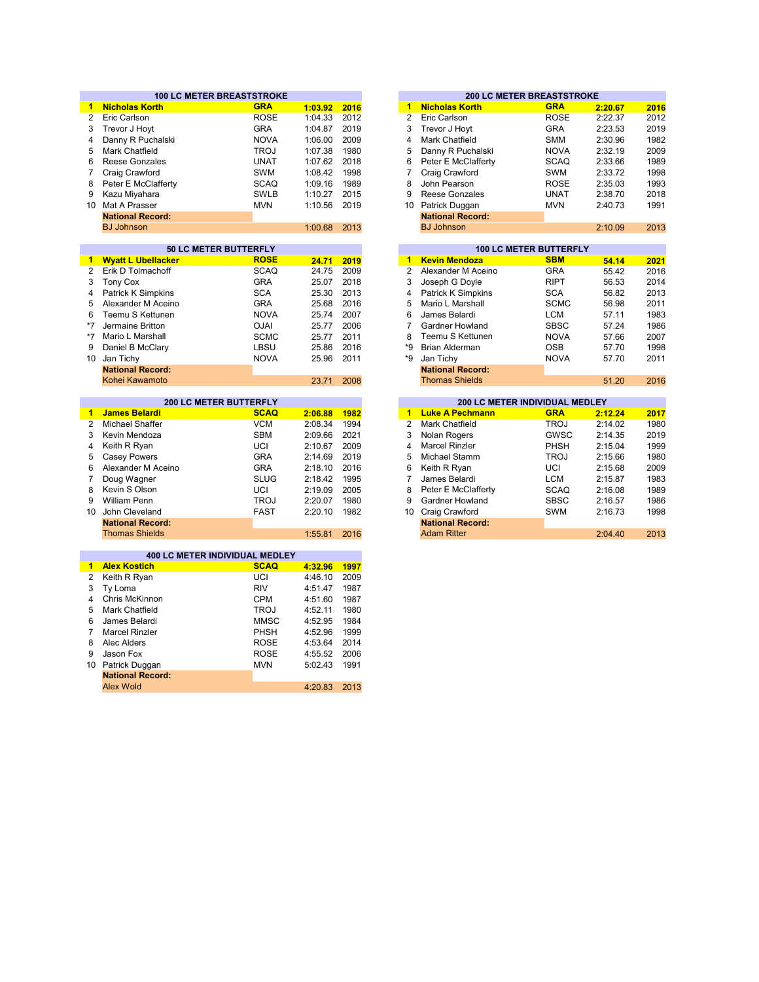|                      | <b>100 LC METER BREASTSTROKE</b> |             |         |      |                      |                                | <b>200 LC METER BREASTSTROKE</b> |         |
|----------------------|----------------------------------|-------------|---------|------|----------------------|--------------------------------|----------------------------------|---------|
| $\mathbf{1}$         | <b>Nicholas Korth</b>            | <b>GRA</b>  | 1:03.92 | 2016 | $\mathbf{1}$         | <b>Nicholas Korth</b>          | <b>GRA</b>                       | 2:20.67 |
| $\overline{2}$       | Eric Carlson                     | <b>ROSE</b> | 1:04.33 | 2012 | $\overline{2}$       | Eric Carlson                   | <b>ROSE</b>                      | 2:22.37 |
| 3                    | Trevor J Hovt                    | <b>GRA</b>  | 1:04.87 | 2019 | 3                    | Trevor J Hovt                  | <b>GRA</b>                       | 2:23.53 |
| 4                    | Danny R Puchalski                | <b>NOVA</b> | 1:06.00 | 2009 | 4                    | Mark Chatfield                 | <b>SMM</b>                       | 2:30.96 |
| 5                    | Mark Chatfield                   | <b>TROJ</b> | 1:07.38 | 1980 | 5                    | Danny R Puchalski              | <b>NOVA</b>                      | 2:32.19 |
| 6                    | Reese Gonzales                   | <b>UNAT</b> | 1:07.62 | 2018 | 6                    | Peter E McClafferty            | <b>SCAQ</b>                      | 2:33.66 |
| $\overline{7}$       | Craig Crawford                   | SWM         | 1:08.42 | 1998 | $\overline{7}$       | Craig Crawford                 | SWM                              | 2:33.72 |
| 8                    | Peter E McClafferty              | <b>SCAQ</b> | 1:09.16 | 1989 | 8                    | John Pearson                   | <b>ROSE</b>                      | 2:35.03 |
| 9                    | Kazu Miyahara                    | <b>SWLB</b> | 1:10.27 | 2015 | 9                    | Reese Gonzales                 | <b>UNAT</b>                      | 2:38.70 |
| 10 <sup>1</sup>      | Mat A Prasser                    | <b>MVN</b>  | 1:10.56 | 2019 | 10                   | Patrick Duggan                 | <b>MVN</b>                       | 2:40.73 |
|                      | <b>National Record:</b>          |             |         |      |                      | <b>National Record:</b>        |                                  |         |
|                      | <b>BJ Johnson</b>                |             | 1:00.68 | 2013 |                      | <b>BJ Johnson</b>              |                                  | 2:10.09 |
|                      |                                  |             |         |      |                      |                                |                                  |         |
|                      | <b>50 LC METER BUTTERFLY</b>     |             |         |      |                      |                                | <b>100 LC METER BUTTERFLY</b>    |         |
| $\blacksquare$       | <b>Wyatt L Ubellacker</b>        | <b>ROSE</b> | 24.71   | 2019 | 1                    | <b>Kevin Mendoza</b>           | <b>SBM</b>                       | 54.14   |
| $\overline{2}$       | Erik D Tolmachoff                | <b>SCAQ</b> | 24.75   | 2009 | $\overline{2}$       | Alexander M Aceino             | <b>GRA</b>                       | 55.42   |
| 3                    | <b>Tony Cox</b>                  | <b>GRA</b>  | 25.07   | 2018 | 3                    | Joseph G Doyle                 | <b>RIPT</b>                      | 56.53   |
| 4                    | <b>Patrick K Simpkins</b>        | <b>SCA</b>  | 25.30   | 2013 | 4                    | <b>Patrick K Simpkins</b>      | <b>SCA</b>                       | 56.82   |
| 5                    | Alexander M Aceino               | <b>GRA</b>  | 25.68   | 2016 | 5                    | Mario L Marshall               | <b>SCMC</b>                      | 56.98   |
|                      |                                  |             |         |      | 6                    |                                |                                  |         |
| 6<br>$*7$            | Teemu S Kettunen                 | <b>NOVA</b> | 25.74   | 2007 |                      | James Belardi                  | <b>LCM</b>                       | 57.11   |
|                      | Jermaine Britton                 | <b>OJAI</b> | 25.77   | 2006 | $\overline{7}$       | Gardner Howland                | <b>SBSC</b>                      | 57.24   |
| *7                   | Mario L Marshall                 | <b>SCMC</b> | 25.77   | 2011 | 8                    | Teemu S Kettunen               | <b>NOVA</b>                      | 57.66   |
| 9                    | Daniel B McClary                 | LBSU        | 25.86   | 2016 | *9                   | <b>Brian Alderman</b>          | <b>OSB</b>                       | 57.70   |
| 10                   | Jan Tichy                        | <b>NOVA</b> | 25.96   | 2011 | *9                   | Jan Tichy                      | <b>NOVA</b>                      | 57.70   |
|                      | <b>National Record:</b>          |             |         |      |                      | <b>National Record:</b>        |                                  |         |
|                      | Kohei Kawamoto                   |             | 23.71   | 2008 |                      | <b>Thomas Shields</b>          |                                  | 51.20   |
|                      | <b>200 LC METER BUTTERFLY</b>    |             |         |      |                      | 200 LC METER INDIVIDUAL MEDLEY |                                  |         |
| $\blacktriangleleft$ | <b>James Belardi</b>             | <b>SCAQ</b> | 2:06.88 | 1982 | $\blacktriangleleft$ | <b>Luke A Pechmann</b>         | <b>GRA</b>                       | 2:12.24 |
| $\overline{2}$       | <b>Michael Shaffer</b>           | <b>VCM</b>  | 2:08.34 | 1994 | $\overline{2}$       | <b>Mark Chatfield</b>          | <b>TROJ</b>                      | 2:14.02 |
| 3                    | Kevin Mendoza                    | <b>SBM</b>  | 2:09.66 | 2021 | 3                    | Nolan Rogers                   | GWSC                             | 2:14.35 |
| 4                    | Keith R Ryan                     | UCI         | 2:10.67 | 2009 | 4                    | <b>Marcel Rinzler</b>          | PHSH                             | 2:15.04 |
| 5                    | <b>Casey Powers</b>              | <b>GRA</b>  | 2:14.69 | 2019 | 5                    | Michael Stamm                  | <b>TROJ</b>                      | 2:15.66 |
| 6                    | Alexander M Aceino               | <b>GRA</b>  | 2:18.10 | 2016 | 6                    | Keith R Ryan                   | UCI                              | 2:15.68 |
| $\overline{7}$       | Doug Wagner                      | <b>SLUG</b> | 2:18.42 | 1995 | $\overline{7}$       | James Belardi                  | <b>LCM</b>                       | 2:15.87 |
| 8                    | Kevin S Olson                    | UCI         | 2:19.09 | 2005 | 8                    | Peter E McClafferty            | <b>SCAQ</b>                      | 2:16.08 |
| 9                    | <b>William Penn</b>              | <b>TROJ</b> | 2:20.07 | 1980 | 9                    | Gardner Howland                | <b>SBSC</b>                      | 2:16.57 |
| 10 <sup>1</sup>      | John Cleveland                   | <b>FAST</b> | 2:20.10 | 1982 | 10 <sup>°</sup>      | Craig Crawford                 | <b>SWM</b>                       | 2:16.73 |
|                      | <b>National Record:</b>          |             |         |      |                      | <b>National Record:</b>        |                                  |         |
|                      | <b>Thomas Shields</b>            |             | 1:55.81 | 2016 |                      | <b>Adam Ritter</b>             |                                  | 2:04.40 |
|                      |                                  |             |         |      |                      |                                |                                  |         |
|                      | 400 LC METER INDIVIDUAL MEDLEY   |             |         |      |                      |                                |                                  |         |
| 1                    | <b>Alex Kostich</b>              | <b>SCAQ</b> | 4:32.96 | 1997 |                      |                                |                                  |         |
| $\overline{2}$       | Keith R Ryan                     | UCI         | 4:46.10 | 2009 |                      |                                |                                  |         |
| 3                    | Ty Loma                          | <b>RIV</b>  | 4:51.47 | 1987 |                      |                                |                                  |         |
| 4                    | Chris McKinnon                   | <b>CPM</b>  | 4:51.60 | 1987 |                      |                                |                                  |         |
| 5                    | Mark Chatfield                   | <b>TROJ</b> | 4:52.11 | 1980 |                      |                                |                                  |         |
| 6                    | James Belardi                    | <b>MMSC</b> | 4:52.95 | 1984 |                      |                                |                                  |         |
| $\overline{7}$       | <b>Marcel Rinzler</b>            | PHSH        | 4:52.96 | 1999 |                      |                                |                                  |         |
| 8                    | Alec Alders                      | <b>ROSE</b> | 4:53.64 | 2014 |                      |                                |                                  |         |
| 9                    | Jason Fox                        | <b>ROSE</b> | 4:55.52 | 2006 |                      |                                |                                  |         |
|                      |                                  |             |         | 1991 |                      |                                |                                  |         |
| 10                   | Patrick Duggan                   | <b>MVN</b>  | 5:02.43 |      |                      |                                |                                  |         |
|                      | <b>National Record:</b>          |             |         |      |                      |                                |                                  |         |

Alex Wold

4:20.83 2013

|         |      |    |                         | <b>200 LC METER BREASTSTROKE</b> |         |      |
|---------|------|----|-------------------------|----------------------------------|---------|------|
| 1:03.92 | 2016 | 1  | <b>Nicholas Korth</b>   | <b>GRA</b>                       | 2:20.67 | 2016 |
| 1:04.33 | 2012 | 2  | Eric Carlson            | <b>ROSE</b>                      | 2:22.37 | 2012 |
| 1:04.87 | 2019 | 3  | Trevor J Hoyt           | <b>GRA</b>                       | 2:23.53 | 2019 |
| 1:06.00 | 2009 | 4  | Mark Chatfield          | <b>SMM</b>                       | 2:30.96 | 1982 |
| 1:07.38 | 1980 | 5  | Danny R Puchalski       | <b>NOVA</b>                      | 2:32.19 | 2009 |
| 1:07.62 | 2018 | 6  | Peter E McClafferty     | <b>SCAQ</b>                      | 2:33.66 | 1989 |
| 1:08.42 | 1998 | 7  | Craig Crawford          | <b>SWM</b>                       | 2:33.72 | 1998 |
| 1:09.16 | 1989 | 8  | John Pearson            | <b>ROSE</b>                      | 2:35.03 | 1993 |
| 1:10.27 | 2015 | 9  | <b>Reese Gonzales</b>   | <b>UNAT</b>                      | 2:38.70 | 2018 |
| 1:10.56 | 2019 | 10 | Patrick Duggan          | <b>MVN</b>                       | 2:40.73 | 1991 |
|         |      |    | <b>National Record:</b> |                                  |         |      |
| 1:00.68 | 2013 |    | <b>BJ Johnson</b>       |                                  | 2:10.09 | 2013 |
|         |      |    |                         |                                  |         |      |
|         |      |    |                         | <b>100 LC METER BUTTERFLY</b>    |         |      |
| 24.71   | 2019 | 1  | <b>Kevin Mendoza</b>    | <b>SBM</b>                       | 54.14   | 2021 |

| 24.71 | 2019 | 1  | <b>Kevin Mendoza</b>    | <b>SBM</b>  | 54.14 | 2021 |
|-------|------|----|-------------------------|-------------|-------|------|
| 24.75 | 2009 | 2  | Alexander M Aceino      | <b>GRA</b>  | 55.42 | 2016 |
| 25.07 | 2018 | 3  | Joseph G Doyle          | <b>RIPT</b> | 56.53 | 2014 |
| 25.30 | 2013 | 4  | Patrick K Simpkins      | <b>SCA</b>  | 56.82 | 2013 |
| 25.68 | 2016 | 5  | Mario L Marshall        | <b>SCMC</b> | 56.98 | 2011 |
| 25.74 | 2007 | 6  | James Belardi           | LCM         | 57.11 | 1983 |
| 25.77 | 2006 | 7  | Gardner Howland         | <b>SBSC</b> | 57.24 | 1986 |
| 25.77 | 2011 | 8  | Teemu S Kettunen        | <b>NOVA</b> | 57.66 | 2007 |
| 25.86 | 2016 | *9 | Brian Alderman          | <b>OSB</b>  | 57.70 | 1998 |
| 25.96 | 2011 | *9 | Jan Tichy               | <b>NOVA</b> | 57.70 | 2011 |
|       |      |    | <b>National Record:</b> |             |       |      |
| 23.71 | 2008 |    | <b>Thomas Shields</b>   |             | 51.20 | 2016 |
|       |      |    |                         |             |       |      |

|         |      |                |                         | <b>200 LC METER INDIVIDUAL MEDLEY</b> |         |      |
|---------|------|----------------|-------------------------|---------------------------------------|---------|------|
| 2:06.88 | 1982 | 1              | <b>Luke A Pechmann</b>  | <b>GRA</b>                            | 2:12.24 | 2017 |
| 2:08.34 | 1994 | $\overline{2}$ | Mark Chatfield          | <b>TROJ</b>                           | 2:14.02 | 1980 |
| 2:09.66 | 2021 | 3              | Nolan Rogers            | <b>GWSC</b>                           | 2:14.35 | 2019 |
| 2:10.67 | 2009 | 4              | <b>Marcel Rinzler</b>   | <b>PHSH</b>                           | 2:15.04 | 1999 |
| 2:14.69 | 2019 | 5              | Michael Stamm           | <b>TROJ</b>                           | 2:15.66 | 1980 |
| 2:18.10 | 2016 | 6              | Keith R Ryan            | UCI                                   | 2:15.68 | 2009 |
| 2:18.42 | 1995 |                | James Belardi           | <b>LCM</b>                            | 2:15.87 | 1983 |
| 2:19.09 | 2005 | 8              | Peter E McClafferty     | <b>SCAQ</b>                           | 2:16.08 | 1989 |
| 2:20.07 | 1980 | 9              | <b>Gardner Howland</b>  | <b>SBSC</b>                           | 2:16.57 | 1986 |
| 2:20.10 | 1982 | 10             | Craig Crawford          | <b>SWM</b>                            | 2:16.73 | 1998 |
|         |      |                | <b>National Record:</b> |                                       |         |      |
| 1:55.81 | 2016 |                | <b>Adam Ritter</b>      |                                       | 2:04.40 | 2013 |
|         |      |                |                         |                                       |         |      |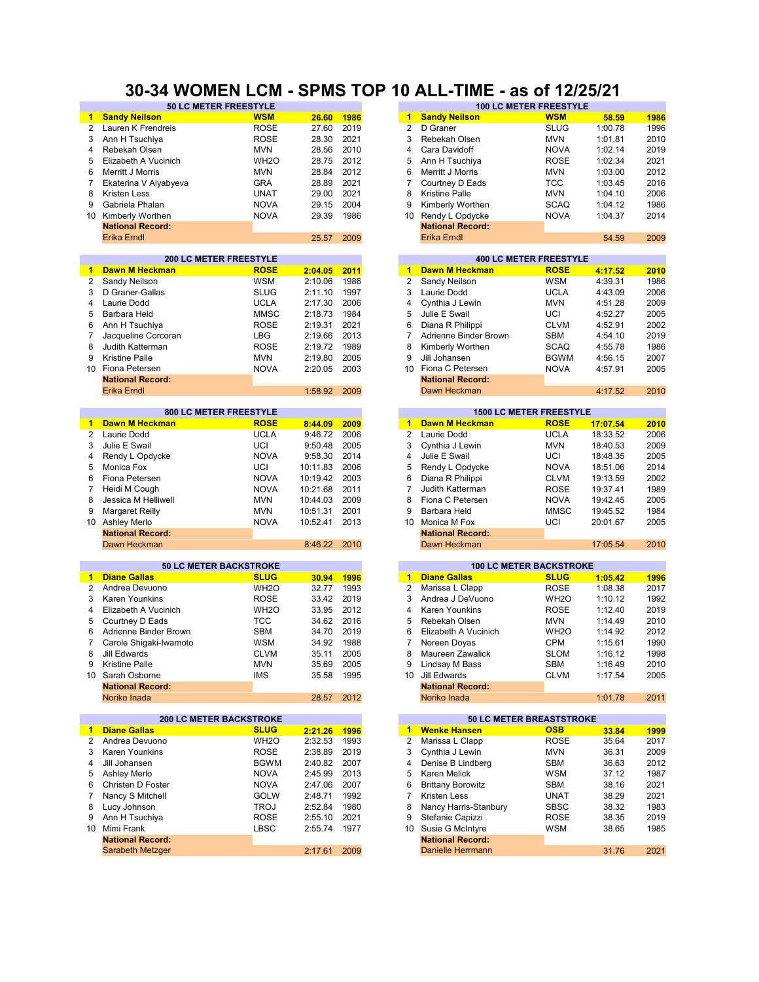## **30-34 WOMEN LCM - SPMS TOP 10 ALL-TIME - as of 12/25/21**

|                 | 50 LC METER FREESTYLE          |                   |              |      |                 |                          | <b>100 LC METER FREESTYLE</b>   |          |      |
|-----------------|--------------------------------|-------------------|--------------|------|-----------------|--------------------------|---------------------------------|----------|------|
| 1.              | <b>Sandy Neilson</b>           | <b>WSM</b>        | 26.60        | 1986 | 1               | <b>Sandy Neilson</b>     | <b>WSM</b>                      | 58.59    | 1986 |
| 2               | Lauren K Frendreis             | <b>ROSE</b>       | 27.60        | 2019 | 2               | D Graner                 | <b>SLUG</b>                     | 1:00.78  | 1996 |
| 3               | Ann H Tsuchiva                 | <b>ROSE</b>       | 28.30        | 2021 | 3               | Rebekah Olsen            | <b>MVN</b>                      | 1:01.81  | 2010 |
| 4               | Rebekah Olsen                  | <b>MVN</b>        | 28.56        | 2010 | 4               | Cara Davidoff            | <b>NOVA</b>                     | 1:02.14  | 2019 |
| 5               | Elizabeth A Vucinich           | WH <sub>2</sub> O | 28.75        | 2012 | 5               | Ann H Tsuchiya           | <b>ROSE</b>                     | 1:02.34  | 2021 |
|                 |                                |                   |              |      |                 |                          |                                 |          |      |
| 6               | Merritt J Morris               | <b>MVN</b>        | 28.84        | 2012 | 6               | Merritt J Morris         | <b>MVN</b>                      | 1:03.00  | 2012 |
| 7               | Ekaterina V Alyabyeva          | <b>GRA</b>        | 28.89        | 2021 | $\overline{7}$  | Courtney D Eads          | <b>TCC</b>                      | 1:03.45  | 2016 |
| 8               | <b>Kristen Less</b>            | <b>UNAT</b>       | 29.00        | 2021 | 8               | <b>Kristine Palle</b>    | <b>MVN</b>                      | 1:04.10  | 2006 |
| 9               | Gabriela Phalan                | <b>NOVA</b>       | 29.15        | 2004 | 9               | Kimberly Worthen         | <b>SCAQ</b>                     | 1:04.12  | 1986 |
| 10              | Kimberly Worthen               | <b>NOVA</b>       | 29.39        | 1986 | 10              | Rendy L Opdycke          | <b>NOVA</b>                     | 1:04.37  | 2014 |
|                 | <b>National Record:</b>        |                   |              |      |                 | <b>National Record:</b>  |                                 |          |      |
|                 | <b>Erika Erndl</b>             |                   | 25.57        | 2009 |                 | <b>Erika Erndl</b>       |                                 | 54.59    | 2009 |
|                 | <b>200 LC METER FREESTYLE</b>  |                   |              |      |                 |                          | <b>400 LC METER FREESTYLE</b>   |          |      |
| $\blacksquare$  | Dawn M Heckman                 | <b>ROSE</b>       | 2:04.05      | 2011 | 1               | Dawn M Heckman           | <b>ROSE</b>                     | 4:17.52  | 2010 |
| 2               | Sandy Neilson                  | <b>WSM</b>        | 2:10.06      | 1986 | 2               | Sandy Neilson            | <b>WSM</b>                      | 4:39.31  | 1986 |
|                 |                                |                   |              |      | 3               |                          |                                 |          |      |
| 3               | D Graner-Gallas                | <b>SLUG</b>       | 2:11.10      | 1997 |                 | Laurie Dodd              | <b>UCLA</b>                     | 4:43.09  | 2006 |
| 4               | Laurie Dodd                    | <b>UCLA</b>       | 2:17.30      | 2006 | $\overline{4}$  | Cynthia J Lewin          | <b>MVN</b>                      | 4:51.28  | 2009 |
| 5               | Barbara Held                   | <b>MMSC</b>       | 2:18.73      | 1984 | 5               | Julie E Swail            | UCI                             | 4:52.27  | 2005 |
| 6               | Ann H Tsuchiya                 | <b>ROSE</b>       | 2:19.31      | 2021 | 6               | Diana R Philippi         | <b>CLVM</b>                     | 4:52.91  | 2002 |
| 7               | Jacqueline Corcoran            | <b>LBG</b>        | 2:19.66      | 2013 | 7               | Adrienne Binder Brown    | <b>SBM</b>                      | 4:54.10  | 2019 |
| 8               | Judith Katterman               | <b>ROSE</b>       | 2:19.72      | 1989 | 8               | Kimberly Worthen         | <b>SCAQ</b>                     | 4:55.78  | 1986 |
| 9               | <b>Kristine Palle</b>          | <b>MVN</b>        | 2:19.80      | 2005 | 9               | Jill Johansen            | <b>BGWM</b>                     | 4:56.15  | 2007 |
|                 |                                | <b>NOVA</b>       |              | 2003 | 10 <sup>1</sup> | Fiona C Petersen         |                                 |          |      |
|                 | 10 Fiona Petersen              |                   | 2:20.05      |      |                 |                          | <b>NOVA</b>                     | 4:57.91  | 2005 |
|                 | <b>National Record:</b>        |                   |              |      |                 | <b>National Record:</b>  |                                 |          |      |
|                 | <b>Erika Erndl</b>             |                   | 1:58.92      | 2009 |                 | Dawn Heckman             |                                 | 4:17.52  | 2010 |
|                 | 800 LC METER FREESTYLE         |                   |              |      |                 |                          | <b>1500 LC METER FREESTYLE</b>  |          |      |
| $\mathbf{1}$    | Dawn M Heckman                 | <b>ROSE</b>       | 8:44.09      | 2009 | $\mathbf{1}$    | <b>Dawn M Heckman</b>    | <b>ROSE</b>                     | 17:07.54 | 2010 |
| 2               | Laurie Dodd                    | <b>UCLA</b>       | 9:46.72      | 2006 | 2               | Laurie Dodd              | <b>UCLA</b>                     | 18:33.52 | 2006 |
| 3               | Julie E Swail                  | UCI               | 9:50.48      | 2005 | 3               | Cynthia J Lewin          | <b>MVN</b>                      | 18:40.53 | 2009 |
| 4               | Rendy L Opdycke                | <b>NOVA</b>       | 9:58.30      | 2014 | 4               | Julie E Swail            | UCI                             | 18:48.35 | 2005 |
| 5               | Monica Fox                     | UCI               | 10:11.83     | 2006 | 5               |                          | <b>NOVA</b>                     | 18:51.06 | 2014 |
|                 |                                |                   |              |      |                 | Rendy L Opdycke          |                                 |          |      |
| 6               | Fiona Petersen                 | <b>NOVA</b>       | 10:19.42     | 2003 | 6               | Diana R Philippi         | <b>CLVM</b>                     | 19:13.59 | 2002 |
| 7               | Heidi M Cough                  | <b>NOVA</b>       | 10:21.68     | 2011 | $\overline{7}$  | Judith Katterman         | <b>ROSE</b>                     | 19:37.41 | 1989 |
| 8               | Jessica M Helliwell            | <b>MVN</b>        | 10:44.03     | 2009 | 8               | Fiona C Petersen         | <b>NOVA</b>                     | 19:42.45 | 2005 |
| 9               | <b>Margaret Reilly</b>         | <b>MVN</b>        | 10:51.31     | 2001 | 9               | Barbara Held             | <b>MMSC</b>                     | 19:45.52 | 1984 |
| 10 <sup>°</sup> | <b>Ashley Merlo</b>            | <b>NOVA</b>       | 10:52.41     | 2013 | 10              | Monica M Fox             | UCI                             | 20:01.67 | 2005 |
|                 | <b>National Record:</b>        |                   |              |      |                 | <b>National Record:</b>  |                                 |          |      |
|                 | Dawn Heckman                   |                   | 8:46.22      | 2010 |                 | Dawn Heckman             |                                 | 17:05.54 | 2010 |
|                 | <b>50 LC METER BACKSTROKE</b>  |                   |              |      |                 |                          | <b>100 LC METER BACKSTROKE</b>  |          |      |
| 1.              | <b>Diane Gallas</b>            | <b>SLUG</b>       | 30.94        | 1996 | $\mathbf{1}$    | <b>Diane Gallas</b>      | <b>SLUG</b>                     | 1:05.42  | 1996 |
| $\overline{2}$  | Andrea Devuono                 | WH <sub>20</sub>  | 32.77        | 1993 | 2               | Marissa L Clapp          | <b>ROSE</b>                     | 1:08.38  | 2017 |
| 3               | <b>Karen Younkins</b>          |                   | 33.42        | 2019 | 3               |                          |                                 | 1:10.12  | 1992 |
|                 |                                | <b>ROSE</b>       |              |      |                 | Andrea J DeVuono         | WH <sub>2</sub> O               |          |      |
| 4               | Elizabeth A Vucinich           | WH <sub>2</sub> O | 33.95        | 2012 | 4               | Karen Younkins           | <b>ROSE</b>                     | 1:12.40  | 2019 |
| 5               | Courtney D Eads                | <b>TCC</b>        | 34.62        | 2016 | 5               | Rebekah Olsen            | <b>MVN</b>                      | 1:14.49  | 2010 |
| 6               | Adrienne Binder Brown          | <b>SBM</b>        | 34.70        | 2019 | 6               | Elizabeth A Vucinich     | WH <sub>2</sub> O               | 1:14.92  | 2012 |
| 7               | Carole Shigaki-Iwamoto         | <b>WSM</b>        | 34.92        | 1988 | 7               | Noreen Doyas             | <b>CPM</b>                      | 1:15.61  | 1990 |
| 8               | Jill Edwards                   | <b>CLVM</b>       | 35.11        | 2005 | 8               | Maureen Zawalick         | <b>SLOM</b>                     | 1:16.12  | 1998 |
| 9               | Kristine Palle                 | MVN               | 35.69        | 2005 | 9               | Lindsay M Bass           | SBM                             | 1:16.49  | 2010 |
| 10              | Sarah Osborne                  | <b>IMS</b>        | 35.58        | 1995 | 10              | Jill Edwards             | <b>CLVM</b>                     | 1:17.54  | 2005 |
|                 | <b>National Record:</b>        |                   |              |      |                 | <b>National Record:</b>  |                                 |          |      |
|                 | Noriko Inada                   |                   | 28.57        | 2012 |                 | Noriko Inada             |                                 | 1:01.78  | 2011 |
|                 |                                |                   |              |      |                 |                          |                                 |          |      |
|                 | <b>200 LC METER BACKSTROKE</b> |                   |              |      |                 |                          | <b>50 LC METER BREASTSTROKE</b> |          |      |
| $\mathbf{1}$    | <b>Diane Gallas</b>            | <b>SLUG</b>       | 2:21.26      | 1996 | $\mathbf{1}$    | <b>Wenke Hansen</b>      | <b>OSB</b>                      | 33.84    | 1999 |
| $\mathbf{2}$    | Andrea Devuono                 | WH <sub>2</sub> O | 2:32.53      | 1993 | $\overline{2}$  | Marissa L Clapp          | <b>ROSE</b>                     | 35.64    | 2017 |
| 3               | Karen Younkins                 | <b>ROSE</b>       | 2:38.89      | 2019 | 3               | Cynthia J Lewin          | <b>MVN</b>                      | 36.31    | 2009 |
| 4               | Jill Johansen                  | <b>BGWM</b>       | 2:40.82 2007 |      | 4               | Denise B Lindberg        | <b>SBM</b>                      | 36.63    | 2012 |
| 5               | Ashley Merlo                   | <b>NOVA</b>       | 2:45.99      | 2013 | 5               | Karen Melick             | <b>WSM</b>                      | 37.12    | 1987 |
| 6               | Christen D Foster              | <b>NOVA</b>       | 2:47.06      | 2007 | 6               | <b>Brittany Borowitz</b> | <b>SBM</b>                      | 38.16    | 2021 |
| 7               | Nancy S Mitchell               | GOLW              | 2:48.71      | 1992 | 7               | Kristen Less             | <b>UNAT</b>                     | 38.29    | 2021 |
| 8               | Lucy Johnson                   | <b>TROJ</b>       | 2:52.84      | 1980 | 8               | Nancy Harris-Stanbury    | <b>SBSC</b>                     | 38.32    | 1983 |
|                 |                                |                   |              |      |                 |                          |                                 |          |      |
| 9               | Ann H Tsuchiya                 | <b>ROSE</b>       | 2:55.10      | 2021 | 9               | Stefanie Capizzi         | <b>ROSE</b>                     | 38.35    | 2019 |
|                 | 10 Mimi Frank                  | LBSC              | 2:55.74      | 1977 | 10              | Susie G McIntyre         | WSM                             | 38.65    | 1985 |
|                 | <b>National Record:</b>        |                   |              |      |                 | <b>National Record:</b>  |                                 |          |      |
|                 | Sarabeth Metzger               |                   | 2:17.61      | 2009 |                 | Danielle Herrmann        |                                 | 31.76    | 2021 |

| <b>50 LC METER FREESTYLE</b>  |                   |       |      |                |                         | <b>100 LC METER FREESTYLE</b> |         |      |
|-------------------------------|-------------------|-------|------|----------------|-------------------------|-------------------------------|---------|------|
|                               | <b>WSM</b>        | 26.60 | 1986 | 1              | <b>Sandy Neilson</b>    | <b>WSM</b>                    | 58.59   | 1986 |
| eis                           | <b>ROSE</b>       | 27.60 | 2019 | 2              | D Graner                | <b>SLUG</b>                   | 1:00.78 | 1996 |
|                               | <b>ROSE</b>       | 28.30 | 2021 | 3              | Rebekah Olsen           | <b>MVN</b>                    | 1:01.81 | 2010 |
|                               | <b>MVN</b>        | 28.56 | 2010 | $\overline{4}$ | Cara Davidoff           | <b>NOVA</b>                   | 1:02.14 | 2019 |
| hich                          | WH <sub>2</sub> O | 28.75 | 2012 | 5              | Ann H Tsuchiya          | <b>ROSE</b>                   | 1:02.34 | 2021 |
|                               | <b>MVN</b>        | 28.84 | 2012 | 6              | Merritt J Morris        | <b>MVN</b>                    | 1:03.00 | 2012 |
| bveva                         | <b>GRA</b>        | 28.89 | 2021 |                | Courtney D Eads         | <b>TCC</b>                    | 1:03.45 | 2016 |
|                               | <b>UNAT</b>       | 29.00 | 2021 | 8              | Kristine Palle          | <b>MVN</b>                    | 1:04.10 | 2006 |
|                               | <b>NOVA</b>       | 29.15 | 2004 | 9              | Kimberly Worthen        | <b>SCAQ</b>                   | 1:04.12 | 1986 |
|                               | <b>NOVA</b>       | 29.39 | 1986 | 10             | Rendy L Opdycke         | <b>NOVA</b>                   | 1:04.37 | 2014 |
|                               |                   |       |      |                | <b>National Record:</b> |                               |         |      |
|                               |                   | 25.57 | 2009 |                | Erika Erndl             |                               | 54.59   | 2009 |
|                               |                   |       |      |                |                         |                               |         |      |
| <b>200 LC METER FREESTYLE</b> |                   |       |      |                |                         | <b>400 LC METER FREESTYLE</b> |         |      |

| 2:04.05 | 2011 | 1  | <b>Dawn M Heckman</b>   | <b>ROSE</b> | 4:17.52 | 2010 |
|---------|------|----|-------------------------|-------------|---------|------|
| 2:10.06 | 1986 | 2  | Sandy Neilson           | <b>WSM</b>  | 4:39.31 | 1986 |
| 2:11.10 | 1997 | 3  | Laurie Dodd             | <b>UCLA</b> | 4:43.09 | 2006 |
| 2:17.30 | 2006 | 4  | Cynthia J Lewin         | <b>MVN</b>  | 4:51.28 | 2009 |
| 2:18.73 | 1984 | 5  | Julie E Swail           | UCI         | 4:52.27 | 2005 |
| 2:19.31 | 2021 | 6  | Diana R Philippi        | <b>CLVM</b> | 4:52.91 | 2002 |
| 2:19.66 | 2013 |    | Adrienne Binder Brown   | <b>SBM</b>  | 4:54.10 | 2019 |
| 2:19.72 | 1989 | 8  | Kimberly Worthen        | <b>SCAQ</b> | 4:55.78 | 1986 |
| 2:19.80 | 2005 | 9  | Jill Johansen           | <b>BGWM</b> | 4:56.15 | 2007 |
| 2:20.05 | 2003 | 10 | Fiona C Petersen        | <b>NOVA</b> | 4:57.91 | 2005 |
|         |      |    | <b>National Record:</b> |             |         |      |
| 1:58.92 | 2009 |    | Dawn Heckman            |             | 4:17.52 | 2010 |
|         |      |    |                         |             |         |      |

|         |      |    |                         | <b>1500 LC METER FREESTYLE</b> |          |      |
|---------|------|----|-------------------------|--------------------------------|----------|------|
| 8:44.09 | 2009 | 1  | Dawn M Heckman          | <b>ROSE</b>                    | 17:07.54 | 2010 |
| 9:46.72 | 2006 | 2  | Laurie Dodd             | <b>UCLA</b>                    | 18:33.52 | 2006 |
| 9:50.48 | 2005 | 3  | Cynthia J Lewin         | <b>MVN</b>                     | 18:40.53 | 2009 |
| 9:58.30 | 2014 | 4  | Julie E Swail           | UCI                            | 18:48.35 | 2005 |
| 0:11.83 | 2006 | 5  | Rendy L Opdycke         | <b>NOVA</b>                    | 18:51.06 | 2014 |
| 0:19.42 | 2003 | 6  | Diana R Philippi        | <b>CLVM</b>                    | 19:13.59 | 2002 |
| 0:21.68 | 2011 |    | Judith Katterman        | <b>ROSE</b>                    | 19:37.41 | 1989 |
| 0:44.03 | 2009 | 8  | Fiona C Petersen        | <b>NOVA</b>                    | 19:42.45 | 2005 |
| 0:51.31 | 2001 | 9  | Barbara Held            | <b>MMSC</b>                    | 19:45.52 | 1984 |
| 0:52.41 | 2013 | 10 | Monica M Fox            | UCI                            | 20:01.67 | 2005 |
|         |      |    | <b>National Record:</b> |                                |          |      |
| 8:46.22 | 2010 |    | Dawn Heckman            |                                | 17:05.54 | 2010 |
|         |      |    |                         |                                |          |      |

|       |      |    |                         | <b>100 LC METER BACKSTROKE</b> |         |  |
|-------|------|----|-------------------------|--------------------------------|---------|--|
| 30.94 | 1996 | 1  | <b>Diane Gallas</b>     | <b>SLUG</b>                    | 1:05.42 |  |
| 32.77 | 1993 | 2  | Marissa L Clapp         | <b>ROSE</b>                    | 1:08.38 |  |
| 33.42 | 2019 | 3  | Andrea J DeVuono        | WH <sub>2</sub> O              | 1:10.12 |  |
| 33.95 | 2012 | 4  | Karen Younkins          | <b>ROSE</b>                    | 1:12.40 |  |
| 34.62 | 2016 | 5  | Rebekah Olsen           | <b>MVN</b>                     | 1:14.49 |  |
| 34.70 | 2019 | 6  | Elizabeth A Vucinich    | WH <sub>2</sub> O              | 1:14.92 |  |
| 34.92 | 1988 | 7  | Noreen Doyas            | <b>CPM</b>                     | 1:15.61 |  |
| 35.11 | 2005 | 8  | Maureen Zawalick        | <b>SLOM</b>                    | 1:16.12 |  |
| 35.69 | 2005 | 9  | Lindsay M Bass          | <b>SBM</b>                     | 1:16.49 |  |
| 35.58 | 1995 | 10 | Jill Edwards            | <b>CLVM</b>                    | 1:17.54 |  |
|       |      |    | <b>National Record:</b> |                                |         |  |
| 28.57 | 2012 |    | Noriko Inada            |                                | 1:01.78 |  |
|       |      |    |                         |                                |         |  |

|         |      |    |                          | <b>50 LC METER BREASTSTROKE</b> |       |      |
|---------|------|----|--------------------------|---------------------------------|-------|------|
| 2:21.26 | 1996 | 1  | <b>Wenke Hansen</b>      | <b>OSB</b>                      | 33.84 | 1999 |
| 2:32.53 | 1993 | 2  | Marissa L Clapp          | <b>ROSE</b>                     | 35.64 | 2017 |
| 2:38.89 | 2019 | 3  | Cynthia J Lewin          | <b>MVN</b>                      | 36.31 | 2009 |
| 2:40.82 | 2007 | 4  | Denise B Lindberg        | <b>SBM</b>                      | 36.63 | 2012 |
| 2:45.99 | 2013 | 5  | Karen Melick             | <b>WSM</b>                      | 37.12 | 1987 |
| 2:47.06 | 2007 | 6  | <b>Brittany Borowitz</b> | <b>SBM</b>                      | 38.16 | 2021 |
| 2:48.71 | 1992 |    | Kristen Less             | <b>UNAT</b>                     | 38.29 | 2021 |
| 2:52.84 | 1980 | 8  | Nancy Harris-Stanbury    | <b>SBSC</b>                     | 38.32 | 1983 |
| 2:55.10 | 2021 | 9  | Stefanie Capizzi         | <b>ROSE</b>                     | 38.35 | 2019 |
| 2:55.74 | 1977 | 10 | Susie G McIntyre         | <b>WSM</b>                      | 38.65 | 1985 |
|         |      |    | <b>National Record:</b>  |                                 |       |      |
| 2:17.61 | 2009 |    | Danielle Herrmann        |                                 | 31.76 | 2021 |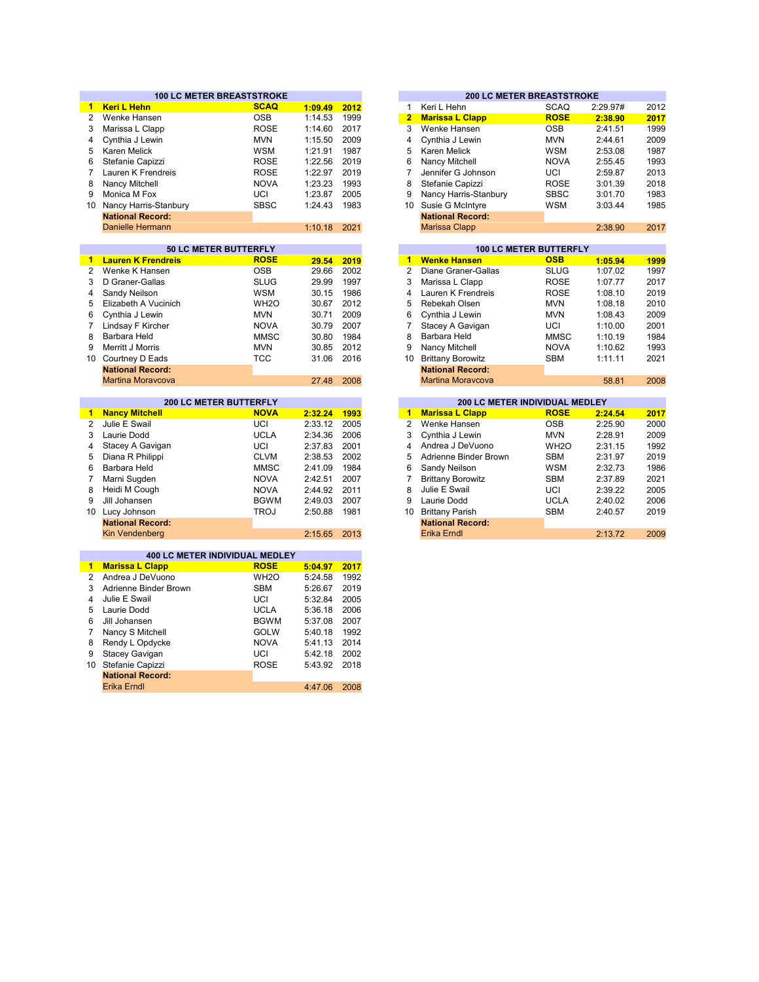|                 | <b>100 LC METER BREASTSTROKE</b>      |                   |         |      |                | <b>200 LC METER BREASTSTROKE</b> |                               |          |
|-----------------|---------------------------------------|-------------------|---------|------|----------------|----------------------------------|-------------------------------|----------|
| $1 -$           | <b>Keri L Hehn</b>                    | <b>SCAQ</b>       | 1:09.49 | 2012 | $\mathbf{1}$   | Keri L Hehn                      | <b>SCAQ</b>                   | 2:29.97# |
| $\overline{2}$  | Wenke Hansen                          | <b>OSB</b>        | 1:14.53 | 1999 | $\overline{2}$ | <b>Marissa L Clapp</b>           | <b>ROSE</b>                   | 2:38.90  |
| 3               | Marissa L Clapp                       | <b>ROSE</b>       | 1:14.60 | 2017 | 3              | Wenke Hansen                     | <b>OSB</b>                    | 2:41.51  |
| 4               | Cynthia J Lewin                       | <b>MVN</b>        | 1:15.50 | 2009 | 4              | Cynthia J Lewin                  | <b>MVN</b>                    | 2:44.61  |
| 5               | Karen Melick                          | <b>WSM</b>        | 1:21.91 | 1987 | 5              | Karen Melick                     | <b>WSM</b>                    | 2:53.08  |
| 6               | Stefanie Capizzi                      | <b>ROSE</b>       | 1:22.56 | 2019 | 6              | Nancy Mitchell                   | <b>NOVA</b>                   | 2:55.45  |
| 7               | Lauren K Frendreis                    | <b>ROSE</b>       | 1:22.97 | 2019 | $\overline{7}$ | Jennifer G Johnson               | UCI                           | 2:59.87  |
| 8               | Nancy Mitchell                        | <b>NOVA</b>       | 1:23.23 | 1993 | 8              | Stefanie Capizzi                 | <b>ROSE</b>                   | 3:01.39  |
| 9               | Monica M Fox                          | UCI               | 1:23.87 | 2005 | 9              | Nancy Harris-Stanbury            | <b>SBSC</b>                   | 3:01.70  |
| 10 <sup>1</sup> | Nancy Harris-Stanbury                 | <b>SBSC</b>       | 1:24.43 | 1983 | 10             | Susie G McIntyre                 | WSM                           | 3:03.44  |
|                 | <b>National Record:</b>               |                   |         |      |                | <b>National Record:</b>          |                               |          |
|                 | <b>Danielle Hermann</b>               |                   | 1:10.18 | 2021 |                | <b>Marissa Clapp</b>             |                               | 2:38.90  |
|                 |                                       |                   |         |      |                |                                  |                               |          |
|                 | 50 LC METER BUTTERFLY                 |                   |         |      |                |                                  | <b>100 LC METER BUTTERFLY</b> |          |
| 1.              | <b>Lauren K Frendreis</b>             | <b>ROSE</b>       | 29.54   | 2019 | $\blacksquare$ | <b>Wenke Hansen</b>              | <b>OSB</b>                    | 1:05.94  |
| $\overline{2}$  | Wenke K Hansen                        | <b>OSB</b>        | 29.66   | 2002 | 2              | Diane Graner-Gallas              | <b>SLUG</b>                   | 1:07.02  |
| 3               | D Graner-Gallas                       | <b>SLUG</b>       | 29.99   | 1997 | 3              | Marissa L Clapp                  | <b>ROSE</b>                   | 1:07.77  |
| 4               | Sandy Neilson                         | WSM               | 30.15   | 1986 | 4              | Lauren K Frendreis               | <b>ROSE</b>                   | 1:08.10  |
| 5               | Elizabeth A Vucinich                  | WH <sub>2</sub> O | 30.67   | 2012 | 5              | Rebekah Olsen                    | <b>MVN</b>                    | 1:08.18  |
| 6               | Cynthia J Lewin                       | <b>MVN</b>        | 30.71   | 2009 | 6              | Cynthia J Lewin                  | <b>MVN</b>                    | 1:08.43  |
| $\overline{7}$  | Lindsay F Kircher                     | <b>NOVA</b>       | 30.79   | 2007 | $\overline{7}$ | Stacey A Gavigan                 | UCI                           | 1:10.00  |
| 8               | Barbara Held                          | <b>MMSC</b>       | 30.80   | 1984 | 8              | Barbara Held                     | <b>MMSC</b>                   | 1:10.19  |
| 9               | Merritt J Morris                      | <b>MVN</b>        | 30.85   | 2012 | 9              | Nancy Mitchell                   | <b>NOVA</b>                   | 1:10.62  |
| 10              | Courtney D Eads                       | <b>TCC</b>        | 31.06   | 2016 | 10             | <b>Brittany Borowitz</b>         | <b>SBM</b>                    | 1:11.11  |
|                 | <b>National Record:</b>               |                   |         |      |                | <b>National Record:</b>          |                               |          |
|                 | <b>Martina Moravcova</b>              |                   | 27.48   | 2008 |                | <b>Martina Moravcova</b>         |                               | 58.81    |
|                 |                                       |                   |         |      |                |                                  |                               |          |
|                 | 200 LC METER BUTTERFLY                |                   |         |      |                | 200 LC METER INDIVIDUAL MEDLEY   |                               |          |
| $\mathbf{1}$    | <b>Nancy Mitchell</b>                 | <b>NOVA</b>       | 2:32.24 | 1993 | $\mathbf{1}$   | <b>Marissa L Clapp</b>           | <b>ROSE</b>                   | 2:24.54  |
| $\overline{2}$  | Julie E Swail                         | UCI               | 2:33.12 | 2005 | $\overline{2}$ | Wenke Hansen                     | <b>OSB</b>                    | 2:25.90  |
| 3               | Laurie Dodd                           | <b>UCLA</b>       | 2:34.36 | 2006 | 3              | Cynthia J Lewin                  | <b>MVN</b>                    | 2:28.91  |
| 4               | Stacey A Gavigan                      | UCI               | 2:37.83 | 2001 | 4              | Andrea J DeVuono                 | WH <sub>2</sub> O             | 2:31.15  |
| 5               | Diana R Philippi                      | <b>CLVM</b>       | 2:38.53 | 2002 | 5              | Adrienne Binder Brown            | <b>SBM</b>                    | 2:31.97  |
| 6               | Barbara Held                          | <b>MMSC</b>       | 2:41.09 | 1984 | 6              | Sandy Neilson                    | <b>WSM</b>                    | 2:32.73  |
| $\overline{7}$  | Marni Sugden                          | <b>NOVA</b>       | 2:42.51 | 2007 | $\overline{7}$ | <b>Brittany Borowitz</b>         | <b>SBM</b>                    | 2:37.89  |
| 8               | Heidi M Cough                         | <b>NOVA</b>       | 2:44.92 | 2011 | 8              | Julie E Swail                    | UCI                           | 2:39.22  |
| 9               | Jill Johansen                         | <b>BGWM</b>       | 2:49.03 | 2007 | 9              | Laurie Dodd                      | <b>UCLA</b>                   | 2:40.02  |
|                 | 10 Lucy Johnson                       | <b>TROJ</b>       | 2:50.88 | 1981 | 10             | <b>Brittany Parish</b>           | <b>SBM</b>                    | 2:40.57  |
|                 | <b>National Record:</b>               |                   |         |      |                | <b>National Record:</b>          |                               |          |
|                 | <b>Kin Vendenberg</b>                 |                   | 2:15.65 | 2013 |                | <b>Erika Erndl</b>               |                               | 2:13.72  |
|                 |                                       |                   |         |      |                |                                  |                               |          |
|                 | <b>400 LC METER INDIVIDUAL MEDLEY</b> |                   |         |      |                |                                  |                               |          |
| 1.              | <b>Marissa L Clapp</b>                | <b>ROSE</b>       | 5:04.97 | 2017 |                |                                  |                               |          |
| 2               | Andrea J DeVuono                      | WH <sub>20</sub>  | 5:24.58 | 1992 |                |                                  |                               |          |
| 3               | Adrienne Binder Brown                 | <b>SBM</b>        | 5:26.67 | 2019 |                |                                  |                               |          |
| 4               | Julie E Swail                         | UCI               | 5:32.84 | 2005 |                |                                  |                               |          |
| 5               | Laurie Dodd                           | <b>UCLA</b>       | 5:36.18 | 2006 |                |                                  |                               |          |
| 6               | Jill Johansen                         | <b>BGWM</b>       | 5:37.08 | 2007 |                |                                  |                               |          |
| $\overline{7}$  | Nancy S Mitchell                      | <b>GOLW</b>       | 5:40.18 | 1992 |                |                                  |                               |          |
| 8               | Rendy L Opdycke                       | <b>NOVA</b>       | 5:41.13 | 2014 |                |                                  |                               |          |
| 9               | <b>Stacey Gavigan</b>                 | UCI               | 5:42.18 | 2002 |                |                                  |                               |          |
| 10              | Stefanie Capizzi                      | <b>ROSE</b>       | 5:43.92 | 2018 |                |                                  |                               |          |
|                 | <b>National Record:</b>               |                   |         |      |                |                                  |                               |          |

Erika Erndl

4:47.06 2008

|         |      |                |                         | <b>200 LC METER BREASTSTROKE</b> |          |      |
|---------|------|----------------|-------------------------|----------------------------------|----------|------|
| 1:09.49 | 2012 | 1              | Keri L Hehn             | <b>SCAQ</b>                      | 2:29.97# | 2012 |
| 1:14.53 | 1999 | $\overline{2}$ | <b>Marissa L Clapp</b>  | <b>ROSE</b>                      | 2:38.90  | 2017 |
| 1:14.60 | 2017 | 3              | Wenke Hansen            | <b>OSB</b>                       | 2:41.51  | 1999 |
| 1:15.50 | 2009 | 4              | Cynthia J Lewin         | <b>MVN</b>                       | 2:44.61  | 2009 |
| 1:21.91 | 1987 | 5              | Karen Melick            | <b>WSM</b>                       | 2:53.08  | 1987 |
| 1:22.56 | 2019 | 6              | Nancy Mitchell          | <b>NOVA</b>                      | 2:55.45  | 1993 |
| 1:22.97 | 2019 | 7              | Jennifer G Johnson      | UCI                              | 2:59.87  | 2013 |
| 1:23.23 | 1993 | 8              | Stefanie Capizzi        | <b>ROSE</b>                      | 3:01.39  | 2018 |
| 1:23.87 | 2005 | 9              | Nancy Harris-Stanbury   | <b>SBSC</b>                      | 3:01.70  | 1983 |
| 1:24.43 | 1983 | 10             | Susie G McIntyre        | <b>WSM</b>                       | 3:03.44  | 1985 |
|         |      |                | <b>National Record:</b> |                                  |          |      |
| 1:10.18 | 2021 |                | Marissa Clapp           |                                  | 2:38.90  | 2017 |
|         |      |                |                         |                                  |          |      |
|         |      |                |                         | <b>100 LC METER BUTTERFLY</b>    |          |      |
| 29.54   | 2019 | 1              | <b>Wenke Hansen</b>     | <b>OSB</b>                       | 1:05.94  | 1999 |
| 29.66   | 2002 | 2              | Diane Graner-Gallas     | <b>SLUG</b>                      | 1:07.02  | 1997 |

| 29.UU | ZUUZ |    | 2 Dialic Vialici-Valias  | ט∟ט         | 1.01.02 | 1 J J / |
|-------|------|----|--------------------------|-------------|---------|---------|
| 29.99 | 1997 | 3  | Marissa L Clapp          | <b>ROSE</b> | 1:07.77 | 2017    |
| 30.15 | 1986 | 4  | Lauren K Frendreis       | <b>ROSE</b> | 1:08.10 | 2019    |
| 30.67 | 2012 | 5. | Rebekah Olsen            | <b>MVN</b>  | 1:08.18 | 2010    |
| 30.71 | 2009 | 6  | Cynthia J Lewin          | <b>MVN</b>  | 1:08.43 | 2009    |
| 30.79 | 2007 | 7  | Stacey A Gavigan         | UCI         | 1:10.00 | 2001    |
| 30.80 | 1984 | 8  | Barbara Held             | <b>MMSC</b> | 1:10.19 | 1984    |
| 30.85 | 2012 | 9  | Nancy Mitchell           | <b>NOVA</b> | 1:10.62 | 1993    |
| 31.06 | 2016 | 10 | <b>Brittany Borowitz</b> | SBM         | 1:11.11 | 2021    |
|       |      |    | <b>National Record:</b>  |             |         |         |
| 27.48 | 2008 |    | <b>Martina Moravcova</b> |             | 58.81   | 2008    |

|         |      |    | <b>200 LC METER INDIVIDUAL MEDLEY</b> |                   |         |      |
|---------|------|----|---------------------------------------|-------------------|---------|------|
| 2:32.24 | 1993 | 1  | <b>Marissa L Clapp</b>                | <b>ROSE</b>       | 2:24.54 | 2017 |
| 2:33.12 | 2005 | 2  | Wenke Hansen                          | <b>OSB</b>        | 2:25.90 | 2000 |
| 2:34.36 | 2006 | 3  | Cynthia J Lewin                       | <b>MVN</b>        | 2:28.91 | 2009 |
| 2:37.83 | 2001 | 4  | Andrea J DeVuono                      | WH <sub>2</sub> O | 2:31.15 | 1992 |
| 2:38.53 | 2002 | 5  | Adrienne Binder Brown                 | <b>SBM</b>        | 2:31.97 | 2019 |
| 2:41.09 | 1984 | 6  | Sandy Neilson                         | <b>WSM</b>        | 2:32.73 | 1986 |
| 2:42.51 | 2007 |    | <b>Brittany Borowitz</b>              | <b>SBM</b>        | 2:37.89 | 2021 |
| 2:44.92 | 2011 | 8  | Julie E Swail                         | UCI               | 2:39.22 | 2005 |
| 2:49.03 | 2007 | 9  | Laurie Dodd                           | <b>UCLA</b>       | 2:40.02 | 2006 |
| 2:50.88 | 1981 | 10 | <b>Brittany Parish</b>                | <b>SBM</b>        | 2:40.57 | 2019 |
|         |      |    | <b>National Record:</b>               |                   |         |      |
| 2:15.65 | 2013 |    | Erika Erndl                           |                   | 2:13.72 | 2009 |
|         |      |    |                                       |                   |         |      |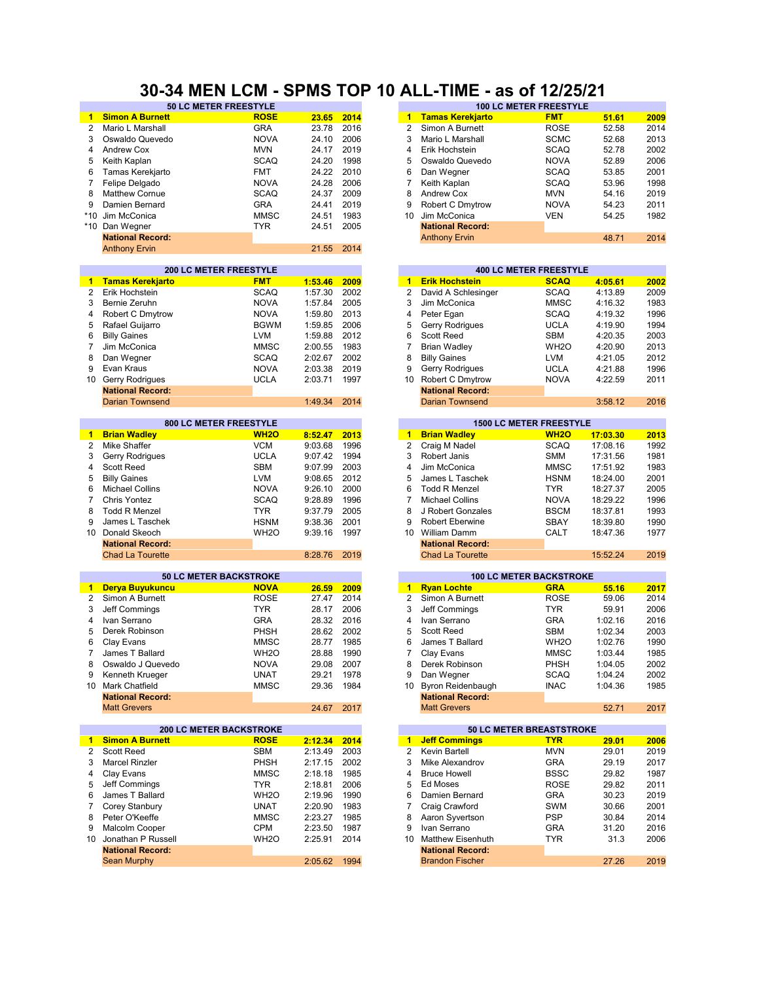### **30-34 MEN LCM - SPMS TOP 10 ALL-TIME - as of 12/25/21**

|                 | <b><sub>JULUMETER FREESITLE</sub></b> |                   |         |      |                 |                                | <b>TUU LU METER FREEST TLE</b> |          |      |
|-----------------|---------------------------------------|-------------------|---------|------|-----------------|--------------------------------|--------------------------------|----------|------|
| 1               | <b>Simon A Burnett</b>                | <b>ROSE</b>       | 23.65   | 2014 | 1               | <b>Tamas Kerekjarto</b>        | <b>FMT</b>                     | 51.61    | 2009 |
| $\overline{2}$  | Mario L Marshall                      | <b>GRA</b>        | 23.78   | 2016 | $\overline{2}$  | Simon A Burnett                | <b>ROSE</b>                    | 52.58    | 2014 |
| 3               | Oswaldo Quevedo                       | <b>NOVA</b>       | 24.10   | 2006 | 3               | Mario L Marshall               | <b>SCMC</b>                    | 52.68    | 2013 |
|                 |                                       |                   |         |      |                 |                                |                                |          |      |
| 4               | Andrew Cox                            | <b>MVN</b>        | 24.17   | 2019 | $\overline{4}$  | Erik Hochstein                 | <b>SCAQ</b>                    | 52.78    | 2002 |
| 5               | Keith Kaplan                          | <b>SCAQ</b>       | 24.20   | 1998 | 5               | Oswaldo Quevedo                | <b>NOVA</b>                    | 52.89    | 2006 |
| 6               | Tamas Kerekjarto                      | <b>FMT</b>        | 24.22   | 2010 | 6               | Dan Wegner                     | <b>SCAQ</b>                    | 53.85    | 2001 |
|                 |                                       |                   |         |      |                 |                                |                                |          |      |
| 7               | Felipe Delgado                        | <b>NOVA</b>       | 24.28   | 2006 | 7               | Keith Kaplan                   | <b>SCAQ</b>                    | 53.96    | 1998 |
| 8               | <b>Matthew Cornue</b>                 | SCAQ              | 24.37   | 2009 | 8               | Andrew Cox                     | <b>MVN</b>                     | 54.16    | 2019 |
| 9               | Damien Bernard                        | <b>GRA</b>        | 24.41   | 2019 | 9               | Robert C Dmytrow               | <b>NOVA</b>                    | 54.23    | 2011 |
| $*10$           | Jim McConica                          | <b>MMSC</b>       | 24.51   | 1983 | 10              | Jim McConica                   | <b>VEN</b>                     | 54.25    |      |
|                 |                                       |                   |         |      |                 |                                |                                |          | 1982 |
| $*10$           | Dan Wegner                            | <b>TYR</b>        | 24.51   | 2005 |                 | <b>National Record:</b>        |                                |          |      |
|                 | <b>National Record:</b>               |                   |         |      |                 | <b>Anthony Ervin</b>           |                                | 48.71    | 2014 |
|                 | <b>Anthony Ervin</b>                  |                   | 21.55   | 2014 |                 |                                |                                |          |      |
|                 |                                       |                   |         |      |                 |                                |                                |          |      |
|                 |                                       |                   |         |      |                 |                                |                                |          |      |
|                 | 200 LC METER FREESTYLE                |                   |         |      |                 |                                | <b>400 LC METER FREESTYLE</b>  |          |      |
| 1.              | <b>Tamas Kerekjarto</b>               | <b>FMT</b>        | 1:53.46 | 2009 | $\mathbf{1}$    | <b>Erik Hochstein</b>          | <b>SCAQ</b>                    | 4:05.61  | 2002 |
| 2               | Erik Hochstein                        | <b>SCAQ</b>       | 1:57.30 | 2002 | 2               | David A Schlesinger            | <b>SCAQ</b>                    | 4:13.89  | 2009 |
| 3               | Bernie Zeruhn                         | <b>NOVA</b>       | 1:57.84 | 2005 | 3               | Jim McConica                   | <b>MMSC</b>                    | 4:16.32  | 1983 |
| 4               |                                       | <b>NOVA</b>       | 1:59.80 | 2013 | 4               |                                | <b>SCAQ</b>                    | 4:19.32  | 1996 |
|                 | Robert C Dmytrow                      |                   |         |      |                 | Peter Egan                     |                                |          |      |
| 5               | Rafael Guijarro                       | <b>BGWM</b>       | 1:59.85 | 2006 | 5               | Gerry Rodrigues                | <b>UCLA</b>                    | 4:19.90  | 1994 |
| 6               | <b>Billy Gaines</b>                   | <b>LVM</b>        | 1:59.88 | 2012 | 6               | Scott Reed                     | <b>SBM</b>                     | 4:20.35  | 2003 |
| 7               | Jim McConica                          | <b>MMSC</b>       | 2:00.55 | 1983 | $\overline{7}$  | <b>Brian Wadley</b>            | WH <sub>2</sub> O              | 4:20.90  | 2013 |
| 8               |                                       | <b>SCAQ</b>       | 2:02.67 | 2002 | 8               |                                | LVM                            |          |      |
|                 | Dan Wegner                            |                   |         |      |                 | <b>Billy Gaines</b>            |                                | 4:21.05  | 2012 |
| 9               | Evan Kraus                            | <b>NOVA</b>       | 2:03.38 | 2019 | 9               | Gerry Rodrigues                | <b>UCLA</b>                    | 4:21.88  | 1996 |
| 10              | Gerry Rodrigues                       | <b>UCLA</b>       | 2:03.71 | 1997 | 10              | <b>Robert C Dmytrow</b>        | <b>NOVA</b>                    | 4:22.59  | 2011 |
|                 | <b>National Record:</b>               |                   |         |      |                 | <b>National Record:</b>        |                                |          |      |
|                 | <b>Darian Townsend</b>                |                   |         |      |                 | <b>Darian Townsend</b>         |                                |          | 2016 |
|                 |                                       |                   | 1:49.34 | 2014 |                 |                                |                                | 3:58.12  |      |
|                 |                                       |                   |         |      |                 |                                |                                |          |      |
|                 | 800 LC METER FREESTYLE                |                   |         |      |                 | <b>1500 LC METER FREESTYLE</b> |                                |          |      |
| 1.              | <b>Brian Wadley</b>                   | <b>WH2O</b>       | 8:52.47 | 2013 | 1               | <b>Brian Wadley</b>            | <b>WH2O</b>                    | 17:03.30 | 2013 |
| $\overline{2}$  | <b>Mike Shaffer</b>                   | <b>VCM</b>        | 9:03.68 | 1996 | $\overline{2}$  | Craig M Nadel                  | <b>SCAQ</b>                    | 17:08.16 | 1992 |
| 3               |                                       | <b>UCLA</b>       | 9:07.42 | 1994 | 3               | Robert Janis                   | <b>SMM</b>                     | 17:31.56 | 1981 |
|                 | Gerry Rodrigues                       |                   |         |      |                 |                                |                                |          |      |
| 4               | <b>Scott Reed</b>                     | <b>SBM</b>        | 9:07.99 | 2003 | 4               | Jim McConica                   | <b>MMSC</b>                    | 17:51.92 | 1983 |
| 5               | <b>Billy Gaines</b>                   | <b>LVM</b>        | 9:08.65 | 2012 | 5               | James L Taschek                | <b>HSNM</b>                    | 18:24.00 | 2001 |
| 6               | <b>Michael Collins</b>                | <b>NOVA</b>       | 9:26.10 | 2000 | 6               | <b>Todd R Menzel</b>           | <b>TYR</b>                     | 18:27.37 | 2005 |
| 7               |                                       |                   |         | 1996 | 7               |                                |                                |          | 1996 |
|                 | Chris Yontez                          | <b>SCAQ</b>       | 9:28.89 |      |                 | <b>Michael Collins</b>         | <b>NOVA</b>                    | 18:29.22 |      |
| 8               | <b>Todd R Menzel</b>                  | <b>TYR</b>        | 9:37.79 | 2005 | 8               | J Robert Gonzales              | <b>BSCM</b>                    | 18:37.81 | 1993 |
| 9               | James L Taschek                       | <b>HSNM</b>       | 9:38.36 | 2001 | 9               | Robert Eberwine                | SBAY                           | 18:39.80 | 1990 |
| 10 <sup>1</sup> | Donald Skeoch                         | WH <sub>20</sub>  | 9:39.16 | 1997 | 10 <sup>1</sup> | <b>William Damm</b>            | CALT                           | 18:47.36 | 1977 |
|                 | <b>National Record:</b>               |                   |         |      |                 | <b>National Record:</b>        |                                |          |      |
|                 |                                       |                   |         |      |                 |                                |                                |          |      |
|                 | <b>Chad La Tourette</b>               |                   | 8:28.76 | 2019 |                 | <b>Chad La Tourette</b>        |                                | 15:52.24 | 2019 |
|                 |                                       |                   |         |      |                 |                                |                                |          |      |
|                 | <b>50 LC METER BACKSTROKE</b>         |                   |         |      |                 | <b>100 LC METER BACKSTROKE</b> |                                |          |      |
| 1               | Derya Buyukuncu                       | <b>NOVA</b>       | 26.59   | 2009 | $\mathbf{1}$    | <b>Ryan Lochte</b>             | <b>GRA</b>                     | 55.16    | 2017 |
| 2               | Simon A Burnett                       | <b>ROSE</b>       | 27.47   | 2014 | 2               | Simon A Burnett                | <b>ROSE</b>                    | 59.06    | 2014 |
|                 |                                       |                   |         |      |                 |                                |                                |          |      |
| 3               | Jeff Commings                         | <b>TYR</b>        | 28.17   | 2006 | 3               | Jeff Commings                  | <b>TYR</b>                     | 59.91    | 2006 |
| 4               | Ivan Serrano                          | <b>GRA</b>        | 28.32   | 2016 | 4               | Ivan Serrano                   | <b>GRA</b>                     | 1:02.16  | 2016 |
| 5               | Derek Robinson                        | PHSH              | 28.62   | 2002 | 5               | Scott Reed                     | <b>SBM</b>                     | 1:02.34  | 2003 |
| 6               | Clay Evans                            | <b>MMSC</b>       | 28.77   | 1985 | 6               | James T Ballard                | WH <sub>2</sub> O              | 1:02.76  | 1990 |
| 7               | James T Ballard                       | WH <sub>2</sub> O | 28.88   | 1990 | 7               |                                | <b>MMSC</b>                    | 1:03.44  | 1985 |
|                 |                                       |                   |         |      |                 | Clay Evans                     |                                |          |      |
| 8               | Oswaldo J Quevedo                     | <b>NOVA</b>       | 29.08   | 2007 | 8               | Derek Robinson                 | PHSH                           | 1:04.05  | 2002 |
| 9               | Kenneth Krueger                       | <b>UNAT</b>       | 29.21   | 1978 | 9               | Dan Wegner                     | <b>SCAQ</b>                    | 1:04.24  | 2002 |
| 10              | Mark Chatfield                        | <b>MMSC</b>       | 29.36   | 1984 | 10              | <b>Byron Reidenbaugh</b>       | <b>INAC</b>                    | 1:04.36  | 1985 |
|                 | <b>National Record:</b>               |                   |         |      |                 | <b>National Record:</b>        |                                |          |      |
|                 |                                       |                   |         |      |                 |                                |                                |          |      |
|                 | <b>Matt Grevers</b>                   |                   | 24.67   | 2017 |                 | <b>Matt Grevers</b>            |                                | 52.71    | 2017 |
|                 |                                       |                   |         |      |                 |                                |                                |          |      |
|                 | <b>200 LC METER BACKSTROKE</b>        |                   |         |      |                 | 50 LC METER BREASTSTROKE       |                                |          |      |
| $\mathbf{1}$    | <b>Simon A Burnett</b>                | <b>ROSE</b>       | 2:12.34 | 2014 | $\mathbf{1}$    | <b>Jeff Commings</b>           | <u>TYR</u>                     | 29.01    | 2006 |
| 2               | Scott Reed                            | SBM               | 2:13.49 | 2003 | 2               | Kevin Bartell                  | <b>MVN</b>                     | 29.01    | 2019 |
|                 |                                       |                   |         |      |                 |                                |                                |          |      |
| 3               | <b>Marcel Rinzler</b>                 | PHSH              | 2:17.15 | 2002 | 3               | Mike Alexandrov                | <b>GRA</b>                     | 29.19    | 2017 |
| 4               | Clay Evans                            | <b>MMSC</b>       | 2:18.18 | 1985 | 4               | <b>Bruce Howell</b>            | <b>BSSC</b>                    | 29.82    | 1987 |
| 5               | Jeff Comminas                         | <b>TYR</b>        | 2:18.81 | 2006 | 5               | Ed Moses                       | <b>ROSE</b>                    | 29.82    | 2011 |
| 6               | James T Ballard                       | WH <sub>20</sub>  | 2:19.96 | 1990 | 6               | Damien Bernard                 | <b>GRA</b>                     | 30.23    | 2019 |
|                 |                                       |                   |         |      |                 |                                |                                |          |      |
| 7               | Corey Stanbury                        | <b>UNAT</b>       | 2:20.90 | 1983 | 7               | Craig Crawford                 | <b>SWM</b>                     | 30.66    | 2001 |
| 8               | Peter O'Keeffe                        | <b>MMSC</b>       | 2:23.27 | 1985 | 8               | Aaron Syvertson                | <b>PSP</b>                     | 30.84    | 2014 |
| 9               | Malcolm Cooper                        | CPM               | 2:23.50 | 1987 | 9               | Ivan Serrano                   | <b>GRA</b>                     | 31.20    | 2016 |
| 10              | Jonathan P Russell                    | WH2O              | 2:25.91 | 2014 | 10              | <b>Matthew Eisenhuth</b>       | <b>TYR</b>                     | 31.3     | 2006 |
|                 |                                       |                   |         |      |                 |                                |                                |          |      |
|                 | <b>National Record:</b>               |                   |         |      |                 | <b>National Record:</b>        |                                |          |      |
|                 | Sean Murphy                           |                   | 2:05.62 | 1994 |                 | <b>Brandon Fischer</b>         |                                | 27.26    | 2019 |
|                 |                                       |                   |         |      |                 |                                |                                |          |      |

| <b>50 LC METER FREESTYLE</b> |             |       |      |    |                         | <b>100 LC METER FREESTYLE</b> |       |      |
|------------------------------|-------------|-------|------|----|-------------------------|-------------------------------|-------|------|
|                              | <b>ROSE</b> | 23.65 | 2014 | 1. | <b>Tamas Kerekjarto</b> | <b>FMT</b>                    | 51.61 | 2009 |
|                              | <b>GRA</b>  | 23.78 | 2016 |    | Simon A Burnett         | <b>ROSE</b>                   | 52.58 | 2014 |
| lo                           | <b>NOVA</b> | 24.10 | 2006 |    | Mario L Marshall        | <b>SCMC</b>                   | 52.68 | 2013 |
|                              | <b>MVN</b>  | 24.17 | 2019 | 4  | Erik Hochstein          | <b>SCAQ</b>                   | 52.78 | 2002 |
|                              | <b>SCAQ</b> | 24.20 | 1998 | 5  | Oswaldo Quevedo         | <b>NOVA</b>                   | 52.89 | 2006 |
|                              | <b>FMT</b>  | 24.22 | 2010 | 6  | Dan Wegner              | <b>SCAQ</b>                   | 53.85 | 2001 |
|                              | <b>NOVA</b> | 24.28 | 2006 |    | Keith Kaplan            | <b>SCAQ</b>                   | 53.96 | 1998 |
|                              | <b>SCAQ</b> | 24.37 | 2009 | 8  | Andrew Cox              | <b>MVN</b>                    | 54.16 | 2019 |
|                              | <b>GRA</b>  | 24.41 | 2019 | 9  | <b>Robert C Dmytrow</b> | <b>NOVA</b>                   | 54.23 | 2011 |
|                              | <b>MMSC</b> | 24.51 | 1983 | 10 | Jim McConica            | <b>VEN</b>                    | 54.25 | 1982 |
|                              | TYR.        | 24.51 | 2005 |    | <b>National Record:</b> |                               |       |      |
|                              |             |       |      |    | <b>Anthony Ervin</b>    |                               | 48.71 | 2014 |
|                              |             |       |      |    |                         |                               |       |      |

|         |      |    |                         | <b>400 LC METER FREESTYLE</b> |         |      |
|---------|------|----|-------------------------|-------------------------------|---------|------|
| 1:53.46 | 2009 | 1  | <b>Erik Hochstein</b>   | <b>SCAQ</b>                   | 4:05.61 | 2002 |
| 1:57.30 | 2002 | 2  | David A Schlesinger     | <b>SCAQ</b>                   | 4:13.89 | 2009 |
| 1:57.84 | 2005 | 3  | Jim McConica            | <b>MMSC</b>                   | 4:16.32 | 1983 |
| 1:59.80 | 2013 | 4  | Peter Egan              | <b>SCAQ</b>                   | 4:19.32 | 1996 |
| 1:59.85 | 2006 | 5  | <b>Gerry Rodrigues</b>  | <b>UCLA</b>                   | 4:19.90 | 1994 |
| 1:59.88 | 2012 | 6  | <b>Scott Reed</b>       | <b>SBM</b>                    | 4:20.35 | 2003 |
| 2:00.55 | 1983 |    | Brian Wadley            | WH <sub>2</sub> O             | 4:20.90 | 2013 |
| 2:02.67 | 2002 | 8  | <b>Billy Gaines</b>     | <b>LVM</b>                    | 4:21.05 | 2012 |
| 2:03.38 | 2019 | 9  | <b>Gerry Rodrigues</b>  | <b>UCLA</b>                   | 4:21.88 | 1996 |
| 2:03.71 | 1997 | 10 | Robert C Dmytrow        | <b>NOVA</b>                   | 4:22.59 | 2011 |
|         |      |    | <b>National Record:</b> |                               |         |      |
| 1:49.34 | 2014 |    | Darian Townsend         |                               | 3:58.12 | 2016 |
|         |      |    |                         |                               |         |      |

|         |      |    |                         | <b>1500 LC METER FREESTYLE</b> |          |      |
|---------|------|----|-------------------------|--------------------------------|----------|------|
| 8:52.47 | 2013 | 1  | <b>Brian Wadley</b>     | <b>WH2O</b>                    | 17:03.30 | 2013 |
| 9:03.68 | 1996 | 2  | Craig M Nadel           | <b>SCAQ</b>                    | 17:08.16 | 1992 |
| 9:07.42 | 1994 | 3  | Robert Janis            | <b>SMM</b>                     | 17:31.56 | 1981 |
| 9:07.99 | 2003 | 4  | Jim McConica            | <b>MMSC</b>                    | 17:51.92 | 1983 |
| 9:08.65 | 2012 | 5  | James L Taschek         | <b>HSNM</b>                    | 18:24.00 | 2001 |
| 9:26.10 | 2000 | 6  | <b>Todd R Menzel</b>    | <b>TYR</b>                     | 18:27.37 | 2005 |
| 9:28.89 | 1996 |    | <b>Michael Collins</b>  | <b>NOVA</b>                    | 18:29.22 | 1996 |
| 9:37.79 | 2005 | 8  | J Robert Gonzales       | <b>BSCM</b>                    | 18:37.81 | 1993 |
| 9:38.36 | 2001 | 9  | Robert Eberwine         | <b>SBAY</b>                    | 18:39.80 | 1990 |
| 9:39.16 | 1997 | 10 | <b>William Damm</b>     | CALT                           | 18:47.36 | 1977 |
|         |      |    | <b>National Record:</b> |                                |          |      |
| 8:28.76 | 2019 |    | <b>Chad La Tourette</b> |                                | 15:52.24 | 2019 |
|         |      |    |                         |                                |          |      |

|       |      |    |                         | <b>100 LC METER BACKSTROKE</b> |         |      |
|-------|------|----|-------------------------|--------------------------------|---------|------|
| 26.59 | 2009 | 1  | <b>Ryan Lochte</b>      | <b>GRA</b>                     | 55.16   | 2017 |
| 27.47 | 2014 | 2  | Simon A Burnett         | <b>ROSE</b>                    | 59.06   | 2014 |
| 28.17 | 2006 | 3  | Jeff Commings           | <b>TYR</b>                     | 59.91   | 2006 |
| 28.32 | 2016 | 4  | Ivan Serrano            | <b>GRA</b>                     | 1:02.16 | 2016 |
| 28.62 | 2002 | 5  | <b>Scott Reed</b>       | <b>SBM</b>                     | 1:02.34 | 2003 |
| 28.77 | 1985 | 6  | James T Ballard         | WH <sub>2</sub> O              | 1:02.76 | 1990 |
| 28.88 | 1990 | 7  | Clay Evans              | <b>MMSC</b>                    | 1:03.44 | 1985 |
| 29.08 | 2007 | 8  | Derek Robinson          | PHSH                           | 1:04.05 | 2002 |
| 29.21 | 1978 | 9  | Dan Wegner              | <b>SCAQ</b>                    | 1:04.24 | 2002 |
| 29.36 | 1984 | 10 | Byron Reidenbaugh       | <b>INAC</b>                    | 1:04.36 | 1985 |
|       |      |    | <b>National Record:</b> |                                |         |      |
| 24.67 | 2017 |    | <b>Matt Grevers</b>     |                                | 52.71   | 2017 |

|         |      |    |                          | <b>50 LC METER BREASTSTROKE</b> |       |
|---------|------|----|--------------------------|---------------------------------|-------|
| 2:12.34 | 2014 | 1  | <b>Jeff Commings</b>     | TYR                             | 29.01 |
| 2:13.49 | 2003 | 2  | Kevin Bartell            | <b>MVN</b>                      | 29.01 |
| 2:17.15 | 2002 | 3  | Mike Alexandrov          | <b>GRA</b>                      | 29.19 |
| 2:18.18 | 1985 | 4  | <b>Bruce Howell</b>      | <b>BSSC</b>                     | 29.82 |
| 2:18.81 | 2006 | 5  | Ed Moses                 | <b>ROSE</b>                     | 29.82 |
| 2:19.96 | 1990 | 6  | Damien Bernard           | <b>GRA</b>                      | 30.23 |
| 2:20.90 | 1983 |    | Craig Crawford           | <b>SWM</b>                      | 30.66 |
| 2:23.27 | 1985 | 8  | Aaron Syvertson          | <b>PSP</b>                      | 30.84 |
| 2:23.50 | 1987 | 9  | Ivan Serrano             | <b>GRA</b>                      | 31.20 |
| 2:25.91 | 2014 | 10 | <b>Matthew Eisenhuth</b> | <b>TYR</b>                      | 31.3  |
|         |      |    | <b>National Record:</b>  |                                 |       |
| 2:05.62 | 1994 |    | <b>Brandon Fischer</b>   |                                 | 27.26 |
|         |      |    |                          |                                 |       |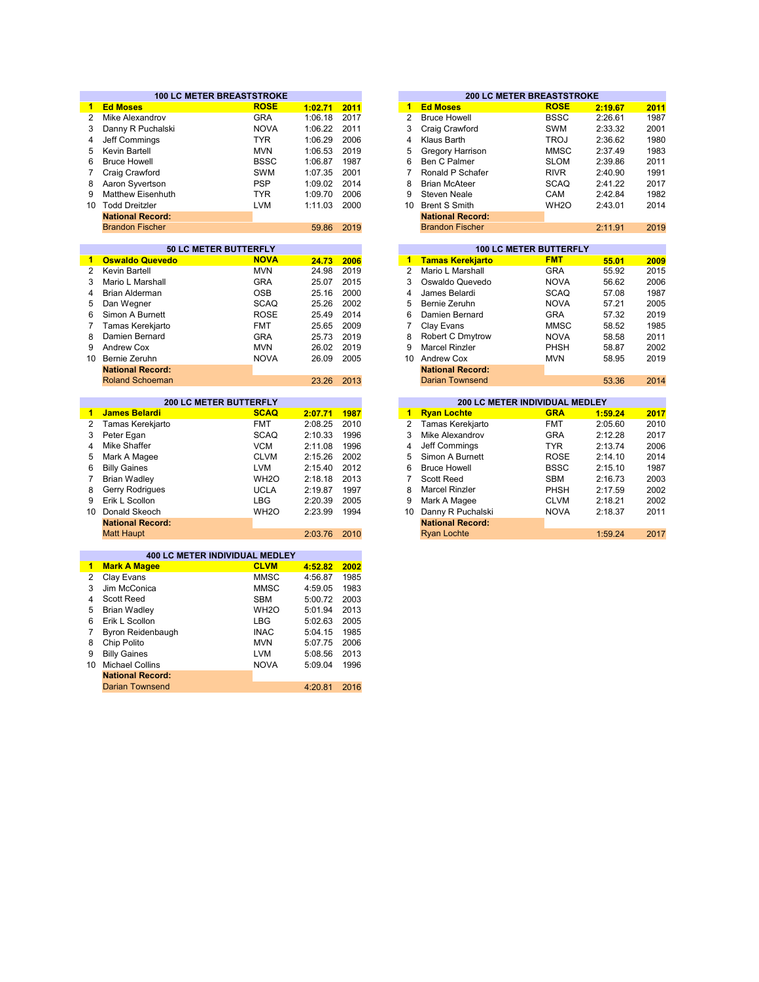|                | <b>100 LC METER BREASTSTROKE</b>                  |                   |         |      |                 | <b>200 LC METER BREASTSTROKE</b>      |                               |         |      |
|----------------|---------------------------------------------------|-------------------|---------|------|-----------------|---------------------------------------|-------------------------------|---------|------|
| 1              | <b>Ed Moses</b>                                   | <b>ROSE</b>       | 1:02.71 | 2011 | $\mathbf{1}$    | <b>Ed Moses</b>                       | <b>ROSE</b>                   | 2:19.67 | 2011 |
| $\overline{2}$ | Mike Alexandrov                                   | <b>GRA</b>        | 1:06.18 | 2017 | $\overline{c}$  | <b>Bruce Howell</b>                   | <b>BSSC</b>                   | 2:26.61 | 1987 |
| 3              | Danny R Puchalski                                 | <b>NOVA</b>       | 1:06.22 | 2011 | 3               | Craig Crawford                        | SWM                           | 2:33.32 | 2001 |
| 4              | Jeff Commings                                     | <b>TYR</b>        | 1:06.29 | 2006 | 4               | Klaus Barth                           | <b>TROJ</b>                   | 2:36.62 | 1980 |
| 5              | Kevin Bartell                                     | <b>MVN</b>        | 1:06.53 | 2019 | 5               | Gregory Harrison                      | <b>MMSC</b>                   | 2:37.49 | 1983 |
| 6              | <b>Bruce Howell</b>                               | <b>BSSC</b>       | 1:06.87 | 1987 | 6               | Ben C Palmer                          | <b>SLOM</b>                   | 2:39.86 | 2011 |
| 7              | Craig Crawford                                    | <b>SWM</b>        | 1:07.35 | 2001 | $\overline{7}$  | Ronald P Schafer                      | <b>RIVR</b>                   | 2:40.90 | 1991 |
| 8              | Aaron Syvertson                                   | <b>PSP</b>        | 1:09.02 | 2014 | 8               | <b>Brian McAteer</b>                  | <b>SCAQ</b>                   | 2:41.22 | 2017 |
| 9              | Matthew Eisenhuth                                 | <b>TYR</b>        | 1:09.70 | 2006 | 9               | <b>Steven Neale</b>                   | CAM                           | 2:42.84 | 1982 |
| 10             | <b>Todd Dreitzler</b>                             | <b>LVM</b>        | 1:11.03 | 2000 | 10              | <b>Brent S Smith</b>                  | WH <sub>20</sub>              | 2:43.01 | 2014 |
|                | <b>National Record:</b>                           |                   |         |      |                 | <b>National Record:</b>               |                               |         |      |
|                | <b>Brandon Fischer</b>                            |                   | 59.86   | 2019 |                 | <b>Brandon Fischer</b>                |                               | 2:11.91 | 2019 |
|                |                                                   |                   |         |      |                 |                                       |                               |         |      |
|                | 50 LC METER BUTTERFLY                             |                   |         |      |                 |                                       | <b>100 LC METER BUTTERFLY</b> |         |      |
| $\blacksquare$ | <b>Oswaldo Quevedo</b>                            | <b>NOVA</b>       | 24.73   | 2006 | $\mathbf{1}$    | <b>Tamas Kerekjarto</b>               | <b>FMT</b>                    | 55.01   | 2009 |
| $\overline{2}$ | <b>Kevin Bartell</b>                              | <b>MVN</b>        | 24.98   | 2019 | $\overline{2}$  | Mario L Marshall                      | <b>GRA</b>                    | 55.92   | 2015 |
| 3              | Mario L Marshall                                  | <b>GRA</b>        | 25.07   | 2015 | 3               | Oswaldo Quevedo                       | <b>NOVA</b>                   | 56.62   | 2006 |
| 4              | <b>Brian Alderman</b>                             | <b>OSB</b>        | 25.16   | 2000 | 4               | James Belardi                         | <b>SCAQ</b>                   | 57.08   | 1987 |
| 5              | Dan Wegner                                        | <b>SCAQ</b>       | 25.26   | 2002 | 5               | Bernie Zeruhn                         | <b>NOVA</b>                   | 57.21   | 2005 |
| 6              | Simon A Burnett                                   | <b>ROSE</b>       | 25.49   | 2014 | 6               | Damien Bernard                        | <b>GRA</b>                    | 57.32   | 2019 |
| $\overline{7}$ | Tamas Kerekjarto                                  | <b>FMT</b>        | 25.65   | 2009 | $\overline{7}$  | Clay Evans                            | <b>MMSC</b>                   | 58.52   | 1985 |
| 8              | Damien Bernard                                    | <b>GRA</b>        | 25.73   | 2019 | 8               | Robert C Dmytrow                      | <b>NOVA</b>                   | 58.58   | 2011 |
| 9              | <b>Andrew Cox</b>                                 | <b>MVN</b>        | 26.02   | 2019 | 9               | <b>Marcel Rinzler</b>                 | PHSH                          | 58.87   | 2002 |
|                | 10 Bernie Zeruhn                                  | <b>NOVA</b>       | 26.09   | 2005 | 10 <sup>1</sup> | <b>Andrew Cox</b>                     | <b>MVN</b>                    | 58.95   | 2019 |
|                | <b>National Record:</b>                           |                   |         |      |                 | <b>National Record:</b>               |                               |         |      |
|                | <b>Roland Schoeman</b>                            |                   | 23.26   | 2013 |                 | <b>Darian Townsend</b>                |                               | 53.36   | 2014 |
|                |                                                   |                   |         |      |                 |                                       |                               |         |      |
|                |                                                   |                   |         |      |                 |                                       |                               |         |      |
|                | <b>200 LC METER BUTTERFLY</b>                     |                   |         |      |                 | <b>200 LC METER INDIVIDUAL MEDLEY</b> |                               |         |      |
| 1.             | <b>James Belardi</b>                              | <b>SCAQ</b>       | 2:07.71 | 1987 | 1               | <b>Ryan Lochte</b>                    | <b>GRA</b>                    | 1:59.24 | 2017 |
| 2              | Tamas Kerekjarto                                  | <b>FMT</b>        | 2:08.25 | 2010 | $\overline{2}$  | Tamas Kerekjarto                      | <b>FMT</b>                    | 2:05.60 | 2010 |
| 3              | Peter Egan                                        | <b>SCAQ</b>       | 2:10.33 | 1996 | 3               | Mike Alexandrov                       | <b>GRA</b>                    | 2:12.28 | 2017 |
| 4              | Mike Shaffer                                      | <b>VCM</b>        | 2:11.08 | 1996 | 4               | Jeff Commings                         | <b>TYR</b>                    | 2:13.74 | 2006 |
| 5              | Mark A Magee                                      | <b>CLVM</b>       | 2:15.26 | 2002 | 5               | Simon A Burnett                       | <b>ROSE</b>                   | 2:14.10 | 2014 |
| 6              | <b>Billy Gaines</b>                               | <b>LVM</b>        | 2:15.40 | 2012 | 6               | <b>Bruce Howell</b>                   | <b>BSSC</b>                   | 2:15.10 | 1987 |
| $\overline{7}$ | <b>Brian Wadley</b>                               | WH <sub>2</sub> O | 2:18.18 | 2013 | $\overline{7}$  | <b>Scott Reed</b>                     | <b>SBM</b>                    | 2:16.73 | 2003 |
| 8              | Gerry Rodrigues                                   | <b>UCLA</b>       | 2:19.87 | 1997 | 8               | <b>Marcel Rinzler</b>                 | PHSH                          | 2:17.59 | 2002 |
| 9              | Erik L Scollon                                    | <b>LBG</b>        | 2:20.39 | 2005 | 9               | Mark A Magee                          | <b>CLVM</b>                   | 2:18.21 | 2002 |
|                | 10 Donald Skeoch                                  | WH <sub>2</sub> O | 2:23.99 | 1994 | 10              | Danny R Puchalski                     | <b>NOVA</b>                   | 2:18.37 | 2011 |
|                | <b>National Record:</b>                           |                   |         |      |                 | <b>National Record:</b>               |                               |         |      |
|                | <b>Matt Haupt</b>                                 |                   | 2:03.76 | 2010 |                 | <b>Ryan Lochte</b>                    |                               | 1:59.24 | 2017 |
|                |                                                   |                   |         |      |                 |                                       |                               |         |      |
|                | 400 LC METER INDIVIDUAL MEDLEY                    |                   |         |      |                 |                                       |                               |         |      |
| 1.             | <b>Mark A Magee</b>                               | <b>CLVM</b>       | 4:52.82 | 2002 |                 |                                       |                               |         |      |
| 2              | Clay Evans                                        | <b>MMSC</b>       | 4:56.87 | 1985 |                 |                                       |                               |         |      |
| 3              | Jim McConica                                      | <b>MMSC</b>       | 4:59.05 | 1983 |                 |                                       |                               |         |      |
| 4              | <b>Scott Reed</b>                                 | <b>SBM</b>        | 5:00.72 | 2003 |                 |                                       |                               |         |      |
| 5              | <b>Brian Wadley</b>                               | WH <sub>2</sub> O | 5:01.94 | 2013 |                 |                                       |                               |         |      |
| 6              | Erik L Scollon                                    | LBG               | 5:02.63 | 2005 |                 |                                       |                               |         |      |
| $\overline{7}$ | Byron Reidenbaugh                                 | <b>INAC</b>       | 5:04.15 | 1985 |                 |                                       |                               |         |      |
| 8              | Chip Polito                                       | <b>MVN</b>        | 5:07.75 | 2006 |                 |                                       |                               |         |      |
| 9              | <b>Billy Gaines</b>                               | <b>LVM</b>        | 5:08.56 | 2013 |                 |                                       |                               |         |      |
| 10             | <b>Michael Collins</b>                            | <b>NOVA</b>       | 5:09.04 | 1996 |                 |                                       |                               |         |      |
|                | <b>National Record:</b><br><b>Darian Townsend</b> |                   | 4:20.81 | 2016 |                 |                                       |                               |         |      |

|              |      |    | <b>200 LC METER BREASTSTROKE</b> |                               |              |
|--------------|------|----|----------------------------------|-------------------------------|--------------|
| 02.71        | 2011 | 1  | <b>Ed Moses</b>                  | <b>ROSE</b>                   | 2:19.67      |
| 06.18        | 2017 | 2  | <b>Bruce Howell</b>              | <b>BSSC</b>                   | 2:26.61      |
| 06.22        | 2011 | 3  | Craig Crawford                   | <b>SWM</b>                    | 2:33.32      |
| 06.29        | 2006 | 4  | Klaus Barth                      | <b>TROJ</b>                   | 2:36.62      |
| 06.53        | 2019 | 5  | Gregory Harrison                 | <b>MMSC</b>                   | 2:37.49      |
| 06.87        | 1987 | 6  | Ben C Palmer                     | <b>SLOM</b>                   | 2:39.86      |
| 07.35        | 2001 | 7  | Ronald P Schafer                 | <b>RIVR</b>                   | 2:40.90      |
| 09.02        | 2014 | 8  | <b>Brian McAteer</b>             | <b>SCAQ</b>                   | 2:41.22      |
| 09.70        | 2006 | 9  | Steven Neale                     | CAM                           | 2:42.84      |
| 11.03        | 2000 | 10 | <b>Brent S Smith</b>             | WH <sub>2</sub> O             | 2:43.01      |
|              |      |    | <b>National Record:</b>          |                               |              |
| 59.86        | 2019 |    | <b>Brandon Fischer</b>           |                               | 2:11.91      |
|              |      |    |                                  |                               |              |
|              |      |    |                                  | <b>100 LC METER BUTTERFLY</b> |              |
| <b>24.72</b> | 2006 | 4  | Tamae Korokiarto                 | <b>EMT</b>                    | <b>EE 04</b> |

| 24.73 | 2006 | 1  | <u>Tamas Kerekjarto</u> | <b>FMT</b>  | 55.01 | 2009 |
|-------|------|----|-------------------------|-------------|-------|------|
| 24.98 | 2019 | 2  | Mario L Marshall        | <b>GRA</b>  | 55.92 | 2015 |
| 25.07 | 2015 | 3  | Oswaldo Quevedo         | <b>NOVA</b> | 56.62 | 2006 |
| 25.16 | 2000 | 4  | James Belardi           | <b>SCAQ</b> | 57.08 | 1987 |
| 25.26 | 2002 | 5  | Bernie Zeruhn           | <b>NOVA</b> | 57.21 | 2005 |
| 25.49 | 2014 | 6  | Damien Bernard          | <b>GRA</b>  | 57.32 | 2019 |
| 25.65 | 2009 | 7  | Clay Evans              | <b>MMSC</b> | 58.52 | 1985 |
| 25.73 | 2019 | 8  | Robert C Dmytrow        | <b>NOVA</b> | 58.58 | 2011 |
| 26.02 | 2019 | 9  | <b>Marcel Rinzler</b>   | PHSH        | 58.87 | 2002 |
| 26.09 | 2005 | 10 | <b>Andrew Cox</b>       | <b>MVN</b>  | 58.95 | 2019 |
|       |      |    | <b>National Record:</b> |             |       |      |
| 23.26 | 2013 |    | <b>Darian Townsend</b>  |             | 53.36 | 2014 |
|       |      |    |                         |             |       |      |

|         |      |                       |                         | <b>200 LC METER INDIVIDUAL MEDLEY</b> |         |
|---------|------|-----------------------|-------------------------|---------------------------------------|---------|
| 2:07.71 | 1987 | 1                     | <b>Ryan Lochte</b>      | <b>GRA</b>                            | 1:59.24 |
| 2:08.25 | 2010 | $\mathbf{2}^{\prime}$ | Tamas Kerekjarto        | <b>FMT</b>                            | 2:05.60 |
| 2:10.33 | 1996 | 3                     | Mike Alexandrov         | <b>GRA</b>                            | 2:12.28 |
| 2:11.08 | 1996 | 4                     | Jeff Commings           | <b>TYR</b>                            | 2:13.74 |
| 2:15.26 | 2002 | 5                     | Simon A Burnett         | <b>ROSE</b>                           | 2:14.10 |
| 2:15.40 | 2012 | 6                     | <b>Bruce Howell</b>     | <b>BSSC</b>                           | 2:15.10 |
| 2:18.18 | 2013 |                       | <b>Scott Reed</b>       | <b>SBM</b>                            | 2:16.73 |
| 2:19.87 | 1997 | 8                     | <b>Marcel Rinzler</b>   | <b>PHSH</b>                           | 2:17.59 |
| 2:20.39 | 2005 | 9                     | Mark A Magee            | <b>CLVM</b>                           | 2:18.21 |
| 2:23.99 | 1994 | 10                    | Danny R Puchalski       | <b>NOVA</b>                           | 2:18.37 |
|         |      |                       | <b>National Record:</b> |                                       |         |
| 2:03.76 | 2010 |                       | <b>Ryan Lochte</b>      |                                       | 1:59.24 |
|         |      |                       |                         |                                       |         |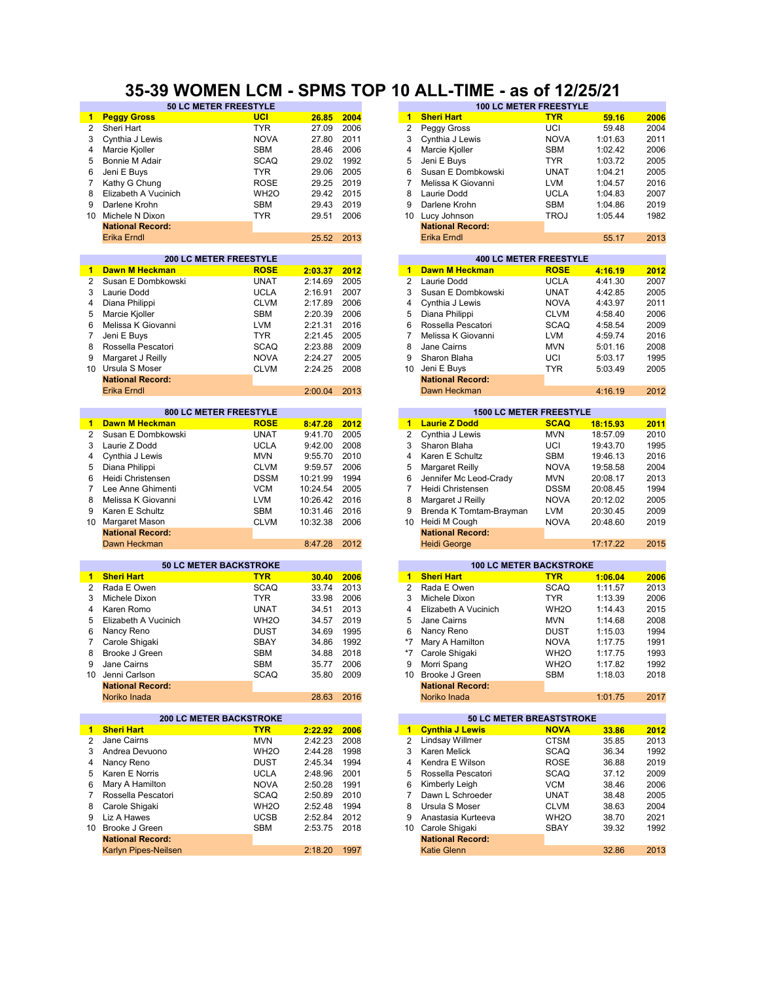### **35-39 WOMEN LCM - SPMS TOP 10 ALL-TIME - as of 12/25/21**

|                      | 50 LC METER FREESTYLE            |                           |          |              |                                        | <b>100 LC METER FREESTYLE</b>    |                           |          |      |
|----------------------|----------------------------------|---------------------------|----------|--------------|----------------------------------------|----------------------------------|---------------------------|----------|------|
| $\mathbf{1}$         | <b>Peggy Gross</b>               | <b>UCI</b>                | 26.85    | 2004         | $\blacktriangleleft$                   | <b>Sheri Hart</b>                | <b>TYR</b>                | 59.16    | 2006 |
| $\overline{2}$       | Sheri Hart                       | <b>TYR</b>                | 27.09    | 2006         | 2                                      | Peggy Gross                      | UCI                       | 59.48    | 2004 |
| 3                    | Cynthia J Lewis                  | <b>NOVA</b>               | 27.80    | 2011         | 3                                      | Cynthia J Lewis                  | <b>NOVA</b>               | 1:01.63  | 2011 |
| 4                    | Marcie Kjoller                   | <b>SBM</b>                | 28.46    | 2006         | 4                                      | Marcie Kjoller                   | <b>SBM</b>                | 1:02.42  | 2006 |
| 5                    | Bonnie M Adair                   | <b>SCAQ</b>               | 29.02    | 1992         | 5                                      | Jeni E Buys                      | <b>TYR</b>                | 1:03.72  | 2005 |
| 6                    | Jeni E Buys                      | <b>TYR</b>                | 29.06    | 2005         | 6                                      | Susan E Dombkowski               | <b>UNAT</b>               | 1:04.21  | 2005 |
| 7                    | Kathy G Chung                    | <b>ROSE</b>               | 29.25    | 2019         | $\overline{7}$                         | Melissa K Giovanni               | <b>LVM</b>                | 1:04.57  | 2016 |
| 8                    | Elizabeth A Vucinich             | WH <sub>2</sub> O         | 29.42    | 2015         | 8                                      | Laurie Dodd                      | <b>UCLA</b>               | 1:04.83  | 2007 |
| 9                    | Darlene Krohn                    | <b>SBM</b>                | 29.43    | 2019         | 9                                      | Darlene Krohn                    | <b>SBM</b>                | 1:04.86  | 2019 |
| 10                   | Michele N Dixon                  | <b>TYR</b>                | 29.51    | 2006         | 10 <sup>1</sup>                        | Lucy Johnson                     | <b>TROJ</b>               | 1:05.44  | 1982 |
|                      | <b>National Record:</b>          |                           |          |              |                                        | <b>National Record:</b>          |                           |          |      |
|                      | <b>Erika Erndl</b>               |                           | 25.52    | 2013         |                                        | <b>Erika Erndl</b>               |                           | 55.17    | 2013 |
|                      |                                  |                           |          |              |                                        |                                  |                           |          |      |
|                      | <b>200 LC METER FREESTYLE</b>    |                           |          |              |                                        | <b>400 LC METER FREESTYLE</b>    |                           |          |      |
| 1.                   | <b>Dawn M Heckman</b>            | <b>ROSE</b>               | 2:03.37  | 2012         | $\blacktriangleleft$                   | <b>Dawn M Heckman</b>            | <b>ROSE</b>               | 4:16.19  | 2012 |
| 2                    | Susan E Dombkowski               | <b>UNAT</b>               | 2:14.69  | 2005         | $\overline{2}$                         | Laurie Dodd                      | <b>UCLA</b>               | 4:41.30  | 2007 |
| 3                    | Laurie Dodd                      | <b>UCLA</b>               | 2:16.91  | 2007         | 3                                      | Susan E Dombkowski               | <b>UNAT</b>               | 4:42.85  | 2005 |
| 4                    | Diana Philippi                   | <b>CLVM</b>               | 2:17.89  | 2006         | $\overline{4}$                         | Cynthia J Lewis                  | <b>NOVA</b>               | 4:43.97  | 2011 |
| 5                    | Marcie Kjoller                   | <b>SBM</b>                | 2:20.39  | 2006         | 5                                      | Diana Philippi                   | <b>CLVM</b>               | 4:58.40  | 2006 |
| 6                    | Melissa K Giovanni               | <b>LVM</b>                | 2:21.31  | 2016         | 6                                      | Rossella Pescatori               | <b>SCAQ</b>               | 4:58.54  | 2009 |
| 7                    | Jeni E Buys                      | <b>TYR</b>                | 2:21.45  | 2005         | 7                                      | Melissa K Giovanni               | <b>LVM</b>                | 4:59.74  | 2016 |
| 8                    | Rossella Pescatori               | <b>SCAQ</b>               | 2:23.88  | 2009         | 8                                      | Jane Cairns                      | <b>MVN</b>                | 5:01.16  | 2008 |
| 9                    | Margaret J Reilly                | <b>NOVA</b>               | 2:24.27  | 2005         | 9                                      | Sharon Blaha                     | UCI                       | 5:03.17  | 1995 |
| 10                   | Ursula S Moser                   | <b>CLVM</b>               | 2:24.25  | 2008         | 10                                     | Jeni E Buys                      | <b>TYR</b>                | 5:03.49  | 2005 |
|                      | <b>National Record:</b>          |                           |          |              |                                        | <b>National Record:</b>          |                           |          |      |
|                      | <b>Erika Erndl</b>               |                           | 2:00.04  | 2013         |                                        | Dawn Heckman                     |                           | 4:16.19  | 2012 |
|                      |                                  |                           |          |              |                                        |                                  |                           |          |      |
|                      | 800 LC METER FREESTYLE           |                           |          |              |                                        | <b>1500 LC METER FREESTYLE</b>   |                           |          |      |
| 1                    | <b>Dawn M Heckman</b>            | <b>ROSE</b>               | 8:47.28  | 2012         | $\mathbf{1}$                           | <b>Laurie Z Dodd</b>             | <b>SCAQ</b>               | 18:15.93 | 2011 |
| 2                    | Susan E Dombkowski               | <b>UNAT</b>               | 9:41.70  | 2005         | $\overline{2}$                         | Cynthia J Lewis                  | <b>MVN</b>                | 18:57.09 | 2010 |
| 3                    | Laurie Z Dodd                    | <b>UCLA</b>               | 9:42.00  | 2008         | 3                                      | Sharon Blaha                     | UCI                       | 19:43.70 | 1995 |
| 4                    | Cynthia J Lewis                  | <b>MVN</b>                | 9:55.70  | 2010         | 4                                      | Karen E Schultz                  | <b>SBM</b>                | 19:46.13 | 2016 |
| 5                    | Diana Philippi                   | <b>CLVM</b>               | 9:59.57  | 2006         | 5                                      | Margaret Reilly                  | <b>NOVA</b>               | 19:58.58 | 2004 |
| 6                    | Heidi Christensen                | <b>DSSM</b>               | 10:21.99 | 1994         | 6                                      | Jennifer Mc Leod-Crady           | <b>MVN</b>                | 20:08.17 | 2013 |
| $\overline{7}$       | Lee Anne Ghimenti                | <b>VCM</b>                | 10:24.54 | 2005         | $\overline{7}$                         | Heidi Christensen                | <b>DSSM</b>               | 20:08.45 | 1994 |
| 8                    | Melissa K Giovanni               | <b>LVM</b>                | 10:26.42 | 2016         | 8                                      | Margaret J Reilly                | <b>NOVA</b>               | 20:12.02 | 2005 |
| 9                    | Karen E Schultz                  | <b>SBM</b>                | 10:31.46 | 2016         | 9                                      | Brenda K Tomtam-Brayman          | <b>LVM</b>                | 20:30.45 | 2009 |
| 10                   | Margaret Mason                   | <b>CLVM</b>               | 10:32.38 | 2006         | 10 <sup>°</sup>                        | Heidi M Cough                    | <b>NOVA</b>               | 20:48.60 | 2019 |
|                      | <b>National Record:</b>          |                           |          |              |                                        | <b>National Record:</b>          |                           |          |      |
|                      | Dawn Heckman                     |                           | 8:47.28  | 2012         |                                        | <b>Heidi George</b>              |                           | 17:17.22 | 2015 |
|                      |                                  |                           |          |              |                                        |                                  |                           |          |      |
|                      | <b>50 LC METER BACKSTROKE</b>    |                           |          |              |                                        | <b>100 LC METER BACKSTROKE</b>   |                           |          |      |
| 1.<br>$\overline{2}$ | <b>Sheri Hart</b><br>Rada E Owen | <b>TYR</b><br><b>SCAQ</b> | 30.40    | 2006<br>2013 | $\blacktriangleleft$<br>$\overline{2}$ | <b>Sheri Hart</b><br>Rada E Owen | <b>TYR</b><br><b>SCAQ</b> | 1:06.04  | 2006 |
|                      |                                  |                           | 33.74    |              |                                        |                                  |                           | 1:11.57  | 2013 |
| 3                    | Michele Dixon                    | <b>TYR</b>                | 33.98    | 2006         | 3                                      | Michele Dixon                    | <b>TYR</b>                | 1:13.39  | 2006 |
| 4                    | Karen Romo                       | <b>UNAT</b>               | 34.51    | 2013         | 4                                      | Elizabeth A Vucinich             | WH <sub>2</sub> O         | 1:14.43  | 2015 |
| 5                    | Elizabeth A Vucinich             | WH <sub>2</sub> O         | 34.57    | 2019         | 5                                      | Jane Cairns                      | <b>MVN</b>                | 1:14.68  | 2008 |
| 6                    | Nancy Reno                       | <b>DUST</b>               | 34.69    | 1995         | 6                                      | Nancy Reno                       | <b>DUST</b>               | 1:15.03  | 1994 |
| 7                    | Carole Shigaki                   | SBAY                      | 34.86    | 1992         | *7                                     | Mary A Hamilton                  | <b>NOVA</b>               | 1:17.75  | 1991 |
| 8                    | Brooke J Green                   | <b>SBM</b>                | 34.88    | 2018         | $*7$                                   | Carole Shigaki                   | WH <sub>2</sub> O         | 1:17.75  | 1993 |
| 9                    | Jane Cairns                      | <b>SBM</b>                | 35.77    | 2006         | 9                                      | Morri Spang                      | WH <sub>2</sub> O         | 1:17.82  | 1992 |
| 10                   | Jenni Carlson                    | <b>SCAQ</b>               | 35.80    | 2009         | 10                                     | Brooke J Green                   | <b>SBM</b>                | 1:18.03  | 2018 |
|                      | <b>National Record:</b>          |                           |          |              |                                        | <b>National Record:</b>          |                           |          |      |
|                      | Noriko Inada                     |                           | 28.63    | 2016         |                                        | Noriko Inada                     |                           | 1:01.75  | 2017 |
|                      | <b>200 LC METER BACKSTROKE</b>   |                           |          |              |                                        | 50 LC METER BREASTSTROKE         |                           |          |      |
| $\mathbf{1}$         | <b>Sheri Hart</b>                | <b>TYR</b>                | 2:22.92  | 2006         | $\blacksquare$                         | <b>Cynthia J Lewis</b>           | <b>NOVA</b>               | 33.86    | 2012 |
| 2                    | Jane Cairns                      | <b>MVN</b>                | 2:42.23  | 2008         | 2                                      | Lindsay Willmer                  | <b>CTSM</b>               | 35.85    | 2013 |
| 3                    | Andrea Devuono                   | WH <sub>2</sub> O         | 2:44.28  | 1998         | 3                                      | Karen Melick                     | <b>SCAQ</b>               | 36.34    | 1992 |
| 4                    | Nancy Reno                       | DUST                      | 2:45.34  | 1994         | 4                                      | Kendra E Wilson                  | ROSE                      | 36.88    | 2019 |
| 5                    | Karen E Norris                   | <b>UCLA</b>               | 2:48.96  | 2001         | 5                                      | Rossella Pescatori               | <b>SCAQ</b>               | 37.12    | 2009 |
| 6                    | Mary A Hamilton                  | <b>NOVA</b>               | 2:50.28  | 1991         | 6                                      | Kimberly Leigh                   | <b>VCM</b>                | 38.46    | 2006 |
| 7                    | Rossella Pescatori               | <b>SCAQ</b>               | 2:50.89  | 2010         | 7                                      | Dawn L Schroeder                 | <b>UNAT</b>               | 38.48    | 2005 |
| 8                    | Carole Shigaki                   | WH <sub>20</sub>          | 2:52.48  | 1994         | 8                                      | Ursula S Moser                   | <b>CLVM</b>               | 38.63    | 2004 |
| 9                    | Liz A Hawes                      | <b>UCSB</b>               | 2:52.84  | 2012         | 9                                      | Anastasia Kurteeva               | WH <sub>2</sub> O         | 38.70    | 2021 |
|                      | 10 Brooke J Green                | SBM                       | 2:53.75  | 2018         | 10                                     | Carole Shigaki                   | SBAY                      | 39.32    | 1992 |
|                      | <b>National Record:</b>          |                           |          |              |                                        | <b>National Record:</b>          |                           |          |      |
|                      | Karlyn Pipes-Neilsen             |                           | 2:18.20  | 1997         |                                        | <b>Katie Glenn</b>               |                           | 32.86    | 2013 |
|                      |                                  |                           |          |              |                                        |                                  |                           |          |      |

| 26.85              | 2004 |
|--------------------|------|
| 27.09              | 2006 |
| 27.80              | 2011 |
| 28.46              | 2006 |
| 29.02              | 1992 |
| 29.06              | 2005 |
| 29.25              | 2019 |
| 29.42              | 2015 |
| 29.43              | 2019 |
| 29.51              | 2006 |
|                    |      |
| 25.52              | 2013 |
|                    |      |
|                    |      |
| 2:03.37            | 2012 |
| 2:14.69            | 2005 |
| 2:16.91            | 2007 |
| 2:17.89            | 2006 |
| 2:20.39            | 2006 |
| 2:21.31            | 2016 |
|                    |      |
| 2:21.45            | 2005 |
| 2:23.88            | 2009 |
| 2:24.27            | 2005 |
| 2:24.25            | 2008 |
|                    |      |
| 2:00.04            | 2013 |
|                    |      |
|                    |      |
| 8:47.28            | 2012 |
| 9:41.70            | 2005 |
| 9:42.00            | 2008 |
| 9:55.70            | 2010 |
| 9:59.57            | 2006 |
| 0:21.99            | 1994 |
|                    |      |
| 0:24.54            | 2005 |
| 0:26.42            | 2016 |
| 0:31.46            | 2016 |
| 0:32.38            | 2006 |
|                    |      |
| 8:47.28            | 2012 |
|                    |      |
|                    |      |
| 30.40              | 2006 |
| 33.74              | 2013 |
| 33.98              | 2006 |
| 34.51              | 2013 |
| 34.57              | 2019 |
| 34.69              | 1995 |
| 34.86              | 1992 |
| 34.88              | 2018 |
| 35.77              | 2006 |
| 35.80              | 2009 |
|                    |      |
| 28.63              | 2016 |
|                    |      |
|                    |      |
| 2:22.92            | 2006 |
| 2:42.23<br>2:44.28 | 2008 |

| <u>Cynthia J Lewis</u>  | NUVA              | 33.86 | 2012 |
|-------------------------|-------------------|-------|------|
| Lindsay Willmer         | <b>CTSM</b>       | 35.85 | 2013 |
| Karen Melick            | <b>SCAQ</b>       | 36.34 | 1992 |
| Kendra E Wilson         | <b>ROSE</b>       | 36.88 | 2019 |
| Rossella Pescatori      | <b>SCAQ</b>       | 37.12 | 2009 |
| Kimberly Leigh          | <b>VCM</b>        | 38.46 | 2006 |
| Dawn L Schroeder        | <b>UNAT</b>       | 38.48 | 2005 |
| Ursula S Moser          | <b>CLVM</b>       | 38.63 | 2004 |
| Anastasia Kurteeva      | WH <sub>2</sub> O | 38.70 | 2021 |
| Carole Shigaki          | <b>SBAY</b>       | 39.32 | 1992 |
| <b>National Record:</b> |                   |       |      |
|                         |                   |       |      |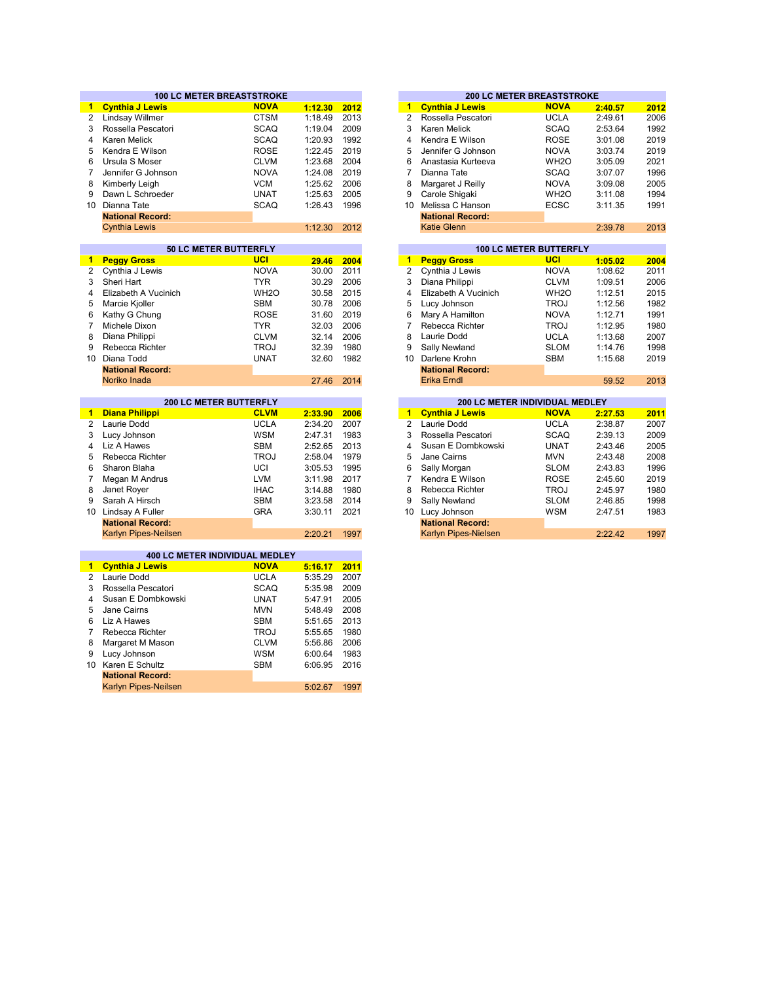|                | <b>100 LC METER BREASTSTROKE</b> |                   |         |      |
|----------------|----------------------------------|-------------------|---------|------|
| $\blacksquare$ | <b>Cynthia J Lewis</b>           | <b>NOVA</b>       | 1:12.30 | 2012 |
|                | Lindsay Willmer                  | <b>CTSM</b>       | 1:18.49 | 2013 |
|                | Rossella Pescatori               | <b>SCAQ</b>       | 1:19.04 | 2009 |
|                | <b>Karen Melick</b>              | <b>SCAQ</b>       | 1:20.93 | 1992 |
|                | Kendra E Wilson                  | <b>ROSE</b>       | 1:22.45 | 2019 |
|                | Ursula S Moser                   | <b>CLVM</b>       | 1:23.68 | 2004 |
|                | Jennifer G Johnson               | <b>NOVA</b>       | 1:24.08 | 2019 |
|                | Kimberly Leigh                   | <b>VCM</b>        | 1:25.62 | 2006 |
|                | Dawn L Schroeder                 | <b>UNAT</b>       | 1:25.63 | 2005 |
|                | 10 Dianna Tate                   | <b>SCAQ</b>       | 1:26.43 | 1996 |
|                | <b>National Record:</b>          |                   |         |      |
|                | <b>Cynthia Lewis</b>             |                   | 1:12.30 | 2012 |
|                |                                  |                   |         |      |
|                | <b>50 LC METER BUTTERFLY</b>     |                   |         |      |
|                | <b>Peggy Gross</b>               | UCI               | 29.46   | 2004 |
|                | Cynthia J Lewis                  | <b>NOVA</b>       | 30.00   | 2011 |
|                | Sheri Hart                       | <b>TYR</b>        | 30.29   | 2006 |
|                | Elizabeth A Vucinich             | WH <sub>2</sub> O | 30.58   | 2015 |
|                | Marcie Kjoller                   | <b>SBM</b>        | 30.78   | 2006 |
|                | Kathy G Chung                    | <b>ROSE</b>       | 31.60   | 2019 |
|                | Michele Dixon                    | <b>TYR</b>        | 32.03   | 2006 |
|                | Diana Philippi                   | <b>CLVM</b>       | 32.14   | 2006 |
|                | Rebecca Richter                  | <b>TROJ</b>       | 32.39   | 1980 |
|                | Diana Todd                       | <b>UNAT</b>       | 32.60   | 1982 |
|                | <b>National Record:</b>          |                   |         |      |
|                | Noriko Inada                     |                   | 27.46   | 2014 |
|                |                                  |                   |         |      |
|                | <b>200 LC METER BUTTERFLY</b>    |                   |         |      |
|                | <b>Diana Philippi</b>            | <b>CLVM</b>       | 2:33.90 | 2006 |
|                | Laurie Dodd                      | <b>UCLA</b>       | 2:34.20 | 2007 |
|                | Lucy Johnson                     | <b>WSM</b>        | 2:47.31 | 1983 |
|                | Liz A Hawes                      | <b>SBM</b>        | 2:52.65 | 2013 |
|                | Rebecca Richter                  | <b>TROJ</b>       | 2:58.04 | 1979 |
|                | Sharon Blaha                     | UCI               | 3:05.53 | 1995 |
|                | Megan M Andrus                   | <b>LVM</b>        | 3:11.98 | 2017 |
|                | Janet Royer                      | <b>IHAC</b>       | 3:14.88 | 1980 |
|                | Sarah A Hirsch                   | <b>SBM</b>        | 3:23.58 | 2014 |
|                | 10 Lindsay A Fuller              | <b>GRA</b>        | 3:30.11 | 2021 |
|                | <b>National Record:</b>          |                   |         |      |
|                | Karlyn Pipes-Neilsen             |                   | 2:20.21 | 1997 |
|                |                                  |                   |         |      |
|                | 400 LC METER INDIVIDUAL MEDLEY   |                   |         |      |
|                | <b>Cynthia J Lewis</b>           | <b>NOVA</b>       | 5:16.17 | 2011 |
|                | Laurie Dodd                      | <b>UCLA</b>       | 5:35.29 | 2007 |
|                | Rossella Pescatori               | <b>SCAQ</b>       | 5:35.98 | 2009 |
|                | Susan E Dombkowski               | <b>UNAT</b>       | 5:47.91 | 2005 |
|                | Jane Cairns                      | <b>MVN</b>        | 5:48.49 | 2008 |
|                |                                  |                   |         |      |
|                | Liz A Hawes                      | <b>SBM</b>        | 5:51.65 | 2013 |
|                | Rebecca Richter                  | <b>TROJ</b>       | 5:55.65 | 1980 |
|                | Margaret M Mason                 | <b>CLVM</b>       | 5:56.86 | 2006 |
|                | Lucy Johnson                     | <b>WSM</b>        | 6:00.64 | 1983 |
|                | 10 Karen E Schultz               | <b>SBM</b>        | 6:06.95 | 2016 |
|                | <b>National Record:</b>          |                   |         |      |

Karlyn Pipes-Neilsen

5:02.67 1997

|         |      |                               | <b>200 LC METER BREASTSTROKE</b> |  |                   |  |         |      |  |  |  |
|---------|------|-------------------------------|----------------------------------|--|-------------------|--|---------|------|--|--|--|
| 1:12.30 | 2012 | 1                             | <b>Cynthia J Lewis</b>           |  | <b>NOVA</b>       |  | 2:40.57 | 2012 |  |  |  |
| 1:18.49 | 2013 | 2                             | Rossella Pescatori               |  | <b>UCLA</b>       |  | 2:49.61 | 2006 |  |  |  |
| 1:19.04 | 2009 | 3                             | Karen Melick                     |  | <b>SCAQ</b>       |  | 2:53.64 | 1992 |  |  |  |
| 1:20.93 | 1992 | 4                             | Kendra E Wilson                  |  | <b>ROSE</b>       |  | 3:01.08 | 2019 |  |  |  |
| 1:22.45 | 2019 | 5                             | Jennifer G Johnson               |  | <b>NOVA</b>       |  | 3:03.74 | 2019 |  |  |  |
| 1:23.68 | 2004 | 6                             | Anastasia Kurteeva               |  | WH <sub>2</sub> O |  | 3:05.09 | 2021 |  |  |  |
| 1:24.08 | 2019 | 7                             | Dianna Tate                      |  | <b>SCAQ</b>       |  | 3:07.07 | 1996 |  |  |  |
| 1:25.62 | 2006 | 8                             | Margaret J Reilly                |  | <b>NOVA</b>       |  | 3:09.08 | 2005 |  |  |  |
| 1:25.63 | 2005 | 9                             | Carole Shigaki                   |  | WH <sub>2</sub> O |  | 3:11.08 | 1994 |  |  |  |
| 1:26.43 | 1996 | 10                            | Melissa C Hanson                 |  | <b>ECSC</b>       |  | 3:11.35 | 1991 |  |  |  |
|         |      |                               | <b>National Record:</b>          |  |                   |  |         |      |  |  |  |
| 1:12.30 | 2012 |                               | Katie Glenn                      |  |                   |  | 2:39.78 | 2013 |  |  |  |
|         |      |                               |                                  |  |                   |  |         |      |  |  |  |
|         |      | <b>100 LC METER BUTTERFLY</b> |                                  |  |                   |  |         |      |  |  |  |

| 29.46 | 2004 | 1  | <b>Peggy Gross</b>      | <b>UCI</b>        | 1:05.02 | 2004 |
|-------|------|----|-------------------------|-------------------|---------|------|
| 30.00 | 2011 | 2  | Cynthia J Lewis         | <b>NOVA</b>       | 1:08.62 | 2011 |
| 30.29 | 2006 | 3  | Diana Philippi          | <b>CLVM</b>       | 1:09.51 | 2006 |
| 30.58 | 2015 | 4  | Elizabeth A Vucinich    | WH <sub>2</sub> O | 1:12.51 | 2015 |
| 30.78 | 2006 | 5  | Lucy Johnson            | TROJ              | 1:12.56 | 1982 |
| 31.60 | 2019 | 6  | Mary A Hamilton         | <b>NOVA</b>       | 1:12.71 | 1991 |
| 32.03 | 2006 | 7  | Rebecca Richter         | <b>TROJ</b>       | 1:12.95 | 1980 |
| 32.14 | 2006 | 8  | Laurie Dodd             | <b>UCLA</b>       | 1:13.68 | 2007 |
| 32.39 | 1980 | 9  | Sally Newland           | <b>SLOM</b>       | 1:14.76 | 1998 |
| 32.60 | 1982 | 10 | Darlene Krohn           | <b>SBM</b>        | 1:15.68 | 2019 |
|       |      |    | <b>National Record:</b> |                   |         |      |
| 27.46 | 2014 |    | Erika Erndl             |                   | 59.52   | 2013 |
|       |      |    |                         |                   |         |      |

|         |      |    | <b>200 LC METER INDIVIDUAL MEDLEY</b> |             |         |      |  |  |  |  |  |
|---------|------|----|---------------------------------------|-------------|---------|------|--|--|--|--|--|
| 2:33.90 | 2006 | 1  | <b>Cynthia J Lewis</b>                | <b>NOVA</b> | 2:27.53 | 2011 |  |  |  |  |  |
| 2:34.20 | 2007 | 2  | Laurie Dodd                           | <b>UCLA</b> | 2:38.87 | 2007 |  |  |  |  |  |
| 2:47.31 | 1983 | 3  | Rossella Pescatori                    | <b>SCAQ</b> | 2:39.13 | 2009 |  |  |  |  |  |
| 2:52.65 | 2013 | 4  | Susan E Dombkowski                    | <b>UNAT</b> | 2:43.46 | 2005 |  |  |  |  |  |
| 2:58.04 | 1979 | 5  | Jane Cairns                           | <b>MVN</b>  | 2:43.48 | 2008 |  |  |  |  |  |
| 3:05.53 | 1995 | 6  | Sally Morgan                          | <b>SLOM</b> | 2:43.83 | 1996 |  |  |  |  |  |
| 3:11.98 | 2017 |    | Kendra E Wilson                       | <b>ROSE</b> | 2:45.60 | 2019 |  |  |  |  |  |
| 3:14.88 | 1980 | 8  | Rebecca Richter                       | <b>TROJ</b> | 2:45.97 | 1980 |  |  |  |  |  |
| 3:23.58 | 2014 | 9  | Sally Newland                         | <b>SLOM</b> | 2:46.85 | 1998 |  |  |  |  |  |
| 3:30.11 | 2021 | 10 | Lucy Johnson                          | <b>WSM</b>  | 2:47.51 | 1983 |  |  |  |  |  |
|         |      |    | <b>National Record:</b>               |             |         |      |  |  |  |  |  |
| 2:20.21 | 1997 |    | Karlyn Pipes-Nielsen                  |             | 2:22.42 | 1997 |  |  |  |  |  |
|         |      |    |                                       |             |         |      |  |  |  |  |  |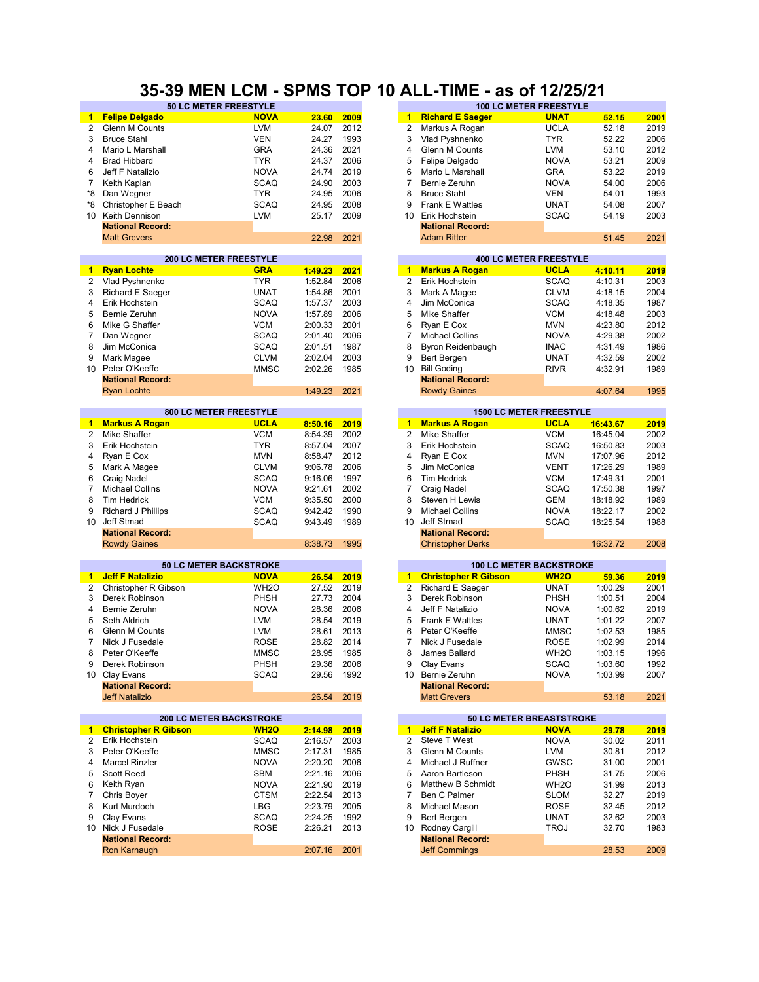#### **35-39 MEN LCM - SPMS TOP 10 ALL-TIME - as of 12/25/21**

|                 | 50 LC METER FREESTYLE                   |                               |         |      |                      |                             | <b>100 LC METER FREESTYLE</b>  |          |      |
|-----------------|-----------------------------------------|-------------------------------|---------|------|----------------------|-----------------------------|--------------------------------|----------|------|
| 1.              | <b>Felipe Delgado</b>                   | <b>NOVA</b>                   | 23.60   | 2009 | $\mathbf 1$          | <b>Richard E Saeger</b>     | <b>UNAT</b>                    | 52.15    | 2001 |
| $\overline{2}$  | Glenn M Counts                          | <b>LVM</b>                    | 24.07   | 2012 | 2                    | Markus A Rogan              | <b>UCLA</b>                    | 52.18    | 2019 |
| 3               | <b>Bruce Stahl</b>                      | <b>VEN</b>                    | 24.27   | 1993 | 3                    | Vlad Pyshnenko              | <b>TYR</b>                     | 52.22    | 2006 |
| 4               | Mario L Marshall                        | <b>GRA</b>                    | 24.36   | 2021 | 4                    | <b>Glenn M Counts</b>       | <b>LVM</b>                     | 53.10    | 2012 |
| 4               | <b>Brad Hibbard</b>                     | <b>TYR</b>                    | 24.37   | 2006 | 5                    | Felipe Delgado              | <b>NOVA</b>                    | 53.21    | 2009 |
| 6               | Jeff F Natalizio                        | <b>NOVA</b>                   | 24.74   | 2019 | 6                    | Mario L Marshall            | <b>GRA</b>                     | 53.22    | 2019 |
| 7               |                                         | <b>SCAQ</b>                   | 24.90   | 2003 | $\overline{7}$       | Bernie Zeruhn               | <b>NOVA</b>                    | 54.00    | 2006 |
|                 | Keith Kaplan                            |                               |         |      |                      |                             |                                |          |      |
| *8              | Dan Wegner                              | <b>TYR</b>                    | 24.95   | 2006 | 8                    | <b>Bruce Stahl</b>          | <b>VEN</b>                     | 54.01    | 1993 |
| *8              | Christopher E Beach                     | <b>SCAQ</b>                   | 24.95   | 2008 | 9                    | <b>Frank E Wattles</b>      | <b>UNAT</b>                    | 54.08    | 2007 |
| 10              | Keith Dennison                          | <b>LVM</b>                    | 25.17   | 2009 | 10                   | Erik Hochstein              | <b>SCAQ</b>                    | 54.19    | 2003 |
|                 | <b>National Record:</b>                 |                               |         |      |                      | <b>National Record:</b>     |                                |          |      |
|                 | <b>Matt Grevers</b>                     |                               | 22.98   | 2021 |                      | <b>Adam Ritter</b>          |                                | 51.45    | 2021 |
|                 |                                         |                               |         |      |                      |                             |                                |          |      |
|                 | <b>200 LC METER FREESTYLE</b>           |                               |         |      |                      |                             | <b>400 LC METER FREESTYLE</b>  |          |      |
| 1               | <b>Ryan Lochte</b>                      | <b>GRA</b>                    | 1:49.23 | 2021 | $\blacktriangleleft$ | <b>Markus A Rogan</b>       | <b>UCLA</b>                    | 4:10.11  | 2019 |
| 2               | Vlad Pyshnenko                          | <b>TYR</b>                    | 1:52.84 | 2006 | 2                    | Erik Hochstein              | <b>SCAQ</b>                    | 4:10.31  | 2003 |
| 3               | Richard E Saeger                        | <b>UNAT</b>                   | 1:54.86 | 2001 | 3                    | Mark A Magee                | <b>CLVM</b>                    | 4:18.15  | 2004 |
| 4               | Erik Hochstein                          | <b>SCAQ</b>                   | 1:57.37 | 2003 | $\overline{4}$       | Jim McConica                | <b>SCAQ</b>                    | 4:18.35  | 1987 |
| 5               | Bernie Zeruhn                           | <b>NOVA</b>                   | 1:57.89 | 2006 | 5                    | Mike Shaffer                | <b>VCM</b>                     | 4:18.48  | 2003 |
| 6               | Mike G Shaffer                          | <b>VCM</b>                    | 2:00.33 | 2001 | 6                    | Ryan E Cox                  | <b>MVN</b>                     | 4:23.80  | 2012 |
| 7               |                                         |                               |         |      | 7                    |                             |                                |          |      |
|                 | Dan Wegner                              | <b>SCAQ</b>                   | 2:01.40 | 2006 |                      | <b>Michael Collins</b>      | <b>NOVA</b>                    | 4:29.38  | 2002 |
| 8               | Jim McConica                            | <b>SCAQ</b>                   | 2:01.51 | 1987 | 8                    | Byron Reidenbaugh           | <b>INAC</b>                    | 4:31.49  | 1986 |
| 9               | Mark Magee                              | <b>CLVM</b>                   | 2:02.04 | 2003 | 9                    | Bert Bergen                 | <b>UNAT</b>                    | 4:32.59  | 2002 |
| 10 <sup>°</sup> | Peter O'Keeffe                          | <b>MMSC</b>                   | 2:02.26 | 1985 | 10                   | <b>Bill Goding</b>          | <b>RIVR</b>                    | 4:32.91  | 1989 |
|                 | <b>National Record:</b>                 |                               |         |      |                      | <b>National Record:</b>     |                                |          |      |
|                 | <b>Ryan Lochte</b>                      |                               | 1:49.23 | 2021 |                      | <b>Rowdy Gaines</b>         |                                | 4:07.64  | 1995 |
|                 |                                         |                               |         |      |                      |                             |                                |          |      |
|                 | 800 LC METER FREESTYLE                  |                               |         |      |                      |                             | <b>1500 LC METER FREESTYLE</b> |          |      |
| 1               | <b>Markus A Rogan</b>                   | <b>UCLA</b>                   | 8:50.16 | 2019 | $\blacktriangleleft$ | <b>Markus A Rogan</b>       | <b>UCLA</b>                    | 16:43.67 | 2019 |
| 2               | Mike Shaffer                            | <b>VCM</b>                    | 8:54.39 | 2002 | $\overline{2}$       | Mike Shaffer                | <b>VCM</b>                     | 16:45.04 | 2002 |
| 3               | Erik Hochstein                          | <b>TYR</b>                    | 8:57.04 | 2007 | 3                    | Erik Hochstein              | <b>SCAQ</b>                    | 16:50.83 | 2003 |
| 4               | Ryan E Cox                              | <b>MVN</b>                    | 8:58.47 | 2012 | 4                    | Ryan E Cox                  | <b>MVN</b>                     | 17:07.96 | 2012 |
| 5               | Mark A Magee                            | <b>CLVM</b>                   | 9:06.78 | 2006 | 5                    | Jim McConica                | <b>VENT</b>                    | 17:26.29 | 1989 |
| 6               | Craig Nadel                             | <b>SCAQ</b>                   | 9:16.06 | 1997 | 6                    | <b>Tim Hedrick</b>          | <b>VCM</b>                     | 17:49.31 | 2001 |
| $\overline{7}$  | <b>Michael Collins</b>                  | <b>NOVA</b>                   | 9:21.61 | 2002 | $\overline{7}$       | Craig Nadel                 | <b>SCAQ</b>                    | 17:50.38 | 1997 |
| 8               | <b>Tim Hedrick</b>                      | <b>VCM</b>                    | 9:35.50 | 2000 | 8                    | Steven H Lewis              | <b>GEM</b>                     | 18:18.92 | 1989 |
| 9               | <b>Richard J Phillips</b>               | <b>SCAQ</b>                   | 9:42.42 | 1990 | 9                    | <b>Michael Collins</b>      | <b>NOVA</b>                    | 18:22.17 | 2002 |
| 10 <sup>°</sup> | Jeff Stmad                              | <b>SCAQ</b>                   | 9:43.49 | 1989 | 10                   | Jeff Strnad                 | <b>SCAQ</b>                    | 18:25.54 | 1988 |
|                 | <b>National Record:</b>                 |                               |         |      |                      | <b>National Record:</b>     |                                |          |      |
|                 | <b>Rowdy Gaines</b>                     |                               | 8:38.73 | 1995 |                      | <b>Christopher Derks</b>    |                                | 16:32.72 | 2008 |
|                 |                                         |                               |         |      |                      |                             |                                |          |      |
|                 |                                         | <b>50 LC METER BACKSTROKE</b> |         |      |                      |                             | <b>100 LC METER BACKSTROKE</b> |          |      |
| 1               | <b>Jeff F Natalizio</b>                 | <b>NOVA</b>                   | 26.54   | 2019 | $\mathbf{1}$         | <b>Christopher R Gibson</b> | <b>WH2O</b>                    | 59.36    | 2019 |
| $\overline{2}$  | Christopher R Gibson                    | WH <sub>2</sub> O             | 27.52   | 2019 | $\overline{2}$       | Richard E Saeger            | <b>UNAT</b>                    | 1:00.29  | 2001 |
| 3               | Derek Robinson                          | PHSH                          | 27.73   | 2004 | 3                    | Derek Robinson              | PHSH                           | 1:00.51  | 2004 |
| 4               | Bernie Zeruhn                           | <b>NOVA</b>                   | 28.36   | 2006 | 4                    | Jeff F Natalizio            | <b>NOVA</b>                    | 1:00.62  | 2019 |
|                 |                                         |                               |         |      |                      |                             |                                |          |      |
| 5               | Seth Aldrich                            | <b>LVM</b>                    | 28.54   | 2019 | 5                    | <b>Frank E Wattles</b>      | <b>UNAT</b>                    | 1:01.22  | 2007 |
| 6               | Glenn M Counts                          | <b>LVM</b>                    | 28.61   | 2013 | 6                    | Peter O'Keeffe              | <b>MMSC</b>                    | 1:02.53  | 1985 |
| 7               | Nick J Fusedale                         | <b>ROSE</b>                   | 28.82   | 2014 | 7                    | Nick J Fusedale             | <b>ROSE</b>                    | 1:02.99  | 2014 |
| 8               | Peter O'Keeffe                          | <b>MMSC</b>                   | 28.95   | 1985 | 8                    | James Ballard               | WH <sub>2</sub> O              | 1:03.15  | 1996 |
| 9               | Derek Robinson                          | PHSH                          | 29.36   | 2006 | 9                    | Clay Evans                  | SCAQ                           | 1:03.60  | 1992 |
| 10 <sup>1</sup> | Clay Evans                              | <b>SCAQ</b>                   | 29.56   | 1992 | 10 <sup>1</sup>      | Bernie Zeruhn               | <b>NOVA</b>                    | 1:03.99  | 2007 |
|                 | <b>National Record:</b>                 |                               |         |      |                      | <b>National Record:</b>     |                                |          |      |
|                 | <b>Jeff Natalizio</b>                   |                               | 26.54   | 2019 |                      | <b>Matt Grevers</b>         |                                | 53.18    | 2021 |
|                 |                                         |                               |         |      |                      |                             |                                |          |      |
|                 | <b>200 LC METER BACKSTROKE</b>          |                               |         |      |                      |                             | 50 LC METER BREASTSTROKE       |          |      |
| $\mathbf{1}$    | <b>Christopher R Gibson</b>             | <b>WH2O</b>                   | 2:14.98 | 2019 | $\mathbf{1}$         | <b>Jeff F Natalizio</b>     | <b>NOVA</b>                    | 29.78    | 2019 |
| 2               | Erik Hochstein                          | <b>SCAQ</b>                   | 2:16.57 | 2003 | 2                    | Steve T West                | <b>NOVA</b>                    | 30.02    | 2011 |
| 3               | Peter O'Keeffe                          | <b>MMSC</b>                   | 2:17.31 | 1985 | 3                    | Glenn M Counts              | LVM                            | 30.81    | 2012 |
| 4               | <b>Marcel Rinzler</b>                   | <b>NOVA</b>                   | 2:20.20 | 2006 | 4                    | Michael J Ruffner           | GWSC                           | 31.00    | 2001 |
| 5               | <b>Scott Reed</b>                       | SBM                           | 2:21.16 | 2006 | 5                    | Aaron Bartleson             | PHSH                           | 31.75    | 2006 |
| 6               | Keith Ryan                              | <b>NOVA</b>                   | 2:21.90 | 2019 | 6                    | Matthew B Schmidt           | WH <sub>2</sub> O              | 31.99    | 2013 |
| 7               | Chris Boyer                             | <b>CTSM</b>                   | 2:22.54 | 2013 | 7                    | Ben C Palmer                | <b>SLOM</b>                    | 32.27    | 2019 |
| 8               | Kurt Murdoch                            | LBG                           | 2:23.79 | 2005 | 8                    | Michael Mason               | <b>ROSE</b>                    | 32.45    | 2012 |
| 9               | Clay Evans                              | SCAQ                          | 2:24.25 | 1992 | 9                    | Bert Bergen                 | <b>UNAT</b>                    | 32.62    | 2003 |
|                 |                                         |                               |         |      |                      |                             |                                |          |      |
|                 | 10 Nick J Fusedale                      | <b>ROSE</b>                   | 2:26.21 | 2013 | 10 <sup>1</sup>      | Rodney Cargill              | <b>TROJ</b>                    | 32.70    | 1983 |
|                 | <b>National Record:</b><br>Ron Karnaugh |                               |         |      |                      | <b>National Record:</b>     |                                | 28.53    | 2009 |
|                 |                                         |                               | 2:07.16 | 2001 |                      | <b>Jeff Commings</b>        |                                |          |      |

| 23.60           | 2009 | 1              | <b>Richard E Saeger</b>                        | <b>UNAT</b>                                   | 52.15        | 2001 |
|-----------------|------|----------------|------------------------------------------------|-----------------------------------------------|--------------|------|
| 24.07           | 2012 | 2              | Markus A Rogan                                 | <b>UCLA</b>                                   | 52.18        | 2019 |
| 24.27           | 1993 | 3              | Vlad Pyshnenko                                 | <b>TYR</b>                                    | 52.22        | 2006 |
| 24.36           | 2021 | $\overline{4}$ | Glenn M Counts                                 | <b>LVM</b>                                    | 53.10        | 2012 |
| 24.37           | 2006 | 5              | Felipe Delgado                                 | <b>NOVA</b>                                   | 53.21        | 2009 |
| 24.74           | 2019 | 6              | Mario L Marshall                               | <b>GRA</b>                                    | 53.22        | 2019 |
| 24.90           | 2003 | 7              | Bernie Zeruhn                                  | <b>NOVA</b>                                   | 54.00        | 2006 |
| 24.95           | 2006 | 8              | <b>Bruce Stahl</b>                             | <b>VEN</b>                                    | 54.01        | 1993 |
| 24.95           | 2008 | 9              | Frank E Wattles                                | <b>UNAT</b>                                   | 54.08        | 2007 |
| 25.17           | 2009 | 10             | Erik Hochstein                                 | <b>SCAQ</b>                                   | 54.19        | 2003 |
|                 |      |                | <b>National Record:</b>                        |                                               |              |      |
| 22.98           | 2021 |                | <b>Adam Ritter</b>                             |                                               | 51.45        | 2021 |
|                 |      |                |                                                |                                               |              |      |
|                 |      |                |                                                | <b>400 LC METER FREESTYLE</b>                 |              |      |
| <u>1:49.23</u>  | 2021 | $\blacksquare$ | <b>Markus A Rogan</b>                          | <b>UCLA</b>                                   | 4:10.11      | 2019 |
| 1:52.84         | 2006 | 2              | Erik Hochstein                                 | <b>SCAQ</b>                                   | 4:10.31      | 2003 |
| 1:54.86         | 2001 | 3              | Mark A Magee                                   | <b>CLVM</b>                                   | 4:18.15      | 2004 |
| 1:57.37         | 2003 | $\overline{4}$ | Jim McConica                                   | <b>SCAQ</b>                                   | 4:18.35      | 1987 |
| 1:57.89         | 2006 | 5              | Mike Shaffer                                   | <b>VCM</b>                                    | 4:18.48      | 2003 |
| 2:00.33         | 2001 | 6              | Ryan E Cox                                     | <b>MVN</b>                                    | 4:23.80      | 2012 |
| 2:01.40         | 2006 | 7              | <b>Michael Collins</b>                         | <b>NOVA</b>                                   | 4:29.38      | 2002 |
| 2:01.51         | 1987 | 8              | Byron Reidenbaugh                              | <b>INAC</b>                                   | 4:31.49      | 1986 |
| 2:02.04         | 2003 | 9              | Bert Bergen                                    | <b>UNAT</b>                                   | 4:32.59      | 2002 |
| 2:02.26         | 1985 | 10             | <b>Bill Goding</b>                             | <b>RIVR</b>                                   | 4:32.91      | 1989 |
|                 |      |                | <b>National Record:</b>                        |                                               |              |      |
| 1:49.23         | 2021 |                | <b>Rowdy Gaines</b>                            |                                               | 4:07.64      | 1995 |
|                 |      |                |                                                |                                               |              |      |
|                 |      | $\blacksquare$ | <b>Markus A Rogan</b>                          | <b>1500 LC METER FREESTYLE</b><br><b>UCLA</b> |              |      |
| 8:50.16         | 2019 |                |                                                |                                               | 16:43.67     | 2019 |
| 8:54.39         | 2002 | 2              | Mike Shaffer                                   | <b>VCM</b>                                    | 16:45.04     | 2002 |
| 8:57.04         | 2007 | 3              | Erik Hochstein                                 | <b>SCAQ</b>                                   | 16:50.83     | 2003 |
| 8:58.47         | 2012 | 4              | Ryan E Cox                                     | <b>MVN</b>                                    | 17:07.96     | 2012 |
| 9:06.78         | 2006 | 5              | Jim McConica                                   | <b>VENT</b>                                   | 17:26.29     | 1989 |
| 9:16.06         | 1997 | 6              | <b>Tim Hedrick</b>                             | <b>VCM</b>                                    | 17:49.31     | 2001 |
| 9:21.61         | 2002 | 7              | Craig Nadel                                    | <b>SCAQ</b>                                   | 17:50.38     | 1997 |
| 9:35.50         | 2000 | 8              | Steven H Lewis                                 | GEM                                           | 18:18.92     | 1989 |
| 9:42.42         | 1990 | 9              | <b>Michael Collins</b>                         | <b>NOVA</b>                                   | 18:22.17     | 2002 |
| 9:43.49         | 1989 | 10             | Jeff Strnad                                    | <b>SCAQ</b>                                   | 18:25.54     | 1988 |
|                 |      |                | <b>National Record:</b>                        |                                               |              |      |
| 8:38.73         | 1995 |                | <b>Christopher Derks</b>                       |                                               | 16:32.72     | 2008 |
|                 |      |                |                                                | <b>100 LC METER BACKSTROKE</b>                |              |      |
| 26.54           | 2019 | 1              | <b>Christopher R Gibson</b>                    | <b>WH2O</b>                                   | 59.36        | 2019 |
| 27.52           | 2019 | 2              | Richard E Saeger                               | UNAT                                          | 1:00.29      | 2001 |
| 27.73           | 2004 | 3              | Derek Robinson                                 | PHSH                                          | 1:00.51      | 2004 |
| 28.36           | 2006 | 4              | Jeff F Natalizio                               | <b>NOVA</b>                                   | 1:00.62      | 2019 |
| 28.54           | 2019 | 5              | Frank E Wattles                                | <b>UNAT</b>                                   | 1:01.22      | 2007 |
| 28.61           | 2013 | 6              | Peter O'Keeffe                                 | <b>MMSC</b>                                   | 1:02.53      | 1985 |
| 28.82           | 2014 | 7              | Nick J Fusedale                                | <b>ROSE</b>                                   | 1:02.99      | 2014 |
| 28.95           | 1985 | 8              | James Ballard                                  | WH <sub>2</sub> O                             | 1:03.15      | 1996 |
|                 |      |                |                                                | <b>SCAQ</b>                                   |              |      |
| 29.36           | 2006 | 9              | Clay Evans                                     |                                               | 1:03.60      | 1992 |
| 29.56           | 1992 |                | 10 Bernie Zeruhn                               | NOVA                                          | 1:03.99      | 2007 |
| 26.54           | 2019 |                | <b>National Record:</b><br><b>Matt Grevers</b> |                                               | 53.18        | 2021 |
|                 |      |                |                                                |                                               |              |      |
|                 |      |                |                                                | 50 LC METER BREASTSTROKE                      |              |      |
| <u> 2:14.98</u> | 2019 | $\mathbf{1}$   | <b>Jeff F Natalizio</b>                        | <u>NOVA</u>                                   | <b>29.78</b> | 2019 |
| 2:16.57         | 2003 | 2              | Steve T West                                   | <b>NOVA</b>                                   | 30.02        | 2011 |
| 2:17.31         | 1985 | 3              | Glenn M Counts                                 | <b>LVM</b>                                    | 30.81        | 2012 |
| 2:20.20         | 2006 | 4              | Michael J Ruffner                              | GWSC                                          | 31.00        | 2001 |
| 2:21.16         | 2006 | 5              | Aaron Bartleson                                | PHSH                                          | 31.75        | 2006 |
| 2:21.90         | 2019 | 6              | Matthew B Schmidt                              | WH <sub>2</sub> O                             | 31.99        | 2013 |
| 2:22.54         | 2013 | 7              | Ben C Palmer                                   | SLOM                                          | 32.27        | 2019 |
| 2:23.79         | 2005 | 8              | Michael Mason                                  | <b>ROSE</b>                                   | 32.45        | 2012 |
| 2:24.25         | 1992 | 9              | <b>Bert Bergen</b>                             | <b>UNAT</b>                                   | 32.62        | 2003 |
| 2:26.21         | 2013 | 10             | Rodney Cargill                                 | <b>TROJ</b>                                   | 32.70        | 1983 |
|                 |      |                | <b>National Record:</b>                        |                                               |              |      |
| 2:07.16         | 2001 |                | <b>Jeff Commings</b>                           |                                               | 28.53        | 2009 |
|                 |      |                |                                                |                                               |              |      |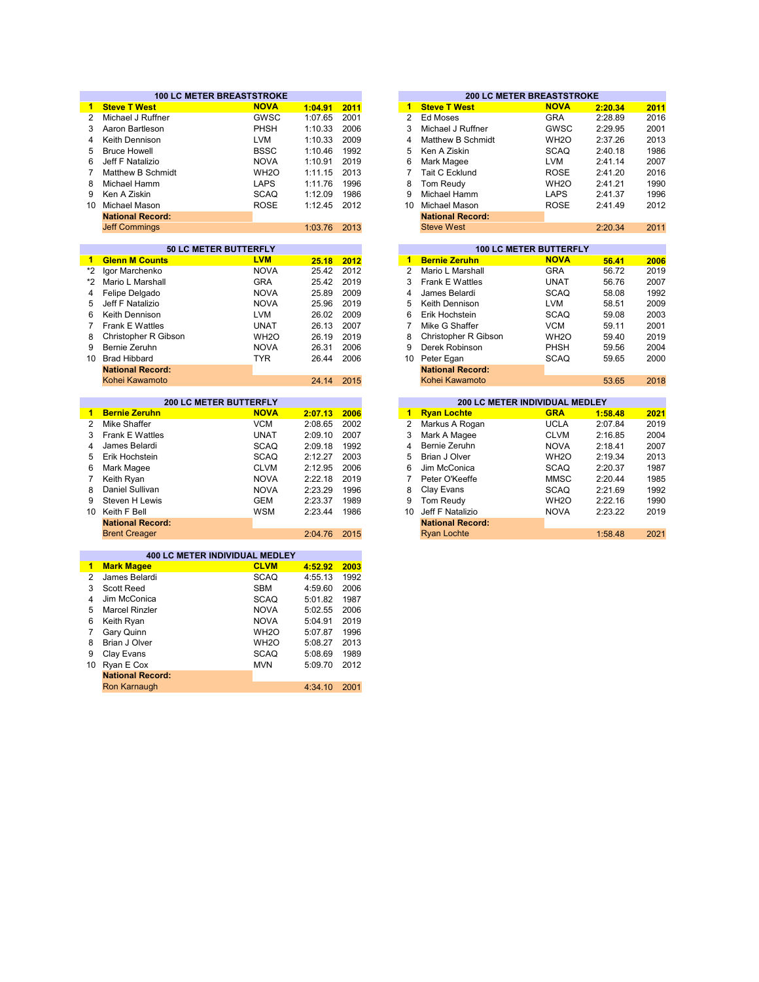|                 | <b>100 LC METER BREASTSTROKE</b>      |                   |         |      | <b>200 LC METER BREASTSTROKE</b> |                                |                   |         |                                                                              |  |
|-----------------|---------------------------------------|-------------------|---------|------|----------------------------------|--------------------------------|-------------------|---------|------------------------------------------------------------------------------|--|
| 1.              | <b>Steve T West</b>                   | <b>NOVA</b>       | 1:04.91 | 2011 | $\mathbf{1}$                     | <b>Steve T West</b>            | <b>NOVA</b>       | 2:20.34 | 2011                                                                         |  |
| $\overline{2}$  | Michael J Ruffner                     | GWSC              | 1:07.65 | 2001 | $\overline{2}$                   | <b>Ed Moses</b>                | <b>GRA</b>        | 2:28.89 | 2016                                                                         |  |
| 3               | Aaron Bartleson                       | PHSH              | 1:10.33 | 2006 | 3                                | Michael J Ruffner              | <b>GWSC</b>       | 2:29.95 | 2001                                                                         |  |
| 4               | Keith Dennison                        | <b>LVM</b>        | 1:10.33 | 2009 | 4                                | Matthew B Schmidt              | WH <sub>2</sub> O | 2:37.26 | 2013                                                                         |  |
| 5               | <b>Bruce Howell</b>                   | <b>BSSC</b>       | 1:10.46 | 1992 | 5                                | Ken A Ziskin                   | <b>SCAQ</b>       | 2:40.18 | 1986                                                                         |  |
| 6               | Jeff F Natalizio                      | <b>NOVA</b>       | 1:10.91 | 2019 | 6                                | Mark Magee                     | <b>LVM</b>        | 2:41.14 | 2007                                                                         |  |
| $\overline{7}$  | <b>Matthew B Schmidt</b>              | WH <sub>2</sub> O | 1:11.15 | 2013 | $\overline{7}$                   | Tait C Ecklund                 | <b>ROSE</b>       | 2:41.20 | 2016                                                                         |  |
| 8               | Michael Hamm                          | <b>LAPS</b>       | 1:11.76 | 1996 | 8                                | <b>Tom Reudy</b>               | WH <sub>2</sub> O | 2:41.21 | 1990                                                                         |  |
| 9               | Ken A Ziskin                          | <b>SCAQ</b>       | 1:12.09 | 1986 | 9                                | Michael Hamm                   | LAPS              | 2:41.37 | 1996                                                                         |  |
| 10              | <b>Michael Mason</b>                  | <b>ROSE</b>       | 1:12.45 | 2012 | 10                               | <b>Michael Mason</b>           | <b>ROSE</b>       | 2:41.49 | 2012                                                                         |  |
|                 | <b>National Record:</b>               |                   |         |      |                                  | <b>National Record:</b>        |                   |         |                                                                              |  |
|                 | <b>Jeff Commings</b>                  |                   | 1:03.76 | 2013 |                                  | <b>Steve West</b>              |                   | 2:20.34 | 2011                                                                         |  |
|                 |                                       |                   |         |      |                                  |                                |                   |         |                                                                              |  |
|                 | 50 LC METER BUTTERFLY                 |                   |         |      |                                  | <b>100 LC METER BUTTERFLY</b>  |                   |         |                                                                              |  |
| 1.              | <b>Glenn M Counts</b>                 | <b>LVM</b>        | 25.18   | 2012 | $\mathbf{1}$                     | <b>Bernie Zeruhn</b>           | <b>NOVA</b>       | 56.41   | 2006                                                                         |  |
| *2              | Igor Marchenko                        | <b>NOVA</b>       | 25.42   | 2012 | $\overline{2}$                   | Mario L Marshall               | <b>GRA</b>        | 56.72   | 2019                                                                         |  |
| *2              | Mario L Marshall                      | <b>GRA</b>        | 25.42   | 2019 | 3                                | <b>Frank E Wattles</b>         | <b>UNAT</b>       | 56.76   | 2007                                                                         |  |
| 4               | Felipe Delgado                        | <b>NOVA</b>       | 25.89   | 2009 | 4                                | James Belardi                  | <b>SCAQ</b>       | 58.08   | 1992                                                                         |  |
| 5               | Jeff F Natalizio                      | <b>NOVA</b>       | 25.96   | 2019 | 5                                | Keith Dennison                 | <b>LVM</b>        | 58.51   | 2009                                                                         |  |
| 6               | Keith Dennison                        | <b>LVM</b>        | 26.02   | 2009 | 6                                | Erik Hochstein                 | <b>SCAQ</b>       | 59.08   | 2003                                                                         |  |
| 7               | Frank E Wattles                       | <b>UNAT</b>       | 26.13   | 2007 | $\overline{7}$                   | Mike G Shaffer                 | <b>VCM</b>        | 59.11   | 2001                                                                         |  |
| 8               | Christopher R Gibson                  | WH <sub>2</sub> O | 26.19   | 2019 | 8                                | Christopher R Gibson           | WH <sub>2</sub> O | 59.40   | 2019                                                                         |  |
| 9               | Bernie Zeruhn                         | <b>NOVA</b>       | 26.31   | 2006 | 9                                | Derek Robinson                 | <b>PHSH</b>       | 59.56   | 2004                                                                         |  |
| 10 <sup>°</sup> | <b>Brad Hibbard</b>                   | <b>TYR</b>        | 26.44   | 2006 | 10                               | Peter Egan                     | <b>SCAQ</b>       | 59.65   | 2000                                                                         |  |
|                 | <b>National Record:</b>               |                   |         |      |                                  | <b>National Record:</b>        |                   |         |                                                                              |  |
|                 | Kohei Kawamoto                        |                   | 24.14   | 2015 |                                  | Kohei Kawamoto                 |                   | 53.65   | 2018                                                                         |  |
|                 |                                       |                   |         |      |                                  |                                |                   |         |                                                                              |  |
|                 |                                       |                   |         |      |                                  |                                |                   |         |                                                                              |  |
|                 | 200 LC METER BUTTERFLY                |                   |         |      |                                  | 200 LC METER INDIVIDUAL MEDLEY |                   |         |                                                                              |  |
| 1.              | <b>Bernie Zeruhn</b>                  | <b>NOVA</b>       | 2:07.13 | 2006 | $\blacksquare$                   | <b>Ryan Lochte</b>             | <b>GRA</b>        | 1:58.48 |                                                                              |  |
| $\overline{2}$  | <b>Mike Shaffer</b>                   | <b>VCM</b>        | 2:08.65 | 2002 | $\overline{2}$                   | Markus A Rogan                 | <b>UCLA</b>       | 2:07.84 |                                                                              |  |
| 3               | Frank E Wattles                       | <b>UNAT</b>       | 2:09.10 | 2007 | 3                                | Mark A Magee                   | <b>CLVM</b>       | 2:16.85 |                                                                              |  |
| 4               | James Belardi                         | <b>SCAQ</b>       | 2:09.18 | 1992 | 4                                | Bernie Zeruhn                  | <b>NOVA</b>       | 2:18.41 |                                                                              |  |
| 5               | Erik Hochstein                        | <b>SCAQ</b>       | 2:12.27 | 2003 | 5                                | Brian J Olver                  | WH <sub>2</sub> O | 2:19.34 |                                                                              |  |
| 6               | Mark Magee                            | <b>CLVM</b>       | 2:12.95 | 2006 | 6                                | Jim McConica                   | <b>SCAQ</b>       | 2:20.37 |                                                                              |  |
| $\overline{7}$  | Keith Ryan                            | <b>NOVA</b>       | 2:22.18 | 2019 | $\overline{7}$                   | Peter O'Keeffe                 | <b>MMSC</b>       | 2:20.44 |                                                                              |  |
| 8               | Daniel Sullivan                       | <b>NOVA</b>       | 2:23.29 | 1996 | 8                                | Clay Evans                     | <b>SCAQ</b>       | 2:21.69 |                                                                              |  |
| 9               | Steven H Lewis                        | <b>GEM</b>        | 2:23.37 | 1989 | 9                                | Tom Reudy                      | WH <sub>2</sub> O | 2:22.16 |                                                                              |  |
| 10              | Keith F Bell                          | <b>WSM</b>        | 2:23.44 | 1986 | 10                               | Jeff F Natalizio               | <b>NOVA</b>       | 2:23.22 |                                                                              |  |
|                 | <b>National Record:</b>               |                   |         |      |                                  | <b>National Record:</b>        |                   |         | 2021<br>2019<br>2004<br>2007<br>2013<br>1987<br>1985<br>1992<br>1990<br>2019 |  |
|                 | <b>Brent Creager</b>                  |                   | 2:04.76 | 2015 |                                  | <b>Ryan Lochte</b>             |                   | 1:58.48 | 2021                                                                         |  |
|                 |                                       |                   |         |      |                                  |                                |                   |         |                                                                              |  |
|                 | <b>400 LC METER INDIVIDUAL MEDLEY</b> |                   |         |      |                                  |                                |                   |         |                                                                              |  |
| $\blacksquare$  | <b>Mark Magee</b>                     | <b>CLVM</b>       | 4:52.92 | 2003 |                                  |                                |                   |         |                                                                              |  |
| 2               | James Belardi                         | <b>SCAQ</b>       | 4:55.13 | 1992 |                                  |                                |                   |         |                                                                              |  |
| 3               | <b>Scott Reed</b>                     | <b>SBM</b>        | 4:59.60 | 2006 |                                  |                                |                   |         |                                                                              |  |
| 4               | Jim McConica                          | <b>SCAQ</b>       | 5:01.82 | 1987 |                                  |                                |                   |         |                                                                              |  |
| 5               | <b>Marcel Rinzler</b>                 | <b>NOVA</b>       | 5:02.55 | 2006 |                                  |                                |                   |         |                                                                              |  |
| 6               | Keith Ryan                            | <b>NOVA</b>       | 5:04.91 | 2019 |                                  |                                |                   |         |                                                                              |  |
| $\overline{7}$  | Gary Quinn                            | WH <sub>2</sub> O | 5:07.87 | 1996 |                                  |                                |                   |         |                                                                              |  |
| 8               | Brian J Olver                         | WH <sub>2</sub> O | 5:08.27 | 2013 |                                  |                                |                   |         |                                                                              |  |
| 9               | Clay Evans                            | <b>SCAQ</b>       | 5:08.69 | 1989 |                                  |                                |                   |         |                                                                              |  |
| 10 <sup>°</sup> | Ryan E Cox                            | <b>MVN</b>        | 5:09.70 | 2012 |                                  |                                |                   |         |                                                                              |  |
|                 | <b>National Record:</b>               |                   |         |      |                                  |                                |                   |         |                                                                              |  |

|         |      |    |                         | <b>200 LC METER BREASTSTROKE</b> |         |      |
|---------|------|----|-------------------------|----------------------------------|---------|------|
| 1:04.91 | 2011 | 1  | <b>Steve T West</b>     | <b>NOVA</b>                      | 2:20.34 | 2011 |
| 1:07.65 | 2001 | 2  | Ed Moses                | <b>GRA</b>                       | 2:28.89 | 2016 |
| 1:10.33 | 2006 | 3  | Michael J Ruffner       | GWSC                             | 2:29.95 | 2001 |
| 1:10.33 | 2009 | 4  | Matthew B Schmidt       | WH <sub>2</sub> O                | 2:37.26 | 2013 |
| 1:10.46 | 1992 | 5  | Ken A Ziskin            | <b>SCAQ</b>                      | 2:40.18 | 1986 |
| 1:10.91 | 2019 | 6  | Mark Magee              | <b>LVM</b>                       | 2:41.14 | 2007 |
| 1:11.15 | 2013 | 7  | <b>Tait C Ecklund</b>   | <b>ROSE</b>                      | 2:41.20 | 2016 |
| 1:11.76 | 1996 | 8  | Tom Reudy               | WH <sub>2</sub> O                | 2:41.21 | 1990 |
| 1:12.09 | 1986 | 9  | Michael Hamm            | <b>LAPS</b>                      | 2:41.37 | 1996 |
| 1:12.45 | 2012 | 10 | Michael Mason           | <b>ROSE</b>                      | 2:41.49 | 2012 |
|         |      |    | <b>National Record:</b> |                                  |         |      |
| 1:03.76 | 2013 |    | <b>Steve West</b>       |                                  | 2:20.34 | 2011 |
|         |      |    |                         |                                  |         |      |
|         |      |    |                         | <b>100 LC METER BUTTERFLY</b>    |         |      |
| 25.18   | 2012 | 1  | <b>Bernie Zeruhn</b>    | <b>NOVA</b>                      | 56.41   | 2006 |
| 25.42   | 2012 | 2  | Mario L Marshall        | <b>GRA</b>                       | 56.72   | 2019 |
| 25.42   | 2019 | 3  | <b>Frank E Wattles</b>  | UNAT                             | 56.76   | 2007 |
| 25.89   | 2009 | 4  | James Belardi           | <b>SCAQ</b>                      | 58.08   | 1992 |
| 25.96   | 2019 | 5  | Keith Dennison          | I VM                             | 58.51   | 2009 |

| 26.02 | 2009       | 6. | Erik Hochstein          | <b>SCAQ</b>       | 59.08 | 2003 |
|-------|------------|----|-------------------------|-------------------|-------|------|
| 26.13 | 2007       |    | Mike G Shaffer          | <b>VCM</b>        | 59.11 | 2001 |
| 26.19 | 2019       | 8. | Christopher R Gibson    | WH <sub>2</sub> O | 59.40 | 2019 |
| 26.31 | 2006       | 9  | Derek Robinson          | <b>PHSH</b>       | 59.56 | 2004 |
| 26.44 | 2006       |    | 10 Peter Egan           | <b>SCAQ</b>       | 59.65 | 2000 |
|       |            |    | <b>National Record:</b> |                   |       |      |
|       | 24.14 2015 |    | Kohei Kawamoto          |                   | 53.65 | 2018 |
|       |            |    |                         |                   |       |      |

|         |      |    |                         | <b>200 LC METER INDIVIDUAL MEDLEY</b> |         |  |
|---------|------|----|-------------------------|---------------------------------------|---------|--|
| 2:07.13 | 2006 | 1  | <b>Ryan Lochte</b>      | <b>GRA</b>                            | 1:58.48 |  |
| 2:08.65 | 2002 | 2  | Markus A Rogan          | <b>UCLA</b>                           | 2:07.84 |  |
| 2:09.10 | 2007 | 3  | Mark A Magee            | <b>CLVM</b>                           | 2:16.85 |  |
| 2:09.18 | 1992 | 4  | Bernie Zeruhn           | <b>NOVA</b>                           | 2:18.41 |  |
| 2:12.27 | 2003 | 5  | Brian J Olver           | WH <sub>2</sub> O                     | 2:19.34 |  |
| 2:12.95 | 2006 | 6  | Jim McConica            | <b>SCAQ</b>                           | 2:20.37 |  |
| 2:22.18 | 2019 | 7  | Peter O'Keeffe          | <b>MMSC</b>                           | 2:20.44 |  |
| 2:23.29 | 1996 | 8  | Clay Evans              | <b>SCAQ</b>                           | 2:21.69 |  |
| 2:23.37 | 1989 | 9  | Tom Reudy               | WH <sub>2</sub> O                     | 2:22.16 |  |
| 2:23.44 | 1986 | 10 | Jeff F Natalizio        | <b>NOVA</b>                           | 2:23.22 |  |
|         |      |    | <b>National Record:</b> |                                       |         |  |
| 2:04.76 | 2015 |    | <b>Ryan Lochte</b>      |                                       | 1:58.48 |  |
|         |      |    |                         |                                       |         |  |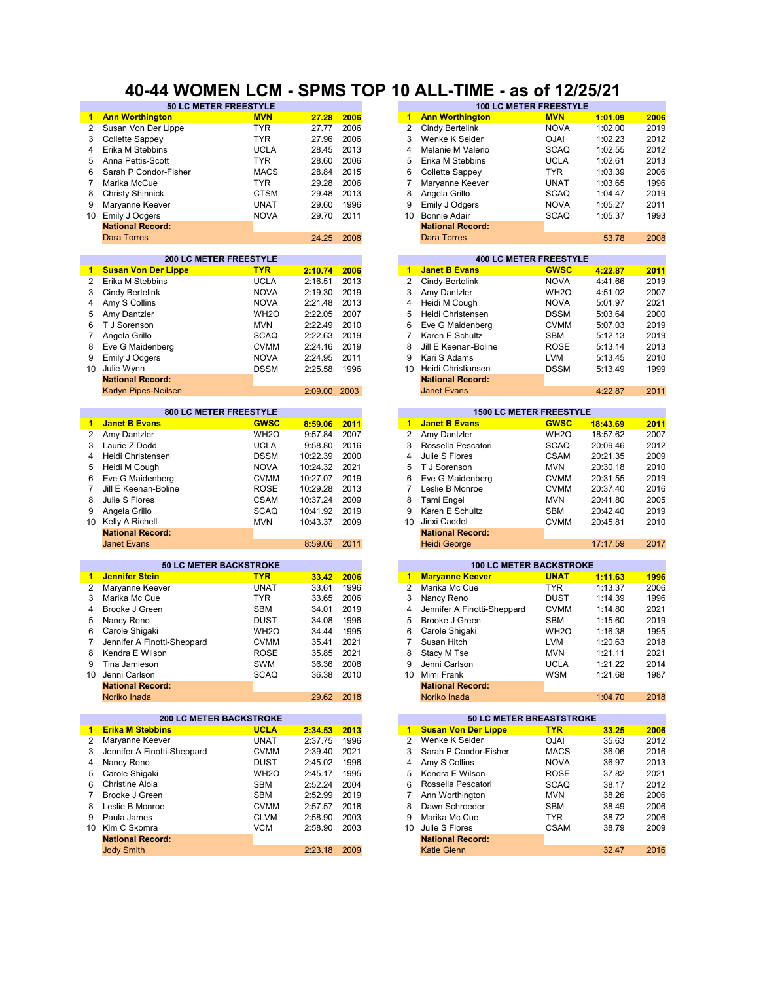## **40-44 WOMEN LCM - SPMS TOP 10 ALL-TIME - as of 12/25/21**

|                | <b>50 LC METER FREESTYLE</b>                              |                   |                    |      |                         | <b>100 LC METER FREESTYLE</b>                          |                   |          |      |
|----------------|-----------------------------------------------------------|-------------------|--------------------|------|-------------------------|--------------------------------------------------------|-------------------|----------|------|
| $\blacksquare$ | <b>Ann Worthington</b>                                    | <b>MVN</b>        | 27.28              | 2006 | $\mathbf 1$             | <b>Ann Worthington</b>                                 | <b>MVN</b>        | 1:01.09  | 2006 |
| $\overline{2}$ | Susan Von Der Lippe                                       | <b>TYR</b>        | 27.77              | 2006 | 2                       | Cindy Bertelink                                        | <b>NOVA</b>       | 1:02.00  | 2019 |
| 3              | Collette Sappey                                           | <b>TYR</b>        | 27.96              | 2006 | 3                       | Wenke K Seider                                         | <b>OJAI</b>       | 1:02.23  | 2012 |
| 4              | Erika M Stebbins                                          | <b>UCLA</b>       | 28.45              | 2013 | 4                       | Melanie M Valerio                                      | <b>SCAQ</b>       | 1:02.55  | 2012 |
| 5              | Anna Pettis-Scott                                         | <b>TYR</b>        | 28.60              | 2006 | 5                       | Erika M Stebbins                                       | <b>UCLA</b>       | 1:02.61  | 2013 |
| 6              | Sarah P Condor-Fisher                                     | <b>MACS</b>       | 28.84              | 2015 | 6                       | Collette Sappey                                        | <b>TYR</b>        | 1:03.39  | 2006 |
|                |                                                           | <b>TYR</b>        |                    | 2006 | 7                       |                                                        |                   |          |      |
| 7              | Marika McCue                                              |                   | 29.28              |      |                         | Maryanne Keever                                        | <b>UNAT</b>       | 1:03.65  | 1996 |
| 8              | <b>Christy Shinnick</b>                                   | <b>CTSM</b>       | 29.48              | 2013 | 8                       | Angela Grillo                                          | <b>SCAQ</b>       | 1:04.47  | 2019 |
| 9              | Maryanne Keever                                           | <b>UNAT</b>       | 29.60              | 1996 | 9                       | Emily J Odgers                                         | <b>NOVA</b>       | 1:05.27  | 2011 |
| 10             | Emily J Odgers                                            | <b>NOVA</b>       | 29.70              | 2011 | 10                      | <b>Bonnie Adair</b>                                    | <b>SCAQ</b>       | 1:05.37  | 1993 |
|                | <b>National Record:</b>                                   |                   |                    |      |                         | <b>National Record:</b>                                |                   |          |      |
|                | <b>Dara Torres</b>                                        |                   | 24.25              | 2008 |                         | Dara Torres                                            |                   | 53.78    | 2008 |
|                |                                                           |                   |                    |      |                         |                                                        |                   |          |      |
|                | <b>200 LC METER FREESTYLE</b>                             |                   |                    |      |                         | <b>400 LC METER FREESTYLE</b>                          |                   |          |      |
| 1              | <b>Susan Von Der Lippe</b>                                | <b>TYR</b>        | 2:10.74            | 2006 | $\mathbf{1}$            | <b>Janet B Evans</b>                                   | <b>GWSC</b>       | 4:22.87  | 2011 |
| $\overline{2}$ | Erika M Stebbins                                          | <b>UCLA</b>       | 2:16.51            | 2013 | 2                       | <b>Cindy Bertelink</b>                                 | <b>NOVA</b>       | 4:41.66  | 2019 |
| 3              | Cindy Bertelink                                           | <b>NOVA</b>       | 2:19.30            | 2019 | 3                       | Amy Dantzler                                           | WH <sub>2</sub> O | 4:51.02  | 2007 |
| 4              | Amy S Collins                                             | <b>NOVA</b>       | 2:21.48            | 2013 | 4                       | Heidi M Cough                                          | <b>NOVA</b>       | 5:01.97  | 2021 |
| 5              | Amy Dantzler                                              | WH <sub>20</sub>  | 2:22.05            | 2007 | 5                       | Heidi Christensen                                      | <b>DSSM</b>       | 5:03.64  | 2000 |
| 6              |                                                           | <b>MVN</b>        | 2:22.49            | 2010 | 6                       |                                                        | <b>CVMM</b>       |          | 2019 |
|                | T J Sorenson                                              |                   |                    |      |                         | Eve G Maidenberg                                       |                   | 5:07.03  |      |
| 7              | Angela Grillo                                             | <b>SCAQ</b>       | 2:22.63            | 2019 | 7                       | Karen E Schultz                                        | <b>SBM</b>        | 5:12.13  | 2019 |
| 8              | Eve G Maidenberg                                          | <b>CVMM</b>       | 2:24.16            | 2019 | 8                       | Jill E Keenan-Boline                                   | <b>ROSE</b>       | 5:13.14  | 2013 |
| 9              | Emily J Odgers                                            | <b>NOVA</b>       | 2:24.95            | 2011 | 9                       | Kari S Adams                                           | <b>LVM</b>        | 5:13.45  | 2010 |
| 10             | Julie Wynn                                                | <b>DSSM</b>       | 2:25.58            | 1996 | 10                      | Heidi Christiansen                                     | <b>DSSM</b>       | 5:13.49  | 1999 |
|                | <b>National Record:</b>                                   |                   |                    |      |                         | <b>National Record:</b>                                |                   |          |      |
|                | Karlyn Pipes-Neilsen                                      |                   | 2:09.00            | 2003 |                         | <b>Janet Evans</b>                                     |                   | 4:22.87  | 2011 |
|                |                                                           |                   |                    |      |                         |                                                        |                   |          |      |
|                | 800 LC METER FREESTYLE                                    |                   |                    |      |                         | <b>1500 LC METER FREESTYLE</b>                         |                   |          |      |
| $\mathbf{1}$   | <b>Janet B Evans</b>                                      | <b>GWSC</b>       | 8:59.06            | 2011 | $\blacksquare$          | <b>Janet B Evans</b>                                   | <b>GWSC</b>       | 18:43.69 | 2011 |
| 2              | Amy Dantzler                                              | WH <sub>20</sub>  | 9:57.84            | 2007 | $\overline{2}$          | Amy Dantzler                                           | WH <sub>2</sub> O | 18:57.62 | 2007 |
| 3              | Laurie Z Dodd                                             | <b>UCLA</b>       | 9:58.80            | 2016 | 3                       | Rossella Pescatori                                     | <b>SCAQ</b>       | 20:09.46 | 2012 |
| 4              | Heidi Christensen                                         | <b>DSSM</b>       | 10:22.39           | 2000 | $\overline{\mathbf{4}}$ | Julie S Flores                                         | <b>CSAM</b>       | 20:21.35 | 2009 |
| 5              | Heidi M Cough                                             | <b>NOVA</b>       | 10:24.32           | 2021 | 5                       | T J Sorenson                                           | <b>MVN</b>        | 20:30.18 | 2010 |
| 6              |                                                           | <b>CVMM</b>       | 10:27.07           | 2019 | 6                       |                                                        | <b>CVMM</b>       | 20:31.55 | 2019 |
|                | Eve G Maidenberg                                          |                   |                    |      |                         | Eve G Maidenberg                                       |                   |          |      |
| $\overline{7}$ | Jill E Keenan-Boline                                      | <b>ROSE</b>       | 10:29.28           | 2013 | $\overline{7}$          | Leslie B Monroe                                        | <b>CVMM</b>       | 20:37.40 | 2016 |
| 8              | Julie S Flores                                            | <b>CSAM</b>       | 10:37.24           | 2009 | 8                       | Tami Engel                                             | <b>MVN</b>        | 20:41.80 | 2005 |
| 9              | Angela Grillo                                             | <b>SCAQ</b>       | 10:41.92           | 2019 | 9                       | Karen E Schultz                                        | <b>SBM</b>        | 20:42.40 | 2019 |
|                | 10 Kelly A Richell                                        | <b>MVN</b>        | 10:43.37           | 2009 | 10                      | Jinxi Caddel                                           | <b>CVMM</b>       | 20:45.81 | 2010 |
|                | <b>National Record:</b>                                   |                   |                    |      |                         | <b>National Record:</b>                                |                   |          |      |
|                | <b>Janet Evans</b>                                        |                   | 8:59.06            | 2011 |                         | <b>Heidi George</b>                                    |                   | 17:17.59 | 2017 |
|                |                                                           |                   |                    |      |                         |                                                        |                   |          |      |
|                | <b>50 LC METER BACKSTROKE</b>                             |                   |                    |      |                         | <b>100 LC METER BACKSTROKE</b>                         |                   |          |      |
| $\mathbf 1$    | <b>Jennifer Stein</b>                                     | <b>TYR</b>        | 33.42              | 2006 | $\blacktriangleleft$    | <b>Maryanne Keever</b>                                 | <b>UNAT</b>       | 1:11.63  | 1996 |
| $\overline{2}$ | Maryanne Keever                                           | <b>UNAT</b>       | 33.61              | 1996 | 2                       | Marika Mc Cue                                          | <b>TYR</b>        | 1:13.37  | 2006 |
| 3              | Marika Mc Cue                                             | <b>TYR</b>        | 33.65              | 2006 | 3                       | Nancy Reno                                             | <b>DUST</b>       | 1:14.39  | 1996 |
| 4              | Brooke J Green                                            | <b>SBM</b>        | 34.01              | 2019 | 4                       | Jennifer A Finotti-Sheppard                            | <b>CVMM</b>       | 1:14.80  | 2021 |
| 5              | Nancy Reno                                                | <b>DUST</b>       | 34.08              | 1996 | 5                       | Brooke J Green                                         | <b>SBM</b>        | 1:15.60  | 2019 |
| 6              | Carole Shigaki                                            | WH <sub>2</sub> O | 34.44              | 1995 | 6                       | Carole Shigaki                                         | WH <sub>2</sub> O | 1:16.38  | 1995 |
| 7              | Jennifer A Finotti-Sheppard                               | <b>CVMM</b>       | 35.41              | 2021 | 7                       | Susan Hitch                                            | <b>LVM</b>        | 1:20.63  | 2018 |
| 8              | Kendra E Wilson                                           | <b>ROSE</b>       | 35.85              | 2021 | 8                       | Stacy M Tse                                            | <b>MVN</b>        | 1:21.11  | 2021 |
| 9              |                                                           | SWM               |                    |      | 9                       |                                                        | <b>UCLA</b>       | 1:21.22  | 2014 |
|                | Tina Jamieson                                             |                   | 36.36              | 2008 |                         | Jenni Carlson                                          |                   |          |      |
| 10             | Jenni Carlson                                             | <b>SCAQ</b>       | 36.38              | 2010 | 10                      | Mimi Frank                                             | <b>WSM</b>        | 1:21.68  | 1987 |
|                | <b>National Record:</b>                                   |                   |                    |      |                         | <b>National Record:</b>                                |                   |          |      |
|                | Noriko Inada                                              |                   | 29.62              | 2018 |                         | Noriko Inada                                           |                   | 1:04.70  | 2018 |
|                |                                                           |                   |                    |      |                         |                                                        |                   |          |      |
| $\blacksquare$ | <b>200 LC METER BACKSTROKE</b><br><b>Erika M Stebbins</b> | <b>UCLA</b>       |                    | 2013 | $1 -$                   | 50 LC METER BREASTSTROKE<br><b>Susan Von Der Lippe</b> | <b>TYR</b>        | 33.25    | 2006 |
| $\mathbf{2}$   | Maryanne Keever                                           | <b>UNAT</b>       | 2:34.53<br>2:37.75 | 1996 | 2                       | Wenke K Seider                                         | <b>OJAI</b>       | 35.63    |      |
|                |                                                           |                   |                    |      |                         |                                                        |                   |          | 2012 |
| 3              | Jennifer A Finotti-Sheppard                               | <b>CVMM</b>       | 2:39.40            | 2021 | 3                       | Sarah P Condor-Fisher                                  | <b>MACS</b>       | 36.06    | 2016 |
| 4              | Nancy Reno                                                | DUST              | 2:45.02            | 1996 | 4                       | Amy S Collins                                          | <b>NOVA</b>       | 36.97    | 2013 |
| 5              | Carole Shigaki                                            | WH <sub>2</sub> O | 2:45.17            | 1995 | 5                       | Kendra E Wilson                                        | <b>ROSE</b>       | 37.82    | 2021 |
| 6              | <b>Christine Aloia</b>                                    | <b>SBM</b>        | 2:52.24            | 2004 | 6                       | Rossella Pescatori                                     | <b>SCAQ</b>       | 38.17    | 2012 |
| 7              | Brooke J Green                                            | SBM               | 2:52.99            | 2019 | 7                       | Ann Worthington                                        | <b>MVN</b>        | 38.26    | 2006 |
| 8              | Leslie B Monroe                                           | <b>CVMM</b>       | 2:57.57            | 2018 | 8                       | Dawn Schroeder                                         | <b>SBM</b>        | 38.49    | 2006 |
| 9              | Paula James                                               | <b>CLVM</b>       | 2:58.90            | 2003 | 9                       | Marika Mc Cue                                          | <b>TYR</b>        | 38.72    | 2006 |
|                | 10 Kim C Skomra                                           | <b>VCM</b>        | 2:58.90            | 2003 | 10                      | Julie S Flores                                         | <b>CSAM</b>       | 38.79    | 2009 |
|                | <b>National Record:</b>                                   |                   |                    |      |                         | <b>National Record:</b>                                |                   |          |      |
|                |                                                           |                   |                    |      |                         |                                                        |                   |          | 2016 |
|                | <b>Jody Smith</b>                                         |                   | 2:23.18            | 2009 |                         | <b>Katie Glenn</b>                                     |                   | 32.47    |      |

| 27.77                                    | 2006 | 2            | Cindy Bertelink                                        | <b>NOVA</b>       | 1:02.00  |
|------------------------------------------|------|--------------|--------------------------------------------------------|-------------------|----------|
| 27.96                                    | 2006 | 3            | Wenke K Seider                                         | <b>OJAI</b>       | 1:02.23  |
| 28.45                                    | 2013 | 4            | Melanie M Valerio                                      | <b>SCAQ</b>       | 1:02.55  |
| 28.60                                    | 2006 | 5            | Erika M Stebbins                                       | <b>UCLA</b>       | 1:02.61  |
| 28.84                                    | 2015 | 6            | <b>Collette Sappey</b>                                 | <b>TYR</b>        | 1:03.39  |
| 29.28                                    | 2006 | 7            | Maryanne Keever                                        | <b>UNAT</b>       | 1:03.65  |
| 29.48                                    | 2013 | 8            | Angela Grillo                                          | SCAQ              | 1:04.47  |
| 29.60                                    | 1996 | 9            | Emily J Odgers                                         | <b>NOVA</b>       | 1:05.27  |
|                                          |      |              |                                                        |                   |          |
| 29.70                                    | 2011 | 10           | <b>Bonnie Adair</b>                                    | <b>SCAQ</b>       | 1:05.37  |
| 24.25                                    | 2008 |              | <b>National Record:</b><br><b>Dara Torres</b>          |                   | 53.78    |
|                                          |      |              |                                                        |                   |          |
|                                          |      |              | <b>400 LC METER FREESTYLE</b>                          |                   |          |
| 2:10.74                                  | 2006 | 1            | <b>Janet B Evans</b>                                   | <b>GWSC</b>       | 4:22.87  |
| 2:16.51                                  | 2013 | 2            | Cindy Bertelink                                        | <b>NOVA</b>       | 4:41.66  |
| 2:19.30                                  | 2019 | 3            | Amy Dantzler                                           | WH <sub>2</sub> O | 4:51.02  |
| 2:21.48                                  | 2013 | 4            | Heidi M Cough                                          | <b>NOVA</b>       | 5:01.97  |
| 2:22.05                                  | 2007 | 5            | Heidi Christensen                                      | <b>DSSM</b>       | 5:03.64  |
| 2:22.49                                  | 2010 | 6            | Eve G Maidenberg                                       | <b>CVMM</b>       | 5:07.03  |
| 2:22.63                                  | 2019 | 7            | Karen E Schultz                                        | SBM               | 5:12.13  |
| 2:24.16                                  | 2019 | 8            | Jill E Keenan-Boline                                   | <b>ROSE</b>       | 5:13.14  |
| 2:24.95                                  | 2011 | 9            | Kari S Adams                                           | LVM               | 5:13.45  |
| 2:25.58                                  | 1996 | 10           | Heidi Christiansen                                     | <b>DSSM</b>       | 5:13.49  |
|                                          |      |              | <b>National Record:</b>                                |                   |          |
| 2:09.00                                  | 2003 |              | <b>Janet Evans</b>                                     |                   | 4:22.87  |
|                                          |      |              |                                                        |                   |          |
| 8:59.06                                  | 2011 | 1            | <b>1500 LC METER FREESTYLE</b><br><b>Janet B Evans</b> | <b>GWSC</b>       | 18:43.69 |
| 9:57.84                                  | 2007 | 2            | Amy Dantzler                                           | WH <sub>2</sub> O | 18:57.62 |
|                                          |      |              |                                                        |                   |          |
| 9:58.80                                  | 2016 | 3            | Rossella Pescatori                                     | <b>SCAQ</b>       | 20:09.46 |
| 0:22.39                                  | 2000 | 4            | Julie S Flores                                         | CSAM              | 20:21.35 |
| 0:24.32                                  | 2021 | 5            | T J Sorenson                                           | <b>MVN</b>        | 20:30.18 |
| 0:27.07                                  | 2019 | 6            | Eve G Maidenberg                                       | <b>CVMM</b>       | 20:31.55 |
| 0:29.28                                  | 2013 | 7            | Leslie B Monroe                                        | <b>CVMM</b>       | 20:37.40 |
| 0:37.24                                  | 2009 | 8            | Tami Engel                                             | <b>MVN</b>        | 20:41.80 |
| 0:41.92                                  | 2019 | 9            | Karen E Schultz                                        | <b>SBM</b>        | 20:42.40 |
| 0:43.37                                  | 2009 | 10           | Jinxi Caddel                                           | <b>CVMM</b>       | 20:45.81 |
|                                          |      |              | <b>National Record:</b>                                |                   |          |
| 8:59.06                                  | 2011 |              | <b>Heidi George</b>                                    |                   | 17:17.59 |
|                                          |      |              | <b>100 LC METER BACKSTROKE</b>                         |                   |          |
| 33.42                                    | 2006 | 1            | <b>Maryanne Keever</b>                                 | <b>UNAT</b>       | 1:11.63  |
| 33.61                                    | 1996 | 2            | Marika Mc Cue                                          | TYR               | 1:13.37  |
| 33.65                                    | 2006 | 3            | Nancy Reno                                             | <b>DUST</b>       | 1:14.39  |
| 34.01                                    | 2019 | 4            | Jennifer A Finotti-Sheppard                            | <b>CVMM</b>       | 1:14.80  |
| 34.08                                    | 1996 | 5            | Brooke J Green                                         | <b>SBM</b>        | 1:15.60  |
|                                          |      |              |                                                        |                   |          |
| 34.44                                    | 1995 | 6            | Carole Shigaki                                         | WH <sub>2</sub> O | 1:16.38  |
| 35.41                                    | 2021 | 7            | Susan Hitch                                            | <b>LVM</b>        | 1:20.63  |
| 35.85                                    | 2021 | 8            | Stacy M Tse                                            | <b>MVN</b>        | 1:21.11  |
| 36.36                                    | 2008 | 9            | Jenni Carlson                                          | <b>UCLA</b>       | 1:21.22  |
| 36.38                                    | 2010 | 10           | Mimi Frank                                             | <b>WSM</b>        | 1:21.68  |
|                                          |      |              | <b>National Record:</b>                                |                   |          |
| 29.62                                    | 2018 |              | Noriko Inada                                           |                   | 1:04.70  |
|                                          |      |              | <b>50 LC METER BREASTSTROKE</b>                        |                   |          |
| 2:34.53                                  | 2013 | $\mathbf{1}$ | <b>Susan Von Der Lippe</b>                             | <b>TYR</b>        | 33.25    |
| 2:37.75                                  | 1996 | 2            | Wenke K Seider                                         | <b>OJAI</b>       | 35.63    |
| 2:39.40                                  | 2021 | 3            | Sarah P Condor-Fisher                                  | <b>MACS</b>       | 36.06    |
| 2:45.02                                  | 1996 | 4            | Amy S Collins                                          | <b>NOVA</b>       | 36.97    |
|                                          | 1995 | 5            | Kendra E Wilson                                        | <b>ROSE</b>       | 37.82    |
|                                          |      | 6            | Rossella Pescatori                                     | <b>SCAQ</b>       | 38.17    |
|                                          |      | 7            | Ann Worthington                                        | <b>MVN</b>        | 38.26    |
|                                          | 2004 |              |                                                        |                   |          |
|                                          | 2019 |              |                                                        |                   |          |
| 2:45.17<br>2:52.24<br>2:52.99<br>2:57.57 | 2018 | 8            | Dawn Schroeder                                         | <b>SBM</b>        | 38.49    |
| 2:58.90                                  | 2003 | 9            | Marika Mc Cue                                          | TYR               | 38.72    |
|                                          | 2003 | 10           | Julie S Flores                                         | <b>CSAM</b>       | 38.79    |
| 2:58.90<br>2:23.18                       | 2009 |              | <b>National Record:</b><br><b>Katie Glenn</b>          |                   | 32.47    |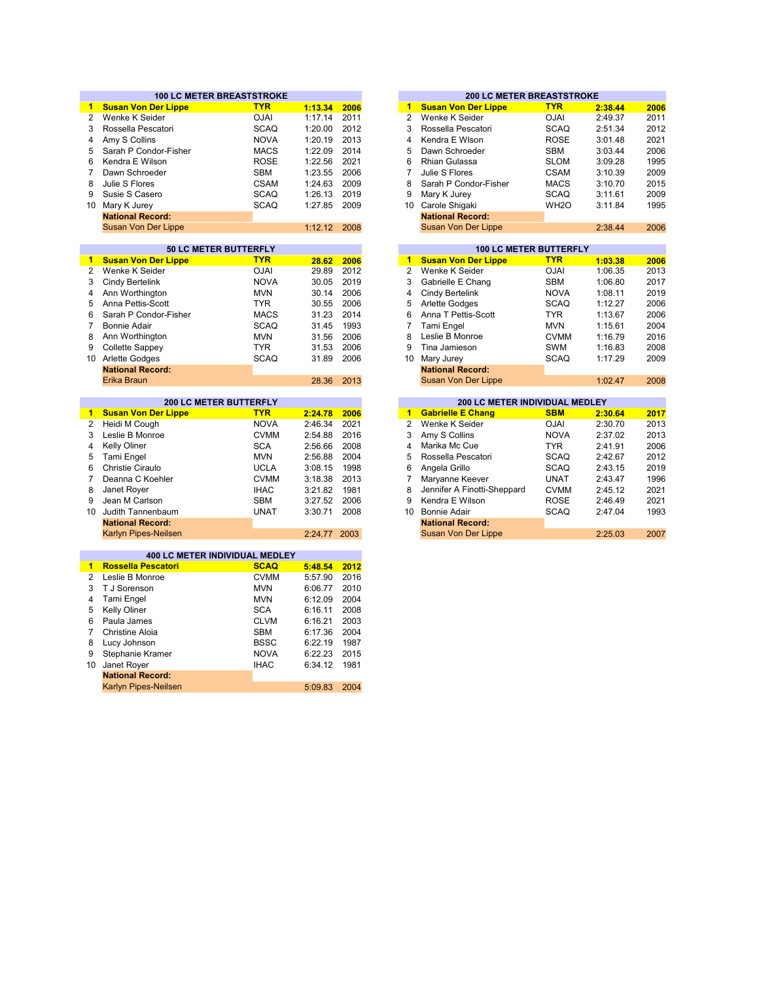|                | <b>100 LC METER BREASTSTROKE</b>       |             |              |      |                       |                                | <b>200 LC METER BREASTSTROKE</b> |         |  |
|----------------|----------------------------------------|-------------|--------------|------|-----------------------|--------------------------------|----------------------------------|---------|--|
| 1.             | <b>Susan Von Der Lippe</b>             | <b>TYR</b>  | 1:13.34      | 2006 | $\mathbf{1}$          | <b>Susan Von Der Lippe</b>     | <b>TYR</b>                       | 2:38.44 |  |
| $\overline{2}$ | Wenke K Seider                         | <b>OJAI</b> | 1:17.14      | 2011 | $\overline{2}$        | Wenke K Seider                 | <b>OJAI</b>                      | 2:49.37 |  |
| 3              | Rossella Pescatori                     | <b>SCAQ</b> | 1:20.00      | 2012 | 3                     | Rossella Pescatori             | <b>SCAQ</b>                      | 2:51.34 |  |
| 4              | Amy S Collins                          | <b>NOVA</b> | 1:20.19      | 2013 | 4                     | Kendra E Wison                 | <b>ROSE</b>                      | 3:01.48 |  |
| 5              | Sarah P Condor-Fisher                  | <b>MACS</b> | 1:22.09      | 2014 | 5                     | Dawn Schroeder                 | SBM                              | 3:03.44 |  |
| 6              | Kendra E Wilson                        | <b>ROSE</b> | 1:22.56      | 2021 | 6                     | <b>Rhian Gulassa</b>           | <b>SLOM</b>                      | 3:09.28 |  |
| $\overline{7}$ | Dawn Schroeder                         | <b>SBM</b>  | 1:23.55      | 2006 | $\overline{7}$        | Julie S Flores                 | <b>CSAM</b>                      | 3:10.39 |  |
| 8              | Julie S Flores                         | <b>CSAM</b> | 1:24.63      | 2009 | 8                     | Sarah P Condor-Fisher          | <b>MACS</b>                      | 3:10.70 |  |
| 9              | Susie S Casero                         | <b>SCAQ</b> | 1:26.13      | 2019 | 9                     | Mary K Jurey                   | <b>SCAQ</b>                      | 3:11.61 |  |
|                | 10 Mary K Jurey                        | <b>SCAQ</b> | 1:27.85      | 2009 | 10 <sup>°</sup>       | Carole Shigaki                 | WH <sub>2</sub> O                | 3:11.84 |  |
|                | <b>National Record:</b>                |             |              |      |                       | <b>National Record:</b>        |                                  |         |  |
|                | Susan Von Der Lippe                    |             | 1:12.12      | 2008 |                       | Susan Von Der Lippe            |                                  | 2:38.44 |  |
|                |                                        |             |              |      |                       |                                |                                  |         |  |
|                | 50 LC METER BUTTERFLY                  |             |              |      |                       | <b>100 LC METER BUTTERFLY</b>  |                                  |         |  |
| $\mathbf{1}$   | <b>Susan Von Der Lippe</b>             | <b>TYR</b>  | 28.62        | 2006 | $\mathbf{1}$          | <b>Susan Von Der Lippe</b>     | <b>TYR</b>                       | 1:03.38 |  |
| $\mathbf{2}$   | Wenke K Seider                         | <b>OJAI</b> | 29.89        | 2012 | $\mathbf{2}^{\prime}$ | Wenke K Seider                 | <b>OJAI</b>                      | 1:06.35 |  |
| 3              | Cindy Bertelink                        | <b>NOVA</b> | 30.05        | 2019 | 3                     | Gabrielle E Chang              | <b>SBM</b>                       | 1:06.80 |  |
| 4              | Ann Worthington                        | <b>MVN</b>  | 30.14        | 2006 | 4                     | Cindy Bertelink                | <b>NOVA</b>                      | 1:08.11 |  |
| 5              | Anna Pettis-Scott                      | <b>TYR</b>  | 30.55        | 2006 | 5                     | <b>Arlette Godges</b>          | <b>SCAQ</b>                      | 1:12.27 |  |
| 6              | Sarah P Condor-Fisher                  | <b>MACS</b> | 31.23        | 2014 | 6                     | Anna T Pettis-Scott            | <b>TYR</b>                       | 1:13.67 |  |
| $\overline{7}$ | <b>Bonnie Adair</b>                    | <b>SCAQ</b> | 31.45        | 1993 | 7                     | Tami Engel                     | <b>MVN</b>                       | 1:15.61 |  |
| 8              | Ann Worthington                        | <b>MVN</b>  | 31.56        | 2006 | 8                     | Leslie B Monroe                | <b>CVMM</b>                      | 1:16.79 |  |
| 9              | Collette Sappey                        | <b>TYR</b>  | 31.53        | 2006 | 9                     | Tina Jamieson                  | <b>SWM</b>                       | 1:16.83 |  |
|                | 10 Arlette Godges                      | <b>SCAQ</b> | 31.89        | 2006 | 10                    | Mary Jurey                     | <b>SCAQ</b>                      | 1:17.29 |  |
|                | <b>National Record:</b>                |             |              |      |                       | <b>National Record:</b>        |                                  |         |  |
|                | Erika Braun                            |             | 28.36        | 2013 |                       | <b>Susan Von Der Lippe</b>     |                                  | 1:02.47 |  |
|                |                                        |             |              |      |                       |                                |                                  |         |  |
|                | <b>200 LC METER BUTTERFLY</b>          |             |              |      | $\mathbf{1}$          | 200 LC METER INDIVIDUAL MEDLEY |                                  |         |  |
| $\blacksquare$ | <b>Susan Von Der Lippe</b>             | <b>TYR</b>  | 2:24.78      | 2006 |                       | <b>Gabrielle E Chang</b>       | <b>SBM</b>                       | 2:30.64 |  |
| $\overline{2}$ | Heidi M Cough                          | <b>NOVA</b> | 2:46.34      | 2021 | $\overline{2}$        | Wenke K Seider                 | <b>OJAI</b>                      | 2:30.70 |  |
| 3              | Leslie B Monroe                        | <b>CVMM</b> | 2:54.88      | 2016 | 3                     | Amy S Collins                  | <b>NOVA</b>                      | 2:37.02 |  |
| 4              | <b>Kelly Oliner</b>                    | <b>SCA</b>  | 2:56.66      | 2008 | 4                     | Marika Mc Cue                  | <b>TYR</b>                       | 2:41.91 |  |
| 5              | Tami Engel                             | <b>MVN</b>  | 2:56.88      | 2004 | 5                     | Rossella Pescatori             | <b>SCAQ</b>                      | 2:42.67 |  |
| 6              | Christie Ciraulo                       | <b>UCLA</b> | 3:08.15      | 1998 | 6                     | Angela Grillo                  | <b>SCAQ</b>                      | 2:43.15 |  |
| $\overline{7}$ | Deanna C Koehler                       | <b>CVMM</b> | 3:18.38      | 2013 | $\overline{7}$        | Maryanne Keever                | <b>UNAT</b>                      | 2:43.47 |  |
| 8              | Janet Royer                            | <b>IHAC</b> | 3:21.82      | 1981 | 8                     | Jennifer A Finotti-Sheppard    | <b>CVMM</b>                      | 2:45.12 |  |
| 9              | Jean M Carlson                         | <b>SBM</b>  | 3:27.52      | 2006 | 9                     | Kendra E Wilson                | <b>ROSE</b>                      | 2:46.49 |  |
| 10             | Judith Tannenbaum                      | <b>UNAT</b> | 3:30.71      | 2008 | 10 <sup>1</sup>       | <b>Bonnie Adair</b>            | <b>SCAQ</b>                      | 2:47.04 |  |
|                | <b>National Record:</b>                |             |              |      |                       | <b>National Record:</b>        |                                  |         |  |
|                | Karlyn Pipes-Neilsen                   |             | 2:24.77 2003 |      |                       | Susan Von Der Lippe            |                                  | 2:25.03 |  |
|                | 400 LC METER INDIVIDUAL MEDLEY         |             |              |      |                       |                                |                                  |         |  |
| $\blacksquare$ | <b>Rossella Pescatori</b>              | <b>SCAQ</b> | 5:48.54      | 2012 |                       |                                |                                  |         |  |
| 2              | Leslie B Monroe                        | <b>CVMM</b> | 5:57.90      | 2016 |                       |                                |                                  |         |  |
| 3              | T J Sorenson                           | <b>MVN</b>  | 6:06.77      | 2010 |                       |                                |                                  |         |  |
| 4              | Tami Engel                             | <b>MVN</b>  | 6:12.09      | 2004 |                       |                                |                                  |         |  |
| 5              | <b>Kelly Oliner</b>                    | <b>SCA</b>  | 6:16.11      | 2008 |                       |                                |                                  |         |  |
| 6              | Paula James                            | <b>CLVM</b> | 6:16.21      | 2003 |                       |                                |                                  |         |  |
| $\overline{7}$ | <b>Christine Aloia</b>                 | <b>SBM</b>  | 6:17.36      | 2004 |                       |                                |                                  |         |  |
| 8              | Lucy Johnson                           | <b>BSSC</b> | 6:22.19      | 1987 |                       |                                |                                  |         |  |
| 9              | Stephanie Kramer                       | <b>NOVA</b> | 6:22.23      | 2015 |                       |                                |                                  |         |  |
| 10             |                                        | <b>IHAC</b> | 6:34.12      | 1981 |                       |                                |                                  |         |  |
|                | Janet Royer<br><b>National Record:</b> |             |              |      |                       |                                |                                  |         |  |
|                | <b>Karlyn Pipes-Neilsen</b>            |             | 5:09.83      | 2004 |                       |                                |                                  |         |  |
|                |                                        |             |              |      |                       |                                |                                  |         |  |

| 2006 | 1  | <b>Susan Von Der Lippe</b> | <b>TYR</b>        | 2:38.44 | 2006                             |
|------|----|----------------------------|-------------------|---------|----------------------------------|
| 2011 | 2  | Wenke K Seider             | <b>OJAI</b>       | 2:49.37 | 2011                             |
| 2012 | 3  | Rossella Pescatori         | <b>SCAQ</b>       | 2:51.34 | 2012                             |
| 2013 | 4  | Kendra E Wison             | <b>ROSE</b>       | 3:01.48 | 2021                             |
| 2014 | 5  | Dawn Schroeder             | <b>SBM</b>        | 3:03.44 | 2006                             |
| 2021 | 6  | Rhian Gulassa              | <b>SLOM</b>       | 3:09.28 | 1995                             |
| 2006 | 7  | Julie S Flores             | <b>CSAM</b>       | 3:10.39 | 2009                             |
| 2009 | 8  | Sarah P Condor-Fisher      | <b>MACS</b>       | 3:10.70 | 2015                             |
| 2019 | 9  | Mary K Jurey               | <b>SCAQ</b>       | 3:11.61 | 2009                             |
| 2009 | 10 | Carole Shigaki             | WH <sub>2</sub> O | 3:11.84 | 1995                             |
|      |    | <b>National Record:</b>    |                   |         |                                  |
| 2008 |    | Susan Von Der Lippe        |                   | 2:38.44 | 2006                             |
|      |    |                            |                   |         |                                  |
|      |    |                            |                   |         | <b>200 LC METER BREASTSTROKE</b> |

|       |      |    |                            | <b>100 LC METER BUTTERFLY</b> |         |
|-------|------|----|----------------------------|-------------------------------|---------|
| 28.62 | 2006 | 1  | <b>Susan Von Der Lippe</b> | <b>TYR</b>                    | 1:03.38 |
| 29.89 | 2012 | 2  | Wenke K Seider             | <b>OJAI</b>                   | 1:06.35 |
| 30.05 | 2019 | 3  | Gabrielle E Chang          | <b>SBM</b>                    | 1:06.80 |
| 30.14 | 2006 | 4  | Cindy Bertelink            | <b>NOVA</b>                   | 1:08.11 |
| 30.55 | 2006 | 5  | <b>Arlette Godges</b>      | <b>SCAQ</b>                   | 1:12.27 |
| 31.23 | 2014 | 6  | Anna T Pettis-Scott        | <b>TYR</b>                    | 1:13.67 |
| 31.45 | 1993 | 7  | Tami Engel                 | <b>MVN</b>                    | 1:15.61 |
| 31.56 | 2006 | 8  | Leslie B Monroe            | <b>CVMM</b>                   | 1:16.79 |
| 31.53 | 2006 | 9  | Tina Jamieson              | <b>SWM</b>                    | 1:16.83 |
| 31.89 | 2006 | 10 | Mary Jurey                 | <b>SCAQ</b>                   | 1:17.29 |
|       |      |    | <b>National Record:</b>    |                               |         |
| 28.36 | 2013 |    | Susan Von Der Lippe        |                               | 1:02.47 |
|       |      |    |                            |                               |         |

| <b>200 LC METER BUTTERFLY</b> |             |         |      |    | <b>200 LC METER INDIVIDUAL MEDLEY</b> |             |         |      |
|-------------------------------|-------------|---------|------|----|---------------------------------------|-------------|---------|------|
| <b>Lippe</b>                  | <b>TYR</b>  | 2:24.78 | 2006 | 1  | <b>Gabrielle E Chang</b>              | <b>SBM</b>  | 2:30.64 | 2017 |
|                               | <b>NOVA</b> | 2:46.34 | 2021 |    | Wenke K Seider                        | <b>OJAI</b> | 2:30.70 | 2013 |
|                               | <b>CVMM</b> | 2:54.88 | 2016 | 3  | Amy S Collins                         | <b>NOVA</b> | 2:37.02 | 2013 |
|                               | <b>SCA</b>  | 2:56.66 | 2008 | 4  | Marika Mc Cue                         | <b>TYR</b>  | 2:41.91 | 2006 |
|                               | <b>MVN</b>  | 2:56.88 | 2004 | 5  | Rossella Pescatori                    | <b>SCAQ</b> | 2:42.67 | 2012 |
|                               | <b>UCLA</b> | 3:08.15 | 1998 | 6  | Angela Grillo                         | SCAQ        | 2:43.15 | 2019 |
| ler                           | <b>CVMM</b> | 3:18.38 | 2013 |    | Maryanne Keever                       | <b>UNAT</b> | 2:43.47 | 1996 |
|                               | <b>IHAC</b> | 3:21.82 | 1981 | 8  | Jennifer A Finotti-Sheppard           | <b>CVMM</b> | 2:45.12 | 2021 |
|                               | <b>SBM</b>  | 3:27.52 | 2006 | 9  | Kendra E Wilson                       | <b>ROSE</b> | 2:46.49 | 2021 |
| aum                           | <b>UNAT</b> | 3:30.71 | 2008 | 10 | Bonnie Adair                          | <b>SCAQ</b> | 2:47.04 | 1993 |
| d:                            |             |         |      |    | <b>National Record:</b>               |             |         |      |
| ilsen                         |             | 2:24.77 | 2003 |    | Susan Von Der Lippe                   |             | 2:25.03 | 2007 |
|                               |             |         |      |    |                                       |             |         |      |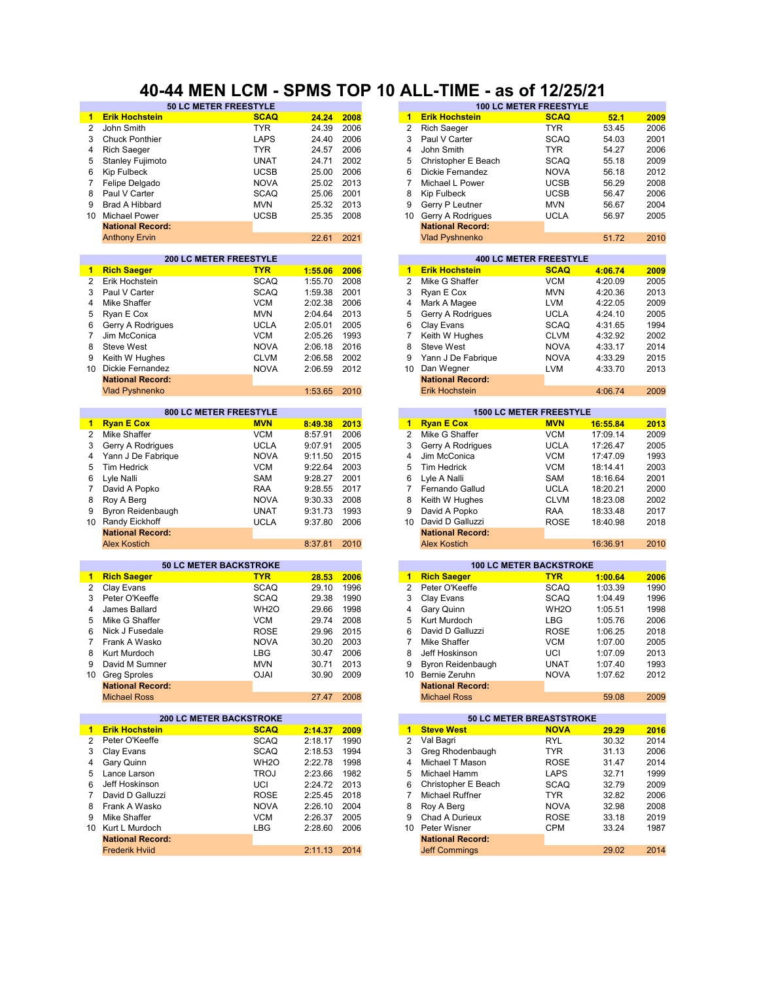#### **40-44 MEN LCM - SPMS TOP 10 ALL-TIME - as of 12/25/21**

| $\blacktriangleleft$ | <b>Erik Hochstein</b>          | <b>SCAQ</b>       | 24.24   | 2008 | $\mathbf{1}$         | <b>Erik Hochstein</b>          | <b>SCAQ</b>       | 52.1     | 2009 |
|----------------------|--------------------------------|-------------------|---------|------|----------------------|--------------------------------|-------------------|----------|------|
| 2                    | John Smith                     | <b>TYR</b>        | 24.39   | 2006 | $\overline{2}$       | <b>Rich Saeger</b>             | <b>TYR</b>        | 53.45    | 2006 |
| 3                    | <b>Chuck Ponthier</b>          | <b>LAPS</b>       | 24.40   | 2006 | 3                    | Paul V Carter                  | <b>SCAQ</b>       | 54.03    | 2001 |
| 4                    | <b>Rich Saeger</b>             | <b>TYR</b>        | 24.57   | 2006 | 4                    | John Smith                     | <b>TYR</b>        | 54.27    | 2006 |
|                      |                                |                   |         |      |                      |                                |                   |          |      |
| 5                    | <b>Stanley Fujimoto</b>        | <b>UNAT</b>       | 24.71   | 2002 | 5                    | Christopher E Beach            | <b>SCAQ</b>       | 55.18    | 2009 |
| 6                    | Kip Fulbeck                    | <b>UCSB</b>       | 25.00   | 2006 | 6                    | <b>Dickie Fernandez</b>        | <b>NOVA</b>       | 56.18    | 2012 |
| 7                    | Felipe Delgado                 | <b>NOVA</b>       | 25.02   | 2013 | 7                    | Michael L Power                | <b>UCSB</b>       | 56.29    | 2008 |
|                      |                                |                   |         | 2001 |                      |                                |                   |          |      |
| 8                    | Paul V Carter                  | <b>SCAQ</b>       | 25.06   |      | 8                    | <b>Kip Fulbeck</b>             | <b>UCSB</b>       | 56.47    | 2006 |
| 9                    | <b>Brad A Hibbard</b>          | <b>MVN</b>        | 25.32   | 2013 | 9                    | Gerry P Leutner                | <b>MVN</b>        | 56.67    | 2004 |
| 10                   | <b>Michael Power</b>           | <b>UCSB</b>       | 25.35   | 2008 | 10 <sup>1</sup>      | Gerry A Rodrigues              | <b>UCLA</b>       | 56.97    | 2005 |
|                      | <b>National Record:</b>        |                   |         |      |                      | <b>National Record:</b>        |                   |          |      |
|                      |                                |                   |         |      |                      |                                |                   |          |      |
|                      | <b>Anthony Ervin</b>           |                   | 22.61   | 2021 |                      | <b>Vlad Pyshnenko</b>          |                   | 51.72    | 2010 |
|                      |                                |                   |         |      |                      |                                |                   |          |      |
|                      | <b>200 LC METER FREESTYLE</b>  |                   |         |      |                      | <b>400 LC METER FREESTYLE</b>  |                   |          |      |
| $\blacksquare$       | <b>Rich Saeger</b>             | <b>TYR</b>        | 1:55.06 | 2006 | $\blacktriangleleft$ | <b>Erik Hochstein</b>          | <b>SCAQ</b>       | 4:06.74  | 2009 |
|                      |                                |                   |         |      |                      |                                |                   |          |      |
| $\overline{2}$       | Erik Hochstein                 | <b>SCAQ</b>       | 1:55.70 | 2008 | 2                    | Mike G Shaffer                 | <b>VCM</b>        | 4:20.09  | 2005 |
| 3                    | Paul V Carter                  | <b>SCAQ</b>       | 1:59.38 | 2001 | 3                    | Ryan E Cox                     | <b>MVN</b>        | 4:20.36  | 2013 |
| 4                    | Mike Shaffer                   | <b>VCM</b>        | 2:02.38 | 2006 | 4                    | Mark A Magee                   | <b>LVM</b>        | 4:22.05  | 2009 |
| 5                    | Ryan E Cox                     | <b>MVN</b>        | 2:04.64 | 2013 | 5                    | Gerry A Rodrigues              | <b>UCLA</b>       | 4:24.10  | 2005 |
|                      |                                |                   |         |      |                      |                                |                   |          |      |
| 6                    | Gerry A Rodrigues              | <b>UCLA</b>       | 2:05.01 | 2005 | 6                    | Clay Evans                     | <b>SCAQ</b>       | 4:31.65  | 1994 |
| 7                    | Jim McConica                   | <b>VCM</b>        | 2:05.26 | 1993 | 7                    | Keith W Hughes                 | <b>CLVM</b>       | 4:32.92  | 2002 |
| 8                    | <b>Steve West</b>              | <b>NOVA</b>       | 2:06.18 | 2016 | 8                    | <b>Steve West</b>              | <b>NOVA</b>       | 4:33.17  | 2014 |
|                      |                                |                   |         |      |                      |                                |                   |          |      |
| 9                    | Keith W Hughes                 | <b>CLVM</b>       | 2:06.58 | 2002 | 9                    | Yann J De Fabrique             | <b>NOVA</b>       | 4:33.29  | 2015 |
| 10                   | <b>Dickie Fernandez</b>        | <b>NOVA</b>       | 2:06.59 | 2012 | 10                   | Dan Wegner                     | <b>LVM</b>        | 4:33.70  | 2013 |
|                      | <b>National Record:</b>        |                   |         |      |                      | <b>National Record:</b>        |                   |          |      |
|                      | <b>Vlad Pyshnenko</b>          |                   | 1:53.65 | 2010 |                      | <b>Erik Hochstein</b>          |                   | 4:06.74  | 2009 |
|                      |                                |                   |         |      |                      |                                |                   |          |      |
|                      |                                |                   |         |      |                      |                                |                   |          |      |
|                      | 800 LC METER FREESTYLE         |                   |         |      |                      | <b>1500 LC METER FREESTYLE</b> |                   |          |      |
| $\mathbf{1}$         | <b>Ryan E Cox</b>              | <b>MVN</b>        | 8:49.38 | 2013 | $\mathbf{1}$         | <b>Ryan E Cox</b>              | <b>MVN</b>        | 16:55.84 | 2013 |
| 2                    | Mike Shaffer                   | <b>VCM</b>        | 8:57.91 | 2006 | 2                    | Mike G Shaffer                 | <b>VCM</b>        | 17:09.14 | 2009 |
|                      |                                |                   |         |      |                      |                                |                   |          |      |
| 3                    | Gerry A Rodrigues              | <b>UCLA</b>       | 9:07.91 | 2005 | 3                    | Gerry A Rodrigues              | <b>UCLA</b>       | 17:26.47 | 2005 |
| 4                    | Yann J De Fabrique             | <b>NOVA</b>       | 9:11.50 | 2015 | 4                    | Jim McConica                   | <b>VCM</b>        | 17:47.09 | 1993 |
| 5                    | Tim Hedrick                    | <b>VCM</b>        | 9:22.64 | 2003 | 5                    | <b>Tim Hedrick</b>             | <b>VCM</b>        | 18:14.41 | 2003 |
| 6                    | Lyle Nalli                     | <b>SAM</b>        | 9:28.27 | 2001 | 6                    | Lyle A Nalli                   | <b>SAM</b>        | 18:16.64 | 2001 |
|                      |                                |                   |         |      |                      |                                |                   |          |      |
| 7                    | David A Popko                  | <b>RAA</b>        | 9:28.55 | 2017 | 7                    | Fernando Gallud                | <b>UCLA</b>       | 18:20.21 | 2000 |
| 8                    | Roy A Berg                     | <b>NOVA</b>       | 9:30.33 | 2008 | 8                    | Keith W Hughes                 | <b>CLVM</b>       | 18:23.08 | 2002 |
| 9                    | Byron Reidenbaugh              | <b>UNAT</b>       | 9:31.73 | 1993 | 9                    | David A Popko                  | <b>RAA</b>        | 18:33.48 | 2017 |
| 10                   | Randy Eickhoff                 | <b>UCLA</b>       | 9:37.80 | 2006 | 10 <sup>1</sup>      | David D Galluzzi               | ROSE              | 18:40.98 | 2018 |
|                      |                                |                   |         |      |                      |                                |                   |          |      |
|                      | <b>National Record:</b>        |                   |         |      |                      | <b>National Record:</b>        |                   |          |      |
|                      | <b>Alex Kostich</b>            |                   | 8:37.81 | 2010 |                      | <b>Alex Kostich</b>            |                   | 16:36.91 | 2010 |
|                      |                                |                   |         |      |                      |                                |                   |          |      |
|                      | <b>50 LC METER BACKSTROKE</b>  |                   |         |      |                      | <b>100 LC METER BACKSTROKE</b> |                   |          |      |
|                      |                                |                   |         |      | $\mathbf{1}$         |                                | <b>TYR</b>        |          |      |
| 1                    | <b>Rich Saeger</b>             | <b>TYR</b>        | 28.53   | 2006 |                      | <b>Rich Saeger</b>             |                   | 1:00.64  | 2006 |
| 2                    | Clay Evans                     | <b>SCAQ</b>       | 29.10   | 1996 | 2                    | Peter O'Keeffe                 | <b>SCAQ</b>       | 1:03.39  | 1990 |
| 3                    | Peter O'Keeffe                 | <b>SCAQ</b>       | 29.38   | 1990 | 3                    | Clay Evans                     | <b>SCAQ</b>       | 1:04.49  | 1996 |
| 4                    | James Ballard                  | WH <sub>2</sub> O | 29.66   | 1998 | 4                    | Gary Quinn                     | WH <sub>2</sub> O | 1:05.51  | 1998 |
|                      |                                |                   |         |      |                      |                                |                   |          |      |
| 5                    | Mike G Shaffer                 | <b>VCM</b>        | 29.74   | 2008 | 5                    | Kurt Murdoch                   | <b>LBG</b>        | 1:05.76  | 2006 |
| 6                    | Nick J Fusedale                | <b>ROSE</b>       | 29.96   | 2015 | 6                    | David D Galluzzi               | <b>ROSE</b>       | 1:06.25  | 2018 |
| $\overline{7}$       | Frank A Wasko                  | <b>NOVA</b>       | 30.20   | 2003 | $\overline{7}$       | Mike Shaffer                   | <b>VCM</b>        | 1:07.00  | 2005 |
| 8                    | Kurt Murdoch                   | <b>LBG</b>        | 30.47   | 2006 | 8                    | Jeff Hoskinson                 | UCI               | 1:07.09  | 2013 |
|                      |                                |                   |         |      |                      |                                |                   |          |      |
| 9                    | David M Sumner                 | <b>MVN</b>        | 30.71   | 2013 | 9                    | Byron Reidenbaugh              | UNAT              | 1:07.40  | 1993 |
|                      | 10 Greg Sproles                | <b>OJAI</b>       | 30.90   | 2009 |                      | 10 Bernie Zeruhn               | <b>NOVA</b>       | 1:07.62  | 2012 |
|                      | <b>National Record:</b>        |                   |         |      |                      | <b>National Record:</b>        |                   |          |      |
|                      | <b>Michael Ross</b>            |                   | 27.47   | 2008 |                      | <b>Michael Ross</b>            |                   | 59.08    | 2009 |
|                      |                                |                   |         |      |                      |                                |                   |          |      |
|                      |                                |                   |         |      |                      |                                |                   |          |      |
|                      | <b>200 LC METER BACKSTROKE</b> |                   |         |      |                      | 50 LC METER BREASTSTROKE       |                   |          |      |
| $\mathbf{1}$         | <b>Erik Hochstein</b>          | <b>SCAQ</b>       | 2:14.37 | 2009 | $\mathbf{1}$         | <b>Steve West</b>              | <b>NOVA</b>       | 29.29    | 2016 |
| 2                    | Peter O'Keeffe                 | <b>SCAQ</b>       | 2:18.17 | 1990 | 2                    | Val Bagri                      | RYL               | 30.32    | 2014 |
|                      |                                |                   |         |      |                      |                                |                   |          |      |
| 3                    | Clay Evans                     | SCAQ              | 2:18.53 | 1994 | 3                    | Greg Rhodenbaugh               | <b>TYR</b>        | 31.13    | 2006 |
| 4                    | Gary Quinn                     | WH <sub>2</sub> O | 2:22.78 | 1998 | 4                    | Michael T Mason                | <b>ROSE</b>       | 31.47    | 2014 |
| 5                    | Lance Larson                   | <b>TROJ</b>       | 2:23.66 | 1982 | 5                    | Michael Hamm                   | LAPS              | 32.71    | 1999 |
| 6                    | Jeff Hoskinson                 | UCI               | 2:24.72 | 2013 | 6                    | Christopher E Beach            | <b>SCAQ</b>       | 32.79    | 2009 |
|                      |                                |                   |         |      |                      |                                |                   |          |      |
| 7                    | David D Galluzzi               | <b>ROSE</b>       | 2:25.45 | 2018 | 7                    | Michael Ruffner                | <b>TYR</b>        | 32.82    | 2006 |
| 8                    | Frank A Wasko                  | <b>NOVA</b>       | 2:26.10 | 2004 | 8                    | Roy A Berg                     | <b>NOVA</b>       | 32.98    | 2008 |
| 9                    | Mike Shaffer                   | <b>VCM</b>        | 2:26.37 | 2005 | 9                    | Chad A Durieux                 | <b>ROSE</b>       | 33.18    | 2019 |
|                      | 10 Kurt L Murdoch              | LBG               | 2:28.60 | 2006 | 10                   | Peter Wisner                   | CPM               | 33.24    | 1987 |
|                      |                                |                   |         |      |                      |                                |                   |          |      |
|                      | <b>National Record:</b>        |                   |         |      |                      | <b>National Record:</b>        |                   |          |      |
|                      | <b>Frederik Hviid</b>          |                   | 2:11.13 | 2014 |                      | <b>Jeff Commings</b>           |                   | 29.02    | 2014 |
|                      |                                |                   |         |      |                      |                                |                   |          |      |

| <b>50 LC METER FREESTYLE</b> |             |       |      |    | <b>100 LC METER FREESTYLE</b> |             |       |      |
|------------------------------|-------------|-------|------|----|-------------------------------|-------------|-------|------|
|                              | <b>SCAQ</b> | 24.24 | 2008 | 1. | <b>Erik Hochstein</b>         | <b>SCAQ</b> | 52.1  | 2009 |
|                              | TYR.        | 24.39 | 2006 | 2  | <b>Rich Saeger</b>            | <b>TYR</b>  | 53.45 | 2006 |
|                              | LAPS        | 24.40 | 2006 | 3  | Paul V Carter                 | <b>SCAQ</b> | 54.03 | 2001 |
|                              | <b>TYR</b>  | 24.57 | 2006 | 4  | John Smith                    | <b>TYR</b>  | 54.27 | 2006 |
|                              | <b>UNAT</b> | 24.71 | 2002 | 5  | Christopher E Beach           | <b>SCAQ</b> | 55.18 | 2009 |
|                              | <b>UCSB</b> | 25.00 | 2006 | 6  | Dickie Fernandez              | <b>NOVA</b> | 56.18 | 2012 |
|                              | <b>NOVA</b> | 25.02 | 2013 |    | Michael L Power               | <b>UCSB</b> | 56.29 | 2008 |
|                              | <b>SCAQ</b> | 25.06 | 2001 | 8  | Kip Fulbeck                   | <b>UCSB</b> | 56.47 | 2006 |
|                              | <b>MVN</b>  | 25.32 | 2013 | 9  | Gerry P Leutner               | <b>MVN</b>  | 56.67 | 2004 |
|                              | <b>UCSB</b> | 25.35 | 2008 | 10 | Gerry A Rodrigues             | <b>UCLA</b> | 56.97 | 2005 |
|                              |             |       |      |    | <b>National Record:</b>       |             |       |      |
|                              |             | 22.61 | 2021 |    | <b>Vlad Pyshnenko</b>         |             | 51.72 | 2010 |
|                              |             |       |      |    |                               |             |       |      |

|         |      |    |                         | <b>400 LC METER FREESTYLE</b> |         |      |
|---------|------|----|-------------------------|-------------------------------|---------|------|
| 1:55.06 | 2006 | 1  | <b>Erik Hochstein</b>   | <b>SCAQ</b>                   | 4:06.74 | 2009 |
| 1:55.70 | 2008 | 2  | Mike G Shaffer          | <b>VCM</b>                    | 4:20.09 | 2005 |
| 1:59.38 | 2001 | 3  | Ryan E Cox              | <b>MVN</b>                    | 4:20.36 | 2013 |
| 2:02.38 | 2006 | 4  | Mark A Magee            | <b>LVM</b>                    | 4:22.05 | 2009 |
| 2:04.64 | 2013 | 5  | Gerry A Rodrigues       | <b>UCLA</b>                   | 4:24.10 | 2005 |
| 2:05.01 | 2005 | 6  | Clay Evans              | <b>SCAQ</b>                   | 4:31.65 | 1994 |
| 2:05.26 | 1993 | 7  | Keith W Hughes          | <b>CLVM</b>                   | 4:32.92 | 2002 |
| 2:06.18 | 2016 | 8  | Steve West              | <b>NOVA</b>                   | 4:33.17 | 2014 |
| 2:06.58 | 2002 | 9  | Yann J De Fabrique      | <b>NOVA</b>                   | 4:33.29 | 2015 |
| 2:06.59 | 2012 | 10 | Dan Wegner              | <b>LVM</b>                    | 4:33.70 | 2013 |
|         |      |    | <b>National Record:</b> |                               |         |      |
| 1:53.65 | 2010 |    | <b>Erik Hochstein</b>   |                               | 4:06.74 | 2009 |
|         |      |    |                         |                               |         |      |

|         |      |                |                         | <b>1500 LC METER FREESTYLE</b> |          |      |
|---------|------|----------------|-------------------------|--------------------------------|----------|------|
| 8:49.38 | 2013 | 1              | <b>Ryan E Cox</b>       | <b>MVN</b>                     | 16:55.84 | 2013 |
| 8:57.91 | 2006 | $\overline{2}$ | Mike G Shaffer          | VCM                            | 17:09.14 | 2009 |
| 9:07.91 | 2005 | 3              | Gerry A Rodrigues       | <b>UCLA</b>                    | 17:26.47 | 2005 |
| 9:11.50 | 2015 | 4              | Jim McConica            | VCM                            | 17:47.09 | 1993 |
| 9:22.64 | 2003 | 5              | <b>Tim Hedrick</b>      | VCM                            | 18:14.41 | 2003 |
| 9:28.27 | 2001 | 6              | Lyle A Nalli            | SAM                            | 18:16.64 | 2001 |
| 9:28.55 | 2017 |                | Fernando Gallud         | <b>UCLA</b>                    | 18:20.21 | 2000 |
| 9:30.33 | 2008 | 8              | Keith W Hughes          | <b>CLVM</b>                    | 18:23.08 | 2002 |
| 9:31.73 | 1993 | 9              | David A Popko           | RAA                            | 18:33.48 | 2017 |
| 9:37.80 | 2006 | 10             | David D Galluzzi        | <b>ROSE</b>                    | 18:40.98 | 2018 |
|         |      |                | <b>National Record:</b> |                                |          |      |
| 8:37.81 | 2010 |                | <b>Alex Kostich</b>     |                                | 16:36.91 | 2010 |
|         |      |                |                         |                                |          |      |

|       |      |    | <b>100 LC METER BACKSTROKE</b>  |                   |         |      |
|-------|------|----|---------------------------------|-------------------|---------|------|
| 28.53 | 2006 | 1  | <b>Rich Saeger</b>              | <b>TYR</b>        | 1:00.64 | 2006 |
| 29.10 | 1996 | 2  | Peter O'Keeffe                  | <b>SCAQ</b>       | 1:03.39 | 1990 |
| 29.38 | 1990 | 3  | Clay Evans                      | <b>SCAQ</b>       | 1:04.49 | 1996 |
| 29.66 | 1998 | 4  | Gary Quinn                      | WH <sub>2</sub> O | 1:05.51 | 1998 |
| 29.74 | 2008 | 5  | Kurt Murdoch                    | <b>LBG</b>        | 1:05.76 | 2006 |
| 29.96 | 2015 | 6  | David D Galluzzi                | <b>ROSE</b>       | 1:06.25 | 2018 |
| 30.20 | 2003 | 7  | Mike Shaffer                    | <b>VCM</b>        | 1:07.00 | 2005 |
| 30.47 | 2006 | 8  | Jeff Hoskinson                  | UCI               | 1:07.09 | 2013 |
| 30.71 | 2013 | 9  | Byron Reidenbaugh               | <b>UNAT</b>       | 1:07.40 | 1993 |
| 30.90 | 2009 | 10 | Bernie Zeruhn                   | <b>NOVA</b>       | 1:07.62 | 2012 |
|       |      |    | <b>National Record:</b>         |                   |         |      |
| 27.47 | 2008 |    | <b>Michael Ross</b>             |                   | 59.08   | 2009 |
|       |      |    |                                 |                   |         |      |
|       |      |    | <b>50 LC METER BREASTSTROKE</b> |                   |         |      |

| 2009 | 1  | <b>Steve West</b>       | <b>NOVA</b> | 29.29 | 2016 |
|------|----|-------------------------|-------------|-------|------|
| 1990 | 2  | Val Bagri               | <b>RYL</b>  | 30.32 | 2014 |
| 1994 | 3  | Greg Rhodenbaugh        | <b>TYR</b>  | 31.13 | 2006 |
| 1998 | 4  | Michael T Mason         | <b>ROSE</b> | 31.47 | 2014 |
| 1982 | 5  | Michael Hamm            | <b>LAPS</b> | 32.71 | 1999 |
| 2013 | 6  | Christopher E Beach     | <b>SCAQ</b> | 32.79 | 2009 |
| 2018 |    | <b>Michael Ruffner</b>  | <b>TYR</b>  | 32.82 | 2006 |
| 2004 | 8  | Roy A Berg              | <b>NOVA</b> | 32.98 | 2008 |
| 2005 | 9  | Chad A Durieux          | <b>ROSE</b> | 33.18 | 2019 |
| 2006 | 10 | Peter Wisner            | <b>CPM</b>  | 33.24 | 1987 |
|      |    | <b>National Record:</b> |             |       |      |
| 2014 |    | <b>Jeff Commings</b>    |             | 29.02 | 2014 |
|      |    |                         |             |       |      |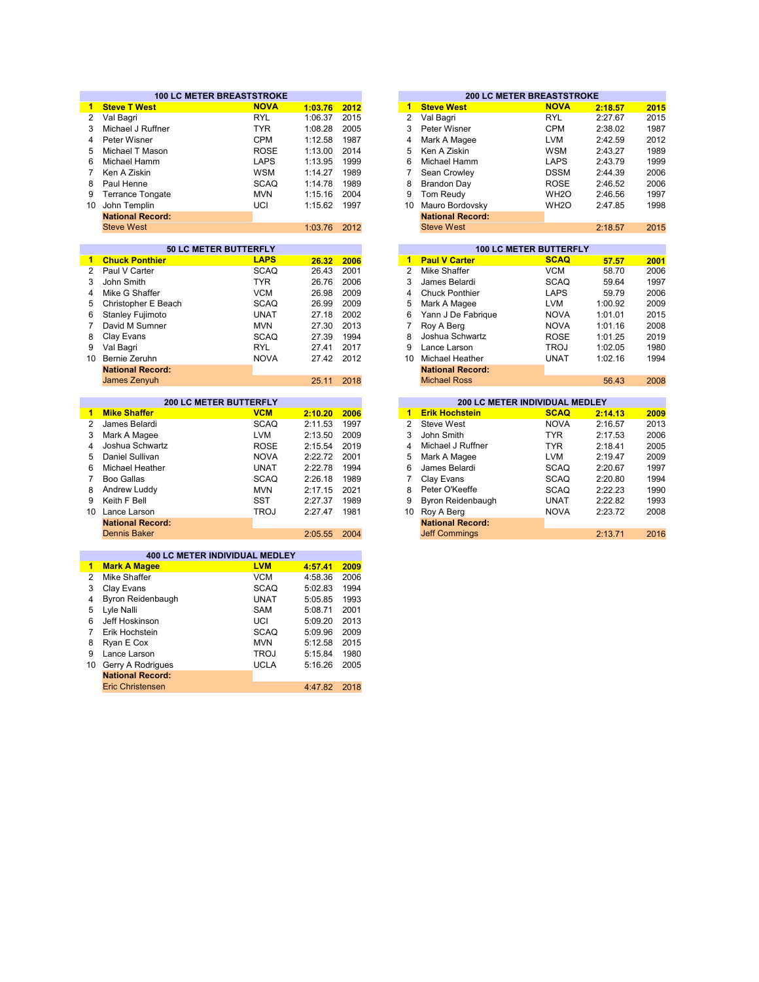|                      | <b>100 LC METER BREASTSTROKE</b> |             |         |      |                |                                | <b>200 LC METER BREASTSTROKE</b> |  |
|----------------------|----------------------------------|-------------|---------|------|----------------|--------------------------------|----------------------------------|--|
| $\blacktriangleleft$ | <b>Steve T West</b>              | <b>NOVA</b> | 1:03.76 | 2012 | $\mathbf{1}$   | <b>Steve West</b>              | <b>NOVA</b>                      |  |
| $\overline{2}$       | Val Bagri                        | <b>RYL</b>  | 1:06.37 | 2015 | $\overline{2}$ | Val Bagri                      | <b>RYL</b>                       |  |
| 3                    | Michael J Ruffner                | <b>TYR</b>  | 1:08.28 | 2005 | 3              | Peter Wisner                   | <b>CPM</b>                       |  |
| 4                    | Peter Wisner                     | <b>CPM</b>  | 1:12.58 | 1987 | 4              | Mark A Magee                   | <b>LVM</b>                       |  |
| 5                    | Michael T Mason                  | <b>ROSE</b> | 1:13.00 | 2014 | 5              | Ken A Ziskin                   | <b>WSM</b>                       |  |
| 6                    | Michael Hamm                     | <b>LAPS</b> | 1:13.95 | 1999 | 6              | Michael Hamm                   | LAPS                             |  |
| 7                    | Ken A Ziskin                     | <b>WSM</b>  | 1:14.27 | 1989 | $\overline{7}$ | Sean Crowley                   | <b>DSSM</b>                      |  |
| 8                    | Paul Henne                       | <b>SCAQ</b> | 1:14.78 | 1989 | 8              | <b>Brandon Day</b>             | <b>ROSE</b>                      |  |
| 9                    | <b>Terrance Tongate</b>          | <b>MVN</b>  | 1:15.16 | 2004 | 9              | Tom Reudy                      | WH <sub>2</sub> O                |  |
| 10                   | John Templin                     | UCI         | 1:15.62 | 1997 | 10             | Mauro Bordovsky                | WH <sub>2</sub> O                |  |
|                      | <b>National Record:</b>          |             |         |      |                | <b>National Record:</b>        |                                  |  |
|                      | <b>Steve West</b>                |             | 1:03.76 | 2012 |                | <b>Steve West</b>              |                                  |  |
|                      |                                  |             |         |      |                |                                |                                  |  |
|                      | 50 LC METER BUTTERFLY            |             |         |      |                |                                | <b>100 LC METER BUTTERFLY</b>    |  |
| $\blacktriangleleft$ | <b>Chuck Ponthier</b>            | <b>LAPS</b> | 26.32   | 2006 | $\mathbf{1}$   | <b>Paul V Carter</b>           | <b>SCAQ</b>                      |  |
| $\overline{2}$       | Paul V Carter                    | <b>SCAQ</b> | 26.43   | 2001 | $\overline{2}$ | Mike Shaffer                   | <b>VCM</b>                       |  |
| 3                    | John Smith                       | <b>TYR</b>  | 26.76   | 2006 | 3              | James Belardi                  | <b>SCAQ</b>                      |  |
| 4                    | Mike G Shaffer                   | <b>VCM</b>  | 26.98   | 2009 | 4              | <b>Chuck Ponthier</b>          | <b>LAPS</b>                      |  |
| 5                    | Christopher E Beach              | <b>SCAQ</b> | 26.99   | 2009 | 5              | Mark A Magee                   | <b>LVM</b>                       |  |
| 6                    | <b>Stanley Fujimoto</b>          | <b>UNAT</b> | 27.18   | 2002 | 6              | Yann J De Fabrique             | <b>NOVA</b>                      |  |
| 7                    | David M Sumner                   | <b>MVN</b>  | 27.30   | 2013 | $\overline{7}$ | Roy A Berg                     | <b>NOVA</b>                      |  |
| 8                    | Clay Evans                       | <b>SCAQ</b> | 27.39   | 1994 | 8              | Joshua Schwartz                | <b>ROSE</b>                      |  |
|                      | Val Bagri                        | <b>RYL</b>  | 27.41   | 2017 | 9              | Lance Larson                   | <b>TROJ</b>                      |  |
| 10                   | Bernie Zeruhn                    | <b>NOVA</b> | 27.42   | 2012 | 10             | <b>Michael Heather</b>         | <b>UNAT</b>                      |  |
|                      | <b>National Record:</b>          |             |         |      |                | <b>National Record:</b>        |                                  |  |
|                      | James Zenyuh                     |             | 25.11   | 2018 |                | <b>Michael Ross</b>            |                                  |  |
|                      | 200 LC METER BUTTERFLY           |             |         |      |                | 200 LC METER INDIVIDUAL MEDLEY |                                  |  |
| $\blacktriangleleft$ | <b>Mike Shaffer</b>              | <b>VCM</b>  | 2:10.20 | 2006 | $\mathbf{1}$   | <b>Erik Hochstein</b>          | <b>SCAQ</b>                      |  |
|                      | James Belardi                    | <b>SCAQ</b> | 2:11.53 | 1997 | $\overline{2}$ | <b>Steve West</b>              | <b>NOVA</b>                      |  |
|                      | Mark A Magee                     | <b>LVM</b>  | 2:13.50 | 2009 | 3              | John Smith                     | <b>TYR</b>                       |  |
|                      | Joshua Schwartz                  | <b>ROSE</b> | 2:15.54 | 2019 | 4              | Michael J Ruffner              | <b>TYR</b>                       |  |
| 4<br>5               | Daniel Sullivan                  | <b>NOVA</b> | 2:22.72 | 2001 | 5              | Mark A Magee                   | <b>LVM</b>                       |  |
|                      | <b>Michael Heather</b>           | <b>UNAT</b> | 2:22.78 | 1994 | 6              | James Belardi                  | <b>SCAQ</b>                      |  |
| 6                    | <b>Boo Gallas</b>                | <b>SCAQ</b> | 2:26.18 | 1989 | $\overline{7}$ | Clay Evans                     | <b>SCAQ</b>                      |  |
| 7<br>8               | Andrew Luddy                     | <b>MVN</b>  | 2:17.15 | 2021 | 8              | Peter O'Keeffe                 | <b>SCAQ</b>                      |  |
| 9                    | Keith F Bell                     | <b>SST</b>  | 2:27.37 | 1989 | 9              | Byron Reidenbaugh              | <b>UNAT</b>                      |  |
|                      | 10 Lance Larson                  | <b>TROJ</b> | 2:27.47 | 1981 | 10             | Roy A Berg                     | <b>NOVA</b>                      |  |
|                      | <b>National Record:</b>          |             |         |      |                | <b>National Record:</b>        |                                  |  |
|                      | <b>Dennis Baker</b>              |             | 2:05.55 | 2004 |                | <b>Jeff Commings</b>           |                                  |  |
|                      |                                  |             |         |      |                |                                |                                  |  |
|                      | 400 LC METER INDIVIDUAL MEDLEY   |             |         |      |                |                                |                                  |  |
| $\blacktriangleleft$ | <b>Mark A Magee</b>              | <b>LVM</b>  | 4:57.41 | 2009 |                |                                |                                  |  |
| 2                    | Mike Shaffer                     | <b>VCM</b>  | 4:58.36 | 2006 |                |                                |                                  |  |
| 3                    | Clay Evans                       | <b>SCAQ</b> | 5:02.83 | 1994 |                |                                |                                  |  |
| 4                    | Byron Reidenbaugh                | <b>UNAT</b> | 5:05.85 | 1993 |                |                                |                                  |  |
|                      | Lyle Nalli                       | SAM         | 5:08.71 | 2001 |                |                                |                                  |  |
| 6                    | Jeff Hoskinson                   | UCI         | 5:09.20 | 2013 |                |                                |                                  |  |
| $\overline{7}$       | Erik Hochstein                   | <b>SCAQ</b> | 5:09.96 | 2009 |                |                                |                                  |  |
| 8                    | Ryan E Cox                       | <b>MVN</b>  | 5:12.58 | 2015 |                |                                |                                  |  |
| 9                    | Lance Larson                     | <b>TROJ</b> | 5:15.84 | 1980 |                |                                |                                  |  |
|                      |                                  |             |         |      |                |                                |                                  |  |
| 10                   | Gerry A Rodrigues                | <b>UCLA</b> | 5:16.26 | 2005 |                |                                |                                  |  |

Eric Christensen

4:47.82 2018

|         |      |    | <b>200 LC METER BREASTSTROKE</b> |                   |         |      |
|---------|------|----|----------------------------------|-------------------|---------|------|
| 1:03.76 | 2012 | 1  | <b>Steve West</b>                | <b>NOVA</b>       | 2:18.57 | 2015 |
| 1:06.37 | 2015 | 2  | Val Bagri                        | <b>RYL</b>        | 2:27.67 | 2015 |
| 1:08.28 | 2005 | 3  | Peter Wisner                     | <b>CPM</b>        | 2:38.02 | 1987 |
| 1:12.58 | 1987 | 4  | Mark A Magee                     | <b>LVM</b>        | 2:42.59 | 2012 |
| 1:13.00 | 2014 | 5  | Ken A Ziskin                     | <b>WSM</b>        | 2:43.27 | 1989 |
| 1:13.95 | 1999 | 6  | Michael Hamm                     | <b>LAPS</b>       | 2:43.79 | 1999 |
| 1:14.27 | 1989 | 7  | Sean Crowley                     | <b>DSSM</b>       | 2:44.39 | 2006 |
| 1:14.78 | 1989 | 8  | <b>Brandon Day</b>               | <b>ROSE</b>       | 2:46.52 | 2006 |
| 1:15.16 | 2004 | 9  | Tom Reudy                        | WH <sub>2</sub> O | 2:46.56 | 1997 |
| 1:15.62 | 1997 | 10 | Mauro Bordovsky                  | WH <sub>2</sub> O | 2:47.85 | 1998 |
|         |      |    | <b>National Record:</b>          |                   |         |      |
| 1:03.76 | 2012 |    | <b>Steve West</b>                |                   | 2:18.57 | 2015 |
|         |      |    |                                  |                   |         |      |
|         |      |    | <b>100 LC METER BUTTERFLY</b>    |                   |         |      |
| 26.32   | 2006 | 4  | <b>Paul V Carter</b>             | <b>SCAO</b>       | 57 57   | 2004 |

| 20.32 I | <b>ZUUD</b> |    | <u>Paul V Carter</u>    | ounu        | 57.57   | zuut |
|---------|-------------|----|-------------------------|-------------|---------|------|
| 26.43   | 2001        | 2  | Mike Shaffer            | <b>VCM</b>  | 58.70   | 2006 |
| 26.76   | 2006        | 3  | James Belardi           | <b>SCAQ</b> | 59.64   | 1997 |
| 26.98   | 2009        | 4  | <b>Chuck Ponthier</b>   | <b>LAPS</b> | 59.79   | 2006 |
| 26.99   | 2009        | 5  | Mark A Magee            | <b>LVM</b>  | 1:00.92 | 2009 |
| 27.18   | 2002        | 6  | Yann J De Fabrique      | <b>NOVA</b> | 1:01.01 | 2015 |
| 27.30   | 2013        | 7  | Roy A Berg              | <b>NOVA</b> | 1:01.16 | 2008 |
| 27.39   | 1994        | 8  | Joshua Schwartz         | <b>ROSE</b> | 1:01.25 | 2019 |
| 27.41   | 2017        | 9  | Lance Larson            | <b>TROJ</b> | 1:02.05 | 1980 |
| 27.42   | 2012        | 10 | Michael Heather         | <b>UNAT</b> | 1:02.16 | 1994 |
|         |             |    | <b>National Record:</b> |             |         |      |
| 25.11   | 2018        |    | <b>Michael Ross</b>     |             | 56.43   | 2008 |
|         |             |    |                         |             |         |      |

|         |      |    |                         | <b>200 LC METER INDIVIDUAL MEDLEY</b> |         |      |
|---------|------|----|-------------------------|---------------------------------------|---------|------|
| 2:10.20 | 2006 | 1  | <b>Erik Hochstein</b>   | <b>SCAQ</b>                           | 2:14.13 | 2009 |
| 2:11.53 | 1997 | 2  | Steve West              | <b>NOVA</b>                           | 2:16.57 | 2013 |
| 2:13.50 | 2009 | 3  | John Smith              | <b>TYR</b>                            | 2:17.53 | 2006 |
| 2:15.54 | 2019 | 4  | Michael J Ruffner       | TYR.                                  | 2:18.41 | 2005 |
| 2:22.72 | 2001 | 5  | Mark A Magee            | <b>LVM</b>                            | 2:19.47 | 2009 |
| 2:22.78 | 1994 | 6  | James Belardi           | <b>SCAQ</b>                           | 2:20.67 | 1997 |
| 2:26.18 | 1989 |    | Clay Evans              | <b>SCAQ</b>                           | 2:20.80 | 1994 |
| 2:17.15 | 2021 | 8  | Peter O'Keeffe          | <b>SCAQ</b>                           | 2:22.23 | 1990 |
| 2:27.37 | 1989 | 9  | Byron Reidenbaugh       | <b>UNAT</b>                           | 2:22.82 | 1993 |
| 2:27.47 | 1981 | 10 | Roy A Berg              | <b>NOVA</b>                           | 2:23.72 | 2008 |
|         |      |    | <b>National Record:</b> |                                       |         |      |
| 2:05.55 | 2004 |    | <b>Jeff Commings</b>    |                                       | 2:13.71 | 2016 |
|         |      |    |                         |                                       |         |      |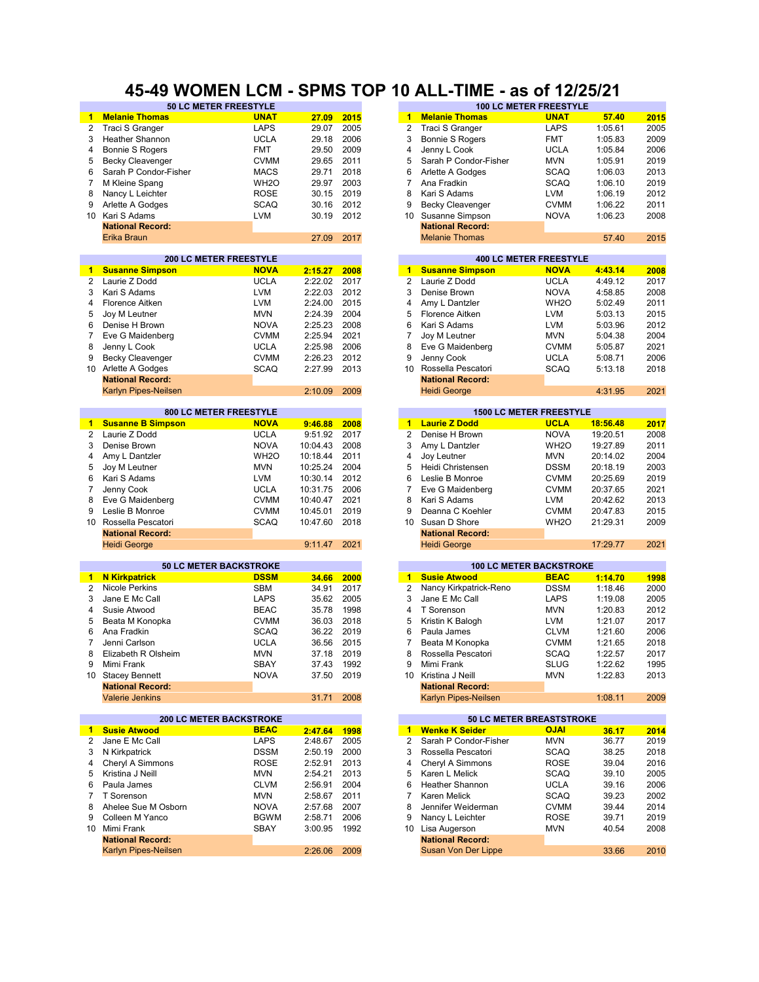### **45-49 WOMEN LCM - SPMS TOP 10 ALL-TIME - as of 12/25/21**

|                | <b>JULY MEIER FREEJIILE</b>    |                   |          |      |                 |                                 | IW LY METER FREED THE          |          |      |
|----------------|--------------------------------|-------------------|----------|------|-----------------|---------------------------------|--------------------------------|----------|------|
| 1              | <b>Melanie Thomas</b>          | <b>UNAT</b>       | 27.09    | 2015 | 1               | <b>Melanie Thomas</b>           | <b>UNAT</b>                    | 57.40    | 2015 |
| 2              | Traci S Granger                | <b>LAPS</b>       | 29.07    | 2005 | $\overline{2}$  | Traci S Granger                 | <b>LAPS</b>                    | 1:05.61  | 2005 |
| 3              | <b>Heather Shannon</b>         | <b>UCLA</b>       | 29.18    | 2006 | 3               | <b>Bonnie S Rogers</b>          | <b>FMT</b>                     | 1:05.83  | 2009 |
| 4              |                                | <b>FMT</b>        | 29.50    | 2009 | 4               |                                 | <b>UCLA</b>                    | 1:05.84  | 2006 |
|                | <b>Bonnie S Rogers</b>         |                   |          |      |                 | Jenny L Cook                    |                                |          |      |
| 5              | <b>Becky Cleavenger</b>        | <b>CVMM</b>       | 29.65    | 2011 | 5               | Sarah P Condor-Fisher           | <b>MVN</b>                     | 1:05.91  | 2019 |
| 6              | Sarah P Condor-Fisher          | <b>MACS</b>       | 29.71    | 2018 | 6               | Arlette A Godges                | <b>SCAQ</b>                    | 1:06.03  | 2013 |
| 7              | M Kleine Spang                 | WH <sub>2</sub> O | 29.97    | 2003 | 7               | Ana Fradkin                     | <b>SCAQ</b>                    | 1:06.10  | 2019 |
| 8              | Nancy L Leichter               | <b>ROSE</b>       | 30.15    | 2019 | 8               | Kari S Adams                    | <b>LVM</b>                     | 1:06.19  | 2012 |
| 9              | Arlette A Godges               | <b>SCAQ</b>       | 30.16    | 2012 | 9               | <b>Becky Cleavenger</b>         | <b>CVMM</b>                    | 1:06.22  | 2011 |
| 10             | Kari S Adams                   | <b>LVM</b>        | 30.19    | 2012 | 10              | Susanne Simpson                 | <b>NOVA</b>                    | 1:06.23  | 2008 |
|                | <b>National Record:</b>        |                   |          |      |                 | <b>National Record:</b>         |                                |          |      |
|                |                                |                   |          |      |                 |                                 |                                |          |      |
|                | Erika Braun                    |                   | 27.09    | 2017 |                 | <b>Melanie Thomas</b>           |                                | 57.40    | 2015 |
|                |                                |                   |          |      |                 |                                 |                                |          |      |
|                | <b>200 LC METER FREESTYLE</b>  |                   |          |      |                 |                                 | <b>400 LC METER FREESTYLE</b>  |          |      |
| $\mathbf{1}$   | <b>Susanne Simpson</b>         | <b>NOVA</b>       | 2:15.27  | 2008 | $\mathbf{1}$    | <b>Susanne Simpson</b>          | <b>NOVA</b>                    | 4:43.14  | 2008 |
| 2              | Laurie Z Dodd                  | <b>UCLA</b>       | 2:22.02  | 2017 | $\overline{2}$  | Laurie Z Dodd                   | <b>UCLA</b>                    | 4:49.12  | 2017 |
| 3              | Kari S Adams                   | <b>LVM</b>        | 2:22.03  | 2012 | 3               | Denise Brown                    | <b>NOVA</b>                    | 4:58.85  | 2008 |
| 4              | Florence Aitken                | <b>LVM</b>        | 2:24.00  | 2015 | 4               | Amy L Dantzler                  | WH <sub>2</sub> O              | 5:02.49  | 2011 |
| 5              | Joy M Leutner                  | <b>MVN</b>        | 2:24.39  | 2004 | 5               | <b>Florence Aitken</b>          | <b>LVM</b>                     | 5:03.13  | 2015 |
| 6              | Denise H Brown                 | <b>NOVA</b>       | 2:25.23  | 2008 | 6               | Kari S Adams                    | <b>LVM</b>                     | 5:03.96  | 2012 |
| 7              | Eve G Maidenberg               | <b>CVMM</b>       | 2:25.94  | 2021 | 7               | Joy M Leutner                   | <b>MVN</b>                     | 5:04.38  | 2004 |
|                |                                | <b>UCLA</b>       |          | 2006 | 8               |                                 |                                |          |      |
| 8              | Jenny L Cook                   |                   | 2:25.98  |      |                 | Eve G Maidenberg                | <b>CVMM</b>                    | 5:05.87  | 2021 |
| 9              | <b>Becky Cleavenger</b>        | <b>CVMM</b>       | 2:26.23  | 2012 | 9               | Jenny Cook                      | <b>UCLA</b>                    | 5:08.71  | 2006 |
|                | 10 Arlette A Godges            | <b>SCAQ</b>       | 2:27.99  | 2013 | 10 <sup>1</sup> | Rossella Pescatori              | <b>SCAQ</b>                    | 5:13.18  | 2018 |
|                | <b>National Record:</b>        |                   |          |      |                 | <b>National Record:</b>         |                                |          |      |
|                | Karlyn Pipes-Neilsen           |                   | 2:10.09  | 2009 |                 | <b>Heidi George</b>             |                                | 4:31.95  | 2021 |
|                |                                |                   |          |      |                 |                                 |                                |          |      |
|                | 800 LC METER FREESTYLE         |                   |          |      |                 |                                 | <b>1500 LC METER FREESTYLE</b> |          |      |
| 1              | <b>Susanne B Simpson</b>       | <b>NOVA</b>       | 9:46.88  | 2008 | $\mathbf{1}$    | <b>Laurie Z Dodd</b>            | <b>UCLA</b>                    | 18:56.48 | 2017 |
| $\overline{2}$ | Laurie Z Dodd                  | <b>UCLA</b>       | 9:51.92  | 2017 | 2               | Denise H Brown                  | <b>NOVA</b>                    | 19:20.51 | 2008 |
| 3              | Denise Brown                   | <b>NOVA</b>       | 10:04.43 | 2008 | 3               | Amy L Dantzler                  | WH <sub>2</sub> O              | 19:27.89 | 2011 |
| 4              | Amy L Dantzler                 | WH <sub>2</sub> O | 10:18.44 | 2011 | 4               | Joy Leutner                     | <b>MVN</b>                     | 20:14.02 | 2004 |
| 5              | Joy M Leutner                  | <b>MVN</b>        | 10:25.24 | 2004 | 5               | Heidi Christensen               | <b>DSSM</b>                    | 20:18.19 | 2003 |
|                |                                |                   |          |      |                 |                                 |                                |          |      |
| 6              | Kari S Adams                   | <b>LVM</b>        | 10:30.14 | 2012 | 6               | Leslie B Monroe                 | <b>CVMM</b>                    | 20:25.69 | 2019 |
| $\overline{7}$ | Jenny Cook                     | <b>UCLA</b>       | 10:31.75 | 2006 | $\overline{7}$  | Eve G Maidenberg                | <b>CVMM</b>                    | 20:37.65 | 2021 |
| 8              | Eve G Maidenberg               | <b>CVMM</b>       | 10:40.47 | 2021 | 8               | Kari S Adams                    | <b>LVM</b>                     | 20:42.62 | 2013 |
| 9              | Leslie B Monroe                | <b>CVMM</b>       | 10:45.01 | 2019 | 9               | Deanna C Koehler                | <b>CVMM</b>                    | 20:47.83 | 2015 |
| 10             | Rossella Pescatori             | <b>SCAQ</b>       | 10:47.60 | 2018 | 10              | Susan D Shore                   | WH <sub>20</sub>               | 21:29.31 | 2009 |
|                | <b>National Record:</b>        |                   |          |      |                 | <b>National Record:</b>         |                                |          |      |
|                | <b>Heidi George</b>            |                   | 9:11.47  | 2021 |                 | <b>Heidi George</b>             |                                | 17:29.77 | 2021 |
|                |                                |                   |          |      |                 |                                 |                                |          |      |
|                | <b>50 LC METER BACKSTROKE</b>  |                   |          |      |                 |                                 | <b>100 LC METER BACKSTROKE</b> |          |      |
| $\mathbf{1}$   | <b>N</b> Kirkpatrick           | <b>DSSM</b>       | 34.66    | 2000 | $\mathbf{1}$    | <b>Susie Atwood</b>             | <b>BEAC</b>                    | 1:14.70  | 1998 |
| $\mathbf{2}$   | <b>Nicole Perkins</b>          | <b>SBM</b>        | 34.91    | 2017 | 2               | Nancy Kirkpatrick-Reno          | <b>DSSM</b>                    | 1:18.46  | 2000 |
| 3              | Jane E Mc Call                 | <b>LAPS</b>       | 35.62    | 2005 | 3               | Jane E Mc Call                  | LAPS                           | 1:19.08  | 2005 |
|                |                                |                   |          | 1998 |                 |                                 |                                |          |      |
| 4              | Susie Atwood                   | <b>BEAC</b>       | 35.78    |      | 4               | T Sorenson                      | <b>MVN</b>                     | 1:20.83  | 2012 |
| 5              | Beata M Konopka                | <b>CVMM</b>       | 36.03    | 2018 | 5               | Kristin K Balogh                | <b>LVM</b>                     | 1:21.07  | 2017 |
| 6              | Ana Fradkin                    | <b>SCAQ</b>       | 36.22    | 2019 | 6               | Paula James                     | <b>CLVM</b>                    | 1:21.60  | 2006 |
| 7              | Jenni Carlson                  | <b>UCLA</b>       | 36.56    | 2015 | 7               | Beata M Konopka                 | <b>CVMM</b>                    | 1:21.65  | 2018 |
| 8              | Elizabeth R Olsheim            | <b>MVN</b>        | 37.18    | 2019 | 8               | Rossella Pescatori              | <b>SCAQ</b>                    | 1:22.57  | 2017 |
|                | Mimi Frank                     | SBAY              | 37.43    | 1992 |                 | Mimi Frank                      | SLUG                           | 1:22.62  | 1995 |
|                | 10 Stacey Bennett              | <b>NOVA</b>       | 37.50    | 2019 |                 | 10 Kristina J Neill             | <b>MVN</b>                     | 1:22.83  | 2013 |
|                | <b>National Record:</b>        |                   |          |      |                 | <b>National Record:</b>         |                                |          |      |
|                | <b>Valerie Jenkins</b>         |                   | 31.71    | 2008 |                 | Karlyn Pipes-Neilsen            |                                | 1:08.11  | 2009 |
|                |                                |                   |          |      |                 |                                 |                                |          |      |
|                | <b>200 LC METER BACKSTROKE</b> |                   |          |      |                 | <b>50 LC METER BREASTSTROKE</b> |                                |          |      |
| $\blacksquare$ | <b>Susie Atwood</b>            | <b>BEAC</b>       | 2:47.64  | 1998 | $\mathbf{1}$    | <b>Wenke K Seider</b>           | <b>OJAI</b>                    | 36.17    | 2014 |
| 2              | Jane E Mc Call                 | <b>LAPS</b>       | 2:48.67  | 2005 | 2               | Sarah P Condor-Fisher           | MVN                            | 36.77    | 2019 |
|                |                                |                   |          |      |                 |                                 |                                |          |      |
| 3              | N Kirkpatrick                  | <b>DSSM</b>       | 2:50.19  | 2000 | 3               | Rossella Pescatori              | <b>SCAQ</b>                    | 38.25    | 2018 |
| 4              | Cheryl A Simmons               | <b>ROSE</b>       | 2:52.91  | 2013 | 4               | Cheryl A Simmons                | <b>ROSE</b>                    | 39.04    | 2016 |
| 5              | Kristina J Neill               | <b>MVN</b>        | 2:54.21  | 2013 | 5               | Karen L Melick                  | <b>SCAQ</b>                    | 39.10    | 2005 |
| 6              | Paula James                    | <b>CLVM</b>       | 2:56.91  | 2004 | 6               | <b>Heather Shannon</b>          | <b>UCLA</b>                    | 39.16    | 2006 |
| 7              | T Sorenson                     | <b>MVN</b>        | 2:58.67  | 2011 | 7               | Karen Melick                    | <b>SCAQ</b>                    | 39.23    | 2002 |
| 8              | Ahelee Sue M Osborn            | <b>NOVA</b>       | 2:57.68  | 2007 | 8               | Jennifer Weiderman              | <b>CVMM</b>                    | 39.44    | 2014 |
| 9              | Colleen M Yanco                | <b>BGWM</b>       | 2:58.71  | 2006 | 9               | Nancy L Leichter                | <b>ROSE</b>                    | 39.71    | 2019 |
|                | 10 Mimi Frank                  | SBAY              |          | 1992 |                 |                                 |                                |          |      |
|                |                                |                   | 3:00.95  |      |                 | 10 Lisa Augerson                | <b>MVN</b>                     | 40.54    | 2008 |
|                | <b>National Record:</b>        |                   |          |      |                 | <b>National Record:</b>         |                                |          |      |
|                | Karlyn Pipes-Neilsen           |                   | 2:26.06  | 2009 |                 | Susan Von Der Lippe             |                                | 33.66    | 2010 |

| <b>50 LC METER FREESTYLE</b> |                   |       |      |   |    |                         | <b>100 LC METER FREESTYLE</b> |         |      |
|------------------------------|-------------------|-------|------|---|----|-------------------------|-------------------------------|---------|------|
|                              | <b>UNAT</b>       | 27.09 | 2015 |   |    | <b>Melanie Thomas</b>   | <b>UNAT</b>                   | 57.40   | 2015 |
|                              | <b>LAPS</b>       | 29.07 | 2005 |   | 2  | Traci S Granger         | <b>LAPS</b>                   | 1:05.61 | 2005 |
|                              | <b>UCLA</b>       | 29.18 | 2006 |   | 3  | Bonnie S Rogers         | <b>FMT</b>                    | 1:05.83 | 2009 |
|                              | <b>FMT</b>        | 29.50 | 2009 | 4 |    | Jenny L Cook            | <b>UCLA</b>                   | 1:05.84 | 2006 |
|                              | <b>CVMM</b>       | 29.65 | 2011 |   | 5. | Sarah P Condor-Fisher   | <b>MVN</b>                    | 1:05.91 | 2019 |
| Fisher                       | <b>MACS</b>       | 29.71 | 2018 | 6 |    | Arlette A Godges        | <b>SCAQ</b>                   | 1:06.03 | 2013 |
|                              | WH <sub>2</sub> O | 29.97 | 2003 |   |    | Ana Fradkin             | <b>SCAQ</b>                   | 1:06.10 | 2019 |
|                              | <b>ROSE</b>       | 30.15 | 2019 | 8 |    | Kari S Adams            | <b>LVM</b>                    | 1:06.19 | 2012 |
|                              | <b>SCAQ</b>       | 30.16 | 2012 | 9 |    | <b>Becky Cleavenger</b> | <b>CVMM</b>                   | 1:06.22 | 2011 |
|                              | <b>LVM</b>        | 30.19 | 2012 |   | 10 | Susanne Simpson         | <b>NOVA</b>                   | 1:06.23 | 2008 |
|                              |                   |       |      |   |    | <b>National Record:</b> |                               |         |      |
|                              |                   | 27.09 | 2017 |   |    | <b>Melanie Thomas</b>   |                               | 57.40   | 2015 |
|                              |                   |       |      |   |    |                         |                               |         |      |

|         |      |    | <b>400 LC METER FREESTYLE</b>  |                   |         |      |
|---------|------|----|--------------------------------|-------------------|---------|------|
| 2:15.27 | 2008 | 1  | <b>Susanne Simpson</b>         | <b>NOVA</b>       | 4:43.14 | 2008 |
| 2:22.02 | 2017 | 2  | Laurie Z Dodd                  | <b>UCLA</b>       | 4:49.12 | 2017 |
| 2:22.03 | 2012 | 3  | Denise Brown                   | <b>NOVA</b>       | 4:58.85 | 2008 |
| 2:24.00 | 2015 | 4  | Amy L Dantzler                 | WH <sub>2</sub> O | 5:02.49 | 2011 |
| 2:24.39 | 2004 | 5  | Florence Aitken                | <b>LVM</b>        | 5:03.13 | 2015 |
| 2:25.23 | 2008 | 6  | Kari S Adams                   | <b>LVM</b>        | 5:03.96 | 2012 |
| 2:25.94 | 2021 | 7  | Joy M Leutner                  | <b>MVN</b>        | 5:04.38 | 2004 |
| 2:25.98 | 2006 | 8  | Eve G Maidenberg               | <b>CVMM</b>       | 5:05.87 | 2021 |
| 2:26.23 | 2012 | 9  | Jenny Cook                     | <b>UCLA</b>       | 5:08.71 | 2006 |
| 2:27.99 | 2013 | 10 | Rossella Pescatori             | <b>SCAQ</b>       | 5:13.18 | 2018 |
|         |      |    | <b>National Record:</b>        |                   |         |      |
| 2:10.09 | 2009 |    | <b>Heidi George</b>            |                   | 4:31.95 | 2021 |
|         |      |    |                                |                   |         |      |
|         |      |    | <b>1500 LC METER FREESTYLE</b> |                   |         |      |

| 9:46.88 | 2008 | 1  | <b>Laurie Z Dodd</b>    | <b>UCLA</b>       | 18:56.48 | 2017 |
|---------|------|----|-------------------------|-------------------|----------|------|
| 9:51.92 | 2017 | 2  | Denise H Brown          | <b>NOVA</b>       | 19:20.51 | 2008 |
| 0:04.43 | 2008 | 3  | Amy L Dantzler          | WH <sub>2</sub> O | 19:27.89 | 2011 |
| 0:18.44 | 2011 | 4  | Joy Leutner             | <b>MVN</b>        | 20:14.02 | 2004 |
| 0:25.24 | 2004 | 5  | Heidi Christensen       | <b>DSSM</b>       | 20:18.19 | 2003 |
| 0:30.14 | 2012 | 6  | Leslie B Monroe         | <b>CVMM</b>       | 20:25.69 | 2019 |
| 0:31.75 | 2006 | 7  | Eve G Maidenberg        | <b>CVMM</b>       | 20:37.65 | 2021 |
| 0:40.47 | 2021 | 8  | Kari S Adams            | <b>LVM</b>        | 20:42.62 | 2013 |
| 0:45.01 | 2019 | 9  | Deanna C Koehler        | <b>CVMM</b>       | 20:47.83 | 2015 |
| 0:47.60 | 2018 | 10 | Susan D Shore           | WH <sub>2</sub> O | 21:29.31 | 2009 |
|         |      |    | <b>National Record:</b> |                   |          |      |
| 9:11.47 | 2021 |    | <b>Heidi George</b>     |                   | 17:29.77 | 2021 |
|         |      |    |                         |                   |          |      |

| 34.66 | 2000 |
|-------|------|
| 34.91 | 2017 |
| 35.62 | 2005 |
| 35.78 | 1998 |
| 36.03 | 2018 |
| 36.22 | 2019 |
| 36.56 | 2015 |
| 37.18 | 2019 |
| 37.43 | 1992 |
| 37.50 | 2019 |
|       |      |
| 31.71 | 2008 |
|       |      |

|      |                |                         | <b>50 LC METER BREASTSTROKE</b> |       |      |
|------|----------------|-------------------------|---------------------------------|-------|------|
| 1998 | 1              | <b>Wenke K Seider</b>   | <b>OJAI</b>                     | 36.17 | 2014 |
| 2005 | $\overline{2}$ | Sarah P Condor-Fisher   | <b>MVN</b>                      | 36.77 | 2019 |
| 2000 | 3              | Rossella Pescatori      | <b>SCAQ</b>                     | 38.25 | 2018 |
| 2013 | 4              | Cheryl A Simmons        | <b>ROSE</b>                     | 39.04 | 2016 |
| 2013 | 5              | Karen L Melick          | <b>SCAQ</b>                     | 39.10 | 2005 |
| 2004 | 6              | Heather Shannon         | <b>UCLA</b>                     | 39.16 | 2006 |
| 2011 |                | Karen Melick            | <b>SCAQ</b>                     | 39.23 | 2002 |
| 2007 | 8              | Jennifer Weiderman      | <b>CVMM</b>                     | 39.44 | 2014 |
| 2006 | 9              | Nancy L Leichter        | <b>ROSE</b>                     | 39.71 | 2019 |
| 1992 | 10             |                         | <b>MVN</b>                      | 40.54 | 2008 |
|      |                | <b>National Record:</b> |                                 |       |      |
| 2009 |                | Susan Von Der Lippe     |                                 | 33.66 | 2010 |
|      |                |                         | Lisa Augerson                   |       |      |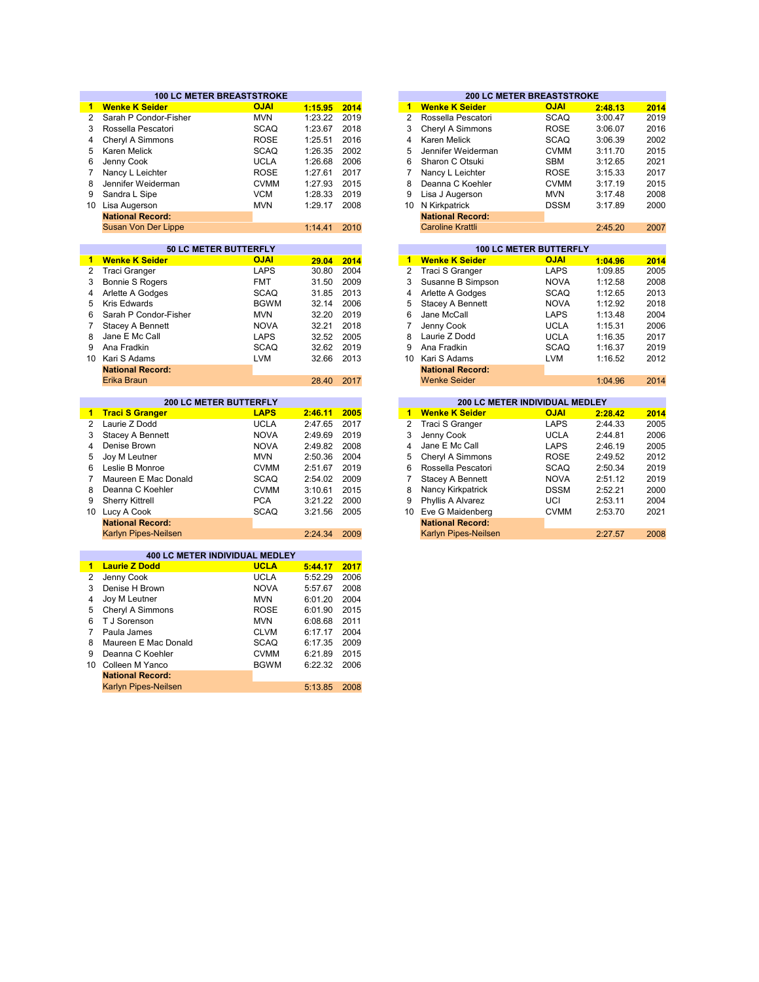|                | <b>100 LC METER BREASTSTROKE</b>            |             |         |      |
|----------------|---------------------------------------------|-------------|---------|------|
| $\mathbf{1}$   | <b>Wenke K Seider</b>                       | <b>OJAI</b> | 1:15.95 | 2014 |
| $\overline{2}$ | Sarah P Condor-Fisher                       | <b>MVN</b>  | 1:23.22 | 2019 |
| 3              | Rossella Pescatori                          | <b>SCAQ</b> | 1:23.67 | 2018 |
| 4              | Cheryl A Simmons                            | <b>ROSE</b> | 1:25.51 | 2016 |
| 5              | Karen Melick                                | <b>SCAQ</b> | 1:26.35 | 2002 |
| 6              | Jenny Cook                                  | <b>UCLA</b> | 1:26.68 | 2006 |
| 7              | Nancy L Leichter                            | <b>ROSE</b> | 1:27.61 | 2017 |
| 8              | Jennifer Weiderman                          | <b>CVMM</b> | 1:27.93 | 2015 |
| 9              | Sandra L Sipe                               | <b>VCM</b>  | 1:28.33 | 2019 |
|                |                                             |             | 1:29.17 | 2008 |
|                | 10 Lisa Augerson<br><b>National Record:</b> | <b>MVN</b>  |         |      |
|                |                                             |             |         |      |
|                | Susan Von Der Lippe                         |             | 1:14.41 | 2010 |
|                | 50 LC METER BUTTERFLY                       |             |         |      |
| 1.             | <b>Wenke K Seider</b>                       | <b>OJAI</b> | 29.04   | 2014 |
| $\overline{2}$ | <b>Traci Granger</b>                        | <b>LAPS</b> | 30.80   | 2004 |
| 3              | <b>Bonnie S Rogers</b>                      | <b>FMT</b>  | 31.50   | 2009 |
| 4              | Arlette A Godges                            | <b>SCAQ</b> | 31.85   | 2013 |
| 5              | <b>Kris Edwards</b>                         | <b>BGWM</b> | 32.14   | 2006 |
| 6              | Sarah P Condor-Fisher                       | <b>MVN</b>  | 32.20   | 2019 |
| 7              | Stacey A Bennett                            | <b>NOVA</b> | 32.21   | 2018 |
| 8              | Jane E Mc Call                              | <b>LAPS</b> | 32.52   | 2005 |
| 9              | Ana Fradkin                                 | <b>SCAQ</b> | 32.62   | 2019 |
| 10             | Kari S Adams                                | <b>LVM</b>  | 32.66   | 2013 |
|                | <b>National Record:</b>                     |             |         |      |
|                |                                             |             |         |      |
|                | Erika Braun                                 |             | 28.40   | 2017 |
|                | <b>200 LC METER BUTTERFLY</b>               |             |         |      |
| $\blacksquare$ | <b>Traci S Granger</b>                      | <b>LAPS</b> | 2:46.11 | 2005 |
| $\overline{2}$ | Laurie Z Dodd                               | <b>UCLA</b> | 2:47.65 | 2017 |
| 3              | <b>Stacey A Bennett</b>                     | <b>NOVA</b> | 2:49.69 | 2019 |
| 4              | Denise Brown                                | <b>NOVA</b> | 2:49.82 | 2008 |
| 5              | Joy M Leutner                               | <b>MVN</b>  | 2:50.36 | 2004 |
| 6              | Leslie B Monroe                             | <b>CVMM</b> | 2:51.67 | 2019 |
| $\overline{7}$ | Maureen E Mac Donald                        | <b>SCAQ</b> | 2:54.02 | 2009 |
| 8              | Deanna C Koehler                            | <b>CVMM</b> | 3:10.61 | 2015 |
| 9              | <b>Sherry Kittrell</b>                      | <b>PCA</b>  | 3:21.22 | 2000 |
|                | 10 Lucy A Cook                              | <b>SCAQ</b> | 3:21.56 | 2005 |
|                | <b>National Record:</b>                     |             |         |      |
|                | Karlyn Pipes-Neilsen                        |             | 2:24.34 | 2009 |
|                |                                             |             |         |      |
|                | 400 LC METER INDIVIDUAL MEDLEY              |             |         |      |
| 1.             | <b>Laurie Z Dodd</b>                        | <b>UCLA</b> | 5:44.17 | 2017 |
| 2              | Jenny Cook                                  | <b>UCLA</b> | 5:52.29 | 2006 |
| 3              | Denise H Brown                              | <b>NOVA</b> | 5:57.67 | 2008 |
| 4              | Joy M Leutner                               | <b>MVN</b>  | 6:01.20 | 2004 |
| 5              | Cheryl A Simmons                            | <b>ROSE</b> | 6:01.90 | 2015 |
| 6              | T J Sorenson                                | <b>MVN</b>  | 6:08.68 | 2011 |
| $\overline{7}$ | Paula James                                 | <b>CLVM</b> | 6:17.17 | 2004 |
| 8              | Maureen E Mac Donald                        | <b>SCAQ</b> | 6:17.35 | 2009 |
| 9              | Deanna C Koehler                            | <b>CVMM</b> | 6:21.89 | 2015 |
| 10             | Colleen M Yanco                             | <b>BGWM</b> | 6:22.32 | 2006 |
|                | <b>National Record:</b>                     |             |         |      |
|                |                                             |             |         |      |

Karlyn Pipes-Neilsen

5:13.85 2008

|         |      |    |                         | <b>200 LC METER BREASTSTROKE</b> |         |      |  |  |
|---------|------|----|-------------------------|----------------------------------|---------|------|--|--|
| 1:15.95 | 2014 | 1  | <b>Wenke K Seider</b>   | <b>OJAI</b>                      | 2:48.13 | 2014 |  |  |
| 1:23.22 | 2019 | 2  | Rossella Pescatori      | SCAQ                             | 3:00.47 | 2019 |  |  |
| 1:23.67 | 2018 | 3  | Cheryl A Simmons        | <b>ROSE</b>                      | 3:06.07 | 2016 |  |  |
| 1:25.51 | 2016 | 4  | Karen Melick            | SCAQ                             | 3:06.39 | 2002 |  |  |
| 1:26.35 | 2002 | 5  | Jennifer Weiderman      | <b>CVMM</b>                      | 3:11.70 | 2015 |  |  |
| 1:26.68 | 2006 | 6  | Sharon C Otsuki         | <b>SBM</b>                       | 3:12.65 | 2021 |  |  |
| 1:27.61 | 2017 | 7  | Nancy L Leichter        | <b>ROSE</b>                      | 3:15.33 | 2017 |  |  |
| 1:27.93 | 2015 | 8  | Deanna C Koehler        | <b>CVMM</b>                      | 3:17.19 | 2015 |  |  |
| 1:28.33 | 2019 | 9  | Lisa J Augerson         | <b>MVN</b>                       | 3:17.48 | 2008 |  |  |
| 1:29.17 | 2008 | 10 | N Kirkpatrick           | <b>DSSM</b>                      | 3:17.89 | 2000 |  |  |
|         |      |    | <b>National Record:</b> |                                  |         |      |  |  |
| 1:14.41 | 2010 |    | <b>Caroline Krattli</b> |                                  | 2:45.20 | 2007 |  |  |
|         |      |    |                         |                                  |         |      |  |  |
|         |      |    |                         | <b>100 LC METER BUTTERFLY</b>    |         |      |  |  |
| 29.04   | 2014 | 1  | <b>Wenke K Seider</b>   | <b>OJAI</b>                      | 1:04.96 | 2014 |  |  |
| 30.80   | 2004 | 2  | Traci S Granger         | <b>LAPS</b>                      | 1:09.85 | 2005 |  |  |
| 31.50   | 2009 | 3  | Susanne B Simpson       | <b>NOVA</b>                      | 1:12.58 | 2008 |  |  |
| 31.85   | 2013 | 4  | Arlette A Godges        | SCAQ                             | 1:12.65 | 2013 |  |  |
| 32.14   | 2006 | 5  | Stacey A Bennett        | <b>NOVA</b>                      | 1:12.92 | 2018 |  |  |
| 32.20   | 2019 | 6  | Jane McCall             | LAPS                             | 1:13.48 | 2004 |  |  |

| 32.21 | 2018 |                       | Jenny Cook              | <b>UCLA</b>                           | 1:15.31 |
|-------|------|-----------------------|-------------------------|---------------------------------------|---------|
| 32.52 | 2005 | 8                     | Laurie Z Dodd           | <b>UCLA</b>                           | 1:16.35 |
| 32.62 | 2019 | 9                     | Ana Fradkin             | <b>SCAQ</b>                           | 1:16.37 |
| 32.66 | 2013 | 10                    | Kari S Adams            | <b>LVM</b>                            | 1:16.52 |
|       |      |                       | <b>National Record:</b> |                                       |         |
| 28.40 | 2017 |                       | <b>Wenke Seider</b>     |                                       | 1:04.96 |
|       |      |                       |                         |                                       |         |
|       |      |                       |                         | <b>200 LC METER INDIVIDUAL MEDLEY</b> |         |
| 46.11 |      | 1                     |                         |                                       |         |
|       | 2005 |                       | <b>Wenke K Seider</b>   | <b>OJAI</b>                           | 2:28.42 |
| 47.65 | 2017 | $\mathbf{2}^{\prime}$ | Traci S Granger         | <b>LAPS</b>                           | 2:44.33 |
| 49.69 | 2019 | 3                     | Jenny Cook              | <b>UCLA</b>                           | 2:44.81 |
| 49.82 | 2008 | 4                     | Jane E Mc Call          | <b>LAPS</b>                           | 2:46.19 |

| <b>UICHT A JIHIIIUIS</b> | NUJL        | 2.49.94 | ZU I Z |
|--------------------------|-------------|---------|--------|
| Rossella Pescatori       | <b>SCAQ</b> | 2:50.34 | 2019   |
| Stacey A Bennett         | <b>NOVA</b> | 2:51.12 | 2019   |
| Nancy Kirkpatrick        | <b>DSSM</b> | 2:52.21 | 2000   |
| Phyllis A Alvarez        | UCI         | 2:53.11 | 2004   |
| 0 Eve G Maidenberg       | <b>CVMM</b> | 2:53.70 | 2021   |
| <b>National Record:</b>  |             |         |        |
| Karlyn Pines-Neilsen     |             | 2.2757  | 2008   |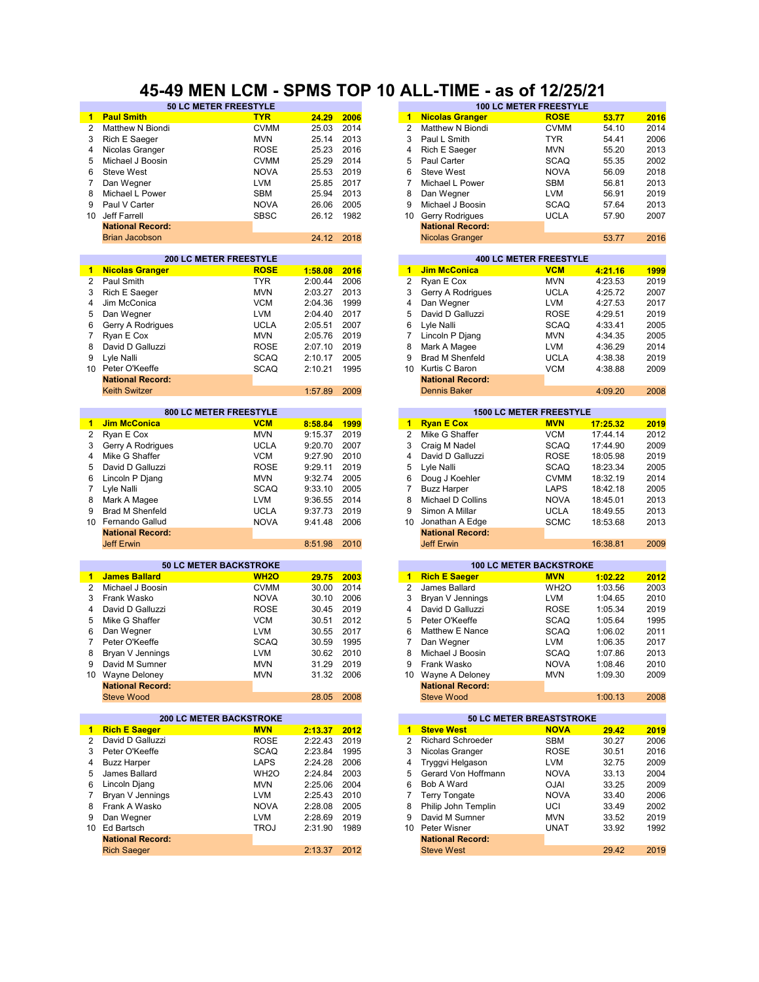### **45-49 MEN LCM - SPMS TOP 10 ALL-TIME - as of 12/25/21**

| $\blacktriangleleft$ | <b>Paul Smith</b>                                      | <b>TYR</b>        | 24.29   | 2006 | $\blacktriangleleft$ | <b>Nicolas Granger</b>         | <b>ROSE</b>                   | 53.77    | 2016 |
|----------------------|--------------------------------------------------------|-------------------|---------|------|----------------------|--------------------------------|-------------------------------|----------|------|
| $\overline{2}$       | Matthew N Biondi                                       | <b>CVMM</b>       | 25.03   | 2014 | $\overline{2}$       | Matthew N Biondi               | <b>CVMM</b>                   | 54.10    | 2014 |
| 3                    | Rich E Saeger                                          | <b>MVN</b>        | 25.14   | 2013 | 3                    | Paul L Smith                   | <b>TYR</b>                    | 54.41    | 2006 |
| 4                    | Nicolas Granger                                        | <b>ROSE</b>       | 25.23   | 2016 | 4                    | Rich E Saeger                  | <b>MVN</b>                    | 55.20    | 2013 |
|                      |                                                        |                   |         |      |                      |                                |                               |          |      |
| 5                    | Michael J Boosin                                       | <b>CVMM</b>       | 25.29   | 2014 | 5                    | Paul Carter                    | <b>SCAQ</b>                   | 55.35    | 2002 |
| 6                    | <b>Steve West</b>                                      | <b>NOVA</b>       | 25.53   | 2019 | 6                    | <b>Steve West</b>              | <b>NOVA</b>                   | 56.09    | 2018 |
| 7                    | Dan Wegner                                             | <b>LVM</b>        | 25.85   | 2017 | 7                    | Michael L Power                | <b>SBM</b>                    | 56.81    | 2013 |
| 8                    | Michael L Power                                        | <b>SBM</b>        | 25.94   | 2013 | 8                    | Dan Wegner                     | LVM                           | 56.91    | 2019 |
| 9                    | Paul V Carter                                          | <b>NOVA</b>       | 26.06   | 2005 | 9                    | Michael J Boosin               | <b>SCAQ</b>                   | 57.64    | 2013 |
| 10                   | Jeff Farrell                                           | <b>SBSC</b>       | 26.12   | 1982 | 10                   | Gerry Rodrigues                | <b>UCLA</b>                   | 57.90    | 2007 |
|                      | <b>National Record:</b>                                |                   |         |      |                      | <b>National Record:</b>        |                               |          |      |
|                      | <b>Brian Jacobson</b>                                  |                   | 24.12   | 2018 |                      | <b>Nicolas Granger</b>         |                               | 53.77    | 2016 |
|                      |                                                        |                   |         |      |                      |                                |                               |          |      |
|                      | <b>200 LC METER FREESTYLE</b>                          |                   |         |      |                      |                                | <b>400 LC METER FREESTYLE</b> |          |      |
| 1                    | <b>Nicolas Granger</b>                                 | <b>ROSE</b>       | 1:58.08 | 2016 | 1                    | <b>Jim McConica</b>            | <b>VCM</b>                    | 4:21.16  | 1999 |
| $\overline{2}$       | Paul Smith                                             | <b>TYR</b>        | 2:00.44 | 2006 | 2                    | Ryan E Cox                     | <b>MVN</b>                    | 4:23.53  | 2019 |
| 3                    | Rich E Saeger                                          | <b>MVN</b>        | 2:03.27 | 2013 | 3                    | Gerry A Rodrigues              | <b>UCLA</b>                   | 4:25.72  | 2007 |
| 4                    | Jim McConica                                           | <b>VCM</b>        | 2:04.36 | 1999 | 4                    | Dan Wegner                     | <b>LVM</b>                    | 4:27.53  | 2017 |
| 5                    | Dan Wegner                                             | LVM               | 2:04.40 | 2017 | 5                    | David D Galluzzi               | <b>ROSE</b>                   | 4:29.51  | 2019 |
| 6                    | Gerry A Rodrigues                                      | <b>UCLA</b>       | 2:05.51 | 2007 | 6                    | Lyle Nalli                     | <b>SCAQ</b>                   | 4:33.41  | 2005 |
| 7                    | Ryan E Cox                                             | <b>MVN</b>        | 2:05.76 | 2019 | 7                    | Lincoln P Djang                | <b>MVN</b>                    | 4:34.35  | 2005 |
| 8                    | David D Galluzzi                                       | <b>ROSE</b>       | 2:07.10 | 2019 | 8                    | Mark A Magee                   | <b>LVM</b>                    | 4:36.29  | 2014 |
| 9                    | Lyle Nalli                                             | <b>SCAQ</b>       | 2:10.17 | 2005 | 9                    | <b>Brad M Shenfeld</b>         | <b>UCLA</b>                   | 4:38.38  | 2019 |
| 10 <sup>1</sup>      | Peter O'Keeffe                                         | <b>SCAQ</b>       | 2:10.21 | 1995 | 10                   | Kurtis C Baron                 | <b>VCM</b>                    | 4:38.88  | 2009 |
|                      | <b>National Record:</b>                                |                   |         |      |                      | <b>National Record:</b>        |                               |          |      |
|                      | <b>Keith Switzer</b>                                   |                   | 1:57.89 | 2009 |                      | <b>Dennis Baker</b>            |                               | 4:09.20  | 2008 |
|                      |                                                        |                   |         |      |                      |                                |                               |          |      |
|                      | 800 LC METER FREESTYLE                                 |                   |         |      |                      | <b>1500 LC METER FREESTYLE</b> |                               |          |      |
| $\blacksquare$       | <b>Jim McConica</b>                                    | <b>VCM</b>        | 8:58.84 | 1999 | $\mathbf{1}$         | <b>Ryan E Cox</b>              | <b>MVN</b>                    | 17:25.32 | 2019 |
| 2                    | Ryan E Cox                                             | <b>MVN</b>        | 9:15.37 | 2019 | $\overline{c}$       | Mike G Shaffer                 | <b>VCM</b>                    | 17:44.14 | 2012 |
| 3                    | Gerry A Rodrigues                                      | <b>UCLA</b>       | 9:20.70 | 2007 | 3                    | Craig M Nadel                  | <b>SCAQ</b>                   | 17:44.90 | 2009 |
| 4                    | Mike G Shaffer                                         | <b>VCM</b>        | 9:27.90 | 2010 | 4                    | David D Galluzzi               | <b>ROSE</b>                   | 18:05.98 | 2019 |
| 5                    | David D Galluzzi                                       | <b>ROSE</b>       | 9:29.11 | 2019 | 5                    | Lyle Nalli                     | <b>SCAQ</b>                   | 18:23.34 | 2005 |
| 6                    | Lincoln P Djang                                        | <b>MVN</b>        | 9:32.74 | 2005 | 6                    | Doug J Koehler                 | <b>CVMM</b>                   | 18:32.19 | 2014 |
| 7                    | Lyle Nalli                                             | <b>SCAQ</b>       | 9:33.10 | 2005 | 7                    | <b>Buzz Harper</b>             | LAPS                          | 18:42.18 | 2005 |
| 8                    | Mark A Magee                                           | <b>LVM</b>        | 9:36.55 | 2014 | 8                    | Michael D Collins              | <b>NOVA</b>                   | 18:45.01 | 2013 |
| 9                    |                                                        |                   |         | 2019 | 9                    |                                |                               |          |      |
|                      | <b>Brad M Shenfeld</b>                                 | <b>UCLA</b>       | 9:37.73 |      |                      | Simon A Millar                 | <b>UCLA</b>                   | 18:49.55 | 2013 |
|                      | 10 Fernando Gallud                                     | <b>NOVA</b>       | 9:41.48 | 2006 | 10                   | Jonathan A Edge                | <b>SCMC</b>                   | 18:53.68 | 2013 |
|                      | <b>National Record:</b>                                |                   |         |      |                      | <b>National Record:</b>        |                               |          |      |
|                      | <b>Jeff Erwin</b>                                      |                   | 8:51.98 | 2010 |                      | <b>Jeff Erwin</b>              |                               | 16:38.81 | 2009 |
|                      | <b>50 LC METER BACKSTROKE</b>                          |                   |         |      |                      | <b>100 LC METER BACKSTROKE</b> |                               |          |      |
| 1                    | <b>James Ballard</b>                                   | <b>WH2O</b>       | 29.75   | 2003 | $\blacktriangleleft$ | <b>Rich E Saeger</b>           | <b>MVN</b>                    | 1:02.22  | 2012 |
| 2                    | Michael J Boosin                                       | <b>CVMM</b>       | 30.00   | 2014 | 2                    | James Ballard                  | WH <sub>2</sub> O             | 1:03.56  | 2003 |
| 3                    | Frank Wasko                                            | <b>NOVA</b>       | 30.10   | 2006 | 3                    | Bryan V Jennings               | <b>LVM</b>                    | 1:04.65  | 2010 |
| 4                    | David D Galluzzi                                       | <b>ROSE</b>       | 30.45   | 2019 | 4                    | David D Galluzzi               | <b>ROSE</b>                   |          | 2019 |
|                      |                                                        |                   |         |      |                      |                                |                               | 1:05.34  |      |
| 5                    | Mike G Shaffer                                         | <b>VCM</b>        | 30.51   | 2012 | 5                    | Peter O'Keeffe                 | <b>SCAQ</b>                   | 1:05.64  | 1995 |
| 6                    | Dan Wegner                                             | <b>LVM</b>        | 30.55   | 2017 | 6                    | Matthew E Nance                | <b>SCAQ</b>                   | 1:06.02  | 2011 |
| 7                    | Peter O'Keeffe                                         | <b>SCAQ</b>       | 30.59   | 1995 | 7                    | Dan Wegner                     | <b>LVM</b>                    | 1:06.35  | 2017 |
| 8                    | Bryan V Jennings                                       | <b>LVM</b>        | 30.62   | 2010 | 8                    | Michael J Boosin               | <b>SCAQ</b>                   | 1:07.86  | 2013 |
| 9                    | David M Sumner                                         | <b>MVN</b>        | 31.29   | 2019 | 9                    | Frank Wasko                    | <b>NOVA</b>                   | 1:08.46  | 2010 |
|                      | 10 Wayne Deloney                                       | <b>MVN</b>        | 31.32   | 2006 |                      | 10 Wayne A Deloney             | <b>MVN</b>                    | 1:09.30  | 2009 |
|                      | <b>National Record:</b>                                |                   |         |      |                      | <b>National Record:</b>        |                               |          |      |
|                      | <b>Steve Wood</b>                                      |                   | 28.05   | 2008 |                      | <b>Steve Wood</b>              |                               | 1:00.13  | 2008 |
|                      |                                                        |                   |         |      |                      | 50 LC METER BREASTSTROKE       |                               |          |      |
| $\mathbf{1}$         | <b>200 LC METER BACKSTROKE</b><br><b>Rich E Saeger</b> | <b>MVN</b>        | 2:13.37 | 2012 | $1 -$                | <b>Steve West</b>              | <b>NOVA</b>                   | 29.42    | 2019 |
|                      | David D Galluzzi                                       | <b>ROSE</b>       |         |      | 2                    | Richard Schroeder              |                               |          |      |
| 2                    |                                                        |                   | 2:22.43 | 2019 |                      |                                | SBM                           | 30.27    | 2006 |
| 3                    | Peter O'Keeffe                                         | SCAQ              | 2:23.84 | 1995 | 3                    | Nicolas Granger                | ROSE                          | 30.51    | 2016 |
| 4                    | <b>Buzz Harper</b>                                     | <b>LAPS</b>       | 2:24.28 | 2006 | 4                    | Tryggvi Helgason               | LVM                           | 32.75    | 2009 |
| 5                    | James Ballard                                          | WH <sub>2</sub> O | 2:24.84 | 2003 | 5                    | Gerard Von Hoffmann            | <b>NOVA</b>                   | 33.13    | 2004 |
| 6                    | Lincoln Diang                                          | <b>MVN</b>        | 2:25.06 | 2004 | 6                    | Bob A Ward                     | <b>OJAI</b>                   | 33.25    | 2009 |
| 7                    | Bryan V Jennings                                       | LVM               | 2:25.43 | 2010 | 7                    | Terry Tongate                  | <b>NOVA</b>                   | 33.40    | 2006 |
| 8                    | Frank A Wasko                                          | <b>NOVA</b>       | 2:28.08 | 2005 | 8                    | Philip John Templin            | UCI                           | 33.49    | 2002 |
| 9                    | Dan Wegner                                             | LVM               | 2:28.69 | 2019 | 9                    | David M Sumner                 | MVN                           | 33.52    | 2019 |
|                      | 10 Ed Bartsch                                          | <b>TROJ</b>       | 2:31.90 | 1989 | 10                   | Peter Wisner                   | UNAT                          | 33.92    | 1992 |
|                      | <b>National Record:</b>                                |                   |         |      |                      | <b>National Record:</b>        |                               |          |      |
|                      | <b>Rich Saeger</b>                                     |                   | 2:13.37 | 2012 |                      | <b>Steve West</b>              |                               | 29.42    | 2019 |
|                      |                                                        |                   |         |      |                      |                                |                               |          |      |

| <b>50 LC METER FREESTYLE</b>  |             |         |      |                | <b>100 LC METER FREESTYLE</b> |             |         |      |
|-------------------------------|-------------|---------|------|----------------|-------------------------------|-------------|---------|------|
|                               | <b>TYR</b>  | 24.29   | 2006 | $\blacksquare$ | <b>Nicolas Granger</b>        | <b>ROSE</b> | 53.77   | 2016 |
|                               | <b>CVMM</b> | 25.03   | 2014 | 2              | Matthew N Biondi              | <b>CVMM</b> | 54.10   | 2014 |
|                               | <b>MVN</b>  | 25.14   | 2013 | 3              | Paul L Smith                  | <b>TYR</b>  | 54.41   | 2006 |
|                               | <b>ROSE</b> | 25.23   | 2016 | 4              | Rich E Saeger                 | <b>MVN</b>  | 55.20   | 2013 |
|                               | <b>CVMM</b> | 25.29   | 2014 | 5              | Paul Carter                   | <b>SCAQ</b> | 55.35   | 2002 |
|                               | <b>NOVA</b> | 25.53   | 2019 | 6              | Steve West                    | <b>NOVA</b> | 56.09   | 2018 |
|                               | <b>LVM</b>  | 25.85   | 2017 |                | Michael L Power               | <b>SBM</b>  | 56.81   | 2013 |
|                               | <b>SBM</b>  | 25.94   | 2013 | 8              | Dan Wegner                    | <b>LVM</b>  | 56.91   | 2019 |
|                               | <b>NOVA</b> | 26.06   | 2005 | 9              | Michael J Boosin              | <b>SCAQ</b> | 57.64   | 2013 |
|                               | <b>SBSC</b> | 26.12   | 1982 | 10             | Gerry Rodrigues               | <b>UCLA</b> | 57.90   | 2007 |
|                               |             |         |      |                | <b>National Record:</b>       |             |         |      |
|                               |             | 24.12   | 2018 |                | <b>Nicolas Granger</b>        |             | 53.77   | 2016 |
|                               |             |         |      |                |                               |             |         |      |
|                               |             |         |      |                |                               |             |         |      |
| <b>200 LC METER FREESTYLE</b> |             |         |      |                | <b>400 LC METER FREESTYLE</b> |             |         |      |
|                               | <b>ROSE</b> | 1:58.08 | 2016 | 1              | <b>Jim McConica</b>           | <b>VCM</b>  | 4:21.16 | 1999 |
|                               | <b>TYR</b>  | 2:00.44 | 2006 | 2              | Ryan E Cox                    | <b>MVN</b>  | 4:23.53 | 2019 |
|                               | <b>MVN</b>  | 2:03.27 | 2013 | 3              | Gerry A Rodrigues             | <b>UCLA</b> | 4:25.72 | 2007 |
|                               | <b>VCM</b>  | 2:04.36 | 1999 | 4              | Dan Wegner                    | <b>LVM</b>  | 4:27.53 | 2017 |
|                               | <b>LVM</b>  | 2:04.40 | 2017 | 5              | David D Galluzzi              | <b>ROSE</b> | 4:29.51 | 2019 |
| 9S                            | <b>UCLA</b> | 2:05.51 | 2007 | 6              | Lyle Nalli                    | <b>SCAQ</b> | 4:33.41 | 2005 |
|                               | <b>MVN</b>  | 2:05.76 | 2019 | 7              | Lincoln P Djang               | <b>MVN</b>  | 4:34.35 | 2005 |
|                               | <b>ROSE</b> | 2:07.10 | 2019 | 8              | Mark A Magee                  | <b>LVM</b>  | 4:36.29 | 2014 |
|                               | <b>SCAQ</b> | 2:10.17 | 2005 | 9              | <b>Brad M Shenfeld</b>        | <b>UCLA</b> | 4:38.38 | 2019 |
|                               | <b>SCAQ</b> | 2:10.21 | 1995 | 10             | Kurtis C Baron                | <b>VCM</b>  | 4:38.88 | 2009 |
|                               |             |         |      |                | <b>National Record:</b>       |             |         |      |
|                               |             | 1:57.89 | 2009 |                | <b>Dennis Baker</b>           |             | 4:09.20 | 2008 |

|         |      |    |                         | <b>1500 LC METER FREESTYLE</b> |          |      |
|---------|------|----|-------------------------|--------------------------------|----------|------|
| 8:58.84 | 1999 | 1  | <b>Ryan E Cox</b>       | <b>MVN</b>                     | 17:25.32 | 2019 |
| 9:15.37 | 2019 | 2  | Mike G Shaffer          | VCM                            | 17:44.14 | 2012 |
| 9:20.70 | 2007 | 3  | Craig M Nadel           | <b>SCAQ</b>                    | 17:44.90 | 2009 |
| 9:27.90 | 2010 | 4  | David D Galluzzi        | <b>ROSE</b>                    | 18:05.98 | 2019 |
| 9:29.11 | 2019 | 5  | Lyle Nalli              | <b>SCAQ</b>                    | 18:23.34 | 2005 |
| 9:32.74 | 2005 | 6  | Doug J Koehler          | <b>CVMM</b>                    | 18:32.19 | 2014 |
| 9:33.10 | 2005 |    | <b>Buzz Harper</b>      | LAPS                           | 18:42.18 | 2005 |
| 9:36.55 | 2014 | 8  | Michael D Collins       | <b>NOVA</b>                    | 18:45.01 | 2013 |
| 9:37.73 | 2019 | 9  | Simon A Millar          | <b>UCLA</b>                    | 18:49.55 | 2013 |
| 9:41.48 | 2006 | 10 | Jonathan A Edge         | <b>SCMC</b>                    | 18:53.68 | 2013 |
|         |      |    | <b>National Record:</b> |                                |          |      |
| 8:51.98 | 2010 |    | <b>Jeff Erwin</b>       |                                | 16:38.81 | 2009 |
|         |      |    |                         |                                |          |      |

|      |    |                         | <b>100 LC METER BACKSTROKE</b> |         |      |
|------|----|-------------------------|--------------------------------|---------|------|
| 2003 | 1  | <b>Rich E Saeger</b>    | <b>MVN</b>                     | 1:02.22 | 2012 |
| 2014 | 2  | James Ballard           | WH <sub>2</sub> O              | 1:03.56 | 2003 |
| 2006 | 3  | Bryan V Jennings        | <b>LVM</b>                     | 1:04.65 | 2010 |
| 2019 | 4  | David D Galluzzi        | <b>ROSE</b>                    | 1:05.34 | 2019 |
| 2012 | 5  | Peter O'Keeffe          | <b>SCAQ</b>                    | 1:05.64 | 1995 |
| 2017 | 6  | Matthew E Nance         | <b>SCAQ</b>                    | 1:06.02 | 2011 |
| 1995 | 7  | Dan Wegner              | <b>LVM</b>                     | 1:06.35 | 2017 |
| 2010 | 8  | Michael J Boosin        | <b>SCAQ</b>                    | 1:07.86 | 2013 |
| 2019 | 9  | Frank Wasko             | <b>NOVA</b>                    | 1:08.46 | 2010 |
| 2006 | 10 | Wayne A Deloney         | <b>MVN</b>                     | 1:09.30 | 2009 |
|      |    | <b>National Record:</b> |                                |         |      |
| 2008 |    | Steve Wood              |                                | 1:00.13 | 2008 |
|      |    |                         |                                |         |      |

|         |      |    |                          | <b>50 LC METER BREASTSTROKE</b> |       |      |
|---------|------|----|--------------------------|---------------------------------|-------|------|
| 2:13.37 | 2012 | 1  | <b>Steve West</b>        | <b>NOVA</b>                     | 29.42 | 2019 |
| 2:22.43 | 2019 | 2  | <b>Richard Schroeder</b> | <b>SBM</b>                      | 30.27 | 2006 |
| 2:23.84 | 1995 | 3  | Nicolas Granger          | <b>ROSE</b>                     | 30.51 | 2016 |
| 2:24.28 | 2006 | 4  | Tryggvi Helgason         | <b>LVM</b>                      | 32.75 | 2009 |
| 2:24.84 | 2003 | 5  | Gerard Von Hoffmann      | <b>NOVA</b>                     | 33.13 | 2004 |
| 2:25.06 | 2004 | 6  | Bob A Ward               | <b>OJAI</b>                     | 33.25 | 2009 |
| 2:25.43 | 2010 |    | Terry Tongate            | <b>NOVA</b>                     | 33.40 | 2006 |
| 2:28.08 | 2005 | 8  | Philip John Templin      | UCI                             | 33.49 | 2002 |
| 2:28.69 | 2019 | 9  | David M Sumner           | <b>MVN</b>                      | 33.52 | 2019 |
| 2:31.90 | 1989 | 10 | Peter Wisner             | UNAT                            | 33.92 | 1992 |
|         |      |    | <b>National Record:</b>  |                                 |       |      |
| 2:13.37 | 2012 |    | <b>Steve West</b>        |                                 | 29.42 | 2019 |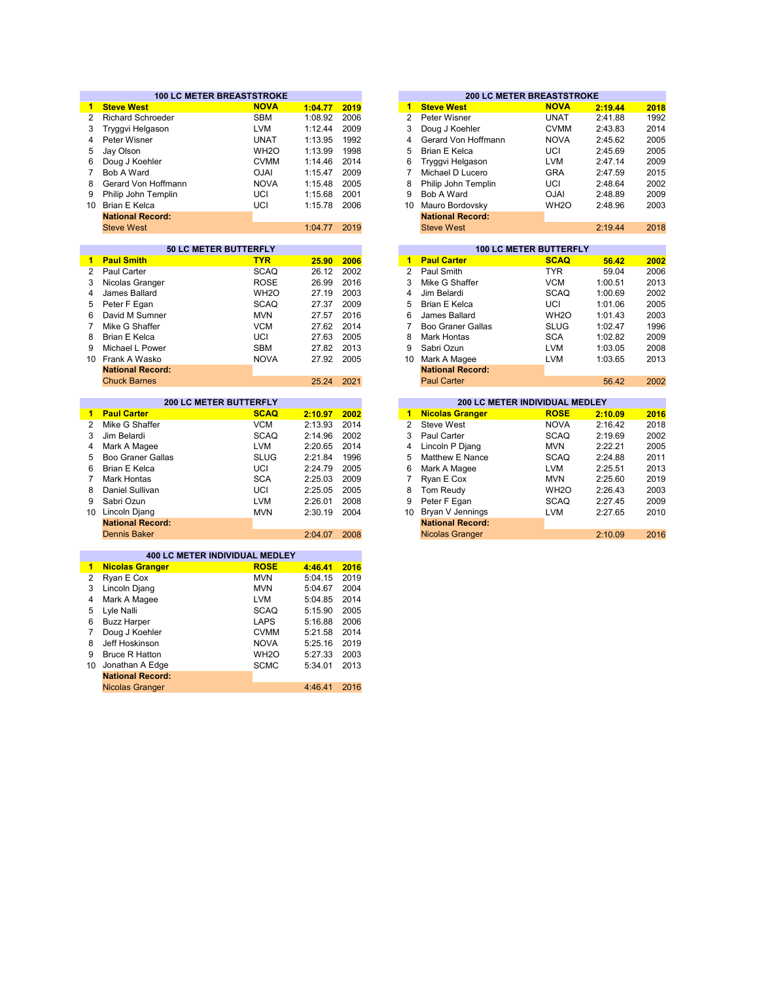|                | <b>100 LC METER BREASTSTROKE</b>               |                          |                    |              |                      | <b>200 LC METER BREASTSTROKE</b>            |                           |                    |                                      |
|----------------|------------------------------------------------|--------------------------|--------------------|--------------|----------------------|---------------------------------------------|---------------------------|--------------------|--------------------------------------|
| 1              | <b>Steve West</b>                              | <b>NOVA</b>              | 1:04.77            | 2019         | $\blacktriangleleft$ | <b>Steve West</b>                           | <b>NOVA</b>               | 2:19.44            | 2018                                 |
| $\overline{2}$ | <b>Richard Schroeder</b>                       | <b>SBM</b>               | 1:08.92            | 2006         | $\overline{2}$       | Peter Wisner                                | <b>UNAT</b>               | 2:41.88            | 1992                                 |
| 3              | Tryggvi Helgason                               | <b>LVM</b>               | 1:12.44            | 2009         | 3                    | Doug J Koehler                              | <b>CVMM</b>               | 2:43.83            | 2014                                 |
| 4              | Peter Wisner                                   | <b>UNAT</b>              | 1:13.95            | 1992         | 4                    | Gerard Von Hoffmann                         | <b>NOVA</b>               | 2:45.62            | 2005                                 |
| 5              | Jay Olson                                      | WH <sub>20</sub>         | 1:13.99            | 1998         | 5                    | <b>Brian E Kelca</b>                        | UCI                       | 2:45.69            | 2005                                 |
| 6              | Doug J Koehler                                 | <b>CVMM</b>              | 1:14.46            | 2014         | 6                    | Tryggvi Helgason                            | <b>LVM</b>                | 2:47.14            | 2009                                 |
| $\overline{7}$ | Bob A Ward                                     | <b>OJAI</b>              | 1:15.47            | 2009         | $\overline{7}$       | Michael D Lucero                            | <b>GRA</b>                | 2:47.59            | 2015                                 |
| 8              | Gerard Von Hoffmann                            | <b>NOVA</b>              | 1:15.48            | 2005         | 8                    | Philip John Templin                         | UCI                       | 2:48.64            | 2002                                 |
| 9              | Philip John Templin                            | UCI                      | 1:15.68            | 2001         | 9                    | Bob A Ward                                  | <b>OJAI</b>               | 2:48.89            | 2009                                 |
|                | 10 Brian E Kelca                               | UCI                      | 1:15.78            | 2006         | 10                   | Mauro Bordovsky                             | WH <sub>20</sub>          | 2:48.96            | 2003                                 |
|                | <b>National Record:</b>                        |                          |                    |              |                      | <b>National Record:</b>                     |                           |                    |                                      |
|                | <b>Steve West</b>                              |                          | 1:04.77            | 2019         |                      | <b>Steve West</b>                           |                           | 2:19.44            | 2018                                 |
|                |                                                |                          |                    |              |                      |                                             |                           |                    |                                      |
|                | 50 LC METER BUTTERFLY                          |                          |                    |              |                      | <b>100 LC METER BUTTERFLY</b>               |                           |                    |                                      |
| 1              | <b>Paul Smith</b>                              | <b>TYR</b>               | 25.90              | 2006         | $\blacksquare$       | <b>Paul Carter</b>                          | <b>SCAQ</b>               | 56.42              | 2002                                 |
| $\mathbf{2}$   | Paul Carter                                    | <b>SCAQ</b>              | 26.12              | 2002         | $\overline{2}$       | Paul Smith                                  | <b>TYR</b>                | 59.04              | 2006                                 |
| 3              | Nicolas Granger                                | <b>ROSE</b>              | 26.99              | 2016         | 3                    | Mike G Shaffer                              | <b>VCM</b>                | 1:00.51            | 2013                                 |
| 4              | James Ballard                                  | WH <sub>2</sub> O        | 27.19              | 2003         | 4                    | Jim Belardi                                 | <b>SCAQ</b>               | 1:00.69            | 2002                                 |
| 5              | Peter F Egan                                   | <b>SCAQ</b>              | 27.37              | 2009         | 5                    | <b>Brian E Kelca</b>                        | UCI                       | 1:01.06            | 2005                                 |
| 6              | David M Sumner                                 | <b>MVN</b>               | 27.57              | 2016         | 6                    | James Ballard                               | WH <sub>20</sub>          | 1:01.43            | 2003                                 |
| $\overline{7}$ | Mike G Shaffer                                 | <b>VCM</b>               | 27.62              | 2014         | $\overline{7}$       | <b>Boo Graner Gallas</b>                    | <b>SLUG</b>               | 1:02.47            | 1996                                 |
| 8              | <b>Brian E Kelca</b>                           | UCI                      | 27.63              | 2005         | 8                    | <b>Mark Hontas</b>                          | <b>SCA</b>                | 1:02.82            | 2009                                 |
| 9              | Michael L Power                                | <b>SBM</b>               | 27.82              | 2013         | 9                    | Sabri Ozun                                  | <b>LVM</b>                | 1:03.05            | 2008                                 |
|                | 10 Frank A Wasko                               | <b>NOVA</b>              | 27.92              | 2005         | 10                   | Mark A Magee                                | <b>LVM</b>                | 1:03.65            | 2013                                 |
|                | <b>National Record:</b>                        |                          |                    |              |                      | <b>National Record:</b>                     |                           |                    |                                      |
|                | <b>Chuck Barnes</b>                            |                          | 25.24              | 2021         |                      | <b>Paul Carter</b>                          |                           | 56.42              | 2002                                 |
|                |                                                |                          |                    |              |                      |                                             |                           |                    |                                      |
|                | <b>200 LC METER BUTTERFLY</b>                  |                          |                    |              |                      | 200 LC METER INDIVIDUAL MEDLEY              |                           |                    |                                      |
| 1.             | <b>Paul Carter</b>                             | <b>SCAQ</b>              | 2:10.97            | 2002         | 1                    | <b>Nicolas Granger</b>                      | ROSE                      | 2:10.09            | 2016                                 |
| 2              | Mike G Shaffer                                 | <b>VCM</b>               | 2:13.93            | 2014         | $\overline{2}$       | Steve West                                  | <b>NOVA</b>               | 2:16.42            | 2018                                 |
|                | Jim Belardi                                    | <b>SCAQ</b>              | 2:14.96            | 2002         | 3                    | Paul Carter                                 | <b>SCAQ</b>               | 2:19.69            | 2002                                 |
| 3              |                                                |                          |                    |              |                      |                                             |                           |                    |                                      |
| 4              | Mark A Magee                                   | <b>LVM</b>               | 2:20.65            | 2014         | 4                    | Lincoln P Djang                             | <b>MVN</b>                | 2:22.21            |                                      |
| 5              | <b>Boo Graner Gallas</b>                       | <b>SLUG</b>              | 2:21.84            | 1996         | 5                    | Matthew E Nance                             | <b>SCAQ</b>               | 2:24.88            |                                      |
| 6              | <b>Brian E Kelca</b>                           | UCI                      | 2:24.79            | 2005         | 6                    | Mark A Magee                                | <b>LVM</b>                | 2:25.51            | 2005<br>2011<br>2013                 |
| $\overline{7}$ | <b>Mark Hontas</b>                             | <b>SCA</b>               | 2:25.03            | 2009         | $\overline{7}$       | Ryan E Cox                                  | <b>MVN</b>                | 2:25.60            |                                      |
| 8              | Daniel Sullivan                                | UCI                      | 2:25.05            | 2005         | 8                    | Tom Reudy                                   | WH <sub>2</sub> O         | 2:26.43            |                                      |
| 9              |                                                |                          |                    |              | 9                    |                                             |                           |                    |                                      |
|                | Sabri Ozun                                     | <b>LVM</b><br><b>MVN</b> | 2:26.01<br>2:30.19 | 2008<br>2004 | 10                   | Peter F Egan                                | <b>SCAQ</b><br><b>LVM</b> | 2:27.45<br>2:27.65 |                                      |
|                | 10 Lincoln Djang                               |                          |                    |              |                      | Bryan V Jennings<br><b>National Record:</b> |                           |                    |                                      |
|                | <b>National Record:</b><br><b>Dennis Baker</b> |                          | 2:04.07            | 2008         |                      | <b>Nicolas Granger</b>                      |                           | 2:10.09            |                                      |
|                |                                                |                          |                    |              |                      |                                             |                           |                    |                                      |
|                | 400 LC METER INDIVIDUAL MEDLEY                 |                          |                    |              |                      |                                             |                           |                    |                                      |
| $\mathbf{1}$   | <b>Nicolas Granger</b>                         | <b>ROSE</b>              | 4:46.41            | 2016         |                      |                                             |                           |                    |                                      |
| 2              | Ryan E Cox                                     | <b>MVN</b>               | 5:04.15            | 2019         |                      |                                             |                           |                    | 2019<br>2003<br>2009<br>2010<br>2016 |
| 3              | Lincoln Djang                                  | <b>MVN</b>               | 5:04.67            | 2004         |                      |                                             |                           |                    |                                      |
| 4              | Mark A Magee                                   | <b>LVM</b>               | 5:04.85            | 2014         |                      |                                             |                           |                    |                                      |
| 5              | Lyle Nalli                                     | <b>SCAQ</b>              | 5:15.90            | 2005         |                      |                                             |                           |                    |                                      |
| 6              | <b>Buzz Harper</b>                             | <b>LAPS</b>              | 5:16.88            | 2006         |                      |                                             |                           |                    |                                      |
| 7              | Doug J Koehler                                 | <b>CVMM</b>              | 5:21.58            | 2014         |                      |                                             |                           |                    |                                      |
| 8              | Jeff Hoskinson                                 | <b>NOVA</b>              | 5:25.16            | 2019         |                      |                                             |                           |                    |                                      |
| 9              | <b>Bruce R Hatton</b>                          | WH <sub>2</sub> O        | 5:27.33            | 2003         |                      |                                             |                           |                    |                                      |
| 10             | Jonathan A Edge                                | <b>SCMC</b>              | 5:34.01            | 2013         |                      |                                             |                           |                    |                                      |
|                | <b>National Record:</b>                        |                          |                    |              |                      |                                             |                           |                    |                                      |

|         |      |    |                         | <b>200 LC METER BREASTSTROKE</b> |         |      |
|---------|------|----|-------------------------|----------------------------------|---------|------|
| 1:04.77 | 2019 | 1  | <b>Steve West</b>       | <b>NOVA</b>                      | 2:19.44 | 2018 |
| 1:08.92 | 2006 | 2  | Peter Wisner            | <b>UNAT</b>                      | 2:41.88 | 1992 |
| 1:12.44 | 2009 | 3  | Doug J Koehler          | <b>CVMM</b>                      | 2:43.83 | 2014 |
| 1:13.95 | 1992 | 4  | Gerard Von Hoffmann     | <b>NOVA</b>                      | 2:45.62 | 2005 |
| 1:13.99 | 1998 | 5  | Brian E Kelca           | UCI                              | 2:45.69 | 2005 |
| 1:14.46 | 2014 | 6  | Tryggvi Helgason        | <b>LVM</b>                       | 2:47.14 | 2009 |
| 1:15.47 | 2009 |    | Michael D Lucero        | GRA                              | 2:47.59 | 2015 |
| 1:15.48 | 2005 | 8  | Philip John Templin     | UCI                              | 2:48.64 | 2002 |
| 1:15.68 | 2001 | 9  | Bob A Ward              | <b>OJAI</b>                      | 2:48.89 | 2009 |
| 1:15.78 | 2006 | 10 | Mauro Bordovsky         | WH <sub>2</sub> O                | 2:48.96 | 2003 |
|         |      |    | <b>National Record:</b> |                                  |         |      |
| 1:04.77 | 2019 |    | <b>Steve West</b>       |                                  | 2:19.44 | 2018 |
|         |      |    |                         |                                  |         |      |

| <b>50 LC METER BUTTERFLY</b>  |                   |       |      |    |                                       | <b>100 LC METER BUTTERFLY</b> |         |      |  |  |
|-------------------------------|-------------------|-------|------|----|---------------------------------------|-------------------------------|---------|------|--|--|
|                               | <b>TYR</b>        | 25.90 | 2006 | 1  | <b>Paul Carter</b>                    | <b>SCAQ</b>                   | 56.42   | 2002 |  |  |
|                               | <b>SCAQ</b>       | 26.12 | 2002 | 2  | Paul Smith                            | <b>TYR</b>                    | 59.04   | 2006 |  |  |
|                               | <b>ROSE</b>       | 26.99 | 2016 | 3  | Mike G Shaffer                        | <b>VCM</b>                    | 1:00.51 | 2013 |  |  |
|                               | WH <sub>2</sub> O | 27.19 | 2003 | 4  | Jim Belardi                           | <b>SCAQ</b>                   | 1:00.69 | 2002 |  |  |
|                               | <b>SCAQ</b>       | 27.37 | 2009 | 5  | Brian E Kelca                         | UCI                           | 1:01.06 | 2005 |  |  |
|                               | <b>MVN</b>        | 27.57 | 2016 | 6  | James Ballard                         | WH <sub>2</sub> O             | 1:01.43 | 2003 |  |  |
|                               | <b>VCM</b>        | 27.62 | 2014 |    | Boo Graner Gallas                     | <b>SLUG</b>                   | 1:02.47 | 1996 |  |  |
|                               | UCI               | 27.63 | 2005 | 8  | Mark Hontas                           | <b>SCA</b>                    | 1:02.82 | 2009 |  |  |
|                               | <b>SBM</b>        | 27.82 | 2013 | 9  | Sabri Ozun                            | <b>LVM</b>                    | 1:03.05 | 2008 |  |  |
|                               | <b>NOVA</b>       | 27.92 | 2005 | 10 | Mark A Magee                          | <b>LVM</b>                    | 1:03.65 | 2013 |  |  |
| d:                            |                   |       |      |    | <b>National Record:</b>               |                               |         |      |  |  |
|                               |                   | 25.24 | 2021 |    | <b>Paul Carter</b>                    |                               | 56.42   | 2002 |  |  |
|                               |                   |       |      |    |                                       |                               |         |      |  |  |
| <b>200 LC METER BUTTERFLY</b> |                   |       |      |    | <b>200 LC METER INDIVIDUAL MEDLEY</b> |                               |         |      |  |  |

|         |      |    |                         | ZUU LU METER INDIVIDUAL MEDLET |         |      |
|---------|------|----|-------------------------|--------------------------------|---------|------|
| 2:10.97 | 2002 | 1  | <b>Nicolas Granger</b>  | <b>ROSE</b>                    | 2:10.09 | 2016 |
| 2:13.93 | 2014 | 2  | Steve West              | <b>NOVA</b>                    | 2:16.42 | 2018 |
| 2:14.96 | 2002 | 3  | Paul Carter             | <b>SCAQ</b>                    | 2:19.69 | 2002 |
| 2:20.65 | 2014 | 4  | Lincoln P Djang         | <b>MVN</b>                     | 2:22.21 | 2005 |
| 2:21.84 | 1996 | 5  | Matthew E Nance         | <b>SCAQ</b>                    | 2:24.88 | 2011 |
| 2:24.79 | 2005 | 6  | Mark A Magee            | <b>LVM</b>                     | 2:25.51 | 2013 |
| 2:25.03 | 2009 |    | Ryan E Cox              | <b>MVN</b>                     | 2:25.60 | 2019 |
| 2:25.05 | 2005 | 8  | Tom Reudy               | WH <sub>2</sub> O              | 2:26.43 | 2003 |
| 2:26.01 | 2008 | 9  | Peter F Egan            | <b>SCAQ</b>                    | 2:27.45 | 2009 |
| 2:30.19 | 2004 | 10 | Bryan V Jennings        | <b>LVM</b>                     | 2:27.65 | 2010 |
|         |      |    | <b>National Record:</b> |                                |         |      |
| 2:04.07 | 2008 |    | <b>Nicolas Granger</b>  |                                | 2:10.09 | 2016 |
|         |      |    |                         |                                |         |      |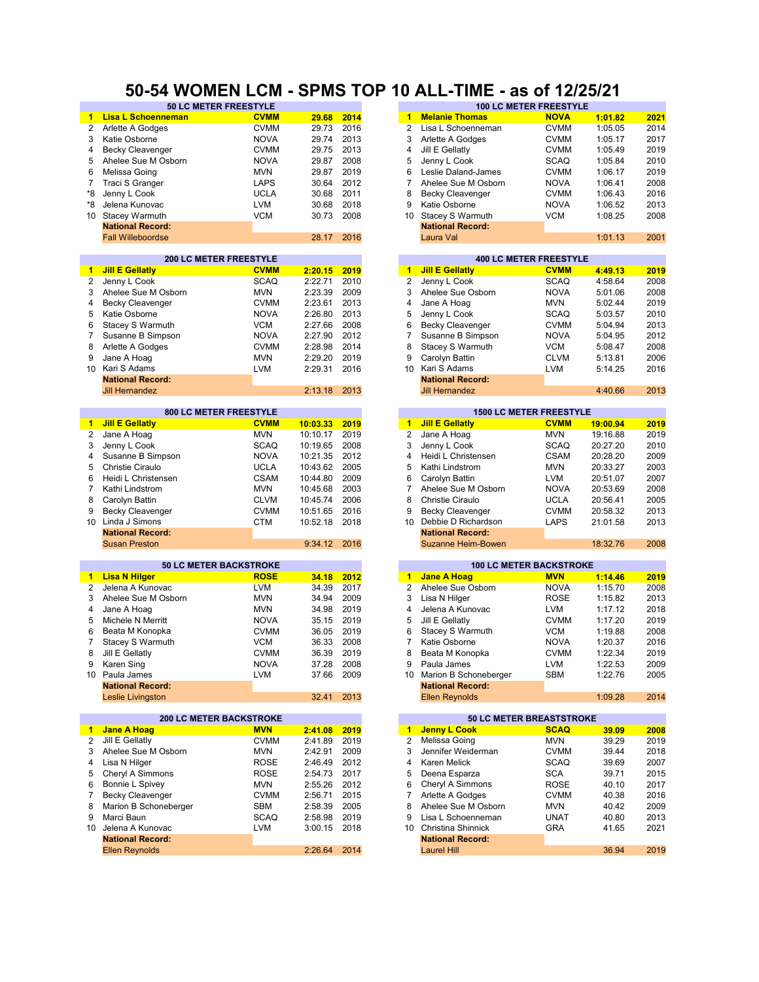#### **50 LC METER FREESTYLE 100 LC METER FREESTYLE 50-54 WOMEN LCM - SPMS TOP 10 ALL-TIME - as of 12/25/21**

|                 | 30 LO METER FREEST TEE         |             |          |      |                      | 1 V V                          | <b>LAMPILIAN INFRAINTE</b>     |          |      |
|-----------------|--------------------------------|-------------|----------|------|----------------------|--------------------------------|--------------------------------|----------|------|
|                 | <b>Lisa L Schoenneman</b>      | <b>CVMM</b> | 29.68    | 2014 | $\mathbf{1}$         | <b>Melanie Thomas</b>          | <b>NOVA</b>                    | 1:01.82  | 2021 |
| 2               | Arlette A Godges               | <b>CVMM</b> | 29.73    | 2016 | 2                    | Lisa L Schoenneman             | <b>CVMM</b>                    | 1:05.05  | 2014 |
| 3               | Katie Osborne                  | <b>NOVA</b> | 29.74    | 2013 | 3                    | Arlette A Godges               | <b>CVMM</b>                    | 1:05.17  | 2017 |
| 4               | <b>Becky Cleavenger</b>        |             | 29.75    | 2013 | 4                    | Jill E Gellatly                | <b>CVMM</b>                    | 1:05.49  | 2019 |
|                 |                                | <b>CVMM</b> |          |      |                      |                                |                                |          |      |
| 5               | Ahelee Sue M Osborn            | <b>NOVA</b> | 29.87    | 2008 | 5                    | Jenny L Cook                   | <b>SCAQ</b>                    | 1:05.84  | 2010 |
| 6               | Melissa Going                  | <b>MVN</b>  | 29.87    | 2019 | 6                    | Leslie Daland-James            | <b>CVMM</b>                    | 1:06.17  | 2019 |
| 7               | Traci S Granger                | <b>LAPS</b> | 30.64    | 2012 | 7                    | Ahelee Sue M Osborn            | <b>NOVA</b>                    | 1:06.41  | 2008 |
| *8              | Jenny L Cook                   | <b>UCLA</b> | 30.68    | 2011 | 8                    | <b>Becky Cleavenger</b>        | <b>CVMM</b>                    | 1:06.43  | 2016 |
| *8              | Jelena Kunovac                 | LVM         | 30.68    | 2018 | 9                    | Katie Osborne                  | <b>NOVA</b>                    | 1:06.52  | 2013 |
| 10 <sup>°</sup> | <b>Stacey Warmuth</b>          | <b>VCM</b>  | 30.73    | 2008 | 10 <sup>1</sup>      | Stacey S Warmuth               | <b>VCM</b>                     | 1:08.25  | 2008 |
|                 | <b>National Record:</b>        |             |          |      |                      | <b>National Record:</b>        |                                |          |      |
|                 | <b>Fall Willeboordse</b>       |             | 28.17    | 2016 |                      | Laura Val                      |                                | 1:01.13  | 2001 |
|                 |                                |             |          |      |                      |                                |                                |          |      |
|                 | <b>200 LC METER FREESTYLE</b>  |             |          |      |                      |                                | <b>400 LC METER FREESTYLE</b>  |          |      |
|                 |                                |             |          |      |                      |                                |                                |          |      |
| 1.              | <b>Jill E Gellatly</b>         | <b>CVMM</b> | 2:20.15  | 2019 | $\blacksquare$       | <b>Jill E Gellatly</b>         | <b>CVMM</b>                    | 4:49.13  | 2019 |
| $\overline{2}$  | Jenny L Cook                   | <b>SCAQ</b> | 2:22.71  | 2010 | $\overline{c}$       | Jenny L Cook                   | <b>SCAQ</b>                    | 4:58.64  | 2008 |
| 3               | Ahelee Sue M Osborn            | <b>MVN</b>  | 2:23.39  | 2009 | 3                    | Ahelee Sue Osborn              | <b>NOVA</b>                    | 5:01.06  | 2008 |
| 4               | <b>Becky Cleavenger</b>        | <b>CVMM</b> | 2:23.61  | 2013 | 4                    | Jane A Hoag                    | <b>MVN</b>                     | 5:02.44  | 2019 |
| 5               | Katie Osborne                  | <b>NOVA</b> | 2:26.80  | 2013 | 5                    | Jenny L Cook                   | <b>SCAQ</b>                    | 5:03.57  | 2010 |
| 6               | Stacey S Warmuth               | <b>VCM</b>  | 2:27.66  | 2008 | 6                    | <b>Becky Cleavenger</b>        | <b>CVMM</b>                    | 5:04.94  | 2013 |
| 7               | Susanne B Simpson              | <b>NOVA</b> | 2:27.90  | 2012 | 7                    | Susanne B Simpson              | <b>NOVA</b>                    | 5:04.95  | 2012 |
| 8               | Arlette A Godges               | <b>CVMM</b> | 2:28.98  | 2014 | 8                    | Stacey S Warmuth               | <b>VCM</b>                     | 5:08.47  | 2008 |
| 9               | Jane A Hoag                    | <b>MVN</b>  | 2:29.20  | 2019 | 9                    | Carolyn Battin                 | <b>CLVM</b>                    | 5:13.81  | 2006 |
|                 |                                |             |          |      |                      |                                |                                |          |      |
| 10              | Kari S Adams                   | <b>LVM</b>  | 2:29.31  | 2016 | 10                   | Kari S Adams                   | <b>LVM</b>                     | 5:14.25  | 2016 |
|                 | <b>National Record:</b>        |             |          |      |                      | <b>National Record:</b>        |                                |          |      |
|                 | <b>Jill Hernandez</b>          |             | 2:13.18  | 2013 |                      | <b>Jill Hernandez</b>          |                                | 4:40.66  | 2013 |
|                 |                                |             |          |      |                      |                                |                                |          |      |
|                 | 800 LC METER FREESTYLE         |             |          |      |                      |                                | <b>1500 LC METER FREESTYLE</b> |          |      |
| 1               | <b>Jill E Gellatly</b>         | <b>CVMM</b> | 10:03.33 | 2019 | $\blacktriangleleft$ | <b>Jill E Gellatly</b>         | <b>CVMM</b>                    | 19:00.94 | 2019 |
| $\overline{2}$  | Jane A Hoag                    | <b>MVN</b>  | 10:10.17 | 2019 | 2                    | Jane A Hoag                    | <b>MVN</b>                     | 19:16.88 | 2019 |
| 3               | Jenny L Cook                   | <b>SCAQ</b> | 10:19.65 | 2008 | 3                    | Jenny L Cook                   | <b>SCAQ</b>                    | 20:27.20 | 2010 |
| 4               | Susanne B Simpson              | <b>NOVA</b> | 10:21.35 | 2012 | 4                    | Heidi L Christensen            | <b>CSAM</b>                    | 20:28.20 | 2009 |
| 5               | Christie Ciraulo               | <b>UCLA</b> | 10:43.62 | 2005 | 5                    | Kathi Lindstrom                | <b>MVN</b>                     | 20:33.27 | 2003 |
| 6               |                                |             |          | 2009 |                      |                                |                                |          |      |
|                 | Heidi L Christensen            | <b>CSAM</b> | 10:44.80 |      | 6                    | Carolyn Battin                 | <b>LVM</b>                     | 20:51.07 | 2007 |
| 7               | Kathi Lindstrom                | <b>MVN</b>  | 10:45.68 | 2003 | 7                    | Ahelee Sue M Osborn            | <b>NOVA</b>                    | 20:53.69 | 2008 |
| 8               | Carolyn Battin                 | <b>CLVM</b> | 10:45.74 | 2006 | 8                    | <b>Christie Ciraulo</b>        | <b>UCLA</b>                    | 20:56.41 | 2005 |
| 9               | <b>Becky Cleavenger</b>        | <b>CVMM</b> | 10:51.65 | 2016 | 9                    | <b>Becky Cleavenger</b>        | <b>CVMM</b>                    | 20:58.32 | 2013 |
| 10              | Linda J Simons                 | CTM         | 10:52.18 | 2018 | 10                   | Debbie D Richardson            | LAPS                           | 21:01.58 | 2013 |
|                 | <b>National Record:</b>        |             |          |      |                      | <b>National Record:</b>        |                                |          |      |
|                 | <b>Susan Preston</b>           |             | 9:34.12  | 2016 |                      | Suzanne Heim-Bowen             |                                | 18:32.76 | 2008 |
|                 |                                |             |          |      |                      |                                |                                |          |      |
|                 | <b>50 LC METER BACKSTROKE</b>  |             |          |      |                      | <b>100 LC METER BACKSTROKE</b> |                                |          |      |
| $\blacksquare$  | <b>Lisa N Hilger</b>           | <b>ROSE</b> | 34.18    | 2012 | $\mathbf{1}$         | <b>Jane A Hoag</b>             | <b>MVN</b>                     | 1:14.46  | 2019 |
| 2               | Jelena A Kunovac               | <b>LVM</b>  | 34.39    | 2017 | $\overline{2}$       | Ahelee Sue Osborn              | <b>NOVA</b>                    | 1:15.70  | 2008 |
| 3               | Ahelee Sue M Osborn            | <b>MVN</b>  | 34.94    | 2009 | 3                    | Lisa N Hilger                  | <b>ROSE</b>                    | 1:15.82  | 2013 |
| 4               |                                | <b>MVN</b>  | 34.98    | 2019 | 4                    | Jelena A Kunovac               | <b>LVM</b>                     | 1:17.12  | 2018 |
|                 | Jane A Hoag                    |             |          |      |                      |                                |                                |          |      |
| 5               | Michele N Merritt              | <b>NOVA</b> | 35.15    | 2019 | 5                    | Jill E Gellatly                | <b>CVMM</b>                    | 1:17.20  | 2019 |
| 6               | Beata M Konopka                | <b>CVMM</b> | 36.05    | 2019 | 6                    | Stacey S Warmuth               | <b>VCM</b>                     | 1:19.88  | 2008 |
| $\overline{7}$  | Stacey S Warmuth               | <b>VCM</b>  | 36.33    | 2008 | $\overline{7}$       | Katie Osborne                  | <b>NOVA</b>                    | 1:20.37  | 2016 |
| 8               | Jill E Gellatly                | <b>CVMM</b> | 36.39    | 2019 | 8                    | Beata M Konopka                | <b>CVMM</b>                    | 1:22.34  | 2019 |
| 9               | Karen Sing                     | <b>NOVA</b> | 37.28    | 2008 | 9                    | Paula James                    | LVM                            | 1:22.53  | 2009 |
|                 | 10 Paula James                 | <b>LVM</b>  | 37.66    | 2009 |                      | 10 Marion B Schoneberger       | SBM                            | 1:22.76  | 2005 |
|                 | <b>National Record:</b>        |             |          |      |                      | <b>National Record:</b>        |                                |          |      |
|                 | Leslie Livingston              |             | 32.41    | 2013 |                      | <b>Ellen Reynolds</b>          |                                | 1:09.28  | 2014 |
|                 |                                |             |          |      |                      |                                |                                |          |      |
|                 | <b>200 LC METER BACKSTROKE</b> |             |          |      |                      | 50 LC METER BREASTSTROKE       |                                |          |      |
| 1               | <b>Jane A Hoag</b>             | <b>MVN</b>  | 2:41.08  | 2019 | $\mathbf{1}$         | <b>Jenny L Cook</b>            | <b>SCAQ</b>                    | 39.09    | 2008 |
| $\overline{2}$  | Jill E Gellatly                | <b>CVMM</b> | 2:41.89  | 2019 | 2                    | Melissa Going                  | <b>MVN</b>                     | 39.29    | 2019 |
|                 |                                |             |          |      |                      |                                |                                |          |      |
| 3               | Ahelee Sue M Osborn            | <b>MVN</b>  | 2:42.91  | 2009 | 3                    | Jennifer Weiderman             | <b>CVMM</b>                    | 39.44    | 2018 |
| 4               | Lisa N Hilger                  | <b>ROSE</b> | 2:46.49  | 2012 | 4                    | Karen Melick                   | <b>SCAQ</b>                    | 39.69    | 2007 |
| 5               | Cheryl A Simmons               | <b>ROSE</b> | 2:54.73  | 2017 | 5                    | Deena Esparza                  | <b>SCA</b>                     | 39.71    | 2015 |
| 6               | Bonnie L Spivey                | <b>MVN</b>  | 2:55.26  | 2012 | 6                    | Cheryl A Simmons               | <b>ROSE</b>                    | 40.10    | 2017 |
| 7               | <b>Becky Cleavenger</b>        | <b>CVMM</b> | 2:56.71  | 2015 | 7                    | Arlette A Godges               | <b>CVMM</b>                    | 40.38    | 2016 |
| 8               | Marion B Schoneberger          | SBM         | 2:58.39  | 2005 | 8                    | Ahelee Sue M Osborn            | <b>MVN</b>                     | 40.42    | 2009 |
| 9               | Marci Baun                     | SCAQ        | 2:58.98  | 2019 | 9                    | Lisa L Schoenneman             | <b>UNAT</b>                    | 40.80    | 2013 |
| 10              | Jelena A Kunovac               | LVM         | 3:00.15  | 2018 | 10                   | Christina Shinnick             | GRA                            | 41.65    | 2021 |
|                 |                                |             |          |      |                      |                                |                                |          |      |
|                 | <b>National Record:</b>        |             |          |      |                      | <b>National Record:</b>        |                                |          |      |
|                 | <b>Ellen Reynolds</b>          |             | 2:26.64  | 2014 |                      | <b>Laurel Hill</b>             |                                | 36.94    | 2019 |

| <b>29.68</b>   | <u>2014</u> | 1  | <b>Melanie Thomas</b>   | <u>NOVA</u>                    | 1:01.82  | <u> 2021 </u> |
|----------------|-------------|----|-------------------------|--------------------------------|----------|---------------|
| 29.73          | 2016        | 2  | Lisa L Schoenneman      | CVMM                           | 1:05.05  | 2014          |
| 29.74          | 2013        | 3  | Arlette A Godges        | <b>CVMM</b>                    | 1:05.17  | 2017          |
| 29.75          | 2013        | 4  | Jill E Gellatly         | CVMM                           | 1:05.49  | 2019          |
| 29.87          | 2008        | 5  | Jenny L Cook            | <b>SCAQ</b>                    | 1:05.84  | 2010          |
| 29.87          | 2019        | 6  | Leslie Daland-James     | CVMM                           | 1:06.17  | 2019          |
| 30.64          | 2012        | 7  | Ahelee Sue M Osborn     | NOVA                           | 1:06.41  | 2008          |
| 30.68          | 2011        | 8  | <b>Becky Cleavenger</b> | CVMM                           | 1:06.43  | 2016          |
| 30.68          | 2018        | 9  | Katie Osborne           | NOVA                           | 1:06.52  | 2013          |
| 30.73          | 2008        | 10 | Stacey S Warmuth        | VCM                            | 1:08.25  | 2008          |
|                |             |    | <b>National Record:</b> |                                |          |               |
| 28.17          | 2016        |    | Laura Val               |                                | 1:01.13  | 2001          |
|                |             |    |                         |                                |          |               |
|                |             |    |                         | <b>400 LC METER FREESTYLE</b>  |          |               |
| <u>2:20.15</u> | 2019        | 1  | <b>Jill E Gellatly</b>  | <b>CVMM</b>                    | 4:49.13  | 2019          |
| 2:22.71        | 2010        | 2  | Jenny L Cook            | <b>SCAQ</b>                    | 4:58.64  | 2008          |
| 2:23.39        | 2009        | 3  | Ahelee Sue Osborn       | NOVA                           | 5:01.06  | 2008          |
| 2:23.61        | 2013        | 4  | Jane A Hoag             | MVN                            | 5:02.44  | 2019          |
| 2:26.80        | 2013        | 5  | Jenny L Cook            | <b>SCAQ</b>                    | 5:03.57  | 2010          |
| 2:27.66        | 2008        | 6  | <b>Becky Cleavenger</b> | <b>CVMM</b>                    | 5:04.94  | 2013          |
| 2:27.90        | 2012        | 7  | Susanne B Simpson       | <b>NOVA</b>                    | 5:04.95  | 2012          |
| 2:28.98        | 2014        | 8  | Stacey S Warmuth        | VCM                            | 5:08.47  | 2008          |
| 2:29.20        | 2019        | 9  | Carolyn Battin          | <b>CLVM</b>                    | 5:13.81  | 2006          |
| 2:29.31        | 2016        | 10 | Kari S Adams            | <b>LVM</b>                     | 5:14.25  | 2016          |
|                |             |    | <b>National Record:</b> |                                |          |               |
| 2:13.18        | 2013        |    | <b>Jill Hernandez</b>   |                                | 4:40.66  | 2013          |
|                |             |    |                         |                                |          |               |
|                |             |    |                         | <b>1500 LC METER FREESTYLE</b> |          |               |
| 0:03.33        | 2019        | 1  | <b>Jill E Gellatly</b>  | <b>CVMM</b>                    | 19:00.94 | 2019          |
| 0:10.17        | 2019        | 2  | Jane A Hoag             | MVN                            | 19:16.88 | 2019          |
| 0:19.65        | 2008        | 3  | Jenny L Cook            | SCAQ                           | 20:27.20 | 2010          |
| 0:21.35        | 2012        | 4  | Heidi L Christensen     | <b>CSAM</b>                    | 20:28.20 | 2009          |
| 0:43.62        | 2005        | 5  | Kathi Lindstrom         | MVN                            | 20:33.27 | 2003          |
| 0:44.80        | 2009        | 6  | Carolyn Battin          | <b>LVM</b>                     | 20:51.07 | 2007          |
| 0:45.68        | 2003        | 7  | Ahelee Sue M Osborn     | NOVA                           | 20:53.69 | 2008          |
| 0:45.74        | 2006        | 8  | <b>Christie Ciraulo</b> | UCLA                           | 20:56.41 | 2005          |
| 0:51.65        | 2016        | 9  | <b>Becky Cleavenger</b> | <b>CVMM</b>                    | 20:58.32 | 2013          |
| 0:52.18        | 2018        | 10 | Debbie D Richardson     | LAPS                           | 21:01.58 | 2013          |
|                |             |    | <b>National Record:</b> |                                |          |               |
| 9:34.12        | 2016        |    | Suzanne Heim-Bowen      |                                | 18:32.76 | 2008          |
|                |             |    |                         |                                |          |               |
|                |             |    |                         | <b>100 LC METER BACKSTROKE</b> |          |               |
| 34.18          | 2012        | 1  | <b>Jane A Hoag</b>      | <b>MVN</b>                     | 1:14.46  | 2019          |
| 34.39          | 2017        | 2  | Ahelee Sue Osborn       | <b>NOVA</b>                    | 1:15.70  | 2008          |
| 34.94          | 2009        | 3  | Lisa N Hilger           | ROSE                           | 1:15.82  | 2013          |
| 34.98          | 2019        | 4  | Jelena A Kunovac        | <b>LVM</b>                     | 1:17.12  | 2018          |
| 35.15          | 2019        | 5  | Jill E Gellatly         | <b>CVMM</b>                    | 1:17.20  | 2019          |
| 36.05          | 2019        | 6  | Stacey S Warmuth        | <b>VCM</b>                     | 1:19.88  | 2008          |
| 36.33          | 2008        | 7  | Katie Osborne           | NOVA                           | 1:20.37  | 2016          |
| 36.39          | 2019        | 8  | Beata M Konopka         | <b>CVMM</b>                    | 1:22.34  | 2019          |
| 37.28          | 2008        | 9  | Paula James             | <b>LVM</b>                     | 1:22.53  | 2009          |
| 37.66          | 2009        | 10 | Marion B Schoneberger   | SBM                            | 1:22.76  | 2005          |
|                |             |    | <b>National Record:</b> |                                |          |               |
| 32.41          | 2013        |    | <b>Ellen Reynolds</b>   |                                | 1:09.28  | 2014          |
|                |             |    |                         |                                |          |               |
|                |             |    |                         | 50 LC METER BREASTSTROKE       |          |               |
| 2:41.08        | <b>2019</b> | 1  | <b>Jenny L Cook</b>     | <b>SCAQ</b>                    | 39.09    | 2008          |
| 2:41.89        | 2019        | 2  | Melissa Going           | MVN                            | 39.29    | 2019          |
| 2:42.91        | 2009        | 3  | Jennifer Weiderman      | <b>CVMM</b>                    | 39.44    | 2018          |
| 2:46.49        | 2012        | 4  | Karen Melick            | SCAQ                           | 39.69    | 2007          |
| 2:54.73        | 2017        | 5  | Deena Esparza           | SCA                            | 39.71    | 2015          |
| 2:55.26        | 2012        | 6  | Cheryl A Simmons        | ROSE                           | 40.10    | 2017          |
| 2:56.71        | 2015        | 7  | Arlette A Godges        | <b>CVMM</b>                    | 40.38    | 2016          |
| 2:58.39        | 2005        | 8  | Ahelee Sue M Osborn     | MVN                            | 40.42    | 2009          |
| 2:58.98        | 2019        | 9  | Lisa L Schoenneman      | UNAT                           | 40.80    | 2013          |
| 3:00.15        | 2018        | 10 | Christina Shinnick      | GRA                            | 41.65    | 2021          |
|                |             |    |                         |                                |          |               |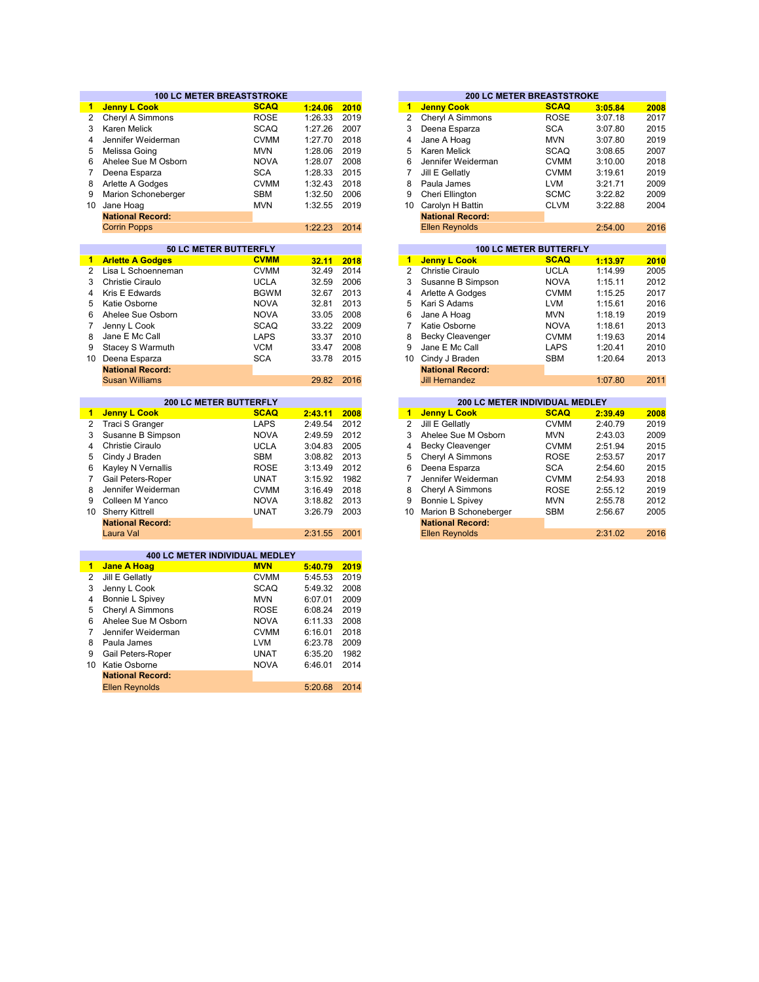|                |                                                  | <b>100 LC METER BREASTSTROKE</b>             |                    |              |
|----------------|--------------------------------------------------|----------------------------------------------|--------------------|--------------|
| 1.             | <b>Jenny L Cook</b>                              | <b>SCAQ</b>                                  | 1:24.06            | 2010         |
| 2              | Cheryl A Simmons                                 | <b>ROSE</b>                                  | 1:26.33            | 2019         |
|                | Karen Melick                                     | <b>SCAQ</b>                                  | 1:27.26            | 2007         |
|                | Jennifer Weiderman                               | <b>CVMM</b>                                  | 1:27.70            | 2018         |
|                | Melissa Going                                    | <b>MVN</b>                                   | 1:28.06            | 2019         |
|                | Ahelee Sue M Osborn                              | <b>NOVA</b>                                  | 1:28.07            | 2008         |
|                | Deena Esparza                                    | <b>SCA</b>                                   | 1:28.33            | 2015         |
|                | Arlette A Godges                                 | <b>CVMM</b>                                  | 1:32.43            | 2018         |
|                | Marion Schoneberger                              | <b>SBM</b>                                   | 1:32.50            | 2006         |
| 10             | Jane Hoag                                        | <b>MVN</b>                                   | 1:32.55            | 2019         |
|                | <b>National Record:</b>                          |                                              |                    |              |
|                | <b>Corrin Popps</b>                              |                                              | 1:22.23            | 2014         |
|                |                                                  |                                              |                    |              |
|                |                                                  | 50 LC METER BUTTERFLY                        |                    |              |
|                | <b>Arlette A Godges</b>                          | <b>CVMM</b>                                  | 32.11              | 2018         |
| $\overline{2}$ | Lisa L Schoenneman                               | <b>CVMM</b>                                  | 32.49              | 2014         |
| 3              | <b>Christie Ciraulo</b>                          | <b>UCLA</b>                                  | 32.59              | 2006         |
| 4              | Kris E Edwards                                   | <b>BGWM</b>                                  | 32.67              | 2013         |
| 5              | Katie Osborne                                    | <b>NOVA</b>                                  | 32.81              | 2013         |
| 6              | Ahelee Sue Osborn                                | <b>NOVA</b>                                  | 33.05              | 2008         |
| $\overline{7}$ | Jenny L Cook                                     | <b>SCAQ</b>                                  | 33.22              | 2009         |
| 8              | Jane E Mc Call                                   | <b>LAPS</b>                                  | 33.37              | 2010         |
| 9              | Stacey S Warmuth                                 | <b>VCM</b>                                   | 33.47              | 2008         |
|                | 10 Deena Esparza                                 | <b>SCA</b>                                   | 33.78              | 2015         |
|                | <b>National Record:</b>                          |                                              |                    |              |
|                | <b>Susan Williams</b>                            |                                              | 29.82              | 2016         |
|                |                                                  |                                              |                    |              |
|                |                                                  | <b>200 LC METER BUTTERFLY</b><br><b>SCAQ</b> |                    |              |
| -1             | <b>Jenny L Cook</b>                              | <b>LAPS</b>                                  | 2:43.11<br>2:49.54 | 2008<br>2012 |
| $\overline{2}$ | Traci S Granger                                  |                                              |                    |              |
| 3              | Susanne B Simpson                                | <b>NOVA</b>                                  | 2:49.59            | 2012         |
| 4              | <b>Christie Ciraulo</b>                          | <b>UCLA</b>                                  | 3:04.83            | 2005         |
| 5              | Cindy J Braden                                   | SBM                                          | 3:08.82            | 2013         |
| 6              | Kayley N Vernallis                               | <b>ROSE</b>                                  | 3:13.49            | 2012         |
| $\overline{7}$ | Gail Peters-Roper                                | <b>UNAT</b>                                  | 3:15.92            | 1982         |
| 8              | Jennifer Weiderman                               | <b>CVMM</b>                                  | 3:16.49            | 2018         |
| 9              | Colleen M Yanco                                  | <b>NOVA</b>                                  | 3:18.82            | 2013         |
|                | 10 Sherry Kittrell                               | <b>UNAT</b>                                  | 3:26.79            | 2003         |
|                | <b>National Record:</b>                          |                                              |                    |              |
|                | Laura Val                                        |                                              | 2:31.55            | 2001         |
|                |                                                  | 400 LC METER INDIVIDUAL MEDLEY               |                    |              |
| $\blacksquare$ | <b>Jane A Hoag</b>                               | <b>MVN</b>                                   | 5:40.79            | 2019         |
| $\overline{2}$ | Jill E Gellatly                                  | <b>CVMM</b>                                  | 5:45.53            | 2019         |
| 3              | Jenny L Cook                                     | <b>SCAQ</b>                                  | 5:49.32            | 2008         |
| 4              | Bonnie L Spivey                                  | <b>MVN</b>                                   | 6:07.01            | 2009         |
| 5              | Cheryl A Simmons                                 | <b>ROSE</b>                                  | 6:08.24            | 2019         |
|                | Ahelee Sue M Osborn                              | <b>NOVA</b>                                  | 6:11.33            | 2008         |
|                |                                                  |                                              |                    | 2018         |
| 6              |                                                  |                                              |                    |              |
| $\overline{7}$ | Jennifer Weiderman                               | <b>CVMM</b>                                  | 6:16.01            |              |
| 8              | Paula James                                      | <b>LVM</b>                                   | 6:23.78            | 2009         |
| 9              | Gail Peters-Roper                                | <b>UNAT</b>                                  | 6:35.20            | 1982         |
|                | 10 Katie Osborne                                 | <b>NOVA</b>                                  | 6:46.01            | 2014         |
|                | <b>National Record:</b><br><b>Ellen Reynolds</b> |                                              | 5:20.68            | 2014         |

|         |      |    |                         | <b>200 LC METER BREASTSTROKE</b> |         |      |
|---------|------|----|-------------------------|----------------------------------|---------|------|
| 1:24.06 | 2010 | 1  | <b>Jenny Cook</b>       | <b>SCAQ</b>                      | 3:05.84 | 2008 |
| 1:26.33 | 2019 | 2  | Cheryl A Simmons        | <b>ROSE</b>                      | 3:07.18 | 2017 |
| 1:27.26 | 2007 | 3  | Deena Esparza           | <b>SCA</b>                       | 3:07.80 | 2015 |
| 1:27.70 | 2018 | 4  | Jane A Hoag             | <b>MVN</b>                       | 3:07.80 | 2019 |
| 1:28.06 | 2019 | 5  | Karen Melick            | <b>SCAQ</b>                      | 3:08.65 | 2007 |
| 1:28.07 | 2008 | 6  | Jennifer Weiderman      | <b>CVMM</b>                      | 3:10.00 | 2018 |
| 1:28.33 | 2015 | 7  | Jill E Gellatly         | <b>CVMM</b>                      | 3:19.61 | 2019 |
| 1:32.43 | 2018 | 8  | Paula James             | LVM                              | 3:21.71 | 2009 |
| 1:32.50 | 2006 | 9  | Cheri Ellington         | <b>SCMC</b>                      | 3:22.82 | 2009 |
| 1:32.55 | 2019 | 10 | Carolyn H Battin        | <b>CLVM</b>                      | 3:22.88 | 2004 |
|         |      |    | <b>National Record:</b> |                                  |         |      |
| 1:22.23 | 2014 |    | <b>Ellen Reynolds</b>   |                                  | 2:54.00 | 2016 |
|         |      |    |                         |                                  |         |      |
|         |      |    |                         | <b>100 LC METER BUTTERFLY</b>    |         |      |
| 32.11   | 2018 | 1  | <b>Jenny L Cook</b>     | <b>SCAQ</b>                      | 1:13.97 | 2010 |
| 32.49   | 2014 | 2  | Christie Ciraulo        | <b>UCLA</b>                      | 1:14.99 | 2005 |
|         |      |    |                         |                                  |         |      |

| 32.59 | 2006 | 3 | Susanne B Simpson       | <b>NOVA</b> | 1:15.11 | 2012 |
|-------|------|---|-------------------------|-------------|---------|------|
| 32.67 | 2013 | 4 | Arlette A Godges        | <b>CVMM</b> | 1:15.25 | 2017 |
| 32.81 | 2013 | 5 | Kari S Adams            | LVM         | 1:15.61 | 2016 |
| 33.05 | 2008 | 6 | Jane A Hoag             | <b>MVN</b>  | 1:18.19 | 2019 |
| 33.22 | 2009 | 7 | Katie Osborne           | <b>NOVA</b> | 1:18.61 | 2013 |
| 33.37 | 2010 | 8 | <b>Becky Cleavenger</b> | <b>CVMM</b> | 1:19.63 | 2014 |
| 33.47 | 2008 | 9 | Jane E Mc Call          | <b>LAPS</b> | 1:20.41 | 2010 |
| 33.78 | 2015 |   | 10 Cindy J Braden       | <b>SBM</b>  | 1:20.64 | 2013 |
|       |      |   | <b>National Record:</b> |             |         |      |
| 29.82 | 2016 |   | <b>Jill Hernandez</b>   |             | 1:07.80 | 2011 |
|       |      |   |                         |             |         |      |

|         |      |    | <b>200 LC METER INDIVIDUAL MEDLEY</b> |             |         |      |
|---------|------|----|---------------------------------------|-------------|---------|------|
| 2:43.11 | 2008 | 1  | <b>Jenny L Cook</b>                   | <b>SCAQ</b> | 2:39.49 | 2008 |
| 2:49.54 | 2012 | 2  | Jill E Gellatly                       | <b>CVMM</b> | 2:40.79 | 2019 |
| 2:49.59 | 2012 | 3  | Ahelee Sue M Osborn                   | <b>MVN</b>  | 2:43.03 | 2009 |
| 3:04.83 | 2005 | 4  | <b>Becky Cleavenger</b>               | <b>CVMM</b> | 2:51.94 | 2015 |
| 3:08.82 | 2013 | 5  | Cheryl A Simmons                      | <b>ROSE</b> | 2:53.57 | 2017 |
| 3:13.49 | 2012 | 6  | Deena Esparza                         | <b>SCA</b>  | 2:54.60 | 2015 |
| 3:15.92 | 1982 |    | Jennifer Weiderman                    | <b>CVMM</b> | 2:54.93 | 2018 |
| 3:16.49 | 2018 | 8  | Cheryl A Simmons                      | <b>ROSE</b> | 2:55.12 | 2019 |
| 3:18.82 | 2013 | 9  | Bonnie L Spivey                       | <b>MVN</b>  | 2:55.78 | 2012 |
| 3:26.79 | 2003 | 10 | Marion B Schoneberger                 | <b>SBM</b>  | 2:56.67 | 2005 |
|         |      |    | <b>National Record:</b>               |             |         |      |
| 2:31.55 | 2001 |    | <b>Ellen Reynolds</b>                 |             | 2:31.02 | 2016 |
|         |      |    |                                       |             |         |      |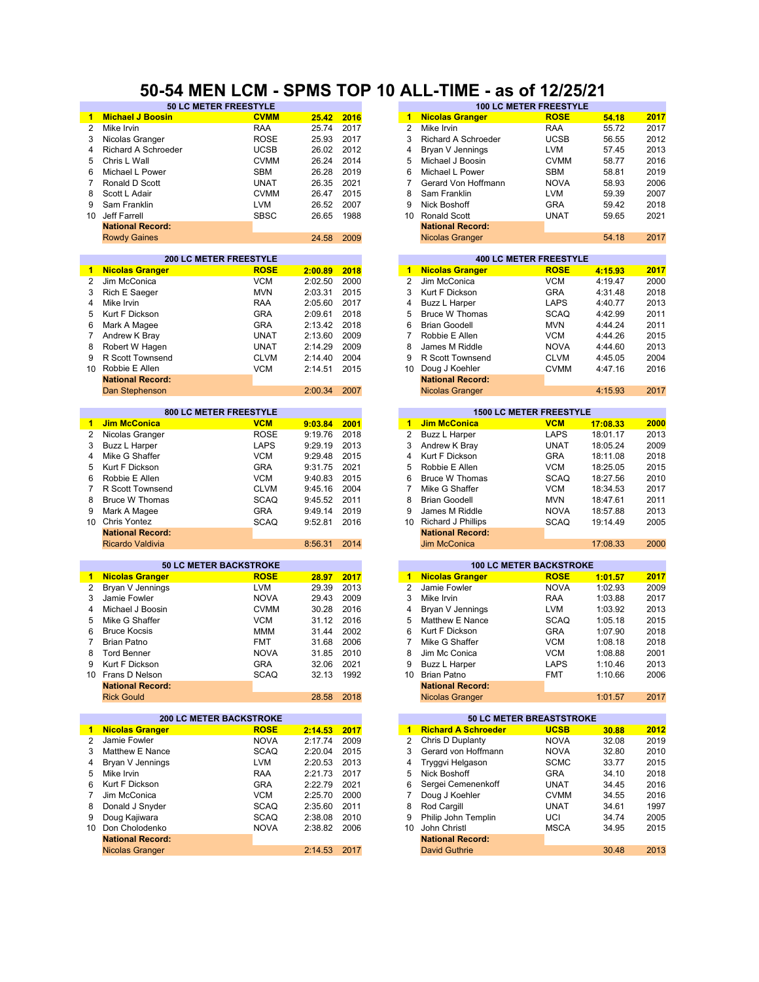### **50-54 MEN LCM - SPMS TOP 10 ALL-TIME - as of 12/25/21**

| 1              | <b>Michael J Boosin</b>        | <b>CVMM</b> | 25.42   | 2016 | $\mathbf{1}$         | <b>Nicolas Granger</b>     | <b>ROSE</b>                     | 54.18    | 2017 |
|----------------|--------------------------------|-------------|---------|------|----------------------|----------------------------|---------------------------------|----------|------|
| $\overline{2}$ | Mike Irvin                     | <b>RAA</b>  | 25.74   | 2017 | 2                    | Mike Irvin                 | <b>RAA</b>                      | 55.72    | 2017 |
| 3              | Nicolas Granger                | <b>ROSE</b> | 25.93   | 2017 | 3                    | Richard A Schroeder        | <b>UCSB</b>                     | 56.55    | 2012 |
| 4              | Richard A Schroeder            | <b>UCSB</b> | 26.02   | 2012 | 4                    | Bryan V Jennings           | <b>LVM</b>                      | 57.45    | 2013 |
| 5              | Chris L Wall                   | <b>CVMM</b> | 26.24   | 2014 | 5                    | Michael J Boosin           | <b>CVMM</b>                     | 58.77    | 2016 |
| 6              | Michael L Power                | SBM         | 26.28   | 2019 | 6                    | Michael L Power            | <b>SBM</b>                      | 58.81    | 2019 |
|                |                                |             |         |      |                      |                            |                                 |          |      |
| $\overline{7}$ | Ronald D Scott                 | <b>UNAT</b> | 26.35   | 2021 | $\overline{7}$       | Gerard Von Hoffmann        | <b>NOVA</b>                     | 58.93    | 2006 |
| 8              | Scott L Adair                  | <b>CVMM</b> | 26.47   | 2015 | 8                    | Sam Franklin               | <b>LVM</b>                      | 59.39    | 2007 |
| 9              | Sam Franklin                   | <b>LVM</b>  | 26.52   | 2007 | 9                    | Nick Boshoff               | <b>GRA</b>                      | 59.42    | 2018 |
| 10             | Jeff Farrell                   | <b>SBSC</b> | 26.65   | 1988 | 10                   | <b>Ronald Scott</b>        | <b>UNAT</b>                     | 59.65    | 2021 |
|                | <b>National Record:</b>        |             |         |      |                      | <b>National Record:</b>    |                                 |          |      |
|                | <b>Rowdy Gaines</b>            |             | 24.58   | 2009 |                      | <b>Nicolas Granger</b>     |                                 | 54.18    | 2017 |
|                |                                |             |         |      |                      |                            |                                 |          |      |
|                | <b>200 LC METER FREESTYLE</b>  |             |         |      |                      |                            | <b>400 LC METER FREESTYLE</b>   |          |      |
| 1.             | <b>Nicolas Granger</b>         | <b>ROSE</b> | 2:00.89 | 2018 | $\blacktriangleleft$ | <b>Nicolas Granger</b>     | <b>ROSE</b>                     | 4:15.93  | 2017 |
| 2              | Jim McConica                   | <b>VCM</b>  | 2:02.50 | 2000 | $\overline{2}$       | Jim McConica               | <b>VCM</b>                      | 4:19.47  | 2000 |
| 3              | Rich E Saeger                  | <b>MVN</b>  | 2:03.31 | 2015 | 3                    | Kurt F Dickson             | <b>GRA</b>                      | 4:31.48  | 2018 |
| 4              | Mike Irvin                     | <b>RAA</b>  | 2:05.60 | 2017 | 4                    | <b>Buzz L Harper</b>       | LAPS                            | 4:40.77  | 2013 |
| 5              | Kurt F Dickson                 | <b>GRA</b>  | 2:09.61 | 2018 | 5                    | <b>Bruce W Thomas</b>      | <b>SCAQ</b>                     | 4:42.99  | 2011 |
| 6              |                                | <b>GRA</b>  | 2:13.42 | 2018 | 6                    | <b>Brian Goodell</b>       | <b>MVN</b>                      | 4:44.24  | 2011 |
|                | Mark A Magee                   |             |         |      |                      |                            |                                 |          |      |
| 7              | Andrew K Bray                  | <b>UNAT</b> | 2:13.60 | 2009 | 7                    | Robbie E Allen             | <b>VCM</b>                      | 4:44.26  | 2015 |
| 8              | Robert W Hagen                 | <b>UNAT</b> | 2:14.29 | 2009 | 8                    | James M Riddle             | <b>NOVA</b>                     | 4:44.60  | 2013 |
| 9              | R Scott Townsend               | <b>CLVM</b> | 2:14.40 | 2004 | 9                    | R Scott Townsend           | <b>CLVM</b>                     | 4:45.05  | 2004 |
| $10-10$        | Robbie E Allen                 | <b>VCM</b>  | 2:14.51 | 2015 | 10                   | Doug J Koehler             | <b>CVMM</b>                     | 4:47.16  | 2016 |
|                | <b>National Record:</b>        |             |         |      |                      | <b>National Record:</b>    |                                 |          |      |
|                | Dan Stephenson                 |             | 2:00.34 | 2007 |                      | <b>Nicolas Granger</b>     |                                 | 4:15.93  | 2017 |
|                |                                |             |         |      |                      |                            |                                 |          |      |
|                | 800 LC METER FREESTYLE         |             |         |      |                      |                            | <b>1500 LC METER FREESTYLE</b>  |          |      |
| $\blacksquare$ | <b>Jim McConica</b>            | <b>VCM</b>  | 9:03.84 | 2001 | $\mathbf{1}$         | <b>Jim McConica</b>        | <b>VCM</b>                      | 17:08.33 | 2000 |
| 2              | Nicolas Granger                | <b>ROSE</b> | 9:19.76 | 2018 | 2                    | <b>Buzz L Harper</b>       | LAPS                            | 18:01.17 | 2013 |
| 3              | <b>Buzz L Harper</b>           | <b>LAPS</b> | 9:29.19 | 2013 | 3                    | Andrew K Brav              | <b>UNAT</b>                     | 18:05.24 | 2009 |
| $\overline{4}$ | Mike G Shaffer                 | <b>VCM</b>  | 9:29.48 | 2015 | 4                    | Kurt F Dickson             | <b>GRA</b>                      | 18:11.08 | 2018 |
| 5              | Kurt F Dickson                 | <b>GRA</b>  | 9:31.75 | 2021 | 5                    | Robbie E Allen             | <b>VCM</b>                      | 18:25.05 | 2015 |
| 6              | Robbie E Allen                 | <b>VCM</b>  | 9:40.83 | 2015 | 6                    | <b>Bruce W Thomas</b>      | <b>SCAQ</b>                     | 18:27.56 | 2010 |
| $\overline{7}$ | <b>R Scott Townsend</b>        | <b>CLVM</b> | 9:45.16 | 2004 | $\overline{7}$       | Mike G Shaffer             | <b>VCM</b>                      |          | 2017 |
|                |                                |             |         |      |                      |                            |                                 | 18:34.53 |      |
| 8              | <b>Bruce W Thomas</b>          | <b>SCAQ</b> | 9:45.52 | 2011 | 8                    | <b>Brian Goodell</b>       | <b>MVN</b>                      | 18:47.61 | 2011 |
| 9              | Mark A Magee                   | <b>GRA</b>  | 9:49.14 | 2019 | 9                    | James M Riddle             | <b>NOVA</b>                     | 18:57.88 | 2013 |
| 10             | Chris Yontez                   | <b>SCAQ</b> | 9:52.81 | 2016 | 10                   | Richard J Phillips         | <b>SCAQ</b>                     | 19:14.49 | 2005 |
|                | <b>National Record:</b>        |             |         |      |                      | <b>National Record:</b>    |                                 |          |      |
|                | Ricardo Valdivia               |             | 8:56.31 | 2014 |                      | <b>Jim McConica</b>        |                                 | 17:08.33 | 2000 |
|                |                                |             |         |      |                      |                            |                                 |          |      |
|                | <b>50 LC METER BACKSTROKE</b>  |             |         |      |                      |                            | <b>100 LC METER BACKSTROKE</b>  |          |      |
| 1.             | <b>Nicolas Granger</b>         | <b>ROSE</b> | 28.97   | 2017 | $\mathbf{1}$         | <b>Nicolas Granger</b>     | <b>ROSE</b>                     | 1:01.57  | 2017 |
| 2              | Bryan V Jennings               | <b>LVM</b>  | 29.39   | 2013 | $\overline{2}$       | Jamie Fowler               | <b>NOVA</b>                     | 1:02.93  | 2009 |
| 3              | Jamie Fowler                   | <b>NOVA</b> | 29.43   | 2009 | 3                    | Mike Irvin                 | RAA                             | 1:03.88  | 2017 |
| 4              | Michael J Boosin               | <b>CVMM</b> | 30.28   | 2016 | 4                    | Bryan V Jennings           | <b>LVM</b>                      | 1:03.92  | 2013 |
| 5              | Mike G Shaffer                 | <b>VCM</b>  | 31.12   | 2016 | 5                    | Matthew E Nance            | <b>SCAQ</b>                     | 1:05.18  | 2015 |
| 6              | <b>Bruce Kocsis</b>            | <b>MMM</b>  | 31.44   | 2002 | 6                    | Kurt F Dickson             | <b>GRA</b>                      | 1:07.90  | 2018 |
| $\overline{7}$ | <b>Brian Patno</b>             | <b>FMT</b>  | 31.68   | 2006 | 7                    | Mike G Shaffer             | <b>VCM</b>                      | 1:08.18  | 2018 |
| 8              | <b>Tord Benner</b>             | <b>NOVA</b> | 31.85   | 2010 | 8                    | Jim Mc Conica              | <b>VCM</b>                      | 1:08.88  | 2001 |
| 9              | Kurt F Dickson                 | <b>GRA</b>  | 32.06   | 2021 | 9                    | Buzz L Harper              | LAPS                            | 1:10.46  | 2013 |
|                | 10 Frans D Nelson              | SCAQ        | 32.13   | 1992 |                      | 10 Brian Patno             | <b>FMT</b>                      | 1:10.66  | 2006 |
|                | <b>National Record:</b>        |             |         |      |                      | <b>National Record:</b>    |                                 |          |      |
|                | <b>Rick Gould</b>              |             | 28.58   | 2018 |                      | <b>Nicolas Granger</b>     |                                 | 1:01.57  | 2017 |
|                |                                |             |         |      |                      |                            |                                 |          |      |
|                | <b>200 LC METER BACKSTROKE</b> |             |         |      |                      |                            | <b>50 LC METER BREASTSTROKE</b> |          |      |
|                |                                | <b>ROSE</b> |         |      | $\mathbf{1}$         | <b>Richard A Schroeder</b> | <b>UCSB</b>                     | 30.88    |      |
| $\blacksquare$ | <b>Nicolas Granger</b>         |             | 2:14.53 | 2017 |                      |                            |                                 |          | 2012 |
| 2              | Jamie Fowler                   | <b>NOVA</b> | 2:17.74 | 2009 | $\overline{2}$       | Chris D Duplanty           | <b>NOVA</b>                     | 32.08    | 2019 |
| 3              | Matthew E Nance                | <b>SCAQ</b> | 2:20.04 | 2015 | 3                    | Gerard von Hoffmann        | <b>NOVA</b>                     | 32.80    | 2010 |
| 4              | Bryan V Jennings               | <b>LVM</b>  | 2:20.53 | 2013 | 4                    | Tryggvi Helgason           | <b>SCMC</b>                     | 33.77    | 2015 |
| 5              | Mike Irvin                     | RAA         | 2:21.73 | 2017 | 5                    | Nick Boshoff               | GRA                             | 34.10    | 2018 |
| 6              | Kurt F Dickson                 | <b>GRA</b>  | 2:22.79 | 2021 | 6                    | Sergei Cemenenkoff         | UNAT                            | 34.45    | 2016 |
| $\overline{7}$ | Jim McConica                   | <b>VCM</b>  | 2:25.70 | 2000 | 7                    | Doug J Koehler             | <b>CVMM</b>                     | 34.55    | 2016 |
| 8              | Donald J Snyder                | <b>SCAQ</b> | 2:35.60 | 2011 | 8                    | Rod Cargill                | UNAT                            | 34.61    | 1997 |
| 9              | Doug Kajiwara                  | SCAQ        | 2:38.08 | 2010 | 9                    | Philip John Templin        | UCI                             | 34.74    | 2005 |
|                | 10 Don Cholodenko              | <b>NOVA</b> | 2:38.82 | 2006 | 10                   | John Christl               | <b>MSCA</b>                     | 34.95    | 2015 |
|                | <b>National Record:</b>        |             |         |      |                      | <b>National Record:</b>    |                                 |          |      |
|                | <b>Nicolas Granger</b>         |             | 2:14.53 | 2017 |                      | <b>David Guthrie</b>       |                                 | 30.48    | 2013 |
|                |                                |             |         |      |                      |                            |                                 |          |      |

| <b>50 LC METER FREESTYLE</b>  |             |         |      |                      | <b>100 LC METER FREESTYLE</b> |                                |          |      |  |  |
|-------------------------------|-------------|---------|------|----------------------|-------------------------------|--------------------------------|----------|------|--|--|
| 'n                            | <b>CVMM</b> | 25.42   | 2016 | 1                    | <b>Nicolas Granger</b>        | <b>ROSE</b>                    | 54.18    | 2017 |  |  |
|                               | <b>RAA</b>  | 25.74   | 2017 | 2                    | Mike Irvin                    | <b>RAA</b>                     | 55.72    | 2017 |  |  |
|                               | <b>ROSE</b> | 25.93   | 2017 | 3                    | Richard A Schroeder           | <b>UCSB</b>                    | 56.55    | 2012 |  |  |
| eder                          | <b>UCSB</b> | 26.02   | 2012 | 4                    | Bryan V Jennings              | <b>LVM</b>                     | 57.45    | 2013 |  |  |
|                               | <b>CVMM</b> | 26.24   | 2014 | 5                    | Michael J Boosin              | <b>CVMM</b>                    | 58.77    | 2016 |  |  |
|                               | <b>SBM</b>  | 26.28   | 2019 | 6                    | Michael L Power               | <b>SBM</b>                     | 58.81    | 2019 |  |  |
|                               | <b>UNAT</b> | 26.35   | 2021 | 7                    | Gerard Von Hoffmann           | <b>NOVA</b>                    | 58.93    | 2006 |  |  |
|                               | <b>CVMM</b> | 26.47   | 2015 | 8                    | Sam Franklin                  | <b>LVM</b>                     | 59.39    | 2007 |  |  |
|                               | <b>LVM</b>  | 26.52   | 2007 | 9                    | Nick Boshoff                  | <b>GRA</b>                     | 59.42    | 2018 |  |  |
|                               | <b>SBSC</b> | 26.65   | 1988 | 10                   | <b>Ronald Scott</b>           | <b>UNAT</b>                    | 59.65    | 2021 |  |  |
|                               |             |         |      |                      | <b>National Record:</b>       |                                |          |      |  |  |
|                               |             | 24.58   | 2009 |                      | <b>Nicolas Granger</b>        |                                | 54.18    | 2017 |  |  |
|                               |             |         |      |                      |                               |                                |          |      |  |  |
| <b>200 LC METER FREESTYLE</b> |             |         |      |                      | <b>400 LC METER FREESTYLE</b> |                                |          |      |  |  |
|                               | <b>ROSE</b> | 2:00.89 | 2018 | 1                    | <b>Nicolas Granger</b>        | <b>ROSE</b>                    | 4:15.93  | 2017 |  |  |
|                               | <b>VCM</b>  | 2:02.50 | 2000 | 2                    | Jim McConica                  | <b>VCM</b>                     | 4:19.47  | 2000 |  |  |
|                               | <b>MVN</b>  | 2:03.31 | 2015 | 3                    | Kurt F Dickson                | <b>GRA</b>                     | 4:31.48  | 2018 |  |  |
|                               | <b>RAA</b>  | 2:05.60 | 2017 | 4                    | Buzz L Harper                 | <b>LAPS</b>                    | 4:40.77  | 2013 |  |  |
|                               | <b>GRA</b>  | 2:09.61 | 2018 | 5                    | <b>Bruce W Thomas</b>         | <b>SCAQ</b>                    | 4:42.99  | 2011 |  |  |
|                               | <b>GRA</b>  | 2:13.42 | 2018 | 6                    | <b>Brian Goodell</b>          | <b>MVN</b>                     | 4:44.24  | 2011 |  |  |
|                               | <b>UNAT</b> | 2:13.60 | 2009 | 7                    | Robbie E Allen                | <b>VCM</b>                     | 4:44.26  | 2015 |  |  |
|                               | <b>UNAT</b> | 2:14.29 | 2009 | 8                    | James M Riddle                | <b>NOVA</b>                    | 4:44.60  | 2013 |  |  |
| ıd                            | <b>CLVM</b> | 2:14.40 | 2004 | 9                    | R Scott Townsend              | <b>CLVM</b>                    | 4:45.05  | 2004 |  |  |
|                               | <b>VCM</b>  | 2:14.51 | 2015 | 10                   | Doug J Koehler                | <b>CVMM</b>                    | 4:47.16  | 2016 |  |  |
|                               |             |         |      |                      | <b>National Record:</b>       |                                |          |      |  |  |
|                               |             | 2:00.34 | 2007 |                      | <b>Nicolas Granger</b>        |                                | 4:15.93  | 2017 |  |  |
|                               |             |         |      |                      |                               |                                |          |      |  |  |
| <b>300 LC METER FREESTYLE</b> |             |         |      |                      |                               | <b>1500 LC METER FREESTYLE</b> |          |      |  |  |
|                               | <b>VCM</b>  | 9:03.84 | 2001 | $\blacktriangleleft$ | <b>Jim McConica</b>           | <b>VCM</b>                     | 17:08.33 | 2000 |  |  |
|                               | <b>ROSE</b> | 9:19.76 | 2018 | 2                    | Buzz L Harper                 | LAPS                           | 18:01.17 | 2013 |  |  |
|                               | <b>LAPS</b> | 9:29.19 | 2013 | 3                    | Andrew K Bray                 | <b>UNAT</b>                    | 18:05.24 | 2009 |  |  |
|                               | <b>VCM</b>  | 9:29.48 | 2015 | 4                    | Kurt F Dickson                | <b>GRA</b>                     | 18:11.08 | 2018 |  |  |
|                               | <b>GRA</b>  | 9:31.75 | 2021 | 5                    | Robbie E Allen                | <b>VCM</b>                     | 18:25.05 | 2015 |  |  |

| 9:31.75 2021 |   | 5 Robbie E Allen        | <b>VCM</b>  | 18:25.05 | 2015 |
|--------------|---|-------------------------|-------------|----------|------|
| 9:40.83 2015 |   | 6 Bruce W Thomas        | <b>SCAQ</b> | 18:27.56 | 2010 |
| 9:45.16 2004 | 7 | Mike G Shaffer          | <b>VCM</b>  | 18:34.53 | 2017 |
| 9:45.52 2011 |   | 8 Brian Goodell         | <b>MVN</b>  | 18:47.61 | 2011 |
| 9:49.14 2019 |   | 9 James M Riddle        | <b>NOVA</b> | 18:57.88 | 2013 |
| 9:52.81 2016 |   | 10 Richard J Phillips   | <b>SCAQ</b> | 19:14.49 | 2005 |
|              |   | <b>National Record:</b> |             |          |      |
| 8:56.31 2014 |   | <b>Jim McConica</b>     |             | 17:08.33 | 2000 |

| 28.97 | 2017 |
|-------|------|
| 29.39 | 2013 |
| 29.43 | 2009 |
| 30.28 | 2016 |
| 31.12 | 2016 |
| 31.44 | 2002 |
| 31.68 | 2006 |
| 31.85 | 2010 |
| 32.06 | 2021 |
| 32.13 | 1992 |
|       |      |
| 28.58 | 2018 |
|       |      |

|         |      |    |                            | <b>50 LC METER BREASTSTROKE</b> |       |      |
|---------|------|----|----------------------------|---------------------------------|-------|------|
| 2:14.53 | 2017 | 1  | <b>Richard A Schroeder</b> | <b>UCSB</b>                     | 30.88 | 2012 |
| 2:17.74 | 2009 | 2  | Chris D Duplanty           | <b>NOVA</b>                     | 32.08 | 2019 |
| 2:20.04 | 2015 | 3  | Gerard von Hoffmann        | <b>NOVA</b>                     | 32.80 | 2010 |
| 2:20.53 | 2013 | 4  | Tryggvi Helgason           | <b>SCMC</b>                     | 33.77 | 2015 |
| 2:21.73 | 2017 | 5  | Nick Boshoff               | <b>GRA</b>                      | 34.10 | 2018 |
| 2:22.79 | 2021 | 6  | Sergei Cemenenkoff         | UNAT                            | 34.45 | 2016 |
| 2:25.70 | 2000 |    | Doug J Koehler             | <b>CVMM</b>                     | 34.55 | 2016 |
| 2:35.60 | 2011 | 8  | Rod Cargill                | <b>UNAT</b>                     | 34.61 | 1997 |
| 2:38.08 | 2010 | 9  | Philip John Templin        | UCI                             | 34.74 | 2005 |
| 2:38.82 | 2006 | 10 | John Christl               | <b>MSCA</b>                     | 34.95 | 2015 |
|         |      |    | <b>National Record:</b>    |                                 |       |      |
| 2:14.53 | 2017 |    | <b>David Guthrie</b>       |                                 | 30.48 | 2013 |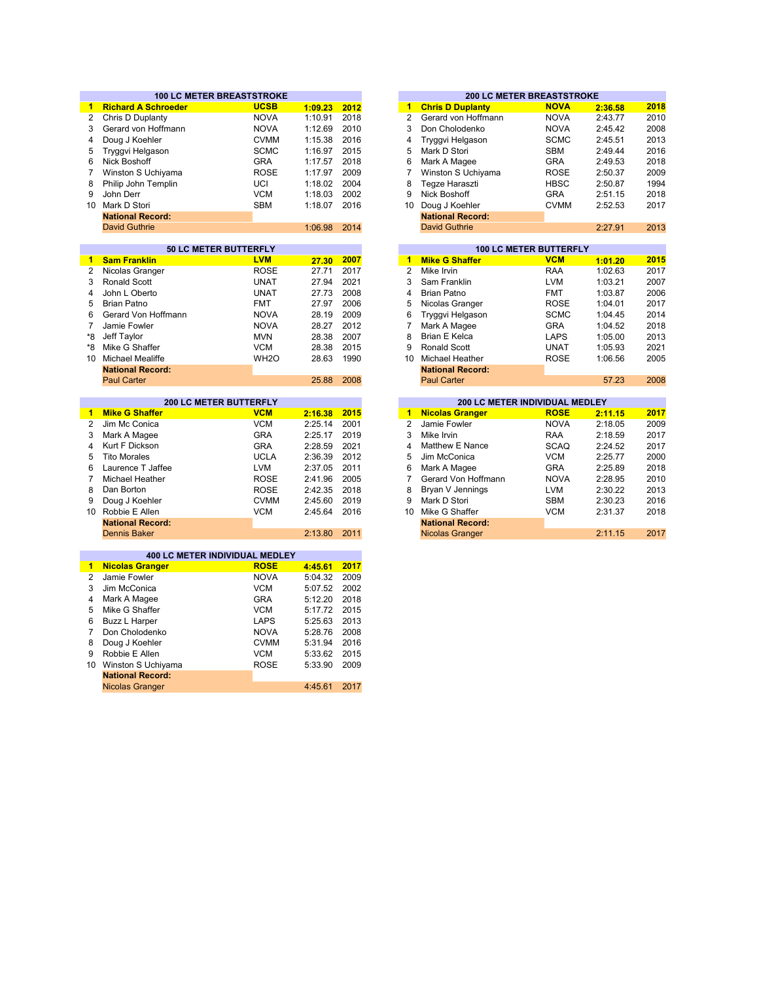|                 | <b>100 LC METER BREASTSTROKE</b>                  |                   |         |      |                 | <b>200 LC METER BREASTSTROKE</b> |             |         |      |
|-----------------|---------------------------------------------------|-------------------|---------|------|-----------------|----------------------------------|-------------|---------|------|
| $\blacksquare$  | <b>Richard A Schroeder</b>                        | <b>UCSB</b>       | 1:09.23 | 2012 | $\mathbf{1}$    | <b>Chris D Duplanty</b>          | <b>NOVA</b> | 2:36.58 | 2018 |
| $\overline{2}$  | Chris D Duplanty                                  | <b>NOVA</b>       | 1:10.91 | 2018 | $\overline{2}$  | Gerard von Hoffmann              | <b>NOVA</b> | 2:43.77 | 2010 |
| 3               | Gerard von Hoffmann                               | <b>NOVA</b>       | 1:12.69 | 2010 | 3               | Don Cholodenko                   | <b>NOVA</b> | 2:45.42 | 2008 |
| 4               | Doug J Koehler                                    | <b>CVMM</b>       | 1:15.38 | 2016 | $\overline{4}$  | Tryggvi Helgason                 | <b>SCMC</b> | 2:45.51 | 2013 |
| 5               | Tryggvi Helgason                                  | <b>SCMC</b>       | 1:16.97 | 2015 | 5               | Mark D Stori                     | <b>SBM</b>  | 2:49.44 | 2016 |
| 6               | Nick Boshoff                                      | <b>GRA</b>        | 1:17.57 | 2018 | 6               | Mark A Magee                     | <b>GRA</b>  | 2:49.53 | 2018 |
| 7               | Winston S Uchiyama                                | <b>ROSE</b>       | 1:17.97 | 2009 | $\overline{7}$  | Winston S Uchiyama               | <b>ROSE</b> | 2:50.37 | 2009 |
| 8               | Philip John Templin                               | UCI               | 1:18.02 | 2004 | 8               | Tegze Haraszti                   | <b>HBSC</b> | 2:50.87 | 1994 |
| 9               | John Derr                                         | <b>VCM</b>        | 1:18.03 | 2002 | 9               | Nick Boshoff                     | <b>GRA</b>  | 2:51.15 | 2018 |
|                 | 10 Mark D Stori                                   | <b>SBM</b>        | 1:18.07 | 2016 | 10 <sup>°</sup> | Doug J Koehler                   | <b>CVMM</b> | 2:52.53 | 2017 |
|                 | <b>National Record:</b>                           |                   |         |      |                 | <b>National Record:</b>          |             |         |      |
|                 | David Guthrie                                     |                   | 1:06.98 | 2014 |                 | <b>David Guthrie</b>             |             | 2:27.91 | 2013 |
|                 |                                                   |                   |         |      |                 |                                  |             |         |      |
|                 | 50 LC METER BUTTERFLY                             |                   |         |      |                 | <b>100 LC METER BUTTERFLY</b>    |             |         |      |
| $\blacksquare$  | <b>Sam Franklin</b>                               | <b>LVM</b>        | 27.30   | 2007 | $\mathbf{1}$    | <b>Mike G Shaffer</b>            | <b>VCM</b>  | 1:01.20 | 2015 |
| $\overline{2}$  | Nicolas Granger                                   | <b>ROSE</b>       | 27.71   | 2017 | $\overline{2}$  | Mike Irvin                       | RAA         | 1:02.63 | 2017 |
| 3               | Ronald Scott                                      | <b>UNAT</b>       | 27.94   | 2021 | 3               | Sam Franklin                     | <b>LVM</b>  | 1:03.21 | 2007 |
| 4               | John L Oberto                                     | <b>UNAT</b>       | 27.73   | 2008 | $\overline{4}$  | <b>Brian Patno</b>               | <b>FMT</b>  | 1:03.87 | 2006 |
| 5               | <b>Brian Patno</b>                                | <b>FMT</b>        | 27.97   | 2006 | 5               | Nicolas Granger                  | <b>ROSE</b> | 1:04.01 | 2017 |
| 6               | Gerard Von Hoffmann                               | <b>NOVA</b>       | 28.19   | 2009 | 6               | Tryggvi Helgason                 | <b>SCMC</b> | 1:04.45 | 2014 |
| $\overline{7}$  | Jamie Fowler                                      | <b>NOVA</b>       | 28.27   | 2012 | $\overline{7}$  | Mark A Magee                     | <b>GRA</b>  | 1:04.52 | 2018 |
| *8              | Jeff Taylor                                       | <b>MVN</b>        | 28.38   | 2007 | 8               | <b>Brian E Kelca</b>             | LAPS        | 1:05.00 | 2013 |
| *8              | Mike G Shaffer                                    | <b>VCM</b>        | 28.38   | 2015 | 9               | <b>Ronald Scott</b>              | <b>UNAT</b> | 1:05.93 | 2021 |
|                 | 10 Michael Mealiffe                               | WH <sub>2</sub> O | 28.63   | 1990 | 10 <sup>1</sup> | <b>Michael Heather</b>           | <b>ROSE</b> | 1:06.56 | 2005 |
|                 | <b>National Record:</b>                           |                   |         |      |                 | <b>National Record:</b>          |             |         |      |
|                 | <b>Paul Carter</b>                                |                   | 25.88   | 2008 |                 | <b>Paul Carter</b>               |             | 57.23   | 2008 |
|                 |                                                   |                   |         |      |                 |                                  |             |         |      |
|                 |                                                   |                   |         |      |                 |                                  |             |         |      |
|                 | <b>200 LC METER BUTTERFLY</b>                     |                   |         |      |                 | 200 LC METER INDIVIDUAL MEDLEY   |             |         |      |
| 1.              | <b>Mike G Shaffer</b>                             | <b>VCM</b>        | 2:16.38 | 2015 | $\mathbf{1}$    | <b>Nicolas Granger</b>           | <b>ROSE</b> | 2:11.15 | 2017 |
| 2               | Jim Mc Conica                                     | <b>VCM</b>        | 2:25.14 | 2001 | $\overline{2}$  | Jamie Fowler                     | <b>NOVA</b> | 2:18.05 | 2009 |
| 3               | Mark A Magee                                      | <b>GRA</b>        | 2:25.17 | 2019 | 3               | Mike Irvin                       | <b>RAA</b>  | 2:18.59 | 2017 |
| 4               | Kurt F Dickson                                    | <b>GRA</b>        | 2:28.59 | 2021 | $\overline{4}$  | Matthew E Nance                  | <b>SCAQ</b> | 2:24.52 | 2017 |
| 5               | <b>Tito Morales</b>                               | <b>UCLA</b>       | 2:36.39 | 2012 | 5               | Jim McConica                     | <b>VCM</b>  | 2:25.77 | 2000 |
| 6               | Laurence T Jaffee                                 | <b>LVM</b>        | 2:37.05 | 2011 | 6               | Mark A Magee                     | <b>GRA</b>  | 2:25.89 | 2018 |
| $\overline{7}$  | Michael Heather                                   | <b>ROSE</b>       | 2:41.96 | 2005 | $\overline{7}$  | Gerard Von Hoffmann              | <b>NOVA</b> | 2:28.95 | 2010 |
| 8               | Dan Borton                                        | <b>ROSE</b>       | 2:42.35 | 2018 | 8               | Bryan V Jennings                 | <b>LVM</b>  | 2:30.22 | 2013 |
| 9               | Doug J Koehler                                    | <b>CVMM</b>       | 2:45.60 | 2019 | 9               | Mark D Stori                     | <b>SBM</b>  | 2:30.23 | 2016 |
| $10-10$         | Robbie E Allen                                    | <b>VCM</b>        | 2:45.64 | 2016 | 10 <sup>1</sup> | Mike G Shaffer                   | <b>VCM</b>  | 2:31.37 | 2018 |
|                 | <b>National Record:</b>                           |                   |         |      |                 | <b>National Record:</b>          |             |         |      |
|                 | <b>Dennis Baker</b>                               |                   | 2:13.80 | 2011 |                 | <b>Nicolas Granger</b>           |             | 2:11.15 | 2017 |
|                 |                                                   |                   |         |      |                 |                                  |             |         |      |
|                 | <b>400 LC METER INDIVIDUAL MEDLEY</b>             |                   |         |      |                 |                                  |             |         |      |
| $\mathbf{1}$    | <b>Nicolas Granger</b>                            | <b>ROSE</b>       | 4:45.61 | 2017 |                 |                                  |             |         |      |
| 2               | Jamie Fowler                                      | <b>NOVA</b>       | 5:04.32 | 2009 |                 |                                  |             |         |      |
| 3               | Jim McConica                                      | <b>VCM</b>        | 5:07.52 | 2002 |                 |                                  |             |         |      |
| 4               | Mark A Magee                                      | <b>GRA</b>        | 5:12.20 | 2018 |                 |                                  |             |         |      |
| 5               | Mike G Shaffer                                    | <b>VCM</b>        | 5:17.72 | 2015 |                 |                                  |             |         |      |
| 6               | <b>Buzz L Harper</b>                              | <b>LAPS</b>       | 5:25.63 | 2013 |                 |                                  |             |         |      |
| $\overline{7}$  | Don Cholodenko                                    | <b>NOVA</b>       | 5:28.76 | 2008 |                 |                                  |             |         |      |
| 8               | Doug J Koehler                                    | <b>CVMM</b>       | 5:31.94 | 2016 |                 |                                  |             |         |      |
| 9               | Robbie E Allen                                    | <b>VCM</b>        | 5:33.62 | 2015 |                 |                                  |             |         |      |
| 10 <sup>1</sup> | Winston S Uchiyama                                | <b>ROSE</b>       | 5:33.90 | 2009 |                 |                                  |             |         |      |
|                 | <b>National Record:</b><br><b>Nicolas Granger</b> |                   | 4:45.61 | 2017 |                 |                                  |             |         |      |

|         |      |    |                         | <b>200 LC METER BREASTSTROKE</b> |         |      |
|---------|------|----|-------------------------|----------------------------------|---------|------|
| 1:09.23 | 2012 | 1  | <b>Chris D Duplanty</b> | <b>NOVA</b>                      | 2:36.58 | 2018 |
| 1:10.91 | 2018 | 2  | Gerard von Hoffmann     | <b>NOVA</b>                      | 2:43.77 | 2010 |
| 1:12.69 | 2010 | 3  | Don Cholodenko          | <b>NOVA</b>                      | 2:45.42 | 2008 |
| 1:15.38 | 2016 | 4  | Tryggvi Helgason        | <b>SCMC</b>                      | 2:45.51 | 2013 |
| 1:16.97 | 2015 | 5  | Mark D Stori            | <b>SBM</b>                       | 2:49.44 | 2016 |
| 1:17.57 | 2018 | 6  | Mark A Magee            | <b>GRA</b>                       | 2:49.53 | 2018 |
| 1:17.97 | 2009 |    | Winston S Uchiyama      | <b>ROSE</b>                      | 2:50.37 | 2009 |
| 1:18.02 | 2004 | 8  | Tegze Haraszti          | <b>HBSC</b>                      | 2:50.87 | 1994 |
| 1:18.03 | 2002 | 9  | Nick Boshoff            | <b>GRA</b>                       | 2:51.15 | 2018 |
| 1:18.07 | 2016 | 10 | Doug J Koehler          | <b>CVMM</b>                      | 2:52.53 | 2017 |
|         |      |    | <b>National Record:</b> |                                  |         |      |
| 1:06.98 | 2014 |    | <b>David Guthrie</b>    |                                  | 2:27.91 | 2013 |
|         |      |    |                         |                                  |         |      |
|         |      |    |                         | $40010$ METER DUTTER U.          |         |      |

|       |      |    |                         | <b>100 LC METER BUTTERFLY</b> |             |         |  |
|-------|------|----|-------------------------|-------------------------------|-------------|---------|--|
| 27.30 | 2007 | 1  | <b>Mike G Shaffer</b>   |                               | <b>VCM</b>  | 1:01.20 |  |
| 27.71 | 2017 | 2  | Mike Irvin              |                               | <b>RAA</b>  | 1:02.63 |  |
| 27.94 | 2021 | 3  | Sam Franklin            |                               | <b>LVM</b>  | 1:03.21 |  |
| 27.73 | 2008 | 4  | Brian Patno             |                               | <b>FMT</b>  | 1:03.87 |  |
| 27.97 | 2006 | 5  | Nicolas Granger         |                               | <b>ROSE</b> | 1:04.01 |  |
| 28.19 | 2009 | 6  | Tryggvi Helgason        |                               | <b>SCMC</b> | 1:04.45 |  |
| 28.27 | 2012 | 7  | Mark A Magee            |                               | <b>GRA</b>  | 1:04.52 |  |
| 28.38 | 2007 | 8  | Brian E Kelca           |                               | LAPS        | 1:05.00 |  |
| 28.38 | 2015 | 9  | Ronald Scott            |                               | <b>UNAT</b> | 1:05.93 |  |
| 28.63 | 1990 | 10 | Michael Heather         |                               | <b>ROSE</b> | 1:06.56 |  |
|       |      |    | <b>National Record:</b> |                               |             |         |  |
| 25.88 | 2008 |    | <b>Paul Carter</b>      |                               |             | 57.23   |  |
|       |      |    |                         |                               |             |         |  |

|         |      |    |                         | <b>200 LC METER INDIVIDUAL MEDLEY</b> |         |      |
|---------|------|----|-------------------------|---------------------------------------|---------|------|
| 2:16.38 | 2015 | 1  | <b>Nicolas Granger</b>  | <b>ROSE</b>                           | 2:11.15 | 2017 |
| 2:25.14 | 2001 | 2  | Jamie Fowler            | <b>NOVA</b>                           | 2:18.05 | 2009 |
| 2:25.17 | 2019 | 3  | Mike Irvin              | RAA                                   | 2:18.59 | 2017 |
| 2:28.59 | 2021 | 4  | Matthew E Nance         | <b>SCAQ</b>                           | 2:24.52 | 2017 |
| 2:36.39 | 2012 | 5  | Jim McConica            | <b>VCM</b>                            | 2:25.77 | 2000 |
| 2:37.05 | 2011 | 6  | Mark A Magee            | <b>GRA</b>                            | 2:25.89 | 2018 |
| 2:41.96 | 2005 |    | Gerard Von Hoffmann     | <b>NOVA</b>                           | 2:28.95 | 2010 |
| 2:42.35 | 2018 | 8  | Bryan V Jennings        | <b>LVM</b>                            | 2:30.22 | 2013 |
| 2:45.60 | 2019 | 9  | Mark D Stori            | <b>SBM</b>                            | 2:30.23 | 2016 |
| 2:45.64 | 2016 | 10 | Mike G Shaffer          | <b>VCM</b>                            | 2:31.37 | 2018 |
|         |      |    | <b>National Record:</b> |                                       |         |      |
| 2:13.80 | 2011 |    | <b>Nicolas Granger</b>  |                                       | 2:11.15 | 2017 |
|         |      |    |                         |                                       |         |      |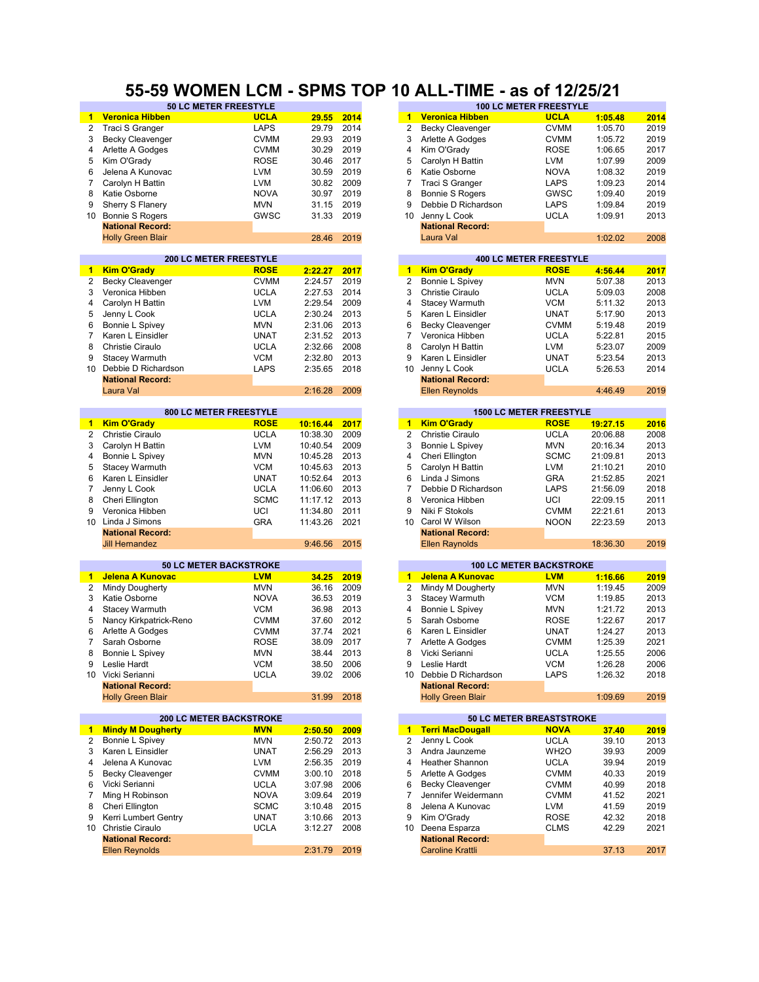### **55-59 WOMEN LCM - SPMS TOP 10 ALL-TIME - as of 12/25/21**

|                | <b>50 LC METER FREESTYLE</b>   |             |                    |      |                      |                          | <b>100 LC METER FREESTYLE</b>  |          |              |
|----------------|--------------------------------|-------------|--------------------|------|----------------------|--------------------------|--------------------------------|----------|--------------|
| $\mathbf 1$    | <b>Veronica Hibben</b>         | <b>UCLA</b> | 29.55              | 2014 | 1.                   | <b>Veronica Hibben</b>   | <b>UCLA</b>                    | 1:05.48  | 2014         |
| 2              | Traci S Granger                | <b>LAPS</b> | 29.79              | 2014 | 2                    | <b>Becky Cleavenger</b>  | <b>CVMM</b>                    | 1:05.70  | 2019         |
| 3              | <b>Becky Cleavenger</b>        | <b>CVMM</b> | 29.93              | 2019 | 3                    | Arlette A Godges         | <b>CVMM</b>                    | 1:05.72  | 2019         |
| 4              | Arlette A Godges               | <b>CVMM</b> | 30.29              | 2019 | 4                    | Kim O'Grady              | <b>ROSE</b>                    | 1:06.65  | 2017         |
| 5              | Kim O'Grady                    | <b>ROSE</b> | 30.46              | 2017 | 5                    | Carolyn H Battin         | LVM                            | 1:07.99  | 2009         |
| 6              | Jelena A Kunovac               | <b>LVM</b>  | 30.59              | 2019 | 6                    | Katie Osborne            | <b>NOVA</b>                    | 1:08.32  | 2019         |
| 7              | Carolyn H Battin               | <b>LVM</b>  | 30.82              | 2009 | 7                    | Traci S Granger          | LAPS                           | 1:09.23  | 2014         |
| 8              | Katie Osborne                  | <b>NOVA</b> | 30.97              | 2019 | 8                    | <b>Bonnie S Rogers</b>   | GWSC                           | 1:09.40  | 2019         |
| 9              | Sherry S Flanery               | <b>MVN</b>  | 31.15              | 2019 | 9                    | Debbie D Richardson      | LAPS                           | 1:09.84  | 2019         |
| 10             | <b>Bonnie S Rogers</b>         | GWSC        | 31.33              | 2019 | 10                   | Jenny L Cook             | <b>UCLA</b>                    | 1:09.91  | 2013         |
|                | <b>National Record:</b>        |             |                    |      |                      | <b>National Record:</b>  |                                |          |              |
|                | <b>Holly Green Blair</b>       |             | 28.46              | 2019 |                      | Laura Val                |                                | 1:02.02  | 2008         |
|                |                                |             |                    |      |                      |                          |                                |          |              |
|                | <b>200 LC METER FREESTYLE</b>  |             |                    |      |                      |                          | <b>400 LC METER FREESTYLE</b>  |          |              |
| 1.             | <b>Kim O'Grady</b>             | <b>ROSE</b> | 2:22.27            | 2017 | $\blacktriangleleft$ | <b>Kim O'Grady</b>       | <b>ROSE</b>                    | 4:56.44  | 2017         |
| 2              | <b>Becky Cleavenger</b>        | <b>CVMM</b> | 2:24.57            | 2019 | 2                    | Bonnie L Spivey          | <b>MVN</b>                     | 5:07.38  | 2013         |
|                |                                |             | 2:27.53            | 2014 | 3                    |                          |                                |          |              |
| 3              | Veronica Hibben                | <b>UCLA</b> |                    |      |                      | <b>Christie Ciraulo</b>  | <b>UCLA</b>                    | 5:09.03  | 2008         |
| 4              | Carolyn H Battin               | <b>LVM</b>  | 2:29.54            | 2009 | 4                    | Stacey Warmuth           | <b>VCM</b>                     | 5:11.32  | 2013         |
| 5              | Jenny L Cook                   | <b>UCLA</b> | 2:30.24            | 2013 | 5                    | Karen L Einsidler        | <b>UNAT</b>                    | 5:17.90  | 2013         |
| 6              | Bonnie L Spivey                | <b>MVN</b>  | 2:31.06            | 2013 | 6                    | <b>Becky Cleavenger</b>  | <b>CVMM</b>                    | 5:19.48  | 2019         |
| 7              | Karen L Einsidler              | <b>UNAT</b> | 2:31.52            | 2013 | 7                    | Veronica Hibben          | <b>UCLA</b>                    | 5:22.81  | 2015         |
| 8              | <b>Christie Ciraulo</b>        | <b>UCLA</b> | 2:32.66            | 2008 | 8                    | Carolyn H Battin         | LVM                            | 5:23.07  | 2009         |
| 9              | <b>Stacey Warmuth</b>          | <b>VCM</b>  | 2:32.80            | 2013 | 9                    | Karen L Einsidler        | <b>UNAT</b>                    | 5:23.54  | 2013         |
| 10             | Debbie D Richardson            | <b>LAPS</b> | 2:35.65            | 2018 | 10                   | Jenny L Cook             | <b>UCLA</b>                    | 5:26.53  | 2014         |
|                | <b>National Record:</b>        |             |                    |      |                      | <b>National Record:</b>  |                                |          |              |
|                | Laura Val                      |             | 2:16.28            | 2009 |                      | <b>Ellen Reynolds</b>    |                                | 4:46.49  | 2019         |
|                |                                |             |                    |      |                      |                          |                                |          |              |
|                | 800 LC METER FREESTYLE         |             |                    |      |                      |                          | <b>1500 LC METER FREESTYLE</b> |          |              |
| $\blacksquare$ | <b>Kim O'Grady</b>             | <b>ROSE</b> | 10:16.44           | 2017 | $\mathbf{1}$         | <b>Kim O'Grady</b>       | <b>ROSE</b>                    | 19:27.15 | 2016         |
| 2              | Christie Ciraulo               | <b>UCLA</b> | 10:38.30           | 2009 | 2                    | Christie Ciraulo         | <b>UCLA</b>                    | 20:06.88 | 2008         |
| 3              | Carolyn H Battin               | <b>LVM</b>  | 10:40.54           | 2009 | 3                    | Bonnie L Spivey          | <b>MVN</b>                     | 20:16.34 | 2013         |
| 4              | Bonnie L Spivey                | <b>MVN</b>  | 10:45.28           | 2013 | 4                    | Cheri Ellington          | <b>SCMC</b>                    | 21:09.81 | 2013         |
| 5              | Stacey Warmuth                 | <b>VCM</b>  | 10:45.63           | 2013 | 5                    | Carolyn H Battin         | <b>LVM</b>                     | 21:10.21 | 2010         |
| 6              | Karen L Einsidler              | <b>UNAT</b> | 10:52.64           | 2013 | 6                    | Linda J Simons           | <b>GRA</b>                     | 21:52.85 | 2021         |
| 7              | Jenny L Cook                   | <b>UCLA</b> | 11:06.60           | 2013 | $\overline{7}$       | Debbie D Richardson      | LAPS                           | 21:56.09 | 2018         |
| 8              | Cheri Ellington                | <b>SCMC</b> | 11:17.12           | 2013 | 8                    | Veronica Hibben          | UCI                            | 22:09.15 | 2011         |
| 9              | Veronica Hibben                | UCI         | 11:34.80           | 2011 | 9                    | Niki F Stokols           | <b>CVMM</b>                    | 22:21.61 | 2013         |
|                | 10 Linda J Simons              | <b>GRA</b>  | 11:43.26           | 2021 | 10                   | Carol W Wilson           | <b>NOON</b>                    | 22:23.59 | 2013         |
|                | <b>National Record:</b>        |             |                    |      |                      | <b>National Record:</b>  |                                |          |              |
|                | <b>Jill Hernandez</b>          |             | 9:46.56            | 2015 |                      | <b>Ellen Raynolds</b>    |                                | 18:36.30 | 2019         |
|                |                                |             |                    |      |                      |                          |                                |          |              |
|                | <b>50 LC METER BACKSTROKE</b>  |             |                    |      |                      |                          | <b>100 LC METER BACKSTROKE</b> |          |              |
| 1.             | Jelena A Kunovac               | <b>LVM</b>  | 34.25              | 2019 | $\mathbf{1}$         | Jelena A Kunovac         | <b>LVM</b>                     | 1:16.66  | 2019         |
| 2              | Mindy Dougherty                | <b>MVN</b>  | 36.16              | 2009 | 2                    | Mindy M Dougherty        | <b>MVN</b>                     | 1:19.45  | 2009         |
| 3              | Katie Osborne                  | <b>NOVA</b> | 36.53              | 2019 | 3                    | Stacey Warmuth           | <b>VCM</b>                     | 1:19.85  | 2013         |
| 4              | <b>Stacey Warmuth</b>          | <b>VCM</b>  | 36.98              | 2013 | 4                    | Bonnie L Spivey          | <b>MVN</b>                     | 1:21.72  | 2013         |
| 5              | Nancy Kirkpatrick-Reno         | <b>CVMM</b> | 37.60              | 2012 | 5                    | Sarah Osborne            | <b>ROSE</b>                    | 1:22.67  | 2017         |
| 6              | Arlette A Godges               | <b>CVMM</b> | 37.74              | 2021 | 6                    | Karen L Einsidler        | <b>UNAT</b>                    | 1:24.27  | 2013         |
| 7              | Sarah Osborne                  | <b>ROSE</b> | 38.09              | 2017 | 7                    | Arlette A Godges         | <b>CVMM</b>                    | 1:25.39  | 2021         |
| 8              | Bonnie L Spivey                | <b>MVN</b>  | 38.44              | 2013 | 8                    | Vicki Serianni           | <b>UCLA</b>                    | 1:25.55  | 2006         |
| 9              | Leslie Hardt                   | ${\tt VCM}$ | 38.50              | 2006 | 9                    | Leslie Hardt             | <b>VCM</b>                     | 1:26.28  | 2006         |
|                | 10 Vicki Serianni              | <b>UCLA</b> | 39.02              | 2006 | 10                   | Debbie D Richardson      | LAPS                           | 1:26.32  | 2018         |
|                | <b>National Record:</b>        |             |                    |      |                      | <b>National Record:</b>  |                                |          |              |
|                | <b>Holly Green Blair</b>       |             |                    |      |                      | <b>Holly Green Blair</b> |                                |          |              |
|                |                                |             | 31.99              | 2018 |                      |                          |                                | 1:09.69  | 2019         |
|                | <b>200 LC METER BACKSTROKE</b> |             |                    |      |                      | 50 LC METER BREASTSTROKE |                                |          |              |
| $\blacksquare$ | <b>Mindy M Dougherty</b>       | <b>MVN</b>  | 2:50.50            | 2009 |                      | 1 Terri MacDougall       | <b>NOVA</b>                    | 37.40    | 2019         |
| 2              | Bonnie L Spivey                | <b>MVN</b>  | 2:50.72            | 2013 | 2                    | Jenny L Cook             | <b>UCLA</b>                    | 39.10    | 2013         |
| 3              | Karen L Einsidler              | <b>UNAT</b> | 2:56.29            | 2013 | 3                    | Andra Jaunzeme           | WH <sub>2</sub> O              | 39.93    | 2009         |
|                | Jelena A Kunovac               |             |                    | 2019 | 4                    | <b>Heather Shannon</b>   |                                |          |              |
| 4<br>5         |                                | LVM         | 2:56.35<br>3:00.10 | 2018 | 5                    |                          | <b>UCLA</b>                    | 39.94    | 2019<br>2019 |
|                | <b>Becky Cleavenger</b>        | <b>CVMM</b> |                    |      |                      | Arlette A Godges         | <b>CVMM</b>                    | 40.33    |              |
| 6              | Vicki Serianni                 | <b>UCLA</b> | 3:07.98            | 2006 | 6                    | <b>Becky Cleavenger</b>  | <b>CVMM</b>                    | 40.99    | 2018         |
| 7              | Ming H Robinson                | <b>NOVA</b> | 3:09.64            | 2019 | 7                    | Jennifer Weidermann      | <b>CVMM</b>                    | 41.52    | 2021         |
| 8              | Cheri Ellington                | <b>SCMC</b> | 3:10.48            | 2015 | 8                    | Jelena A Kunovac         | LVM                            | 41.59    | 2019         |
| 9              | Kerri Lumbert Gentry           | UNAT        | 3:10.66            | 2013 | 9                    | Kim O'Grady              | <b>ROSE</b>                    | 42.32    | 2018         |
|                | 10 Christie Ciraulo            | <b>UCLA</b> | 3:12.27            | 2008 | 10                   | Deena Esparza            | <b>CLMS</b>                    | 42.29    | 2021         |
|                | <b>National Record:</b>        |             |                    |      |                      | <b>National Record:</b>  |                                |          |              |
|                | <b>Ellen Reynolds</b>          |             | 2:31.79            | 2019 |                      | <b>Caroline Krattli</b>  |                                | 37.13    | 2017         |

|         |              |                |                          | .                                                                                                                     |                    |              |
|---------|--------------|----------------|--------------------------|-----------------------------------------------------------------------------------------------------------------------|--------------------|--------------|
| 29.55   | 2014         | $\blacksquare$ | <b>Veronica Hibben</b>   | <u>in the second under the second second in the second second in the second second in the second second in the se</u> | 1:05.48            | 2014         |
| 29.79   | 2014         | 2              | <b>Becky Cleavenger</b>  | <b>CVMM</b>                                                                                                           | 1:05.70            | 2019         |
| 29.93   | 2019         | 3              | Arlette A Godges         | <b>CVMM</b>                                                                                                           | 1:05.72            | 2019         |
| 30.29   | 2019         | 4              | Kim O'Grady              | ROSE                                                                                                                  | 1:06.65            | 2017         |
| 30.46   | 2017         | 5              | Carolyn H Battin         | LVM                                                                                                                   | 1:07.99            | 2009         |
| 30.59   | 2019         | 6              | Katie Osborne            | <b>NOVA</b>                                                                                                           | 1:08.32            | 2019         |
| 30.82   | 2009         | 7              | Traci S Granger          | LAPS                                                                                                                  | 1:09.23            | 2014         |
| 30.97   | 2019         | 8              | <b>Bonnie S Rogers</b>   | GWSC                                                                                                                  | 1:09.40            | 2019         |
| 31.15   | 2019         | 9              | Debbie D Richardson      | LAPS                                                                                                                  | 1:09.84            | 2019         |
| 31.33   | 2019         | 10             | Jenny L Cook             | <b>UCLA</b>                                                                                                           | 1:09.91            | 2013         |
|         |              |                |                          |                                                                                                                       |                    |              |
| 28.46   |              |                | <b>National Record:</b>  |                                                                                                                       |                    |              |
|         | 2019         |                | Laura Val                |                                                                                                                       | 1:02.02            | 2008         |
|         |              |                |                          | <b>400 LC METER FREESTYLE</b>                                                                                         |                    |              |
| 2:22.27 | 2017         | 1              | <b>Kim O'Grady</b>       | <b>ROSE</b>                                                                                                           | 4:56.44            | 2017         |
| 2:24.57 | 2019         | 2              | Bonnie L Spivey          | <b>MVN</b>                                                                                                            | 5:07.38            | 2013         |
| 2:27.53 | 2014         | 3              | <b>Christie Ciraulo</b>  | <b>UCLA</b>                                                                                                           | 5:09.03            | 2008         |
| 2:29.54 | 2009         | 4              | Stacey Warmuth           | <b>VCM</b>                                                                                                            | 5:11.32            | 2013         |
| 2:30.24 | 2013         | 5              | Karen L Einsidler        | <b>UNAT</b>                                                                                                           | 5:17.90            | 2013         |
| 2:31.06 | 2013         | 6              | <b>Becky Cleavenger</b>  | <b>CVMM</b>                                                                                                           | 5:19.48            | 2019         |
| 2:31.52 | 2013         | 7              | Veronica Hibben          | <b>UCLA</b>                                                                                                           | 5:22.81            | 2015         |
| 2:32.66 | 2008         | 8              | Carolyn H Battin         | <b>LVM</b>                                                                                                            | 5:23.07            | 2009         |
| 2:32.80 | 2013         | 9              | Karen L Einsidler        | <b>UNAT</b>                                                                                                           | 5:23.54            | 2013         |
|         |              | 10             |                          | <b>UCLA</b>                                                                                                           |                    |              |
| 2:35.65 | 2018         |                | Jenny L Cook             |                                                                                                                       | 5:26.53            | 2014         |
|         |              |                | <b>National Record:</b>  |                                                                                                                       |                    |              |
| 2:16.28 | 2009         |                | <b>Ellen Reynolds</b>    |                                                                                                                       | 4:46.49            | 2019         |
|         |              |                |                          | <b>1500 LC METER FREESTYLE</b>                                                                                        |                    |              |
| 0:16.44 | 2017         | 1              | <b>Kim O'Grady</b>       | <b>ROSE</b>                                                                                                           | 19:27.15           | 2016         |
| 0:38.30 | 2009         | $\overline{2}$ | <b>Christie Ciraulo</b>  | <b>UCLA</b>                                                                                                           | 20:06.88           | 2008         |
| 0:40.54 | 2009         | 3              | Bonnie L Spivey          | <b>MVN</b>                                                                                                            | 20:16.34           | 2013         |
| 0:45.28 | 2013         | 4              | Cheri Ellington          | <b>SCMC</b>                                                                                                           | 21:09.81           | 2013         |
| 0:45.63 | 2013         | 5              | Carolyn H Battin         | <b>LVM</b>                                                                                                            | 21:10.21           | 2010         |
| 0:52.64 | 2013         | 6              | Linda J Simons           | <b>GRA</b>                                                                                                            | 21:52.85           | 2021         |
| 1:06.60 | 2013         | 7              | Debbie D Richardson      | LAPS                                                                                                                  | 21:56.09           | 2018         |
| 1:17.12 | 2013         | 8              | Veronica Hibben          | UCI                                                                                                                   | 22:09.15           | 2011         |
| 1:34.80 | 2011         | 9              | Niki F Stokols           | <b>CVMM</b>                                                                                                           | 22:21.61           | 2013         |
| 1:43.26 | 2021         | 10             | Carol W Wilson           | <b>NOON</b>                                                                                                           | 22:23.59           | 2013         |
|         |              |                | <b>National Record:</b>  |                                                                                                                       |                    |              |
| 9:46.56 | 2015         |                | <b>Ellen Raynolds</b>    |                                                                                                                       | 18:36.30           | 2019         |
|         |              |                |                          |                                                                                                                       |                    |              |
|         |              |                |                          | <b>100 LC METER BACKSTROKE</b>                                                                                        |                    |              |
| 34.25   | 2019<br>2009 | 1<br>2         | Jelena A Kunovac         | <b>LVM</b><br><b>MVN</b>                                                                                              | 1:16.66<br>1:19.45 | 2019<br>2009 |
| 36.16   |              |                | Mindy M Dougherty        |                                                                                                                       |                    |              |
| 36.53   | 2019         | 3              | Stacey Warmuth           | <b>VCM</b>                                                                                                            | 1:19.85            | 2013         |
| 36.98   | 2013         | 4              | Bonnie L Spivey          | <b>MVN</b>                                                                                                            | 1:21.72            | 2013         |
| 37.60   | 2012         | 5              | Sarah Osborne            | <b>ROSE</b>                                                                                                           | 1:22.67            | 2017         |
| 37.74   | 2021         | 6              | Karen L Einsidler        | <b>UNAT</b>                                                                                                           | 1:24.27            | 2013         |
| 38.09   | 2017         | 7              | Arlette A Godges         | <b>CVMM</b>                                                                                                           | 1:25.39            | 2021         |
| 38.44   | 2013         | 8              | Vicki Serianni           | <b>UCLA</b>                                                                                                           | 1:25.55            | 2006         |
| 38.50   | 2006         | 9              | Leslie Hardt             | <b>VCM</b>                                                                                                            | 1:26.28            | 2006         |
| 39.02   | 2006         | 10             | Debbie D Richardson      | LAPS                                                                                                                  | 1:26.32            | 2018         |
|         |              |                | <b>National Record:</b>  |                                                                                                                       |                    |              |
| 31.99   | 2018         |                | <b>Holly Green Blair</b> |                                                                                                                       | 1:09.69            | 2019         |
|         |              |                |                          | 50 LC METER BREASTSTROKE                                                                                              |                    |              |
| 2:50.50 | 2009         | 1              | <b>Terri MacDougall</b>  | <b>NOVA</b>                                                                                                           | 37.40              | 2019         |
| 2:50.72 | 2013         | 2              | Jenny L Cook             | <b>UCLA</b>                                                                                                           | 39.10              | 2013         |
| 2.56.20 | 2013         | ₹              | Andra Jaunzame           | MH2O                                                                                                                  | 30 O3              | 2000         |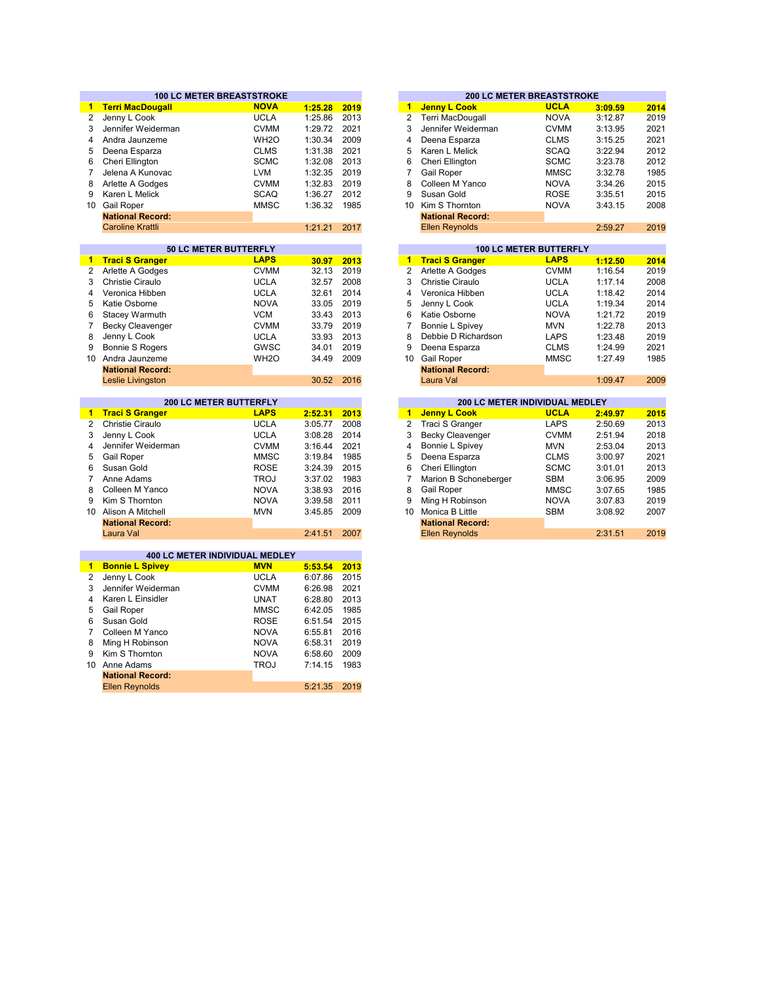|                     | <b>100 LC METER BREASTSTROKE</b>                        |                   |                    |              |                       | <b>200 LC METER BREASTSTROKE</b>                      |                               |                    |              |
|---------------------|---------------------------------------------------------|-------------------|--------------------|--------------|-----------------------|-------------------------------------------------------|-------------------------------|--------------------|--------------|
| $\blacksquare$      | <b>Terri MacDougall</b>                                 | <b>NOVA</b>       | 1:25.28            | 2019         | $\mathbf{1}$          | <b>Jenny L Cook</b>                                   | <b>UCLA</b>                   | 3:09.59            | 2014         |
| $\overline{2}$      | Jenny L Cook                                            | <b>UCLA</b>       | 1:25.86            | 2013         | $\overline{2}$        | Terri MacDougall                                      | <b>NOVA</b>                   | 3:12.87            | 2019         |
| 3                   | Jennifer Weiderman                                      | <b>CVMM</b>       | 1:29.72            | 2021         | 3                     | Jennifer Weiderman                                    | <b>CVMM</b>                   | 3:13.95            | 2021         |
| $\overline{4}$      | Andra Jaunzeme                                          | WH <sub>2</sub> O | 1:30.34            | 2009         | 4                     | Deena Esparza                                         | <b>CLMS</b>                   | 3:15.25            | 2021         |
| 5                   | Deena Esparza                                           | <b>CLMS</b>       | 1:31.38            | 2021         | 5                     | Karen L Melick                                        | <b>SCAQ</b>                   | 3:22.94            | 2012         |
| 6                   | Cheri Ellington                                         | <b>SCMC</b>       | 1:32.08            | 2013         | 6                     | Cheri Ellington                                       | <b>SCMC</b>                   | 3:23.78            | 2012         |
| $\overline{7}$      | Jelena A Kunovac                                        | <b>LVM</b>        | 1:32.35            | 2019         | $\overline{7}$        | Gail Roper                                            | <b>MMSC</b>                   | 3:32.78            | 1985         |
| 8                   | Arlette A Godges                                        | <b>CVMM</b>       | 1:32.83            | 2019         | 8                     | Colleen M Yanco                                       | <b>NOVA</b>                   | 3:34.26            | 2015         |
| 9                   | Karen L Melick                                          | <b>SCAQ</b>       | 1:36.27            | 2012         | 9                     | Susan Gold                                            | <b>ROSE</b>                   | 3:35.51            | 2015         |
|                     | 10 Gail Roper                                           | <b>MMSC</b>       | 1:36.32            | 1985         | 10 <sup>10</sup>      | Kim S Thornton                                        | <b>NOVA</b>                   | 3:43.15            | 2008         |
|                     | <b>National Record:</b>                                 |                   |                    |              |                       | <b>National Record:</b>                               |                               |                    |              |
|                     | <b>Caroline Krattli</b>                                 |                   | 1:21.21            | 2017         |                       | <b>Ellen Reynolds</b>                                 |                               | 2:59.27            | 2019         |
|                     |                                                         |                   |                    |              |                       |                                                       |                               |                    |              |
|                     | 50 LC METER BUTTERFLY                                   |                   |                    |              |                       |                                                       | <b>100 LC METER BUTTERFLY</b> |                    |              |
| $\mathbf{1}$        | <b>Traci S Granger</b>                                  | <b>LAPS</b>       | 30.97              | 2013         | $\mathbf{1}$          | <b>Traci S Granger</b>                                | <b>LAPS</b>                   | 1:12.50            | 2014         |
| $\mathbf{2}$        | Arlette A Godges                                        | <b>CVMM</b>       | 32.13              | 2019         | $\overline{2}$        | Arlette A Godges                                      | <b>CVMM</b>                   | 1:16.54            | 2019         |
| 3                   | <b>Christie Ciraulo</b>                                 | <b>UCLA</b>       | 32.57              | 2008         | 3                     | Christie Ciraulo                                      | <b>UCLA</b>                   | 1:17.14            | 2008         |
| 4                   | Veronica Hibben                                         | <b>UCLA</b>       | 32.61              | 2014         | 4                     | Veronica Hibben                                       | <b>UCLA</b>                   | 1:18.42            | 2014         |
| 5                   | Katie Osborne                                           | <b>NOVA</b>       | 33.05              | 2019         | 5                     | Jenny L Cook                                          | <b>UCLA</b>                   | 1:19.34            | 2014         |
| 6                   | Stacey Warmuth                                          | <b>VCM</b>        | 33.43              | 2013         | 6                     | Katie Osborne                                         | <b>NOVA</b>                   | 1:21.72            | 2019         |
| 7                   | <b>Becky Cleavenger</b>                                 | <b>CVMM</b>       | 33.79              | 2019         | 7                     | Bonnie L Spivey                                       | <b>MVN</b>                    | 1:22.78            | 2013         |
| 8                   | Jenny L Cook                                            | <b>UCLA</b>       | 33.93              | 2013         | 8                     | Debbie D Richardson                                   | LAPS                          | 1:23.48            | 2019         |
| 9                   | <b>Bonnie S Rogers</b>                                  | GWSC              | 34.01              | 2019         | 9                     | Deena Esparza                                         | <b>CLMS</b>                   | 1:24.99            | 2021         |
|                     | 10 Andra Jaunzeme                                       | WH <sub>20</sub>  | 34.49              | 2009         | 10 <sup>°</sup>       | Gail Roper                                            | <b>MMSC</b>                   | 1:27.49            | 1985         |
|                     | <b>National Record:</b>                                 |                   |                    |              |                       | <b>National Record:</b>                               |                               |                    |              |
|                     | Leslie Livingston                                       |                   | 30.52              | 2016         |                       | Laura Val                                             |                               | 1:09.47            | 2009         |
|                     |                                                         |                   |                    |              |                       |                                                       |                               |                    |              |
|                     | <b>200 LC METER BUTTERFLY</b><br><b>Traci S Granger</b> | <b>LAPS</b>       |                    |              | 1 <sup>1</sup>        | 200 LC METER INDIVIDUAL MEDLEY<br><b>Jenny L Cook</b> | <b>UCLA</b>                   |                    |              |
| 1<br>$\overline{2}$ | Christie Ciraulo                                        | <b>UCLA</b>       | 2:52.31<br>3:05.77 | 2013<br>2008 | $\overline{c}$        | Traci S Granger                                       | <b>LAPS</b>                   | 2:49.97<br>2:50.69 | 2015<br>2013 |
| 3                   | Jenny L Cook                                            | <b>UCLA</b>       | 3:08.28            | 2014         | 3                     | <b>Becky Cleavenger</b>                               | <b>CVMM</b>                   | 2:51.94            | 2018         |
| 4                   |                                                         | <b>CVMM</b>       | 3:16.44            | 2021         | 4                     |                                                       | <b>MVN</b>                    |                    |              |
| 5                   | Jennifer Weiderman                                      | <b>MMSC</b>       | 3:19.84            | 1985         | 5                     | Bonnie L Spivey                                       | <b>CLMS</b>                   | 2:53.04<br>3:00.97 | 2013         |
| 6                   | Gail Roper<br>Susan Gold                                | <b>ROSE</b>       | 3:24.39            | 2015         | 6                     | Deena Esparza<br>Cheri Ellington                      | <b>SCMC</b>                   | 3:01.01            | 2021<br>2013 |
| $\overline{7}$      | Anne Adams                                              | <b>TROJ</b>       | 3:37.02            | 1983         | 7                     | Marion B Schoneberger                                 | <b>SBM</b>                    |                    | 2009         |
| 8                   | Colleen M Yanco                                         | <b>NOVA</b>       | 3:38.93            | 2016         | 8                     |                                                       | <b>MMSC</b>                   | 3:06.95            |              |
| 9                   | Kim S Thornton                                          | <b>NOVA</b>       |                    | 2011         |                       | Gail Roper<br>Ming H Robinson                         |                               | 3:07.65            | 1985         |
|                     | 10 Alison A Mitchell                                    | <b>MVN</b>        | 3:39.58<br>3:45.85 | 2009         | 9<br>10 <sup>10</sup> | Monica B Little                                       | <b>NOVA</b><br><b>SBM</b>     | 3:07.83<br>3:08.92 | 2019<br>2007 |
|                     |                                                         |                   |                    |              |                       |                                                       |                               |                    |              |
|                     | <b>National Record:</b><br>Laura Val                    |                   | 2:41.51            | 2007         |                       | <b>National Record:</b><br><b>Ellen Reynolds</b>      |                               | 2:31.51            | 2019         |
|                     |                                                         |                   |                    |              |                       |                                                       |                               |                    |              |
|                     | 400 LC METER INDIVIDUAL MEDLEY                          |                   |                    |              |                       |                                                       |                               |                    |              |
| $\blacksquare$      | <b>Bonnie L Spivey</b>                                  | <b>MVN</b>        | 5:53.54            | 2013         |                       |                                                       |                               |                    |              |
| 2                   | Jenny L Cook                                            | <b>UCLA</b>       | 6:07.86            | 2015         |                       |                                                       |                               |                    |              |
| 3                   | Jennifer Weiderman                                      | <b>CVMM</b>       | 6:26.98            | 2021         |                       |                                                       |                               |                    |              |
| 4                   | Karen L Einsidler                                       | <b>UNAT</b>       | 6:28.80            | 2013         |                       |                                                       |                               |                    |              |
| 5                   | <b>Gail Roper</b>                                       | <b>MMSC</b>       | 6:42.05            | 1985         |                       |                                                       |                               |                    |              |
| 6                   | Susan Gold                                              | <b>ROSE</b>       | 6:51.54            | 2015         |                       |                                                       |                               |                    |              |
| $\overline{7}$      | Colleen M Yanco                                         | <b>NOVA</b>       | 6:55.81            | 2016         |                       |                                                       |                               |                    |              |
| 8                   | Ming H Robinson                                         | <b>NOVA</b>       | 6:58.31            | 2019         |                       |                                                       |                               |                    |              |
| 9                   | Kim S Thornton                                          | <b>NOVA</b>       | 6:58.60            | 2009         |                       |                                                       |                               |                    |              |
| 10                  | Anne Adams                                              | <b>TROJ</b>       | 7:14.15            | 1983         |                       |                                                       |                               |                    |              |
|                     | <b>National Record:</b>                                 |                   |                    |              |                       |                                                       |                               |                    |              |
|                     |                                                         |                   |                    |              |                       |                                                       |                               |                    |              |
|                     | <b>Ellen Reynolds</b>                                   |                   | 5:21.35            | 2019         |                       |                                                       |                               |                    |              |

|         |      |    |                         |                               | <b>200 LC METER BREASTSTROKE</b> |      |  |  |  |
|---------|------|----|-------------------------|-------------------------------|----------------------------------|------|--|--|--|
| 1:25.28 | 2019 | 1  | <b>Jenny L Cook</b>     | <b>UCLA</b>                   | 3:09.59                          | 2014 |  |  |  |
| 1:25.86 | 2013 | 2  | <b>Terri MacDougall</b> | <b>NOVA</b>                   | 3:12.87                          | 2019 |  |  |  |
| 1:29.72 | 2021 | 3  | Jennifer Weiderman      | <b>CVMM</b>                   | 3:13.95                          | 2021 |  |  |  |
| 1:30.34 | 2009 | 4  | Deena Esparza           | <b>CLMS</b>                   | 3:15.25                          | 2021 |  |  |  |
| 1:31.38 | 2021 | 5  | Karen L Melick          | <b>SCAQ</b>                   | 3:22.94                          | 2012 |  |  |  |
| 1:32.08 | 2013 | 6  | Cheri Ellington         | <b>SCMC</b>                   | 3:23.78                          | 2012 |  |  |  |
| 1:32.35 | 2019 | 7  | Gail Roper              | 3:32.78                       | 1985                             |      |  |  |  |
| 1:32.83 | 2019 | 8  | Colleen M Yanco         | <b>NOVA</b>                   | 3:34.26                          | 2015 |  |  |  |
| 1:36.27 | 2012 | 9  | Susan Gold              | <b>ROSE</b>                   | 3:35.51                          | 2015 |  |  |  |
| 1:36.32 | 1985 | 10 | Kim S Thornton          | <b>NOVA</b>                   | 3:43.15                          | 2008 |  |  |  |
|         |      |    | <b>National Record:</b> |                               |                                  |      |  |  |  |
| 1:21.21 | 2017 |    | <b>Ellen Reynolds</b>   |                               | 2:59.27                          | 2019 |  |  |  |
|         |      |    |                         |                               |                                  |      |  |  |  |
|         |      |    |                         | <b>100 LC METER BUTTERFLY</b> |                                  |      |  |  |  |
| 30.97   | 2013 | 1  | <b>Traci S Granger</b>  | <b>LAPS</b>                   | 1:12.50                          | 2014 |  |  |  |
| 32.13   | 2019 | 2  | Arlette A Godges        | <b>CVMM</b>                   | 1:16.54                          | 2019 |  |  |  |
| 32.57   | 2008 | 3  | Christie Ciraulo        | <b>UCLA</b>                   | 1:17.14                          | 2008 |  |  |  |
| 32.61   | 2014 | 4  | Veronica Hibben         | <b>UCLA</b>                   | 1:18.42                          | 2014 |  |  |  |
| 33.05   | 2019 | 5  | Jenny L Cook            | <b>UCLA</b>                   | 1:19.34                          | 2014 |  |  |  |
| 33.43   | 2013 | 6  | Katie Osborne           | <b>NOVA</b>                   | 1:21.72                          | 2019 |  |  |  |
| 33.79   | 2019 |    | Bonnie L Spivev         | <b>MVN</b>                    | 1:22.78                          | 2013 |  |  |  |

| 30.52   | 2016 |    | Laura Val                             |             | 1:09.47 |
|---------|------|----|---------------------------------------|-------------|---------|
|         |      |    |                                       |             |         |
|         |      |    | <b>200 LC METER INDIVIDUAL MEDLEY</b> |             |         |
| 2:52.31 | 2013 | 1  | <b>Jenny L Cook</b>                   | <b>UCLA</b> | 2:49.97 |
| 3:05.77 | 2008 | 2  | Traci S Granger                       | <b>LAPS</b> | 2:50.69 |
| 3:08.28 | 2014 | 3  | <b>Becky Cleavenger</b>               | <b>CVMM</b> | 2:51.94 |
| 3:16.44 | 2021 | 4  | Bonnie L Spivey                       | <b>MVN</b>  | 2:53.04 |
| 3:19.84 | 1985 | 5  | Deena Esparza                         | <b>CLMS</b> | 3:00.97 |
| 3:24.39 | 2015 | 6  | Cheri Ellington                       | <b>SCMC</b> | 3:01.01 |
| 3:37.02 | 1983 |    | Marion B Schoneberger                 | <b>SBM</b>  | 3:06.95 |
| 3:38.93 | 2016 | 8  | <b>Gail Roper</b>                     | <b>MMSC</b> | 3:07.65 |
| 3:39.58 | 2011 | 9  | Ming H Robinson                       | <b>NOVA</b> | 3:07.83 |
| 3:45.85 | 2009 | 10 | Monica B Little                       | <b>SBM</b>  | 3:08.92 |
|         |      |    | <b>National Record:</b>               |             |         |
| 2:41.51 | 2007 |    | <b>Ellen Reynolds</b>                 |             | 2:31.51 |
|         |      |    |                                       |             |         |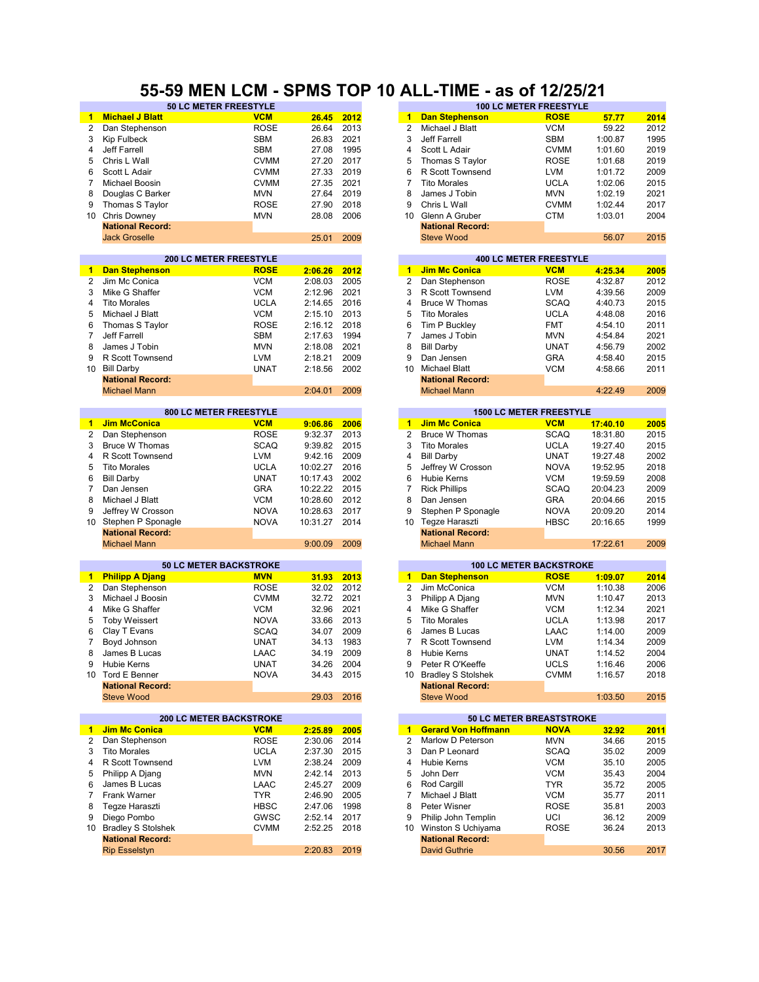#### **55-59 MEN LCM - SPMS TOP 10 ALL-TIME - as of 12/25/21**

|                      | <b>50 LC METER FREESTYLE</b>   |             |          |      |                      |                            | <b>100 LC METER FREESTYLE</b>  |          |      |
|----------------------|--------------------------------|-------------|----------|------|----------------------|----------------------------|--------------------------------|----------|------|
| 1.                   | <b>Michael J Blatt</b>         | <b>VCM</b>  | 26.45    | 2012 | $\blacktriangleleft$ | <b>Dan Stephenson</b>      | <b>ROSE</b>                    | 57.77    | 2014 |
| $\overline{2}$       | Dan Stephenson                 | <b>ROSE</b> | 26.64    | 2013 | $\overline{2}$       | Michael J Blatt            | <b>VCM</b>                     | 59.22    | 2012 |
| 3                    | Kip Fulbeck                    | <b>SBM</b>  | 26.83    | 2021 | 3                    | Jeff Farrell               | <b>SBM</b>                     | 1:00.87  | 1995 |
| 4                    | Jeff Farrell                   | <b>SBM</b>  | 27.08    | 1995 | 4                    | Scott L Adair              | <b>CVMM</b>                    | 1:01.60  | 2019 |
| 5                    | Chris L Wall                   | <b>CVMM</b> | 27.20    | 2017 | 5                    | Thomas S Taylor            | <b>ROSE</b>                    | 1:01.68  | 2019 |
| 6                    | Scott L Adair                  | <b>CVMM</b> | 27.33    | 2019 | 6                    | R Scott Townsend           | <b>LVM</b>                     | 1:01.72  | 2009 |
| 7                    | Michael Boosin                 | <b>CVMM</b> | 27.35    | 2021 | 7                    | <b>Tito Morales</b>        | <b>UCLA</b>                    | 1:02.06  | 2015 |
| 8                    | Douglas C Barker               | <b>MVN</b>  | 27.64    | 2019 | 8                    | James J Tobin              | <b>MVN</b>                     | 1:02.19  | 2021 |
| 9                    | Thomas S Taylor                | <b>ROSE</b> | 27.90    | 2018 | 9                    | Chris L Wall               | <b>CVMM</b>                    | 1:02.44  | 2017 |
| 10                   | <b>Chris Downey</b>            | <b>MVN</b>  | 28.08    | 2006 | 10                   | Glenn A Gruber             | <b>CTM</b>                     | 1:03.01  | 2004 |
|                      | <b>National Record:</b>        |             |          |      |                      | <b>National Record:</b>    |                                |          |      |
|                      | <b>Jack Groselle</b>           |             | 25.01    | 2009 |                      | <b>Steve Wood</b>          |                                | 56.07    | 2015 |
|                      |                                |             |          |      |                      |                            |                                |          |      |
|                      | <b>200 LC METER FREESTYLE</b>  |             |          |      |                      |                            | <b>400 LC METER FREESTYLE</b>  |          |      |
| $\blacktriangleleft$ | <b>Dan Stephenson</b>          | <b>ROSE</b> | 2:06.26  | 2012 | $\blacktriangleleft$ | <b>Jim Mc Conica</b>       | <b>VCM</b>                     | 4:25.34  | 2005 |
| $\overline{2}$       | Jim Mc Conica                  | <b>VCM</b>  | 2:08.03  | 2005 | 2                    | Dan Stephenson             | <b>ROSE</b>                    | 4:32.87  | 2012 |
| 3                    | Mike G Shaffer                 | <b>VCM</b>  | 2:12.96  | 2021 | 3                    | R Scott Townsend           | <b>LVM</b>                     | 4:39.56  | 2009 |
| 4                    | <b>Tito Morales</b>            | <b>UCLA</b> | 2:14.65  | 2016 | 4                    | <b>Bruce W Thomas</b>      | <b>SCAQ</b>                    | 4:40.73  | 2015 |
| 5                    |                                |             |          | 2013 | 5                    |                            |                                |          |      |
|                      | Michael J Blatt                | <b>VCM</b>  | 2:15.10  |      |                      | <b>Tito Morales</b>        | <b>UCLA</b>                    | 4:48.08  | 2016 |
| 6                    | Thomas S Taylor                | <b>ROSE</b> | 2:16.12  | 2018 | 6                    | Tim P Buckley              | <b>FMT</b>                     | 4:54.10  | 2011 |
| $\overline{7}$       | Jeff Farrell                   | <b>SBM</b>  | 2:17.63  | 1994 | 7                    | James J Tobin              | <b>MVN</b>                     | 4:54.84  | 2021 |
| 8                    | James J Tobin                  | <b>MVN</b>  | 2:18.08  | 2021 | 8                    | <b>Bill Darby</b>          | <b>UNAT</b>                    | 4:56.79  | 2002 |
| 9                    | R Scott Townsend               | <b>LVM</b>  | 2:18.21  | 2009 | 9                    | Dan Jensen                 | <b>GRA</b>                     | 4:58.40  | 2015 |
| 10                   | <b>Bill Darby</b>              | <b>UNAT</b> | 2:18.56  | 2002 | 10                   | <b>Michael Blatt</b>       | <b>VCM</b>                     | 4:58.66  | 2011 |
|                      | <b>National Record:</b>        |             |          |      |                      | <b>National Record:</b>    |                                |          |      |
|                      | <b>Michael Mann</b>            |             | 2:04.01  | 2009 |                      | <b>Michael Mann</b>        |                                | 4:22.49  | 2009 |
|                      |                                |             |          |      |                      |                            |                                |          |      |
|                      | 800 LC METER FREESTYLE         |             |          |      |                      |                            | <b>1500 LC METER FREESTYLE</b> |          |      |
| $\blacktriangleleft$ | <b>Jim McConica</b>            | <b>VCM</b>  | 9:06.86  | 2006 | $\blacksquare$       | <b>Jim Mc Conica</b>       | <b>VCM</b>                     | 17:40.10 | 2005 |
| $\overline{2}$       | Dan Stephenson                 | <b>ROSE</b> | 9:32.37  | 2013 | $\overline{2}$       | <b>Bruce W Thomas</b>      | <b>SCAQ</b>                    | 18:31.80 | 2015 |
| 3                    | <b>Bruce W Thomas</b>          | <b>SCAQ</b> | 9:39.82  | 2015 | 3                    | <b>Tito Morales</b>        | <b>UCLA</b>                    | 19:27.40 | 2015 |
| 4                    | R Scott Townsend               | <b>LVM</b>  | 9:42.16  | 2009 | 4                    | <b>Bill Darby</b>          | <b>UNAT</b>                    | 19:27.48 | 2002 |
| 5                    | <b>Tito Morales</b>            | <b>UCLA</b> | 10:02.27 | 2016 | 5                    | Jeffrey W Crosson          | <b>NOVA</b>                    | 19:52.95 | 2018 |
| 6                    | <b>Bill Darby</b>              | <b>UNAT</b> | 10:17.43 | 2002 | 6                    | <b>Hubie Kerns</b>         | <b>VCM</b>                     | 19:59.59 | 2008 |
| 7                    | Dan Jensen                     | <b>GRA</b>  | 10:22.22 | 2015 | $\overline{7}$       | <b>Rick Phillips</b>       | <b>SCAQ</b>                    | 20:04.23 | 2009 |
| 8                    | Michael J Blatt                | <b>VCM</b>  | 10:28.60 | 2012 | 8                    | Dan Jensen                 | <b>GRA</b>                     | 20:04.66 | 2015 |
| 9                    | Jeffrey W Crosson              | <b>NOVA</b> | 10:28.63 | 2017 | 9                    | Stephen P Sponagle         | <b>NOVA</b>                    | 20:09.20 | 2014 |
| 10                   | Stephen P Sponagle             | <b>NOVA</b> | 10:31.27 | 2014 | 10                   | Tegze Haraszti             | <b>HBSC</b>                    | 20:16.65 | 1999 |
|                      | <b>National Record:</b>        |             |          |      |                      | <b>National Record:</b>    |                                |          |      |
|                      | <b>Michael Mann</b>            |             | 9:00.09  | 2009 |                      | <b>Michael Mann</b>        |                                | 17:22.61 | 2009 |
|                      |                                |             |          |      |                      |                            |                                |          |      |
|                      | <b>50 LC METER BACKSTROKE</b>  |             |          |      |                      |                            | <b>100 LC METER BACKSTROKE</b> |          |      |
| $\mathbf{1}$         | <b>Philipp A Djang</b>         | <b>MVN</b>  | 31.93    | 2013 | $\mathbf{1}$         | <b>Dan Stephenson</b>      | <b>ROSE</b>                    | 1:09.07  | 2014 |
| $\overline{2}$       | Dan Stephenson                 | <b>ROSE</b> | 32.02    | 2012 | $\overline{2}$       | Jim McConica               | <b>VCM</b>                     | 1:10.38  | 2006 |
| 3                    | Michael J Boosin               | <b>CVMM</b> | 32.72    | 2021 | 3                    | Philipp A Djang            | <b>MVN</b>                     | 1:10.47  | 2013 |
| 4                    | Mike G Shaffer                 | <b>VCM</b>  | 32.96    | 2021 | 4                    | Mike G Shaffer             | <b>VCM</b>                     | 1:12.34  | 2021 |
| 5                    | <b>Toby Weissert</b>           | <b>NOVA</b> | 33.66    | 2013 | 5                    | <b>Tito Morales</b>        | <b>UCLA</b>                    | 1:13.98  | 2017 |
| 6                    | Clay T Evans                   | <b>SCAQ</b> | 34.07    | 2009 | 6                    | James B Lucas              | LAAC                           | 1:14.00  | 2009 |
| 7                    | Boyd Johnson                   | <b>UNAT</b> | 34.13    | 1983 | 7                    | R Scott Townsend           | <b>LVM</b>                     | 1:14.34  | 2009 |
| 8                    | James B Lucas                  | LAAC        | 34.19    | 2009 | 8                    | Hubie Kerns                | <b>UNAT</b>                    | 1:14.52  | 2004 |
| 9                    | Hubie Kerns                    | <b>UNAT</b> | 34.26    | 2004 | 9                    | Peter R O'Keeffe           | UCLS                           | 1:16.46  | 2006 |
|                      | 10 Tord E Benner               | <b>NOVA</b> | 34.43    | 2015 | 10                   | <b>Bradley S Stolshek</b>  | <b>CVMM</b>                    | 1:16.57  | 2018 |
|                      | <b>National Record:</b>        |             |          |      |                      | <b>National Record:</b>    |                                |          |      |
|                      | <b>Steve Wood</b>              |             | 29.03    | 2016 |                      | <b>Steve Wood</b>          |                                | 1:03.50  | 2015 |
|                      |                                |             |          |      |                      |                            |                                |          |      |
|                      | <b>200 LC METER BACKSTROKE</b> |             |          |      |                      |                            | 50 LC METER BREASTSTROKE       |          |      |
| 1.                   | <b>Jim Mc Conica</b>           | <b>VCM</b>  | 2:25.89  | 2005 | 1                    | <b>Gerard Von Hoffmann</b> | <b>NOVA</b>                    | 32.92    | 2011 |
| 2                    | Dan Stephenson                 | <b>ROSE</b> | 2:30.06  | 2014 | 2                    | Marlow D Peterson          | <b>MVN</b>                     | 34.66    | 2015 |
| 3                    | <b>Tito Morales</b>            | <b>UCLA</b> | 2:37.30  | 2015 | 3                    | Dan P Leonard              | <b>SCAQ</b>                    | 35.02    | 2009 |
| 4                    | R Scott Townsend               | LVM         | 2:38.24  | 2009 | 4                    | <b>Hubie Kerns</b>         | VCM                            | 35.10    | 2005 |
| 5                    | Philipp A Djang                | <b>MVN</b>  | 2:42.14  | 2013 | 5                    | John Derr                  | <b>VCM</b>                     | 35.43    | 2004 |
| 6                    | James B Lucas                  | LAAC        | 2:45.27  | 2009 | 6                    | Rod Cargill                | <b>TYR</b>                     | 35.72    | 2005 |
| 7                    | Frank Warner                   | <b>TYR</b>  | 2:46.90  | 2005 | 7                    | Michael J Blatt            | <b>VCM</b>                     | 35.77    | 2011 |
| 8                    | Tegze Haraszti                 | <b>HBSC</b> | 2:47.06  | 1998 | 8                    | Peter Wisner               | <b>ROSE</b>                    | 35.81    | 2003 |
| 9                    | Diego Pombo                    | <b>GWSC</b> |          |      | 9                    |                            |                                |          |      |
|                      |                                |             | 2:52.14  | 2017 |                      | Philip John Templin        | UCI                            | 36.12    | 2009 |
|                      | 10 Bradley S Stolshek          | <b>CVMM</b> | 2:52.25  | 2018 | 10                   | Winston S Uchiyama         | ROSE                           | 36.24    | 2013 |
|                      | <b>National Record:</b>        |             |          |      |                      | <b>National Record:</b>    |                                |          |      |
|                      | <b>Rip Esselstyn</b>           |             | 2:20.83  | 2019 |                      | <b>David Guthrie</b>       |                                | 30.56    | 2017 |

| 20.04   | ں رے         | ے               | <b>IVIIUI IACI J DIAIL</b>                      | v v ivi                        | <b>JJ.ZZ</b> |
|---------|--------------|-----------------|-------------------------------------------------|--------------------------------|--------------|
| 26.83   | 2021         | 3               | Jeff Farrell                                    | <b>SBM</b>                     | 1:00.87      |
| 27.08   | 1995         | 4               | Scott L Adair                                   | <b>CVMM</b>                    | 1:01.60      |
|         |              |                 |                                                 |                                |              |
| 27.20   | 2017         | 5               | Thomas S Taylor                                 | <b>ROSE</b>                    | 1:01.68      |
| 27.33   | 2019         | 6               | R Scott Townsend                                | <b>LVM</b>                     | 1:01.72      |
| 27.35   | 2021         | 7               | <b>Tito Morales</b>                             | <b>UCLA</b>                    | 1:02.06      |
| 27.64   | 2019         | 8               | James J Tobin                                   | <b>MVN</b>                     | 1:02.19      |
| 27.90   | 2018         | 9               | Chris L Wall                                    | <b>CVMM</b>                    | 1:02.44      |
|         |              |                 |                                                 |                                |              |
| 28.08   | 2006         | 10 <sup>°</sup> | Glenn A Gruber                                  | <b>CTM</b>                     | 1:03.01      |
|         |              |                 | <b>National Record:</b>                         |                                |              |
| 25.01   | 2009         |                 | <b>Steve Wood</b>                               |                                | 56.07        |
|         |              |                 |                                                 |                                |              |
|         |              |                 |                                                 | <b>400 LC METER FREESTYLE</b>  |              |
| 2:06.26 | 2012         | $\mathbf{1}$    | <b>Jim Mc Conica</b>                            | <b>VCM</b>                     | 4:25.34      |
| 2:08.03 | 2005         | 2               | Dan Stephenson                                  | <b>ROSE</b>                    | 4:32.87      |
| 2:12.96 | 2021         | 3               | R Scott Townsend                                | <b>LVM</b>                     | 4:39.56      |
| 2:14.65 | 2016         | 4               | <b>Bruce W Thomas</b>                           | SCAQ                           | 4:40.73      |
| 2:15.10 | 2013         | 5               | <b>Tito Morales</b>                             | UCLA                           | 4:48.08      |
| 2:16.12 | 2018         | 6               | Tim P Buckley                                   | <b>FMT</b>                     | 4:54.10      |
| 2:17.63 |              | 7               |                                                 | <b>MVN</b>                     |              |
|         | 1994         |                 | James J Tobin                                   |                                | 4:54.84      |
| 2:18.08 | 2021         | 8               | <b>Bill Darby</b>                               | <b>UNAT</b>                    | 4:56.79      |
| 2:18.21 | 2009         | 9               | Dan Jensen                                      | <b>GRA</b>                     | 4:58.40      |
| 2:18.56 | 2002         | 10              | <b>Michael Blatt</b>                            | VCM                            | 4:58.66      |
|         |              |                 | <b>National Record:</b>                         |                                |              |
| 2:04.01 | 2009         |                 | <b>Michael Mann</b>                             |                                | 4:22.49      |
|         |              |                 |                                                 |                                |              |
|         |              |                 |                                                 | <b>1500 LC METER FREESTYLE</b> |              |
| 9:06.86 | 2006         | 1               | <b>Jim Mc Conica</b>                            | <b>VCM</b>                     | 17:40.10     |
| 9:32.37 | 2013         | 2               | <b>Bruce W Thomas</b>                           | <b>SCAQ</b>                    | 18:31.80     |
| 9:39.82 | 2015         | 3               | <b>Tito Morales</b>                             | <b>UCLA</b>                    | 19:27.40     |
| 9:42.16 | 2009         | 4               | <b>Bill Darby</b>                               | UNAT                           | 19:27.48     |
| 0:02.27 | 2016         | 5               | Jeffrey W Crosson                               | <b>NOVA</b>                    | 19:52.95     |
| 0:17.43 | 2002         | 6               | Hubie Kerns                                     | <b>VCM</b>                     | 19:59.59     |
| 0:22.22 | 2015         | 7               | <b>Rick Phillips</b>                            | SCAQ                           | 20:04.23     |
|         |              |                 |                                                 |                                |              |
| 0:28.60 | 2012         | 8               | Dan Jensen                                      | GRA                            | 20:04.66     |
| 0:28.63 | 2017         | 9               | Stephen P Sponagle                              | <b>NOVA</b>                    | 20:09.20     |
| 0:31.27 | 2014         | 10              | Tegze Haraszti                                  | <b>HBSC</b>                    | 20:16.65     |
|         |              |                 | <b>National Record:</b>                         |                                |              |
| 9:00.09 | 2009         |                 | <b>Michael Mann</b>                             |                                | 17:22.61     |
|         |              |                 |                                                 | <b>100 LC METER BACKSTROKE</b> |              |
| 31.93   | 2013         | $\mathbf{1}$    | <b>Dan Stephenson</b>                           | <b>ROSE</b>                    | 1:09.07      |
|         |              |                 |                                                 |                                |              |
| 32.02   | 2012         | 2               | Jim McConica                                    | <b>VCM</b>                     | 1:10.38      |
| 32.72   | 2021         | 3               | Philipp A Djang                                 | <b>MVN</b>                     | 1:10.47      |
| 32.96   | 2021         | 4               | Mike G Shaffer                                  | <b>VCM</b>                     | 1:12.34      |
| 33.66   | 2013         | 5               | <b>Tito Morales</b>                             | <b>UCLA</b>                    | 1:13.98      |
| 34.07   | 2009         | 6               | James B Lucas                                   | LAAC                           | 1:14.00      |
| 34.13   | 1983         | 7               | R Scott Townsend                                | LVM                            | 1:14.34      |
|         |              | 8               | <b>Hubie Kerns</b>                              |                                |              |
| 34.19   | 2009         |                 |                                                 | <b>UNAT</b>                    | 1:14.52      |
| 34.26   | 2004         | 9               | Peter R O'Keeffe                                | UCLS                           | 1:16.46      |
| 34.43   | 2015         | 10              | <b>Bradley S Stolshek</b>                       | <b>CVMM</b>                    | 1:16.57      |
|         |              |                 | <b>National Record:</b>                         |                                |              |
| 29.03   | 2016         |                 | <b>Steve Wood</b>                               |                                | 1:03.50      |
|         |              |                 |                                                 |                                |              |
|         |              |                 |                                                 | 50 LC METER BREASTSTROKE       |              |
| 2:25.89 | 2005<br>2014 | 1<br>2          | <b>Gerard Von Hoffmann</b><br>Marlow D Peterson | <b>NOVA</b><br>MVN             | 32.92        |
| 2:30.06 |              |                 |                                                 |                                | 34.66        |
| 2:37.30 | 2015         | 3               | Dan P Leonard                                   | SCAQ                           | 35.02        |
| 2:38.24 | 2009         | 4               | <b>Hubie Kerns</b>                              | VCM                            | 35.10        |
| 2:42.14 | 2013         | 5               | John Derr                                       | VCM                            | 35.43        |
| 2:45.27 | 2009         | 6               | Rod Cargill                                     | TYR                            | 35.72        |
| 2:46.90 | 2005         | 7               | Michael J Blatt                                 | VCM                            | 35.77        |
|         | 1998         |                 | Peter Wisner                                    | ROSE                           |              |
| 2:47.06 |              | 8               |                                                 |                                | 35.81        |
| 2:52.14 | 2017         | 9               | Philip John Templin                             | UCI                            | 36.12        |
| 2:52.25 | 2018         |                 | 10 Winston S Uchiyama                           | <b>ROSE</b>                    | 36.24        |
|         |              |                 | <b>National Record:</b>                         |                                |              |
| 2:20.83 | 2019         |                 | <b>David Guthrie</b>                            |                                | 30.56        |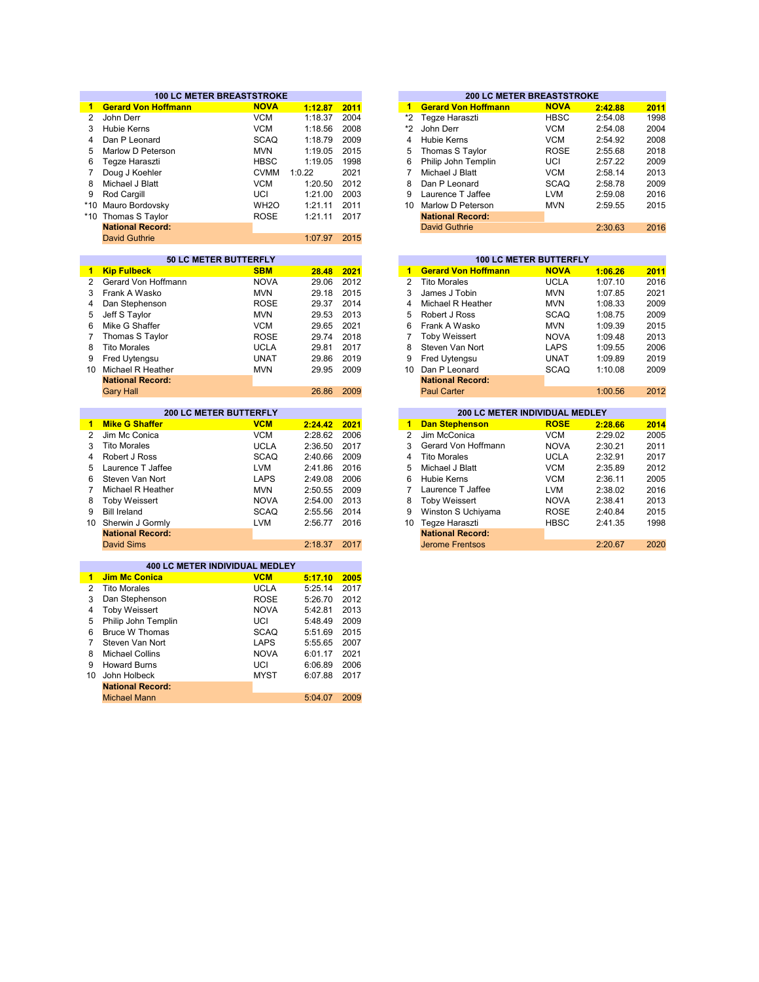|                 | <b>100 LC METER BREASTSTROKE</b> |                  |              | <b>200 LC METER BREASTSTROKE</b> |                |                                |                               |         |      |
|-----------------|----------------------------------|------------------|--------------|----------------------------------|----------------|--------------------------------|-------------------------------|---------|------|
| 1.              | <b>Gerard Von Hoffmann</b>       | <b>NOVA</b>      | 1:12.87      | 2011                             | $\mathbf{1}$   | <b>Gerard Von Hoffmann</b>     | <b>NOVA</b>                   | 2:42.88 | 2011 |
| $\overline{2}$  | John Derr                        | <b>VCM</b>       | 1:18.37      | 2004                             | *2             | Tegze Haraszti                 | <b>HBSC</b>                   | 2:54.08 | 1998 |
| 3               | <b>Hubie Kerns</b>               | <b>VCM</b>       | 1:18.56      | 2008                             | *2             | John Derr                      | <b>VCM</b>                    | 2:54.08 | 2004 |
| 4               | Dan P Leonard                    | <b>SCAQ</b>      | 1:18.79      | 2009                             | 4              | <b>Hubie Kerns</b>             | <b>VCM</b>                    | 2:54.92 | 2008 |
| 5               | Marlow D Peterson                | <b>MVN</b>       | 1:19.05      | 2015                             | 5              | Thomas S Taylor                | <b>ROSE</b>                   | 2:55.68 | 2018 |
| 6               | Tegze Haraszti                   | <b>HBSC</b>      | 1:19.05      | 1998                             | 6              | Philip John Templin            | UCI                           | 2:57.22 | 2009 |
| 7               |                                  | <b>CVMM</b>      | 1:0.22       | 2021                             | 7              | Michael J Blatt                | <b>VCM</b>                    |         |      |
|                 | Doug J Koehler                   |                  |              |                                  |                |                                |                               | 2:58.14 | 2013 |
| 8               | Michael J Blatt                  | <b>VCM</b>       | 1:20.50      | 2012                             | 8              | Dan P Leonard                  | <b>SCAQ</b>                   | 2:58.78 | 2009 |
| 9               | Rod Cargill                      | UCI              | 1:21.00      | 2003                             | 9              | Laurence T Jaffee              | <b>LVM</b>                    | 2:59.08 | 2016 |
| $*10$           | Mauro Bordovsky                  | WH <sub>20</sub> | 1:21.11      | 2011                             | 10             | Marlow D Peterson              | <b>MVN</b>                    | 2:59.55 | 2015 |
| $*10$           | Thomas S Taylor                  | <b>ROSE</b>      | 1:21.11      | 2017                             |                | <b>National Record:</b>        |                               |         |      |
|                 | <b>National Record:</b>          |                  |              |                                  |                | <b>David Guthrie</b>           |                               | 2:30.63 | 2016 |
|                 | <b>David Guthrie</b>             |                  | 1:07.97      | 2015                             |                |                                |                               |         |      |
|                 |                                  |                  |              |                                  |                |                                |                               |         |      |
|                 | 50 LC METER BUTTERFLY            |                  |              |                                  |                |                                | <b>100 LC METER BUTTERFLY</b> |         |      |
| $\blacksquare$  | <b>Kip Fulbeck</b>               | <b>SBM</b>       | 28.48        | 2021                             | $\mathbf{1}$   | <b>Gerard Von Hoffmann</b>     | <b>NOVA</b>                   | 1:06.26 | 2011 |
| $\overline{2}$  | Gerard Von Hoffmann              | <b>NOVA</b>      | 29.06        | 2012                             | $\overline{2}$ | <b>Tito Morales</b>            | <b>UCLA</b>                   | 1:07.10 | 2016 |
| 3               | Frank A Wasko                    | <b>MVN</b>       | 29.18        | 2015                             | 3              | James J Tobin                  | <b>MVN</b>                    | 1:07.85 | 2021 |
| 4               | Dan Stephenson                   | <b>ROSE</b>      | 29.37        | 2014                             | 4              | Michael R Heather              | <b>MVN</b>                    | 1:08.33 | 2009 |
| 5               | Jeff S Taylor                    | <b>MVN</b>       | 29.53        | 2013                             | 5              | Robert J Ross                  | <b>SCAQ</b>                   | 1:08.75 | 2009 |
| 6               | Mike G Shaffer                   | <b>VCM</b>       | 29.65        | 2021                             | 6              | Frank A Wasko                  | <b>MVN</b>                    | 1:09.39 | 2015 |
| $\overline{7}$  | Thomas S Taylor                  | <b>ROSE</b>      | 29.74        | 2018                             | $\overline{7}$ | <b>Toby Weissert</b>           | <b>NOVA</b>                   | 1:09.48 | 2013 |
| 8               | <b>Tito Morales</b>              | <b>UCLA</b>      | 29.81        | 2017                             | 8              | Steven Van Nort                | LAPS                          | 1:09.55 | 2006 |
| 9               |                                  | <b>UNAT</b>      | 29.86        | 2019                             | 9              | Fred Uytengsu                  | <b>UNAT</b>                   | 1:09.89 | 2019 |
| 10              | Fred Uytengsu                    | <b>MVN</b>       | 29.95        | 2009                             | 10             | Dan P Leonard                  | <b>SCAQ</b>                   |         | 2009 |
|                 | Michael R Heather                |                  |              |                                  |                |                                |                               | 1:10.08 |      |
|                 | <b>National Record:</b>          |                  |              |                                  |                | <b>National Record:</b>        |                               |         |      |
|                 | <b>Gary Hall</b>                 |                  | 26.86        | 2009                             |                | <b>Paul Carter</b>             |                               | 1:00.56 | 2012 |
|                 |                                  |                  |              |                                  |                |                                |                               |         |      |
|                 | <b>200 LC METER BUTTERFLY</b>    |                  |              |                                  |                | 200 LC METER INDIVIDUAL MEDLEY |                               |         |      |
| 1               | <b>Mike G Shaffer</b>            | <b>VCM</b>       | 2:24.42      | 2021                             | $\blacksquare$ | <b>Dan Stephenson</b>          | <b>ROSE</b>                   | 2:28.66 | 2014 |
| $\overline{2}$  | Jim Mc Conica                    | <b>VCM</b>       | 2:28.62      | 2006                             | $\overline{2}$ | Jim McConica                   | <b>VCM</b>                    | 2:29.02 | 2005 |
| 3               | <b>Tito Morales</b>              | <b>UCLA</b>      | 2:36.50      | 2017                             | 3              | Gerard Von Hoffmann            | <b>NOVA</b>                   | 2:30.21 | 2011 |
| 4               | Robert J Ross                    | <b>SCAQ</b>      | 2:40.66      | 2009                             | 4              | <b>Tito Morales</b>            | <b>UCLA</b>                   | 2:32.91 | 2017 |
| 5               | Laurence T Jaffee                | <b>LVM</b>       | 2:41.86      | 2016                             | 5              | Michael J Blatt                | <b>VCM</b>                    | 2:35.89 | 2012 |
| 6               | Steven Van Nort                  | <b>LAPS</b>      | 2:49.08      | 2006                             | 6              | Hubie Kerns                    | <b>VCM</b>                    | 2:36.11 | 2005 |
| 7               | Michael R Heather                | <b>MVN</b>       | 2:50.55      | 2009                             | 7              | Laurence T Jaffee              | <b>LVM</b>                    | 2:38.02 | 2016 |
| 8               | <b>Toby Weissert</b>             | <b>NOVA</b>      | 2:54.00      | 2013                             | 8              | <b>Toby Weissert</b>           | <b>NOVA</b>                   | 2:38.41 | 2013 |
| 9               | <b>Bill Ireland</b>              | <b>SCAQ</b>      | 2:55.56      | 2014                             | 9              | Winston S Uchiyama             | <b>ROSE</b>                   | 2:40.84 | 2015 |
| 10 <sup>°</sup> | Sherwin J Gormly                 | <b>LVM</b>       | 2:56.77      | 2016                             | 10             | Tegze Haraszti                 | <b>HBSC</b>                   | 2:41.35 | 1998 |
|                 | <b>National Record:</b>          |                  |              |                                  |                | <b>National Record:</b>        |                               |         |      |
|                 | <b>David Sims</b>                |                  | 2:18.37      | 2017                             |                | <b>Jerome Frentsos</b>         |                               | 2:20.67 | 2020 |
|                 |                                  |                  |              |                                  |                |                                |                               |         |      |
|                 | 400 LC METER INDIVIDUAL MEDLEY   |                  |              |                                  |                |                                |                               |         |      |
| $\mathbf{1}$    | <b>Jim Mc Conica</b>             | <b>VCM</b>       | 5:17.10 2005 |                                  |                |                                |                               |         |      |
| 2               | <b>Tito Morales</b>              | <b>UCLA</b>      | 5:25.14      | 2017                             |                |                                |                               |         |      |
| 3               | Dan Stephenson                   | <b>ROSE</b>      | 5:26.70      | 2012                             |                |                                |                               |         |      |
| 4               | <b>Toby Weissert</b>             | <b>NOVA</b>      | 5:42.81      | 2013                             |                |                                |                               |         |      |
| 5               | Philip John Templin              | UCI              | 5:48.49      | 2009                             |                |                                |                               |         |      |
| 6               | <b>Bruce W Thomas</b>            | <b>SCAQ</b>      | 5:51.69      | 2015                             |                |                                |                               |         |      |
| $\overline{7}$  | Steven Van Nort                  | <b>LAPS</b>      |              | 2007                             |                |                                |                               |         |      |
|                 |                                  |                  | 5:55.65      |                                  |                |                                |                               |         |      |
| 8               | <b>Michael Collins</b>           | <b>NOVA</b>      | 6:01.17      | 2021                             |                |                                |                               |         |      |
| 9               | <b>Howard Burns</b>              | UCI              | 6:06.89      | 2006                             |                |                                |                               |         |      |
| 10              | John Holbeck                     | <b>MYST</b>      | 6:07.88      | 2017                             |                |                                |                               |         |      |
|                 | <b>National Record:</b>          |                  |              |                                  |                |                                |                               |         |      |
|                 | <b>Michael Mann</b>              |                  | 5:04.07      | 2009                             |                |                                |                               |         |      |

|    | <b>200 LC METER BREASTSTROKE</b> |             |         |      |  |  |  |  |  |  |  |  |  |
|----|----------------------------------|-------------|---------|------|--|--|--|--|--|--|--|--|--|
| 1  | <b>Gerard Von Hoffmann</b>       | <b>NOVA</b> | 2:42.88 | 2011 |  |  |  |  |  |  |  |  |  |
| *2 | Tegze Haraszti                   | <b>HBSC</b> | 2:54.08 | 1998 |  |  |  |  |  |  |  |  |  |
| *2 | John Derr                        | <b>VCM</b>  | 2:54.08 | 2004 |  |  |  |  |  |  |  |  |  |
| 4  | Hubie Kerns                      | <b>VCM</b>  | 2:54.92 | 2008 |  |  |  |  |  |  |  |  |  |
| 5  | Thomas S Taylor                  | <b>ROSE</b> | 2:55.68 | 2018 |  |  |  |  |  |  |  |  |  |
| 6  | Philip John Templin              | UCI         | 2:57.22 | 2009 |  |  |  |  |  |  |  |  |  |
| 7  | Michael J Blatt                  | <b>VCM</b>  | 2:58.14 | 2013 |  |  |  |  |  |  |  |  |  |
| 8  | Dan P Leonard                    | <b>SCAQ</b> | 2:58.78 | 2009 |  |  |  |  |  |  |  |  |  |
| 9  | Laurence T Jaffee                | <b>LVM</b>  | 2:59.08 | 2016 |  |  |  |  |  |  |  |  |  |
| 10 | Marlow D Peterson                | <b>MVN</b>  | 2:59.55 | 2015 |  |  |  |  |  |  |  |  |  |
|    | <b>National Record:</b>          |             |         |      |  |  |  |  |  |  |  |  |  |
|    | <b>David Guthrie</b>             |             | 2:30.63 | 2016 |  |  |  |  |  |  |  |  |  |
|    |                                  |             |         |      |  |  |  |  |  |  |  |  |  |

|       |      |                |                            | <b>100 LC METER BUTTERFLY</b>  |         |
|-------|------|----------------|----------------------------|--------------------------------|---------|
| 28.48 | 2021 | 1              | <b>Gerard Von Hoffmann</b> | <b>NOVA</b>                    | 1:06.26 |
| 29.06 | 2012 | 2              | <b>Tito Morales</b>        | UCLA                           | 1:07.10 |
| 29.18 | 2015 | 3              | James J Tobin              | <b>MVN</b>                     | 1:07.85 |
| 29.37 | 2014 | 4              | Michael R Heather          | <b>MVN</b>                     | 1:08.33 |
| 29.53 | 2013 | 5              | Robert J Ross              | SCAQ                           | 1:08.75 |
| 29.65 | 2021 | 6              | Frank A Wasko              | <b>MVN</b>                     | 1:09.39 |
| 29.74 | 2018 | 7              | <b>Toby Weissert</b>       | <b>NOVA</b>                    | 1:09.48 |
| 29.81 | 2017 | 8              | Steven Van Nort            | <b>LAPS</b>                    | 1:09.55 |
| 29.86 | 2019 | 9              | Fred Uytengsu              | <b>UNAT</b>                    | 1:09.89 |
| 29.95 | 2009 | 10             | Dan P Leonard              | <b>SCAQ</b>                    | 1:10.08 |
|       |      |                | <b>National Record:</b>    |                                |         |
| 26.86 | 2009 |                | <b>Paul Carter</b>         |                                | 1:00.56 |
|       |      |                |                            |                                |         |
|       |      |                |                            | 200 LC METER INDIVIDUAL MEDLEY |         |
| 24.42 | 2021 | 1              | <b>Dan Stephenson</b>      | <b>ROSE</b>                    | 2:28.66 |
| 28.62 | 2006 | $\overline{2}$ | Jim McConica               | VCM                            | 2:29.02 |
| 36.50 | 2017 | 3              | Gerard Von Hoffmann        | <b>NOVA</b>                    | 2:30.21 |
| 40.66 | 2009 | 4              | <b>Tito Morales</b>        | <b>UCLA</b>                    | 2:32.91 |
| 41.86 | 2016 | 5              | Michael J Blatt            | <b>VCM</b>                     | 2:35.89 |
| 49.08 | 2006 | 6              | Hubie Kerns                | <b>VCM</b>                     | 2:36.11 |
| 50.55 | 2009 | 7              | Laurence T Jaffee          | <b>LVM</b>                     | 2:38.02 |
| 54.00 | 2013 | 8              | <b>Toby Weissert</b>       | <b>NOVA</b>                    | 2:38.41 |
| 55.56 | 2014 | 9              | Winston S Uchiyama         | <b>ROSE</b>                    | 2:40.84 |
| 56.77 | 2016 | 10             | Tegze Haraszti             | <b>HBSC</b>                    | 2:41.35 |
|       |      |                | National December          |                                |         |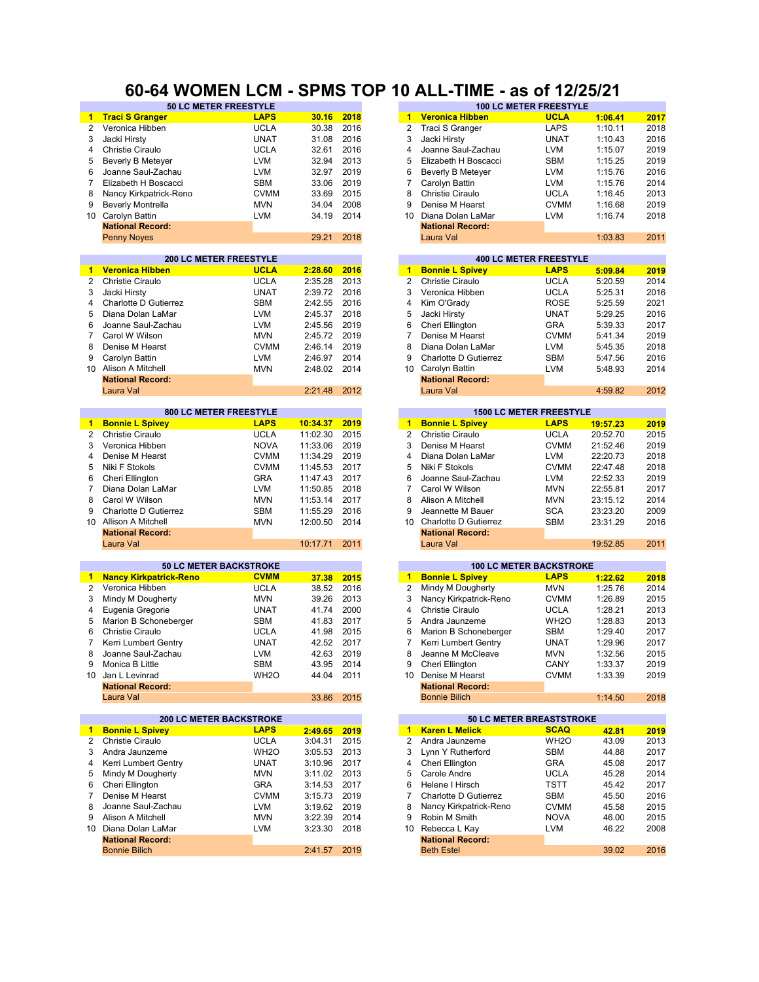### **60-64 WOMEN LCM - SPMS TOP 10 ALL-TIME - as of 12/25/21**

|                | <b>50 LC METER FREESTYLE</b>   |                   |          |      |                 |                                 | <b>100 LC METER FREESTYLE</b>  |          |      |
|----------------|--------------------------------|-------------------|----------|------|-----------------|---------------------------------|--------------------------------|----------|------|
| 1.             | <b>Traci S Granger</b>         | <b>LAPS</b>       | 30.16    | 2018 |                 | 1 Veronica Hibben               | <b>UCLA</b>                    | 1:06.41  | 2017 |
| $\overline{2}$ | Veronica Hibben                | <b>UCLA</b>       | 30.38    | 2016 | 2               | Traci S Granger                 | <b>LAPS</b>                    | 1:10.11  | 2018 |
| 3              | Jacki Hirsty                   | <b>UNAT</b>       | 31.08    | 2016 | 3               | Jacki Hirsty                    | <b>UNAT</b>                    | 1:10.43  | 2016 |
| 4              | Christie Ciraulo               | <b>UCLA</b>       | 32.61    | 2016 | 4               | Joanne Saul-Zachau              | <b>LVM</b>                     | 1:15.07  | 2019 |
| 5              | Beverly B Meteyer              | LVM               | 32.94    | 2013 | 5               | Elizabeth H Boscacci            | <b>SBM</b>                     | 1:15.25  | 2019 |
| 6              | Joanne Saul-Zachau             | <b>LVM</b>        | 32.97    | 2019 | 6               | <b>Beverly B Meteyer</b>        | <b>LVM</b>                     | 1:15.76  | 2016 |
| $\overline{7}$ | Elizabeth H Boscacci           | <b>SBM</b>        | 33.06    | 2019 | 7               | Carolyn Battin                  | <b>LVM</b>                     | 1:15.76  | 2014 |
|                |                                |                   |          |      |                 |                                 |                                |          |      |
| 8              | Nancy Kirkpatrick-Reno         | <b>CVMM</b>       | 33.69    | 2015 | 8               | <b>Christie Ciraulo</b>         | <b>UCLA</b>                    | 1:16.45  | 2013 |
| 9              | <b>Beverly Montrella</b>       | <b>MVN</b>        | 34.04    | 2008 | 9               | Denise M Hearst                 | <b>CVMM</b>                    | 1:16.68  | 2019 |
| 10             | Carolyn Battin                 | <b>LVM</b>        | 34.19    | 2014 | 10              | Diana Dolan LaMar               | <b>LVM</b>                     | 1:16.74  | 2018 |
|                | <b>National Record:</b>        |                   |          |      |                 | <b>National Record:</b>         |                                |          |      |
|                | <b>Penny Noyes</b>             |                   | 29.21    | 2018 |                 | Laura Val                       |                                | 1:03.83  | 2011 |
|                |                                |                   |          |      |                 |                                 |                                |          |      |
|                | <b>200 LC METER FREESTYLE</b>  |                   |          |      |                 |                                 | <b>400 LC METER FREESTYLE</b>  |          |      |
| 1              | <b>Veronica Hibben</b>         | <b>UCLA</b>       | 2:28.60  | 2016 | $\mathbf{1}$    | <b>Bonnie L Spivey</b>          | <b>LAPS</b>                    | 5:09.84  | 2019 |
| $\overline{2}$ | <b>Christie Ciraulo</b>        | <b>UCLA</b>       | 2:35.28  | 2013 | 2               | <b>Christie Ciraulo</b>         | <b>UCLA</b>                    | 5:20.59  | 2014 |
| 3              | Jacki Hirsty                   | <b>UNAT</b>       | 2:39.72  | 2016 | 3               | Veronica Hibben                 | <b>UCLA</b>                    | 5:25.31  | 2016 |
| 4              | Charlotte D Gutierrez          | <b>SBM</b>        | 2:42.55  | 2016 | 4               | Kim O'Grady                     | <b>ROSE</b>                    | 5:25.59  | 2021 |
| 5              | Diana Dolan LaMar              | <b>LVM</b>        | 2:45.37  | 2018 | 5               | Jacki Hirsty                    | <b>UNAT</b>                    | 5:29.25  | 2016 |
| 6              |                                | <b>LVM</b>        | 2:45.56  | 2019 | 6               |                                 | <b>GRA</b>                     |          | 2017 |
|                | Joanne Saul-Zachau             |                   |          |      |                 | Cheri Ellington                 |                                | 5:39.33  |      |
| $\overline{7}$ | Carol W Wilson                 | <b>MVN</b>        | 2:45.72  | 2019 | 7               | Denise M Hearst                 | <b>CVMM</b>                    | 5:41.34  | 2019 |
| 8              | Denise M Hearst                | <b>CVMM</b>       | 2:46.14  | 2019 | 8               | Diana Dolan LaMar               | <b>LVM</b>                     | 5:45.35  | 2018 |
| 9              | Carolyn Battin                 | <b>LVM</b>        | 2:46.97  | 2014 | 9               | Charlotte D Gutierrez           | <b>SBM</b>                     | 5:47.56  | 2016 |
| 10             | Alison A Mitchell              | <b>MVN</b>        | 2:48.02  | 2014 | 10              | Carolyn Battin                  | <b>LVM</b>                     | 5:48.93  | 2014 |
|                | <b>National Record:</b>        |                   |          |      |                 | <b>National Record:</b>         |                                |          |      |
|                | Laura Val                      |                   | 2:21.48  | 2012 |                 | Laura Val                       |                                | 4:59.82  | 2012 |
|                |                                |                   |          |      |                 |                                 |                                |          |      |
|                | 800 LC METER FREESTYLE         |                   |          |      |                 |                                 | <b>1500 LC METER FREESTYLE</b> |          |      |
| $\mathbf{1}$   | <b>Bonnie L Spivey</b>         | <b>LAPS</b>       | 10:34.37 | 2019 | $\mathbf{1}$    | <b>Bonnie L Spivey</b>          | <b>LAPS</b>                    | 19:57.23 | 2019 |
| $\overline{2}$ | Christie Ciraulo               | <b>UCLA</b>       | 11:02.30 | 2015 | $\overline{2}$  | Christie Ciraulo                | <b>UCLA</b>                    | 20:52.70 | 2015 |
| 3              | Veronica Hibben                | <b>NOVA</b>       | 11:33.06 | 2019 | 3               | Denise M Hearst                 | <b>CVMM</b>                    | 21:52.46 | 2019 |
| 4              | Denise M Hearst                | <b>CVMM</b>       | 11:34.29 | 2019 | 4               | Diana Dolan LaMar               | <b>LVM</b>                     | 22:20.73 | 2018 |
| 5              | Niki F Stokols                 | <b>CVMM</b>       | 11:45.53 | 2017 | 5               | Niki F Stokols                  | <b>CVMM</b>                    | 22:47.48 | 2018 |
| 6              | Cheri Ellington                | <b>GRA</b>        | 11:47.43 | 2017 | 6               | Joanne Saul-Zachau              | <b>LVM</b>                     | 22:52.33 | 2019 |
|                |                                |                   |          |      |                 |                                 |                                |          |      |
| 7              | Diana Dolan LaMar              | <b>LVM</b>        | 11:50.85 | 2018 | $\overline{7}$  | Carol W Wilson                  | <b>MVN</b>                     | 22:55.81 | 2017 |
| 8              | Carol W Wilson                 | <b>MVN</b>        | 11:53.14 | 2017 | 8               | Alison A Mitchell               | <b>MVN</b>                     | 23:15.12 | 2014 |
| 9              | Charlotte D Gutierrez          | <b>SBM</b>        | 11:55.29 | 2016 | 9               | Jeannette M Bauer               | <b>SCA</b>                     | 23:23.20 | 2009 |
|                | 10 Allison A Mitchell          | <b>MVN</b>        | 12:00.50 | 2014 | 10 <sup>1</sup> | Charlotte D Gutierrez           | <b>SBM</b>                     | 23:31.29 | 2016 |
|                | <b>National Record:</b>        |                   |          |      |                 | <b>National Record:</b>         |                                |          |      |
|                | Laura Val                      |                   | 10:17.71 | 2011 |                 | Laura Val                       |                                | 19:52.85 | 2011 |
|                |                                |                   |          |      |                 |                                 |                                |          |      |
|                | <b>50 LC METER BACKSTROKE</b>  |                   |          |      |                 | <b>100 LC METER BACKSTROKE</b>  |                                |          |      |
| $\mathbf 1$    | <b>Nancy Kirkpatrick-Reno</b>  | <b>CVMM</b>       | 37.38    | 2015 | $\mathbf{1}$    | <b>Bonnie L Spivey</b>          | <b>LAPS</b>                    | 1:22.62  | 2018 |
| $\overline{2}$ | Veronica Hibben                | <b>UCLA</b>       | 38.52    | 2016 | 2               | Mindy M Dougherty               | <b>MVN</b>                     | 1:25.76  | 2014 |
| 3              | Mindy M Dougherty              | <b>MVN</b>        | 39.26    | 2013 | 3               | Nancy Kirkpatrick-Reno          | <b>CVMM</b>                    | 1:26.89  | 2015 |
| 4              | Eugenia Gregorie               | <b>UNAT</b>       | 41.74    | 2000 | 4               | <b>Christie Ciraulo</b>         | <b>UCLA</b>                    | 1:28.21  | 2013 |
| 5              | Marion B Schoneberger          | <b>SBM</b>        | 41.83    | 2017 | 5               | Andra Jaunzeme                  | WH <sub>2</sub> O              | 1:28.83  | 2013 |
| 6              | Christie Ciraulo               | <b>UCLA</b>       | 41.98    | 2015 | 6               | Marion B Schoneberger           | <b>SBM</b>                     | 1:29.40  | 2017 |
| 7              | Kerri Lumbert Gentry           | <b>UNAT</b>       | 42.52    | 2017 | 7               | Kerri Lumbert Gentry            | <b>UNAT</b>                    | 1:29.96  | 2017 |
|                |                                |                   |          |      |                 |                                 |                                |          |      |
| 8              | Joanne Saul-Zachau             | <b>LVM</b>        | 42.63    | 2019 | 8               | Jeanne M McCleave               | <b>MVN</b>                     | 1:32.56  | 2015 |
| 9              | Monica B Little                | SBM               | 43.95    | 2014 | 9               | Cheri Ellington                 | CANY                           | 1:33.37  | 2019 |
| 10             | Jan L Levinrad                 | WH <sub>2</sub> O | 44.04    | 2011 | 10              | Denise M Hearst                 | <b>CVMM</b>                    | 1:33.39  | 2019 |
|                | <b>National Record:</b>        |                   |          |      |                 | <b>National Record:</b>         |                                |          |      |
|                | Laura Val                      |                   | 33.86    | 2015 |                 | <b>Bonnie Bilich</b>            |                                | 1:14.50  | 2018 |
|                |                                |                   |          |      |                 |                                 |                                |          |      |
|                | <b>200 LC METER BACKSTROKE</b> |                   |          |      |                 | <b>50 LC METER BREASTSTROKE</b> |                                |          |      |
| 1.             | <b>Bonnie L Spivey</b>         | <b>LAPS</b>       | 2:49.65  | 2019 | $1 -$           | <b>Karen L Melick</b>           | <b>SCAQ</b>                    | 42.81    | 2019 |
| 2              | <b>Christie Ciraulo</b>        | <b>UCLA</b>       | 3:04.31  | 2015 | 2               | Andra Jaunzeme                  | WH <sub>2</sub> O              | 43.09    | 2013 |
| 3              | Andra Jaunzeme                 | WH <sub>2</sub> O | 3:05.53  | 2013 | 3               | Lynn Y Rutherford               | SBM                            | 44.88    | 2017 |
| 4              | Kerri Lumbert Gentry           | <b>UNAT</b>       | 3:10.96  | 2017 | 4               | Cheri Ellington                 | GRA                            | 45.08    | 2017 |
| 5              | Mindy M Dougherty              | MVN               | 3:11.02  | 2013 | 5               | Carole Andre                    | <b>UCLA</b>                    | 45.28    | 2014 |
| 6              | Cheri Ellington                | GRA               | 3:14.53  | 2017 | 6               | Helene I Hirsch                 | TSTT                           | 45.42    | 2017 |
| 7              | Denise M Hearst                | <b>CVMM</b>       | 3:15.73  | 2019 | 7               | Charlotte D Gutierrez           | <b>SBM</b>                     | 45.50    | 2016 |
| 8              | Joanne Saul-Zachau             | <b>LVM</b>        | 3:19.62  | 2019 | 8               | Nancy Kirkpatrick-Reno          | <b>CVMM</b>                    | 45.58    | 2015 |
| 9              |                                |                   |          |      | 9               |                                 |                                |          |      |
|                | Alison A Mitchell              | <b>MVN</b>        | 3:22.39  | 2014 |                 | Robin M Smith                   | <b>NOVA</b>                    | 46.00    | 2015 |
|                | 10 Diana Dolan LaMar           | LVM               | 3:23.30  | 2018 | 10              | Rebecca L Kay                   | <b>LVM</b>                     | 46.22    | 2008 |
|                | <b>National Record:</b>        |                   |          |      |                 | <b>National Record:</b>         |                                |          |      |
|                | <b>Bonnie Bilich</b>           |                   | 2:41.57  | 2019 |                 | <b>Beth Estel</b>               |                                | 39.02    | 2016 |
|                |                                |                   |          |      |                 |                                 |                                |          |      |

| 30.38                | 2016         | 2              | Traci S Granger                      | LAPS                           | 1:10.11              | 2018         |
|----------------------|--------------|----------------|--------------------------------------|--------------------------------|----------------------|--------------|
| 31.08                | 2016         | 3              | Jacki Hirsty                         | UNAT                           | 1:10.43              | 2016         |
| 32.61                | 2016         | 4              | Joanne Saul-Zachau                   | LVM                            | 1:15.07              | 2019         |
| 32.94                | 2013         | 5              | Elizabeth H Boscacci                 | <b>SBM</b>                     | 1:15.25              | 2019         |
| 32.97                | 2019         | 6              | <b>Beverly B Meteyer</b>             | <b>LVM</b>                     | 1:15.76              | 2016         |
| 33.06                | 2019         | 7              | Carolyn Battin                       | LVM                            | 1:15.76              | 2014         |
| 33.69                | 2015         | 8              | Christie Ciraulo                     | UCLA                           | 1:16.45              | 2013         |
| 34.04                | 2008         | 9              | Denise M Hearst                      | <b>CVMM</b>                    | 1:16.68              | 2019         |
| 34.19                | 2014         | 10             | Diana Dolan LaMar                    | LVM                            | 1:16.74              | 2018         |
|                      |              |                | <b>National Record:</b>              |                                |                      |              |
| 29.21                | 2018         |                | Laura Val                            |                                | 1:03.83              | 2011         |
|                      |              |                |                                      |                                |                      |              |
|                      |              |                |                                      | <b>400 LC METER FREESTYLE</b>  |                      |              |
| 2:28.60              | 2016         | $\mathbf{1}$   | <b>Bonnie L Spivey</b>               | <b>LAPS</b>                    | 5:09.84              | 2019         |
| 2:35.28              | 2013         | 2              | Christie Ciraulo                     | UCLA                           | 5:20.59              | 2014         |
| 2:39.72              | 2016         | 3              | Veronica Hibben                      | UCLA                           | 5:25.31              | 2016         |
| 2:42.55              | 2016         | 4              | Kim O'Grady                          | <b>ROSE</b>                    | 5:25.59              | 2021         |
| 2:45.37              | 2018         | 5              | Jacki Hirsty                         | UNAT                           | 5:29.25              | 2016         |
| 2:45.56              | 2019         | 6              | Cheri Ellington                      | GRA                            | 5:39.33              | 2017         |
| 2:45.72              | 2019         | 7              | Denise M Hearst                      | <b>CVMM</b>                    | 5:41.34              | 2019         |
| 2:46.14              | 2019         | 8              | Diana Dolan LaMar                    | <b>LVM</b>                     | 5:45.35              | 2018         |
| 2:46.97              | 2014         | 9              | Charlotte D Gutierrez                | SBM                            | 5:47.56              | 2016         |
| 2:48.02              | 2014         | 10             | Carolyn Battin                       | LVM                            | 5:48.93              | 2014         |
|                      |              |                | <b>National Record:</b>              |                                |                      |              |
| 2:21.48              | 2012         |                | Laura Val                            |                                | 4:59.82              | 2012         |
|                      |              |                |                                      |                                |                      |              |
|                      |              |                |                                      | <b>1500 LC METER FREESTYLE</b> |                      |              |
| 10:34.37             | 2019         | 1              | <b>Bonnie L Spivey</b>               | <b>LAPS</b>                    | 19:57.23             | 2019         |
| 11:02.30             | 2015         | $\overline{2}$ | Christie Ciraulo                     | <b>UCLA</b>                    | 20:52.70             | 2015         |
| 11:33.06             | 2019         | 3              | Denise M Hearst                      | <b>CVMM</b>                    | 21:52.46             | 2019         |
| 11:34.29             | 2019         | 4<br>5         | Diana Dolan LaMar<br>Niki F Stokols  | LVM                            | 22:20.73             | 2018         |
| 11:45.53             | 2017         | 6              |                                      | <b>CVMM</b>                    | 22:47.48             | 2018<br>2019 |
| 11:47.43             | 2017         | 7              | Joanne Saul-Zachau<br>Carol W Wilson | LVM                            | 22:52.33             |              |
| 11:50.85<br>11:53.14 | 2018<br>2017 | 8              | Alison A Mitchell                    | <b>MVN</b><br>MVN              | 22:55.81<br>23:15.12 | 2017<br>2014 |
| 11:55.29             | 2016         | 9              | Jeannette M Bauer                    | <b>SCA</b>                     | 23:23.20             | 2009         |
| 12:00.50             | 2014         | 10             | Charlotte D Gutierrez                | SBM                            | 23:31.29             | 2016         |
|                      |              |                | <b>National Record:</b>              |                                |                      |              |
| 10:17.71             | 2011         |                | Laura Val                            |                                | 19:52.85             | 2011         |
|                      |              |                |                                      |                                |                      |              |
|                      |              |                |                                      | <b>100 LC METER BACKSTROKE</b> |                      |              |
| 37.38                | 2015         | $\blacksquare$ | <b>Bonnie L Spivey</b>               | <b>LAPS</b>                    | 1:22.62              | 2018         |
| 38.52                | 2016         | 2              | Mindy M Dougherty                    | MVN                            | 1:25.76              | 2014         |
| 39.26                | 2013         | 3              | Nancy Kirkpatrick-Reno               | <b>CVMM</b>                    | 1:26.89              | 2015         |
| 41.74                | 2000         | 4              | <b>Christie Ciraulo</b>              | UCLA                           | 1:28.21              | 2013         |
| 41.83                | 2017         | 5              | Andra Jaunzeme                       | WH <sub>2</sub> O              | 1:28.83              | 2013         |
| 41.98                | 2015         | 6              | Marion B Schoneberger                | SBM                            | 1:29.40              | 2017         |
| 42.52                | 2017         | 7              | Kerri Lumbert Gentry                 | UNAT                           | 1:29.96              | 2017         |
| 42.63                | 2019         | 8              | Jeanne M McCleave                    | <b>MVN</b>                     | 1:32.56              | 2015         |
| 43.95                | 2014         | 9              | Cheri Ellington                      | CANY                           | 1:33.37              | 2019         |
| 44.04                | 2011         | 10             | Denise M Hearst                      | <b>CVMM</b>                    | 1:33.39              | 2019         |
|                      |              |                | <b>National Record:</b>              |                                |                      |              |
| 33.86                | 2015         |                | <b>Bonnie Bilich</b>                 |                                | 1:14.50              | 2018         |
|                      |              |                |                                      |                                |                      |              |
|                      |              |                |                                      | 50 LC METER BREASTSTROKE       |                      |              |
| 2:49.65              | 2019         | $\mathbf{1}$   | <b>Karen L Melick</b>                | <u>SCAQ</u>                    | 42.81                | <b>2019</b>  |
| 3:04.31              | 2015         | 2              | Andra Jaunzeme                       | WH2O                           | 43.09                | 2013         |
| 3:05.53              | 2013         | 3              | Lynn Y Rutherford                    | SBM                            | 44.88                | 2017         |
| 3:10.96              | 2017         | 4              | Cheri Ellington                      | GRA                            | 45.08                | 2017         |
| 3:11.02              | 2013         | 5              | Carole Andre                         | UCLA                           | 45.28                | 2014         |
| 3:14.53              | 2017         | 6              | Helene I Hirsch                      | TSTT                           | 45.42                | 2017         |
| 3:15.73              | 2019         | 7              | Charlotte D Gutierrez                | SBM                            | 45.50                | 2016         |
| 3:19.62              | 2019         | 8              | Nancy Kirkpatrick-Reno               | <b>CVMM</b>                    | 45.58                | 2015         |
| 3:22.39              | 2014         | 9              | Robin M Smith                        | NOVA                           | 46.00                | 2015         |
| 3:23.30              | 2018         | 10             | Rebecca L Kay                        | LVM                            | 46.22                | 2008         |
|                      |              |                | National Record:                     |                                |                      |              |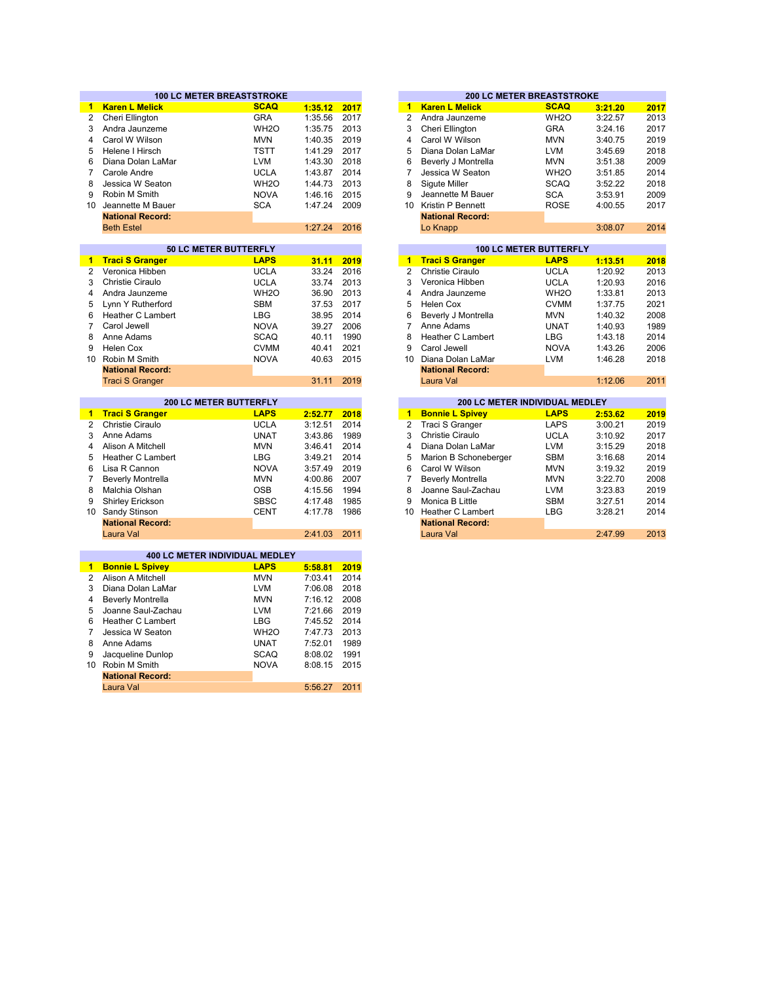|                | <b>100 LC METER BREASTSTROKE</b>               |                   |                    |              | <b>200 LC METER BREASTSTROKE</b> |                                |                   |         |      |
|----------------|------------------------------------------------|-------------------|--------------------|--------------|----------------------------------|--------------------------------|-------------------|---------|------|
| 1.             | <b>Karen L Melick</b>                          | <b>SCAQ</b>       | 1:35.12            | 2017         | $\mathbf{1}$                     | <b>Karen L Melick</b>          | <b>SCAQ</b>       | 3:21.20 | 2017 |
| $\overline{2}$ | Cheri Ellington                                | <b>GRA</b>        | 1:35.56            | 2017         | $\overline{2}$                   | Andra Jaunzeme                 | WH <sub>20</sub>  | 3:22.57 | 2013 |
| 3              | Andra Jaunzeme                                 | WH <sub>2</sub> O | 1:35.75            | 2013         | 3                                | Cheri Ellington                | <b>GRA</b>        | 3:24.16 | 2017 |
| $\overline{4}$ | Carol W Wilson                                 | <b>MVN</b>        | 1:40.35            | 2019         | 4                                | Carol W Wilson                 | <b>MVN</b>        | 3:40.75 | 2019 |
| 5              | Helene I Hirsch                                | <b>TSTT</b>       | 1:41.29            | 2017         | 5                                | Diana Dolan LaMar              | <b>LVM</b>        | 3:45.69 | 2018 |
| 6              | Diana Dolan LaMar                              | LVM               | 1:43.30            | 2018         | 6                                | Beverly J Montrella            | <b>MVN</b>        | 3:51.38 | 2009 |
| $\overline{7}$ | Carole Andre                                   | <b>UCLA</b>       | 1:43.87            | 2014         | $\overline{7}$                   | Jessica W Seaton               | WH <sub>2</sub> O | 3:51.85 | 2014 |
| 8              | Jessica W Seaton                               | WH <sub>2</sub> O | 1:44.73            | 2013         | 8                                | Sigute Miller                  | <b>SCAQ</b>       | 3:52.22 | 2018 |
| 9              | Robin M Smith                                  | <b>NOVA</b>       | 1:46.16            | 2015         | 9                                | Jeannette M Bauer              | <b>SCA</b>        | 3:53.91 | 2009 |
|                | 10 Jeannette M Bauer                           | <b>SCA</b>        | 1:47.24            | 2009         | 10 <sup>1</sup>                  | Kristin P Bennett              | <b>ROSE</b>       | 4:00.55 | 2017 |
|                | <b>National Record:</b>                        |                   |                    |              |                                  | <b>National Record:</b>        |                   |         |      |
|                | <b>Beth Estel</b>                              |                   | 1:27.24            | 2016         |                                  | Lo Knapp                       |                   | 3:08.07 | 2014 |
|                |                                                |                   |                    |              |                                  |                                |                   |         |      |
|                | 50 LC METER BUTTERFLY                          |                   |                    |              |                                  | <b>100 LC METER BUTTERFLY</b>  |                   |         |      |
| 1.             | <b>Traci S Granger</b>                         | <b>LAPS</b>       | 31.11              | 2019         | $\mathbf{1}$                     | <b>Traci S Granger</b>         | <b>LAPS</b>       | 1:13.51 | 2018 |
| $\overline{2}$ | Veronica Hibben                                | <b>UCLA</b>       | 33.24              | 2016         | $\overline{2}$                   | Christie Ciraulo               | <b>UCLA</b>       | 1:20.92 | 2013 |
| 3              | Christie Ciraulo                               | <b>UCLA</b>       | 33.74              | 2013         | 3                                | Veronica Hibben                | <b>UCLA</b>       | 1:20.93 | 2016 |
| 4              | Andra Jaunzeme                                 | WH <sub>20</sub>  | 36.90              | 2013         | 4                                | Andra Jaunzeme                 | WH <sub>2</sub> O | 1:33.81 | 2013 |
| 5              | Lynn Y Rutherford                              | <b>SBM</b>        | 37.53              | 2017         | 5                                | Helen Cox                      | <b>CVMM</b>       | 1:37.75 | 2021 |
| 6              | <b>Heather C Lambert</b>                       | <b>LBG</b>        | 38.95              | 2014         | 6                                | Beverly J Montrella            | <b>MVN</b>        | 1:40.32 | 2008 |
| $\overline{7}$ | Carol Jewell                                   | <b>NOVA</b>       | 39.27              | 2006         | $\overline{7}$                   | Anne Adams                     | <b>UNAT</b>       | 1:40.93 | 1989 |
| 8              | Anne Adams                                     | <b>SCAQ</b>       | 40.11              | 1990         | 8                                | Heather C Lambert              | <b>LBG</b>        | 1:43.18 | 2014 |
| 9              | Helen Cox                                      | <b>CVMM</b>       | 40.41              | 2021         | 9                                | Carol Jewell                   | <b>NOVA</b>       | 1:43.26 | 2006 |
|                | 10 Robin M Smith                               | <b>NOVA</b>       | 40.63              | 2015         | 10                               | Diana Dolan LaMar              | <b>LVM</b>        | 1:46.28 | 2018 |
|                | <b>National Record:</b>                        |                   |                    |              |                                  | <b>National Record:</b>        |                   |         |      |
|                | <b>Traci S Granger</b>                         |                   | 31.11              | 2019         |                                  | Laura Val                      |                   | 1:12.06 | 2011 |
|                |                                                |                   |                    |              |                                  |                                |                   |         |      |
|                |                                                |                   |                    |              |                                  |                                |                   |         |      |
|                | <b>200 LC METER BUTTERFLY</b>                  |                   |                    |              |                                  | 200 LC METER INDIVIDUAL MEDLEY |                   |         |      |
| $\blacksquare$ | <b>Traci S Granger</b>                         | <b>LAPS</b>       | 2:52.77            | 2018         | $\blacksquare$                   | <b>Bonnie L Spivey</b>         | <b>LAPS</b>       | 2:53.62 | 2019 |
| $\overline{2}$ | Christie Ciraulo                               | <b>UCLA</b>       | 3:12.51            | 2014         | $\overline{2}$                   | Traci S Granger                | <b>LAPS</b>       | 3:00.21 | 2019 |
| 3              | Anne Adams                                     | <b>UNAT</b>       | 3:43.86            | 1989         | 3                                | Christie Ciraulo               | <b>UCLA</b>       | 3:10.92 | 2017 |
| 4              | Alison A Mitchell                              | <b>MVN</b>        | 3:46.41            | 2014         | 4                                | Diana Dolan LaMar              | <b>LVM</b>        | 3:15.29 | 2018 |
| 5              | Heather C Lambert                              | LBG               | 3:49.21            | 2014         | 5                                | Marion B Schoneberger          | <b>SBM</b>        | 3:16.68 | 2014 |
| 6              | Lisa R Cannon                                  | <b>NOVA</b>       | 3:57.49            | 2019         | 6                                | Carol W Wilson                 | <b>MVN</b>        | 3:19.32 | 2019 |
| $\overline{7}$ | <b>Beverly Montrella</b>                       | <b>MVN</b>        | 4:00.86            | 2007         | $\overline{7}$                   | <b>Beverly Montrella</b>       | <b>MVN</b>        | 3:22.70 | 2008 |
| 8              | Malchia Olshan                                 | <b>OSB</b>        | 4:15.56            | 1994         | 8                                | Joanne Saul-Zachau             | <b>LVM</b>        | 3:23.83 | 2019 |
| 9              | Shirley Erickson                               | <b>SBSC</b>       | 4:17.48            | 1985         | 9                                | Monica B Little                | <b>SBM</b>        | 3:27.51 | 2014 |
| 10             | Sandy Stinson                                  | <b>CENT</b>       | 4:17.78            | 1986         | 10 <sup>°</sup>                  | Heather C Lambert              | <b>LBG</b>        | 3:28.21 | 2014 |
|                | <b>National Record:</b>                        |                   |                    |              |                                  | <b>National Record:</b>        |                   |         |      |
|                | Laura Val                                      |                   | 2:41.03            | 2011         |                                  | Laura Val                      |                   | 2:47.99 | 2013 |
|                |                                                |                   |                    |              |                                  |                                |                   |         |      |
| $\mathbf{1}$   | 400 LC METER INDIVIDUAL MEDLEY                 | <b>LAPS</b>       |                    |              |                                  |                                |                   |         |      |
| $\overline{2}$ | <b>Bonnie L Spivey</b><br>Alison A Mitchell    | <b>MVN</b>        | 5:58.81<br>7:03.41 | 2019<br>2014 |                                  |                                |                   |         |      |
| 3              | Diana Dolan LaMar                              | <b>LVM</b>        | 7:06.08            | 2018         |                                  |                                |                   |         |      |
| 4              |                                                | <b>MVN</b>        | 7:16.12 2008       |              |                                  |                                |                   |         |      |
| 5              | <b>Beverly Montrella</b><br>Joanne Saul-Zachau | <b>LVM</b>        | 7:21.66            | 2019         |                                  |                                |                   |         |      |
| 6              | <b>Heather C Lambert</b>                       | <b>LBG</b>        | 7:45.52            | 2014         |                                  |                                |                   |         |      |
| $\overline{7}$ | Jessica W Seaton                               | WH <sub>20</sub>  | 7:47.73            | 2013         |                                  |                                |                   |         |      |
| 8              | Anne Adams                                     | <b>UNAT</b>       | 7:52.01            | 1989         |                                  |                                |                   |         |      |
| 9              | Jacqueline Dunlop                              | <b>SCAQ</b>       | 8:08.02            | 1991         |                                  |                                |                   |         |      |
|                | 10 Robin M Smith                               | <b>NOVA</b>       | 8:08.15            | 2015         |                                  |                                |                   |         |      |
|                | <b>National Record:</b>                        |                   |                    |              |                                  |                                |                   |         |      |

| 2017 | 1  | <b>Karen L Melick</b>   | <b>SCAQ</b>       | 3:21.20 | 2017                             |
|------|----|-------------------------|-------------------|---------|----------------------------------|
| 2017 | 2  | Andra Jaunzeme          | WH <sub>2</sub> O | 3:22.57 | 2013                             |
| 2013 | 3  | Cheri Ellington         | <b>GRA</b>        | 3:24.16 | 2017                             |
| 2019 | 4  | Carol W Wilson          | <b>MVN</b>        | 3:40.75 | 2019                             |
| 2017 | 5  | Diana Dolan LaMar       | <b>LVM</b>        | 3:45.69 | 2018                             |
| 2018 | 6  | Beverly J Montrella     | <b>MVN</b>        | 3:51.38 | 2009                             |
| 2014 | 7  | Jessica W Seaton        | WH <sub>2</sub> O | 3:51.85 | 2014                             |
| 2013 | 8  | Sigute Miller           | <b>SCAQ</b>       | 3:52.22 | 2018                             |
| 2015 | 9  | Jeannette M Bauer       | <b>SCA</b>        | 3:53.91 | 2009                             |
| 2009 | 10 | Kristin P Bennett       | <b>ROSE</b>       | 4:00.55 | 2017                             |
|      |    | <b>National Record:</b> |                   |         |                                  |
| 2016 |    | Lo Knapp                |                   | 3:08.07 | 2014                             |
|      |    |                         |                   |         |                                  |
|      |    |                         |                   |         | <b>200 LC METER BREASTSTROKE</b> |

|       |      |    |                          | <b>100 LC METER BUTTERFLY</b>   |         |
|-------|------|----|--------------------------|---------------------------------|---------|
| 31.11 | 2019 | 1  | <b>Traci S Granger</b>   | <b>LAPS</b>                     | 1:13.51 |
| 33.24 | 2016 | 2  | Christie Ciraulo         | <b>UCLA</b>                     | 1:20.92 |
| 33.74 | 2013 | 3  | Veronica Hibben          | <b>UCLA</b>                     | 1:20.93 |
| 36.90 | 2013 | 4  | Andra Jaunzeme           | WH <sub>2</sub> O               | 1:33.81 |
| 37.53 | 2017 | 5  | Helen Cox                | <b>CVMM</b>                     | 1:37.75 |
| 38.95 | 2014 | 6  | Beverly J Montrella      | <b>MVN</b>                      | 1:40.32 |
| 39.27 | 2006 | 7  | Anne Adams               | <b>UNAT</b>                     | 1:40.93 |
| 40.11 | 1990 | 8  | <b>Heather C Lambert</b> | <b>LBG</b>                      | 1:43.18 |
| 40.41 | 2021 | 9  | Carol Jewell             | <b>NOVA</b>                     | 1:43.26 |
| 40.63 | 2015 | 10 | Diana Dolan LaMar        | <b>LVM</b>                      | 1:46.28 |
|       |      |    | <b>National Record:</b>  |                                 |         |
| 31.11 | 2019 |    | Laura Val                |                                 | 1:12.06 |
|       |      |    |                          |                                 |         |
|       |      |    |                          | 200 LC METER INDIVIDUAL MEDI EV |         |

|         |      |    | <b>200 LC METER INDIVIDUAL MEDLEY</b> |             |         |      |  |  |  |  |
|---------|------|----|---------------------------------------|-------------|---------|------|--|--|--|--|
| 2:52.77 | 2018 | 1  | <b>Bonnie L Spivey</b>                | <b>LAPS</b> | 2:53.62 | 2019 |  |  |  |  |
| 3:12.51 | 2014 |    | 2 Traci S Granger                     | <b>LAPS</b> | 3:00.21 | 2019 |  |  |  |  |
| 3:43.86 | 1989 | 3  | Christie Ciraulo                      | <b>UCLA</b> | 3:10.92 | 2017 |  |  |  |  |
| 3:46.41 | 2014 | 4  | Diana Dolan LaMar                     | <b>LVM</b>  | 3:15.29 | 2018 |  |  |  |  |
| 3:49.21 | 2014 | 5  | Marion B Schoneberger                 | <b>SBM</b>  | 3:16.68 | 2014 |  |  |  |  |
| 3:57.49 | 2019 | 6  | Carol W Wilson                        | <b>MVN</b>  | 3:19.32 | 2019 |  |  |  |  |
| 4:00.86 | 2007 |    | <b>Beverly Montrella</b>              | <b>MVN</b>  | 3:22.70 | 2008 |  |  |  |  |
| 4:15.56 | 1994 | 8  | Joanne Saul-Zachau                    | <b>LVM</b>  | 3:23.83 | 2019 |  |  |  |  |
| 4:17.48 | 1985 | 9  | Monica B Little                       | <b>SBM</b>  | 3:27.51 | 2014 |  |  |  |  |
| 4:17.78 | 1986 | 10 | Heather C Lambert                     | <b>LBG</b>  | 3:28.21 | 2014 |  |  |  |  |
|         |      |    | <b>National Record:</b>               |             |         |      |  |  |  |  |
| 2:41.03 | 2011 |    | Laura Val                             |             | 2:47.99 | 2013 |  |  |  |  |
|         |      |    |                                       |             |         |      |  |  |  |  |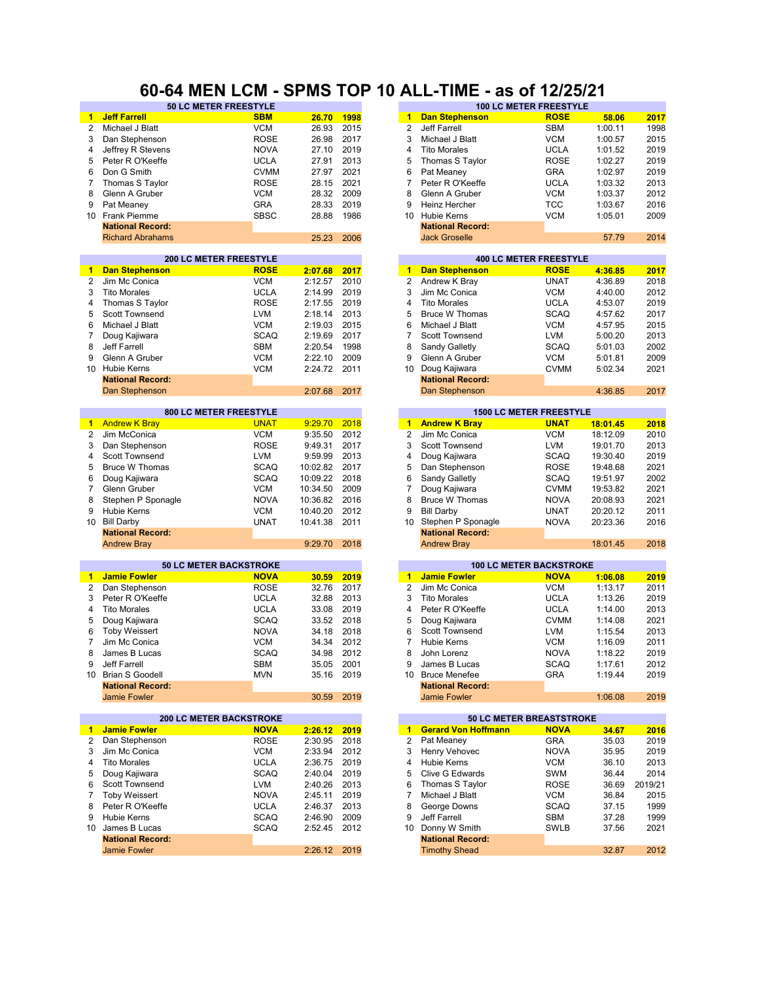#### **60-64 MEN LCM - SPMS TOP 10 ALL-TIME - as of 12/25/21**

|                 | <b>50 LC METER FREESTYLE</b>   |             |          |      |                      |                            | <b>100 LC METER FREESTYLE</b>  |          |         |
|-----------------|--------------------------------|-------------|----------|------|----------------------|----------------------------|--------------------------------|----------|---------|
| 1.              | <b>Jeff Farrell</b>            | <b>SBM</b>  | 26.70    | 1998 | 1.                   | <b>Dan Stephenson</b>      | <b>ROSE</b>                    | 58.06    | 2017    |
| $\overline{2}$  | Michael J Blatt                | <b>VCM</b>  | 26.93    | 2015 | $\overline{2}$       | Jeff Farrell               | <b>SBM</b>                     | 1:00.11  | 1998    |
| 3               | Dan Stephenson                 | <b>ROSE</b> | 26.98    | 2017 | 3                    | Michael J Blatt            | <b>VCM</b>                     | 1:00.57  | 2015    |
| 4               | Jeffrey R Stevens              | <b>NOVA</b> | 27.10    | 2019 | 4                    | <b>Tito Morales</b>        | <b>UCLA</b>                    | 1:01.52  | 2019    |
| 5               | Peter R O'Keeffe               | <b>UCLA</b> | 27.91    | 2013 | 5                    | Thomas S Taylor            | <b>ROSE</b>                    | 1:02.27  | 2019    |
| 6               | Don G Smith                    | <b>CVMM</b> | 27.97    | 2021 | 6                    | Pat Meaney                 | <b>GRA</b>                     | 1:02.97  | 2019    |
| 7               | Thomas S Taylor                | <b>ROSE</b> | 28.15    | 2021 | $\overline{7}$       | Peter R O'Keeffe           | <b>UCLA</b>                    | 1:03.32  | 2013    |
| 8               | Glenn A Gruber                 | <b>VCM</b>  | 28.32    | 2009 | 8                    | Glenn A Gruber             | <b>VCM</b>                     | 1:03.37  | 2012    |
| 9               | Pat Meaney                     | <b>GRA</b>  | 28.33    | 2019 | 9                    | Heinz Hercher              | <b>TCC</b>                     | 1:03.67  | 2016    |
|                 | 10 Frank Piemme                | <b>SBSC</b> |          | 1986 | 10                   | Hubie Kerns                | <b>VCM</b>                     |          |         |
|                 |                                |             | 28.88    |      |                      |                            |                                | 1:05.01  | 2009    |
|                 | <b>National Record:</b>        |             |          |      |                      | <b>National Record:</b>    |                                |          |         |
|                 | <b>Richard Abrahams</b>        |             | 25.23    | 2006 |                      | <b>Jack Groselle</b>       |                                | 57.79    | 2014    |
|                 | <b>200 LC METER FREESTYLE</b>  |             |          |      |                      |                            | <b>400 LC METER FREESTYLE</b>  |          |         |
| 1               | <b>Dan Stephenson</b>          | <b>ROSE</b> | 2:07.68  | 2017 | $\blacktriangleleft$ | <b>Dan Stephenson</b>      | <b>ROSE</b>                    | 4:36.85  | 2017    |
| 2               | Jim Mc Conica                  | <b>VCM</b>  | 2:12.57  | 2010 | $\overline{2}$       | Andrew K Bray              | <b>UNAT</b>                    | 4:36.89  | 2018    |
| 3               | <b>Tito Morales</b>            | <b>UCLA</b> | 2:14.99  | 2019 | 3                    | Jim Mc Conica              | <b>VCM</b>                     | 4:40.00  | 2012    |
|                 |                                |             |          | 2019 | $\overline{4}$       |                            |                                |          |         |
| 4               | Thomas S Taylor                | <b>ROSE</b> | 2:17.55  |      |                      | <b>Tito Morales</b>        | <b>UCLA</b>                    | 4:53.07  | 2019    |
| 5               | Scott Townsend                 | <b>LVM</b>  | 2:18.14  | 2013 | 5                    | <b>Bruce W Thomas</b>      | <b>SCAQ</b>                    | 4:57.62  | 2017    |
| 6               | Michael J Blatt                | <b>VCM</b>  | 2:19.03  | 2015 | 6                    | Michael J Blatt            | <b>VCM</b>                     | 4:57.95  | 2015    |
| 7               | Doug Kajiwara                  | <b>SCAQ</b> | 2:19.69  | 2017 | 7                    | Scott Townsend             | <b>LVM</b>                     | 5:00.20  | 2013    |
| 8               | Jeff Farrell                   | <b>SBM</b>  | 2:20.54  | 1998 | 8                    | Sandy Galletly             | <b>SCAQ</b>                    | 5:01.03  | 2002    |
| 9               | Glenn A Gruber                 | <b>VCM</b>  | 2:22.10  | 2009 | 9                    | Glenn A Gruber             | <b>VCM</b>                     | 5:01.81  | 2009    |
| 10 <sup>1</sup> | <b>Hubie Kerns</b>             | <b>VCM</b>  | 2:24.72  | 2011 | 10                   | Doug Kajiwara              | <b>CVMM</b>                    | 5:02.34  | 2021    |
|                 | <b>National Record:</b>        |             |          |      |                      | <b>National Record:</b>    |                                |          |         |
|                 | Dan Stephenson                 |             | 2:07.68  | 2017 |                      | Dan Stephenson             |                                | 4:36.85  | 2017    |
|                 |                                |             |          |      |                      |                            |                                |          |         |
|                 | 800 LC METER FREESTYLE         |             |          |      |                      |                            | <b>1500 LC METER FREESTYLE</b> |          |         |
| $\blacksquare$  | <b>Andrew K Bray</b>           | <b>UNAT</b> | 9:29.70  | 2018 | $\mathbf{1}$         | <b>Andrew K Bray</b>       | <b>UNAT</b>                    | 18:01.45 | 2018    |
| 2               | Jim McConica                   | <b>VCM</b>  | 9:35.50  | 2012 | $\overline{2}$       | Jim Mc Conica              | <b>VCM</b>                     | 18:12.09 | 2010    |
| 3               | Dan Stephenson                 | <b>ROSE</b> | 9:49.31  | 2017 | 3                    | Scott Townsend             | <b>LVM</b>                     | 19:01.70 | 2013    |
| 4               | <b>Scott Townsend</b>          | <b>LVM</b>  | 9:59.99  | 2013 | 4                    | Doug Kajiwara              | <b>SCAQ</b>                    | 19:30.40 | 2019    |
| 5               | <b>Bruce W Thomas</b>          | <b>SCAQ</b> | 10:02.82 | 2017 | 5                    | Dan Stephenson             | <b>ROSE</b>                    | 19:48.68 | 2021    |
| 6               | Doug Kajiwara                  | <b>SCAQ</b> | 10:09.22 | 2018 | 6                    | Sandy Galletly             | <b>SCAQ</b>                    | 19:51.97 | 2002    |
| $\overline{7}$  | Glenn Gruber                   | <b>VCM</b>  | 10:34.50 | 2009 | $\overline{7}$       | Doug Kajiwara              | <b>CVMM</b>                    | 19:53.82 | 2021    |
| 8               | Stephen P Sponagle             | <b>NOVA</b> | 10:36.82 | 2016 | 8                    | <b>Bruce W Thomas</b>      | <b>NOVA</b>                    | 20:08.93 | 2021    |
| 9               | <b>Hubie Kerns</b>             | <b>VCM</b>  | 10:40.20 | 2012 | 9                    | <b>Bill Darby</b>          | <b>UNAT</b>                    | 20:20.12 | 2011    |
| 10              | <b>Bill Darby</b>              | <b>UNAT</b> | 10:41.38 | 2011 | 10                   | Stephen P Sponagle         | <b>NOVA</b>                    | 20:23.36 | 2016    |
|                 | <b>National Record:</b>        |             |          |      |                      | <b>National Record:</b>    |                                |          |         |
|                 | <b>Andrew Bray</b>             |             | 9:29.70  | 2018 |                      | <b>Andrew Bray</b>         |                                | 18:01.45 | 2018    |
|                 |                                |             |          |      |                      |                            |                                |          |         |
|                 | <b>50 LC METER BACKSTROKE</b>  |             |          |      |                      |                            | <b>100 LC METER BACKSTROKE</b> |          |         |
| $\mathbf{1}$    | <b>Jamie Fowler</b>            | <b>NOVA</b> | 30.59    | 2019 | $\blacktriangleleft$ | <b>Jamie Fowler</b>        | <b>NOVA</b>                    | 1:06.08  | 2019    |
| $\overline{2}$  | Dan Stephenson                 | <b>ROSE</b> | 32.76    | 2017 | $\overline{2}$       | Jim Mc Conica              | <b>VCM</b>                     | 1:13.17  | 2011    |
| 3               | Peter R O'Keeffe               | <b>UCLA</b> | 32.88    | 2013 | 3                    | <b>Tito Morales</b>        | <b>UCLA</b>                    | 1:13.26  | 2019    |
| 4               | <b>Tito Morales</b>            | <b>UCLA</b> | 33.08    | 2019 | 4                    | Peter R O'Keeffe           | <b>UCLA</b>                    | 1:14.00  | 2013    |
| 5               | Doug Kajiwara                  | <b>SCAQ</b> | 33.52    | 2018 | 5                    | Doug Kajiwara              | <b>CVMM</b>                    | 1:14.08  | 2021    |
| 6               | <b>Toby Weissert</b>           | <b>NOVA</b> | 34.18    | 2018 | 6                    | Scott Townsend             | <b>LVM</b>                     | 1:15.54  | 2013    |
| 7               | Jim Mc Conica                  | <b>VCM</b>  | 34.34    | 2012 | $\overline{7}$       | <b>Hubie Kerns</b>         | <b>VCM</b>                     | 1:16.09  | 2011    |
| 8               | James B Lucas                  | <b>SCAQ</b> | 34.98    | 2012 | 8                    | John Lorenz                | <b>NOVA</b>                    | 1:18.22  | 2019    |
| 9               | Jeff Farrell                   | SBM         | 35.05    | 2001 | 9                    | James B Lucas              | SCAQ                           | 1:17.61  | 2012    |
| 10              | <b>Brian S Goodell</b>         | <b>MVN</b>  | 35.16    | 2019 | 10 <sup>°</sup>      | <b>Bruce Menefee</b>       | <b>GRA</b>                     | 1:19.44  | 2019    |
|                 | <b>National Record:</b>        |             |          |      |                      | <b>National Record:</b>    |                                |          |         |
|                 | <b>Jamie Fowler</b>            |             | 30.59    | 2019 |                      | <b>Jamie Fowler</b>        |                                | 1:06.08  | 2019    |
|                 |                                |             |          |      |                      |                            |                                |          |         |
|                 | <b>200 LC METER BACKSTROKE</b> |             |          |      |                      |                            | 50 LC METER BREASTSTROKE       |          |         |
|                 | 1 Jamie Fowler                 | <b>NOVA</b> | 2:26.12  | 2019 | 1                    | <b>Gerard Von Hoffmann</b> | <b>NOVA</b>                    | 34.67    | 2016    |
| 2               | Dan Stephenson                 | <b>ROSE</b> | 2:30.95  | 2018 | 2                    | Pat Meaney                 | <b>GRA</b>                     | 35.03    | 2019    |
| 3               | Jim Mc Conica                  | <b>VCM</b>  | 2:33.94  | 2012 | 3                    | Henry Vehovec              | <b>NOVA</b>                    | 35.95    | 2019    |
| 4               | <b>Tito Morales</b>            | <b>UCLA</b> | 2:36.75  | 2019 | 4                    | Hubie Kerns                | <b>VCM</b>                     | 36.10    | 2013    |
| 5               | Doug Kajiwara                  | <b>SCAQ</b> | 2:40.04  | 2019 | 5                    | Clive G Edwards            | SWM                            | 36.44    | 2014    |
| 6               | <b>Scott Townsend</b>          | <b>LVM</b>  | 2:40.26  | 2013 | 6                    | Thomas S Taylor            | <b>ROSE</b>                    | 36.69    | 2019/21 |
| 7               | <b>Toby Weissert</b>           | <b>NOVA</b> | 2:45.11  | 2019 | 7                    | Michael J Blatt            | <b>VCM</b>                     | 36.84    | 2015    |
| 8               | Peter R O'Keeffe               | <b>UCLA</b> | 2:46.37  | 2013 | 8                    | George Downs               | <b>SCAQ</b>                    | 37.15    | 1999    |
| 9               | Hubie Kerns                    | <b>SCAQ</b> | 2:46.90  | 2009 | 9                    | Jeff Farrell               | SBM                            | 37.28    | 1999    |
| 10              | James B Lucas                  | <b>SCAQ</b> | 2:52.45  | 2012 | 10                   | Donny W Smith              | <b>SWLB</b>                    | 37.56    | 2021    |
|                 | <b>National Record:</b>        |             |          |      |                      | <b>National Record:</b>    |                                |          |         |
|                 | Jamie Fowler                   |             | 2:26.12  | 2019 |                      | <b>Timothy Shead</b>       |                                | 32.87    | 2012    |
|                 |                                |             |          |      |                      |                            |                                |          |         |

| 26.70          | 1998 | 1              | <b>Dan Stephenson</b>      | <b>ROSE</b>                                                                                                           | 58.06    | 2017 |
|----------------|------|----------------|----------------------------|-----------------------------------------------------------------------------------------------------------------------|----------|------|
| 26.93          | 2015 | 2              | Jeff Farrell               | <b>SBM</b>                                                                                                            | 1:00.11  | 1998 |
| 26.98          | 2017 | 3              | Michael J Blatt            | <b>VCM</b>                                                                                                            | 1:00.57  | 2015 |
| 27.10          | 2019 | 4              | <b>Tito Morales</b>        | <b>UCLA</b>                                                                                                           | 1:01.52  | 2019 |
| 27.91          | 2013 | 5              | Thomas S Taylor            | <b>ROSE</b>                                                                                                           | 1:02.27  | 2019 |
| 27.97          | 2021 | 6              | Pat Meaney                 | <b>GRA</b>                                                                                                            | 1:02.97  | 2019 |
| 28.15          | 2021 | 7              | Peter R O'Keeffe           | UCLA                                                                                                                  | 1:03.32  | 2013 |
| 28.32          | 2009 | 8              | Glenn A Gruber             | <b>VCM</b>                                                                                                            | 1:03.37  | 2012 |
| 28.33          | 2019 | 9              | Heinz Hercher              | <b>TCC</b>                                                                                                            | 1:03.67  | 2016 |
| 28.88          | 1986 | 10             | <b>Hubie Kerns</b>         | VCM                                                                                                                   | 1:05.01  | 2009 |
|                |      |                |                            |                                                                                                                       |          |      |
|                |      |                | <b>National Record:</b>    |                                                                                                                       |          |      |
| 25.23          | 2006 |                | <b>Jack Groselle</b>       |                                                                                                                       | 57.79    | 2014 |
|                |      |                |                            | <b>400 LC METER FREESTYLE</b>                                                                                         |          |      |
| 2:07.68        | 2017 | 1              | <b>Dan Stephenson</b>      | <b>ROSE</b>                                                                                                           | 4:36.85  | 2017 |
| 2:12.57        | 2010 | $\overline{2}$ | Andrew K Bray              | <b>UNAT</b>                                                                                                           | 4:36.89  | 2018 |
| 2:14.99        | 2019 | 3              | Jim Mc Conica              | <b>VCM</b>                                                                                                            | 4:40.00  | 2012 |
|                |      |                |                            |                                                                                                                       |          |      |
| 2:17.55        | 2019 | 4              | <b>Tito Morales</b>        | <b>UCLA</b>                                                                                                           | 4:53.07  | 2019 |
| 2:18.14        | 2013 | 5              | <b>Bruce W Thomas</b>      | <b>SCAQ</b>                                                                                                           | 4:57.62  | 2017 |
| 2:19.03        | 2015 | 6              | Michael J Blatt            | <b>VCM</b>                                                                                                            | 4:57.95  | 2015 |
| 2:19.69        | 2017 | 7              | Scott Townsend             | <b>LVM</b>                                                                                                            | 5:00.20  | 2013 |
| 2:20.54        | 1998 | 8              | Sandy Galletly             | <b>SCAQ</b>                                                                                                           | 5:01.03  | 2002 |
| 2:22.10        | 2009 | 9              | Glenn A Gruber             | <b>VCM</b>                                                                                                            | 5:01.81  | 2009 |
| 2:24.72        | 2011 | 10             | Doug Kajiwara              | <b>CVMM</b>                                                                                                           | 5:02.34  | 2021 |
|                |      |                | <b>National Record:</b>    |                                                                                                                       |          |      |
| 2:07.68        | 2017 |                | Dan Stephenson             |                                                                                                                       | 4:36.85  | 2017 |
|                |      |                |                            |                                                                                                                       |          |      |
|                |      |                |                            | <b>1500 LC METER FREESTYLE</b>                                                                                        |          |      |
| 9:29.70        | 2018 | 1              | <b>Andrew K Bray</b>       | <u>in the second unit of the second second in the second second in the second second in the second second in the </u> | 18:01.45 | 2018 |
| 9:35.50        | 2012 | 2              | Jim Mc Conica              | <b>VCM</b>                                                                                                            | 18:12.09 | 2010 |
| 9:49.31        | 2017 | 3              | Scott Townsend             | <b>LVM</b>                                                                                                            | 19:01.70 | 2013 |
| 9:59.99        | 2013 | 4              | Doug Kajiwara              | <b>SCAQ</b>                                                                                                           | 19:30.40 | 2019 |
| 0:02.82        | 2017 | 5              | Dan Stephenson             | <b>ROSE</b>                                                                                                           | 19:48.68 | 2021 |
| 0:09.22        | 2018 | 6              | Sandy Galletly             | SCAQ                                                                                                                  | 19:51.97 | 2002 |
| 0:34.50        | 2009 | 7              | Doug Kajiwara              | <b>CVMM</b>                                                                                                           | 19:53.82 | 2021 |
| 0:36.82        | 2016 | 8              | <b>Bruce W Thomas</b>      | <b>NOVA</b>                                                                                                           | 20:08.93 | 2021 |
| 0:40.20        | 2012 | 9              | <b>Bill Darby</b>          | <b>UNAT</b>                                                                                                           | 20:20.12 | 2011 |
| 0:41.38        | 2011 | 10             | Stephen P Sponagle         | <b>NOVA</b>                                                                                                           | 20:23.36 | 2016 |
|                |      |                | <b>National Record:</b>    |                                                                                                                       |          |      |
| 9:29.70        | 2018 |                | <b>Andrew Bray</b>         |                                                                                                                       | 18:01.45 | 2018 |
|                |      |                |                            |                                                                                                                       |          |      |
|                |      |                |                            | <b>100 LC METER BACKSTROKE</b>                                                                                        |          |      |
| 30.59          | 2019 | 1              | <b>Jamie Fowler</b>        | <b>NOVA</b>                                                                                                           | 1:06.08  | 2019 |
| 32.76          | 2017 | 2              | Jim Mc Conica              | <b>VCM</b>                                                                                                            | 1:13.17  | 2011 |
| 32.88          | 2013 | 3              | <b>Tito Morales</b>        | <b>UCLA</b>                                                                                                           | 1:13.26  | 2019 |
| 33.08          | 2019 | 4              | Peter R O'Keeffe           | <b>UCLA</b>                                                                                                           | 1:14.00  | 2013 |
| 33.52          | 2018 | 5              | Doug Kajiwara              | <b>CVMM</b>                                                                                                           | 1:14.08  | 2021 |
| 34.18          | 2018 | 6              | Scott Townsend             | <b>LVM</b>                                                                                                            | 1:15.54  | 2013 |
| 34.34          | 2012 | 7              | Hubie Kerns                | <b>VCM</b>                                                                                                            | 1:16.09  | 2011 |
| 34.98          | 2012 | 8              | John Lorenz                | <b>NOVA</b>                                                                                                           | 1:18.22  | 2019 |
|                |      | 9              |                            |                                                                                                                       |          |      |
| 35.05          | 2001 |                | James B Lucas              | <b>SCAQ</b>                                                                                                           | 1:17.61  | 2012 |
| 35.16          | 2019 | 10             | <b>Bruce Menefee</b>       | <b>GRA</b>                                                                                                            | 1:19.44  | 2019 |
|                |      |                | <b>National Record:</b>    |                                                                                                                       |          |      |
| 30.59          | 2019 |                | <b>Jamie Fowler</b>        |                                                                                                                       | 1:06.08  | 2019 |
|                |      |                |                            |                                                                                                                       |          |      |
| <b>2.20.42</b> | 2040 |                | 1 Carard Von Hoffmann NOVA | 50 LC METER BREASTSTROKE                                                                                              | 24 G7    | 2046 |
|                |      |                |                            |                                                                                                                       |          |      |

| 2:26.12 | 2019 | 1  | <b>Gerard Von Hoffmann</b> | <b>NOVA</b> | 34.67 | 2016    |
|---------|------|----|----------------------------|-------------|-------|---------|
| 2:30.95 | 2018 |    | 2 Pat Meaney               | <b>GRA</b>  | 35.03 | 2019    |
| 2:33.94 | 2012 | 3  | <b>Henry Vehovec</b>       | <b>NOVA</b> | 35.95 | 2019    |
| 2:36.75 | 2019 | 4  | Hubie Kerns                | <b>VCM</b>  | 36.10 | 2013    |
| 2:40.04 | 2019 |    | 5 Clive G Edwards          | SWM         | 36.44 | 2014    |
| 2:40.26 | 2013 | 6  | Thomas S Taylor            | <b>ROSE</b> | 36.69 | 2019/21 |
| 2:45.11 | 2019 |    | Michael J Blatt            | <b>VCM</b>  | 36.84 | 2015    |
| 2:46.37 | 2013 | 8  | George Downs               | <b>SCAQ</b> | 37.15 | 1999    |
| 2:46.90 | 2009 | 9  | Jeff Farrell               | <b>SBM</b>  | 37.28 | 1999    |
| 2:52.45 | 2012 | 10 | Donny W Smith              | <b>SWLB</b> | 37.56 | 2021    |
|         |      |    | <b>National Record:</b>    |             |       |         |
| 2:26.12 | 2019 |    | <b>Timothy Shead</b>       |             | 32.87 | 2012    |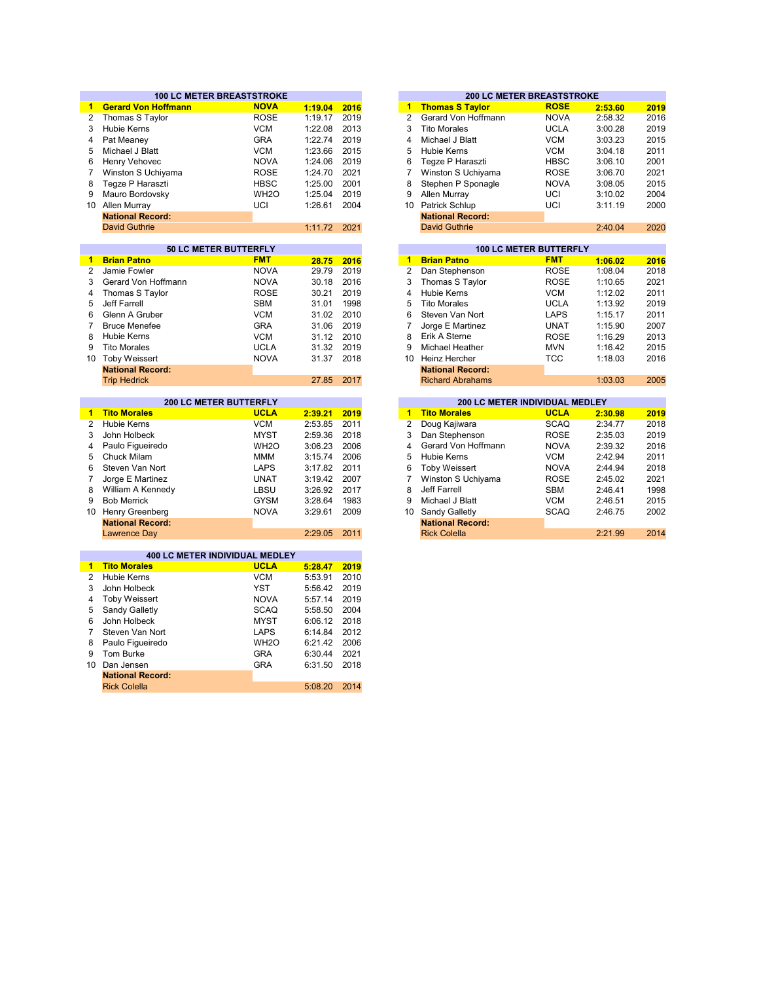|                | <b>100 LC METER BREASTSTROKE</b> |                   |         |      |                         | <b>200 LC METER BREASTSTROKE</b>      |             |         |      |
|----------------|----------------------------------|-------------------|---------|------|-------------------------|---------------------------------------|-------------|---------|------|
| 1              | <b>Gerard Von Hoffmann</b>       | <b>NOVA</b>       | 1:19.04 | 2016 | $\blacktriangleleft$    | <b>Thomas S Taylor</b>                | <b>ROSE</b> | 2:53.60 | 2019 |
| 2              | Thomas S Taylor                  | <b>ROSE</b>       | 1:19.17 | 2019 | 2                       | Gerard Von Hoffmann                   | <b>NOVA</b> | 2:58.32 | 2016 |
| 3              | <b>Hubie Kerns</b>               | <b>VCM</b>        | 1:22.08 | 2013 | 3                       | <b>Tito Morales</b>                   | <b>UCLA</b> | 3:00.28 | 2019 |
| 4              | Pat Meaney                       | <b>GRA</b>        | 1:22.74 | 2019 | $\overline{\mathbf{4}}$ | Michael J Blatt                       | <b>VCM</b>  | 3:03.23 | 2015 |
| 5              | Michael J Blatt                  | <b>VCM</b>        | 1:23.66 | 2015 | 5                       | Hubie Kerns                           | <b>VCM</b>  | 3:04.18 | 2011 |
| 6              | Henry Vehovec                    | <b>NOVA</b>       | 1:24.06 | 2019 | 6                       | Tegze P Haraszti                      | <b>HBSC</b> | 3:06.10 | 2001 |
| 7              | Winston S Uchiyama               | <b>ROSE</b>       | 1:24.70 | 2021 | 7                       | Winston S Uchiyama                    | <b>ROSE</b> | 3:06.70 | 2021 |
| 8              | Teqze P Haraszti                 | <b>HBSC</b>       | 1:25.00 | 2001 | 8                       | Stephen P Sponagle                    | <b>NOVA</b> | 3:08.05 | 2015 |
| 9              | Mauro Bordovsky                  | WH <sub>20</sub>  | 1:25.04 | 2019 | 9                       | Allen Murray                          | UCI         | 3:10.02 | 2004 |
|                | 10 Allen Murray                  | UCI               | 1:26.61 | 2004 | 10                      | Patrick Schlup                        | UCI         | 3:11.19 | 2000 |
|                | <b>National Record:</b>          |                   |         |      |                         | <b>National Record:</b>               |             |         |      |
|                | <b>David Guthrie</b>             |                   | 1:11.72 | 2021 |                         | <b>David Guthrie</b>                  |             | 2:40.04 | 2020 |
|                |                                  |                   |         |      |                         |                                       |             |         |      |
|                | 50 LC METER BUTTERFLY            |                   |         |      |                         | <b>100 LC METER BUTTERFLY</b>         |             |         |      |
| $\mathbf{1}$   | <b>Brian Patno</b>               | <b>FMT</b>        | 28.75   | 2016 | $\blacktriangleleft$    | <b>Brian Patno</b>                    | <b>FMT</b>  | 1:06.02 | 2016 |
| $\overline{2}$ | Jamie Fowler                     | <b>NOVA</b>       | 29.79   | 2019 | $\overline{2}$          | Dan Stephenson                        | <b>ROSE</b> | 1:08.04 | 2018 |
| 3              | Gerard Von Hoffmann              | <b>NOVA</b>       | 30.18   | 2016 | 3                       | Thomas S Taylor                       | <b>ROSE</b> | 1:10.65 | 2021 |
| $\overline{4}$ | Thomas S Taylor                  | <b>ROSE</b>       | 30.21   | 2019 | 4                       | Hubie Kerns                           | <b>VCM</b>  | 1:12.02 | 2011 |
| 5              | Jeff Farrell                     | <b>SBM</b>        | 31.01   | 1998 | 5                       | <b>Tito Morales</b>                   | <b>UCLA</b> | 1:13.92 | 2019 |
| 6              | Glenn A Gruber                   | <b>VCM</b>        | 31.02   | 2010 | 6                       | Steven Van Nort                       | <b>LAPS</b> | 1:15.17 | 2011 |
| $\overline{7}$ | <b>Bruce Menefee</b>             | <b>GRA</b>        | 31.06   | 2019 | $\overline{7}$          | Jorge E Martinez                      | <b>UNAT</b> | 1:15.90 | 2007 |
| 8              | <b>Hubie Kerns</b>               | <b>VCM</b>        | 31.12   | 2010 | 8                       | Erik A Sterne                         | <b>ROSE</b> | 1:16.29 | 2013 |
| 9              | <b>Tito Morales</b>              | <b>UCLA</b>       | 31.32   | 2019 | 9                       | Michael Heather                       | <b>MVN</b>  | 1:16.42 | 2015 |
|                | 10 Toby Weissert                 | <b>NOVA</b>       | 31.37   | 2018 | 10 <sup>1</sup>         | <b>Heinz Hercher</b>                  | <b>TCC</b>  | 1:18.03 | 2016 |
|                | <b>National Record:</b>          |                   |         |      |                         | <b>National Record:</b>               |             |         |      |
|                | <b>Trip Hedrick</b>              |                   | 27.85   | 2017 |                         | <b>Richard Abrahams</b>               |             | 1:03.03 | 2005 |
|                |                                  |                   |         |      |                         |                                       |             |         |      |
|                |                                  |                   |         |      |                         |                                       |             |         |      |
|                | <b>200 LC METER BUTTERFLY</b>    |                   |         |      |                         | <b>200 LC METER INDIVIDUAL MEDLEY</b> |             |         |      |
| $\blacksquare$ | <b>Tito Morales</b>              | <b>UCLA</b>       | 2:39.21 | 2019 | $\mathbf{1}$            | <b>Tito Morales</b>                   | <b>UCLA</b> | 2:30.98 | 2019 |
| $\overline{2}$ | <b>Hubie Kerns</b>               | <b>VCM</b>        | 2:53.85 | 2011 | $\overline{2}$          | Doug Kajiwara                         | <b>SCAQ</b> | 2:34.77 | 2018 |
| 3              | John Holbeck                     | <b>MYST</b>       | 2:59.36 | 2018 | 3                       | Dan Stephenson                        | <b>ROSE</b> | 2:35.03 | 2019 |
| 4              | Paulo Figueiredo                 | WH <sub>2</sub> O | 3:06.23 | 2006 | 4                       | Gerard Von Hoffmann                   | <b>NOVA</b> | 2:39.32 | 2016 |
| 5              | <b>Chuck Milam</b>               | MMM               | 3:15.74 | 2006 | 5                       | <b>Hubie Kerns</b>                    | <b>VCM</b>  | 2:42.94 | 2011 |
| 6              | Steven Van Nort                  | <b>LAPS</b>       | 3:17.82 | 2011 | 6                       | <b>Toby Weissert</b>                  | <b>NOVA</b> | 2:44.94 | 2018 |
| 7              | Jorge E Martinez                 | <b>UNAT</b>       | 3:19.42 | 2007 | $\overline{7}$          | Winston S Uchiyama                    | <b>ROSE</b> | 2:45.02 | 2021 |
| 8              | William A Kennedy                | LBSU              | 3:26.92 | 2017 | 8                       | Jeff Farrell                          | <b>SBM</b>  | 2:46.41 | 1998 |
| 9              | <b>Bob Merrick</b>               | <b>GYSM</b>       | 3:28.64 | 1983 | 9                       | Michael J Blatt                       | <b>VCM</b>  | 2:46.51 | 2015 |
|                | 10 Henry Greenberg               | <b>NOVA</b>       | 3:29.61 | 2009 | 10                      | Sandy Galletly                        | <b>SCAQ</b> | 2:46.75 | 2002 |
|                | <b>National Record:</b>          |                   |         |      |                         | <b>National Record:</b>               |             |         |      |
|                | <b>Lawrence Day</b>              |                   | 2:29.05 | 2011 |                         | <b>Rick Colella</b>                   |             | 2:21.99 | 2014 |
|                |                                  |                   |         |      |                         |                                       |             |         |      |
|                | 400 LC METER INDIVIDUAL MEDLEY   |                   |         |      |                         |                                       |             |         |      |
| 1.             | <b>Tito Morales</b>              | <b>UCLA</b>       | 5:28.47 | 2019 |                         |                                       |             |         |      |
| $\overline{2}$ | <b>Hubie Kerns</b>               | <b>VCM</b>        | 5:53.91 | 2010 |                         |                                       |             |         |      |
| 3              | John Holbeck                     | <b>YST</b>        | 5:56.42 | 2019 |                         |                                       |             |         |      |
| 4              | <b>Toby Weissert</b>             | <b>NOVA</b>       | 5:57.14 | 2019 |                         |                                       |             |         |      |
| 5              | Sandy Galletly                   | <b>SCAQ</b>       | 5:58.50 | 2004 |                         |                                       |             |         |      |
| 6              | John Holbeck                     | <b>MYST</b>       | 6:06.12 | 2018 |                         |                                       |             |         |      |
| 7              | Steven Van Nort                  | <b>LAPS</b>       | 6:14.84 | 2012 |                         |                                       |             |         |      |
| 8              | Paulo Figueiredo                 | WH <sub>20</sub>  | 6:21.42 | 2006 |                         |                                       |             |         |      |
| 9              | Tom Burke                        | <b>GRA</b>        | 6:30.44 | 2021 |                         |                                       |             |         |      |
| 10             | Dan Jensen                       | <b>GRA</b>        | 6:31.50 | 2018 |                         |                                       |             |         |      |
|                | <b>National Record:</b>          |                   | 5:08.20 | 2014 |                         |                                       |             |         |      |

|         |      |                |                         | <b>200 LC METER BREASTSTROKE</b> |         |      |
|---------|------|----------------|-------------------------|----------------------------------|---------|------|
| 1:19.04 | 2016 | 1              | <b>Thomas S Taylor</b>  | <b>ROSE</b>                      | 2:53.60 | 2019 |
| 1:19.17 | 2019 | $\overline{2}$ | Gerard Von Hoffmann     | <b>NOVA</b>                      | 2:58.32 | 2016 |
| 1:22.08 | 2013 | 3              | <b>Tito Morales</b>     | <b>UCLA</b>                      | 3:00.28 | 2019 |
| 1:22.74 | 2019 | 4              | Michael J Blatt         | <b>VCM</b>                       | 3:03.23 | 2015 |
| 1:23.66 | 2015 | 5              | Hubie Kerns             | <b>VCM</b>                       | 3:04.18 | 2011 |
| 1:24.06 | 2019 | 6              | Tegze P Haraszti        | <b>HBSC</b>                      | 3:06.10 | 2001 |
| 1:24.70 | 2021 | 7              | Winston S Uchiyama      | <b>ROSE</b>                      | 3:06.70 | 2021 |
| 1:25.00 | 2001 | 8              | Stephen P Sponagle      | <b>NOVA</b>                      | 3:08.05 | 2015 |
| 1:25.04 | 2019 | 9              | Allen Murray            | UCI                              | 3:10.02 | 2004 |
| 1:26.61 | 2004 | 10             | Patrick Schlup          | UCI                              | 3:11.19 | 2000 |
|         |      |                | <b>National Record:</b> |                                  |         |      |
| 1:11.72 | 2021 |                | <b>David Guthrie</b>    |                                  | 2:40.04 | 2020 |
|         |      |                |                         |                                  |         |      |
|         |      |                |                         | <b>100 LC METER BUTTERFLY</b>    |         |      |
| 28.75   | 2016 | 1              | <b>Brian Patno</b>      | <b>FMT</b>                       | 1:06.02 | 2016 |

| 28.75 | 2016 | 1            | <b>Brian Patho</b>      | FM I        | 1:06.02 | 2016 |
|-------|------|--------------|-------------------------|-------------|---------|------|
| 29.79 | 2019 | $\mathbf{2}$ | Dan Stephenson          | <b>ROSE</b> | 1:08.04 | 2018 |
| 30.18 | 2016 | 3            | Thomas S Taylor         | <b>ROSE</b> | 1:10.65 | 2021 |
| 30.21 | 2019 | 4            | Hubie Kerns             | <b>VCM</b>  | 1:12.02 | 2011 |
| 31.01 | 1998 | 5            | <b>Tito Morales</b>     | <b>UCLA</b> | 1:13.92 | 2019 |
| 31.02 | 2010 | 6            | Steven Van Nort         | <b>LAPS</b> | 1:15.17 | 2011 |
| 31.06 | 2019 | 7            | Jorge E Martinez        | <b>UNAT</b> | 1:15.90 | 2007 |
| 31.12 | 2010 | 8            | Erik A Sterne           | <b>ROSE</b> | 1:16.29 | 2013 |
| 31.32 | 2019 | 9            | Michael Heather         | <b>MVN</b>  | 1:16.42 | 2015 |
| 31.37 | 2018 | 10           | Heinz Hercher           | <b>TCC</b>  | 1:18.03 | 2016 |
|       |      |              | <b>National Record:</b> |             |         |      |
| 27.85 | 2017 |              | <b>Richard Abrahams</b> |             | 1:03.03 | 2005 |
|       |      |              |                         |             |         |      |

|         |      |    | 200 LC METER INDIVIDUAL MEDLEY |             |         |      |
|---------|------|----|--------------------------------|-------------|---------|------|
| 2:39.21 | 2019 | 1  | <b>Tito Morales</b>            | <b>UCLA</b> | 2:30.98 | 2019 |
| 2:53.85 | 2011 | 2  | Doug Kajiwara                  | <b>SCAQ</b> | 2:34.77 | 2018 |
| 2:59.36 | 2018 | 3  | Dan Stephenson                 | <b>ROSE</b> | 2:35.03 | 2019 |
| 3:06.23 | 2006 | 4  | Gerard Von Hoffmann            | <b>NOVA</b> | 2:39.32 | 2016 |
| 3:15.74 | 2006 | 5  | Hubie Kerns                    | <b>VCM</b>  | 2:42.94 | 2011 |
| 3:17.82 | 2011 | 6  | <b>Toby Weissert</b>           | <b>NOVA</b> | 2:44.94 | 2018 |
| 3:19.42 | 2007 |    | Winston S Uchiyama             | <b>ROSE</b> | 2:45.02 | 2021 |
| 3:26.92 | 2017 | 8  | Jeff Farrell                   | <b>SBM</b>  | 2:46.41 | 1998 |
| 3:28.64 | 1983 | 9  | Michael J Blatt                | <b>VCM</b>  | 2:46.51 | 2015 |
| 3:29.61 | 2009 | 10 | Sandy Galletly                 | <b>SCAQ</b> | 2:46.75 | 2002 |
|         |      |    | <b>National Record:</b>        |             |         |      |
| 2:29.05 | 2011 |    | <b>Rick Colella</b>            |             | 2:21.99 | 2014 |
|         |      |    |                                |             |         |      |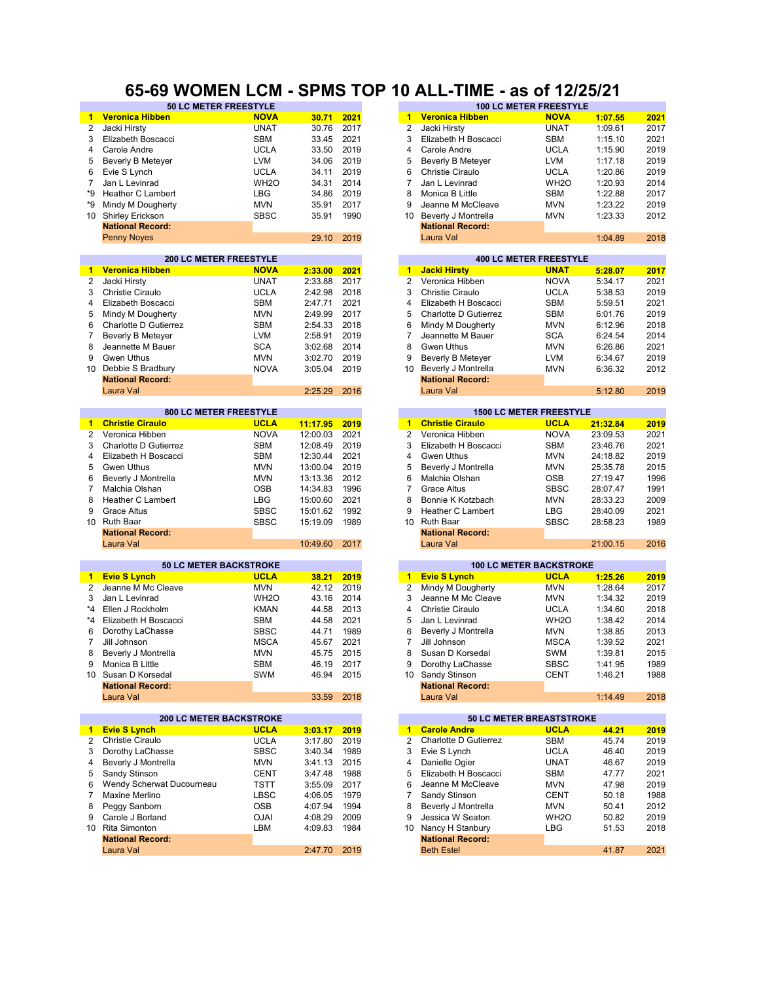#### **65-69 WOMEN LCM - SPMS TOP 10 ALL-TIME - as of 12/25/21**

| 1               | <b>Veronica Hibben</b>         | <b>NOVA</b>      | 30.71      | 2021 | $\mathbf{1}$         | <b>Veronica Hibben</b>   | <b>NOVA</b>                    | 1:07.55  | 2021 |
|-----------------|--------------------------------|------------------|------------|------|----------------------|--------------------------|--------------------------------|----------|------|
| 2               | Jacki Hirsty                   | <b>UNAT</b>      | 30.76      | 2017 | 2                    | Jacki Hirsty             | <b>UNAT</b>                    | 1:09.61  | 2017 |
| 3               | Elizabeth Boscacci             | <b>SBM</b>       | 33.45      | 2021 | 3                    | Elizabeth H Boscacci     | SBM                            | 1:15.10  | 2021 |
| 4               | Carole Andre                   | <b>UCLA</b>      | 33.50      | 2019 | 4                    | Carole Andre             | <b>UCLA</b>                    | 1:15.90  | 2019 |
|                 |                                |                  |            |      |                      |                          |                                |          |      |
| 5               | <b>Beverly B Meteyer</b>       | LVM              | 34.06      | 2019 | 5                    | <b>Beverly B Meteyer</b> | <b>LVM</b>                     | 1:17.18  | 2019 |
| 6               | Evie S Lynch                   | <b>UCLA</b>      | 34.11      | 2019 | 6                    | <b>Christie Ciraulo</b>  | <b>UCLA</b>                    | 1:20.86  | 2019 |
| $\overline{7}$  | Jan L Levinrad                 | WH <sub>20</sub> | 34.31      | 2014 | 7                    | Jan L Levinrad           | WH <sub>2</sub> O              | 1:20.93  | 2014 |
| *9              | Heather C Lambert              | <b>LBG</b>       | 34.86      | 2019 | 8                    | Monica B Little          | <b>SBM</b>                     | 1:22.88  | 2017 |
| *9              | Mindy M Dougherty              | <b>MVN</b>       | 35.91      | 2017 | 9                    | Jeanne M McCleave        | <b>MVN</b>                     | 1:23.22  | 2019 |
| 10 <sup>1</sup> | <b>Shirley Erickson</b>        | <b>SBSC</b>      | 35.91      | 1990 | 10                   | Beverly J Montrella      | <b>MVN</b>                     | 1:23.33  | 2012 |
|                 | <b>National Record:</b>        |                  |            |      |                      | <b>National Record:</b>  |                                |          |      |
|                 |                                |                  |            |      |                      |                          |                                |          |      |
|                 | <b>Penny Noyes</b>             |                  | 29.10      | 2019 |                      | Laura Val                |                                | 1:04.89  | 2018 |
|                 | <b>200 LC METER FREESTYLE</b>  |                  |            |      |                      |                          | <b>400 LC METER FREESTYLE</b>  |          |      |
| $\blacksquare$  | <b>Veronica Hibben</b>         | <b>NOVA</b>      | 2:33.00    | 2021 | $1 -$                | <b>Jacki Hirsty</b>      | <b>UNAT</b>                    | 5:28.07  | 2017 |
| 2               | Jacki Hirsty                   | <b>UNAT</b>      | 2:33.88    | 2017 | $\overline{c}$       | Veronica Hibben          | <b>NOVA</b>                    | 5:34.17  | 2021 |
| 3               | Christie Ciraulo               | <b>UCLA</b>      | 2:42.98    | 2018 | 3                    | <b>Christie Ciraulo</b>  | <b>UCLA</b>                    | 5:38.53  | 2019 |
|                 |                                |                  |            |      |                      |                          |                                |          |      |
| 4               | Elizabeth Boscacci             | SBM              | 2:47.71    | 2021 | 4                    | Elizabeth H Boscacci     | <b>SBM</b>                     | 5:59.51  | 2021 |
| 5               | Mindy M Dougherty              | <b>MVN</b>       | 2:49.99    | 2017 | 5                    | Charlotte D Gutierrez    | <b>SBM</b>                     | 6:01.76  | 2019 |
| 6               | Charlotte D Gutierrez          | <b>SBM</b>       | 2:54.33    | 2018 | 6                    | Mindy M Dougherty        | <b>MVN</b>                     | 6:12.96  | 2018 |
| $\overline{7}$  | Beverly B Meteyer              | <b>LVM</b>       | 2:58.91    | 2019 | $\overline{7}$       | Jeannette M Bauer        | <b>SCA</b>                     | 6:24.54  | 2014 |
| 8               | Jeannette M Bauer              | <b>SCA</b>       | 3:02.68    | 2014 | 8                    | Gwen Uthus               | <b>MVN</b>                     | 6:26.86  | 2021 |
| 9               | <b>Gwen Uthus</b>              | <b>MVN</b>       | 3:02.70    | 2019 | 9                    | Beverly B Meteyer        | <b>LVM</b>                     | 6:34.67  | 2019 |
| 10              | Debbie S Bradbury              | <b>NOVA</b>      |            | 2019 | 10                   | Beverly J Montrella      |                                |          | 2012 |
|                 |                                |                  | 3:05.04    |      |                      |                          | <b>MVN</b>                     | 6:36.32  |      |
|                 | <b>National Record:</b>        |                  |            |      |                      | <b>National Record:</b>  |                                |          |      |
|                 | Laura Val                      |                  | 2:25.29    | 2016 |                      | Laura Val                |                                | 5:12.80  | 2019 |
|                 | 800 LC METER FREESTYLE         |                  |            |      |                      |                          | <b>1500 LC METER FREESTYLE</b> |          |      |
| 1               | <b>Christie Ciraulo</b>        | <b>UCLA</b>      | 11:17.95   | 2019 | $\mathbf{1}$         | <b>Christie Ciraulo</b>  | <b>UCLA</b>                    | 21:32.84 | 2019 |
| 2               |                                | <b>NOVA</b>      |            | 2021 | $\overline{2}$       |                          | <b>NOVA</b>                    |          | 2021 |
|                 | Veronica Hibben                |                  | 12:00.03   |      |                      | Veronica Hibben          |                                | 23:09.53 |      |
| 3               | Charlotte D Gutierrez          | <b>SBM</b>       | 12:08.49   | 2019 | 3                    | Elizabeth H Boscacci     | <b>SBM</b>                     | 23:46.76 | 2021 |
| 4               | Elizabeth H Boscacci           | <b>SBM</b>       | 12:30.44   | 2021 | 4                    | Gwen Uthus               | <b>MVN</b>                     | 24:18.82 | 2019 |
| 5               | <b>Gwen Uthus</b>              | <b>MVN</b>       | 13:00.04   | 2019 | 5                    | Beverly J Montrella      | <b>MVN</b>                     | 25:35.78 | 2015 |
| 6               | Beverly J Montrella            | <b>MVN</b>       | 13:13.36   | 2012 | 6                    | Malchia Olshan           | <b>OSB</b>                     | 27:19.47 | 1996 |
| $\overline{7}$  | Malchia Olshan                 | <b>OSB</b>       | 14:34.83   | 1996 | 7                    | <b>Grace Altus</b>       | <b>SBSC</b>                    | 28:07.47 | 1991 |
| 8               | Heather C Lambert              | <b>LBG</b>       | 15:00.60   | 2021 | 8                    | Bonnie K Kotzbach        | <b>MVN</b>                     | 28:33.23 | 2009 |
| 9               | <b>Grace Altus</b>             | <b>SBSC</b>      | 15:01.62   | 1992 | 9                    | <b>Heather C Lambert</b> | LBG                            | 28:40.09 | 2021 |
| 10 <sup>°</sup> | <b>Ruth Baar</b>               | <b>SBSC</b>      | 15:19.09   | 1989 | 10 <sup>°</sup>      | <b>Ruth Baar</b>         | <b>SBSC</b>                    | 28:58.23 | 1989 |
|                 |                                |                  |            |      |                      |                          |                                |          |      |
|                 | <b>National Record:</b>        |                  |            |      |                      | <b>National Record:</b>  |                                |          |      |
|                 | Laura Val                      |                  | 10:49.60   | 2017 |                      | Laura Val                |                                | 21:00.15 | 2016 |
|                 | <b>50 LC METER BACKSTROKE</b>  |                  |            |      |                      |                          | <b>100 LC METER BACKSTROKE</b> |          |      |
| $\blacksquare$  | <b>Evie S Lynch</b>            | <b>UCLA</b>      | 38.21      | 2019 | $\blacktriangleleft$ | <b>Evie S Lynch</b>      | <b>UCLA</b>                    | 1:25.26  | 2019 |
| $\overline{2}$  | Jeanne M Mc Cleave             | <b>MVN</b>       | 42.12 2019 |      | $\overline{2}$       | Mindy M Dougherty        | <b>MVN</b>                     | 1:28.64  | 2017 |
| 3               | Jan L Levinrad                 | WH <sub>20</sub> | 43.16      | 2014 | 3                    | Jeanne M Mc Cleave       | <b>MVN</b>                     | 1:34.32  | 2019 |
| *4              | Ellen J Rockholm               | <b>KMAN</b>      | 44.58      | 2013 | 4                    | <b>Christie Ciraulo</b>  | <b>UCLA</b>                    | 1:34.60  | 2018 |
|                 |                                |                  |            |      |                      |                          |                                |          |      |
| $*_{4}$         | Elizabeth H Boscacci           | <b>SBM</b>       | 44.58      | 2021 | 5                    | Jan L Levinrad           | WH <sub>2</sub> O              | 1:38.42  | 2014 |
| 6               | Dorothy LaChasse               | <b>SBSC</b>      | 44.71      | 1989 | 6                    | Beverly J Montrella      | <b>MVN</b>                     | 1:38.85  | 2013 |
| $\overline{7}$  | Jill Johnson                   | <b>MSCA</b>      | 45.67      | 2021 | 7                    | Jill Johnson             | <b>MSCA</b>                    | 1:39.52  | 2021 |
| 8               | Beverly J Montrella            | <b>MVN</b>       | 45.75      | 2015 | 8                    | Susan D Korsedal         | SWM                            | 1:39.81  | 2015 |
| 9               | Monica B Little                | SBM              | 46.19 2017 |      | 9                    | Dorothy LaChasse         | SBSC                           | 1:41.95  | 1989 |
|                 | 10 Susan D Korsedal            | SWM              | 46.94 2015 |      |                      | 10 Sandy Stinson         | CENT                           | 1:46.21  | 1988 |
|                 | <b>National Record:</b>        |                  |            |      |                      | <b>National Record:</b>  |                                |          |      |
|                 | Laura Val                      |                  | 33.59      | 2018 |                      | Laura Val                |                                | 1:14.49  | 2018 |
|                 |                                |                  |            |      |                      |                          |                                |          |      |
|                 | <b>200 LC METER BACKSTROKE</b> |                  |            |      |                      |                          | 50 LC METER BREASTSTROKE       |          |      |
| 1               | <b>Evie S Lynch</b>            | <b>UCLA</b>      | 3:03.17    | 2019 | $\blacksquare$       | <b>Carole Andre</b>      | <b>UCLA</b>                    | 44.21    | 2019 |
| $\mathbf{2}$    | Christie Ciraulo               | <b>UCLA</b>      | 3:17.80    | 2019 | 2                    | Charlotte D Gutierrez    | SBM                            | 45.74    | 2019 |
| 3               | Dorothy LaChasse               | <b>SBSC</b>      | 3:40.34    | 1989 | 3                    | Evie S Lynch             | <b>UCLA</b>                    | 46.40    | 2019 |
| 4               | Beverly J Montrella            | MVN              | 3:41.13    | 2015 | 4                    | Danielle Ogier           | <b>UNAT</b>                    | 46.67    | 2019 |
| 5               | Sandy Stinson                  | <b>CENT</b>      | 3:47.48    | 1988 | 5                    | Elizabeth H Boscacci     | SBM                            | 47.77    | 2021 |
| 6               | Wendy Scherwat Ducourneau      | <b>TSTT</b>      | 3:55.09    | 2017 | 6                    | Jeanne M McCleave        | <b>MVN</b>                     | 47.98    | 2019 |
|                 |                                |                  |            |      |                      |                          |                                |          |      |
| 7               | Maxine Merlino                 | LBSC             | 4:06.05    | 1979 | 7                    | Sandy Stinson            | <b>CENT</b>                    | 50.18    | 1988 |
| 8               | Peggy Sanborn                  | OSB              | 4:07.94    | 1994 | 8                    | Beverly J Montrella      | <b>MVN</b>                     | 50.41    | 2012 |
| 9               | Carole J Borland               | <b>OJAI</b>      | 4:08.29    | 2009 | 9                    | Jessica W Seaton         | WH <sub>2</sub> O              | 50.82    | 2019 |
| 10              | Rita Simonton                  | LBM              | 4:09.83    | 1984 | 10                   | Nancy H Stanbury         | LBG                            | 51.53    | 2018 |
|                 | <b>National Record:</b>        |                  |            |      |                      | <b>National Record:</b>  |                                |          |      |
|                 | Laura Val                      |                  | 2:47.70    | 2019 |                      | <b>Beth Estel</b>        |                                | 41.87    | 2021 |
|                 |                                |                  |            |      |                      |                          |                                |          |      |

|       | <b>50 LC METER FREESTYLE</b>  |          |      |                     |                         | <b>100 LC METER FREESTYLE</b>  |                      |      |
|-------|-------------------------------|----------|------|---------------------|-------------------------|--------------------------------|----------------------|------|
|       | <b>NOVA</b>                   | 30.71    | 2021 | $\mathbf{1}$        | <b>Veronica Hibben</b>  | <b>NOVA</b>                    | 1:07.55              | 2021 |
|       | <b>UNAT</b>                   | 30.76    | 2017 | $\overline{2}$      | Jacki Hirsty            | <b>UNAT</b>                    | 1:09.61              | 2017 |
| :ci   | <b>SBM</b>                    | 33.45    | 2021 | 3                   | Elizabeth H Boscacci    | <b>SBM</b>                     | 1:15.10              | 2021 |
|       | <b>UCLA</b>                   | 33.50    | 2019 | $\overline{4}$      | Carole Andre            | <b>UCLA</b>                    | 1:15.90              | 2019 |
| эr    | <b>LVM</b>                    | 34.06    | 2019 | 5                   | Beverly B Meteyer       | <b>LVM</b>                     | 1:17.18              | 2019 |
|       | <b>UCLA</b>                   | 34.11    | 2019 | 6                   | Christie Ciraulo        | <b>UCLA</b>                    | 1:20.86              | 2019 |
|       | WH <sub>2</sub> O             | 34.31    | 2014 | 7                   | Jan L Levinrad          | WH <sub>2</sub> O              | 1:20.93              | 2014 |
| ert   | <b>LBG</b>                    | 34.86    | 2019 | 8                   | Monica B Little         | <b>SBM</b>                     | 1:22.88              | 2017 |
| rty   | <b>MVN</b>                    | 35.91    | 2017 | 9                   | Jeanne M McCleave       | <b>MVN</b>                     | 1:23.22              | 2019 |
|       | <b>SBSC</b>                   | 35.91    | 1990 | 10                  | Beverly J Montrella     | <b>MVN</b>                     | 1:23.33              | 2012 |
|       |                               |          |      |                     | <b>National Record:</b> |                                |                      |      |
|       |                               | 29.10    | 2019 |                     | Laura Val               |                                | 1:04.89              | 2018 |
|       |                               |          |      |                     |                         |                                |                      |      |
|       | <b>200 LC METER FREESTYLE</b> |          |      |                     |                         | <b>400 LC METER FREESTYLE</b>  |                      |      |
| ī     | <b>NOVA</b>                   | 2:33.00  | 2021 | $\mathbf{1}$        | <b>Jacki Hirsty</b>     | <b>UNAT</b>                    | 5:28.07              | 2017 |
|       | <b>UNAT</b>                   | 2:33.88  | 2017 | $\overline{2}$      | Veronica Hibben         | <b>NOVA</b>                    | 5:34.17              | 2021 |
|       | <b>UCLA</b>                   | 2:42.98  | 2018 | 3                   | Christie Ciraulo        | <b>UCLA</b>                    | 5:38.53              | 2019 |
| :ci   | <b>SBM</b>                    | 2:47.71  | 2021 | 4                   | Elizabeth H Boscacci    | <b>SBM</b>                     | 5:59.51              | 2021 |
| rty   | <b>MVN</b>                    | 2:49.99  | 2017 | 5                   | Charlotte D Gutierrez   | <b>SBM</b>                     | 6:01.76              | 2019 |
| errez | <b>SBM</b>                    | 2:54.33  | 2018 | 6                   | Mindy M Dougherty       | <b>MVN</b>                     | 6:12.96              | 2018 |
| эr    | <b>LVM</b>                    | 2:58.91  | 2019 | 7                   | Jeannette M Bauer       | <b>SCA</b>                     | 6:24.54              | 2014 |
| er    | <b>SCA</b>                    | 3:02.68  | 2014 | 8                   | Gwen Uthus              | <b>MVN</b>                     | 6:26.86              | 2021 |
|       | <b>MVN</b>                    | 3:02.70  | 2019 | 9                   | Beverly B Meteyer       | <b>LVM</b>                     | 6:34.67              | 2019 |
| ıry   | <b>NOVA</b>                   | 3:05.04  | 2019 | 10                  | Beverly J Montrella     | <b>MVN</b>                     | 6:36.32              | 2012 |
|       |                               |          |      |                     | <b>National Record:</b> |                                |                      |      |
|       |                               | 2:25.29  | 2016 |                     | Laura Val               |                                | 5:12.80              | 2019 |
|       | <b>800 LC METER FREESTYLE</b> |          |      |                     |                         | <b>1500 LC METER FREESTYLE</b> |                      |      |
|       | <b>UCLA</b>                   | 11:17.95 | 2019 | $\mathbf{1}$        | <b>Christie Ciraulo</b> | <b>UCLA</b>                    | 21:32.84             | 2019 |
|       | <b>NOVA</b>                   | 12:00.03 | 2021 | 2                   | Veronica Hibben         | <b>NOVA</b>                    | 23:09.53             | 2021 |
|       | <b>SBM</b>                    | 12:08.49 | 2019 | 3                   | Elizabeth H Boscacci    | <b>SBM</b>                     | 23:46.76             | 2021 |
| errez | <b>SBM</b>                    | 12:30.44 | 2021 | 4                   | Gwen Uthus              | <b>MVN</b>                     |                      | 2019 |
| acci  | <b>MVN</b>                    | 13:00.04 | 2019 | 5                   | Beverly J Montrella     | <b>MVN</b>                     | 24:18.82<br>25:35.78 | 2015 |
|       | <b>MVN</b>                    | 13:13.36 | 2012 |                     | Malchia Olshan          | <b>OSB</b>                     |                      | 1996 |
| lla   | <b>OCD</b>                    | 11.3193  | 1006 | 6<br>$\overline{ }$ | Cross Altus             | CDCC                           | 27:19.47<br>28.07A7  | 1001 |
|       |                               |          |      |                     |                         |                                |                      |      |

| 15:19.09 | 1989 | 10 | Ruth Baar               |                                | <b>SBSC</b>       | 28:58.23 | 1989 |
|----------|------|----|-------------------------|--------------------------------|-------------------|----------|------|
|          |      |    | <b>National Record:</b> |                                |                   |          |      |
| 10:49.60 | 2017 |    | Laura Val               |                                |                   | 21:00.15 | 2016 |
|          |      |    |                         |                                |                   |          |      |
|          |      |    |                         | <b>100 LC METER BACKSTROKE</b> |                   |          |      |
| 38.21    | 2019 | 1. | <b>Evie S Lynch</b>     |                                | <b>UCLA</b>       | 1:25.26  | 2019 |
| 42.12    | 2019 | 2  | Mindy M Dougherty       | <b>MVN</b>                     |                   | 1:28.64  | 2017 |
| 43.16    | 2014 | 3  | Jeanne M Mc Cleave      | <b>MVN</b>                     |                   | 1:34.32  | 2019 |
| 44.58    | 2013 | 4  | Christie Ciraulo        |                                | <b>UCLA</b>       | 1:34.60  | 2018 |
| 44.58    | 2021 | 5  | Jan L Levinrad          |                                | WH <sub>2</sub> O | 1:38.42  | 2014 |
| 44.71    | 1989 | 6  | Beverly J Montrella     | <b>MVN</b>                     |                   | 1:38.85  | 2013 |
| 45.67    | 2021 | 7  | Jill Johnson            |                                | <b>MSCA</b>       | 1:39.52  | 2021 |
| 45.75    | 2015 | 8  | Susan D Korsedal        | SWM                            |                   | 1:39.81  | 2015 |
| 46.19    | 2017 | 9  | Dorothy LaChasse        |                                | <b>SBSC</b>       | 1:41.95  | 1989 |
| 46.94    | 2015 | 10 | Sandy Stinson           |                                | <b>CENT</b>       | 1:46.21  | 1988 |
|          |      |    | <b>National Record:</b> |                                |                   |          |      |
| 33.59    | 2018 |    | Laura Val               |                                |                   | 1:14.49  | 2018 |
|          |      |    |                         |                                |                   |          |      |

|         |      |    | <b>50 LC METER BREASTSTROKE</b> |                   |       |      |  |  |  |  |
|---------|------|----|---------------------------------|-------------------|-------|------|--|--|--|--|
| 3:03.17 | 2019 | 1  | <b>Carole Andre</b>             | <b>UCLA</b>       | 44.21 | 2019 |  |  |  |  |
| 3:17.80 | 2019 | 2  | Charlotte D Gutierrez           | <b>SBM</b>        | 45.74 | 2019 |  |  |  |  |
| 3:40.34 | 1989 | 3  | Evie S Lynch                    | <b>UCLA</b>       | 46.40 | 2019 |  |  |  |  |
| 3:41.13 | 2015 | 4  | Danielle Ogier                  | <b>UNAT</b>       | 46.67 | 2019 |  |  |  |  |
| 3:47.48 | 1988 | 5  | Elizabeth H Boscacci            | <b>SBM</b>        | 47.77 | 2021 |  |  |  |  |
| 3:55.09 | 2017 | 6  | Jeanne M McCleave               | <b>MVN</b>        | 47.98 | 2019 |  |  |  |  |
| 4:06.05 | 1979 |    | Sandy Stinson                   | <b>CENT</b>       | 50.18 | 1988 |  |  |  |  |
| 4:07.94 | 1994 | 8  | Beverly J Montrella             | <b>MVN</b>        | 50.41 | 2012 |  |  |  |  |
| 4:08.29 | 2009 | 9  | Jessica W Seaton                | WH <sub>2</sub> O | 50.82 | 2019 |  |  |  |  |
| 4:09.83 | 1984 | 10 | Nancy H Stanbury                | <b>LBG</b>        | 51.53 | 2018 |  |  |  |  |
|         |      |    | <b>National Record:</b>         |                   |       |      |  |  |  |  |
| 2:47.70 | 2019 |    | <b>Beth Estel</b>               |                   | 41.87 | 2021 |  |  |  |  |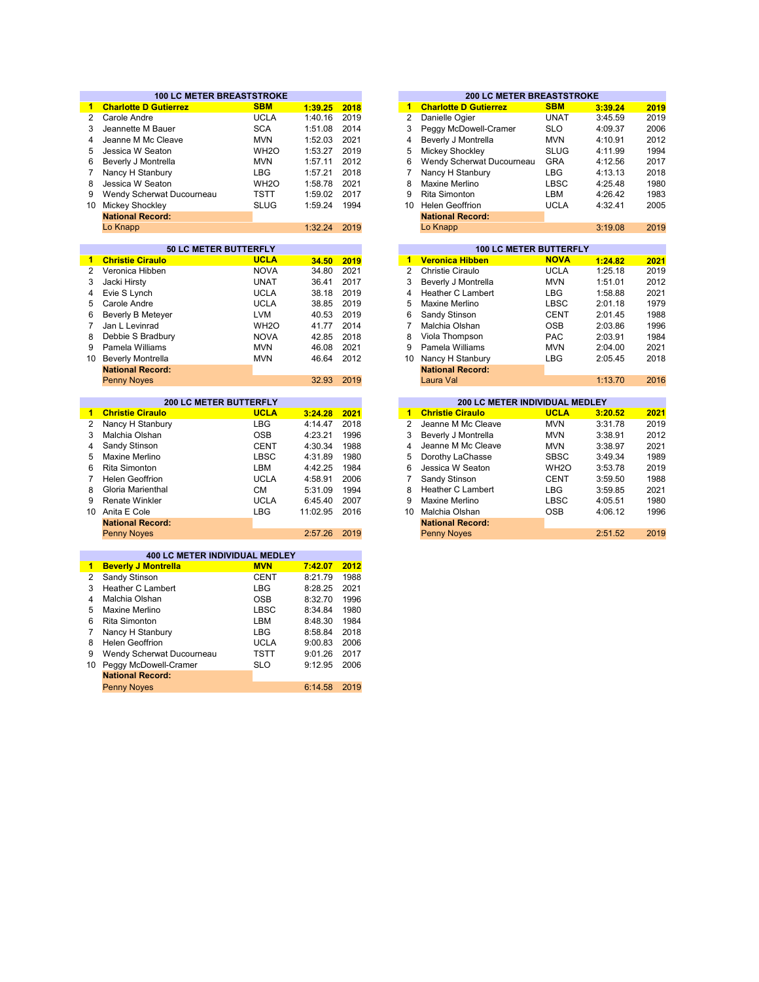|                | <b>100 LC METER BREASTSTROKE</b>              |                           |                     |              |                      | <b>200 LC METER BREASTSTROKE</b> |                           |                    |                                                                                      |
|----------------|-----------------------------------------------|---------------------------|---------------------|--------------|----------------------|----------------------------------|---------------------------|--------------------|--------------------------------------------------------------------------------------|
| 1.             | <b>Charlotte D Gutierrez</b>                  | <b>SBM</b>                | 1:39.25             | 2018         | $\mathbf{1}$         | <b>Charlotte D Gutierrez</b>     | <b>SBM</b>                | 3:39.24            | 2019                                                                                 |
| $\overline{2}$ | Carole Andre                                  | <b>UCLA</b>               | 1:40.16             | 2019         | $\overline{2}$       | Danielle Ogier                   | <b>UNAT</b>               | 3:45.59            | 2019                                                                                 |
| 3              | Jeannette M Bauer                             | <b>SCA</b>                | 1:51.08             | 2014         | 3                    | Peggy McDowell-Cramer            | <b>SLO</b>                | 4:09.37            | 2006                                                                                 |
| 4              | Jeanne M Mc Cleave                            | <b>MVN</b>                | 1:52.03             | 2021         | $\overline{4}$       | Beverly J Montrella              | <b>MVN</b>                | 4:10.91            | 2012                                                                                 |
| 5              | Jessica W Seaton                              | WH <sub>2</sub> O         | 1:53.27             | 2019         | 5                    | <b>Mickey Shockley</b>           | <b>SLUG</b>               | 4:11.99            | 1994                                                                                 |
| 6              | Beverly J Montrella                           | <b>MVN</b>                | 1:57.11             | 2012         | 6                    | Wendy Scherwat Ducourneau        | <b>GRA</b>                | 4:12.56            | 2017                                                                                 |
| $\overline{7}$ | Nancy H Stanbury                              | <b>LBG</b>                | 1:57.21             | 2018         | $\overline{7}$       | Nancy H Stanbury                 | <b>LBG</b>                | 4:13.13            | 2018                                                                                 |
| 8              | Jessica W Seaton                              | WH <sub>20</sub>          | 1:58.78             | 2021         | 8                    | Maxine Merlino                   | <b>LBSC</b>               | 4:25.48            | 1980                                                                                 |
| 9              | Wendy Scherwat Ducourneau                     | TSTT                      | 1:59.02             | 2017         | 9                    | <b>Rita Simonton</b>             | LBM                       | 4:26.42            | 1983                                                                                 |
|                | 10 Mickey Shockley                            | <b>SLUG</b>               | 1:59.24             | 1994         | 10 <sup>1</sup>      | <b>Helen Geoffrion</b>           | <b>UCLA</b>               | 4:32.41            | 2005                                                                                 |
|                | <b>National Record:</b>                       |                           |                     |              |                      | <b>National Record:</b>          |                           |                    |                                                                                      |
|                | Lo Knapp                                      |                           | 1:32.24             | 2019         |                      | Lo Knapp                         |                           | 3:19.08            | 2019                                                                                 |
|                |                                               |                           |                     |              |                      |                                  |                           |                    |                                                                                      |
|                | 50 LC METER BUTTERFLY                         |                           |                     |              |                      | <b>100 LC METER BUTTERFLY</b>    |                           |                    |                                                                                      |
| 1              | <b>Christie Ciraulo</b>                       | <b>UCLA</b>               | 34.50               | 2019         | $\blacktriangleleft$ | <b>Veronica Hibben</b>           | <b>NOVA</b>               | 1:24.82            | 2021                                                                                 |
| $\overline{2}$ | Veronica Hibben                               | <b>NOVA</b>               | 34.80               | 2021         | $\overline{2}$       | Christie Ciraulo                 | <b>UCLA</b>               | 1:25.18            | 2019                                                                                 |
| 3              | Jacki Hirsty                                  | <b>UNAT</b>               | 36.41               | 2017         | 3                    | Beverly J Montrella              | <b>MVN</b>                | 1:51.01            | 2012                                                                                 |
| 4              | Evie S Lynch                                  | <b>UCLA</b>               | 38.18               | 2019         | 4                    | <b>Heather C Lambert</b>         | <b>LBG</b>                | 1:58.88            | 2021                                                                                 |
| 5              | Carole Andre                                  | <b>UCLA</b>               | 38.85               | 2019         | 5                    | Maxine Merlino                   | <b>LBSC</b>               | 2:01.18            | 1979                                                                                 |
| 6              | <b>Beverly B Meteyer</b>                      | <b>LVM</b>                | 40.53               | 2019         | 6                    | Sandy Stinson                    | <b>CENT</b>               | 2:01.45            | 1988                                                                                 |
| $\overline{7}$ | Jan L Levinrad                                | WH <sub>20</sub>          | 41.77               | 2014         | 7                    | Malchia Olshan                   | <b>OSB</b>                | 2:03.86            | 1996                                                                                 |
| 8              | Debbie S Bradbury                             | <b>NOVA</b>               | 42.85               | 2018         | 8                    | Viola Thompson                   | <b>PAC</b>                | 2:03.91            | 1984                                                                                 |
| 9              | Pamela Williams                               | <b>MVN</b>                | 46.08               | 2021         | 9                    | Pamela Williams                  | <b>MVN</b>                | 2:04.00            | 2021                                                                                 |
| $10-10$        | <b>Beverly Montrella</b>                      | <b>MVN</b>                | 46.64               | 2012         | 10                   | Nancy H Stanbury                 | <b>LBG</b>                | 2:05.45            | 2018                                                                                 |
|                | <b>National Record:</b>                       |                           |                     |              |                      | <b>National Record:</b>          |                           |                    |                                                                                      |
|                | <b>Penny Noves</b>                            |                           | 32.93               | 2019         |                      | Laura Val                        |                           | 1:13.70            | 2016                                                                                 |
|                |                                               |                           |                     |              |                      |                                  |                           |                    |                                                                                      |
|                |                                               |                           |                     |              |                      |                                  |                           |                    |                                                                                      |
|                | <b>200 LC METER BUTTERFLY</b>                 |                           |                     |              |                      | 200 LC METER INDIVIDUAL MEDLEY   |                           |                    |                                                                                      |
| 1.             | <b>Christie Ciraulo</b>                       | <b>UCLA</b>               | 3:24.28             | 2021         | $\blacktriangleleft$ | <b>Christie Ciraulo</b>          | <b>UCLA</b>               | 3:20.52            |                                                                                      |
| 2              | Nancy H Stanbury                              | <b>LBG</b>                | 4:14.47             | 2018         | 2                    | Jeanne M Mc Cleave               | <b>MVN</b>                | 3:31.78            |                                                                                      |
| 3              | Malchia Olshan                                | <b>OSB</b>                | 4:23.21             | 1996         | 3                    | Beverly J Montrella              | <b>MVN</b>                | 3:38.91            |                                                                                      |
| 4              | Sandy Stinson                                 | CENT                      | 4:30.34             | 1988         | 4                    | Jeanne M Mc Cleave               | <b>MVN</b>                | 3:38.97            |                                                                                      |
| 5              | Maxine Merlino                                | <b>LBSC</b>               | 4:31.89             | 1980         | 5                    | Dorothy LaChasse                 | <b>SBSC</b>               | 3:49.34            |                                                                                      |
| 6              | <b>Rita Simonton</b>                          | LBM                       | 4:42.25             | 1984         | 6                    | Jessica W Seaton                 | WH <sub>2</sub> O         | 3:53.78            |                                                                                      |
| $\overline{7}$ | <b>Helen Geoffrion</b>                        | <b>UCLA</b>               | 4:58.91             | 2006         | $\overline{7}$       | Sandy Stinson                    | <b>CENT</b>               | 3:59.50            |                                                                                      |
| 8              | Gloria Marienthal                             | <b>CM</b>                 | 5:31.09             | 1994         | 8                    | <b>Heather C Lambert</b>         | <b>LBG</b>                | 3:59.85            |                                                                                      |
| 9              | <b>Renate Winkler</b>                         |                           |                     |              | 9                    | Maxine Merlino                   |                           |                    |                                                                                      |
|                | 10 Anita E Cole                               | <b>UCLA</b><br><b>LBG</b> | 6:45.40<br>11:02.95 | 2007<br>2016 | 10                   | Malchia Olshan                   | <b>LBSC</b><br><b>OSB</b> | 4:05.51<br>4:06.12 |                                                                                      |
|                |                                               |                           |                     |              |                      |                                  |                           |                    |                                                                                      |
|                | <b>National Record:</b><br><b>Penny Noyes</b> |                           | 2:57.26             | 2019         |                      | <b>National Record:</b>          |                           | 2:51.52            |                                                                                      |
|                |                                               |                           |                     |              |                      | <b>Penny Noyes</b>               |                           |                    |                                                                                      |
|                | <b>400 LC METER INDIVIDUAL MEDLEY</b>         |                           |                     |              |                      |                                  |                           |                    |                                                                                      |
| $\mathbf{1}$   | <b>Beverly J Montrella</b>                    | <b>MVN</b>                | 7:42.07             | 2012         |                      |                                  |                           |                    |                                                                                      |
| 2              | Sandy Stinson                                 | <b>CENT</b>               | 8:21.79             | 1988         |                      |                                  |                           |                    |                                                                                      |
| 3              | <b>Heather C Lambert</b>                      | <b>LBG</b>                | 8:28.25             | 2021         |                      |                                  |                           |                    |                                                                                      |
| 4              | Malchia Olshan                                | <b>OSB</b>                | 8:32.70             | 1996         |                      |                                  |                           |                    |                                                                                      |
| 5              | Maxine Merlino                                | <b>LBSC</b>               | 8:34.84             | 1980         |                      |                                  |                           |                    |                                                                                      |
| 6              | Rita Simonton                                 | LBM                       | 8:48.30             | 1984         |                      |                                  |                           |                    |                                                                                      |
| $\overline{7}$ | Nancy H Stanbury                              | <b>LBG</b>                | 8:58.84             | 2018         |                      |                                  |                           |                    | 2021<br>2019<br>2012<br>2021<br>1989<br>2019<br>1988<br>2021<br>1980<br>1996<br>2019 |
| 8              | <b>Helen Geoffrion</b>                        | <b>UCLA</b>               | 9:00.83             | 2006         |                      |                                  |                           |                    |                                                                                      |
| 9              | Wendy Scherwat Ducourneau                     | <b>TSTT</b>               | 9:01.26             | 2017         |                      |                                  |                           |                    |                                                                                      |
| 10             | Peggy McDowell-Cramer                         | <b>SLO</b>                | 9:12.95             | 2006         |                      |                                  |                           |                    |                                                                                      |
|                | <b>National Record:</b>                       |                           |                     |              |                      |                                  |                           |                    |                                                                                      |

|         |      |    | <b>200 LC METER BREASTSTROKE</b> |             |         |      |
|---------|------|----|----------------------------------|-------------|---------|------|
| 1:39.25 | 2018 | 1  | <b>Charlotte D Gutierrez</b>     | <b>SBM</b>  | 3:39.24 |      |
| 1:40.16 | 2019 | 2  | Danielle Ogier                   | <b>UNAT</b> | 3:45.59 |      |
| 1:51.08 | 2014 | 3  | Peggy McDowell-Cramer            | <b>SLO</b>  | 4:09.37 |      |
| 1:52.03 | 2021 | 4  | Beverly J Montrella              | <b>MVN</b>  | 4:10.91 |      |
| 1:53.27 | 2019 | 5  | Mickey Shockley                  | <b>SLUG</b> | 4:11.99 |      |
| 1:57.11 | 2012 | 6  | Wendy Scherwat Ducourneau        | <b>GRA</b>  | 4:12.56 |      |
| 1:57.21 | 2018 | 7  | Nancy H Stanbury                 | <b>LBG</b>  | 4:13.13 |      |
| 1:58.78 | 2021 | 8  | Maxine Merlino                   | <b>LBSC</b> | 4:25.48 |      |
| 1:59.02 | 2017 | 9  | <b>Rita Simonton</b>             | LBM         | 4:26.42 |      |
| 1:59.24 | 1994 | 10 | <b>Helen Geoffrion</b>           | <b>UCLA</b> | 4:32.41 |      |
|         |      |    | <b>National Record:</b>          |             |         |      |
| 1:32.24 | 2019 |    | Lo Knapp                         |             | 3:19.08 |      |
|         |      |    |                                  |             |         |      |
|         |      |    | <b>100 LC METER BUTTERFLY</b>    |             |         |      |
| 34.50   | 2019 | 1  | <b>Veronica Hibben</b>           | <b>NOVA</b> | 1:24.82 | 2021 |
| 34.80   | 2021 | 2  | Christie Ciraulo                 | <b>UCLA</b> | 1:25.18 | 2019 |
| 36.41   | 2017 | 3  | Beverly J Montrella              | <b>MVN</b>  | 1:51.01 | 2012 |
| 38.18   | 2019 | 4  | Heather C Lambert                | LBG         | 1:58.88 |      |
| 38.85   | 2019 | 5  | Maxine Merlino                   | <b>LBSC</b> | 2:01.18 |      |
| 40.53   | 2019 | 6  | Sandy Stinson                    | <b>CENT</b> | 2:01.45 |      |
| 41.77   | 2014 | 7  | Malchia Olshan                   | <b>OSB</b>  | 2:03.86 |      |

|         |      |    | INGUUHAL NEGULU.                      |                   |         |      |
|---------|------|----|---------------------------------------|-------------------|---------|------|
| 32.93   | 2019 |    | Laura Val                             |                   | 1:13.70 | 2016 |
|         |      |    |                                       |                   |         |      |
|         |      |    | <b>200 LC METER INDIVIDUAL MEDLEY</b> |                   |         |      |
| 3:24.28 | 2021 | 1  | <b>Christie Ciraulo</b>               | <b>UCLA</b>       | 3:20.52 | 2021 |
| 4:14.47 | 2018 | 2  | Jeanne M Mc Cleave                    | <b>MVN</b>        | 3:31.78 | 2019 |
| 4:23.21 | 1996 | 3  | Beverly J Montrella                   | <b>MVN</b>        | 3:38.91 | 2012 |
| 4:30.34 | 1988 | 4  | Jeanne M Mc Cleave                    | <b>MVN</b>        | 3:38.97 | 2021 |
| 4:31.89 | 1980 | 5  | Dorothy LaChasse                      | <b>SBSC</b>       | 3:49.34 | 1989 |
| 4:42.25 | 1984 | 6  | Jessica W Seaton                      | WH <sub>2</sub> O | 3:53.78 | 2019 |
| 4:58.91 | 2006 |    | Sandy Stinson                         | <b>CENT</b>       | 3:59.50 | 1988 |
| 5:31.09 | 1994 | 8  | Heather C Lambert                     | <b>LBG</b>        | 3:59.85 | 2021 |
| 6:45.40 | 2007 | 9  | Maxine Merlino                        | <b>LBSC</b>       | 4:05.51 | 1980 |
| 1:02.95 | 2016 | 10 | Malchia Olshan                        | <b>OSB</b>        | 4:06.12 | 1996 |
|         |      |    | <b>National Record:</b>               |                   |         |      |
| 2:57.26 | 2019 |    | <b>Penny Noves</b>                    |                   | 2:51.52 | 2019 |
|         |      |    |                                       |                   |         |      |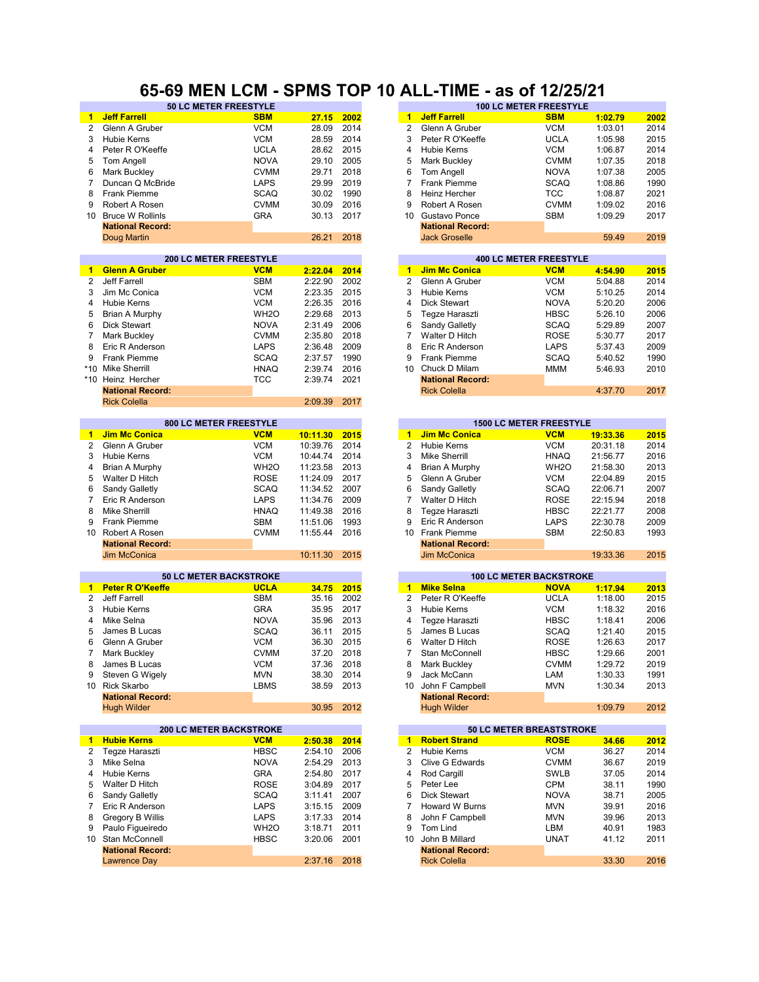### **65-69 MEN LCM - SPMS TOP 10 ALL-TIME - as of 12/25/21**

| $\blacktriangleleft$ | <b>Jeff Farrell</b>            | <b>SBM</b>        | 27.15    | 2002 | $\mathbf{1}$    | <b>Jeff Farrell</b>     | <b>SBM</b>                     | 1:02.79  | 2002 |
|----------------------|--------------------------------|-------------------|----------|------|-----------------|-------------------------|--------------------------------|----------|------|
| $\overline{2}$       | Glenn A Gruber                 | <b>VCM</b>        | 28.09    | 2014 | 2               | Glenn A Gruber          | <b>VCM</b>                     | 1:03.01  | 2014 |
| 3                    | <b>Hubie Kerns</b>             | <b>VCM</b>        | 28.59    | 2014 | 3               | Peter R O'Keeffe        | <b>UCLA</b>                    | 1:05.98  | 2015 |
| 4                    | Peter R O'Keeffe               | <b>UCLA</b>       | 28.62    | 2015 | 4               | <b>Hubie Kerns</b>      | <b>VCM</b>                     | 1:06.87  | 2014 |
|                      |                                |                   |          | 2005 |                 |                         |                                |          |      |
| 5                    | Tom Angell                     | <b>NOVA</b>       | 29.10    |      | 5               | <b>Mark Buckley</b>     | <b>CVMM</b>                    | 1:07.35  | 2018 |
| 6                    | <b>Mark Buckley</b>            | <b>CVMM</b>       | 29.71    | 2018 | 6               | Tom Angell              | <b>NOVA</b>                    | 1:07.38  | 2005 |
| 7                    | Duncan Q McBride               | <b>LAPS</b>       | 29.99    | 2019 | $\overline{7}$  | Frank Piemme            | <b>SCAQ</b>                    | 1:08.86  | 1990 |
| 8                    | <b>Frank Piemme</b>            | <b>SCAQ</b>       | 30.02    | 1990 | 8               | Heinz Hercher           | <b>TCC</b>                     | 1:08.87  | 2021 |
| 9                    | Robert A Rosen                 | <b>CVMM</b>       | 30.09    | 2016 | 9               | Robert A Rosen          | <b>CVMM</b>                    | 1:09.02  | 2016 |
| 10                   | <b>Bruce W Rollinls</b>        | <b>GRA</b>        | 30.13    | 2017 | 10              | Gustavo Ponce           | <b>SBM</b>                     | 1:09.29  | 2017 |
|                      | <b>National Record:</b>        |                   |          |      |                 | <b>National Record:</b> |                                |          |      |
|                      | Doug Martin                    |                   | 26.21    | 2018 |                 | <b>Jack Groselle</b>    |                                | 59.49    | 2019 |
|                      |                                |                   |          |      |                 |                         |                                |          |      |
|                      | 200 LC METER FREESTYLE         |                   |          |      |                 |                         | <b>400 LC METER FREESTYLE</b>  |          |      |
| 1                    | <b>Glenn A Gruber</b>          | <b>VCM</b>        | 2:22.04  | 2014 | $\mathbf{1}$    | <b>Jim Mc Conica</b>    | <b>VCM</b>                     |          | 2015 |
|                      |                                |                   |          |      |                 |                         |                                | 4:54.90  |      |
| 2                    | Jeff Farrell                   | <b>SBM</b>        | 2:22.90  | 2002 | $\overline{2}$  | Glenn A Gruber          | <b>VCM</b>                     | 5:04.88  | 2014 |
| 3                    | Jim Mc Conica                  | <b>VCM</b>        | 2:23.35  | 2015 | 3               | <b>Hubie Kerns</b>      | <b>VCM</b>                     | 5:10.25  | 2014 |
| 4                    | <b>Hubie Kerns</b>             | <b>VCM</b>        | 2:26.35  | 2016 | 4               | <b>Dick Stewart</b>     | <b>NOVA</b>                    | 5:20.20  | 2006 |
| 5                    | Brian A Murphy                 | WH <sub>2</sub> O | 2:29.68  | 2013 | 5               | Tegze Haraszti          | <b>HBSC</b>                    | 5:26.10  | 2006 |
| 6                    | <b>Dick Stewart</b>            | <b>NOVA</b>       | 2:31.49  | 2006 | 6               | Sandy Galletly          | <b>SCAQ</b>                    | 5:29.89  | 2007 |
| 7                    | <b>Mark Buckley</b>            | <b>CVMM</b>       | 2:35.80  | 2018 | 7               | Walter D Hitch          | <b>ROSE</b>                    | 5:30.77  | 2017 |
| 8                    | Eric R Anderson                | <b>LAPS</b>       | 2:36.48  | 2009 | 8               | Eric R Anderson         | LAPS                           | 5:37.43  | 2009 |
| 9                    | Frank Piemme                   | <b>SCAQ</b>       | 2:37.57  | 1990 | 9               | <b>Frank Piemme</b>     | <b>SCAQ</b>                    | 5:40.52  | 1990 |
|                      |                                |                   |          |      |                 |                         |                                |          |      |
| $*10$                | <b>Mike Sherrill</b>           | <b>HNAQ</b>       | 2:39.74  | 2016 | 10 <sup>1</sup> | Chuck D Milam           | <b>MMM</b>                     | 5:46.93  | 2010 |
| $*10$                | Heinz Hercher                  | <b>TCC</b>        | 2:39.74  | 2021 |                 | <b>National Record:</b> |                                |          |      |
|                      | <b>National Record:</b>        |                   |          |      |                 | <b>Rick Colella</b>     |                                | 4:37.70  | 2017 |
|                      | <b>Rick Colella</b>            |                   | 2:09.39  | 2017 |                 |                         |                                |          |      |
|                      |                                |                   |          |      |                 |                         |                                |          |      |
|                      | 800 LC METER FREESTYLE         |                   |          |      |                 |                         | <b>1500 LC METER FREESTYLE</b> |          |      |
| $\blacksquare$       | <b>Jim Mc Conica</b>           | <b>VCM</b>        | 10:11.30 | 2015 | $\mathbf{1}$    | <b>Jim Mc Conica</b>    | <b>VCM</b>                     | 19:33.36 | 2015 |
| 2                    | Glenn A Gruber                 | <b>VCM</b>        | 10:39.76 | 2014 | 2               | <b>Hubie Kerns</b>      | <b>VCM</b>                     | 20:31.18 | 2014 |
| 3                    | Hubie Kerns                    | <b>VCM</b>        | 10:44.74 | 2014 | 3               | <b>Mike Sherrill</b>    | <b>HNAQ</b>                    | 21:56.77 | 2016 |
| 4                    | Brian A Murphy                 | WH <sub>2</sub> O | 11:23.58 | 2013 | 4               | Brian A Murphy          | WH <sub>2</sub> O              | 21:58.30 | 2013 |
| 5                    |                                | <b>ROSE</b>       | 11:24.09 | 2017 | 5               |                         | <b>VCM</b>                     | 22:04.89 | 2015 |
|                      | Walter D Hitch                 |                   |          |      |                 | Glenn A Gruber          |                                |          |      |
| 6                    | Sandy Galletly                 | <b>SCAQ</b>       | 11:34.52 | 2007 | 6               | Sandy Galletly          | <b>SCAQ</b>                    | 22:06.71 | 2007 |
| 7                    | Eric R Anderson                | <b>LAPS</b>       | 11:34.76 | 2009 | 7               | Walter D Hitch          | <b>ROSE</b>                    | 22:15.94 | 2018 |
| 8                    | <b>Mike Sherrill</b>           | <b>HNAQ</b>       | 11:49.38 | 2016 | 8               | Tegze Haraszti          | <b>HBSC</b>                    | 22:21.77 | 2008 |
| 9                    | <b>Frank Piemme</b>            | <b>SBM</b>        | 11:51.06 | 1993 | 9               | Eric R Anderson         | LAPS                           | 22:30.78 | 2009 |
| 10                   | Robert A Rosen                 | <b>CVMM</b>       | 11:55.44 | 2016 | 10 <sup>1</sup> | Frank Piemme            | <b>SBM</b>                     | 22:50.83 | 1993 |
|                      | <b>National Record:</b>        |                   |          |      |                 | <b>National Record:</b> |                                |          |      |
|                      | Jim McConica                   |                   | 10:11.30 | 2015 |                 | <b>Jim McConica</b>     |                                | 19:33.36 | 2015 |
|                      |                                |                   |          |      |                 |                         |                                |          |      |
|                      | <b>50 LC METER BACKSTROKE</b>  |                   |          |      |                 |                         | <b>100 LC METER BACKSTROKE</b> |          |      |
| $\mathbf{1}$         | <b>Peter R O'Keeffe</b>        | <b>UCLA</b>       | 34.75    | 2015 | $\blacksquare$  | <b>Mike Selna</b>       | <b>NOVA</b>                    | 1:17.94  | 2013 |
| $\overline{2}$       | Jeff Farrell                   | <b>SBM</b>        |          | 2002 | $\overline{2}$  | Peter R O'Keeffe        |                                | 1:18.00  |      |
|                      |                                |                   | 35.16    |      |                 |                         | <b>UCLA</b>                    |          | 2015 |
| 3                    | <b>Hubie Kerns</b>             | <b>GRA</b>        | 35.95    | 2017 | 3               | <b>Hubie Kerns</b>      | <b>VCM</b>                     | 1:18.32  | 2016 |
| 4                    | Mike Selna                     | <b>NOVA</b>       | 35.96    | 2013 | 4               | Tegze Haraszti          | <b>HBSC</b>                    | 1:18.41  | 2006 |
| 5                    | James B Lucas                  | <b>SCAQ</b>       | 36.11    | 2015 | 5               | James B Lucas           | <b>SCAQ</b>                    | 1:21.40  | 2015 |
| 6                    | Glenn A Gruber                 | <b>VCM</b>        | 36.30    | 2015 | 6               | Walter D Hitch          | <b>ROSE</b>                    | 1:26.63  | 2017 |
| 7                    | Mark Buckley                   | <b>CVMM</b>       | 37.20    | 2018 | 7               | Stan McConnell          | <b>HBSC</b>                    | 1:29.66  | 2001 |
| 8                    | James B Lucas                  | <b>VCM</b>        | 37.36    | 2018 | 8               | Mark Buckley            | <b>CVMM</b>                    | 1:29.72  | 2019 |
| 9                    | Steven G Wigely                | <b>MVN</b>        | 38.30    | 2014 | 9               | Jack McCann             | LAM                            | 1:30.33  | 1991 |
|                      | 10 Rick Skarbo                 | <b>LBMS</b>       | 38.59    | 2013 | 10              | John F Campbell         | <b>MVN</b>                     | 1:30.34  | 2013 |
|                      | <b>National Record:</b>        |                   |          |      |                 | <b>National Record:</b> |                                |          |      |
|                      |                                |                   |          |      |                 |                         |                                |          |      |
|                      | <b>Hugh Wilder</b>             |                   | 30.95    | 2012 |                 | <b>Hugh Wilder</b>      |                                | 1:09.79  | 2012 |
|                      |                                |                   |          |      |                 |                         |                                |          |      |
|                      | <b>200 LC METER BACKSTROKE</b> |                   |          |      |                 |                         | 50 LC METER BREASTSTROKE       |          |      |
| $\mathbf{1}$         | <b>Hubie Kerns</b>             | <b>VCM</b>        | 2:50.38  | 2014 | $\blacksquare$  | <b>Robert Strand</b>    | <b>ROSE</b>                    | 34.66    | 2012 |
| 2                    | Tegze Haraszti                 | <b>HBSC</b>       | 2:54.10  | 2006 | 2               | Hubie Kerns             | <b>VCM</b>                     | 36.27    | 2014 |
| 3                    | Mike Selna                     | <b>NOVA</b>       | 2:54.29  | 2013 | 3               | Clive G Edwards         | <b>CVMM</b>                    | 36.67    | 2019 |
| 4                    | <b>Hubie Kerns</b>             | <b>GRA</b>        | 2:54.80  | 2017 | 4               | Rod Cargill             | <b>SWLB</b>                    | 37.05    | 2014 |
| 5                    | Walter D Hitch                 | <b>ROSE</b>       | 3:04.89  | 2017 | 5               | Peter Lee               | <b>CPM</b>                     | 38.11    | 1990 |
| 6                    | Sandy Galletly                 | SCAQ              | 3:11.41  | 2007 | 6               | <b>Dick Stewart</b>     | <b>NOVA</b>                    | 38.71    | 2005 |
| $\overline{7}$       | Eric R Anderson                | LAPS              | 3:15.15  | 2009 | 7               | Howard W Burns          | <b>MVN</b>                     | 39.91    | 2016 |
|                      |                                |                   |          |      |                 |                         |                                |          |      |
| 8                    | Gregory B Willis               | LAPS              | 3:17.33  | 2014 | 8               | John F Campbell         | <b>MVN</b>                     | 39.96    | 2013 |
| 9                    | Paulo Figueiredo               | WH <sub>2</sub> O | 3:18.71  | 2011 | 9               | <b>Tom Lind</b>         | LBM                            | 40.91    | 1983 |
| 10                   | Stan McConnell                 | <b>HBSC</b>       | 3:20.06  | 2001 | 10              | John B Millard          | <b>UNAT</b>                    | 41.12    | 2011 |
|                      | <b>National Record:</b>        |                   |          |      |                 | <b>National Record:</b> |                                |          |      |
|                      |                                |                   |          |      |                 | <b>Rick Colella</b>     |                                |          |      |
|                      | <b>Lawrence Day</b>            |                   | 2:37.16  | 2018 |                 |                         |                                | 33.30    | 2016 |

| <b>50 LC METER FREESTYLE</b>  |             |         |      |    |                         | <b>100 LC METER FREESTYLE</b> |         |      |
|-------------------------------|-------------|---------|------|----|-------------------------|-------------------------------|---------|------|
|                               | <b>SBM</b>  | 27.15   | 2002 | 1. | <b>Jeff Farrell</b>     | <b>SBM</b>                    | 1:02.79 | 2002 |
|                               | <b>VCM</b>  | 28.09   | 2014 | 2  | Glenn A Gruber          | VCM                           | 1:03.01 | 2014 |
|                               | <b>VCM</b>  | 28.59   | 2014 | 3  | Peter R O'Keeffe        | <b>UCLA</b>                   | 1:05.98 | 2015 |
|                               | <b>UCLA</b> | 28.62   | 2015 | 4  | Hubie Kerns             | VCM                           | 1:06.87 | 2014 |
|                               | <b>NOVA</b> | 29.10   | 2005 | 5  | Mark Buckley            | <b>CVMM</b>                   | 1:07.35 | 2018 |
|                               | <b>CVMM</b> | 29.71   | 2018 | 6  | <b>Tom Angell</b>       | <b>NOVA</b>                   | 1:07.38 | 2005 |
| dе                            | <b>LAPS</b> | 29.99   | 2019 |    | Frank Piemme            | SCAQ                          | 1:08.86 | 1990 |
|                               | <b>SCAQ</b> | 30.02   | 1990 | 8  | Heinz Hercher           | TCC                           | 1:08.87 | 2021 |
|                               | <b>CVMM</b> | 30.09   | 2016 | 9  | Robert A Rosen          | <b>CVMM</b>                   | 1:09.02 | 2016 |
|                               | <b>GRA</b>  | 30.13   | 2017 | 10 | Gustavo Ponce           | SBM                           | 1:09.29 | 2017 |
|                               |             |         |      |    | <b>National Record:</b> |                               |         |      |
|                               |             | 26.21   | 2018 |    | <b>Jack Groselle</b>    |                               | 59.49   | 2019 |
|                               |             |         |      |    |                         |                               |         |      |
| <b>200 LC METER FREESTYLE</b> |             |         |      |    |                         | <b>400 LC METER FREESTYLE</b> |         |      |
|                               | <b>VCM</b>  | 2:22.04 | 2014 | 1  | <b>Jim Mc Conica</b>    | <b>VCM</b>                    | 4:54.90 | 2015 |
|                               | SBM         | 2:22.90 | 2002 | 2  | Glenn A Gruber          | <b>VCM</b>                    | 5:04.88 | 2014 |
|                               | <b>VCM</b>  | 2:23.35 | 2015 | 3  | Hubie Kerns             | VCM                           | 5:10.25 | 2014 |
|                               | <b>VCM</b>  | 2:26.35 | 2016 | 4  | Dick Stewart            | <b>NOVA</b>                   | 5:20.20 | 2006 |

| 4  | DIUN OLEWAIL            | <b>IVUVA</b> | 0.ZU.ZU | zuuu |
|----|-------------------------|--------------|---------|------|
| -5 | Tegze Haraszti          | <b>HBSC</b>  | 5:26.10 | 2006 |
| 6  | Sandy Galletly          | <b>SCAQ</b>  | 5:29.89 | 2007 |
| 7  | Walter D Hitch          | <b>ROSE</b>  | 5:30.77 | 2017 |
| 8  | Eric R Anderson         | LAPS         | 5:37.43 | 2009 |
| 9  | Frank Piemme            | <b>SCAQ</b>  | 5:40.52 | 1990 |
| 10 | Chuck D Milam           | <b>MMM</b>   | 5:46.93 | 2010 |
|    | <b>National Record:</b> |              |         |      |
|    | <b>Rick Colella</b>     |              | 4:37.70 | 2017 |

|          |      |    |                         | <b>1500 LC METER FREESTYLE</b> |          |
|----------|------|----|-------------------------|--------------------------------|----------|
| 10:11.30 | 2015 | 1  | <b>Jim Mc Conica</b>    | <b>VCM</b>                     | 19:33.36 |
| 10:39.76 | 2014 | 2  | Hubie Kerns             | <b>VCM</b>                     | 20:31.18 |
| 10:44.74 | 2014 | 3  | <b>Mike Sherrill</b>    | <b>HNAQ</b>                    | 21:56.77 |
| 11:23.58 | 2013 | 4  | Brian A Murphy          | WH <sub>2</sub> O              | 21:58.30 |
| 11:24.09 | 2017 | 5  | Glenn A Gruber          | <b>VCM</b>                     | 22:04.89 |
| 11:34.52 | 2007 | 6  | Sandy Galletly          | <b>SCAQ</b>                    | 22:06.71 |
| 11:34.76 | 2009 | 7  | Walter D Hitch          | <b>ROSE</b>                    | 22:15.94 |
| 11:49.38 | 2016 | 8  | Tegze Haraszti          | <b>HBSC</b>                    | 22:21.77 |
| 11:51.06 | 1993 | 9  | Eric R Anderson         | <b>LAPS</b>                    | 22:30.78 |
| 11:55.44 | 2016 | 10 | <b>Frank Piemme</b>     | <b>SBM</b>                     | 22:50.83 |
|          |      |    | <b>National Record:</b> |                                |          |
| 10:11.30 | 2015 |    | <b>Jim McConica</b>     |                                | 19:33.36 |
|          |      |    |                         |                                |          |
|          |      |    |                         | <b>100 LC METER BACKSTROKE</b> |          |
| 34.75    | 2015 | 1  | <b>Mike Selna</b>       | <b>NOVA</b>                    | 1:17.94  |
| 35.16    | 2002 | 2  | Peter R O'Keeffe        | <b>UCLA</b>                    | 1:18.00  |
| 35.95    | 2017 | 3  | Hubie Kerns             | <b>VCM</b>                     | 1:18.32  |
| 35.96    | 2013 | 4  | Tegze Haraszti          | <b>HBSC</b>                    | 1:18.41  |
| 36.11    | 2015 | 5  | James B Lucas           | <b>SCAQ</b>                    | 1:21.40  |
| 36.30    | 2015 | 6  | Walter D Hitch          | <b>ROSE</b>                    | 1:26.63  |

| Stan McConnell          | <b>HBSC</b> | 1:29.66 | 2001 |
|-------------------------|-------------|---------|------|
| Mark Buckley            | <b>CVMM</b> | 1:29.72 | 2019 |
| Jack McCann             | LAM         | 1:30.33 | 1991 |
| 0 John F Campbell       | <b>MVN</b>  | 1:30.34 | 2013 |
| <b>National Record:</b> |             |         |      |
| <b>Hugh Wilder</b>      |             | 1:09.79 | 2012 |

|         |      |    |                         | 50 LC METER BREASTSTROKE |       |      |
|---------|------|----|-------------------------|--------------------------|-------|------|
| 2:50.38 | 2014 | 1  | <b>Robert Strand</b>    | <b>ROSE</b>              | 34.66 | 2012 |
| 2:54.10 | 2006 | 2  | Hubie Kerns             | <b>VCM</b>               | 36.27 | 2014 |
| 2:54.29 | 2013 | 3  | Clive G Edwards         | <b>CVMM</b>              | 36.67 | 2019 |
| 2:54.80 | 2017 | 4  | Rod Cargill             | <b>SWLB</b>              | 37.05 | 2014 |
| 3:04.89 | 2017 | 5  | Peter Lee               | <b>CPM</b>               | 38.11 | 1990 |
| 3:11.41 | 2007 | 6  | Dick Stewart            | <b>NOVA</b>              | 38.71 | 2005 |
| 3:15.15 | 2009 |    | <b>Howard W Burns</b>   | <b>MVN</b>               | 39.91 | 2016 |
| 3:17.33 | 2014 | 8  | John F Campbell         | <b>MVN</b>               | 39.96 | 2013 |
| 3:18.71 | 2011 | 9  | Tom Lind                | LBM                      | 40.91 | 1983 |
| 3:20.06 | 2001 | 10 | John B Millard          | <b>UNAT</b>              | 41.12 | 2011 |
|         |      |    | <b>National Record:</b> |                          |       |      |
| 2:37.16 | 2018 |    | <b>Rick Colella</b>     |                          | 33.30 | 2016 |
|         |      |    |                         |                          |       |      |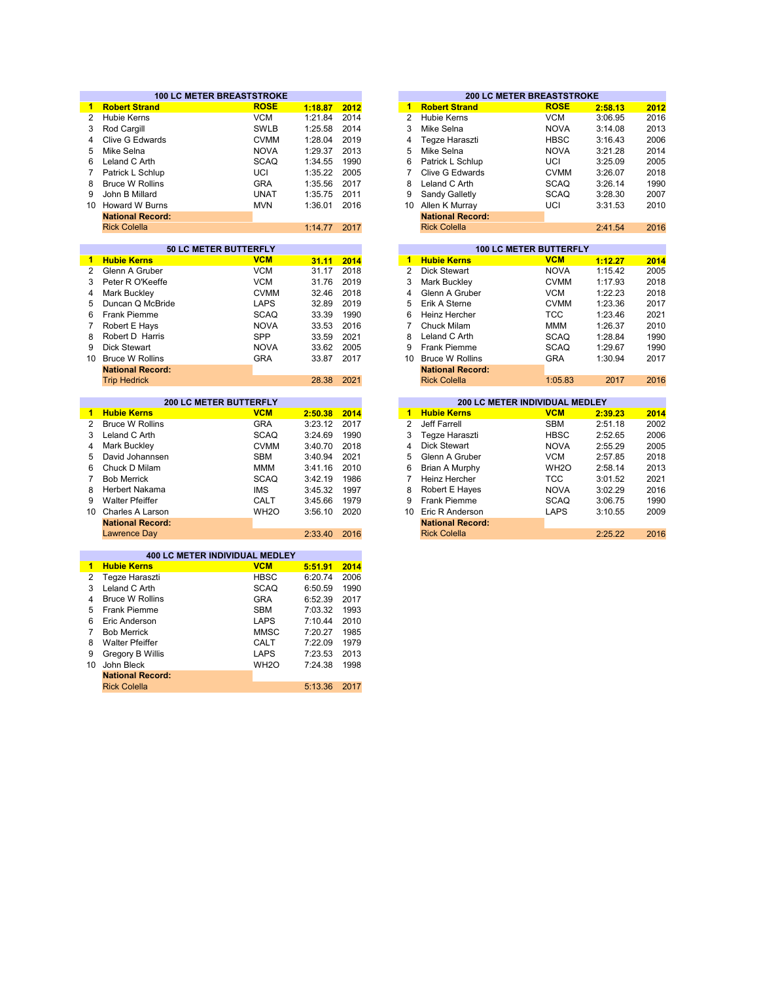|                | <b>100 LC METER BREASTSTROKE</b> |                     |                    |      |                      |                                | <b>200 LC METER BREASTSTROKE</b> |         |      |
|----------------|----------------------------------|---------------------|--------------------|------|----------------------|--------------------------------|----------------------------------|---------|------|
| $\mathbf{1}$   | <b>Robert Strand</b>             | <b>ROSE</b>         | 1:18.87            | 2012 | $\mathbf{1}$         | <b>Robert Strand</b>           | <b>ROSE</b>                      | 2:58.13 | 2012 |
| $\overline{2}$ | <b>Hubie Kerns</b>               | <b>VCM</b>          | 1:21.84            | 2014 | $\overline{2}$       | <b>Hubie Kerns</b>             | <b>VCM</b>                       | 3:06.95 | 2016 |
| 3              | Rod Cargill                      | <b>SWLB</b>         | 1:25.58            | 2014 | 3                    | Mike Selna                     | <b>NOVA</b>                      | 3:14.08 | 2013 |
| 4              | <b>Clive G Edwards</b>           | <b>CVMM</b>         | 1:28.04            | 2019 | $\overline{4}$       | Tegze Haraszti                 | <b>HBSC</b>                      | 3:16.43 | 2006 |
| 5              | Mike Selna                       | <b>NOVA</b>         | 1:29.37            | 2013 | 5                    | Mike Selna                     | <b>NOVA</b>                      | 3:21.28 | 2014 |
| 6              | Leland C Arth                    | <b>SCAQ</b>         | 1:34.55            | 1990 | 6                    | Patrick L Schlup               | UCI                              | 3:25.09 | 2005 |
| 7              | Patrick L Schlup                 | UCI                 | 1:35.22            | 2005 | $\overline{7}$       | <b>Clive G Edwards</b>         | <b>CVMM</b>                      | 3:26.07 | 2018 |
| 8              | <b>Bruce W Rollins</b>           | <b>GRA</b>          | 1:35.56            | 2017 | 8                    | Leland C Arth                  | <b>SCAQ</b>                      | 3:26.14 | 1990 |
| 9              | John B Millard                   | <b>UNAT</b>         | 1:35.75            | 2011 | 9                    | Sandy Galletly                 | <b>SCAQ</b>                      | 3:28.30 | 2007 |
| 10             | <b>Howard W Burns</b>            | <b>MVN</b>          | 1:36.01            | 2016 | 10                   | Allen K Murray                 | UCI                              | 3:31.53 | 2010 |
|                | <b>National Record:</b>          |                     |                    |      |                      | <b>National Record:</b>        |                                  |         |      |
|                | <b>Rick Colella</b>              |                     | 1:14.77            | 2017 |                      | <b>Rick Colella</b>            |                                  | 2:41.54 | 2016 |
|                |                                  |                     |                    |      |                      |                                |                                  |         |      |
|                | 50 LC METER BUTTERFLY            |                     |                    |      |                      |                                | <b>100 LC METER BUTTERFLY</b>    |         |      |
| $\blacksquare$ | <b>Hubie Kerns</b>               | <b>VCM</b>          | 31.11              | 2014 | $\blacktriangleleft$ | <b>Hubie Kerns</b>             | <b>VCM</b>                       | 1:12.27 | 2014 |
| $\overline{2}$ | Glenn A Gruber                   | <b>VCM</b>          | 31.17              | 2018 | $\overline{2}$       | Dick Stewart                   | <b>NOVA</b>                      | 1:15.42 | 2005 |
| 3              | Peter R O'Keeffe                 | <b>VCM</b>          | 31.76              | 2019 | 3                    | Mark Buckley                   | <b>CVMM</b>                      | 1:17.93 | 2018 |
| 4              | Mark Buckley                     | <b>CVMM</b>         | 32.46              | 2018 | $\overline{4}$       | Glenn A Gruber                 | <b>VCM</b>                       | 1:22.23 | 2018 |
| 5              | Duncan Q McBride                 | <b>LAPS</b>         | 32.89              | 2019 | 5                    | Erik A Sterne                  | <b>CVMM</b>                      | 1:23.36 | 2017 |
| 6              | Frank Piemme                     | <b>SCAQ</b>         | 33.39              | 1990 | 6                    | Heinz Hercher                  | <b>TCC</b>                       | 1:23.46 | 2021 |
| 7              | Robert E Hays                    | <b>NOVA</b>         | 33.53              | 2016 | 7                    | <b>Chuck Milam</b>             | <b>MMM</b>                       | 1:26.37 | 2010 |
| 8              | Robert D Harris                  | <b>SPP</b>          | 33.59              | 2021 | 8                    | Leland C Arth                  | <b>SCAQ</b>                      | 1:28.84 | 1990 |
| 9              | <b>Dick Stewart</b>              | <b>NOVA</b>         | 33.62              | 2005 | 9                    | <b>Frank Piemme</b>            | <b>SCAQ</b>                      | 1:29.67 | 1990 |
| 10             | <b>Bruce W Rollins</b>           | <b>GRA</b>          | 33.87              | 2017 | 10                   | <b>Bruce W Rollins</b>         | <b>GRA</b>                       | 1:30.94 | 2017 |
|                | <b>National Record:</b>          |                     |                    |      |                      | <b>National Record:</b>        |                                  |         |      |
|                | <b>Trip Hedrick</b>              |                     | 28.38              | 2021 |                      | <b>Rick Colella</b>            | 1:05.83                          | 2017    | 2016 |
|                |                                  |                     |                    |      |                      |                                |                                  |         |      |
|                | <b>200 LC METER BUTTERFLY</b>    |                     |                    |      |                      | 200 LC METER INDIVIDUAL MEDLEY |                                  |         |      |
| $\mathbf{1}$   | <b>Hubie Kerns</b>               | <b>VCM</b>          | 2:50.38            | 2014 | $\blacktriangleleft$ | <b>Hubie Kerns</b>             | <b>VCM</b>                       | 2:39.23 | 2014 |
| $\overline{2}$ | <b>Bruce W Rollins</b>           | <b>GRA</b>          | 3:23.12            | 2017 | $\overline{2}$       | Jeff Farrell                   | <b>SBM</b>                       | 2:51.18 | 2002 |
| 3              | Leland C Arth                    | <b>SCAQ</b>         | 3:24.69            | 1990 | 3                    | Tegze Haraszti                 | <b>HBSC</b>                      | 2:52.65 | 2006 |
| 4              | Mark Buckley                     | <b>CVMM</b>         | 3:40.70            | 2018 | 4                    | <b>Dick Stewart</b>            | <b>NOVA</b>                      | 2:55.29 | 2005 |
| 5              | David Johannsen                  | <b>SBM</b>          | 3:40.94            | 2021 | 5                    | Glenn A Gruber                 | <b>VCM</b>                       | 2:57.85 | 2018 |
| 6              | Chuck D Milam                    | <b>MMM</b>          | 3:41.16            | 2010 | 6                    | Brian A Murphy                 | WH <sub>2</sub> O                | 2:58.14 | 2013 |
| $\overline{7}$ | <b>Bob Merrick</b>               | <b>SCAQ</b>         | 3:42.19            | 1986 | $\overline{7}$       | Heinz Hercher                  | <b>TCC</b>                       | 3:01.52 | 2021 |
| 8              | Herbert Nakama                   | <b>IMS</b>          | 3:45.32            | 1997 | 8                    | Robert E Hayes                 | <b>NOVA</b>                      | 3:02.29 | 2016 |
| 9              | <b>Walter Pfeiffer</b>           | CALT                | 3:45.66            | 1979 | 9                    | <b>Frank Piemme</b>            | <b>SCAQ</b>                      | 3:06.75 | 1990 |
|                | 10 Charles A Larson              | WH <sub>2</sub> O   | 3:56.10            | 2020 | 10                   | Eric R Anderson                | LAPS                             | 3:10.55 | 2009 |
|                | <b>National Record:</b>          |                     |                    |      |                      | <b>National Record:</b>        |                                  |         |      |
|                | <b>Lawrence Day</b>              |                     | 2:33.40            | 2016 |                      | <b>Rick Colella</b>            |                                  | 2:25.22 | 2016 |
|                |                                  |                     |                    |      |                      |                                |                                  |         |      |
|                | 400 LC METER INDIVIDUAL MEDLEY   |                     |                    |      |                      |                                |                                  |         |      |
|                | 1 Hubie Kerns                    | <b>VCM</b>          | 5:51.91            | 2014 |                      |                                |                                  |         |      |
| 2              | Teqze Haraszti                   | <b>HBSC</b>         | 6:20.74            | 2006 |                      |                                |                                  |         |      |
| 3              | Leland C Arth                    | <b>SCAQ</b>         | 6:50.59            | 1990 |                      |                                |                                  |         |      |
| 4              |                                  |                     |                    |      |                      |                                |                                  |         |      |
|                | <b>Bruce W Rollins</b>           | <b>GRA</b>          | 6:52.39            | 2017 |                      |                                |                                  |         |      |
| 5              | <b>Frank Piemme</b>              | <b>SBM</b>          | 7:03.32            | 1993 |                      |                                |                                  |         |      |
| 6              | Eric Anderson                    | <b>LAPS</b>         | 7:10.44            | 2010 |                      |                                |                                  |         |      |
| 7              | <b>Bob Merrick</b>               | <b>MMSC</b>         |                    | 1985 |                      |                                |                                  |         |      |
| 8              | <b>Walter Pfeiffer</b>           |                     | 7:20.27<br>7:22.09 | 1979 |                      |                                |                                  |         |      |
| 9              |                                  | CALT<br><b>LAPS</b> | 7:23.53            | 2013 |                      |                                |                                  |         |      |
| 10             | Gregory B Willis<br>John Bleck   |                     |                    |      |                      |                                |                                  |         |      |
|                | <b>National Record:</b>          | WH <sub>20</sub>    | 7:24.38            | 1998 |                      |                                |                                  |         |      |
|                | <b>Rick Colella</b>              |                     | 5:13.36            | 2017 |                      |                                |                                  |         |      |

|         |      |    | <b>200 LC METER BREASTSTROKE</b> |             |         |      |
|---------|------|----|----------------------------------|-------------|---------|------|
| 1:18.87 | 2012 | 1  | <b>Robert Strand</b>             | <b>ROSE</b> | 2:58.13 | 2012 |
| 1:21.84 | 2014 | 2  | Hubie Kerns                      | <b>VCM</b>  | 3:06.95 | 2016 |
| 1:25.58 | 2014 | 3  | Mike Selna                       | <b>NOVA</b> | 3:14.08 | 2013 |
| 1:28.04 | 2019 | 4  | Tegze Haraszti                   | <b>HBSC</b> | 3:16.43 | 2006 |
| 1:29.37 | 2013 | 5  | Mike Selna                       | <b>NOVA</b> | 3:21.28 | 2014 |
| 1:34.55 | 1990 | 6  | Patrick L Schlup                 | UCI         | 3:25.09 | 2005 |
| 1:35.22 | 2005 | 7  | Clive G Edwards                  | <b>CVMM</b> | 3:26.07 | 2018 |
| 1:35.56 | 2017 | 8  | Leland C Arth                    | <b>SCAQ</b> | 3:26.14 | 1990 |
| 1:35.75 | 2011 | 9  | Sandy Galletly                   | <b>SCAQ</b> | 3:28.30 | 2007 |
| 1:36.01 | 2016 | 10 | Allen K Murray                   | UCI         | 3:31.53 | 2010 |
|         |      |    | <b>National Record:</b>          |             |         |      |
| 1:14.77 | 2017 |    | <b>Rick Colella</b>              |             | 2:41.54 | 2016 |
|         |      |    |                                  |             |         |      |
|         |      |    | <b>100 LC METER RUTTERELY</b>    |             |         |      |

| 31.11 | 2014 | 1  | <b>Hubie Kerns</b>      | <b>VCM</b>  | 1:12.27 | 2014 |
|-------|------|----|-------------------------|-------------|---------|------|
| 31.17 | 2018 | 2  | <b>Dick Stewart</b>     | <b>NOVA</b> | 1:15.42 | 2005 |
| 31.76 | 2019 | 3  | Mark Buckley            | <b>CVMM</b> | 1:17.93 | 2018 |
| 32.46 | 2018 | 4  | Glenn A Gruber          | <b>VCM</b>  | 1:22.23 | 2018 |
| 32.89 | 2019 | 5  | Erik A Sterne           | <b>CVMM</b> | 1:23.36 | 2017 |
| 33.39 | 1990 | 6  | Heinz Hercher           | TCC         | 1:23.46 | 2021 |
| 33.53 | 2016 |    | Chuck Milam             | <b>MMM</b>  | 1:26.37 | 2010 |
| 33.59 | 2021 | 8  | Leland C Arth           | <b>SCAQ</b> | 1:28.84 | 1990 |
| 33.62 | 2005 | 9  | <b>Frank Piemme</b>     | <b>SCAQ</b> | 1:29.67 | 1990 |
| 33.87 | 2017 | 10 | <b>Bruce W Rollins</b>  | <b>GRA</b>  | 1:30.94 | 2017 |
|       |      |    | <b>National Record:</b> |             |         |      |
| 28.38 | 2021 |    | <b>Rick Colella</b>     | 1:05.83     | 2017    | 2016 |
|       |      |    |                         |             |         |      |

|    | <b>200 LC METER BUTTERFLY</b> |         |      |    |                         | <b>200 LC METER INDIVIDUAL MEDLEY</b> |         |      |
|----|-------------------------------|---------|------|----|-------------------------|---------------------------------------|---------|------|
|    | <b>VCM</b>                    | 2:50.38 | 2014 | 1  | <b>Hubie Kerns</b>      | <b>VCM</b>                            | 2:39.23 | 2014 |
|    | <b>GRA</b>                    | 3:23.12 | 2017 | 2  | Jeff Farrell            | <b>SBM</b>                            | 2:51.18 |      |
|    | <b>SCAQ</b>                   | 3:24.69 | 1990 | 3  | Tegze Haraszti          | <b>HBSC</b>                           | 2:52.65 |      |
|    | <b>CVMM</b>                   | 3:40.70 | 2018 | 4  | Dick Stewart            | <b>NOVA</b>                           | 2:55.29 |      |
| n  | <b>SBM</b>                    | 3:40.94 | 2021 | 5  | Glenn A Gruber          | <b>VCM</b>                            | 2:57.85 |      |
|    | <b>MMM</b>                    | 3:41.16 | 2010 | 6  | Brian A Murphy          | WH <sub>2</sub> O                     | 2:58.14 |      |
|    | <b>SCAQ</b>                   | 3:42.19 | 1986 |    | Heinz Hercher           | <b>TCC</b>                            | 3:01.52 |      |
|    | <b>IMS</b>                    | 3:45.32 | 1997 | 8  | Robert E Hayes          | <b>NOVA</b>                           | 3:02.29 |      |
|    | CALT                          | 3:45.66 | 1979 | 9  | Frank Piemme            | <b>SCAQ</b>                           | 3:06.75 |      |
| n  | WH <sub>2</sub> O             | 3:56.10 | 2020 | 10 | Eric R Anderson         | LAPS                                  | 3:10.55 |      |
| d: |                               |         |      |    | <b>National Record:</b> |                                       |         |      |
|    |                               | 2:33.40 | 2016 |    | <b>Rick Colella</b>     |                                       | 2:25.22 |      |
|    |                               |         |      |    |                         |                                       |         |      |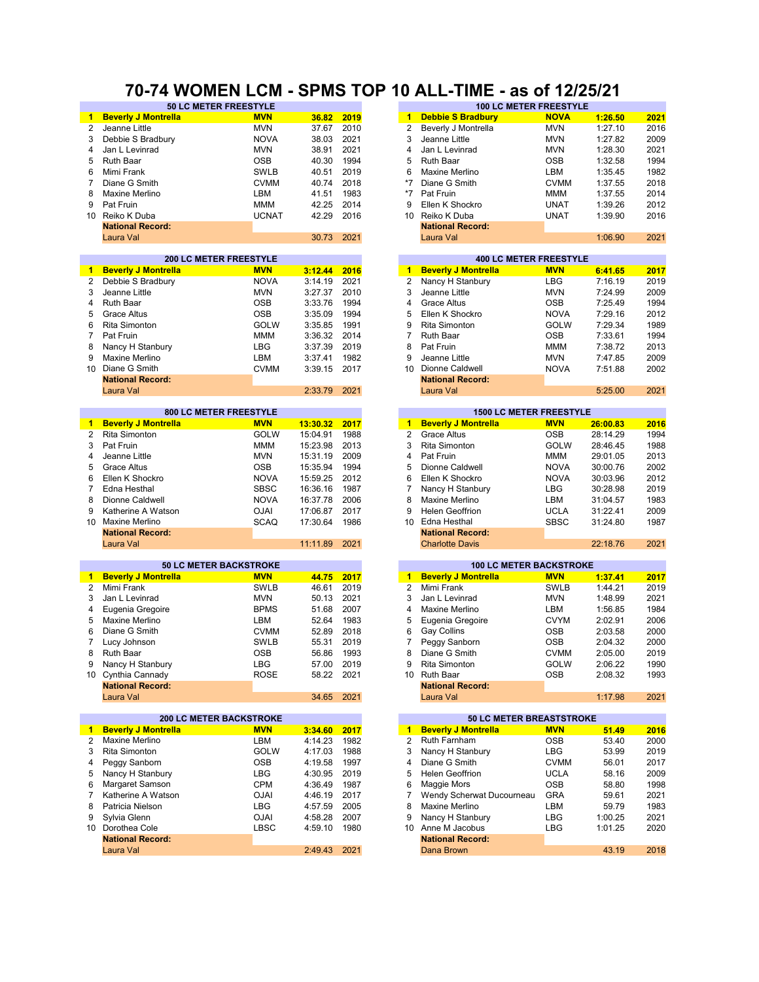#### **70-74 WOMEN LCM - SPMS TOP 10 ALL-TIME - as of 12/25/21**

|                      | 50 LC METER FREESTYLE          |              |          |      |                      | <b>100 LC METER FREESTYLE</b>   |             |          |      |
|----------------------|--------------------------------|--------------|----------|------|----------------------|---------------------------------|-------------|----------|------|
| $\blacksquare$       | <b>Beverly J Montrella</b>     | <b>MVN</b>   | 36.82    | 2019 | 1.                   | <b>Debbie S Bradbury</b>        | <b>NOVA</b> | 1:26.50  | 2021 |
| $\overline{2}$       | Jeanne Little                  | <b>MVN</b>   | 37.67    | 2010 | $\overline{c}$       | Beverly J Montrella             | <b>MVN</b>  | 1:27.10  | 2016 |
| 3                    | Debbie S Bradbury              | <b>NOVA</b>  | 38.03    | 2021 | 3                    | Jeanne Little                   | <b>MVN</b>  | 1:27.82  | 2009 |
| 4                    | Jan L Levinrad                 | <b>MVN</b>   | 38.91    | 2021 | 4                    | Jan L Levinrad                  | <b>MVN</b>  | 1:28.30  | 2021 |
| 5                    | Ruth Baar                      | <b>OSB</b>   | 40.30    | 1994 | 5                    | Ruth Baar                       | <b>OSB</b>  | 1:32.58  | 1994 |
| 6                    | Mimi Frank                     | <b>SWLB</b>  | 40.51    | 2019 | 6                    | Maxine Merlino                  | LBM         | 1:35.45  |      |
|                      |                                |              |          |      |                      |                                 |             |          | 1982 |
| 7                    | Diane G Smith                  | <b>CVMM</b>  | 40.74    | 2018 | $*7$                 | Diane G Smith                   | <b>CVMM</b> | 1:37.55  | 2018 |
| 8                    | Maxine Merlino                 | LBM          | 41.51    | 1983 | $*7$                 | Pat Fruin                       | MMM         | 1:37.55  | 2014 |
| 9                    | Pat Fruin                      | <b>MMM</b>   | 42.25    | 2014 | 9                    | Ellen K Shockro                 | <b>UNAT</b> | 1:39.26  | 2012 |
| 10                   | Reiko K Duba                   | <b>UCNAT</b> | 42.29    | 2016 | 10                   | Reiko K Duba                    | <b>UNAT</b> | 1:39.90  | 2016 |
|                      | <b>National Record:</b>        |              |          |      |                      | <b>National Record:</b>         |             |          |      |
|                      | Laura Val                      |              | 30.73    | 2021 |                      | Laura Val                       |             | 1:06.90  | 2021 |
|                      |                                |              |          |      |                      |                                 |             |          |      |
|                      | <b>200 LC METER FREESTYLE</b>  |              |          |      |                      | <b>400 LC METER FREESTYLE</b>   |             |          |      |
| $\blacktriangleleft$ | <b>Beverly J Montrella</b>     | <b>MVN</b>   | 3:12.44  | 2016 | $\blacktriangleleft$ | <b>Beverly J Montrella</b>      | <b>MVN</b>  | 6:41.65  | 2017 |
| $\overline{2}$       | Debbie S Bradbury              | <b>NOVA</b>  | 3:14.19  | 2021 | 2                    | Nancy H Stanbury                | <b>LBG</b>  | 7:16.19  | 2019 |
| 3                    | Jeanne Little                  | <b>MVN</b>   | 3:27.37  | 2010 | 3                    | Jeanne Little                   | <b>MVN</b>  | 7:24.99  | 2009 |
| $\overline{4}$       | <b>Ruth Baar</b>               | <b>OSB</b>   | 3:33.76  | 1994 | 4                    | <b>Grace Altus</b>              | <b>OSB</b>  | 7:25.49  | 1994 |
| 5                    |                                |              |          | 1994 | 5                    |                                 |             |          |      |
|                      | <b>Grace Altus</b>             | <b>OSB</b>   | 3:35.09  |      |                      | Ellen K Shockro                 | <b>NOVA</b> | 7:29.16  | 2012 |
| 6                    | Rita Simonton                  | <b>GOLW</b>  | 3:35.85  | 1991 | 9                    | <b>Rita Simonton</b>            | <b>GOLW</b> | 7:29.34  | 1989 |
| $\overline{7}$       | Pat Fruin                      | MMM          | 3:36.32  | 2014 | 7                    | Ruth Baar                       | <b>OSB</b>  | 7:33.61  | 1994 |
| 8                    | Nancy H Stanbury               | <b>LBG</b>   | 3:37.39  | 2019 | 8                    | Pat Fruin                       | <b>MMM</b>  | 7:38.72  | 2013 |
| 9                    | Maxine Merlino                 | LBM          | 3:37.41  | 1982 | 9                    | Jeanne Little                   | <b>MVN</b>  | 7:47.85  | 2009 |
| 10                   | Diane G Smith                  | <b>CVMM</b>  | 3:39.15  | 2017 | 10                   | Dionne Caldwell                 | <b>NOVA</b> | 7:51.88  | 2002 |
|                      | <b>National Record:</b>        |              |          |      |                      | <b>National Record:</b>         |             |          |      |
|                      | Laura Val                      |              | 2:33.79  | 2021 |                      | Laura Val                       |             | 5:25.00  | 2021 |
|                      |                                |              |          |      |                      |                                 |             |          |      |
|                      | 800 LC METER FREESTYLE         |              |          |      |                      | <b>1500 LC METER FREESTYLE</b>  |             |          |      |
| 1.                   | <b>Beverly J Montrella</b>     | <b>MVN</b>   | 13:30.32 | 2017 | $\mathbf{1}$         | <b>Beverly J Montrella</b>      | <b>MVN</b>  | 26:00.83 | 2016 |
| $\overline{2}$       | Rita Simonton                  | <b>GOLW</b>  | 15:04.91 | 1988 | $\overline{2}$       | <b>Grace Altus</b>              | <b>OSB</b>  | 28:14.29 | 1994 |
| 3                    | Pat Fruin                      | <b>MMM</b>   | 15:23.98 | 2013 | 3                    | Rita Simonton                   | <b>GOLW</b> | 28:46.45 | 1988 |
| 4                    | Jeanne Little                  | <b>MVN</b>   | 15:31.19 | 2009 | 4                    | Pat Fruin                       | <b>MMM</b>  | 29:01.05 | 2013 |
| 5                    | <b>Grace Altus</b>             | <b>OSB</b>   | 15:35.94 | 1994 | 5                    | Dionne Caldwell                 | <b>NOVA</b> | 30:00.76 | 2002 |
|                      |                                |              |          |      |                      |                                 |             |          |      |
| 6                    | Ellen K Shockro                | <b>NOVA</b>  | 15:59.25 | 2012 | 6                    | Ellen K Shockro                 | <b>NOVA</b> | 30:03.96 | 2012 |
| 7                    | Edna Hesthal                   | <b>SBSC</b>  | 16:36.16 | 1987 | 7                    | Nancy H Stanbury                | LBG         | 30:28.98 | 2019 |
| 8                    | Dionne Caldwell                | <b>NOVA</b>  | 16:37.78 | 2006 | 8                    | Maxine Merlino                  | LBM         | 31:04.57 | 1983 |
| 9                    | Katherine A Watson             | <b>OJAI</b>  | 17:06.87 | 2017 | 9                    | <b>Helen Geoffrion</b>          | <b>UCLA</b> | 31:22.41 | 2009 |
| 10                   | <b>Maxine Merlino</b>          | <b>SCAQ</b>  | 17:30.64 | 1986 | 10                   | Edna Hesthal                    | <b>SBSC</b> | 31:24.80 | 1987 |
|                      | <b>National Record:</b>        |              |          |      |                      | <b>National Record:</b>         |             |          |      |
|                      | Laura Val                      |              | 11:11.89 | 2021 |                      | <b>Charlotte Davis</b>          |             | 22:18.76 | 2021 |
|                      |                                |              |          |      |                      |                                 |             |          |      |
|                      | <b>50 LC METER BACKSTROKE</b>  |              |          |      |                      | <b>100 LC METER BACKSTROKE</b>  |             |          |      |
| $\blacksquare$       | <b>Beverly J Montrella</b>     | <b>MVN</b>   | 44.75    | 2017 | $\mathbf{1}$         | <b>Beverly J Montrella</b>      | <b>MVN</b>  | 1:37.41  | 2017 |
| $\overline{2}$       | Mimi Frank                     | <b>SWLB</b>  | 46.61    | 2019 | $\overline{2}$       | Mimi Frank                      | <b>SWLB</b> | 1:44.21  | 2019 |
| 3                    | Jan L Levinrad                 | <b>MVN</b>   | 50.13    | 2021 | 3                    | Jan L Levinrad                  | <b>MVN</b>  | 1:48.99  | 2021 |
| 4                    | Eugenia Gregoire               | <b>BPMS</b>  | 51.68    | 2007 | 4                    | Maxine Merlino                  | LBM         | 1:56.85  | 1984 |
| 5                    | Maxine Merlino                 | LBM          | 52.64    | 1983 | 5                    | Eugenia Gregoire                | <b>CVYM</b> | 2:02.91  | 2006 |
| 6                    | Diane G Smith                  | <b>CVMM</b>  | 52.89    | 2018 | 6                    | Gay Collins                     | <b>OSB</b>  | 2:03.58  | 2000 |
|                      |                                |              |          |      |                      |                                 |             | 2:04.32  |      |
| 7                    | Lucy Johnson                   | <b>SWLB</b>  | 55.31    | 2019 | 7                    | Peggy Sanborn                   | OSB         |          | 2000 |
| 8                    | Ruth Baar                      | <b>OSB</b>   | 56.86    | 1993 | 8                    | Diane G Smith                   | <b>CVMM</b> | 2:05.00  | 2019 |
| 9                    | Nancy H Stanbury               | LBG          | 57.00    | 2019 | 9                    | Rita Simonton                   | <b>GOLW</b> | 2:06.22  | 1990 |
|                      | 10 Cynthia Cannady             | <b>ROSE</b>  | 58.22    | 2021 | 10                   | Ruth Baar                       | OSB         | 2:08.32  | 1993 |
|                      | <b>National Record:</b>        |              |          |      |                      | <b>National Record:</b>         |             |          |      |
|                      | Laura Val                      |              | 34.65    | 2021 |                      | Laura Val                       |             | 1:17.98  | 2021 |
|                      |                                |              |          |      |                      |                                 |             |          |      |
|                      | <b>200 LC METER BACKSTROKE</b> |              |          |      |                      | <b>50 LC METER BREASTSTROKE</b> |             |          |      |
| 1.                   | <b>Beverly J Montrella</b>     | <b>MVN</b>   | 3:34.60  | 2017 | $\mathbf{1}$         | <b>Beverly J Montrella</b>      | <b>MVN</b>  | 51.49    | 2016 |
| $\mathbf{2}$         | Maxine Merlino                 | LBM          | 4:14.23  | 1982 | 2                    | Ruth Farnham                    | <b>OSB</b>  | 53.40    | 2000 |
| 3                    | Rita Simonton                  | GOLW         | 4:17.03  | 1988 | 3                    | Nancy H Stanbury                | LBG         | 53.99    | 2019 |
| 4                    | Peggy Sanborn                  | <b>OSB</b>   | 4:19.58  | 1997 | 4                    | Diane G Smith                   | <b>CVMM</b> | 56.01    | 2017 |
| 5                    | Nancy H Stanbury               | LBG          | 4:30.95  | 2019 | 5                    | Helen Geoffrion                 | <b>UCLA</b> | 58.16    | 2009 |
| 6                    | Margaret Samson                | <b>CPM</b>   | 4:36.49  | 1987 | 6                    | Maggie Mors                     | <b>OSB</b>  | 58.80    | 1998 |
| 7                    | Katherine A Watson             | <b>OJAI</b>  | 4:46.19  | 2017 | 7                    | Wendy Scherwat Ducourneau       | <b>GRA</b>  | 59.61    | 2021 |
|                      |                                |              |          |      |                      |                                 |             |          |      |
| 8                    | Patricia Nielson               | <b>LBG</b>   | 4:57.59  | 2005 | 8                    | Maxine Merlino                  | LBM         | 59.79    | 1983 |
| 9                    | Sylvia Glenn                   | <b>OJAI</b>  | 4:58.28  | 2007 | 9                    | Nancy H Stanbury                | <b>LBG</b>  | 1:00.25  | 2021 |
|                      | 10 Dorothea Cole               | <b>LBSC</b>  | 4:59.10  | 1980 | 10                   | Anne M Jacobus                  | LBG         | 1:01.25  | 2020 |
|                      | <b>National Record:</b>        |              |          |      |                      | <b>National Record:</b>         |             |          |      |
|                      | Laura Val                      |              | 2:49.43  | 2021 |                      | Dana Brown                      |             | 43.19    | 2018 |
|                      |                                |              |          |      |                      |                                 |             |          |      |

| 37.67    | 2010 | z                       | Beverly J Montrella                                          | MVN         | 1:27.10  |
|----------|------|-------------------------|--------------------------------------------------------------|-------------|----------|
| 38.03    | 2021 | 3                       | Jeanne Little                                                | MVN         | 1:27.82  |
| 38.91    | 2021 | 4                       | Jan L Levinrad                                               | MVN         | 1:28.30  |
| 40.30    | 1994 | 5                       | Ruth Baar                                                    | <b>OSB</b>  | 1:32.58  |
| 40.51    | 2019 | 6                       | Maxine Merlino                                               | LBM         | 1:35.45  |
| 40.74    | 2018 | $*7$                    | Diane G Smith                                                | <b>CVMM</b> | 1:37.55  |
| 41.51    | 1983 | *7                      | Pat Fruin                                                    | MMM         | 1:37.55  |
| 42.25    | 2014 | 9                       | Ellen K Shockro                                              | UNAT        | 1:39.26  |
| 42.29    | 2016 | 10                      | Reiko K Duba                                                 | UNAT        |          |
|          |      |                         |                                                              |             | 1:39.90  |
| 30.73    | 2021 |                         | <b>National Record:</b><br>Laura Val                         |             | 1:06.90  |
|          |      |                         |                                                              |             |          |
| 3:12.44  | 2016 | $\blacksquare$          | <b>400 LC METER FREESTYLE</b><br><b>Beverly J Montrella</b>  | <b>MVN</b>  | 6:41.65  |
| 3:14.19  | 2021 | 2                       | Nancy H Stanbury                                             | LBG         | 7:16.19  |
| 3:27.37  | 2010 | 3                       | Jeanne Little                                                | MVN         | 7:24.99  |
| 3:33.76  | 1994 | 4                       | <b>Grace Altus</b>                                           | OSB         | 7:25.49  |
| 3:35.09  | 1994 | 5                       | Ellen K Shockro                                              | NOVA        | 7:29.16  |
| 3:35.85  | 1991 | 9                       | <b>Rita Simonton</b>                                         | GOLW        | 7:29.34  |
| 3:36.32  | 2014 | 7                       | Ruth Baar                                                    | OSB         | 7:33.61  |
|          |      | 8                       |                                                              |             |          |
| 3:37.39  | 2019 |                         | Pat Fruin                                                    | MMM         | 7:38.72  |
| 3:37.41  | 1982 | 9                       | Jeanne Little                                                | MVN         | 7:47.85  |
| 3:39.15  | 2017 | 10                      | Dionne Caldwell                                              | <b>NOVA</b> | 7:51.88  |
| 2:33.79  | 2021 |                         | <b>National Record:</b><br>Laura Val                         |             | 5:25.00  |
|          |      |                         |                                                              |             |          |
| 13:30.32 | 2017 | $\overline{\mathbf{1}}$ | <b>1500 LC METER FREESTYLE</b><br><b>Beverly J Montrella</b> | <b>MVN</b>  | 26:00.83 |
| 15:04.91 | 1988 | 2                       | <b>Grace Altus</b>                                           | OSB         | 28:14.29 |
| 15:23.98 | 2013 | 3                       | <b>Rita Simonton</b>                                         | GOLW        | 28:46.45 |
| 15:31.19 | 2009 | 4                       | Pat Fruin                                                    | MMM         | 29:01.05 |
| 15:35.94 | 1994 | 5                       | Dionne Caldwell                                              | NOVA        | 30:00.76 |
| 15:59.25 | 2012 | 6                       | Ellen K Shockro                                              | NOVA        | 30:03.96 |
| 16:36.16 | 1987 | 7                       | Nancy H Stanbury                                             | LBG         | 30:28.98 |
| 16:37.78 | 2006 | 8                       | Maxine Merlino                                               | LBM         | 31:04.57 |
| 17:06.87 | 2017 | 9                       | <b>Helen Geoffrion</b>                                       | UCLA        | 31:22.41 |
| 17:30.64 | 1986 | 10                      | Edna Hesthal                                                 | SBSC        | 31:24.80 |
|          |      |                         | <b>National Record:</b>                                      |             |          |
| 11:11.89 | 2021 |                         | <b>Charlotte Davis</b>                                       |             | 22:18.76 |
|          |      |                         | <b>100 LC METER BACKSTROKE</b>                               |             |          |
| 44.75    | 2017 | 1                       | <b>Beverly J Montrella</b>                                   | <b>MVN</b>  | 1:37.41  |
| 46.61    | 2019 | 2                       | Mimi Frank                                                   | SWLB        | 1:44.21  |
| 50.13    | 2021 | 3                       | Jan L Levinrad                                               | MVN         | 1:48.99  |
| 51.68    | 2007 | 4                       | Maxine Merlino                                               | LBM         | 1:56.85  |
| 52.64    | 1983 | 5                       | Eugenia Gregoire                                             | <b>CVYM</b> | 2:02.91  |
| 52.89    | 2018 | 6                       | <b>Gay Collins</b>                                           | <b>OSB</b>  | 2:03.58  |
| 55.31    | 2019 | 7                       | Peggy Sanborn                                                | <b>OSB</b>  | 2:04.32  |
| 56.86    | 1993 | 8                       | Diane G Smith                                                | CVMM        | 2:05.00  |
| 57.00    | 2019 | 9                       | Rita Simonton                                                | GOLW        | 2:06.22  |
| 58.22    | 2021 | 10                      | Ruth Baar                                                    | OSB         | 2:08.32  |
|          |      |                         | <b>National Record:</b>                                      |             |          |
| 34.65    | 2021 |                         | Laura Val                                                    |             | 1:17.98  |
|          |      |                         | 50 LC METER BREASTSTROKE                                     |             |          |
| 3:34.60  | 2017 | $\mathbf{1}$            | <b>Beverly J Montrella</b>                                   | <b>MVN</b>  | 51.49    |
| 4:14.23  | 1982 | $\overline{c}$          | Ruth Farnham                                                 | OSB         | 53.40    |
| 4:17.03  | 1988 | 3                       | Nancy H Stanbury                                             | LBG         | 53.99    |
| 4:19.58  | 1997 | 4                       | Diane G Smith                                                | <b>CVMM</b> | 56.01    |
| 4:30.95  | 2019 | 5                       | Helen Geoffrion                                              | UCLA        | 58.16    |
| 4:36.49  | 1987 | 6                       | Maggie Mors                                                  | OSB         | 58.80    |
| 4:46.19  | 2017 | 7                       | Wendy Scherwat Ducourneau                                    | GRA         | 59.61    |
| 4:57.59  | 2005 | 8                       | Maxine Merlino                                               | LBM         | 59.79    |
| 4:58.28  | 2007 | 9                       | Nancy H Stanbury                                             | LBG         | 1:00.25  |
| 4:59.10  | 1980 | 10                      | Anne M Jacobus                                               | LBG         | 1:01.25  |
|          |      |                         | <b>National Record:</b>                                      |             |          |
|          |      |                         |                                                              |             |          |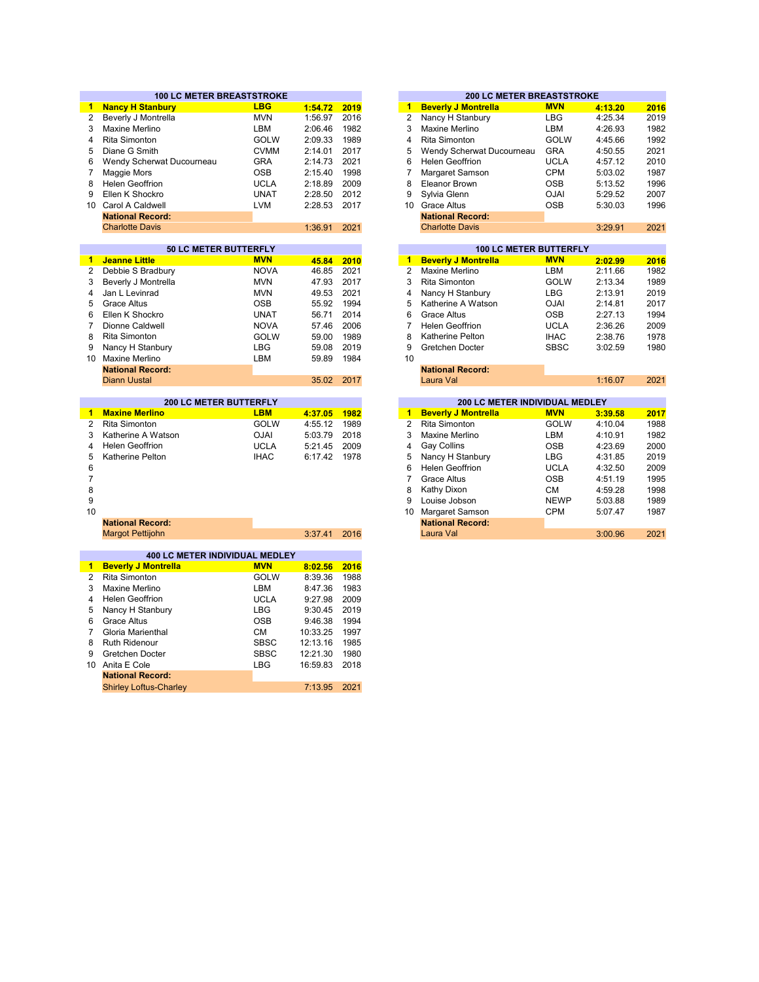|                      | <b>100 LC METER BREASTSTROKE</b> |             |          |      | <b>200 LC METER BREASTSTROKE</b>             |             |         |  |
|----------------------|----------------------------------|-------------|----------|------|----------------------------------------------|-------------|---------|--|
| $\blacksquare$       | <b>Nancy H Stanbury</b>          | <b>LBG</b>  | 1:54.72  | 2019 | <b>Beverly J Montrella</b><br>$\mathbf{1}$   | <b>MVN</b>  | 4:13.20 |  |
| 2                    | Beverly J Montrella              | <b>MVN</b>  | 1:56.97  | 2016 | 2<br>Nancy H Stanbury                        | <b>LBG</b>  | 4:25.34 |  |
| 3                    | Maxine Merlino                   | LBM         | 2:06.46  | 1982 | 3<br>Maxine Merlino                          | LBM         | 4:26.93 |  |
| 4                    | <b>Rita Simonton</b>             | <b>GOLW</b> | 2:09.33  | 1989 | 4<br><b>Rita Simonton</b>                    | <b>GOLW</b> | 4:45.66 |  |
| 5                    | Diane G Smith                    | <b>CVMM</b> | 2:14.01  | 2017 | 5<br>Wendy Scherwat Ducourneau               | <b>GRA</b>  | 4:50.55 |  |
| 6                    | Wendy Scherwat Ducourneau        | <b>GRA</b>  | 2:14.73  | 2021 | 6<br><b>Helen Geoffrion</b>                  | <b>UCLA</b> | 4:57.12 |  |
| $\overline{7}$       | Maggie Mors                      | <b>OSB</b>  | 2:15.40  | 1998 | $\overline{7}$<br>Margaret Samson            | <b>CPM</b>  | 5:03.02 |  |
| 8                    | <b>Helen Geoffrion</b>           | <b>UCLA</b> | 2:18.89  | 2009 | 8<br><b>Eleanor Brown</b>                    | <b>OSB</b>  | 5:13.52 |  |
| 9                    | Ellen K Shockro                  | <b>UNAT</b> | 2:28.50  | 2012 | 9<br>Sylvia Glenn                            | <b>OJAI</b> | 5:29.52 |  |
| 10 <sup>1</sup>      | Carol A Caldwell                 | <b>LVM</b>  | 2:28.53  | 2017 | 10<br><b>Grace Altus</b>                     | <b>OSB</b>  | 5:30.03 |  |
|                      | <b>National Record:</b>          |             |          |      | <b>National Record:</b>                      |             |         |  |
|                      | <b>Charlotte Davis</b>           |             | 1:36.91  | 2021 | <b>Charlotte Davis</b>                       |             | 3:29.91 |  |
|                      |                                  |             |          |      |                                              |             |         |  |
|                      | <b>50 LC METER BUTTERFLY</b>     |             |          |      | <b>100 LC METER BUTTERFLY</b>                |             |         |  |
| 1                    | <b>Jeanne Little</b>             | <b>MVN</b>  | 45.84    | 2010 | <b>Beverly J Montrella</b><br>$\blacksquare$ | <b>MVN</b>  | 2:02.99 |  |
| $\overline{2}$       | Debbie S Bradbury                | <b>NOVA</b> | 46.85    | 2021 | $\overline{2}$<br><b>Maxine Merlino</b>      | LBM         | 2:11.66 |  |
| 3                    | Beverly J Montrella              | <b>MVN</b>  | 47.93    | 2017 | 3<br><b>Rita Simonton</b>                    | <b>GOLW</b> | 2:13.34 |  |
| 4                    | Jan L Levinrad                   | <b>MVN</b>  | 49.53    | 2021 | 4                                            | <b>LBG</b>  | 2:13.91 |  |
| 5                    | <b>Grace Altus</b>               |             |          | 1994 | Nancy H Stanbury<br>5                        |             |         |  |
|                      |                                  | OSB         | 55.92    | 2014 | Katherine A Watson<br>6                      | <b>OJAI</b> | 2:14.81 |  |
| 6                    | Ellen K Shockro                  | <b>UNAT</b> | 56.71    |      | Grace Altus                                  | <b>OSB</b>  | 2:27.13 |  |
| 7                    | Dionne Caldwell                  | <b>NOVA</b> | 57.46    | 2006 | 7<br><b>Helen Geoffrion</b>                  | <b>UCLA</b> | 2:36.26 |  |
| 8                    | Rita Simonton                    | GOLW        | 59.00    | 1989 | 8<br>Katherine Pelton                        | <b>IHAC</b> | 2:38.76 |  |
| 9                    | Nancy H Stanbury                 | <b>LBG</b>  | 59.08    | 2019 | 9<br>Gretchen Docter                         | <b>SBSC</b> | 3:02.59 |  |
|                      | 10 Maxine Merlino                | LBM         | 59.89    | 1984 | 10                                           |             |         |  |
|                      | <b>National Record:</b>          |             |          |      | <b>National Record:</b>                      |             |         |  |
|                      | <b>Diann Uustal</b>              |             | 35.02    | 2017 | Laura Val                                    |             | 1:16.07 |  |
|                      | <b>200 LC METER BUTTERFLY</b>    |             |          |      | 200 LC METER INDIVIDUAL MEDLEY               |             |         |  |
| $\blacksquare$       | <b>Maxine Merlino</b>            | <b>LBM</b>  | 4:37.05  | 1982 | 1<br><b>Beverly J Montrella</b>              | <b>MVN</b>  | 3:39.58 |  |
| $\overline{2}$       | <b>Rita Simonton</b>             | <b>GOLW</b> | 4:55.12  | 1989 | $\overline{c}$<br><b>Rita Simonton</b>       | <b>GOLW</b> | 4:10.04 |  |
| 3                    | Katherine A Watson               | <b>OJAI</b> | 5:03.79  | 2018 | 3<br>Maxine Merlino                          | LBM         | 4:10.91 |  |
| 4                    | <b>Helen Geoffrion</b>           | <b>UCLA</b> | 5:21.45  | 2009 | 4<br>Gay Collins                             | <b>OSB</b>  | 4:23.69 |  |
| 5                    | <b>Katherine Pelton</b>          | <b>IHAC</b> | 6:17.42  | 1978 | 5<br>Nancy H Stanbury                        | <b>LBG</b>  | 4:31.85 |  |
| 6                    |                                  |             |          |      | 6<br><b>Helen Geoffrion</b>                  | <b>UCLA</b> | 4:32.50 |  |
| $\overline{7}$       |                                  |             |          |      | 7<br><b>Grace Altus</b>                      | <b>OSB</b>  | 4:51.19 |  |
| 8                    |                                  |             |          |      | 8<br>Kathy Dixon                             | СM          | 4:59.28 |  |
| 9                    |                                  |             |          |      | 9<br>Louise Jobson                           | <b>NEWP</b> | 5:03.88 |  |
| 10                   |                                  |             |          |      | 10<br>Margaret Samson                        | <b>CPM</b>  | 5:07.47 |  |
|                      | <b>National Record:</b>          |             |          |      | <b>National Record:</b>                      |             |         |  |
|                      | <b>Margot Pettijohn</b>          |             | 3:37.41  | 2016 | Laura Val                                    |             | 3:00.96 |  |
|                      |                                  |             |          |      |                                              |             |         |  |
|                      | 400 LC METER INDIVIDUAL MEDLEY   |             |          |      |                                              |             |         |  |
| $\blacktriangleleft$ | <b>Beverly J Montrella</b>       | <b>MVN</b>  | 8:02.56  | 2016 |                                              |             |         |  |
| $\overline{2}$       | Rita Simonton                    | <b>GOLW</b> | 8:39.36  | 1988 |                                              |             |         |  |
| 3                    | Maxine Merlino                   | LBM         | 8:47.36  | 1983 |                                              |             |         |  |
| 4                    | <b>Helen Geoffrion</b>           | <b>UCLA</b> | 9:27.98  | 2009 |                                              |             |         |  |
| 5                    | Nancy H Stanbury                 | <b>LBG</b>  | 9:30.45  | 2019 |                                              |             |         |  |
| 6                    | <b>Grace Altus</b>               | <b>OSB</b>  | 9:46.38  | 1994 |                                              |             |         |  |
| $\overline{7}$       | Gloria Marienthal                | <b>CM</b>   | 10:33.25 | 1997 |                                              |             |         |  |
| 8                    | <b>Ruth Ridenour</b>             | <b>SBSC</b> | 12:13.16 | 1985 |                                              |             |         |  |
| 9                    | Gretchen Docter                  | <b>SBSC</b> | 12:21.30 | 1980 |                                              |             |         |  |
|                      |                                  | <b>LBG</b>  |          | 2018 |                                              |             |         |  |
| 10                   | Anita E Cole                     |             | 16:59.83 |      |                                              |             |         |  |

| 7:13.95 2021 | <b>National Record:</b>       |  |
|--------------|-------------------------------|--|
|              | <b>Shirley Loftus-Charley</b> |  |

|         |      |                | 200 LU METER BREASTSTRUNE      |             |         |      |
|---------|------|----------------|--------------------------------|-------------|---------|------|
| 1:54.72 | 2019 | 1              | <b>Beverly J Montrella</b>     | <b>MVN</b>  | 4:13.20 | 2016 |
| 1:56.97 | 2016 | $\overline{2}$ | Nancy H Stanbury               | <b>LBG</b>  | 4:25.34 | 2019 |
| 2:06.46 | 1982 | 3              | Maxine Merlino                 | <b>LBM</b>  | 4:26.93 | 1982 |
| 2:09.33 | 1989 | 4              | <b>Rita Simonton</b>           | <b>GOLW</b> | 4:45.66 | 1992 |
| 2:14.01 | 2017 | 5              | Wendy Scherwat Ducourneau      | <b>GRA</b>  | 4:50.55 | 2021 |
| 2:14.73 | 2021 | 6              | <b>Helen Geoffrion</b>         | <b>UCLA</b> | 4:57.12 | 2010 |
| 2:15.40 | 1998 | $\overline{7}$ | Margaret Samson                | <b>CPM</b>  | 5:03.02 | 1987 |
| 2:18.89 | 2009 | 8              | <b>Eleanor Brown</b>           | <b>OSB</b>  | 5:13.52 | 1996 |
| 2:28.50 | 2012 | 9              | Sylvia Glenn                   | <b>OJAI</b> | 5:29.52 | 2007 |
| 2:28.53 | 2017 | 10             | <b>Grace Altus</b>             | <b>OSB</b>  | 5:30.03 | 1996 |
|         |      |                | <b>National Record:</b>        |             |         |      |
| 1:36.91 | 2021 |                | <b>Charlotte Davis</b>         |             | 3:29.91 | 2021 |
|         |      |                |                                |             |         |      |
|         |      |                | <b>100 LC METER BUTTERFLY</b>  |             |         |      |
| 45.84   | 2010 | $\overline{1}$ | <b>Beverly J Montrella</b>     | <b>MVN</b>  | 2:02.99 | 2016 |
| 46.85   | 2021 | $\overline{2}$ | Maxine Merlino                 | <b>LBM</b>  | 2:11.66 | 1982 |
| 47.93   | 2017 | 3              | Rita Simonton                  | <b>GOLW</b> | 2:13.34 | 1989 |
| 49.53   | 2021 | $\overline{4}$ | Nancy H Stanbury               | <b>LBG</b>  | 2:13.91 | 2019 |
| 55.92   | 1994 | 5              | Katherine A Watson             | <b>OJAI</b> | 2:14.81 | 2017 |
| 56.71   | 2014 | 6              | <b>Grace Altus</b>             | <b>OSB</b>  | 2:27.13 | 1994 |
| 57.46   | 2006 | $\overline{7}$ | <b>Helen Geoffrion</b>         | <b>UCLA</b> | 2:36.26 | 2009 |
| 59.00   | 1989 | 8              | Katherine Pelton               | <b>IHAC</b> | 2:38.76 | 1978 |
| 59.08   | 2019 | 9              | Gretchen Docter                | <b>SBSC</b> | 3:02.59 | 1980 |
| 59.89   | 1984 | 10             |                                |             |         |      |
|         |      |                | <b>National Record:</b>        |             |         |      |
| 35.02   | 2017 |                | Laura Val                      |             | 1:16.07 | 2021 |
|         |      |                |                                |             |         |      |
|         |      |                | 200 LC METER INDIVIDUAL MEDLEY |             |         |      |
| 4:37.05 | 1982 | $\overline{1}$ | <b>Beverly J Montrella</b>     | <b>MVN</b>  | 3:39.58 | 2017 |
| 4:55.12 | 1989 | 2              | Rita Simonton                  | <b>GOLW</b> | 4:10.04 | 1988 |
| 5:03.79 | 2018 | 3              | Maxine Merlino                 | I BM        | 4.10.91 | 1982 |

| 4.J/ .UJ | 1964 |              | <b>DEVELIV J MUILLERA</b> | IVI V IV    | <u>3.39.90</u> | 20 T A |
|----------|------|--------------|---------------------------|-------------|----------------|--------|
| 4:55.12  | 1989 | $\mathbf{2}$ | Rita Simonton             | <b>GOLW</b> | 4:10.04        | 1988   |
| 5:03.79  | 2018 | 3            | Maxine Merlino            | <b>LBM</b>  | 4:10.91        | 1982   |
| 5:21.45  | 2009 | 4            | Gay Collins               | <b>OSB</b>  | 4:23.69        | 2000   |
| 6:17.42  | 1978 | 5            | Nancy H Stanbury          | LBG         | 4:31.85        | 2019   |
|          |      | 6            | <b>Helen Geoffrion</b>    | <b>UCLA</b> | 4:32.50        | 2009   |
|          |      |              | Grace Altus               | <b>OSB</b>  | 4:51.19        | 1995   |
|          |      | 8            | Kathy Dixon               | <b>CM</b>   | 4:59.28        | 1998   |
|          |      | 9            | Louise Jobson             | <b>NEWP</b> | 5:03.88        | 1989   |
|          |      | 10           | Margaret Samson           | <b>CPM</b>  | 5:07.47        | 1987   |
|          |      |              | <b>National Record:</b>   |             |                |        |
| 3:37.41  | 2016 |              | Laura Val                 |             | 3:00.96        | 2021   |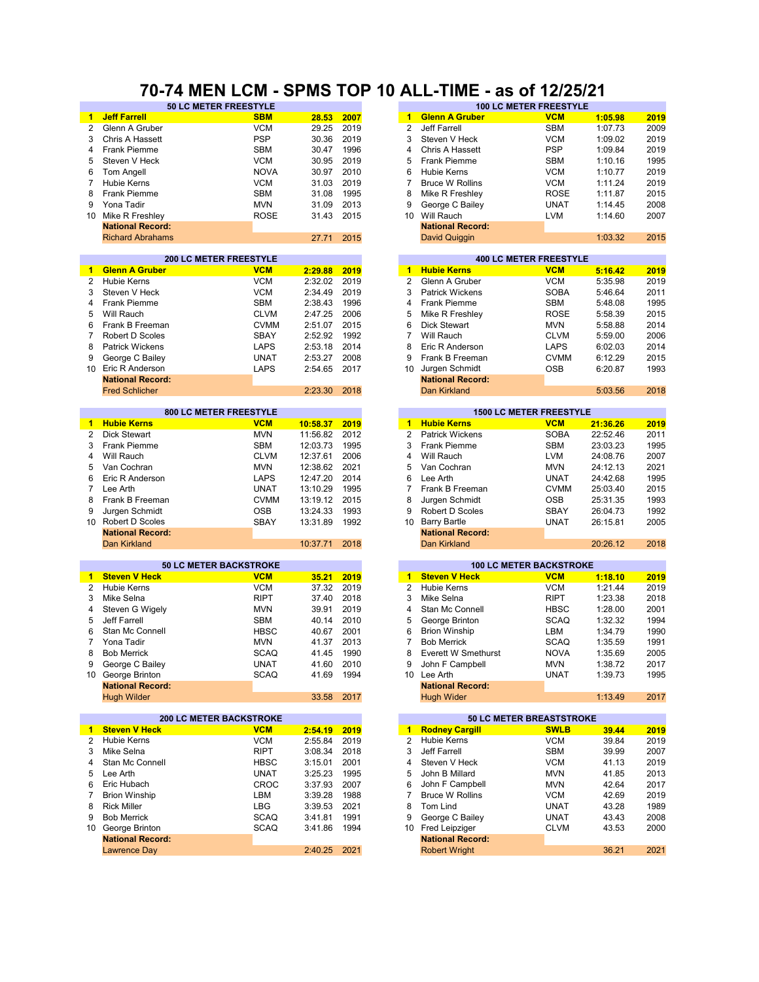### **70-74 MEN LCM - SPMS TOP 10 ALL-TIME - as of 12/25/21**

|                 | 50 LC METER FREESTYLE          |             |            |      |                      |                                                | <b>100 LC METER FREESTYLE</b>   |          |      |
|-----------------|--------------------------------|-------------|------------|------|----------------------|------------------------------------------------|---------------------------------|----------|------|
| $\mathbf{1}$    | <b>Jeff Farrell</b>            | <b>SBM</b>  | 28.53      | 2007 | $\mathbf{1}$         | <b>Glenn A Gruber</b>                          | <b>VCM</b>                      | 1:05.98  | 2019 |
| 2               | Glenn A Gruber                 | <b>VCM</b>  | 29.25      | 2019 | 2                    | Jeff Farrell                                   | <b>SBM</b>                      | 1:07.73  | 2009 |
| 3               | Chris A Hassett                | <b>PSP</b>  | 30.36      | 2019 | 3                    | Steven V Heck                                  | <b>VCM</b>                      | 1:09.02  | 2019 |
| 4               | <b>Frank Piemme</b>            | <b>SBM</b>  | 30.47      | 1996 | 4                    | Chris A Hassett                                | <b>PSP</b>                      | 1:09.84  | 2019 |
| 5               | Steven V Heck                  | <b>VCM</b>  | 30.95      | 2019 | 5                    | <b>Frank Piemme</b>                            | <b>SBM</b>                      | 1:10.16  | 1995 |
| 6               | Tom Angell                     | <b>NOVA</b> | 30.97      | 2010 | 6                    | Hubie Kerns                                    | <b>VCM</b>                      | 1:10.77  | 2019 |
|                 |                                |             |            |      |                      |                                                |                                 |          |      |
| $\overline{7}$  | <b>Hubie Kerns</b>             | <b>VCM</b>  | 31.03      | 2019 | $\overline{7}$       | <b>Bruce W Rollins</b>                         | <b>VCM</b>                      | 1:11.24  | 2019 |
| 8               | Frank Piemme                   | <b>SBM</b>  | 31.08      | 1995 | 8                    | Mike R Freshley                                | <b>ROSE</b>                     | 1:11.87  | 2015 |
| 9               | Yona Tadir                     | <b>MVN</b>  | 31.09      | 2013 | 9                    | George C Bailey                                | <b>UNAT</b>                     | 1:14.45  | 2008 |
| 10 <sup>°</sup> | Mike R Freshley                | <b>ROSE</b> | 31.43      | 2015 | 10 <sup>°</sup>      | Will Rauch                                     | <b>LVM</b>                      | 1:14.60  | 2007 |
|                 | <b>National Record:</b>        |             |            |      |                      | <b>National Record:</b>                        |                                 |          |      |
|                 | <b>Richard Abrahams</b>        |             | 27.71      | 2015 |                      | <b>David Quiggin</b>                           |                                 | 1:03.32  | 2015 |
|                 |                                |             |            |      |                      |                                                |                                 |          |      |
|                 | <b>200 LC METER FREESTYLE</b>  |             |            |      |                      |                                                | <b>400 LC METER FREESTYLE</b>   |          |      |
| 1.              | <b>Glenn A Gruber</b>          | <b>VCM</b>  | 2:29.88    | 2019 | $\mathbf{1}$         | <b>Hubie Kerns</b>                             | <b>VCM</b>                      | 5:16.42  | 2019 |
| $\overline{2}$  | <b>Hubie Kerns</b>             | <b>VCM</b>  | 2:32.02    | 2019 | $\overline{2}$       | Glenn A Gruber                                 | <b>VCM</b>                      | 5:35.98  | 2019 |
| 3               | Steven V Heck                  | <b>VCM</b>  | 2:34.49    | 2019 | 3                    | <b>Patrick Wickens</b>                         | <b>SOBA</b>                     | 5:46.64  | 2011 |
| 4               | <b>Frank Piemme</b>            | <b>SBM</b>  | 2:38.43    | 1996 | $\overline{4}$       | Frank Piemme                                   | <b>SBM</b>                      | 5:48.08  | 1995 |
| 5               | Will Rauch                     | <b>CLVM</b> | 2:47.25    | 2006 | 5                    | Mike R Freshley                                | <b>ROSE</b>                     | 5:58.39  | 2015 |
| 6               | Frank B Freeman                | <b>CVMM</b> | 2:51.07    | 2015 | 6                    | Dick Stewart                                   | <b>MVN</b>                      | 5:58.88  | 2014 |
| $\overline{7}$  |                                |             |            | 1992 | $\overline{7}$       | Will Rauch                                     |                                 |          | 2006 |
|                 | Robert D Scoles                | SBAY        | 2:52.92    |      |                      |                                                | <b>CLVM</b>                     | 5:59.00  |      |
| 8               | <b>Patrick Wickens</b>         | <b>LAPS</b> | 2:53.18    | 2014 | 8                    | Eric R Anderson                                | LAPS                            | 6:02.03  | 2014 |
| 9               | George C Bailey                | <b>UNAT</b> | 2:53.27    | 2008 | 9                    | Frank B Freeman                                | <b>CVMM</b>                     | 6:12.29  | 2015 |
|                 | 10 Eric R Anderson             | <b>LAPS</b> | 2:54.65    | 2017 | 10                   | Jurgen Schmidt                                 | <b>OSB</b>                      | 6:20.87  | 1993 |
|                 | <b>National Record:</b>        |             |            |      |                      | <b>National Record:</b>                        |                                 |          |      |
|                 | <b>Fred Schlicher</b>          |             | 2:23.30    | 2018 |                      | Dan Kirkland                                   |                                 | 5:03.56  | 2018 |
|                 |                                |             |            |      |                      |                                                |                                 |          |      |
|                 | 800 LC METER FREESTYLE         |             |            |      |                      |                                                | <b>1500 LC METER FREESTYLE</b>  |          |      |
| $\mathbf{1}$    | <b>Hubie Kerns</b>             | <b>VCM</b>  | 10:58.37   | 2019 | $\blacktriangleleft$ | <b>Hubie Kerns</b>                             | <b>VCM</b>                      | 21:36.26 | 2019 |
| $\overline{2}$  | <b>Dick Stewart</b>            | <b>MVN</b>  | 11:56.82   | 2012 | $\overline{2}$       | <b>Patrick Wickens</b>                         | <b>SOBA</b>                     | 22:52.46 | 2011 |
| 3               | <b>Frank Piemme</b>            | <b>SBM</b>  | 12:03.73   | 1995 | 3                    | <b>Frank Piemme</b>                            | <b>SBM</b>                      | 23:03.23 | 1995 |
| 4               | Will Rauch                     | <b>CLVM</b> | 12:37.61   | 2006 | $\overline{4}$       | Will Rauch                                     | <b>LVM</b>                      | 24:08.76 | 2007 |
| 5               | Van Cochran                    | <b>MVN</b>  | 12:38.62   | 2021 | 5                    | Van Cochran                                    | <b>MVN</b>                      | 24:12.13 | 2021 |
| 6               | Eric R Anderson                | <b>LAPS</b> | 12:47.20   | 2014 | 6                    | Lee Arth                                       | <b>UNAT</b>                     | 24:42.68 | 1995 |
| $\overline{7}$  | Lee Arth                       | <b>UNAT</b> | 13:10.29   | 1995 | 7                    | Frank B Freeman                                | <b>CVMM</b>                     | 25:03.40 | 2015 |
| 8               | Frank B Freeman                | <b>CVMM</b> | 13:19.12   | 2015 | 8                    | Jurgen Schmidt                                 | <b>OSB</b>                      | 25:31.35 | 1993 |
| 9               | Jurgen Schmidt                 | <b>OSB</b>  | 13:24.33   | 1993 | 9                    | Robert D Scoles                                | SBAY                            | 26:04.73 | 1992 |
| 10 <sup>1</sup> | Robert D Scoles                | <b>SBAY</b> | 13:31.89   | 1992 | 10 <sup>°</sup>      | <b>Barry Bartle</b>                            | <b>UNAT</b>                     | 26:15.81 | 2005 |
|                 |                                |             |            |      |                      |                                                |                                 |          |      |
|                 | <b>National Record:</b>        |             |            |      |                      | <b>National Record:</b><br><b>Dan Kirkland</b> |                                 |          | 2018 |
|                 | Dan Kirkland                   |             | 10:37.71   | 2018 |                      |                                                |                                 | 20:26.12 |      |
|                 | <b>50 LC METER BACKSTROKE</b>  |             |            |      |                      |                                                | <b>100 LC METER BACKSTROKE</b>  |          |      |
| 1.              | <b>Steven V Heck</b>           | <b>VCM</b>  | 35.21      | 2019 | $\mathbf{1}$         | <b>Steven V Heck</b>                           | <b>VCM</b>                      | 1:18.10  | 2019 |
| 2               | <b>Hubie Kerns</b>             | <b>VCM</b>  | 37.32      | 2019 | 2                    | <b>Hubie Kerns</b>                             | <b>VCM</b>                      | 1:21.44  | 2019 |
| 3               | Mike Selna                     | <b>RIPT</b> | 37.40      | 2018 | 3                    | Mike Selna                                     | <b>RIPT</b>                     | 1:23.38  | 2018 |
| 4               | Steven G Wigely                | <b>MVN</b>  | 39.91      | 2019 | 4                    | Stan Mc Connell                                | <b>HBSC</b>                     | 1:28.00  | 2001 |
|                 |                                |             |            |      |                      |                                                |                                 |          |      |
| 5               | Jeff Farrell                   | <b>SBM</b>  | 40.14      | 2010 | 5                    | George Brinton                                 | <b>SCAQ</b>                     | 1:32.32  | 1994 |
| 6               | Stan Mc Connell                | <b>HBSC</b> | 40.67      | 2001 | 6                    | <b>Brion Winship</b>                           | LBM                             | 1:34.79  | 1990 |
| 7               | Yona Tadir                     | <b>MVN</b>  | 41.37      | 2013 | 7                    | <b>Bob Merrick</b>                             | <b>SCAQ</b>                     | 1:35.59  | 1991 |
| 8               | <b>Bob Merrick</b>             | <b>SCAQ</b> | 41.45 1990 |      | 8                    | Everett W Smethurst                            | <b>NOVA</b>                     | 1:35.69  | 2005 |
| 9               | George C Bailey                | <b>UNAT</b> | 41.60      | 2010 | 9                    | John F Campbell                                | <b>MVN</b>                      | 1:38.72  | 2017 |
|                 | 10 George Brinton              | SCAQ        | 41.69      | 1994 |                      | 10 Lee Arth                                    | <b>UNAT</b>                     | 1:39.73  | 1995 |
|                 | <b>National Record:</b>        |             |            |      |                      | <b>National Record:</b>                        |                                 |          |      |
|                 | <b>Hugh Wilder</b>             |             | 33.58      | 2017 |                      | <b>Hugh Wider</b>                              |                                 | 1:13.49  | 2017 |
|                 |                                |             |            |      |                      |                                                |                                 |          |      |
|                 | <b>200 LC METER BACKSTROKE</b> |             |            |      |                      |                                                | <b>50 LC METER BREASTSTROKE</b> |          |      |
| $\mathbf{1}$    | <b>Steven V Heck</b>           | <b>VCM</b>  | 2:54.19    | 2019 | $\blacksquare$       | <b>Rodney Cargill</b>                          | <b>SWLB</b>                     | 39.44    | 2019 |
| $\overline{2}$  | <b>Hubie Kerns</b>             | <b>VCM</b>  | 2:55.84    | 2019 | $\overline{2}$       | Hubie Kerns                                    | <b>VCM</b>                      | 39.84    | 2019 |
| 3               | Mike Selna                     | <b>RIPT</b> | 3:08.34    | 2018 | 3                    | Jeff Farrell                                   | <b>SBM</b>                      | 39.99    | 2007 |
| 4               | Stan Mc Connell                | <b>HBSC</b> | 3:15.01    | 2001 | 4                    | Steven V Heck                                  | <b>VCM</b>                      | 41.13    | 2019 |
| 5               | Lee Arth                       | <b>UNAT</b> | 3:25.23    | 1995 | 5                    | John B Millard                                 | <b>MVN</b>                      | 41.85    | 2013 |
| 6               | Eric Hubach                    | CROC        | 3:37.93    | 2007 | 6                    | John F Campbell                                | <b>MVN</b>                      | 42.64    | 2017 |
| 7               | <b>Brion Winship</b>           | LBM         | 3:39.28    | 1988 | $\overline{7}$       | <b>Bruce W Rollins</b>                         | <b>VCM</b>                      | 42.69    | 2019 |
|                 |                                |             |            |      |                      |                                                |                                 |          |      |
| 8               | <b>Rick Miller</b>             | LBG         | 3:39.53    | 2021 | 8                    | Tom Lind                                       | UNAT                            | 43.28    | 1989 |
| 9               | <b>Bob Merrick</b>             | <b>SCAQ</b> | 3:41.81    | 1991 | 9                    | George C Bailey                                | <b>UNAT</b>                     | 43.43    | 2008 |
|                 | 10 George Brinton              | <b>SCAQ</b> | 3:41.86    | 1994 | 10                   | Fred Leipziger                                 | <b>CLVM</b>                     | 43.53    | 2000 |
|                 | <b>National Record:</b>        |             |            |      |                      | <b>National Record:</b>                        |                                 |          |      |
|                 | <b>Lawrence Day</b>            |             | 2:40.25    | 2021 |                      | <b>Robert Wright</b>                           |                                 | 36.21    | 2021 |
|                 |                                |             |            |      |                      |                                                |                                 |          |      |

| 30.36            | 2019 |
|------------------|------|
| 30.47            | 1996 |
| 30.95            | 2019 |
| 30.97            | 2010 |
| 31.03            | 2019 |
| 31.08            | 1995 |
| 31.09            | 2013 |
|                  |      |
| 31.43            | 2015 |
|                  |      |
| 27.71            | 2015 |
|                  |      |
|                  |      |
| 2:29.88          | 2019 |
| 2:32.02          | 2019 |
| 2:34.49          | 2019 |
| 2:38.43          | 1996 |
| 2:47.25          | 2006 |
| 2:51.07          | 2015 |
| 2:52.92          | 1992 |
| 2:53.18          | 2014 |
| 2:53.27          | 2008 |
| 2:54.65          | 2017 |
|                  |      |
| 2:23.30          | 2018 |
|                  |      |
|                  |      |
| <u> 10:58.37</u> | 2019 |
| 11:56.82         | 2012 |
| 12:03.73         | 1995 |
| 12:37.61         | 2006 |
| 12:38.62         | 2021 |
|                  |      |
| 12:47.20         | 2014 |
| 13:10.29         | 1995 |
| 13:19.12         | 2015 |
| 13:24.33         | 1993 |
| 13:31.89         | 1992 |
|                  |      |
| 10:37.71         | 2018 |
|                  |      |
|                  |      |
| 35.21            | 2019 |
| 37.32            | 2019 |
| 37.40            | 2018 |
| 39.91            | 2019 |
| 40.14            | 2010 |
| 40.67            | 2001 |
| 41.37            | 2013 |
| 41.45            | 1990 |
| 41.60            | 2010 |
| 41.69            | 1994 |
|                  |      |
| 33.58            | 2017 |
|                  |      |
|                  |      |
| 2:54.19          | 2019 |
| 2:55.84          | 2019 |
| 3:08.34          | 2018 |
| 3:15.01          | 2001 |
| 3:25.23          | 1995 |
| 3:37.93          | 2007 |
| 3:39.28          | 1988 |
| 3:39.53          | 2021 |
|                  |      |
| 3:41.81          | 1991 |
| 3:41.86          | 1994 |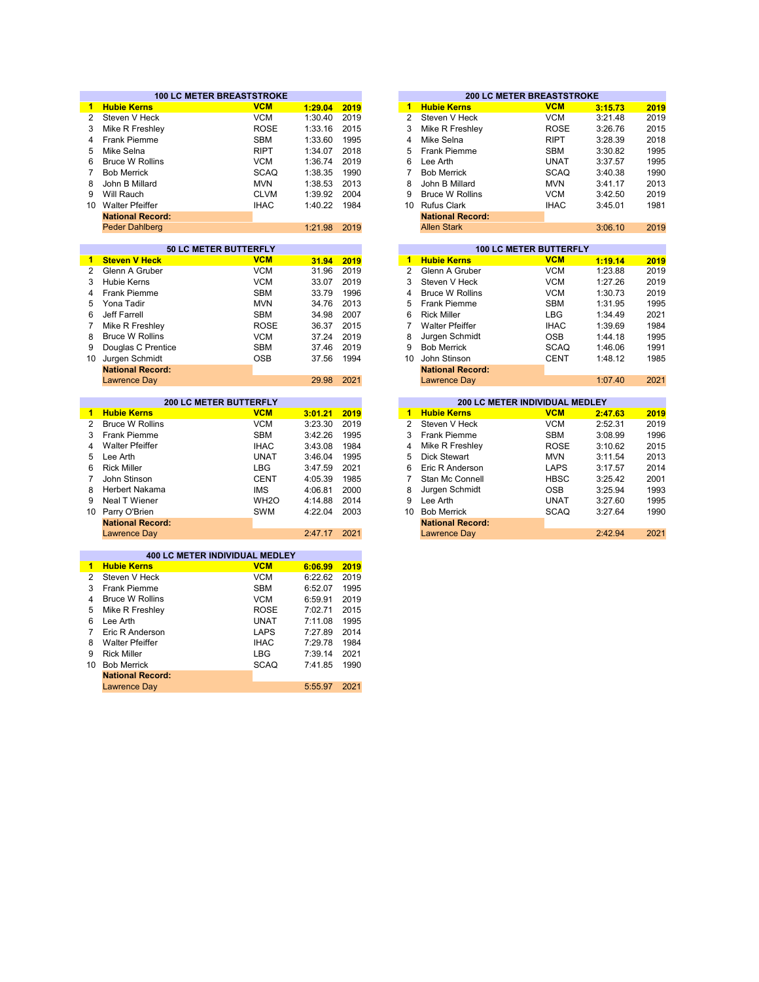|                 | <b>100 LC METER BREASTSTROKE</b>      |                   |         |      |                  | <b>200 LC METER BREASTSTROKE</b> |                            |                    |              |
|-----------------|---------------------------------------|-------------------|---------|------|------------------|----------------------------------|----------------------------|--------------------|--------------|
| $\blacksquare$  | <b>Hubie Kerns</b>                    | <b>VCM</b>        | 1:29.04 | 2019 | $\mathbf{1}$     | <b>Hubie Kerns</b>               | <b>VCM</b>                 | 3:15.73            | 2019         |
| $\overline{2}$  | Steven V Heck                         | <b>VCM</b>        | 1:30.40 | 2019 | $\overline{2}$   | Steven V Heck                    | <b>VCM</b>                 | 3:21.48            | 2019         |
| 3               | Mike R Freshley                       | <b>ROSE</b>       | 1:33.16 | 2015 | 3                | Mike R Freshley                  | <b>ROSE</b>                | 3:26.76            | 2015         |
| 4               | Frank Piemme                          | <b>SBM</b>        | 1:33.60 | 1995 | 4                | Mike Selna                       | <b>RIPT</b>                | 3:28.39            | 2018         |
| 5               | Mike Selna                            | <b>RIPT</b>       | 1:34.07 | 2018 | 5                | <b>Frank Piemme</b>              | <b>SBM</b>                 | 3:30.82            | 1995         |
| 6               | <b>Bruce W Rollins</b>                | <b>VCM</b>        | 1:36.74 | 2019 | 6                | Lee Arth                         | <b>UNAT</b>                | 3:37.57            | 1995         |
| $\overline{7}$  | <b>Bob Merrick</b>                    | <b>SCAQ</b>       | 1:38.35 | 1990 | $\overline{7}$   | <b>Bob Merrick</b>               | <b>SCAQ</b>                | 3:40.38            | 1990         |
| 8               | John B Millard                        | <b>MVN</b>        | 1:38.53 | 2013 | 8                | John B Millard                   | <b>MVN</b>                 | 3:41.17            | 2013         |
| 9               | Will Rauch                            | <b>CLVM</b>       | 1:39.92 | 2004 | 9                | <b>Bruce W Rollins</b>           | <b>VCM</b>                 | 3:42.50            | 2019         |
|                 | 10 Walter Pfeiffer                    | <b>IHAC</b>       | 1:40.22 | 1984 | 10               | <b>Rufus Clark</b>               | <b>IHAC</b>                | 3:45.01            | 1981         |
|                 | <b>National Record:</b>               |                   |         |      |                  | <b>National Record:</b>          |                            |                    |              |
|                 | <b>Peder Dahlberg</b>                 |                   | 1:21.98 | 2019 |                  | <b>Allen Stark</b>               |                            | 3:06.10            | 2019         |
|                 |                                       |                   |         |      |                  |                                  |                            |                    |              |
|                 | 50 LC METER BUTTERFLY                 |                   |         |      |                  | <b>100 LC METER BUTTERFLY</b>    |                            |                    |              |
| 1.              | <b>Steven V Heck</b>                  | <b>VCM</b>        | 31.94   | 2019 | $\mathbf{1}$     | <b>Hubie Kerns</b>               | <b>VCM</b>                 | 1:19.14            | 2019         |
| $\overline{2}$  | Glenn A Gruber                        | <b>VCM</b>        | 31.96   | 2019 | $\overline{2}$   | Glenn A Gruber                   | <b>VCM</b>                 | 1:23.88            | 2019         |
| 3               | <b>Hubie Kerns</b>                    | <b>VCM</b>        | 33.07   | 2019 | 3                | Steven V Heck                    | <b>VCM</b>                 | 1:27.26            | 2019         |
| $\overline{4}$  | <b>Frank Piemme</b>                   | <b>SBM</b>        | 33.79   | 1996 | 4                | <b>Bruce W Rollins</b>           | <b>VCM</b>                 | 1:30.73            | 2019         |
| 5               | Yona Tadir                            | <b>MVN</b>        | 34.76   | 2013 | 5                | <b>Frank Piemme</b>              | <b>SBM</b>                 | 1:31.95            | 1995         |
| 6               | Jeff Farrell                          | <b>SBM</b>        | 34.98   | 2007 | 6                | <b>Rick Miller</b>               | <b>LBG</b>                 | 1:34.49            | 2021         |
| $\overline{7}$  | Mike R Freshley                       | <b>ROSE</b>       | 36.37   | 2015 | $\overline{7}$   | <b>Walter Pfeiffer</b>           | <b>IHAC</b>                | 1:39.69            | 1984         |
| 8               | <b>Bruce W Rollins</b>                | <b>VCM</b>        | 37.24   | 2019 | 8                | Jurgen Schmidt                   | <b>OSB</b>                 | 1:44.18            | 1995         |
| 9               | Douglas C Prentice                    | <b>SBM</b>        | 37.46   | 2019 | 9                | <b>Bob Merrick</b>               | <b>SCAQ</b>                | 1:46.06            | 1991         |
| 10 <sup>°</sup> | Jurgen Schmidt                        | <b>OSB</b>        | 37.56   | 1994 | 10               | John Stinson                     | <b>CENT</b>                | 1:48.12            | 1985         |
|                 | <b>National Record:</b>               |                   |         |      |                  | <b>National Record:</b>          |                            |                    |              |
|                 | <b>Lawrence Day</b>                   |                   | 29.98   | 2021 |                  | <b>Lawrence Day</b>              |                            | 1:07.40            | 2021         |
|                 |                                       |                   |         |      |                  |                                  |                            |                    |              |
|                 |                                       |                   |         |      |                  |                                  |                            |                    |              |
|                 | <b>200 LC METER BUTTERFLY</b>         |                   |         |      |                  | 200 LC METER INDIVIDUAL MEDLEY   |                            |                    |              |
| 1.              | <b>Hubie Kerns</b>                    | <b>VCM</b>        | 3:01.21 | 2019 | $\blacksquare$   | <b>Hubie Kerns</b>               | <b>VCM</b>                 | 2:47.63            | 2019         |
| $\overline{2}$  | <b>Bruce W Rollins</b>                | <b>VCM</b>        | 3:23.30 | 2019 | $\overline{2}$   | Steven V Heck                    | <b>VCM</b>                 | 2:52.31            | 2019         |
| 3               | Frank Piemme                          | <b>SBM</b>        | 3:42.26 | 1995 | 3                | Frank Piemme                     | <b>SBM</b>                 | 3:08.99            | 1996         |
| 4               | <b>Walter Pfeiffer</b>                | <b>IHAC</b>       | 3:43.08 | 1984 | 4                | Mike R Freshley                  | <b>ROSE</b>                | 3:10.62            | 2015         |
| 5               | Lee Arth                              | <b>UNAT</b>       | 3:46.04 | 1995 | 5                | <b>Dick Stewart</b>              | <b>MVN</b>                 | 3:11.54            | 2013         |
| 6               | <b>Rick Miller</b>                    | <b>LBG</b>        | 3:47.59 | 2021 | 6                | Eric R Anderson                  | LAPS                       | 3:17.57            | 2014         |
| $\overline{7}$  | John Stinson                          | <b>CENT</b>       | 4:05.39 | 1985 | $\overline{7}$   | Stan Mc Connell                  | <b>HBSC</b>                | 3:25.42            | 2001         |
| 8               | Herbert Nakama                        | <b>IMS</b>        | 4:06.81 | 2000 | 8                | Jurgen Schmidt                   | <b>OSB</b>                 | 3:25.94            | 1993         |
| 9               | Neal T Wiener                         | WH <sub>2</sub> O | 4:14.88 | 2014 | 9                | Lee Arth                         |                            |                    |              |
|                 | 10 Parry O'Brien                      | <b>SWM</b>        | 4:22.04 | 2003 | 10 <sup>10</sup> | <b>Bob Merrick</b>               | <b>UNAT</b><br><b>SCAQ</b> | 3:27.60<br>3:27.64 | 1995<br>1990 |
|                 | <b>National Record:</b>               |                   |         |      |                  | <b>National Record:</b>          |                            |                    |              |
|                 | <b>Lawrence Day</b>                   |                   | 2:47.17 | 2021 |                  | Lawrence Day                     |                            | 2:42.94            | 2021         |
|                 |                                       |                   |         |      |                  |                                  |                            |                    |              |
|                 | <b>400 LC METER INDIVIDUAL MEDLEY</b> |                   |         |      |                  |                                  |                            |                    |              |
|                 | 1 Hubie Kerns                         | <b>VCM</b>        | 6:06.99 | 2019 |                  |                                  |                            |                    |              |
| $\overline{2}$  | Steven V Heck                         | <b>VCM</b>        | 6:22.62 | 2019 |                  |                                  |                            |                    |              |
| 3               | <b>Frank Piemme</b>                   | <b>SBM</b>        | 6:52.07 | 1995 |                  |                                  |                            |                    |              |
| 4               | <b>Bruce W Rollins</b>                | <b>VCM</b>        | 6:59.91 | 2019 |                  |                                  |                            |                    |              |
| 5               | Mike R Freshley                       | <b>ROSE</b>       | 7:02.71 | 2015 |                  |                                  |                            |                    |              |
| 6               | Lee Arth                              | <b>UNAT</b>       | 7:11.08 | 1995 |                  |                                  |                            |                    |              |
| $\overline{7}$  | Eric R Anderson                       | <b>LAPS</b>       | 7:27.89 | 2014 |                  |                                  |                            |                    |              |
| 8               | <b>Walter Pfeiffer</b>                | <b>IHAC</b>       | 7:29.78 | 1984 |                  |                                  |                            |                    |              |
| 9               | <b>Rick Miller</b>                    | <b>LBG</b>        | 7:39.14 | 2021 |                  |                                  |                            |                    |              |
| 10              | <b>Bob Merrick</b>                    | <b>SCAQ</b>       | 7:41.85 | 1990 |                  |                                  |                            |                    |              |
|                 | <b>National Record:</b>               |                   |         |      |                  |                                  |                            |                    |              |

|         |      |    |                         | ZUU LU MEIER DREASISIRUNE     |         |
|---------|------|----|-------------------------|-------------------------------|---------|
| 1:29.04 | 2019 | 1  | <b>Hubie Kerns</b>      | <b>VCM</b>                    | 3:15.73 |
| 1:30.40 | 2019 | 2  | Steven V Heck           | <b>VCM</b>                    | 3:21.48 |
| 1:33.16 | 2015 | 3  | Mike R Freshley         | <b>ROSE</b>                   | 3:26.76 |
| 1:33.60 | 1995 | 4  | Mike Selna              | <b>RIPT</b>                   | 3:28.39 |
| 1:34.07 | 2018 | 5  | <b>Frank Piemme</b>     | <b>SBM</b>                    | 3:30.82 |
| 1:36.74 | 2019 | 6  | Lee Arth                | <b>UNAT</b>                   | 3:37.57 |
| 1:38.35 | 1990 | 7  | <b>Bob Merrick</b>      | <b>SCAQ</b>                   | 3:40.38 |
| 1:38.53 | 2013 | 8  | John B Millard          | <b>MVN</b>                    | 3:41.17 |
| 1:39.92 | 2004 | 9  | <b>Bruce W Rollins</b>  | <b>VCM</b>                    | 3:42.50 |
| 1:40.22 | 1984 | 10 | <b>Rufus Clark</b>      | <b>IHAC</b>                   | 3:45.01 |
|         |      |    | <b>National Record:</b> |                               |         |
| 1:21.98 | 2019 |    | <b>Allen Stark</b>      |                               | 3:06.10 |
|         |      |    |                         |                               |         |
|         |      |    |                         | <b>100 LC METER BUTTERFLY</b> |         |
| 31.94   | 2019 | 1  | <b>Hubie Kerns</b>      | <b>VCM</b>                    | 1:19.14 |
| 31.96   | 2019 | 2  | Glenn A Gruber          | <b>VCM</b>                    | 1:23.88 |
| 33.07   | 2019 | 3  | Steven V Heck           | <b>VCM</b>                    | 1:27.26 |
| 33.79   | 1996 | 4  | <b>Bruce W Rollins</b>  | <b>VCM</b>                    | 1:30.73 |
| 34.76   | 2013 | 5  | <b>Frank Piemme</b>     | <b>SBM</b>                    | 1:31.95 |
| 34.98   | 2007 | 6  | <b>Rick Miller</b>      | <b>LBG</b>                    | 1:34.49 |
| 36.37   | 2015 | 7  | <b>Walter Pfeiffer</b>  | <b>IHAC</b>                   | 1:39.69 |
| 37.24   | 2019 | 8  | Jurgen Schmidt          | <b>OSB</b>                    | 1:44.18 |
| 37.46   | 2019 | 9  | <b>Bob Merrick</b>      | <b>SCAQ</b>                   | 1:46.06 |
| 37.56   | 1994 | 10 | John Stinson            | <b>CENT</b>                   | 1:48.12 |
|         |      |    | <b>National Record:</b> |                               |         |
| 29.98   | 2021 |    | Lawrence Dav            |                               | 1:07.40 |

|         |      |    |                         | <b>200 LC METER INDIVIDUAL MEDLEY</b> |         |      |
|---------|------|----|-------------------------|---------------------------------------|---------|------|
| 3:01.21 | 2019 | 1  | <b>Hubie Kerns</b>      | <b>VCM</b>                            | 2:47.63 | 2019 |
| 3:23.30 | 2019 | 2  | Steven V Heck           | <b>VCM</b>                            | 2:52.31 | 2019 |
| 3:42.26 | 1995 | 3  | Frank Piemme            | <b>SBM</b>                            | 3:08.99 | 1996 |
| 3:43.08 | 1984 | 4  | Mike R Freshley         | <b>ROSE</b>                           | 3:10.62 | 2015 |
| 3:46.04 | 1995 | 5  | Dick Stewart            | <b>MVN</b>                            | 3:11.54 | 2013 |
| 3:47.59 | 2021 | 6  | Eric R Anderson         | LAPS                                  | 3:17.57 | 2014 |
| 4:05.39 | 1985 |    | Stan Mc Connell         | <b>HBSC</b>                           | 3:25.42 | 2001 |
| 4:06.81 | 2000 | 8  | Jurgen Schmidt          | <b>OSB</b>                            | 3:25.94 | 1993 |
| 4:14.88 | 2014 | 9  | Lee Arth                | <b>UNAT</b>                           | 3:27.60 | 1995 |
| 4:22.04 | 2003 | 10 | <b>Bob Merrick</b>      | <b>SCAQ</b>                           | 3:27.64 | 1990 |
|         |      |    | <b>National Record:</b> |                                       |         |      |
| 2:47.17 | 2021 |    | Lawrence Day            |                                       | 2:42.94 | 2021 |
|         |      |    |                         |                                       |         |      |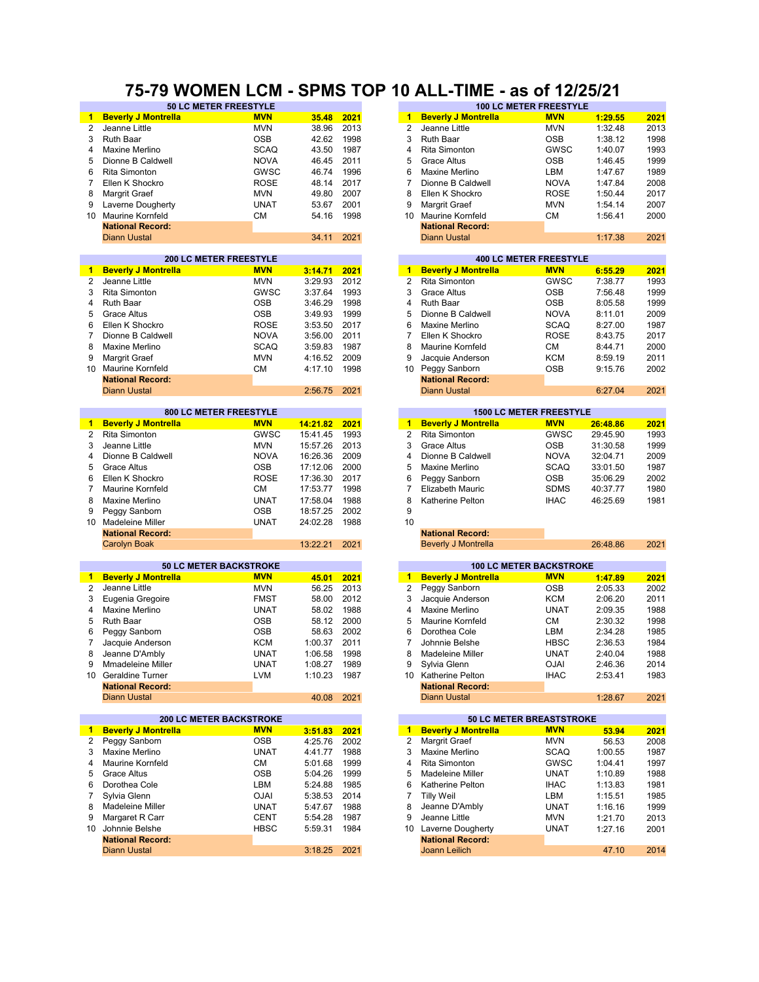### **75-79 WOMEN LCM - SPMS TOP 10 ALL-TIME - as of 12/25/21**

|                 | <b>50 LC METER FREESTYLE</b>   |             |          |      |                      |                            | <b>100 LC METER FREESTYLE</b>  |          |      |
|-----------------|--------------------------------|-------------|----------|------|----------------------|----------------------------|--------------------------------|----------|------|
| $\mathbf{1}$    | <b>Beverly J Montrella</b>     | <b>MVN</b>  | 35.48    | 2021 | $\mathbf{1}$         | <b>Beverly J Montrella</b> | <b>MVN</b>                     | 1:29.55  | 2021 |
| $\overline{2}$  | Jeanne Little                  | <b>MVN</b>  | 38.96    | 2013 | $\overline{2}$       | Jeanne Little              | <b>MVN</b>                     | 1:32.48  | 2013 |
| 3               | <b>Ruth Baar</b>               | <b>OSB</b>  | 42.62    | 1998 | 3                    | <b>Ruth Baar</b>           | <b>OSB</b>                     | 1:38.12  | 1998 |
| 4               | Maxine Merlino                 | <b>SCAQ</b> | 43.50    | 1987 | 4                    | <b>Rita Simonton</b>       | GWSC                           | 1:40.07  | 1993 |
| 5               | Dionne B Caldwell              | <b>NOVA</b> | 46.45    | 2011 | 5                    | <b>Grace Altus</b>         | <b>OSB</b>                     | 1:46.45  | 1999 |
| 6               | <b>Rita Simonton</b>           |             |          | 1996 | 6                    | Maxine Merlino             |                                |          | 1989 |
|                 |                                | GWSC        | 46.74    |      |                      |                            | LBM                            | 1:47.67  |      |
| 7               | Ellen K Shockro                | <b>ROSE</b> | 48.14    | 2017 | $\overline{7}$       | Dionne B Caldwell          | <b>NOVA</b>                    | 1:47.84  | 2008 |
| 8               | Margrit Graef                  | <b>MVN</b>  | 49.80    | 2007 | 8                    | Ellen K Shockro            | <b>ROSE</b>                    | 1:50.44  | 2017 |
| 9               | Laverne Dougherty              | <b>UNAT</b> | 53.67    | 2001 | 9                    | Margrit Graef              | <b>MVN</b>                     | 1:54.14  | 2007 |
| 10              | <b>Maurine Kornfeld</b>        | <b>CM</b>   | 54.16    | 1998 | 10                   | <b>Maurine Kornfeld</b>    | СM                             | 1:56.41  | 2000 |
|                 | <b>National Record:</b>        |             |          |      |                      | <b>National Record:</b>    |                                |          |      |
|                 | <b>Diann Uustal</b>            |             | 34.11    | 2021 |                      | <b>Diann Uustal</b>        |                                | 1:17.38  | 2021 |
|                 |                                |             |          |      |                      |                            |                                |          |      |
|                 | <b>200 LC METER FREESTYLE</b>  |             |          |      |                      |                            | <b>400 LC METER FREESTYLE</b>  |          |      |
| 1               | <b>Beverly J Montrella</b>     | <b>MVN</b>  | 3:14.71  | 2021 | $\blacktriangleleft$ | <b>Beverly J Montrella</b> | <b>MVN</b>                     | 6:55.29  | 2021 |
| 2               | Jeanne Little                  | <b>MVN</b>  | 3:29.93  | 2012 | 2                    | Rita Simonton              | <b>GWSC</b>                    | 7:38.77  | 1993 |
| 3               | <b>Rita Simonton</b>           | GWSC        | 3:37.64  | 1993 | 3                    | <b>Grace Altus</b>         | <b>OSB</b>                     | 7:56.48  | 1999 |
|                 |                                |             |          |      |                      |                            |                                |          |      |
| 4               | <b>Ruth Baar</b>               | <b>OSB</b>  | 3:46.29  | 1998 | $\overline{4}$       | <b>Ruth Baar</b>           | <b>OSB</b>                     | 8:05.58  | 1999 |
| 5               | <b>Grace Altus</b>             | <b>OSB</b>  | 3:49.93  | 1999 | 5                    | Dionne B Caldwell          | <b>NOVA</b>                    | 8:11.01  | 2009 |
| 6               | Ellen K Shockro                | <b>ROSE</b> | 3:53.50  | 2017 | 6                    | Maxine Merlino             | <b>SCAQ</b>                    | 8:27.00  | 1987 |
| 7               | Dionne B Caldwell              | <b>NOVA</b> | 3:56.00  | 2011 | 7                    | Ellen K Shockro            | <b>ROSE</b>                    | 8:43.75  | 2017 |
| 8               | Maxine Merlino                 | <b>SCAQ</b> | 3:59.83  | 1987 | 8                    | <b>Maurine Kornfeld</b>    | СM                             | 8:44.71  | 2000 |
| 9               | Margrit Graef                  | <b>MVN</b>  | 4:16.52  | 2009 | 9                    | Jacquie Anderson           | <b>KCM</b>                     | 8:59.19  | 2011 |
| 10              | Maurine Kornfeld               | <b>CM</b>   | 4:17.10  | 1998 | 10                   | Peggy Sanborn              | <b>OSB</b>                     | 9:15.76  | 2002 |
|                 | <b>National Record:</b>        |             |          |      |                      | <b>National Record:</b>    |                                |          |      |
|                 |                                |             |          |      |                      |                            |                                |          |      |
|                 | <b>Diann Uustal</b>            |             | 2:56.75  | 2021 |                      | <b>Diann Uustal</b>        |                                | 6:27.04  | 2021 |
|                 | 800 LC METER FREESTYLE         |             |          |      |                      |                            | <b>1500 LC METER FREESTYLE</b> |          |      |
| $\blacksquare$  | <b>Beverly J Montrella</b>     | <b>MVN</b>  | 14:21.82 | 2021 | $\mathbf{1}$         | <b>Beverly J Montrella</b> | <b>MVN</b>                     | 26:48.86 | 2021 |
| 2               | Rita Simonton                  | GWSC        | 15:41.45 | 1993 | 2                    | Rita Simonton              | <b>GWSC</b>                    | 29:45.90 | 1993 |
| 3               | Jeanne Little                  | <b>MVN</b>  | 15:57.26 | 2013 | 3                    | <b>Grace Altus</b>         | <b>OSB</b>                     | 31:30.58 | 1999 |
|                 |                                |             |          |      |                      |                            |                                |          |      |
| 4               | Dionne B Caldwell              | <b>NOVA</b> | 16:26.36 | 2009 | 4                    | Dionne B Caldwell          | <b>NOVA</b>                    | 32:04.71 | 2009 |
| 5               | <b>Grace Altus</b>             | <b>OSB</b>  | 17:12.06 | 2000 | 5                    | Maxine Merlino             | <b>SCAQ</b>                    | 33:01.50 | 1987 |
| 6               | Ellen K Shockro                | <b>ROSE</b> | 17:36.30 | 2017 | 6                    | Peggy Sanborn              | <b>OSB</b>                     | 35:06.29 | 2002 |
| 7               | <b>Maurine Kornfeld</b>        | <b>CM</b>   | 17:53.77 | 1998 | $\overline{7}$       | <b>Elizabeth Mauric</b>    | <b>SDMS</b>                    | 40:37.77 | 1980 |
| 8               | Maxine Merlino                 | <b>UNAT</b> | 17:58.04 | 1988 | 8                    | Katherine Pelton           | <b>IHAC</b>                    | 46:25.69 | 1981 |
| 9               | Peggy Sanborn                  | <b>OSB</b>  | 18:57.25 | 2002 | 9                    |                            |                                |          |      |
| 10 <sup>1</sup> | Madeleine Miller               | <b>UNAT</b> | 24:02.28 | 1988 | 10                   |                            |                                |          |      |
|                 | <b>National Record:</b>        |             |          |      |                      | <b>National Record:</b>    |                                |          |      |
|                 | <b>Carolyn Boak</b>            |             | 13:22.21 | 2021 |                      | <b>Beverly J Montrella</b> |                                | 26:48.86 | 2021 |
|                 |                                |             |          |      |                      |                            |                                |          |      |
|                 | <b>50 LC METER BACKSTROKE</b>  |             |          |      |                      |                            | <b>100 LC METER BACKSTROKE</b> |          |      |
| $\mathbf{1}$    | <b>Beverly J Montrella</b>     | <b>MVN</b>  | 45.01    | 2021 | $\mathbf{1}$         | <b>Beverly J Montrella</b> | <b>MVN</b>                     | 1:47.89  | 2021 |
| 2               | Jeanne Little                  | <b>MVN</b>  | 56.25    | 2013 | 2                    | Peggy Sanborn              | <b>OSB</b>                     | 2:05.33  | 2002 |
| 3               | Eugenia Gregoire               | <b>FMST</b> | 58.00    | 2012 | 3                    | Jacquie Anderson           | <b>KCM</b>                     | 2:06.20  | 2011 |
| 4               | Maxine Merlino                 | <b>UNAT</b> | 58.02    | 1988 | 4                    | Maxine Merlino             | <b>UNAT</b>                    | 2:09.35  | 1988 |
|                 |                                |             |          | 2000 | 5                    |                            |                                |          | 1998 |
| 5               | <b>Ruth Baar</b>               | <b>OSB</b>  | 58.12    |      |                      | Maurine Kornfeld           | <b>CM</b>                      | 2:30.32  |      |
| 6               | Peggy Sanborn                  | <b>OSB</b>  | 58.63    | 2002 | 6                    | Dorothea Cole              | LBM                            | 2:34.28  | 1985 |
| 7               | Jacquie Anderson               | <b>KCM</b>  | 1:00.37  | 2011 | 7                    | Johnnie Belshe             | <b>HBSC</b>                    | 2:36.53  | 1984 |
| 8               | Jeanne D'Ambly                 | <b>UNAT</b> | 1:06.58  | 1998 | 8                    | <b>Madeleine Miller</b>    | <b>UNAT</b>                    | 2:40.04  | 1988 |
| 9               | <b>Mmadeleine Miller</b>       | <b>UNAT</b> | 1:08.27  | 1989 | 9                    | Sylvia Glenn               | <b>OJAI</b>                    | 2:46.36  | 2014 |
|                 | 10 Geraldine Turner            | LVM         | 1:10.23  | 1987 |                      | 10 Katherine Pelton        | <b>IHAC</b>                    | 2:53.41  | 1983 |
|                 | <b>National Record:</b>        |             |          |      |                      | <b>National Record:</b>    |                                |          |      |
|                 | <b>Diann Uustal</b>            |             | 40.08    | 2021 |                      | <b>Diann Uustal</b>        |                                | 1:28.67  | 2021 |
|                 |                                |             |          |      |                      |                            |                                |          |      |
|                 | <b>200 LC METER BACKSTROKE</b> |             |          |      |                      |                            | 50 LC METER BREASTSTROKE       |          |      |
| $\blacksquare$  | <b>Beverly J Montrella</b>     | <b>MVN</b>  | 3:51.83  | 2021 | 1                    | <b>Beverly J Montrella</b> | <b>MVN</b>                     | 53.94    | 2021 |
| 2               | Peggy Sanborn                  | <b>OSB</b>  | 4:25.76  | 2002 | 2                    | Margrit Graef              | <b>MVN</b>                     | 56.53    | 2008 |
| 3               | Maxine Merlino                 | <b>UNAT</b> | 4:41.77  | 1988 | 3                    | Maxine Merlino             | <b>SCAQ</b>                    | 1:00.55  | 1987 |
|                 |                                |             |          |      |                      |                            |                                |          |      |
| 4               | Maurine Kornfeld               | СM          | 5:01.68  | 1999 | 4                    | <b>Rita Simonton</b>       | GWSC                           | 1:04.41  | 1997 |
| 5               | <b>Grace Altus</b>             | <b>OSB</b>  | 5:04.26  | 1999 | 5                    | Madeleine Miller           | <b>UNAT</b>                    | 1:10.89  | 1988 |
| 6               | Dorothea Cole                  | LBM         | 5:24.88  | 1985 | 6                    | Katherine Pelton           | <b>IHAC</b>                    | 1:13.83  | 1981 |
| 7               | Sylvia Glenn                   | <b>OJAI</b> | 5:38.53  | 2014 | 7                    | <b>Tilly Weil</b>          | LBM                            | 1:15.51  | 1985 |
| 8               | Madeleine Miller               | <b>UNAT</b> | 5:47.67  | 1988 | 8                    | Jeanne D'Ambly             | <b>UNAT</b>                    | 1:16.16  | 1999 |
| 9               | Margaret R Carr                | <b>CENT</b> | 5:54.28  | 1987 | 9                    | Jeanne Little              | <b>MVN</b>                     | 1:21.70  | 2013 |
| 10 <sup>°</sup> | Johnnie Belshe                 | <b>HBSC</b> | 5:59.31  | 1984 | 10                   | Laverne Dougherty          | <b>UNAT</b>                    | 1:27.16  | 2001 |
|                 | <b>National Record:</b>        |             |          |      |                      | <b>National Record:</b>    |                                |          |      |
|                 | <b>Diann Uustal</b>            |             | 3:18.25  | 2021 |                      | Joann Leilich              |                                | 47.10    | 2014 |
|                 |                                |             |          |      |                      |                            |                                |          |      |

| 38.96              | 2013         | 2              | Jeanne Little                   | MVN                            | 1:32.48            | 2013         |
|--------------------|--------------|----------------|---------------------------------|--------------------------------|--------------------|--------------|
| 42.62              | 1998         | 3              | <b>Ruth Baar</b>                | OSB                            | 1:38.12            | 1998         |
| 43.50              | 1987         | 4              | Rita Simonton                   | GWSC                           | 1:40.07            | 1993         |
| 46.45              | 2011         | 5              | <b>Grace Altus</b>              | OSB                            | 1:46.45            | 1999         |
| 46.74              | 1996         | 6              | Maxine Merlino                  | LBM                            | 1:47.67            | 1989         |
| 48.14              | 2017         | 7              | Dionne B Caldwell               | <b>NOVA</b>                    | 1:47.84            | 2008         |
| 49.80              | 2007         | 8              | Ellen K Shockro                 | ROSE                           | 1:50.44            | 2017         |
| 53.67              | 2001         | 9              | Margrit Graef                   | <b>MVN</b>                     | 1:54.14            | 2007         |
| 54.16              | 1998         | 10             | Maurine Kornfeld                | CМ                             | 1:56.41            | 2000         |
|                    |              |                | <b>National Record:</b>         |                                |                    |              |
| 34.11              | 2021         |                | <b>Diann Uustal</b>             |                                | 1:17.38            | 2021         |
|                    |              |                |                                 |                                |                    |              |
|                    |              |                |                                 | <b>400 LC METER FREESTYLE</b>  |                    |              |
| 3:14.71            | 2021         | $\mathbf{1}$   | <b>Beverly J Montrella</b>      | <b>MVN</b>                     | 6:55.29            | 2021         |
| 3:29.93            | 2012         | $\overline{2}$ | <b>Rita Simonton</b>            | GWSC                           | 7:38.77            | 1993         |
| 3:37.64            | 1993         | 3              | <b>Grace Altus</b>              | OSB                            | 7:56.48            | 1999         |
| 3:46.29            | 1998         | 4              | Ruth Baar                       | OSB                            | 8:05.58            | 1999         |
| 3:49.93            | 1999         | 5              | Dionne B Caldwell               | NOVA                           | 8:11.01            | 2009         |
| 3:53.50            | 2017         | 6              | Maxine Merlino                  | SCAQ                           | 8:27.00            | 1987         |
| 3:56.00            | 2011         | 7              | Ellen K Shockro                 | ROSE                           | 8:43.75            | 2017         |
| 3:59.83            | 1987         | 8              | Maurine Kornfeld                | CМ                             | 8:44.71            | 2000         |
| 4:16.52            | 2009         | 9              | Jacquie Anderson                | KCM                            | 8:59.19            | 2011         |
| 4:17.10            | 1998         | 10             | Peggy Sanborn                   | OSB                            | 9:15.76            | 2002         |
|                    |              |                | <b>National Record:</b>         |                                |                    |              |
| 2:56.75            |              |                | <b>Diann Uustal</b>             |                                | 6:27.04            |              |
|                    | 2021         |                |                                 |                                |                    | 2021         |
|                    |              |                |                                 | <b>1500 LC METER FREESTYLE</b> |                    |              |
| <u> 14:21.82</u>   | 2021         | 1              | <b>Beverly J Montrella</b>      | <b>MVN</b>                     | 26:48.86           | 2021         |
| 15:41.45           | 1993         | $\overline{2}$ | Rita Simonton                   | GWSC                           | 29:45.90           | 1993         |
| 15:57.26           | 2013         | 3              | <b>Grace Altus</b>              | OSB                            | 31:30.58           | 1999         |
| 16:26.36           | 2009         | $\overline{4}$ | Dionne B Caldwell               | <b>NOVA</b>                    | 32:04.71           | 2009         |
| 17:12.06           | 2000         | 5              | Maxine Merlino                  | SCAQ                           | 33:01.50           | 1987         |
| 17:36.30           | 2017         | 6              |                                 | OSB                            | 35:06.29           | 2002         |
|                    |              |                | Peggy Sanborn                   |                                |                    |              |
|                    |              |                |                                 |                                |                    |              |
| 17:53.77           | 1998         | 7              | <b>Elizabeth Mauric</b>         | <b>SDMS</b>                    | 40:37.77           | 1980         |
| 17:58.04           | 1988         | 8              | Katherine Pelton                | <b>IHAC</b>                    | 46:25.69           | 1981         |
| 18:57.25           | 2002         | 9              |                                 |                                |                    |              |
| 24:02.28           | 1988         | 10             |                                 |                                |                    |              |
|                    |              |                | <b>National Record:</b>         |                                |                    |              |
| 13:22.21           | 2021         |                | <b>Beverly J Montrella</b>      |                                | 26:48.86           | 2021         |
|                    |              |                |                                 |                                |                    |              |
|                    |              |                |                                 | <b>100 LC METER BACKSTROKE</b> |                    |              |
| 45.01              | 2021         | $\mathbf{1}$   | <b>Beverly J Montrella</b>      | <b>MVN</b>                     | 1:47.89            | <u> 2021</u> |
| 56.25              | 2013         | 2              | Peggy Sanborn                   | OSB                            | 2:05.33            | 2002         |
| 58.00              | 2012         | 3              | Jacquie Anderson                | KCM                            | 2:06.20            | 2011         |
| 58.02              | 1988         | 4              | Maxine Merlino                  | UNAT                           | 2:09.35            | 1988         |
| 58.12              | 2000         | 5              | Maurine Kornfeld                | СM                             | 2:30.32            | 1998         |
| 58.63              | 2002         | 6              | Dorothea Cole                   | LBM                            | 2:34.28            | 1985         |
| 1:00.37            | 2011         | 7              | Johnnie Belshe                  | HBSC                           | 2:36.53            | 1984         |
| 1:06.58            | 1998         | 8              | Madeleine Miller                | UNAT                           | 2:40.04            | 1988         |
| 1:08.27            | 1989         | 9              | Sylvia Glenn                    | <b>OJAI</b>                    | 2:46.36            | 2014         |
| 1:10.23            | 1987         |                | 10 Katherine Pelton             | <b>IHAC</b>                    | 2:53.41            | 1983         |
|                    |              |                | <b>National Record:</b>         |                                |                    |              |
| 40.08              | 2021         |                | <b>Diann Uustal</b>             |                                | 1:28.67            | 2021         |
|                    |              |                |                                 |                                |                    |              |
|                    |              |                | <b>50 LC METER BREASTSTROKE</b> |                                |                    |              |
| 3:51.83            | 2021         | $\mathbf{1}$   | <b>Beverly J Montrella</b>      | <b>MVN</b>                     | 53.94              | 2021         |
| 4:25.76            | 2002         | 2              | Margrit Graef                   | MVN                            | 56.53              | 2008         |
| 4:41.77            | 1988         | 3              | Maxine Merlino                  | SCAQ                           | 1:00.55            | 1987         |
| 5:01.68            | 1999         | 4              | Rita Simonton                   | GWSC                           | 1:04.41            | 1997         |
| 5:04.26            | 1999         | 5              | Madeleine Miller                | UNAT                           | 1:10.89            | 1988         |
| 5:24.88            | 1985         | 6              | Katherine Pelton                | <b>IHAC</b>                    | 1:13.83            | 1981         |
| 5:38.53            | 2014         | 7              | <b>Tilly Weil</b>               | LBM                            | 1:15.51            | 1985         |
| 5:47.67<br>5:54.28 | 1988<br>1987 | 8<br>9         | Jeanne D'Ambly<br>Jeanne Little | UNAT<br>MVN                    | 1:16.16<br>1:21.70 | 1999<br>2013 |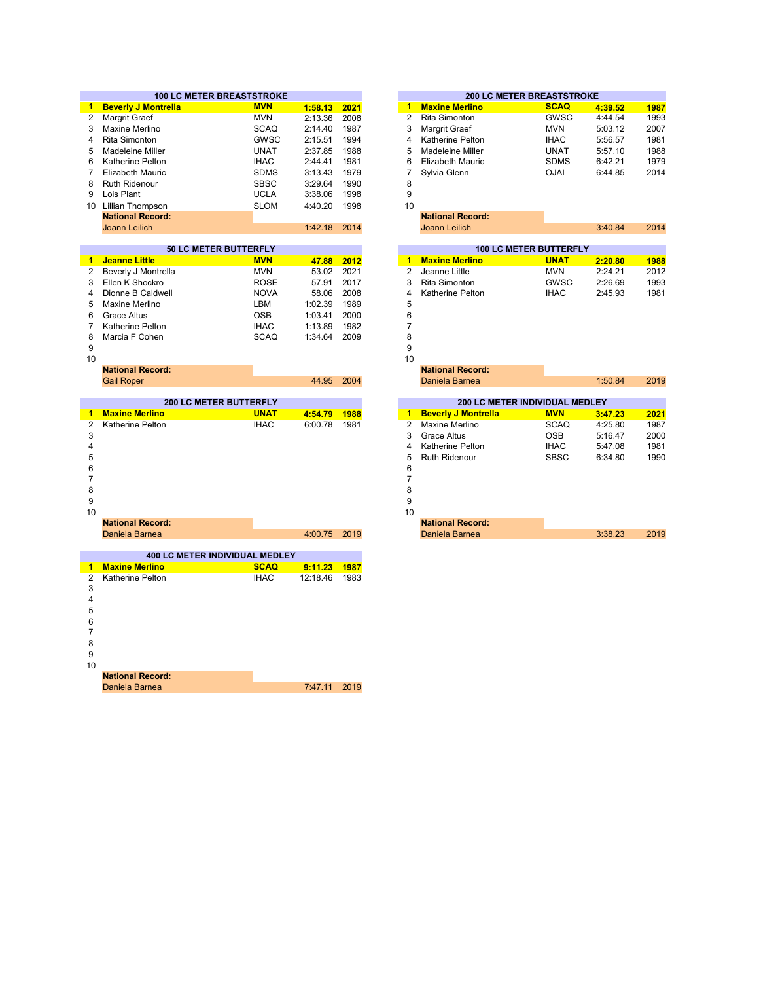|                | <b>100 LC METER BREASTSTROKE</b>          |             |          |      |                | <b>200 LC METER BREASTSTROKE</b> |             |         |      |
|----------------|-------------------------------------------|-------------|----------|------|----------------|----------------------------------|-------------|---------|------|
| 1.             | <b>Beverly J Montrella</b>                | <b>MVN</b>  | 1:58.13  | 2021 | $\mathbf{1}$   | <b>Maxine Merlino</b>            | <b>SCAQ</b> | 4:39.52 | 1987 |
| $\overline{2}$ | <b>Margrit Graef</b>                      | <b>MVN</b>  | 2:13.36  | 2008 | $\overline{2}$ | <b>Rita Simonton</b>             | GWSC        | 4:44.54 | 1993 |
| 3              | Maxine Merlino                            | <b>SCAQ</b> | 2:14.40  | 1987 | 3              | Margrit Graef                    | <b>MVN</b>  | 5:03.12 | 2007 |
| 4              | <b>Rita Simonton</b>                      | GWSC        | 2:15.51  | 1994 | 4              | <b>Katherine Pelton</b>          | <b>IHAC</b> | 5:56.57 | 1981 |
| 5              | Madeleine Miller                          | <b>UNAT</b> | 2:37.85  | 1988 | 5              | Madeleine Miller                 | <b>UNAT</b> | 5:57.10 | 1988 |
| 6              | Katherine Pelton                          | <b>IHAC</b> | 2:44.41  | 1981 | 6              | <b>Elizabeth Mauric</b>          | <b>SDMS</b> | 6:42.21 | 1979 |
| 7              | <b>Elizabeth Mauric</b>                   | <b>SDMS</b> | 3:13.43  | 1979 | 7              | Sylvia Glenn                     | <b>OJAI</b> | 6:44.85 | 2014 |
| 8              | <b>Ruth Ridenour</b>                      | <b>SBSC</b> | 3:29.64  | 1990 | 8              |                                  |             |         |      |
| 9              | Lois Plant                                | <b>UCLA</b> | 3:38.06  | 1998 | 9              |                                  |             |         |      |
|                | 10 Lillian Thompson                       | <b>SLOM</b> | 4:40.20  | 1998 | 10             |                                  |             |         |      |
|                | <b>National Record:</b>                   |             |          |      |                | <b>National Record:</b>          |             |         |      |
|                | <b>Joann Leilich</b>                      |             | 1:42.18  | 2014 |                | Joann Leilich                    |             | 3:40.84 | 2014 |
|                |                                           |             |          |      |                |                                  |             |         |      |
|                | 50 LC METER BUTTERFLY                     |             |          |      |                | <b>100 LC METER BUTTERFLY</b>    |             |         |      |
| $\blacksquare$ | <b>Jeanne Little</b>                      | <b>MVN</b>  | 47.88    | 2012 | $\mathbf{1}$   | <b>Maxine Merlino</b>            | <b>UNAT</b> | 2:20.80 | 1988 |
| 2              | Beverly J Montrella                       | <b>MVN</b>  | 53.02    | 2021 | $\overline{2}$ | Jeanne Little                    | <b>MVN</b>  | 2:24.21 | 2012 |
| 3              | Ellen K Shockro                           | <b>ROSE</b> | 57.91    | 2017 | 3              | <b>Rita Simonton</b>             | GWSC        | 2:26.69 | 1993 |
| 4              | Dionne B Caldwell                         | <b>NOVA</b> | 58.06    | 2008 | $\overline{4}$ | Katherine Pelton                 | <b>IHAC</b> | 2:45.93 | 1981 |
| 5              | Maxine Merlino                            | LBM         | 1:02.39  | 1989 | 5              |                                  |             |         |      |
| 6              | <b>Grace Altus</b>                        | <b>OSB</b>  | 1:03.41  | 2000 | 6              |                                  |             |         |      |
| $\overline{7}$ | Katherine Pelton                          | <b>IHAC</b> | 1:13.89  | 1982 | $\overline{7}$ |                                  |             |         |      |
| 8              | Marcia F Cohen                            | <b>SCAQ</b> | 1:34.64  | 2009 | 8              |                                  |             |         |      |
| 9              |                                           |             |          |      | 9              |                                  |             |         |      |
| 10             |                                           |             |          |      | 10             |                                  |             |         |      |
|                | <b>National Record:</b>                   |             |          |      |                | <b>National Record:</b>          |             |         |      |
|                | <b>Gail Roper</b>                         |             | 44.95    | 2004 |                | Daniela Barnea                   |             | 1:50.84 | 2019 |
|                |                                           |             |          |      |                |                                  |             |         |      |
|                |                                           |             |          |      |                |                                  |             |         |      |
|                | <b>200 LC METER BUTTERFLY</b>             |             |          |      |                | 200 LC METER INDIVIDUAL MEDLEY   |             |         |      |
| $\blacksquare$ | <b>Maxine Merlino</b>                     | <b>UNAT</b> | 4:54.79  | 1988 | $\blacksquare$ | <b>Beverly J Montrella</b>       | <b>MVN</b>  | 3:47.23 | 2021 |
| 2              | Katherine Pelton                          | <b>IHAC</b> | 6:00.78  | 1981 | $\overline{2}$ | Maxine Merlino                   | <b>SCAQ</b> | 4:25.80 | 1987 |
| 3              |                                           |             |          |      | 3              | <b>Grace Altus</b>               | <b>OSB</b>  | 5:16.47 | 2000 |
| 4              |                                           |             |          |      | $\overline{4}$ | Katherine Pelton                 | <b>IHAC</b> | 5:47.08 | 1981 |
| 5              |                                           |             |          |      | 5              | <b>Ruth Ridenour</b>             | <b>SBSC</b> | 6:34.80 | 1990 |
| 6              |                                           |             |          |      | 6              |                                  |             |         |      |
| $\overline{7}$ |                                           |             |          |      | $\overline{7}$ |                                  |             |         |      |
| 8              |                                           |             |          |      | 8              |                                  |             |         |      |
| 9              |                                           |             |          |      | 9              |                                  |             |         |      |
| 10             |                                           |             |          |      | 10             |                                  |             |         |      |
|                | <b>National Record:</b>                   |             |          |      |                | <b>National Record:</b>          |             |         |      |
|                | Daniela Barnea                            |             | 4:00.75  | 2019 |                | Daniela Barnea                   |             | 3:38.23 | 2019 |
|                |                                           |             |          |      |                |                                  |             |         |      |
|                | 400 LC METER INDIVIDUAL MEDLEY            |             |          |      |                |                                  |             |         |      |
| $\blacksquare$ | <b>Maxine Merlino</b>                     | <b>SCAQ</b> | 9:11.23  | 1987 |                |                                  |             |         |      |
| $\overline{2}$ | Katherine Pelton                          | <b>IHAC</b> | 12:18.46 | 1983 |                |                                  |             |         |      |
| 3              |                                           |             |          |      |                |                                  |             |         |      |
| 4              |                                           |             |          |      |                |                                  |             |         |      |
| 5              |                                           |             |          |      |                |                                  |             |         |      |
| 6              |                                           |             |          |      |                |                                  |             |         |      |
| $\overline{7}$ |                                           |             |          |      |                |                                  |             |         |      |
| 8              |                                           |             |          |      |                |                                  |             |         |      |
| 9              |                                           |             |          |      |                |                                  |             |         |      |
| 10             |                                           |             |          |      |                |                                  |             |         |      |
|                | <b>National Record:</b><br>Daniela Barnea |             | 7:47.11  | 2019 |                |                                  |             |         |      |

|        | <b>200 LC METER BREASTSTROKE</b> |             |         |      |  |  |  |  |  |  |
|--------|----------------------------------|-------------|---------|------|--|--|--|--|--|--|
| 4      | <b>Maxine Merlino</b>            | <b>SCAQ</b> | 4:39.52 | 1987 |  |  |  |  |  |  |
| 2      | Rita Simonton                    | GWSC        | 4:44.54 | 1993 |  |  |  |  |  |  |
| 3      | Margrit Graef                    | <b>MVN</b>  | 5:03.12 | 2007 |  |  |  |  |  |  |
| 4      | <b>Katherine Pelton</b>          | <b>IHAC</b> | 5:56.57 | 1981 |  |  |  |  |  |  |
| 5      | Madeleine Miller                 | <b>UNAT</b> | 5:57.10 | 1988 |  |  |  |  |  |  |
| 6      | Elizabeth Mauric                 | <b>SDMS</b> | 6:42.21 | 1979 |  |  |  |  |  |  |
|        | Sylvia Glenn                     | <b>OJAI</b> | 6:44.85 | 2014 |  |  |  |  |  |  |
| 8      |                                  |             |         |      |  |  |  |  |  |  |
| $\sim$ |                                  |             |         |      |  |  |  |  |  |  |

|               | <b>100 LC METER BUTTERFLY</b> |             |         |      |  |  |  |  |  |  |
|---------------|-------------------------------|-------------|---------|------|--|--|--|--|--|--|
| 1             | <b>Maxine Merlino</b>         | <b>UNAT</b> | 2:20.80 | 1988 |  |  |  |  |  |  |
| $\mathcal{P}$ | Jeanne Little                 | <b>MVN</b>  | 2.2421  | 2012 |  |  |  |  |  |  |
| $\mathbf{3}$  | Rita Simonton                 | GWSC        | 2:26.69 | 1993 |  |  |  |  |  |  |
|               | Katherine Pelton              | IHAC.       | 2:45.93 | 1981 |  |  |  |  |  |  |
|               |                               |             |         |      |  |  |  |  |  |  |

|       |      |                                       | <b>National Record:</b>    |             |         |  |  |  |  |
|-------|------|---------------------------------------|----------------------------|-------------|---------|--|--|--|--|
| 44.95 | 2004 |                                       | Daniela Barnea             |             | 1:50.84 |  |  |  |  |
|       |      |                                       |                            |             |         |  |  |  |  |
|       |      | <b>200 LC METER INDIVIDUAL MEDLEY</b> |                            |             |         |  |  |  |  |
| 54.79 | 1988 | 1                                     | <b>Beverly J Montrella</b> | <b>MVN</b>  | 3:47.23 |  |  |  |  |
| 00.78 | 1981 | 2                                     | Maxine Merlino             | <b>SCAQ</b> | 4:25.80 |  |  |  |  |
|       |      | 3                                     | Grace Altus                | <b>OSB</b>  | 5:16.47 |  |  |  |  |
|       |      | 4                                     | Katherine Pelton           | <b>IHAC</b> | 5:47.08 |  |  |  |  |
|       |      | 5                                     | Ruth Ridenour              | <b>SBSC</b> | 6:34.80 |  |  |  |  |
|       |      | 6                                     |                            |             |         |  |  |  |  |
|       |      | 7                                     |                            |             |         |  |  |  |  |
|       |      | 8                                     |                            |             |         |  |  |  |  |
|       |      | 9                                     |                            |             |         |  |  |  |  |
|       |      | 10                                    |                            |             |         |  |  |  |  |
|       |      |                                       | <b>National Record:</b>    |             |         |  |  |  |  |

|              | <b>National Record:</b> |         |      |
|--------------|-------------------------|---------|------|
| 4:00.75 2019 | Daniela Barnea          | 3:38.23 | 2019 |
|              |                         |         |      |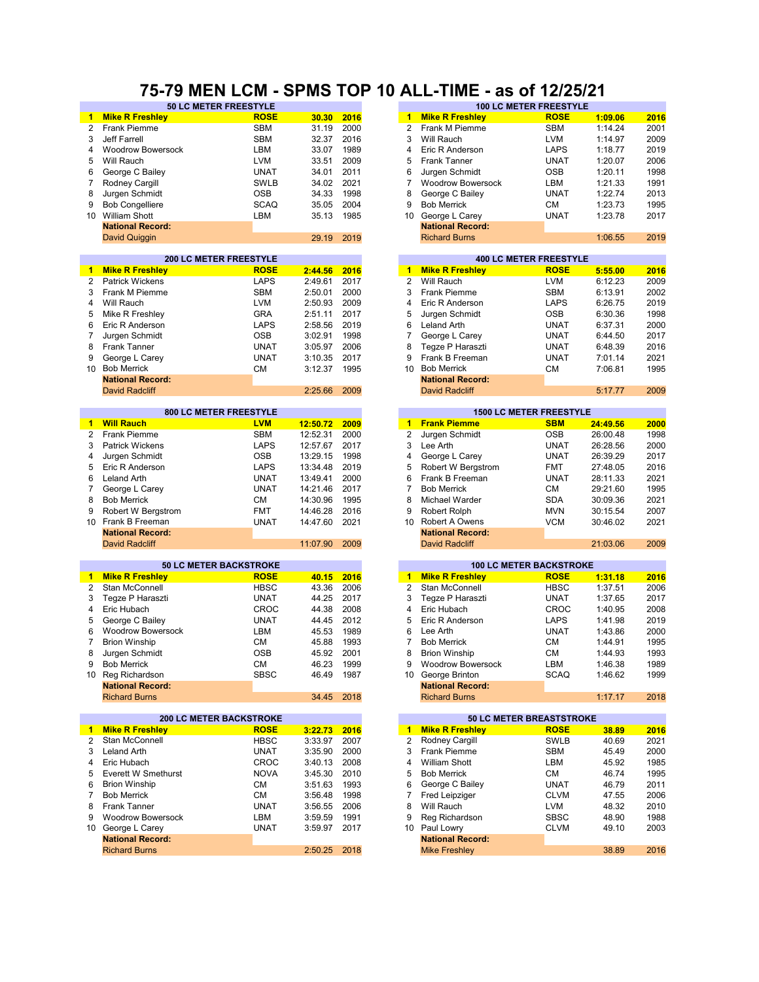#### **50 LC METER FREESTYLE 100 LC METER FREESTYLE 75-79 MEN LCM - SPMS TOP 10 ALL-TIME - as of 12/25/21**

| $\mathbf{1}$   | <b>Mike R Freshley</b>         | <b>ROSE</b> | 30.30    | 2016 | $\blacksquare$       | <b>Mike R Freshley</b>   | <b>ROSE</b>                     | 1:09.06  | 2016 |
|----------------|--------------------------------|-------------|----------|------|----------------------|--------------------------|---------------------------------|----------|------|
| $\overline{2}$ | <b>Frank Piemme</b>            | <b>SBM</b>  | 31.19    | 2000 | 2                    | Frank M Piemme           | <b>SBM</b>                      | 1:14.24  | 2001 |
| 3              | <b>Jeff Farrell</b>            | <b>SBM</b>  | 32.37    | 2016 | 3                    | Will Rauch               | <b>LVM</b>                      | 1:14.97  | 2009 |
| 4              | <b>Woodrow Bowersock</b>       | LBM         | 33.07    | 1989 | 4                    | Eric R Anderson          | LAPS                            | 1:18.77  | 2019 |
| 5              | Will Rauch                     | <b>LVM</b>  | 33.51    | 2009 | 5                    | Frank Tanner             | <b>UNAT</b>                     | 1:20.07  | 2006 |
|                |                                |             |          |      |                      |                          |                                 |          |      |
| 6              | George C Bailey                | <b>UNAT</b> | 34.01    | 2011 | 6                    | Jurgen Schmidt           | <b>OSB</b>                      | 1:20.11  | 1998 |
| $\overline{7}$ | Rodney Cargill                 | <b>SWLB</b> | 34.02    | 2021 | $\overline{7}$       | <b>Woodrow Bowersock</b> | LBM                             | 1:21.33  | 1991 |
| 8              | Jurgen Schmidt                 | <b>OSB</b>  | 34.33    | 1998 | 8                    | George C Bailey          | <b>UNAT</b>                     | 1:22.74  | 2013 |
| 9              | <b>Bob Congelliere</b>         | <b>SCAQ</b> | 35.05    | 2004 | 9                    | <b>Bob Merrick</b>       | СM                              | 1:23.73  | 1995 |
| 10             | <b>William Shott</b>           | LBM         | 35.13    | 1985 | 10                   | George L Carey           | <b>UNAT</b>                     | 1:23.78  | 2017 |
|                | <b>National Record:</b>        |             |          |      |                      | <b>National Record:</b>  |                                 |          |      |
|                |                                |             | 29.19    | 2019 |                      | <b>Richard Burns</b>     |                                 | 1:06.55  | 2019 |
|                | David Quiggin                  |             |          |      |                      |                          |                                 |          |      |
|                |                                |             |          |      |                      |                          |                                 |          |      |
|                | <b>200 LC METER FREESTYLE</b>  |             |          |      |                      |                          | <b>400 LC METER FREESTYLE</b>   |          |      |
| $\mathbf 1$    | <b>Mike R Freshley</b>         | <b>ROSE</b> | 2:44.56  | 2016 | $\blacktriangleleft$ | <b>Mike R Freshley</b>   | <b>ROSE</b>                     | 5:55.00  | 2016 |
| $\overline{2}$ | Patrick Wickens                | <b>LAPS</b> | 2:49.61  | 2017 | $\overline{2}$       | Will Rauch               | <b>LVM</b>                      | 6:12.23  | 2009 |
| 3              | Frank M Piemme                 | <b>SBM</b>  | 2:50.01  | 2000 | 3                    | Frank Piemme             | <b>SBM</b>                      | 6:13.91  | 2002 |
| 4              | Will Rauch                     | <b>LVM</b>  | 2:50.93  | 2009 | 4                    | Eric R Anderson          | <b>LAPS</b>                     | 6:26.75  | 2019 |
| 5              | Mike R Freshley                | <b>GRA</b>  | 2:51.11  | 2017 | 5                    | Jurgen Schmidt           | <b>OSB</b>                      | 6:30.36  | 1998 |
| 6              | Eric R Anderson                | <b>LAPS</b> | 2:58.56  | 2019 | 6                    | Leland Arth              | <b>UNAT</b>                     | 6:37.31  | 2000 |
|                |                                |             |          |      |                      |                          |                                 |          |      |
| 7              | Jurgen Schmidt                 | <b>OSB</b>  | 3:02.91  | 1998 | 7                    | George L Carey           | <b>UNAT</b>                     | 6:44.50  | 2017 |
| 8              | Frank Tanner                   | <b>UNAT</b> | 3:05.97  | 2006 | 8                    | Tegze P Haraszti         | <b>UNAT</b>                     | 6:48.39  | 2016 |
| 9              | George L Carey                 | <b>UNAT</b> | 3:10.35  | 2017 | 9                    | Frank B Freeman          | <b>UNAT</b>                     | 7:01.14  | 2021 |
|                | 10 Bob Merrick                 | <b>CM</b>   | 3:12.37  | 1995 | 10 <sup>1</sup>      | <b>Bob Merrick</b>       | <b>CM</b>                       | 7:06.81  | 1995 |
|                | <b>National Record:</b>        |             |          |      |                      | <b>National Record:</b>  |                                 |          |      |
|                | <b>David Radcliff</b>          |             | 2:25.66  | 2009 |                      | <b>David Radcliff</b>    |                                 | 5:17.77  | 2009 |
|                |                                |             |          |      |                      |                          |                                 |          |      |
|                | <b>800 LC METER FREESTYLE</b>  |             |          |      |                      |                          | <b>1500 LC METER FREESTYLE</b>  |          |      |
| 1.             | <b>Will Rauch</b>              | <b>LVM</b>  |          |      | $\mathbf{1}$         | <b>Frank Piemme</b>      | <b>SBM</b>                      |          |      |
|                |                                |             | 12:50.72 | 2009 |                      |                          |                                 | 24:49.56 | 2000 |
| $\overline{2}$ | <b>Frank Piemme</b>            | <b>SBM</b>  | 12:52.31 | 2000 | $\overline{c}$       | Jurgen Schmidt           | <b>OSB</b>                      | 26:00.48 | 1998 |
| 3              | <b>Patrick Wickens</b>         | <b>LAPS</b> | 12:57.67 | 2017 | 3                    | Lee Arth                 | <b>UNAT</b>                     | 26:28.56 | 2000 |
| 4              | Jurgen Schmidt                 | <b>OSB</b>  | 13:29.15 | 1998 | 4                    | George L Carey           | <b>UNAT</b>                     | 26:39.29 | 2017 |
| 5              | Eric R Anderson                | <b>LAPS</b> | 13:34.48 | 2019 | 5                    | Robert W Bergstrom       | <b>FMT</b>                      | 27:48.05 | 2016 |
| 6              | Leland Arth                    | <b>UNAT</b> | 13:49.41 | 2000 | 6                    | Frank B Freeman          | <b>UNAT</b>                     | 28:11.33 | 2021 |
| 7              | George L Carey                 | <b>UNAT</b> | 14:21.46 | 2017 | $\overline{7}$       | <b>Bob Merrick</b>       | <b>CM</b>                       | 29:21.60 | 1995 |
|                |                                |             |          |      | 8                    |                          |                                 |          |      |
| 8              | <b>Bob Merrick</b>             | СM          | 14:30.96 | 1995 |                      | Michael Warder           | <b>SDA</b>                      | 30:09.36 | 2021 |
| 9              | Robert W Bergstrom             | <b>FMT</b>  | 14:46.28 | 2016 | 9                    | Robert Rolph             | <b>MVN</b>                      | 30:15.54 | 2007 |
| 10             | Frank B Freeman                | <b>UNAT</b> | 14:47.60 | 2021 | 10                   | Robert A Owens           | <b>VCM</b>                      | 30:46.02 | 2021 |
|                | <b>National Record:</b>        |             |          |      |                      | <b>National Record:</b>  |                                 |          |      |
|                | <b>David Radcliff</b>          |             | 11:07.90 | 2009 |                      | <b>David Radcliff</b>    |                                 | 21:03.06 | 2009 |
|                |                                |             |          |      |                      |                          |                                 |          |      |
|                | <b>50 LC METER BACKSTROKE</b>  |             |          |      |                      |                          | <b>100 LC METER BACKSTROKE</b>  |          |      |
| 1.             | <b>Mike R Freshley</b>         | <b>ROSE</b> | 40.15    | 2016 | $\mathbf{1}$         | <b>Mike R Freshley</b>   | <b>ROSE</b>                     | 1:31.18  | 2016 |
| 2              | Stan McConnell                 | <b>HBSC</b> | 43.36    | 2006 | 2                    | Stan McConnell           | <b>HBSC</b>                     | 1:37.51  | 2006 |
| 3              |                                | <b>UNAT</b> |          | 2017 | 3                    |                          | <b>UNAT</b>                     |          | 2017 |
|                | Tegze P Haraszti               |             | 44.25    |      |                      | Tegze P Haraszti         |                                 | 1:37.65  |      |
| 4              | Eric Hubach                    | <b>CROC</b> | 44.38    | 2008 | 4                    | Eric Hubach              | CROC                            | 1:40.95  | 2008 |
| 5              | George C Bailey                | <b>UNAT</b> | 44.45    | 2012 | 5                    | Eric R Anderson          | LAPS                            | 1:41.98  | 2019 |
| 6              | <b>Woodrow Bowersock</b>       | LBM         | 45.53    | 1989 | 6                    | Lee Arth                 | <b>UNAT</b>                     | 1:43.86  | 2000 |
| 7              | <b>Brion Winship</b>           | СM          | 45.88    | 1993 | 7                    | <b>Bob Merrick</b>       | <b>CM</b>                       | 1:44.91  | 1995 |
| 8              | Jurgen Schmidt                 | <b>OSB</b>  | 45.92    | 2001 | 8                    | <b>Brion Winship</b>     | CМ                              | 1:44.93  | 1993 |
| 9              | <b>Bob Merrick</b>             | <b>CM</b>   | 46.23    | 1999 | 9                    | <b>Woodrow Bowersock</b> | LBM                             | 1:46.38  | 1989 |
|                |                                | SBSC        | 46.49    | 1987 |                      |                          | <b>SCAQ</b>                     | 1:46.62  | 1999 |
|                | 10 Reg Richardson              |             |          |      |                      | 10 George Brinton        |                                 |          |      |
|                | <b>National Record:</b>        |             |          |      |                      | <b>National Record:</b>  |                                 |          |      |
|                | <b>Richard Burns</b>           |             | 34.45    | 2018 |                      | <b>Richard Burns</b>     |                                 | 1:17.17  | 2018 |
|                |                                |             |          |      |                      |                          |                                 |          |      |
|                | <b>200 LC METER BACKSTROKE</b> |             |          |      |                      |                          | <b>50 LC METER BREASTSTROKE</b> |          |      |
| $\mathbf{1}$   | <b>Mike R Freshley</b>         | <b>ROSE</b> | 3:22.73  | 2016 | 1                    | <b>Mike R Freshley</b>   | <b>ROSE</b>                     | 38.89    | 2016 |
| $\overline{2}$ | Stan McConnell                 | <b>HBSC</b> | 3:33.97  | 2007 | $\overline{2}$       | Rodney Cargill           | <b>SWLB</b>                     | 40.69    | 2021 |
| 3              | Leland Arth                    | <b>UNAT</b> | 3:35.90  | 2000 | 3                    | Frank Piemme             | SBM                             | 45.49    | 2000 |
| 4              | Eric Hubach                    | CROC        | 3:40.13  | 2008 | 4                    | <b>William Shott</b>     | LBM                             | 45.92    | 1985 |
|                |                                |             |          |      |                      |                          |                                 |          |      |
| 5              | <b>Everett W Smethurst</b>     | <b>NOVA</b> | 3:45.30  | 2010 | 5                    | <b>Bob Merrick</b>       | СM                              | 46.74    | 1995 |
| 6              | <b>Brion Winship</b>           | СM          | 3:51.63  | 1993 | 6                    | George C Bailey          | <b>UNAT</b>                     | 46.79    | 2011 |
| $\overline{7}$ | <b>Bob Merrick</b>             | СM          | 3:56.48  | 1998 | 7                    | Fred Leipziger           | <b>CLVM</b>                     | 47.55    | 2006 |
| 8              | Frank Tanner                   | <b>UNAT</b> | 3:56.55  | 2006 | 8                    | Will Rauch               | LVM                             | 48.32    | 2010 |
| 9              | <b>Woodrow Bowersock</b>       | LBM         | 3:59.59  | 1991 | 9                    | Reg Richardson           | <b>SBSC</b>                     | 48.90    | 1988 |
|                | 10 George L Carey              | <b>UNAT</b> | 3:59.97  | 2017 | 10                   | Paul Lowry               | <b>CLVM</b>                     | 49.10    | 2003 |
|                | <b>National Record:</b>        |             |          |      |                      | <b>National Record:</b>  |                                 |          |      |
|                | <b>Richard Burns</b>           |             | 2:50.25  | 2018 |                      | <b>Mike Freshley</b>     |                                 | 38.89    | 2016 |
|                |                                |             |          |      |                      |                          |                                 |          |      |

| 30.30            | 2016 | 1              | <b>Mike R Freshley</b>   | <b>ROSE</b>                                   | 1:09.06  | 2016 |
|------------------|------|----------------|--------------------------|-----------------------------------------------|----------|------|
| 31.19            | 2000 | $\overline{2}$ | Frank M Piemme           | SBM                                           | 1:14.24  | 2001 |
| 32.37            | 2016 | 3              | Will Rauch               | <b>LVM</b>                                    | 1:14.97  | 2009 |
| 33.07            | 1989 | 4              | Eric R Anderson          | LAPS                                          | 1:18.77  | 2019 |
| 33.51            | 2009 | 5              | <b>Frank Tanner</b>      | <b>UNAT</b>                                   | 1:20.07  | 2006 |
| 34.01            | 2011 | 6              | Jurgen Schmidt           | <b>OSB</b>                                    | 1:20.11  | 1998 |
| 34.02            | 2021 | 7              | <b>Woodrow Bowersock</b> | LBM                                           | 1:21.33  | 1991 |
| 34.33            | 1998 | 8              | George C Bailey          | UNAT                                          | 1:22.74  | 2013 |
| 35.05            | 2004 | 9              | <b>Bob Merrick</b>       | <b>CM</b>                                     | 1:23.73  | 1995 |
| 35.13            | 1985 | 10             | George L Carey           | <b>UNAT</b>                                   | 1:23.78  | 2017 |
|                  |      |                | <b>National Record:</b>  |                                               |          |      |
| 29.19            | 2019 |                | <b>Richard Burns</b>     |                                               | 1:06.55  |      |
|                  |      |                |                          |                                               |          | 2019 |
|                  |      |                |                          | <b>400 LC METER FREESTYLE</b>                 |          |      |
| 2:44.56          | 2016 | 1              | <b>Mike R Freshley</b>   | <b>ROSE</b>                                   | 5:55.00  | 2016 |
| 2:49.61          | 2017 | $\overline{2}$ | Will Rauch               | <b>LVM</b>                                    | 6:12.23  | 2009 |
| 2:50.01          | 2000 | 3              | <b>Frank Piemme</b>      | <b>SBM</b>                                    | 6:13.91  | 2002 |
| 2:50.93          | 2009 | 4              | Eric R Anderson          | LAPS                                          | 6:26.75  | 2019 |
| 2:51.11          | 2017 | 5              | Jurgen Schmidt           | OSB                                           | 6:30.36  | 1998 |
| 2:58.56          | 2019 | 6              | <b>Leland Arth</b>       | <b>UNAT</b>                                   | 6:37.31  | 2000 |
| 3:02.91          | 1998 | 7              | George L Carey           | <b>UNAT</b>                                   | 6:44.50  | 2017 |
| 3:05.97          | 2006 | 8              | Teqze P Haraszti         | <b>UNAT</b>                                   | 6:48.39  | 2016 |
| 3:10.35          | 2017 | 9              | Frank B Freeman          | <b>UNAT</b>                                   | 7:01.14  | 2021 |
| 3:12.37          | 1995 | 10             | <b>Bob Merrick</b>       | СM                                            | 7:06.81  | 1995 |
|                  |      |                | <b>National Record:</b>  |                                               |          |      |
| 2:25.66          | 2009 |                | <b>David Radcliff</b>    |                                               | 5:17.77  | 2009 |
|                  |      |                |                          |                                               |          |      |
|                  |      |                |                          | <b>1500 LC METER FREESTYLE</b>                |          |      |
| <u> 12:50.72</u> | 2009 | $\mathbf{1}$   | <b>Frank Piemme</b>      | <b>SBM</b>                                    | 24:49.56 | 2000 |
| 12:52.31         | 2000 | 2              | Jurgen Schmidt           | <b>OSB</b>                                    | 26:00.48 | 1998 |
| 12:57.67         | 2017 | 3              | Lee Arth                 | UNAT                                          | 26:28.56 | 2000 |
| 13:29.15         | 1998 | 4              | George L Carey           | UNAT                                          | 26:39.29 | 2017 |
| 13:34.48         | 2019 | 5              | Robert W Bergstrom       | <b>FMT</b>                                    | 27:48.05 | 2016 |
| 13:49.41         | 2000 | 6              | Frank B Freeman          | <b>UNAT</b>                                   | 28:11.33 | 2021 |
| 14:21.46         | 2017 | 7              | <b>Bob Merrick</b>       | СM                                            | 29:21.60 | 1995 |
| 14:30.96         | 1995 | 8              | Michael Warder           | <b>SDA</b>                                    | 30:09.36 | 2021 |
| 14:46.28         | 2016 | 9              | Robert Rolph             | <b>MVN</b>                                    | 30:15.54 | 2007 |
| 14:47.60         | 2021 | 10             | Robert A Owens           | VCM                                           | 30:46.02 | 2021 |
|                  |      |                | <b>National Record:</b>  |                                               |          |      |
| 11:07.90         | 2009 |                | <b>David Radcliff</b>    |                                               | 21:03.06 | 2009 |
|                  |      |                |                          |                                               |          |      |
| 40.15            | 2016 | $\mathbf{1}$   | <b>Mike R Freshley</b>   | <b>100 LC METER BACKSTROKE</b><br><b>ROSE</b> | 1:31.18  | 2016 |
| 43.36            | 2006 | $\overline{2}$ | Stan McConnell           | <b>HBSC</b>                                   | 1:37.51  | 2006 |
|                  |      |                |                          |                                               |          |      |
| 44.25            | 2017 | 3<br>4         | Tegze P Haraszti         | UNAT                                          | 1:37.65  | 2017 |
| 44.38            | 2008 |                | Eric Hubach              | CROC                                          | 1:40.95  | 2008 |

| 44.ZU | 2011 |    | Tegze F Halaszti         | UNAI        |         | 20 I L |
|-------|------|----|--------------------------|-------------|---------|--------|
| 44.38 | 2008 | 4  | Eric Hubach              | <b>CROC</b> | 1:40.95 | 2008   |
| 44.45 | 2012 | 5. | Eric R Anderson          | <b>LAPS</b> | 1:41.98 | 2019   |
| 45.53 | 1989 | 6  | Lee Arth                 | <b>UNAT</b> | 1:43.86 | 2000   |
| 45.88 | 1993 |    | <b>Bob Merrick</b>       | <b>CM</b>   | 1:44.91 | 1995   |
| 45.92 | 2001 | 8  | <b>Brion Winship</b>     | <b>CM</b>   | 1:44.93 | 1993   |
| 46.23 | 1999 | 9  | <b>Woodrow Bowersock</b> | LBM         | 1:46.38 | 1989   |
| 46.49 | 1987 |    | 10 George Brinton        | <b>SCAQ</b> | 1:46.62 | 1999   |
|       |      |    | <b>National Record:</b>  |             |         |        |
| 34.45 | 2018 |    | <b>Richard Burns</b>     |             | 1:17.17 | 2018   |
|       |      |    |                          |             |         |        |

|         |      |    | 50 LC METER BREASTSTROKE |             |       |      |  |  |  |  |
|---------|------|----|--------------------------|-------------|-------|------|--|--|--|--|
| 3:22.73 | 2016 | 1  | <b>Mike R Freshley</b>   | <b>ROSE</b> | 38.89 | 2016 |  |  |  |  |
| 3:33.97 | 2007 | 2  | Rodney Cargill           | <b>SWLB</b> | 40.69 | 2021 |  |  |  |  |
| 3:35.90 | 2000 | 3  | <b>Frank Piemme</b>      | <b>SBM</b>  | 45.49 | 2000 |  |  |  |  |
| 3:40.13 | 2008 | 4  | <b>William Shott</b>     | LBM         | 45.92 | 1985 |  |  |  |  |
| 3:45.30 | 2010 | 5  | <b>Bob Merrick</b>       | CМ          | 46.74 | 1995 |  |  |  |  |
| 3:51.63 | 1993 | 6  | George C Bailey          | <b>UNAT</b> | 46.79 | 2011 |  |  |  |  |
| 3:56.48 | 1998 |    | Fred Leipziger           | <b>CLVM</b> | 47.55 | 2006 |  |  |  |  |
| 3:56.55 | 2006 | 8  | Will Rauch               | <b>LVM</b>  | 48.32 | 2010 |  |  |  |  |
| 3:59.59 | 1991 | 9  | Reg Richardson           | <b>SBSC</b> | 48.90 | 1988 |  |  |  |  |
| 3:59.97 | 2017 | 10 | Paul Lowry               | <b>CLVM</b> | 49.10 | 2003 |  |  |  |  |
|         |      |    | <b>National Record:</b>  |             |       |      |  |  |  |  |
| 2:50.25 | 2018 |    | <b>Mike Freshlev</b>     |             | 38.89 | 2016 |  |  |  |  |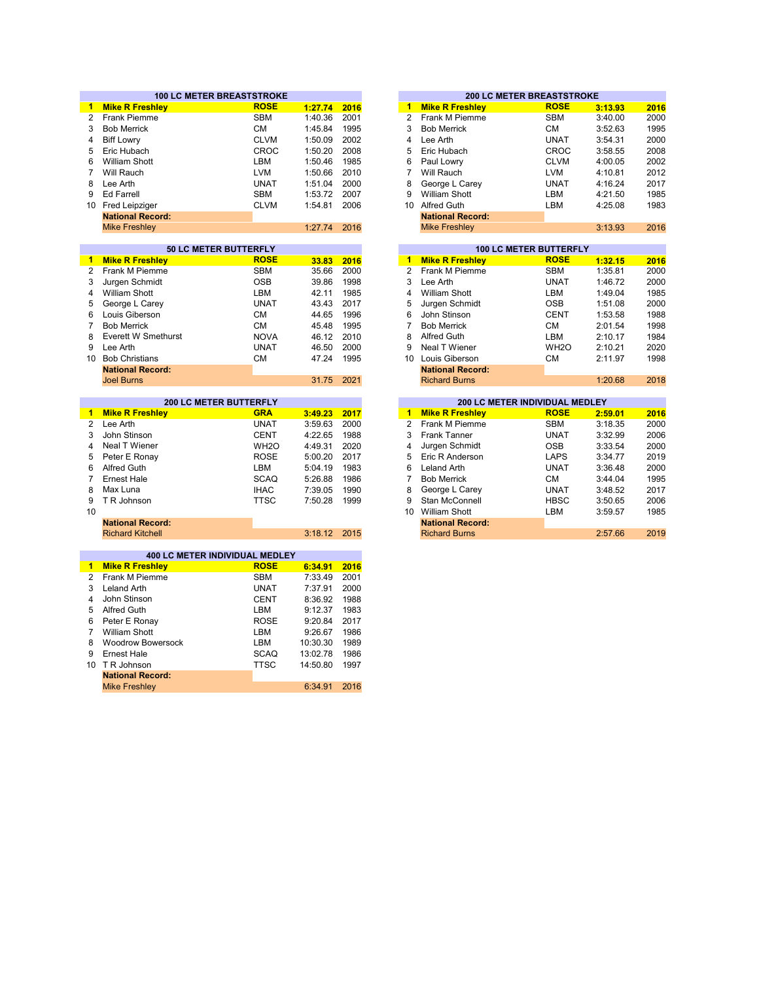|                |                                       | <b>100 LC METER BREASTSTROKE</b> |          |      |                 |                         | <b>200 LC METER BREASTSTROKE</b> |                    |
|----------------|---------------------------------------|----------------------------------|----------|------|-----------------|-------------------------|----------------------------------|--------------------|
| $\blacksquare$ | <b>Mike R Freshley</b>                | <b>ROSE</b>                      | 1:27.74  | 2016 | $\mathbf{1}$    | <b>Mike R Freshley</b>  | <b>ROSE</b>                      | 3:13.93            |
| $\overline{2}$ | Frank Piemme                          | <b>SBM</b>                       | 1:40.36  | 2001 | 2               | Frank M Piemme          | <b>SBM</b>                       | 3:40.00            |
| 3              | <b>Bob Merrick</b>                    | <b>CM</b>                        | 1:45.84  | 1995 | 3               | <b>Bob Merrick</b>      | СM                               | 3:52.63            |
| 4              | <b>Biff Lowry</b>                     | <b>CLVM</b>                      | 1:50.09  | 2002 | 4               | Lee Arth                | <b>UNAT</b>                      | 3:54.31            |
| 5              | Eric Hubach                           | CROC                             | 1:50.20  | 2008 | 5               | Eric Hubach             | <b>CROC</b>                      | 3:58.55            |
| 6              | <b>William Shott</b>                  | LBM                              | 1:50.46  | 1985 | 6               | Paul Lowry              | <b>CLVM</b>                      | 4:00.05            |
| 7              | Will Rauch                            | <b>LVM</b>                       | 1:50.66  | 2010 | $\overline{7}$  | Will Rauch              | <b>LVM</b>                       | 4:10.81            |
| 8              | Lee Arth                              | <b>UNAT</b>                      | 1:51.04  | 2000 | 8               | George L Carey          | <b>UNAT</b>                      | 4:16.24            |
| 9              | <b>Ed Farrell</b>                     | <b>SBM</b>                       | 1:53.72  | 2007 | 9               | <b>William Shott</b>    | LBM                              | 4:21.50            |
| 10             | <b>Fred Leipziger</b>                 | <b>CLVM</b>                      | 1:54.81  | 2006 | 10              | <b>Alfred Guth</b>      | LBM                              | 4:25.08            |
|                | <b>National Record:</b>               |                                  |          |      |                 | <b>National Record:</b> |                                  |                    |
|                | <b>Mike Freshley</b>                  |                                  | 1:27.74  | 2016 |                 | <b>Mike Freshley</b>    |                                  | 3:13.93            |
|                |                                       |                                  |          |      |                 |                         |                                  |                    |
|                |                                       | 50 LC METER BUTTERFLY            |          |      |                 |                         | <b>100 LC METER BUTTERFLY</b>    |                    |
| $\mathbf 1$    | <b>Mike R Freshley</b>                | <b>ROSE</b>                      | 33.83    | 2016 | $\mathbf{1}$    | <b>Mike R Freshley</b>  | <b>ROSE</b>                      | 1:32.15            |
| 2              | Frank M Piemme                        | <b>SBM</b>                       | 35.66    | 2000 | 2               | Frank M Piemme          | <b>SBM</b>                       | 1:35.81            |
| 3              | Jurgen Schmidt                        | <b>OSB</b>                       | 39.86    | 1998 | 3               | Lee Arth                | <b>UNAT</b>                      | 1:46.72            |
| 4              | <b>William Shott</b>                  | LBM                              | 42.11    | 1985 | 4               | <b>William Shott</b>    | LBM                              | 1:49.04            |
| 5              | George L Carey                        | <b>UNAT</b>                      | 43.43    | 2017 | 5               | Jurgen Schmidt          | <b>OSB</b>                       | 1:51.08            |
| 6              | Louis Giberson                        | <b>CM</b>                        | 44.65    | 1996 | 6               | John Stinson            | <b>CENT</b>                      | 1:53.58            |
| 7              | <b>Bob Merrick</b>                    | <b>CM</b>                        | 45.48    | 1995 | 7               | <b>Bob Merrick</b>      | СM                               | 2:01.54            |
| 8              | <b>Everett W Smethurst</b>            | <b>NOVA</b>                      | 46.12    | 2010 | 8               | Alfred Guth             | LBM                              | 2:10.17            |
| 9              | Lee Arth                              | <b>UNAT</b>                      | 46.50    | 2000 | 9               | <b>Neal T Wiener</b>    | WH <sub>2</sub> O                |                    |
| 10             | <b>Bob Christians</b>                 | <b>CM</b>                        | 47.24    | 1995 | 10              | Louis Giberson          | <b>CM</b>                        | 2:10.21<br>2:11.97 |
|                | <b>National Record:</b>               |                                  |          |      |                 | <b>National Record:</b> |                                  |                    |
|                | <b>Joel Burns</b>                     |                                  | 31.75    | 2021 |                 | <b>Richard Burns</b>    |                                  | 1:20.68            |
|                |                                       |                                  |          |      |                 |                         |                                  |                    |
|                |                                       | 200 LC METER BUTTERFLY           |          |      |                 |                         | 200 LC METER INDIVIDUAL MEDLEY   |                    |
| $\mathbf{1}$   | <b>Mike R Freshley</b>                | <b>GRA</b>                       | 3:49.23  | 2017 | $\blacksquare$  | <b>Mike R Freshley</b>  | <b>ROSE</b>                      | 2:59.01            |
| 2              | Lee Arth                              | <b>UNAT</b>                      | 3:59.63  | 2000 | $\overline{2}$  | Frank M Piemme          | <b>SBM</b>                       | 3:18.35            |
| 3              | John Stinson                          | <b>CENT</b>                      | 4:22.65  | 1988 | 3               | <b>Frank Tanner</b>     | <b>UNAT</b>                      | 3:32.99            |
| 4              | Neal T Wiener                         | WH <sub>2</sub> O                | 4:49.31  | 2020 | 4               | Jurgen Schmidt          | <b>OSB</b>                       | 3:33.54            |
| 5              | Peter E Ronay                         | <b>ROSE</b>                      | 5:00.20  | 2017 | 5               | Eric R Anderson         | LAPS                             | 3:34.77            |
| 6              | Alfred Guth                           | LBM                              | 5:04.19  | 1983 | 6               | Leland Arth             | <b>UNAT</b>                      | 3:36.48            |
| 7              | <b>Ernest Hale</b>                    | <b>SCAQ</b>                      | 5:26.88  | 1986 | $\overline{7}$  | <b>Bob Merrick</b>      | СM                               | 3:44.04            |
| 8              | Max Luna                              | <b>IHAC</b>                      | 7:39.05  | 1990 | 8               | George L Carey          | <b>UNAT</b>                      | 3:48.52            |
| 9              | T R Johnson                           | <b>TTSC</b>                      | 7:50.28  | 1999 | 9               | Stan McConnell          | <b>HBSC</b>                      | 3:50.65            |
| 10             |                                       |                                  |          |      | 10 <sup>1</sup> | <b>William Shott</b>    | LBM                              | 3:59.57            |
|                | <b>National Record:</b>               |                                  |          |      |                 | <b>National Record:</b> |                                  |                    |
|                | <b>Richard Kitchell</b>               |                                  | 3:18.12  | 2015 |                 | <b>Richard Burns</b>    |                                  | 2:57.66            |
|                |                                       |                                  |          |      |                 |                         |                                  |                    |
|                | <b>400 LC METER INDIVIDUAL MEDLEY</b> |                                  |          |      |                 |                         |                                  |                    |
| $\blacksquare$ | <b>Mike R Freshley</b>                | <b>ROSE</b>                      | 6:34.91  | 2016 |                 |                         |                                  |                    |
| $\overline{2}$ | Frank M Piemme                        | <b>SBM</b>                       | 7:33.49  | 2001 |                 |                         |                                  |                    |
| 3              | <b>Leland Arth</b>                    | <b>UNAT</b>                      | 7:37.91  | 2000 |                 |                         |                                  |                    |
| 4              | John Stinson                          | <b>CENT</b>                      | 8:36.92  | 1988 |                 |                         |                                  |                    |
| 5              | <b>Alfred Guth</b>                    | LBM                              | 9:12.37  | 1983 |                 |                         |                                  |                    |
| 6              | Peter E Ronay                         | <b>ROSE</b>                      | 9:20.84  | 2017 |                 |                         |                                  |                    |
| $\overline{7}$ | <b>William Shott</b>                  | LBM                              | 9:26.67  | 1986 |                 |                         |                                  |                    |
| 8              | <b>Woodrow Bowersock</b>              | LBM                              | 10:30.30 | 1989 |                 |                         |                                  |                    |
| 9              | <b>Ernest Hale</b>                    | <b>SCAQ</b>                      | 13:02.78 | 1986 |                 |                         |                                  |                    |
|                | 10 T R Johnson                        | <b>TTSC</b>                      | 14:50.80 | 1997 |                 |                         |                                  |                    |

**National Record:** Mike Freshley

6:34.91 2016

|         |      |                | <b>200 LC METER BREASTSTROKE</b> |                               |             |         |      |  |  |  |
|---------|------|----------------|----------------------------------|-------------------------------|-------------|---------|------|--|--|--|
| 1:27.74 | 2016 | 1              | <b>Mike R Freshley</b>           |                               | <b>ROSE</b> | 3:13.93 | 2016 |  |  |  |
| 1:40.36 | 2001 | 2              | Frank M Piemme                   |                               | <b>SBM</b>  | 3:40.00 | 2000 |  |  |  |
| 1:45.84 | 1995 | 3              | <b>Bob Merrick</b>               |                               | CМ          | 3:52.63 | 1995 |  |  |  |
| 1:50.09 | 2002 | 4              | Lee Arth                         |                               | <b>UNAT</b> | 3:54.31 | 2000 |  |  |  |
| 1:50.20 | 2008 | 5              | Eric Hubach                      |                               | CROC        | 3:58.55 | 2008 |  |  |  |
| 1:50.46 | 1985 | 6              | Paul Lowry                       |                               | <b>CLVM</b> | 4:00.05 | 2002 |  |  |  |
| 1:50.66 | 2010 | 7              | Will Rauch                       |                               | <b>LVM</b>  | 4:10.81 | 2012 |  |  |  |
| 1:51.04 | 2000 | 8              | George L Carey                   |                               | <b>UNAT</b> | 4:16.24 | 2017 |  |  |  |
| 1:53.72 | 2007 | 9              | <b>William Shott</b>             |                               | LBM         | 4:21.50 | 1985 |  |  |  |
| 1:54.81 | 2006 | 10             | <b>Alfred Guth</b>               |                               | LBM         | 4:25.08 | 1983 |  |  |  |
|         |      |                | <b>National Record:</b>          |                               |             |         |      |  |  |  |
| 1:27.74 | 2016 |                | <b>Mike Freshley</b>             |                               |             | 3:13.93 | 2016 |  |  |  |
|         |      |                |                                  |                               |             |         |      |  |  |  |
|         |      |                |                                  | <b>100 LC METER BUTTERFLY</b> |             |         |      |  |  |  |
| 33.83   | 2016 | 1              | <b>Mike R Freshley</b>           |                               | <b>ROSE</b> | 1:32.15 | 2016 |  |  |  |
| 35.66   | 2000 | $\overline{2}$ | Frank M Piemme                   |                               | <b>SBM</b>  | 1:35.81 | 2000 |  |  |  |
| 39.86   | 1998 | 3              | Lee Arth                         |                               | <b>UNAT</b> | 1:46.72 | 2000 |  |  |  |

| 42.11 | 1985 | 4  | <b>William Shott</b>    | LBM               | 1:49.04 | 1985 |
|-------|------|----|-------------------------|-------------------|---------|------|
| 43.43 | 2017 | 5  | Jurgen Schmidt          | <b>OSB</b>        | 1:51.08 | 2000 |
| 44.65 | 1996 | 6  | John Stinson            | <b>CENT</b>       | 1:53.58 | 1988 |
| 45.48 | 1995 |    | <b>Bob Merrick</b>      | <b>CM</b>         | 2:01.54 | 1998 |
| 46.12 | 2010 | 8  | Alfred Guth             | LBM               | 2:10.17 | 1984 |
| 46.50 | 2000 | 9  | Neal T Wiener           | WH <sub>2</sub> O | 2:10.21 | 2020 |
| 47.24 | 1995 | 10 | Louis Giberson          | <b>CM</b>         | 2:11.97 | 1998 |
|       |      |    | <b>National Record:</b> |                   |         |      |
| 31.75 | 2021 |    | <b>Richard Burns</b>    |                   | 1:20.68 | 2018 |
|       |      |    |                         |                   |         |      |

|         |      |    |                         | <b>200 LC METER INDIVIDUAL MEDLEY</b> |         |      |
|---------|------|----|-------------------------|---------------------------------------|---------|------|
| 3:49.23 | 2017 | 1  | <b>Mike R Freshley</b>  | <b>ROSE</b>                           | 2:59.01 | 2016 |
| 3:59.63 | 2000 | 2  | Frank M Piemme          | <b>SBM</b>                            | 3:18.35 | 2000 |
| 4:22.65 | 1988 | 3  | <b>Frank Tanner</b>     | <b>UNAT</b>                           | 3:32.99 | 2006 |
| 4:49.31 | 2020 | 4  | Jurgen Schmidt          | <b>OSB</b>                            | 3:33.54 | 2000 |
| 5:00.20 | 2017 | 5  | Eric R Anderson         | LAPS                                  | 3:34.77 | 2019 |
| 5:04.19 | 1983 | 6  | Leland Arth             | <b>UNAT</b>                           | 3:36.48 | 2000 |
| 5:26.88 | 1986 |    | <b>Bob Merrick</b>      | CМ                                    | 3:44.04 | 1995 |
| 7:39.05 | 1990 | 8  | George L Carey          | <b>UNAT</b>                           | 3:48.52 | 2017 |
| 7:50.28 | 1999 | 9  | Stan McConnell          | <b>HBSC</b>                           | 3:50.65 | 2006 |
|         |      | 10 | William Shott           | LBM                                   | 3:59.57 | 1985 |
|         |      |    | <b>National Record:</b> |                                       |         |      |
| 3:18.12 | 2015 |    | <b>Richard Burns</b>    |                                       | 2:57.66 | 2019 |
|         |      |    |                         |                                       |         |      |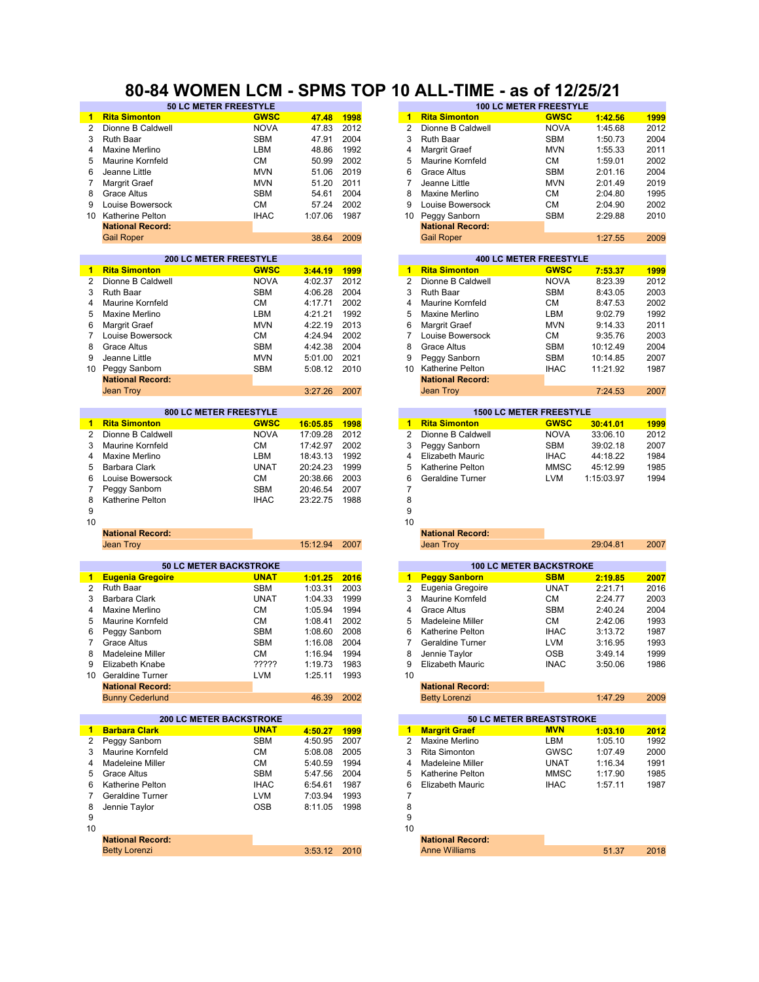#### **50 LC METER FREESTYLE 100 LC METER FREESTYLE 80-84 WOMEN LCM - SPMS TOP 10 ALL-TIME - as of 12/25/21**

|                | OV LU METER FREEOITLE                                    |             |              |             |                         |                          | IVV LV METER FREEJITLE                       |            |      |
|----------------|----------------------------------------------------------|-------------|--------------|-------------|-------------------------|--------------------------|----------------------------------------------|------------|------|
|                | <b>Rita Simonton</b>                                     | <b>GWSC</b> | 47.48        | 1998        | 1                       | <b>Rita Simonton</b>     | <b>GWSC</b>                                  | 1:42.56    | 1999 |
| 2              | Dionne B Caldwell                                        | <b>NOVA</b> | 47.83        | 2012        | 2                       | Dionne B Caldwell        | <b>NOVA</b>                                  | 1:45.68    | 2012 |
| 3              | Ruth Baar                                                | <b>SBM</b>  | 47.91        | 2004        | 3<br>Ruth Baar          |                          | <b>SBM</b>                                   | 1:50.73    | 2004 |
| 4              | Maxine Merlino                                           | LBM         | 48.86        | 1992        | 4                       | Margrit Graef            | <b>MVN</b>                                   | 1:55.33    | 2011 |
|                |                                                          |             |              |             |                         |                          |                                              |            |      |
| 5              | Maurine Kornfeld                                         | СM          | 50.99        | 2002        | 5                       | <b>Maurine Kornfeld</b>  | СM                                           | 1:59.01    | 2002 |
| 6              | Jeanne Little                                            | <b>MVN</b>  | 51.06        | 2019        | 6                       | <b>Grace Altus</b>       | <b>SBM</b>                                   | 2:01.16    | 2004 |
| 7              | Margrit Graef                                            | <b>MVN</b>  | 51.20        | 2011        | 7                       | Jeanne Little            | <b>MVN</b>                                   | 2:01.49    | 2019 |
| 8              | <b>Grace Altus</b>                                       | <b>SBM</b>  | 54.61        | 2004        | 8                       | Maxine Merlino           | <b>CM</b>                                    | 2:04.80    | 1995 |
| 9              | Louise Bowersock                                         | <b>CM</b>   | 57.24        | 2002        | 9                       | Louise Bowersock         | <b>CM</b>                                    | 2:04.90    | 2002 |
| 10             | Katherine Pelton                                         | <b>IHAC</b> | 1:07.06      | 1987        | 10                      | Peggy Sanborn            | <b>SBM</b>                                   | 2:29.88    | 2010 |
|                | <b>National Record:</b>                                  |             |              |             |                         | <b>National Record:</b>  |                                              |            |      |
|                |                                                          |             |              |             |                         |                          |                                              |            |      |
|                | <b>Gail Roper</b>                                        |             | 38.64        | 2009        | <b>Gail Roper</b>       |                          |                                              | 1:27.55    | 2009 |
|                | <b>200 LC METER FREESTYLE</b>                            |             |              |             |                         |                          | <b>400 LC METER FREESTYLE</b>                |            |      |
| $\blacksquare$ | <b>Rita Simonton</b>                                     | <b>GWSC</b> | 3:44.19      | 1999        | $\mathbf{1}$            | <b>Rita Simonton</b>     | <b>GWSC</b>                                  | 7:53.37    | 1999 |
| $\overline{2}$ | Dionne B Caldwell                                        | <b>NOVA</b> | 4:02.37      | 2012        | 2                       | Dionne B Caldwell        | <b>NOVA</b>                                  | 8:23.39    | 2012 |
| 3              | <b>Ruth Baar</b>                                         | <b>SBM</b>  | 4:06.28      | 2004        | 3<br><b>Ruth Baar</b>   |                          | <b>SBM</b>                                   | 8:43.05    | 2003 |
| 4              | Maurine Kornfeld                                         | <b>CM</b>   | 4:17.71      | 2002        | 4                       | <b>Maurine Kornfeld</b>  | СM                                           | 8:47.53    | 2002 |
| 5              | Maxine Merlino                                           | LBM         | 4:21.21      | 1992        | 5                       | Maxine Merlino           | LBM                                          | 9:02.79    | 1992 |
|                |                                                          |             |              |             |                         |                          |                                              |            |      |
| 6              | Margrit Graef                                            | <b>MVN</b>  | 4:22.19      | 2013        | 6                       | Margrit Graef            | <b>MVN</b>                                   | 9:14.33    | 2011 |
| 7              | Louise Bowersock                                         | СM          | 4:24.94      | 2002        | 7                       | Louise Bowersock         | СM                                           | 9:35.76    | 2003 |
| 8              | <b>Grace Altus</b>                                       | <b>SBM</b>  | 4:42.38      | 2004        | 8<br><b>Grace Altus</b> |                          | <b>SBM</b>                                   | 10:12.49   | 2004 |
| 9              | Jeanne Little                                            | <b>MVN</b>  | 5:01.00      | 2021        | 9                       | Peggy Sanborn            | <b>SBM</b>                                   | 10:14.85   | 2007 |
| 10             | Peggy Sanborn                                            | <b>SBM</b>  | 5:08.12      | 2010        | 10 <sup>1</sup>         | Katherine Pelton         | <b>IHAC</b>                                  | 11:21.92   | 1987 |
|                | <b>National Record:</b>                                  |             |              |             |                         | <b>National Record:</b>  |                                              |            |      |
|                | <b>Jean Troy</b>                                         |             | 3:27.26      | 2007        | Jean Troy               |                          |                                              | 7:24.53    | 2007 |
|                |                                                          |             |              |             |                         |                          |                                              |            |      |
|                | 800 LC METER FREESTYLE                                   |             |              |             |                         |                          | <b>1500 LC METER FREESTYLE</b>               |            |      |
| 1              | <b>Rita Simonton</b>                                     | <b>GWSC</b> | 16:05.85     | 1998        | $\mathbf{1}$            | <b>Rita Simonton</b>     | <b>GWSC</b>                                  | 30:41.01   | 1999 |
| 2              | Dionne B Caldwell                                        | <b>NOVA</b> | 17:09.28     | 2012        | 2                       | Dionne B Caldwell        | <b>NOVA</b>                                  | 33:06.10   | 2012 |
| 3              | Maurine Kornfeld                                         | <b>CM</b>   | 17:42.97     | 2002        | 3                       | Peggy Sanborn            | <b>SBM</b>                                   | 39:02.18   | 2007 |
| 4              | Maxine Merlino                                           | LBM         | 18:43.13     | 1992        | 4                       | <b>Elizabeth Mauric</b>  | <b>IHAC</b>                                  | 44:18.22   | 1984 |
| 5              | <b>Barbara Clark</b>                                     | <b>UNAT</b> | 20:24.23     | 1999        | 5                       | <b>Katherine Pelton</b>  | <b>MMSC</b>                                  | 45:12.99   | 1985 |
| 6              | Louise Bowersock                                         | <b>CM</b>   | 20:38.66     | 2003        | 6                       | Geraldine Turner         | <b>LVM</b>                                   | 1:15:03.97 |      |
|                |                                                          |             |              |             |                         |                          |                                              |            | 1994 |
| $\overline{7}$ | Peggy Sanborn                                            | <b>SBM</b>  | 20:46.54     | 2007        | 7                       |                          |                                              |            |      |
| 8              | Katherine Pelton                                         | <b>IHAC</b> | 23:22.75     | 1988        | 8                       |                          |                                              |            |      |
| 9              |                                                          |             |              |             | 9                       |                          |                                              |            |      |
| 10             |                                                          |             |              |             | 10                      |                          |                                              |            |      |
|                | <b>National Record:</b>                                  |             |              |             |                         | <b>National Record:</b>  |                                              |            |      |
|                | Jean Troy                                                |             | 15:12.94     | 2007        | <b>Jean Troy</b>        |                          |                                              | 29:04.81   | 2007 |
|                |                                                          |             |              |             |                         |                          |                                              |            |      |
| $\mathbf{1}$   | <b>50 LC METER BACKSTROKE</b><br><b>Eugenia Gregoire</b> | <b>UNAT</b> | 1:01.25      | 2016        | $\blacksquare$          | <b>Peggy Sanborn</b>     | <b>100 LC METER BACKSTROKE</b><br><b>SBM</b> | 2:19.85    | 2007 |
| 2              | <b>Ruth Baar</b>                                         | <b>SBM</b>  | 1:03.31      | 2003        | $\overline{2}$          | Eugenia Gregoire         | <b>UNAT</b>                                  | 2:21.71    |      |
|                |                                                          |             |              |             |                         |                          |                                              |            | 2016 |
| 3              | Barbara Clark                                            | <b>UNAT</b> | 1:04.33      | 1999        | 3                       | <b>Maurine Kornfeld</b>  | <b>CM</b>                                    | 2:24.77    | 2003 |
| 4              | Maxine Merlino                                           | <b>CM</b>   | 1:05.94      | 1994        | 4<br><b>Grace Altus</b> |                          | <b>SBM</b>                                   | 2:40.24    | 2004 |
| 5              | Maurine Kornfeld                                         | <b>CM</b>   | 1:08.41      | 2002        | 5                       | Madeleine Miller         | СM                                           | 2:42.06    | 1993 |
| 6              | Peggy Sanborn                                            | <b>SBM</b>  | 1:08.60      | 2008        | 6                       | Katherine Pelton         | <b>IHAC</b>                                  | 3:13.72    | 1987 |
| 7              | <b>Grace Altus</b>                                       | <b>SBM</b>  | 1:16.08      | 2004        | 7                       | Geraldine Turner         | <b>LVM</b>                                   | 3:16.95    | 1993 |
| 8              | <b>Madeleine Miller</b>                                  | СM          | 1:16.94      | 1994        | 8                       | Jennie Taylor            | <b>OSB</b>                                   | 3:49.14    | 1999 |
|                | Elizabeth Knabe                                          | ?????       | 1:19.73      | 1983        | 9                       | Elizabeth Mauric         | <b>INAC</b>                                  | 3:50.06    | 1986 |
|                | 10 Geraldine Turner                                      | <b>LVM</b>  | 1:25.11      | 1993        | 10                      |                          |                                              |            |      |
|                |                                                          |             |              |             |                         |                          |                                              |            |      |
|                | <b>National Record:</b>                                  |             |              |             |                         | <b>National Record:</b>  |                                              |            | 2009 |
|                | <b>Bunny Cederlund</b>                                   |             | 46.39        | 2002        |                         | <b>Betty Lorenzi</b>     |                                              | 1:47.29    |      |
|                | <b>200 LC METER BACKSTROKE</b>                           |             |              |             |                         | 50 LC METER BREASTSTROKE |                                              |            |      |
| $\blacksquare$ | <b>Barbara Clark</b>                                     | <b>UNAT</b> | 4:50.27      | <b>1999</b> | $\mathbf{1}$            | <b>Margrit Graef</b>     | <b>MVN</b>                                   | 1:03.10    | 2012 |
| $\mathbf{2}$   | Peggy Sanborn                                            | SBM         | 4:50.95      | 2007        | 2                       | Maxine Merlino           | LBM                                          | 1:05.10    | 1992 |
| 3              | Maurine Kornfeld                                         | СM          | 5:08.08      | 2005        | 3                       | Rita Simonton            | GWSC                                         | 1:07.49    | 2000 |
| 4              | Madeleine Miller                                         | СM          | 5:40.59      | 1994        | 4                       | Madeleine Miller         | <b>UNAT</b>                                  | 1:16.34    | 1991 |
| 5              | <b>Grace Altus</b>                                       | SBM         | 5:47.56      | 2004        | 5                       | Katherine Pelton         | <b>MMSC</b>                                  | 1:17.90    | 1985 |
| 6              | Katherine Pelton                                         | <b>IHAC</b> |              | 1987        | 6                       | <b>Elizabeth Mauric</b>  |                                              |            | 1987 |
|                |                                                          |             | 6:54.61      |             |                         |                          | <b>IHAC</b>                                  | 1:57.11    |      |
| 7              | Geraldine Turner                                         | LVM         | 7:03.94      | 1993        | 7                       |                          |                                              |            |      |
| 8              | Jennie Taylor                                            | <b>OSB</b>  | 8:11.05      | 1998        | 8                       |                          |                                              |            |      |
| 9              |                                                          |             |              |             | 9                       |                          |                                              |            |      |
| 10             |                                                          |             |              |             | 10                      |                          |                                              |            |      |
|                | <b>National Record:</b>                                  |             |              |             |                         | <b>National Record:</b>  |                                              |            |      |
|                | <b>Betty Lorenzi</b>                                     |             | 3:53.12 2010 |             |                         | <b>Anne Williams</b>     |                                              | 51.37      | 2018 |
|                |                                                          |             |              |             |                         |                          |                                              |            |      |

|         |                      | 100 LO METERTREDUTTEE |                               |                                |          |          |  |  |
|---------|----------------------|-----------------------|-------------------------------|--------------------------------|----------|----------|--|--|
| 47.48   | 1998                 | 1                     | <b>Rita Simonton</b>          | <b>GWSC</b>                    | 1:42.56  | 1999     |  |  |
| 47.83   | 2012                 | 2                     | Dionne B Caldwell             | <b>NOVA</b>                    | 1:45.68  | 2012     |  |  |
| 47.91   | 2004                 | 3                     | <b>Ruth Baar</b>              | <b>SBM</b>                     | 1:50.73  | 2004     |  |  |
| 48.86   | 1992                 | $\overline{4}$        | Margrit Graef                 | <b>MVN</b>                     | 1:55.33  | 2011     |  |  |
| 50.99   | 2002                 | 5                     | Maurine Kornfeld              | <b>CM</b>                      | 1:59.01  | 2002     |  |  |
| 51.06   | 2019                 | 6                     | <b>Grace Altus</b>            | <b>SBM</b>                     | 2:01.16  | 2004     |  |  |
| 51.20   | 2011                 | $\overline{7}$        | Jeanne Little                 | <b>MVN</b>                     | 2:01.49  | 2019     |  |  |
| 54.61   | 2004                 | 8                     | Maxine Merlino                | <b>CM</b>                      | 2:04.80  | 1995     |  |  |
| 57.24   | 2002                 | 9                     | Louise Bowersock              | <b>CM</b>                      | 2:04.90  | 2002     |  |  |
| 1:07.06 | 1987                 | 10                    | Peggy Sanborn                 | <b>SBM</b>                     | 2:29.88  | 2010     |  |  |
|         |                      |                       | <b>National Record:</b>       |                                |          |          |  |  |
| 38.64   | 2009                 |                       | <b>Gail Roper</b>             |                                | 1:27.55  | 2009     |  |  |
|         |                      |                       |                               |                                |          |          |  |  |
|         |                      |                       | <b>400 LC METER FREESTYLE</b> |                                |          |          |  |  |
| 3:44.19 | 1999                 | $\overline{1}$        | <b>Rita Simonton</b>          | <b>GWSC</b>                    | 7:53.37  | 1999     |  |  |
| 4:02.37 | 2012                 | $\overline{2}$        | Dionne B Caldwell             | <b>NOVA</b>                    | 8:23.39  | 2012     |  |  |
| 4:06.28 | 2004                 | 3                     | <b>Ruth Baar</b>              | <b>SBM</b>                     | 8:43.05  | 2003     |  |  |
| 4:17.71 | 2002                 | $\overline{4}$        | Maurine Kornfeld              | <b>CM</b>                      | 8:47.53  | 2002     |  |  |
| 4:21.21 | 1992                 | 5                     | Maxine Merlino                | LBM                            | 9:02.79  | 1992     |  |  |
| 4:22.19 | 2013                 | 6                     | Margrit Graef                 | <b>MVN</b>                     | 9:14.33  | 2011     |  |  |
| 4:24.94 | 2002                 | $\overline{7}$        | Louise Bowersock              | <b>CM</b>                      | 9:35.76  | 2003     |  |  |
| 4:42.38 | 2004                 | 8                     | <b>Grace Altus</b>            | <b>SBM</b>                     | 10:12.49 | 2004     |  |  |
| 5:01.00 | 2021                 | 9                     | Peggy Sanborn                 | <b>SBM</b>                     | 10:14.85 | 2007     |  |  |
| 5:08.12 | 2010                 | 10 <sup>1</sup>       | Katherine Pelton              | <b>IHAC</b>                    | 11:21.92 | 1987     |  |  |
|         |                      |                       | <b>National Record:</b>       |                                |          |          |  |  |
| 3:27.26 | 2007                 |                       | <b>Jean Trov</b>              |                                | 7:24.53  | 2007     |  |  |
|         |                      |                       |                               |                                |          |          |  |  |
|         |                      |                       |                               | <b>1500 LC METER FREESTYLE</b> |          |          |  |  |
| 6:05.85 | 1998                 | $\overline{1}$        | <b>Rita Simonton</b>          | <b>GWSC</b>                    | 30:41.01 | 1999     |  |  |
| 7:09.28 | 2012                 | $\overline{2}$        | Dionne B Caldwell             | <b>NOVA</b>                    | 33:06.10 | 2012     |  |  |
| 7:42.97 | 2002                 | 3                     | Peggy Sanborn                 | <b>SBM</b>                     | 39:02.18 | 2007     |  |  |
| 8:43.13 | 1992                 | $\overline{4}$        | <b>Elizabeth Mauric</b>       | <b>IHAC</b>                    | 44:18.22 | 1984     |  |  |
| 0:24.23 | 1999                 | 5                     | <b>Katherine Pelton</b>       | <b>MMSC</b>                    | 45:12.99 | 1985     |  |  |
| 0.000   | $\sim$ $\sim$ $\sim$ |                       | $\cdots$                      |                                |          | $\cdots$ |  |  |

| 01.25 | 2016 |
|-------|------|
| 03.31 | 2003 |
| 04.33 | 1999 |
| 05.94 | 1994 |
| 08.41 | 2002 |
| 08.60 | 2008 |
| 16.08 | 2004 |
| 16.94 | 1994 |
| 19.73 | 1983 |
| 25.11 | 1993 |
|       |      |
| 46.39 | 2002 |
|       |      |
|       |      |
| 50.27 | 1999 |
| 50.95 | 2007 |
| 08.08 | 2005 |
| 40.59 | 1994 |
| 47.56 | 2004 |
| 54.61 | 1987 |
| 03.94 | 1993 |
| 11.05 | 1998 |
|       |      |
|       |      |
|       |      |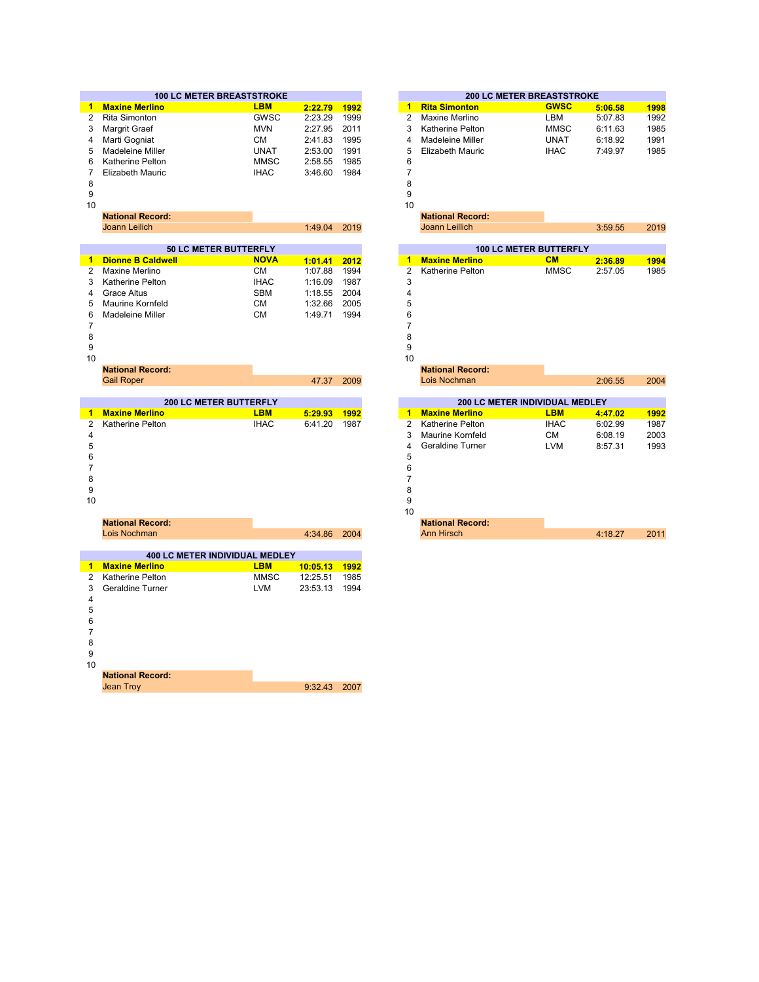|    | <b>100 LC METER BREASTSTROKE</b> |             |         |      |    | <b>200 LC METER BREASTSTROKE</b> |             |         |      |  |  |
|----|----------------------------------|-------------|---------|------|----|----------------------------------|-------------|---------|------|--|--|
|    | <b>Maxine Merlino</b>            | <b>LBM</b>  | 2:22.79 | 1992 |    | <b>Rita Simonton</b>             | <b>GWSC</b> | 5:06.58 | 1998 |  |  |
| 2  | Rita Simonton                    | <b>GWSC</b> | 2:23.29 | 1999 |    | Maxine Merlino                   | LBM         | 5:07.83 | 1992 |  |  |
| 3  | Margrit Graef                    | <b>MVN</b>  | 2:27.95 | 2011 |    | Katherine Pelton                 | <b>MMSC</b> | 6:11.63 | 1985 |  |  |
| 4  | Marti Gogniat                    | CМ          | 2:41.83 | 1995 |    | Madeleine Miller                 | <b>UNAT</b> | 6:18.92 | 1991 |  |  |
| 5  | Madeleine Miller                 | <b>UNAT</b> | 2:53.00 | 1991 | 5. | Elizabeth Mauric                 | <b>IHAC</b> | 7:49.97 | 1985 |  |  |
| 6. | Katherine Pelton                 | MMSC        | 2:58.55 | 1985 | 6  |                                  |             |         |      |  |  |
|    | Elizabeth Mauric                 | <b>IHAC</b> | 3:46.60 | 1984 |    |                                  |             |         |      |  |  |
| 8  |                                  |             |         |      | 8  |                                  |             |         |      |  |  |
| 9  |                                  |             |         |      | 9  |                                  |             |         |      |  |  |
| 10 |                                  |             |         |      | 10 |                                  |             |         |      |  |  |

| <b>National R</b> |  |  |
|-------------------|--|--|
|                   |  |  |

| <b>National Record:</b>                    |              | <b>National Record:</b> |
|--------------------------------------------|--------------|-------------------------|
| Joann Leilich                              | 1:49.04 2019 | Joann Leillich          |
|                                            |              |                         |
| $-0.1$ $A.1$ = $-0.0$ $B.1$ = $-0.0$ $B.1$ |              | $\overline{100}$        |

|   | <b>30 LU METER BUTTERFLI</b> |             |                | IW LY METER PUTTERFLI |   |                       |             |         |      |
|---|------------------------------|-------------|----------------|-----------------------|---|-----------------------|-------------|---------|------|
|   | 1 Dionne B Caldwell          | <b>NOVA</b> | $1:01.41$ 2012 |                       |   | <b>Maxine Merlino</b> | <b>CM</b>   | 2:36.89 | 1994 |
|   | 2 Maxine Merlino             | CМ          | 1:07.88        | 1994                  |   | 2 Katherine Pelton    | <b>MMSC</b> | 2:57.05 | 1985 |
|   | 3 Katherine Pelton           | <b>IHAC</b> | 1:16.09        | 1987                  |   |                       |             |         |      |
|   | 4 Grace Altus                | <b>SBM</b>  | 1:18.55        | 2004                  | 4 |                       |             |         |      |
|   | 5 Maurine Kornfeld           | СM          | 1:32.66        | 2005                  | 5 |                       |             |         |      |
|   | 6 Madeleine Miller           | <b>CM</b>   | 1:49.71        | 1994                  | 6 |                       |             |         |      |
|   |                              |             |                |                       |   |                       |             |         |      |
| 8 |                              |             |                |                       | 8 |                       |             |         |      |
| 9 |                              |             |                |                       |   |                       |             |         |      |

| <b>National Record:</b> |            | <b>National Reco</b> |
|-------------------------|------------|----------------------|
| <b>Gail Roper</b>       | 47.37 2009 | Lois Nochman         |
|                         |            |                      |
| 200 LC METER DUTTERELY  |            | ו ההפ                |

|    |                       | <b><i>AUVEU METER DUTTERFET</i></b> |         |      |
|----|-----------------------|-------------------------------------|---------|------|
| 1. | <b>Maxine Merlino</b> | <b>LBM</b>                          | 5:29.93 | 1992 |
|    | 2 Katherine Pelton    | <b>IHAC</b>                         | 6:41.20 | 1987 |
| 4  |                       |                                     |         |      |
| 5  |                       |                                     |         |      |
| 6  |                       |                                     |         |      |
|    |                       |                                     |         |      |
| 8  |                       |                                     |         |      |
| 9  |                       |                                     |         |      |
| 10 |                       |                                     |         |      |
|    |                       |                                     |         |      |

|                | <b>National Record:</b> |                                       |             |          |      |  |
|----------------|-------------------------|---------------------------------------|-------------|----------|------|--|
|                | Lois Nochman            |                                       |             | 4:34.86  | 2004 |  |
|                |                         |                                       |             |          |      |  |
|                |                         | <b>400 LC METER INDIVIDUAL MEDLEY</b> |             |          |      |  |
| 1              | <b>Maxine Merlino</b>   |                                       | <b>LBM</b>  | 10:05.13 | 1992 |  |
| 2              | Katherine Pelton        |                                       | <b>MMSC</b> | 12:25.51 | 1985 |  |
| 3              | Geraldine Turner        |                                       | <b>LVM</b>  | 23:53.13 | 1994 |  |
| $\overline{4}$ |                         |                                       |             |          |      |  |
| 5              |                         |                                       |             |          |      |  |
| 6              |                         |                                       |             |          |      |  |
| 7              |                         |                                       |             |          |      |  |
| 8              |                         |                                       |             |          |      |  |
| 9              |                         |                                       |             |          |      |  |
| 10             |                         |                                       |             |          |      |  |
|                | <b>National Record:</b> |                                       |             |          |      |  |

9:32.43 2007 Jean Troy

|    | <b>100 LC METER BREASTSTROKE</b> |             |         |      |    |                         | <b>200 LC METER BREASTSTROKE</b> |         |      |
|----|----------------------------------|-------------|---------|------|----|-------------------------|----------------------------------|---------|------|
|    | <b>Maxine Merlino</b>            | <b>LBM</b>  | 2:22.79 | 1992 |    | <b>Rita Simonton</b>    | <b>GWSC</b>                      | 5:06.58 | 1998 |
| 2  | <b>Rita Simonton</b>             | GWSC        | 2:23.29 | 1999 | 2  | Maxine Merlino          | LBM                              | 5:07.83 | 1992 |
| 3  | Margrit Graef                    | <b>MVN</b>  | 2:27.95 | 2011 | 3  | Katherine Pelton        | <b>MMSC</b>                      | 6:11.63 | 1985 |
| 4  | Marti Gogniat                    | <b>CM</b>   | 2:41.83 | 1995 | 4  | Madeleine Miller        | <b>UNAT</b>                      | 6:18.92 | 1991 |
| 5  | Madeleine Miller                 | <b>UNAT</b> | 2:53.00 | 1991 | 5  | <b>Elizabeth Mauric</b> | <b>IHAC</b>                      | 7:49.97 | 1985 |
| 6  | Katherine Pelton                 | <b>MMSC</b> | 2:58.55 | 1985 | 6  |                         |                                  |         |      |
|    | <b>Elizabeth Mauric</b>          | <b>IHAC</b> | 3:46.60 | 1984 |    |                         |                                  |         |      |
| 8  |                                  |             |         |      | 8  |                         |                                  |         |      |
| 9  |                                  |             |         |      | 9  |                         |                                  |         |      |
| 10 |                                  |             |         |      | 10 |                         |                                  |         |      |
|    | <b>National Record:</b>          |             |         |      |    | <b>National Record:</b> |                                  |         |      |
|    | Joann Leilich                    |             | 1:49.04 | 2019 |    | <b>Joann Leillich</b>   |                                  | 3:59.55 | 2019 |
|    |                                  |             |         |      |    |                         |                                  |         |      |
|    | <b>50 LC METER BUTTERFLY</b>     |             |         |      |    |                         | <b>100 LC METER BUTTERFLY</b>    |         |      |
| 1  | <b>Dionne B Caldwell</b>         | <b>NOVA</b> | 1:01.41 | 2012 |    | <b>Maxine Merlino</b>   | CM                               | 2:36.89 | 1994 |
| 2  | Maxine Merlino                   | <b>CM</b>   | 1:07.88 | 1994 | 2  | Katherine Pelton        | <b>MMSC</b>                      | 2:57.05 | 1985 |
| 3  | <b>Katherine Pelton</b>          | <b>IHAC</b> | 1:16.09 | 1987 | 3  |                         |                                  |         |      |
| 4  | Grace Altus                      | <b>SBM</b>  | 1:18.55 | 2004 |    |                         |                                  |         |      |
| 5  | Maurine Kornfeld                 | <b>CM</b>   | 1:32.66 | 2005 | 5  |                         |                                  |         |      |
| 6  | Madeleine Miller                 | <b>CM</b>   | 1:49.71 | 1994 | 6  |                         |                                  |         |      |
|    |                                  |             |         |      |    |                         |                                  |         |      |
| 8  |                                  |             |         |      | 8  |                         |                                  |         |      |
| 9  |                                  |             |         |      | 9  |                         |                                  |         |      |
| 10 |                                  |             |         |      | 10 |                         |                                  |         |      |
|    | <b>National Record:</b>          |             |         |      |    | <b>National Record:</b> |                                  |         |      |
|    | <b>Gail Roper</b>                |             | 47.37   | 2009 |    | Lois Nochman            |                                  | 2:06.55 | 2004 |
|    |                                  |             |         |      |    |                         |                                  |         |      |

|         |      |    |                         |             | <b>200 LC METER INDIVIDUAL MEDLEY</b> |      |  |  |
|---------|------|----|-------------------------|-------------|---------------------------------------|------|--|--|
| 5:29.93 | 1992 | 1  | <b>Maxine Merlino</b>   | <b>LBM</b>  | 4:47.02                               | 1992 |  |  |
| 6:41.20 | 1987 | 2  | <b>Katherine Pelton</b> | <b>IHAC</b> | 6:02.99                               | 1987 |  |  |
|         |      | 3  | <b>Maurine Kornfeld</b> | <b>CM</b>   | 6:08.19                               | 2003 |  |  |
|         |      | 4  | Geraldine Turner        | <b>LVM</b>  | 8:57.31                               | 1993 |  |  |
|         |      | 5  |                         |             |                                       |      |  |  |
|         |      | 6  |                         |             |                                       |      |  |  |
|         |      |    |                         |             |                                       |      |  |  |
|         |      | 8  |                         |             |                                       |      |  |  |
|         |      | 9  |                         |             |                                       |      |  |  |
|         |      | 10 |                         |             |                                       |      |  |  |
|         |      |    | <b>National Record:</b> |             |                                       |      |  |  |
| 4:34.86 | 2004 |    | <b>Ann Hirsch</b>       |             | 4:18.27                               | 2011 |  |  |
|         |      |    |                         |             |                                       |      |  |  |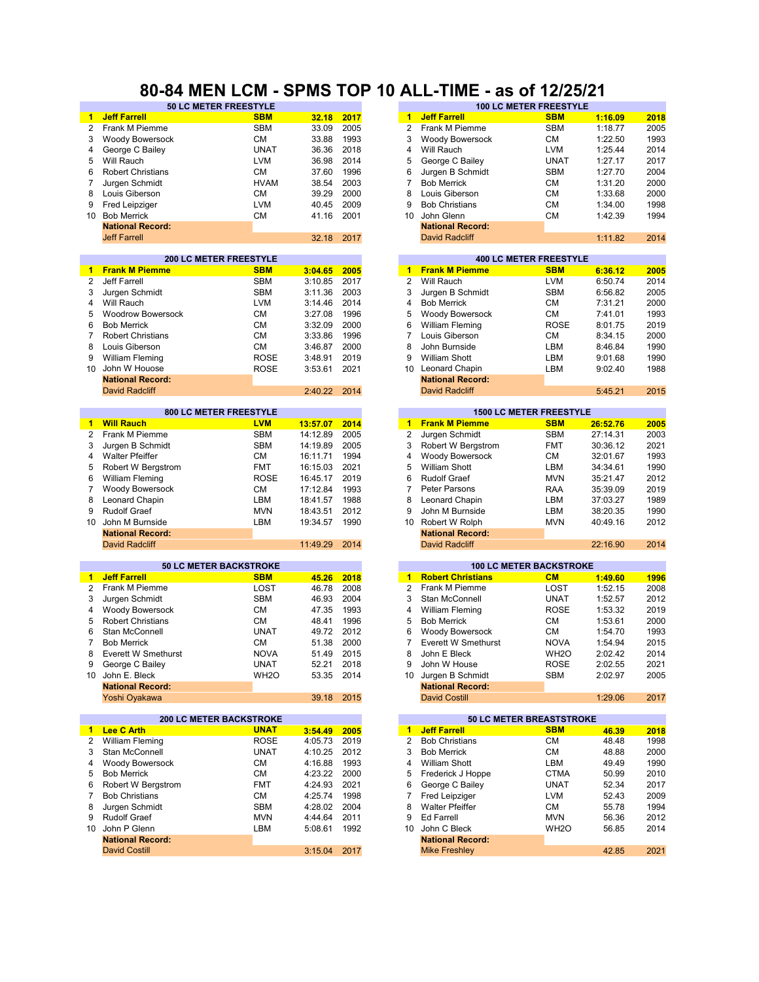#### **80-84 MEN LCM - SPMS TOP 10 ALL-TIME - as of 12/25/21**

|                      | 50 LC METER FREESTYLE          |                   |          |      |                      |                            | <b>100 LC METER FREESTYLE</b>        |          |      |
|----------------------|--------------------------------|-------------------|----------|------|----------------------|----------------------------|--------------------------------------|----------|------|
| 1.                   | <b>Jeff Farrell</b>            | <b>SBM</b>        | 32.18    | 2017 | $\blacktriangleleft$ | <b>Jeff Farrell</b>        | <b>SBM</b>                           | 1:16.09  | 2018 |
| $\overline{2}$       | Frank M Piemme                 | <b>SBM</b>        | 33.09    | 2005 | $\overline{2}$       | Frank M Piemme             | <b>SBM</b>                           | 1:18.77  | 2005 |
| 3                    | <b>Woody Bowersock</b>         | <b>CM</b>         | 33.88    | 1993 | 3                    | <b>Woody Bowersock</b>     | <b>CM</b>                            | 1:22.50  | 1993 |
| 4                    | George C Bailey                | <b>UNAT</b>       | 36.36    | 2018 | 4                    | Will Rauch                 | <b>LVM</b>                           | 1:25.44  | 2014 |
| 5                    | Will Rauch                     | <b>LVM</b>        | 36.98    | 2014 | 5                    | George C Bailey            | <b>UNAT</b>                          | 1:27.17  | 2017 |
|                      |                                |                   |          |      |                      |                            |                                      |          |      |
| 6                    | <b>Robert Christians</b>       | СM                | 37.60    | 1996 | 6                    | Jurgen B Schmidt           | <b>SBM</b>                           | 1:27.70  | 2004 |
| 7                    | Jurgen Schmidt                 | <b>HVAM</b>       | 38.54    | 2003 | 7                    | <b>Bob Merrick</b>         | СM                                   | 1:31.20  | 2000 |
| 8                    | Louis Giberson                 | СM                | 39.29    | 2000 | 8                    | Louis Giberson             | СM                                   | 1:33.68  | 2000 |
| 9                    | Fred Leipziger                 | <b>LVM</b>        | 40.45    | 2009 | 9                    | <b>Bob Christians</b>      | <b>CM</b>                            | 1:34.00  | 1998 |
| 10                   | <b>Bob Merrick</b>             | <b>CM</b>         | 41.16    | 2001 | 10                   | John Glenn                 | CМ                                   | 1:42.39  | 1994 |
|                      | <b>National Record:</b>        |                   |          |      |                      | <b>National Record:</b>    |                                      |          |      |
|                      | <b>Jeff Farrell</b>            |                   | 32.18    | 2017 |                      | <b>David Radcliff</b>      |                                      | 1:11.82  | 2014 |
|                      |                                |                   |          |      |                      |                            |                                      |          |      |
|                      | <b>200 LC METER FREESTYLE</b>  |                   |          |      |                      |                            | <b>400 LC METER FREESTYLE</b>        |          |      |
| 1                    | <b>Frank M Piemme</b>          | <b>SBM</b>        | 3:04.65  | 2005 | $\mathbf{1}$         | <b>Frank M Piemme</b>      | <b>SBM</b>                           | 6:36.12  | 2005 |
| $\overline{2}$       | <b>Jeff Farrell</b>            | <b>SBM</b>        | 3:10.85  | 2017 | 2                    | Will Rauch                 | <b>LVM</b>                           | 6:50.74  | 2014 |
| 3                    | Jurgen Schmidt                 | <b>SBM</b>        | 3:11.36  | 2003 | 3                    | Jurgen B Schmidt           | <b>SBM</b>                           | 6:56.82  | 2005 |
|                      |                                |                   |          |      |                      |                            |                                      |          |      |
| 4                    | Will Rauch                     | <b>LVM</b>        | 3:14.46  | 2014 | 4                    | <b>Bob Merrick</b>         | <b>CM</b>                            | 7:31.21  | 2000 |
| 5                    | <b>Woodrow Bowersock</b>       | <b>CM</b>         | 3:27.08  | 1996 | 5                    | Woody Bowersock            | <b>CM</b>                            | 7:41.01  | 1993 |
| 6                    | <b>Bob Merrick</b>             | <b>CM</b>         | 3:32.09  | 2000 | 6                    | <b>William Fleming</b>     | <b>ROSE</b>                          | 8:01.75  | 2019 |
| 7                    | <b>Robert Christians</b>       | СM                | 3:33.86  | 1996 | 7                    | Louis Giberson             | СM                                   | 8:34.15  | 2000 |
| 8                    | Louis Giberson                 | <b>CM</b>         | 3:46.87  | 2000 | 8                    | John Burnside              | LBM                                  | 8:46.84  | 1990 |
| 9                    | <b>William Fleming</b>         | <b>ROSE</b>       | 3:48.91  | 2019 | 9                    | <b>William Shott</b>       | LBM                                  | 9:01.68  | 1990 |
| 10                   | John W Houose                  | <b>ROSE</b>       | 3:53.61  | 2021 | 10                   | Leonard Chapin             | LBM                                  | 9:02.40  | 1988 |
|                      | <b>National Record:</b>        |                   |          |      |                      | <b>National Record:</b>    |                                      |          |      |
|                      | <b>David Radcliff</b>          |                   |          |      |                      | <b>David Radcliff</b>      |                                      | 5:45.21  |      |
|                      |                                |                   | 2:40.22  | 2014 |                      |                            |                                      |          | 2015 |
|                      | <b>800 LC METER FREESTYLE</b>  |                   |          |      |                      |                            | <b>1500 LC METER FREESTYLE</b>       |          |      |
|                      | <b>Will Rauch</b>              | <b>LVM</b>        |          |      | $\mathbf{1}$         | <b>Frank M Piemme</b>      | <b>SBM</b>                           |          |      |
| 1.                   |                                |                   | 13:57.07 | 2014 |                      |                            |                                      | 26:52.76 | 2005 |
| $\overline{2}$       | Frank M Piemme                 | <b>SBM</b>        | 14:12.89 | 2005 | $\overline{2}$       | Jurgen Schmidt             | <b>SBM</b>                           | 27:14.31 | 2003 |
| 3                    | Jurgen B Schmidt               | <b>SBM</b>        | 14:19.89 | 2005 | 3                    | Robert W Bergstrom         | <b>FMT</b>                           | 30:36.12 | 2021 |
| 4                    | <b>Walter Pfeiffer</b>         | СM                | 16:11.71 | 1994 | 4                    | <b>Woody Bowersock</b>     | СM                                   | 32:01.67 | 1993 |
| 5                    | Robert W Bergstrom             | <b>FMT</b>        | 16:15.03 | 2021 | 5                    | <b>William Shott</b>       | LBM                                  | 34:34.61 | 1990 |
| 6                    | <b>William Fleming</b>         | <b>ROSE</b>       | 16:45.17 | 2019 | 6                    | <b>Rudolf Graef</b>        | <b>MVN</b>                           | 35:21.47 | 2012 |
| 7                    | <b>Woody Bowersock</b>         | <b>CM</b>         | 17:12.84 | 1993 | $\overline{7}$       | Peter Parsons              | RAA                                  | 35:39.09 | 2019 |
| 8                    | Leonard Chapin                 | LBM               | 18:41.57 | 1988 | 8                    | Leonard Chapin             | LBM                                  | 37:03.27 | 1989 |
| 9                    | <b>Rudolf Graef</b>            | <b>MVN</b>        | 18:43.51 | 2012 | 9                    | John M Burnside            | LBM                                  | 38:20.35 | 1990 |
| 10                   | John M Burnside                | LBM               | 19:34.57 | 1990 | 10                   | Robert W Rolph             | <b>MVN</b>                           | 40:49.16 | 2012 |
|                      |                                |                   |          |      |                      |                            |                                      |          |      |
|                      | <b>National Record:</b>        |                   |          |      |                      | <b>National Record:</b>    |                                      |          |      |
|                      | <b>David Radcliff</b>          |                   | 11:49.29 | 2014 |                      | <b>David Radcliff</b>      |                                      | 22:16.90 | 2014 |
|                      | <b>50 LC METER BACKSTROKE</b>  |                   |          |      |                      |                            |                                      |          |      |
| $\blacktriangleleft$ | <b>Jeff Farrell</b>            | <b>SBM</b>        | 45.26    | 2018 | $\mathbf{1}$         | <b>Robert Christians</b>   | <b>100 LC METER BACKSTROKE</b><br>CM |          | 1996 |
| $\overline{2}$       | Frank M Piemme                 |                   | 46.78    | 2008 | $\overline{2}$       | Frank M Piemme             |                                      | 1:49.60  | 2008 |
|                      |                                | LOST              |          |      |                      |                            | LOST                                 | 1:52.15  |      |
| 3                    | Jurgen Schmidt                 | <b>SBM</b>        | 46.93    | 2004 | 3                    | Stan McConnell             | <b>UNAT</b>                          | 1:52.57  | 2012 |
| 4                    | <b>Woody Bowersock</b>         | <b>CM</b>         | 47.35    | 1993 | 4                    | <b>William Fleming</b>     | <b>ROSE</b>                          | 1:53.32  | 2019 |
| 5                    | <b>Robert Christians</b>       | <b>CM</b>         | 48.41    | 1996 | 5                    | <b>Bob Merrick</b>         | <b>CM</b>                            | 1:53.61  | 2000 |
| 6                    | Stan McConnell                 | <b>UNAT</b>       | 49.72    | 2012 | 6                    | <b>Woody Bowersock</b>     | <b>CM</b>                            | 1:54.70  | 1993 |
| 7                    | <b>Bob Merrick</b>             | <b>CM</b>         | 51.38    | 2000 | 7                    | <b>Everett W Smethurst</b> | <b>NOVA</b>                          | 1:54.94  | 2015 |
| 8                    | Everett W Smethurst            | <b>NOVA</b>       | 51.49    | 2015 | 8                    | John E Bleck               | WH <sub>20</sub>                     | 2:02.42  | 2014 |
| 9                    | George C Bailey                | <b>UNAT</b>       | 52.21    | 2018 | 9                    | John W House               | <b>ROSE</b>                          | 2:02.55  | 2021 |
|                      | 10 John E. Bleck               | WH <sub>2</sub> O | 53.35    | 2014 | 10                   | Jurgen B Schmidt           | SBM                                  | 2:02.97  | 2005 |
|                      | <b>National Record:</b>        |                   |          |      |                      | <b>National Record:</b>    |                                      |          |      |
|                      |                                |                   |          |      |                      | <b>David Costill</b>       |                                      |          | 2017 |
|                      | Yoshi Oyakawa                  |                   | 39.18    | 2015 |                      |                            |                                      | 1:29.06  |      |
|                      | <b>200 LC METER BACKSTROKE</b> |                   |          |      |                      |                            | 50 LC METER BREASTSTROKE             |          |      |
| $\mathbf{1}$         | <b>Lee C Arth</b>              | <b>UNAT</b>       | 3:54.49  | 2005 |                      | 1 Jeff Farrell             | <b>SBM</b>                           | 46.39    | 2018 |
|                      | William Fleming                | <b>ROSE</b>       | 4:05.73  |      | 2                    | <b>Bob Christians</b>      | СM                                   | 48.48    | 1998 |
| 2                    |                                |                   |          | 2019 |                      |                            |                                      |          |      |
| 3                    | Stan McConnell                 | <b>UNAT</b>       | 4:10.25  | 2012 | 3                    | <b>Bob Merrick</b>         | СM                                   | 48.88    | 2000 |
| 4                    | <b>Woody Bowersock</b>         | СM                | 4:16.88  | 1993 | 4                    | <b>William Shott</b>       | LBM                                  | 49.49    | 1990 |
| 5                    | <b>Bob Merrick</b>             | СM                | 4:23.22  | 2000 | 5                    | Frederick J Hoppe          | <b>CTMA</b>                          | 50.99    | 2010 |
| 6                    | Robert W Bergstrom             | <b>FMT</b>        | 4:24.93  | 2021 | 6                    | George C Bailey            | <b>UNAT</b>                          | 52.34    | 2017 |
| $\overline{7}$       | <b>Bob Christians</b>          | СM                | 4:25.74  | 1998 | 7                    | Fred Leipziger             | LVM                                  | 52.43    | 2009 |
| 8                    | Jurgen Schmidt                 | SBM               | 4:28.02  | 2004 | 8                    | <b>Walter Pfeiffer</b>     | СM                                   | 55.78    | 1994 |
| 9                    | Rudolf Graef                   | <b>MVN</b>        | 4:44.64  | 2011 | 9                    | <b>Ed Farrell</b>          | <b>MVN</b>                           | 56.36    | 2012 |
|                      | 10 John P Glenn                | LBM               | 5:08.61  | 1992 | 10                   | John C Bleck               | WH <sub>2</sub> O                    | 56.85    | 2014 |
|                      | <b>National Record:</b>        |                   |          |      |                      | <b>National Record:</b>    |                                      |          |      |
|                      |                                |                   |          |      |                      |                            |                                      |          |      |
|                      | <b>David Costill</b>           |                   | 3:15.04  | 2017 |                      | <b>Mike Freshley</b>       |                                      | 42.85    | 2021 |

| <u>JZ.IO</u> | 2011 |                | <u>Jell Laffell</u>        | <u>vuu</u>                     | <u>1.10.09</u> | <u>2010</u> |
|--------------|------|----------------|----------------------------|--------------------------------|----------------|-------------|
| 33.09        | 2005 | 2              | Frank M Piemme             | SBM                            | 1:18.77        | 2005        |
| 33.88        | 1993 | 3              | <b>Woody Bowersock</b>     | СM                             | 1:22.50        | 1993        |
|              |      | 4              | Will Rauch                 |                                |                | 2014        |
| 36.36        | 2018 |                |                            | LVM                            | 1:25.44        |             |
| 36.98        | 2014 | 5              | George C Bailey            | UNAT                           | 1:27.17        | 2017        |
| 37.60        | 1996 | 6              | Jurgen B Schmidt           | <b>SBM</b>                     | 1:27.70        | 2004        |
| 38.54        | 2003 | $\overline{7}$ | <b>Bob Merrick</b>         | CМ                             | 1:31.20        | 2000        |
| 39.29        | 2000 | 8              | Louis Giberson             | CМ                             | 1:33.68        | 2000        |
| 40.45        | 2009 | 9              | <b>Bob Christians</b>      | СM                             | 1:34.00        | 1998        |
| 41.16        | 2001 | 10             | John Glenn                 | CМ                             | 1:42.39        | 1994        |
|              |      |                | <b>National Record:</b>    |                                |                |             |
|              |      |                |                            |                                |                |             |
| 32.18        | 2017 |                | <b>David Radcliff</b>      |                                | 1:11.82        | 2014        |
|              |      |                |                            | <b>400 LC METER FREESTYLE</b>  |                |             |
| 3:04.65      | 2005 | 1              | <b>Frank M Piemme</b>      | <b>SBM</b>                     | 6:36.12        | 2005        |
| 3:10.85      | 2017 | 2              | Will Rauch                 | <b>LVM</b>                     | 6:50.74        | 2014        |
| 3:11.36      | 2003 | 3              | Jurgen B Schmidt           | <b>SBM</b>                     | 6:56.82        | 2005        |
|              |      |                |                            |                                |                |             |
| 3:14.46      | 2014 | 4              | <b>Bob Merrick</b>         | CМ                             | 7:31.21        | 2000        |
| 3:27.08      | 1996 | 5              | <b>Woody Bowersock</b>     | СM                             | 7:41.01        | 1993        |
| 3:32.09      | 2000 | 6              | William Fleming            | <b>ROSE</b>                    | 8:01.75        | 2019        |
| 3:33.86      | 1996 | 7              | Louis Giberson             | СM                             | 8:34.15        | 2000        |
| 3:46.87      | 2000 | 8              | John Burnside              | LBM                            | 8:46.84        | 1990        |
| 3:48.91      | 2019 | 9              | <b>William Shott</b>       | LBM                            | 9:01.68        | 1990        |
|              |      |                |                            |                                |                |             |
| 3:53.61      | 2021 | 10             | Leonard Chapin             | LBM                            | 9:02.40        | 1988        |
|              |      |                | <b>National Record:</b>    |                                |                |             |
| 2:40.22      | 2014 |                | <b>David Radcliff</b>      |                                | 5:45.21        | 2015        |
|              |      |                |                            | <b>1500 LC METER FREESTYLE</b> |                |             |
| 13:57.07     | 2014 | $\mathbf{1}$   | <b>Frank M Piemme</b>      | <b>SBM</b>                     | 26:52.76       | 2005        |
| 14:12.89     | 2005 | 2              | Jurgen Schmidt             | <b>SBM</b>                     | 27:14.31       | 2003        |
| 14:19.89     | 2005 | 3              | Robert W Bergstrom         | <b>FMT</b>                     | 30:36.12       | 2021        |
|              |      |                |                            |                                |                |             |
| 16:11.71     | 1994 | 4              | <b>Woody Bowersock</b>     | СM                             | 32:01.67       | 1993        |
| 16:15.03     | 2021 | 5              | <b>William Shott</b>       | LBM                            | 34:34.61       | 1990        |
| 16:45.17     | 2019 | 6              | <b>Rudolf Graef</b>        | <b>MVN</b>                     | 35:21.47       | 2012        |
| 17:12.84     | 1993 | 7              | Peter Parsons              | RAA                            | 35:39.09       | 2019        |
| 18:41.57     | 1988 | 8              | Leonard Chapin             | LBM                            | 37:03.27       | 1989        |
| 18:43.51     | 2012 | 9              | John M Burnside            | LBM                            | 38:20.35       | 1990        |
|              |      |                |                            |                                |                |             |
| 19:34.57     | 1990 | 10             | Robert W Rolph             | <b>MVN</b>                     | 40:49.16       | 2012        |
|              |      |                | <b>National Record:</b>    |                                |                |             |
| 11:49.29     | 2014 |                | <b>David Radcliff</b>      |                                | 22:16.90       | 2014        |
|              |      |                |                            | <b>100 LC METER BACKSTROKE</b> |                |             |
| 45.26        | 2018 | 1              | <b>Robert Christians</b>   | <b>CM</b>                      | 1:49.60        | 1996        |
| 46.78        | 2008 | $\overline{2}$ | Frank M Piemme             | LOST                           | 1:52.15        | 2008        |
| 46.93        | 2004 | 3              | Stan McConnell             | <b>UNAT</b>                    | 1:52.57        | 2012        |
| 47.35        | 1993 | 4              | William Fleming            | <b>ROSE</b>                    | 1:53.32        | 2019        |
| 48.41        | 1996 | 5              | <b>Bob Merrick</b>         | СM                             | 1:53.61        | 2000        |
| 49.72        | 2012 | 6              | Woody Bowersock            | CМ                             | 1:54.70        | 1993        |
|              |      |                |                            |                                |                |             |
| 51.38        | 2000 | 7              | <b>Everett W Smethurst</b> | <b>NOVA</b>                    | 1:54.94        | 2015        |
| 51.49        | 2015 | 8              | John E Bleck               | WH2O                           | 2:02.42        | 2014        |
| 52.21        | 2018 | 9              | John W House               | ROSE                           | 2:02.55        | 2021        |
| 53.35        | 2014 | 10             | Jurgen B Schmidt           | SBM                            | 2:02.97        | 2005        |
|              |      |                | <b>National Record:</b>    |                                |                |             |
| 39.18        | 2015 |                | <b>David Costill</b>       |                                | 1:29.06        | 2017        |
|              |      |                |                            |                                |                |             |
|              |      |                |                            | 50 LC METER BREASTSTROKE       |                |             |
| 3:54.49      | 2005 | $\mathbf{1}$   | <b>Jeff Farrell</b>        | <b>SBM</b>                     | 46.39          | 2018        |
| 4:05.73      | 2019 | 2              | <b>Bob Christians</b>      | СM                             | 48.48          | 1998        |
| 4:10.25      | 2012 | 3              | <b>Bob Merrick</b>         | СM                             | 48.88          | 2000        |
| 4:16.88      | 1993 | 4              | <b>William Shott</b>       | LBM                            | 49.49          | 1990        |
| 4:23.22      | 2000 | 5              | Frederick J Hoppe          | <b>CTMA</b>                    | 50.99          | 2010        |
|              |      |                |                            |                                |                |             |
| 4:24.93      | 2021 | 6              | George C Bailey            | UNAT                           | 52.34          | 2017        |
| 4:25.74      | 1998 | 7              | <b>Fred Leipziger</b>      | LVM                            | 52.43          | 2009        |
|              |      |                |                            |                                |                |             |

| 4:28.02 2004 |      | 8 Walter Pfeiffer       |  | CМ                | 55.78 | 1994 |
|--------------|------|-------------------------|--|-------------------|-------|------|
| 4:44.64 2011 |      | 9 Ed Farrell            |  | <b>MVN</b>        | 56.36 | 2012 |
| 5:08.61      | 1992 | 10 John C Bleck         |  | WH <sub>2</sub> O | 56.85 | 2014 |
|              |      | <b>National Record:</b> |  |                   |       |      |
| 3:15.04 2017 |      | <b>Mike Freshley</b>    |  |                   | 42.85 | 2021 |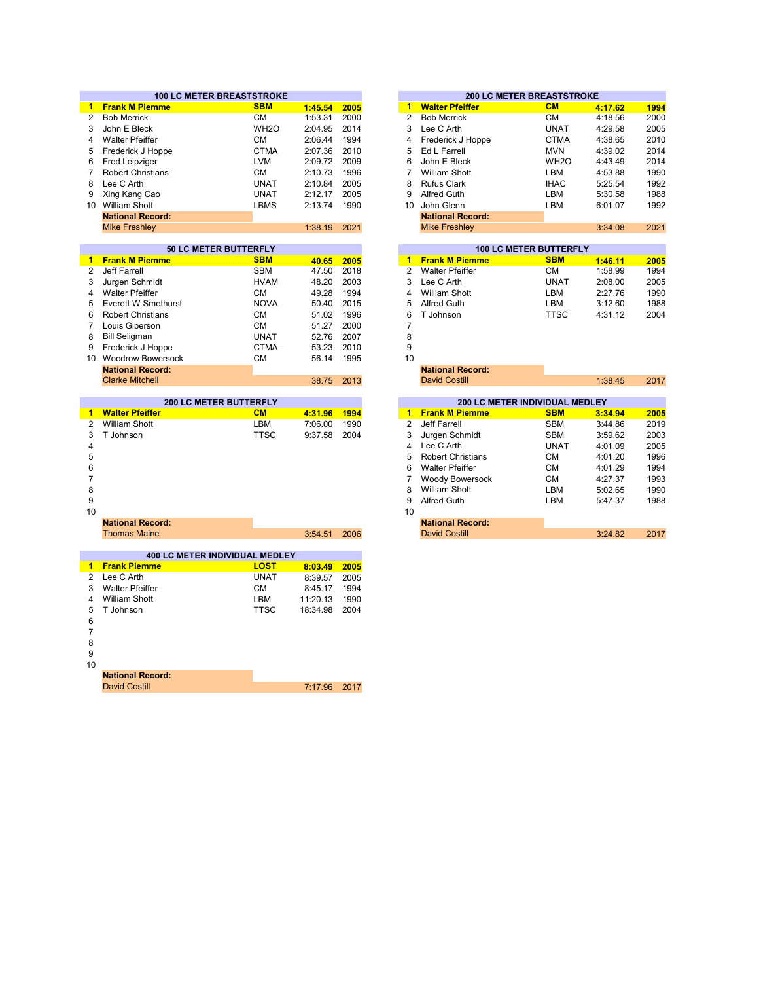|                |                          | <b>100 LC METER BREASTSTROKE</b> |          |      |
|----------------|--------------------------|----------------------------------|----------|------|
| $\mathbf{1}$   | <b>Frank M Piemme</b>    | <b>SBM</b>                       | 1:45.54  | 2005 |
| 2              | <b>Bob Merrick</b>       | СM                               | 1:53.31  | 2000 |
| 3              | John E Bleck             | WH <sub>2</sub> O                | 2:04.95  | 2014 |
| 4              | <b>Walter Pfeiffer</b>   | <b>CM</b>                        | 2:06.44  | 1994 |
| 5              | Frederick J Hoppe        | <b>CTMA</b>                      | 2:07.36  | 2010 |
| 6              | <b>Fred Leipziger</b>    | <b>LVM</b>                       | 2:09.72  | 2009 |
| $\overline{7}$ | <b>Robert Christians</b> | <b>CM</b>                        | 2:10.73  | 1996 |
| 8              | Lee C Arth               | <b>UNAT</b>                      | 2:10.84  | 2005 |
| 9              | Xing Kang Cao            | <b>UNAT</b>                      | 2:12.17  | 2005 |
|                | 10 William Shott         | LBMS                             | 2:13.74  | 1990 |
|                | <b>National Record:</b>  |                                  |          |      |
|                | <b>Mike Freshley</b>     |                                  | 1:38.19  | 2021 |
|                |                          |                                  |          |      |
|                |                          | <b>50 LC METER BUTTERFLY</b>     |          |      |
| 1              | <b>Frank M Piemme</b>    | <b>SBM</b>                       | 40.65    | 2005 |
| $\overline{2}$ | Jeff Farrell             | <b>SBM</b>                       | 47.50    | 2018 |
| 3              | Jurgen Schmidt           | <b>HVAM</b>                      | 48.20    | 2003 |
| 4              | <b>Walter Pfeiffer</b>   | <b>CM</b>                        | 49.28    | 1994 |
| 5              | Everett W Smethurst      | <b>NOVA</b>                      | 50.40    | 2015 |
| 6              | <b>Robert Christians</b> | <b>CM</b>                        | 51.02    | 1996 |
| $\overline{7}$ | Louis Giberson           | <b>CM</b>                        | 51.27    | 2000 |
| 8              | <b>Bill Seligman</b>     | <b>UNAT</b>                      | 52.76    | 2007 |
| 9              | Frederick J Hoppe        | <b>CTMA</b>                      | 53.23    | 2010 |
|                | 10 Woodrow Bowersock     | <b>CM</b>                        | 56.14    | 1995 |
|                | <b>National Record:</b>  |                                  |          |      |
|                | <b>Clarke Mitchell</b>   |                                  | 38.75    | 2013 |
|                |                          |                                  |          |      |
|                |                          | <b>200 LC METER BUTTERFLY</b>    |          |      |
| $\mathbf{1}$   | <b>Walter Pfeiffer</b>   | CM                               | 4:31.96  | 1994 |
| 2              | <b>William Shott</b>     | LBM                              | 7:06.00  | 1990 |
| 3              | T Johnson                | <b>TTSC</b>                      | 9:37.58  | 2004 |
| 4              |                          |                                  |          |      |
| 5              |                          |                                  |          |      |
| 6              |                          |                                  |          |      |
| $\overline{7}$ |                          |                                  |          |      |
| 8              |                          |                                  |          |      |
| 9              |                          |                                  |          |      |
| 10             |                          |                                  |          |      |
|                | <b>National Record:</b>  |                                  |          |      |
|                | <b>Thomas Maine</b>      |                                  | 3:54.51  | 2006 |
|                |                          |                                  |          |      |
|                |                          | 400 LC METER INDIVIDUAL MEDLEY   |          |      |
| $\mathbf{1}$   | <b>Frank Piemme</b>      | <b>LOST</b>                      | 8:03.49  | 2005 |
| $\overline{2}$ | Lee C Arth               | <b>UNAT</b>                      | 8:39.57  | 2005 |
| 3              | <b>Walter Pfeiffer</b>   | <b>CM</b>                        | 8:45.17  | 1994 |
| 4              | <b>William Shott</b>     | LBM                              | 11:20.13 | 1990 |
| 5              | T Johnson                | <b>TTSC</b>                      | 18:34.98 | 2004 |
| 6              |                          |                                  |          |      |
| 7              |                          |                                  |          |      |
| 8              |                          |                                  |          |      |
| 9              |                          |                                  |          |      |
| 10             |                          |                                  |          |      |
|                |                          |                                  |          |      |

| υ |                         |              |  |
|---|-------------------------|--------------|--|
|   | <b>National Record:</b> |              |  |
|   | David Costill           | 7:17.96 2017 |  |

|         |      |    |                         | <b>200 LC METER BREASTSTROKE</b> |         |      |
|---------|------|----|-------------------------|----------------------------------|---------|------|
| 1:45.54 | 2005 | 1  | <b>Walter Pfeiffer</b>  | <b>CM</b>                        | 4:17.62 | 1994 |
| 1:53.31 | 2000 | 2  | <b>Bob Merrick</b>      | <b>CM</b>                        | 4:18.56 | 2000 |
| 2:04.95 | 2014 | 3  | Lee C Arth              | <b>UNAT</b>                      | 4:29.58 | 2005 |
| 2:06.44 | 1994 | 4  | Frederick J Hoppe       | <b>CTMA</b>                      | 4:38.65 | 2010 |
| 2:07.36 | 2010 | 5  | Ed L Farrell            | <b>MVN</b>                       | 4:39.02 | 2014 |
| 2:09.72 | 2009 | 6  | John E Bleck            | WH <sub>2</sub> O                | 4:43.49 | 2014 |
| 2:10.73 | 1996 |    | William Shott           | LBM                              | 4:53.88 | 1990 |
| 2:10.84 | 2005 | 8  | <b>Rufus Clark</b>      | <b>IHAC</b>                      | 5:25.54 | 1992 |
| 2:12.17 | 2005 | 9  | Alfred Guth             | LBM                              | 5:30.58 | 1988 |
| 2:13.74 | 1990 | 10 | John Glenn              | LBM                              | 6:01.07 | 1992 |
|         |      |    | <b>National Record:</b> |                                  |         |      |
| 1:38.19 | 2021 |    | <b>Mike Freshley</b>    |                                  | 3:34.08 | 2021 |
|         |      |    |                         |                                  |         |      |

| <b>100 LC METER BUTTERFLY</b> |             |         |      |  |  |  |  |  |  |  |  |
|-------------------------------|-------------|---------|------|--|--|--|--|--|--|--|--|
| 1 Frank M Piemme              | <b>SBM</b>  | 1:46.11 | 2005 |  |  |  |  |  |  |  |  |
| 2 Walter Pfeiffer             | <b>CM</b>   | 1:58.99 | 1994 |  |  |  |  |  |  |  |  |
| 3 Lee C Arth                  | <b>UNAT</b> | 2:08.00 | 2005 |  |  |  |  |  |  |  |  |
| <b>William Shott</b>          | LBM         | 2:27.76 | 1990 |  |  |  |  |  |  |  |  |
| <b>Alfred Guth</b>            | LBM         | 3:12.60 | 1988 |  |  |  |  |  |  |  |  |
| 6 T Johnson                   | <b>TTSC</b> | 4:31.12 | 2004 |  |  |  |  |  |  |  |  |
|                               |             |         |      |  |  |  |  |  |  |  |  |

|         |      |    | <b>National Record:</b>               |             |         |  |
|---------|------|----|---------------------------------------|-------------|---------|--|
| 38.75   | 2013 |    | <b>David Costill</b>                  |             | 1:38.45 |  |
|         |      |    |                                       |             |         |  |
|         |      |    | <b>200 LC METER INDIVIDUAL MEDLEY</b> |             |         |  |
| 4:31.96 | 1994 | 1  | <b>Frank M Piemme</b>                 | <b>SBM</b>  | 3:34.94 |  |
| 7:06.00 | 1990 | 2  | Jeff Farrell                          | <b>SBM</b>  | 3:44.86 |  |
| 9:37.58 | 2004 | 3  | Jurgen Schmidt                        | <b>SBM</b>  | 3:59.62 |  |
|         |      | 4  | Lee C Arth                            | <b>UNAT</b> | 4:01.09 |  |
|         |      | 5  | <b>Robert Christians</b>              | <b>CM</b>   | 4:01.20 |  |
|         |      | 6  | <b>Walter Pfeiffer</b>                | <b>CM</b>   | 4:01.29 |  |
|         |      |    | Woody Bowersock                       | <b>CM</b>   | 4:27.37 |  |
|         |      | 8  | <b>William Shott</b>                  | LBM         | 5:02.65 |  |
|         |      | 9  | Alfred Guth                           | <b>LBM</b>  | 5:47.37 |  |
|         |      | 10 |                                       |             |         |  |
|         |      |    | <b>National Record:</b>               |             |         |  |
| 3:54.51 | 2006 |    | <b>David Costill</b>                  |             | 3:24.82 |  |
|         |      |    |                                       |             |         |  |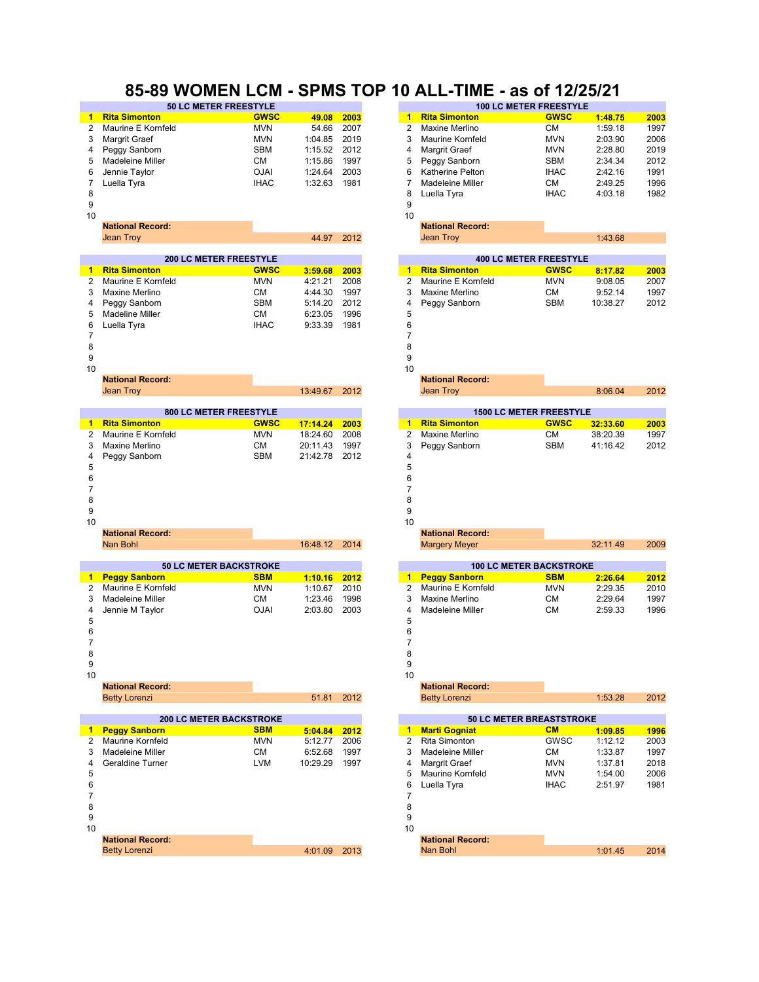### **85-89 WOMEN LCM - SPMS TOP 10 ALL-TIME - as of 12/25/21**

|    | <b>50 LC METER FREESTYLE</b> |             |         |      |    | <b>100 LC METER FREESTYLE</b> |             |         |      |  |
|----|------------------------------|-------------|---------|------|----|-------------------------------|-------------|---------|------|--|
|    | 1 Rita Simonton              | <b>GWSC</b> | 49.08   | 2003 |    | <b>Rita Simonton</b>          | <b>GWSC</b> | 1:48.75 | 2003 |  |
|    | 2 Maurine E Kornfeld         | <b>MVN</b>  | 54.66   | 2007 |    | Maxine Merlino                | CМ          | 1:59.18 | 1997 |  |
|    | 3 Margrit Graef              | <b>MVN</b>  | 1:04.85 | 2019 |    | 3 Maurine Kornfeld            | <b>MVN</b>  | 2:03.90 | 2006 |  |
|    | 4 Peggy Sanborn              | <b>SBM</b>  | 1:15.52 | 2012 | 4  | Margrit Graef                 | <b>MVN</b>  | 2:28.80 | 2019 |  |
|    | 5 Madeleine Miller           | <b>CM</b>   | 1:15.86 | 1997 |    | 5 Peggy Sanborn               | <b>SBM</b>  | 2:34.34 | 2012 |  |
|    | 6 Jennie Taylor              | <b>OJAI</b> | 1:24.64 | 2003 | 6  | Katherine Pelton              | <b>IHAC</b> | 2:42.16 | 1991 |  |
|    | Luella Tyra                  | <b>IHAC</b> | 1:32.63 | 1981 |    | Madeleine Miller              | CМ          | 2:49.25 | 1996 |  |
| 8  |                              |             |         |      | 8  | Luella Tyra                   | <b>IHAC</b> | 4:03.18 | 1982 |  |
| 9  |                              |             |         |      | 9  |                               |             |         |      |  |
| 10 |                              |             |         |      | 10 |                               |             |         |      |  |

**National Record:** 

| <b>National Record:</b> |            | <b>National Record:</b> |        |
|-------------------------|------------|-------------------------|--------|
| Jean Trov               | 44.97 2012 | Jean Trov               | :43.68 |
|                         |            |                         |        |

|   | <b>200 LC METER FREESTYLE</b> |             |         |      |   | <b>400 LC METER FREESTYLE</b> |             |          |      |
|---|-------------------------------|-------------|---------|------|---|-------------------------------|-------------|----------|------|
|   | <b>Rita Simonton</b>          | <b>GWSC</b> | 3:59.68 | 2003 |   | <b>Rita Simonton</b>          | <b>GWSC</b> | 8:17.82  | 2003 |
|   | 2 Maurine E Kornfeld          | <b>MVN</b>  | 4:21.21 | 2008 |   | 2 Maurine E Kornfeld          | <b>MVN</b>  | 9:08.05  | 2007 |
|   | 3 Maxine Merlino              | CМ          | 4:44.30 | 1997 |   | 3 Maxine Merlino              | CМ          | 9:52.14  | 1997 |
|   | 4 Peggy Sanborn               | <b>SBM</b>  | 5:14.20 | 2012 |   | 4 Peggy Sanborn               | <b>SBM</b>  | 10:38.27 | 2012 |
|   | 5 Madeline Miller             | CМ          | 6:23.05 | 1996 | 5 |                               |             |          |      |
|   | 6 Luella Tyra                 | <b>IHAC</b> | 9:33.39 | 1981 | 6 |                               |             |          |      |
|   |                               |             |         |      |   |                               |             |          |      |
| 8 |                               |             |         |      | 8 |                               |             |          |      |
| 9 |                               |             |         |      | 9 |                               |             |          |      |

|    | Jean Troy                     |             | 13:49.67 | 2012 |               | Jean Troy                      |             | 8:06.04  | 2012 |
|----|-------------------------------|-------------|----------|------|---------------|--------------------------------|-------------|----------|------|
|    |                               |             |          |      |               |                                |             |          |      |
|    | <b>800 LC METER FREESTYLE</b> |             |          |      |               | <b>1500 LC METER FREESTYLE</b> |             |          |      |
| 1. | <b>Rita Simonton</b>          | <b>GWSC</b> | 17:14.24 | 2003 | -1            | <b>Rita Simonton</b>           | <b>GWSC</b> | 32:33.60 | 2003 |
| 2  | Maurine E Kornfeld            | <b>MVN</b>  | 18:24.60 | 2008 | $\mathcal{P}$ | Maxine Merlino                 | <b>CM</b>   | 38:20.39 | 1997 |
| 3  | Maxine Merlino                | <b>CM</b>   | 20:11.43 | 1997 | 3             | Peggy Sanborn                  | <b>SBM</b>  | 41:16.42 | 2012 |
| 4  | Peggy Sanborn                 | <b>SBM</b>  | 21:42.78 | 2012 | 4             |                                |             |          |      |
| 5  |                               |             |          |      | 5             |                                |             |          |      |
| 6  |                               |             |          |      | 6             |                                |             |          |      |
|    |                               |             |          |      |               |                                |             |          |      |
| 8  |                               |             |          |      | 8             |                                |             |          |      |
| 9  |                               |             |          |      | 9             |                                |             |          |      |
| 10 |                               |             |          |      | 10            |                                |             |          |      |
|    | <b>National Record:</b>       |             |          |      |               | <b>National Record:</b>        |             |          |      |
|    | Nan Bohl                      |             | 16:48.12 | 2014 |               | <b>Margery Meyer</b>           |             | 32:11.49 | 2009 |
|    |                               |             |          |      |               |                                |             |          |      |

|    | <b>50 LC METER BACKSTROKE</b>  |             |                |      |    | <b>100 LC METER BACKSTROKE</b>  |            |         |      |
|----|--------------------------------|-------------|----------------|------|----|---------------------------------|------------|---------|------|
| 1. | <b>Peggy Sanborn</b>           | <b>SBM</b>  | 1:10.16        | 2012 | 1. | <b>Peggy Sanborn</b>            | <b>SBM</b> | 2:26.64 | 2012 |
| 2  | Maurine E Kornfeld             | <b>MVN</b>  | 1:10.67        | 2010 | 2  | Maurine E Kornfeld              | <b>MVN</b> | 2:29.35 | 2010 |
| 3  | Madeleine Miller               | <b>CM</b>   | 1:23.46        | 1998 | 3  | Maxine Merlino                  | <b>CM</b>  | 2:29.64 | 1997 |
| 4  | Jennie M Taylor                | <b>OJAI</b> | 2:03.80        | 2003 | 4  | Madeleine Miller                | <b>CM</b>  | 2:59.33 | 1996 |
| 5  |                                |             |                |      | 5  |                                 |            |         |      |
| 6  |                                |             |                |      | 6  |                                 |            |         |      |
|    |                                |             |                |      |    |                                 |            |         |      |
| 8  |                                |             |                |      | 8  |                                 |            |         |      |
| 9  |                                |             |                |      | 9  |                                 |            |         |      |
| 10 |                                |             |                |      | 10 |                                 |            |         |      |
|    | <b>National Record:</b>        |             |                |      |    | <b>National Record:</b>         |            |         |      |
|    | <b>Betty Lorenzi</b>           |             | 51.81          | 2012 |    | <b>Betty Lorenzi</b>            |            | 1:53.28 | 2012 |
|    |                                |             |                |      |    |                                 |            |         |      |
|    | <b>200 LC METER BACKSTROKE</b> |             |                |      |    | <b>50 LC METER BREASTSTROKE</b> |            |         |      |
|    | <b>Denmy Conhorn</b>           | <b>CDM</b>  | <b>E-04.04</b> | 0040 |    | Morti Conniet                   | <b>CM</b>  | 4.00.05 | 4000 |

|    | <b>Peggy Sanborn</b>    | <b>SBM</b> | 5:04.84  | 2012 |    | <b>Marti Gogniat</b>    | CM          | 1:09.85 | 1996 |
|----|-------------------------|------------|----------|------|----|-------------------------|-------------|---------|------|
|    | 2 Maurine Kornfeld      | <b>MVN</b> | 5:12.77  | 2006 | 2  | Rita Simonton           | <b>GWSC</b> | 1:12.12 | 2003 |
|    | 3 Madeleine Miller      | СM         | 6:52.68  | 1997 | 3  | Madeleine Miller        | <b>CM</b>   | 1:33.87 | 1997 |
|    | 4 Geraldine Turner      | LVM        | 10:29.29 | 1997 | 4  | Margrit Graef           | <b>MVN</b>  | 1:37.81 | 2018 |
| 5  |                         |            |          |      | 5  | Maurine Kornfeld        | <b>MVN</b>  | 1:54.00 | 2006 |
| 6  |                         |            |          |      | 6  | Luella Tyra             | <b>IHAC</b> | 2:51.97 | 1981 |
|    |                         |            |          |      |    |                         |             |         |      |
| 8  |                         |            |          |      | 8  |                         |             |         |      |
| 9  |                         |            |          |      | 9  |                         |             |         |      |
| 10 |                         |            |          |      | 10 |                         |             |         |      |
|    | <b>National Record:</b> |            |          |      |    | <b>National Record:</b> |             |         |      |
|    | <b>Betty Lorenzi</b>    |            | 4:01.09  | 2013 |    | Nan Bohl                |             | 1:01.45 | 2014 |
|    |                         |            |          |      |    |                         |             |         |      |

|   | <b>100 LC METER FREESTYLE</b> |             |         |      |  |  |  |  |  |  |
|---|-------------------------------|-------------|---------|------|--|--|--|--|--|--|
| 1 | <b>Rita Simonton</b>          | <b>GWSC</b> | 1:48.75 | 2003 |  |  |  |  |  |  |
| 2 | Maxine Merlino                | CМ          | 1:59.18 | 1997 |  |  |  |  |  |  |
| 3 | Maurine Kornfeld              | <b>MVN</b>  | 2:03.90 | 2006 |  |  |  |  |  |  |
| 4 | Margrit Graef                 | <b>MVN</b>  | 2:28.80 | 2019 |  |  |  |  |  |  |
| 5 | Peggy Sanborn                 | <b>SBM</b>  | 2:34.34 | 2012 |  |  |  |  |  |  |
| 6 | <b>Katherine Pelton</b>       | <b>IHAC</b> | 2:42.16 | 1991 |  |  |  |  |  |  |
|   | <b>Madeleine Miller</b>       | <b>CM</b>   | 2:49.25 | 1996 |  |  |  |  |  |  |
| 8 | Luella Tyra                   | <b>IHAC</b> | 4:03.18 | 1982 |  |  |  |  |  |  |
| 9 |                               |             |         |      |  |  |  |  |  |  |

|               | <b>400 LC METER FREESTYLE</b> |             |          |      |  |  |  |  |  |
|---------------|-------------------------------|-------------|----------|------|--|--|--|--|--|
|               | <b>Rita Simonton</b>          | <b>GWSC</b> | 8:17.82  | 2003 |  |  |  |  |  |
| $\mathcal{P}$ | Maurine E Kornfeld            | <b>MVN</b>  | 9:08.05  | 2007 |  |  |  |  |  |
| 3             | Maxine Merlino                | CМ          | 9:52.14  | 1997 |  |  |  |  |  |
| 4             | Peggy Sanborn                 | <b>SBM</b>  | 10:38.27 | 2012 |  |  |  |  |  |
| -5            |                               |             |          |      |  |  |  |  |  |

 $10$  and  $10$ 

|               | <b>National Record:</b> |                 |  |
|---------------|-------------------------|-----------------|--|
| 13:49.67 2012 | Jean Troy               | 2012<br>8:06.04 |  |
|               |                         |                 |  |

|   | <b>1500 LC METER FREESTYLE</b> |             |          |      |  |  |  |  |  |  |
|---|--------------------------------|-------------|----------|------|--|--|--|--|--|--|
|   | 1 Rita Simonton                | <b>GWSC</b> | 32:33.60 | 2003 |  |  |  |  |  |  |
|   | 2 Maxine Merlino               | CМ          | 38:20.39 | 1997 |  |  |  |  |  |  |
|   | 3 Peggy Sanborn                | <b>SBM</b>  | 41:16.42 | 2012 |  |  |  |  |  |  |
| 4 |                                |             |          |      |  |  |  |  |  |  |
| Е |                                |             |          |      |  |  |  |  |  |  |

|                               |               | 10                      |                                |      |
|-------------------------------|---------------|-------------------------|--------------------------------|------|
| <b>National Record:</b>       |               | <b>National Record:</b> |                                |      |
| Nan Bohl                      | 16:48.12 2014 | <b>Margery Meyer</b>    | 32:11.49                       | 2009 |
|                               |               |                         |                                |      |
| <b>50 LC METER BACKSTROKE</b> |               |                         | <b>100 LC METER BACKSTROKE</b> |      |

|               | 1 Peggy Sanborn    | <b>SBM</b> | 2:26.64 | 2012 |
|---------------|--------------------|------------|---------|------|
| $\mathcal{P}$ | Maurine E Kornfeld | <b>MVN</b> | 2:29.35 | 2010 |
| $\mathbf{3}$  | Maxine Merlino     | CМ         | 2:29.64 | 1997 |
| Δ             | Madeleine Miller   | CМ         | 2:59.33 | 1996 |
| -5            |                    |            |         |      |

| 5:04.84 | 2012 | 1  | <b>Marti Gogniat</b>    | CM          | 1:09.85 | 1996 |
|---------|------|----|-------------------------|-------------|---------|------|
| 5:12.77 | 2006 | 2  | <b>Rita Simonton</b>    | GWSC        | 1:12.12 | 2003 |
| 6:52.68 | 1997 | 3  | Madeleine Miller        | <b>CM</b>   | 1:33.87 | 1997 |
| 0:29.29 | 1997 | 4  | Margrit Graef           | <b>MVN</b>  | 1:37.81 | 2018 |
|         |      | 5  | Maurine Kornfeld        | <b>MVN</b>  | 1:54.00 | 2006 |
|         |      | 6  | Luella Tyra             | <b>IHAC</b> | 2:51.97 | 1981 |
|         |      | 7  |                         |             |         |      |
|         |      | 8  |                         |             |         |      |
|         |      | 9  |                         |             |         |      |
|         |      | 10 |                         |             |         |      |
|         |      |    | <b>National Record:</b> |             |         |      |
| 4:01.09 | 2013 |    | Nan Bohl                |             | 1:01.45 | 2014 |
|         |      |    |                         |             |         |      |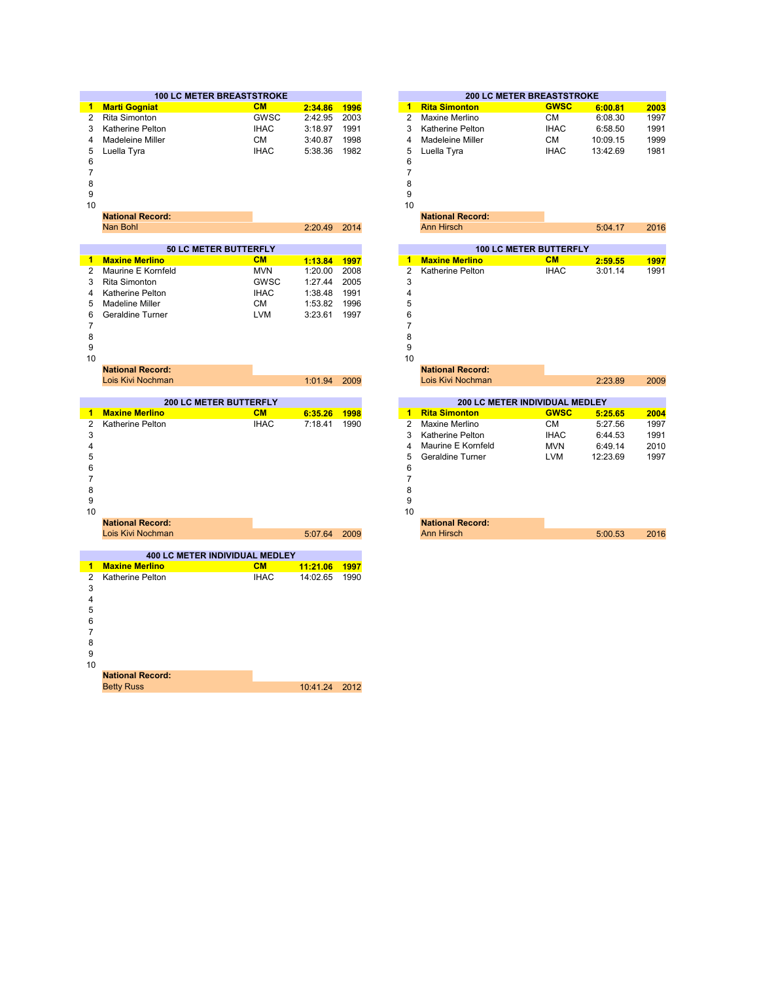|    | <b>100 LC METER BREASTSTROKE</b> |             |         |      | <b>200 LC METER BREASTSTROKE</b> |                      |             |          |      |
|----|----------------------------------|-------------|---------|------|----------------------------------|----------------------|-------------|----------|------|
|    | <b>Marti Gogniat</b>             | <b>CM</b>   | 2:34.86 | 1996 |                                  | <b>Rita Simonton</b> | <b>GWSC</b> | 6:00.81  | 2003 |
| 2  | Rita Simonton                    | <b>GWSC</b> | 2:42.95 | 2003 |                                  | Maxine Merlino       | CМ          | 6:08.30  | 1997 |
| 3  | Katherine Pelton                 | <b>IHAC</b> | 3:18.97 | 1991 |                                  | Katherine Pelton     | <b>IHAC</b> | 6:58.50  | 1991 |
| 4  | Madeleine Miller                 | СM          | 3:40.87 | 1998 | 4                                | Madeleine Miller     | <b>CM</b>   | 10:09.15 | 1999 |
| 5  | Luella Tyra                      | <b>IHAC</b> | 5:38.36 | 1982 |                                  | 5 Luella Tyra        | <b>IHAC</b> | 13:42.69 | 1981 |
| 6  |                                  |             |         |      | 6                                |                      |             |          |      |
|    |                                  |             |         |      |                                  |                      |             |          |      |
| 8  |                                  |             |         |      | 8                                |                      |             |          |      |
| 9  |                                  |             |         |      | 9                                |                      |             |          |      |
| 10 |                                  |             |         |      | 10                               |                      |             |          |      |

| 1 V |                              |             |                               |      | 1 V           |                         |             |         |      |  |
|-----|------------------------------|-------------|-------------------------------|------|---------------|-------------------------|-------------|---------|------|--|
|     | <b>National Record:</b>      |             |                               |      |               | <b>National Record:</b> |             |         |      |  |
|     | Nan Bohl                     |             | 2:20.49                       | 2014 |               | <b>Ann Hirsch</b>       |             | 5:04.17 | 2016 |  |
|     |                              |             |                               |      |               |                         |             |         |      |  |
|     | <b>50 LC METER BUTTERFLY</b> |             | <b>100 LC METER BUTTERFLY</b> |      |               |                         |             |         |      |  |
| 1   | <b>Maxine Merlino</b>        | <b>CM</b>   | 1:13.84                       | 1997 | 1             | <b>Maxine Merlino</b>   | CM          | 2:59.55 | 1997 |  |
| 2   | Maurine E Kornfeld           | <b>MVN</b>  | 1:20.00                       | 2008 | $\mathcal{P}$ | Katherine Pelton        | <b>IHAC</b> | 3:01.14 | 1991 |  |
| 3   | Rita Simonton                | <b>GWSC</b> | 1:27.44                       | 2005 | 3             |                         |             |         |      |  |
| 4   | Katherine Pelton             | <b>IHAC</b> | 1:38.48                       | 1991 | 4             |                         |             |         |      |  |
| 5.  | Madeline Miller              | <b>CM</b>   | 1:53.82                       | 1996 | 5             |                         |             |         |      |  |
| 6   | Geraldine Turner             | LVM         | 3:23.61                       | 1997 | 6             |                         |             |         |      |  |
|     |                              |             |                               |      |               |                         |             |         |      |  |
| 8   |                              |             |                               |      | 8             |                         |             |         |      |  |
| 9   |                              |             |                               |      | 9             |                         |             |         |      |  |
| 10  |                              |             |                               |      | 10            |                         |             |         |      |  |

1:01.94 2009 2:23.89 2009 Lois Kivi Nochman Lois Kivi Nochman **200 LC METER BUTTERFLY 200 LC METER INDIVIDUAL MEDLEY CM 6:35.26 1998 1 GWSC 5:25.65 2004** IHAC 7:18.41 1990 2 CM 5:27.56 1997 3 IHAC 6:44.53 1991 Katherine Pelton 4 MVN 6:49.14 2010 Maurine E Kornfeld 5 LVM 12:23.69 1997 Geraldine Turner 6 7 8 9 and  $10$ 5:07.64 2009 5:00.53 2016 Lois Kivi Nochman Ann Hirsch **National Record: National Record: Maxine Merlino Rita Simonton** Katherine Pelton **Matherino Matherino Matherino Mars** 18.41 1990 **Maxine Merlino National Record: National Record: National Record: National Record: National Record: National Record: National Record: National Record: National Record: National Record: National Record: National Rec** 

|    | сою там табопнан                      |             | 3.01.07  | LUUJ |
|----|---------------------------------------|-------------|----------|------|
|    |                                       |             |          |      |
|    | <b>400 LC METER INDIVIDUAL MEDLEY</b> |             |          |      |
| 1  | <b>Maxine Merlino</b>                 | <b>CM</b>   | 11:21.06 | 1997 |
| 2  | Katherine Pelton                      | <b>IHAC</b> | 14:02.65 | 1990 |
| 3  |                                       |             |          |      |
| 4  |                                       |             |          |      |
| 5  |                                       |             |          |      |
| 6  |                                       |             |          |      |
| 7  |                                       |             |          |      |
| 8  |                                       |             |          |      |
| 9  |                                       |             |          |      |
| 10 |                                       |             |          |      |
|    | <b>National Record:</b>               |             |          |      |
|    | <b>Betty Russ</b>                     |             | 10:41.24 | 2012 |
|    |                                       |             |          |      |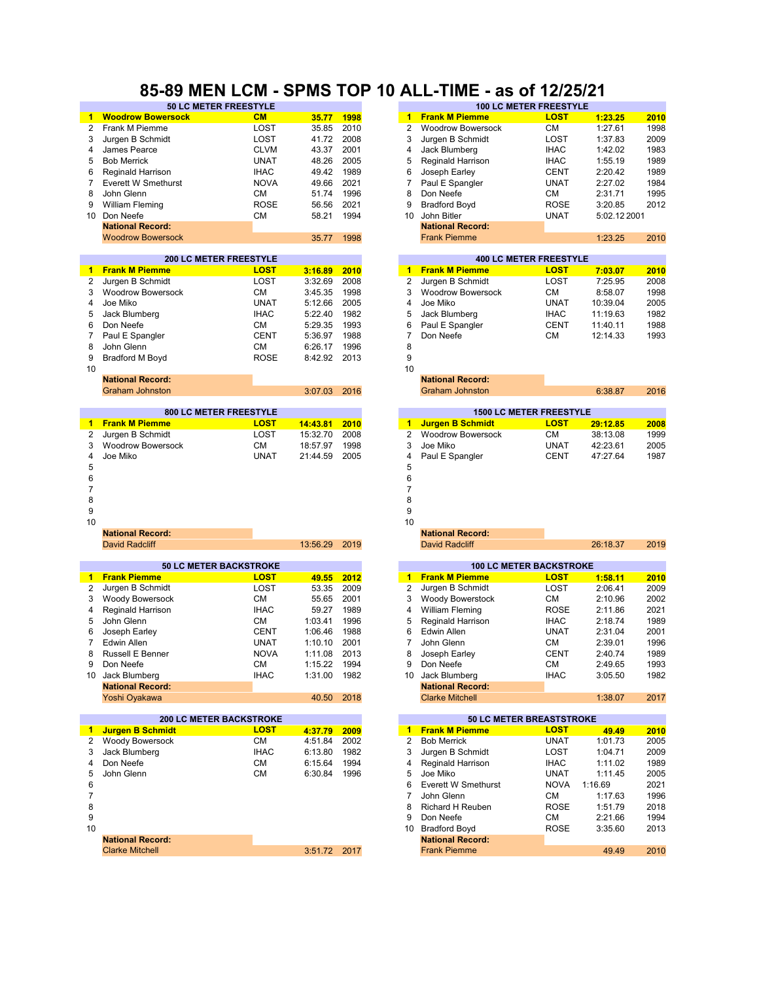### **85-89 MEN LCM - SPMS TOP 10 ALL-TIME - as of 12/25/21**

|                | --------                                             |             |              |      |                      |                                                         | <u>INLLYIILL</u> |              |      |
|----------------|------------------------------------------------------|-------------|--------------|------|----------------------|---------------------------------------------------------|------------------|--------------|------|
|                | <b>Woodrow Bowersock</b>                             | CM          | 35.77        | 1998 | $1 -$                | <b>Frank M Piemme</b>                                   | <b>LOST</b>      | 1:23.25      | 2010 |
| 2              | Frank M Piemme                                       | LOST        | 35.85        | 2010 | 2                    | <b>Woodrow Bowersock</b>                                | СM               | 1:27.61      | 1998 |
| 3              | Jurgen B Schmidt                                     | LOST        | 41.72        | 2008 | 3                    | Jurgen B Schmidt                                        | LOST             | 1:37.83      | 2009 |
| 4              | James Pearce                                         | <b>CLVM</b> | 43.37        | 2001 | 4                    | Jack Blumberg                                           | <b>IHAC</b>      | 1:42.02      | 1983 |
| 5              | <b>Bob Merrick</b>                                   | <b>UNAT</b> | 48.26        | 2005 | 5                    | <b>Reginald Harrison</b>                                | <b>IHAC</b>      | 1:55.19      | 1989 |
| 6              | Reginald Harrison                                    | <b>IHAC</b> | 49.42        | 1989 | 6                    | Joseph Earley                                           | <b>CENT</b>      | 2:20.42      | 1989 |
| 7              | Everett W Smethurst                                  | <b>NOVA</b> | 49.66        | 2021 | 7                    | Paul E Spangler                                         | <b>UNAT</b>      | 2:27.02      | 1984 |
| 8              | John Glenn                                           | СM          | 51.74        | 1996 | 8                    | Don Neefe                                               | СM               | 2:31.71      | 1995 |
| 9              | William Fleming                                      | <b>ROSE</b> | 56.56        | 2021 | 9                    | <b>Bradford Boyd</b>                                    | <b>ROSE</b>      | 3:20.85      | 2012 |
|                | 10 Don Neefe                                         | СM          | 58.21        | 1994 | 10                   | John Bitler                                             | <b>UNAT</b>      | 5:02.12 2001 |      |
|                | <b>National Record:</b>                              |             |              |      |                      | <b>National Record:</b>                                 |                  |              |      |
|                | <b>Woodrow Bowersock</b>                             |             | 35.77        | 1998 |                      | <b>Frank Piemme</b>                                     |                  | 1:23.25      | 2010 |
|                |                                                      |             |              |      |                      |                                                         |                  |              |      |
|                | <b>200 LC METER FREESTYLE</b>                        |             |              |      |                      | <b>400 LC METER FREESTYLE</b>                           |                  |              |      |
| 1.             | <b>Frank M Piemme</b>                                | <b>LOST</b> | 3:16.89      | 2010 | $1 -$                | <b>Frank M Piemme</b>                                   | <b>LOST</b>      | 7:03.07      | 2010 |
| $\overline{2}$ | Jurgen B Schmidt                                     | LOST        | 3:32.69      | 2008 | 2                    | Jurgen B Schmidt                                        | LOST             | 7:25.95      | 2008 |
| 3              | <b>Woodrow Bowersock</b>                             | СM          | 3:45.35      | 1998 | 3                    | <b>Woodrow Bowersock</b>                                | СM               | 8:58.07      | 1998 |
| 4              | Joe Miko                                             | <b>UNAT</b> | 5:12.66      | 2005 | 4                    | Joe Miko                                                | <b>UNAT</b>      | 10:39.04     | 2005 |
| 5              | Jack Blumberg                                        | <b>IHAC</b> | 5:22.40      | 1982 | 5                    | Jack Blumberg                                           | <b>IHAC</b>      | 11:19.63     | 1982 |
| 6              | Don Neefe                                            | СM          | 5:29.35      | 1993 | 6                    | Paul E Spangler                                         | <b>CENT</b>      | 11:40.11     | 1988 |
| 7              | Paul E Spangler                                      | <b>CENT</b> | 5:36.97      | 1988 | 7                    | Don Neefe                                               | СM               | 12:14.33     | 1993 |
| 8              | John Glenn                                           | <b>CM</b>   | 6:26.17      | 1996 | 8                    |                                                         |                  |              |      |
| 9              | Bradford M Boyd                                      | <b>ROSE</b> | 8:42.92      | 2013 | 9                    |                                                         |                  |              |      |
| 10             |                                                      |             |              |      | 10                   |                                                         |                  |              |      |
|                | <b>National Record:</b>                              |             |              |      |                      | <b>National Record:</b>                                 |                  |              |      |
|                | <b>Graham Johnston</b>                               |             | 3:07.03      | 2016 |                      | <b>Graham Johnston</b>                                  |                  | 6:38.87      | 2016 |
|                |                                                      |             |              |      |                      |                                                         |                  |              |      |
|                | 800 LC METER FREESTYLE                               |             |              |      |                      | <b>1500 LC METER FREESTYLE</b>                          |                  |              |      |
| 1              | <b>Frank M Piemme</b>                                | <b>LOST</b> | 14:43.81     | 2010 | $\blacktriangleleft$ | <b>Jurgen B Schmidt</b>                                 | <b>LOST</b>      | 29:12.85     | 2008 |
| 2              | Jurgen B Schmidt                                     | LOST        | 15:32.70     | 2008 | $\overline{2}$       | <b>Woodrow Bowersock</b>                                | СM               | 38:13.08     | 1999 |
| 3              | <b>Woodrow Bowersock</b>                             | СM          | 18:57.97     | 1998 | 3                    | Joe Miko                                                | <b>UNAT</b>      | 42:23.61     | 2005 |
| 4              | Joe Miko                                             | <b>UNAT</b> | 21:44.59     | 2005 | 4                    | Paul E Spangler                                         | <b>CENT</b>      | 47:27.64     | 1987 |
| 5              |                                                      |             |              |      | 5                    |                                                         |                  |              |      |
| 6              |                                                      |             |              |      | 6                    |                                                         |                  |              |      |
| 7              |                                                      |             |              |      | 7                    |                                                         |                  |              |      |
| 8              |                                                      |             |              |      | 8                    |                                                         |                  |              |      |
| 9              |                                                      |             |              |      | 9                    |                                                         |                  |              |      |
| 10             |                                                      |             |              |      | 10                   |                                                         |                  |              |      |
|                | <b>National Record:</b>                              |             |              |      |                      | <b>National Record:</b>                                 |                  |              |      |
|                | <b>David Radcliff</b>                                |             | 13:56.29     | 2019 |                      | <b>David Radcliff</b>                                   |                  | 26:18.37     | 2019 |
|                |                                                      |             |              |      |                      |                                                         |                  |              |      |
| $\mathbf{1}$   | <b>50 LC METER BACKSTROKE</b><br><b>Frank Piemme</b> | <b>LOST</b> | 49.55        | 2012 | $\mathbf{1}$         | <b>100 LC METER BACKSTROKE</b><br><b>Frank M Piemme</b> | <b>LOST</b>      | 1:58.11      | 2010 |
| 2              | Jurgen B Schmidt                                     | LOST        | 53.35        | 2009 | 2                    | Jurgen B Schmidt                                        | LOST             | 2:06.41      | 2009 |
| 3              | Woody Bowersock                                      | СM          | 55.65        | 2001 | 3                    | <b>Woody Bowerstock</b>                                 | СM               | 2:10.96      | 2002 |
| 4              |                                                      | <b>IHAC</b> |              | 1989 | 4                    |                                                         | <b>ROSE</b>      | 2:11.86      | 2021 |
|                | Reginald Harrison                                    |             | 59.27        |      |                      | <b>William Fleming</b>                                  |                  |              |      |
| 5              | John Glenn                                           | СM          | 1:03.41      | 1996 | 5                    | <b>Reginald Harrison</b>                                | <b>IHAC</b>      | 2:18.74      | 1989 |
| 6              | Joseph Earley                                        | <b>CENT</b> | 1:06.46      | 1988 | 6                    | Edwin Allen                                             | <b>UNAT</b>      | 2:31.04      | 2001 |
| 7              | Edwin Allen                                          | <b>UNAT</b> | 1:10.10      | 2001 | 7                    | John Glenn                                              | <b>CM</b>        | 2:39.01      | 1996 |
| 8              | <b>Russell E Benner</b>                              | <b>NOVA</b> | 1:11.08      | 2013 | 8                    | Joseph Earley                                           | CENT             | 2:40.74      | 1989 |
| 9              | Don Neefe                                            | СM          | 1:15.22      | 1994 | 9                    | Don Neefe                                               | СM               | 2:49.65      | 1993 |
|                | 10 Jack Blumberg                                     | <b>IHAC</b> | 1:31.00 1982 |      |                      | 10 Jack Blumberg                                        | <b>IHAC</b>      | 3:05.50      | 1982 |
|                | <b>National Record:</b>                              |             |              |      |                      | <b>National Record:</b>                                 |                  |              |      |
|                | Yoshi Oyakawa                                        |             | 40.50        | 2018 |                      | <b>Clarke Mitchell</b>                                  |                  | 1:38.07      | 2017 |
|                | <b>200 LC METER BACKSTROKE</b>                       |             |              |      |                      | 50 LC METER BREASTSTROKE                                |                  |              |      |
| $\mathbf{1}$   | <b>Jurgen B Schmidt</b>                              | <b>LOST</b> | 4:37.79      | 2009 | $\mathbf{1}$         | <b>Frank M Piemme</b>                                   | <b>LOST</b>      | 49.49        | 2010 |
| 2              | Woody Bowersock                                      | СM          | 4:51.84      | 2002 | 2                    | <b>Bob Merrick</b>                                      | <b>UNAT</b>      | 1:01.73      | 2005 |
| 3              | Jack Blumberg                                        | <b>IHAC</b> | 6:13.80      | 1982 | 3                    | Jurgen B Schmidt                                        | LOST             | 1:04.71      | 2009 |
| 4              | Don Neefe                                            | СM          | 6:15.64      | 1994 | 4                    | Reginald Harrison                                       | <b>IHAC</b>      | 1:11.02      | 1989 |
| 5              | John Glenn                                           | СM          | 6:30.84      | 1996 | 5                    | Joe Miko                                                | <b>UNAT</b>      | 1:11.45      | 2005 |
| 6              |                                                      |             |              |      | 6                    | <b>Everett W Smethurst</b>                              | <b>NOVA</b>      | 1:16.69      | 2021 |
| 7              |                                                      |             |              |      | 7                    | John Glenn                                              | СM               | 1:17.63      | 1996 |
| 8              |                                                      |             |              |      | 8                    | Richard H Reuben                                        | <b>ROSE</b>      | 1:51.79      | 2018 |
| 9              |                                                      |             |              |      | 9                    | Don Neefe                                               | СM               | 2:21.66      | 1994 |
| 10             |                                                      |             |              |      | 10                   | <b>Bradford Boyd</b>                                    | ROSE             | 3:35.60      | 2013 |
|                | <b>National Record:</b>                              |             |              |      |                      | <b>National Record:</b>                                 |                  |              |      |
|                |                                                      |             |              |      |                      |                                                         |                  |              |      |

| <b>50 LC METER FREESTYLE</b> |             |       |      |    |                          | <b>100 LC METER FREESTYLE</b> |              |      |
|------------------------------|-------------|-------|------|----|--------------------------|-------------------------------|--------------|------|
| rsock                        | <b>CM</b>   | 35.77 | 1998 | 1. | <b>Frank M Piemme</b>    | <b>LOST</b>                   | 1:23.25      | 2010 |
|                              | LOST        | 35.85 | 2010 |    | <b>Woodrow Bowersock</b> | CМ                            | 1:27.61      | 1998 |
|                              | LOST        | 41.72 | 2008 | 3  | Jurgen B Schmidt         | LOST                          | 1:37.83      | 2009 |
|                              | <b>CLVM</b> | 43.37 | 2001 | 4  | Jack Blumberg            | <b>IHAC</b>                   | 1:42.02      | 1983 |
|                              | <b>UNAT</b> | 48.26 | 2005 | 5  | <b>Reginald Harrison</b> | <b>IHAC</b>                   | 1:55.19      | 1989 |
|                              | <b>IHAC</b> | 49.42 | 1989 | 6  | Joseph Earley            | <b>CENT</b>                   | 2:20.42      | 1989 |
| ıurst                        | <b>NOVA</b> | 49.66 | 2021 |    | Paul E Spangler          | <b>UNAT</b>                   | 2:27.02      | 1984 |
|                              | <b>CM</b>   | 51.74 | 1996 | 8  | Don Neefe                | <b>CM</b>                     | 2:31.71      | 1995 |
|                              | <b>ROSE</b> | 56.56 | 2021 | 9  | <b>Bradford Boyd</b>     | <b>ROSE</b>                   | 3:20.85      | 2012 |
|                              | <b>CM</b>   | 58.21 | 1994 | 10 | John Bitler              | <b>UNAT</b>                   | 5:02.12 2001 |      |
|                              |             |       |      |    | <b>National Record:</b>  |                               |              |      |
| sock                         |             | 35.77 | 1998 |    | <b>Frank Piemme</b>      |                               | 1:23.25      | 2010 |
|                              |             |       |      |    |                          |                               |              |      |
| 100 LA METER EREFOTVLE       |             |       |      |    |                          | $10010$ METER EREFOTVLE       |              |      |

|   |                     | 400 LC METER FREEST TLE |          |      |
|---|---------------------|-------------------------|----------|------|
|   | 1 Frank M Piemme    | <b>LOST</b>             | 7:03.07  | 2010 |
|   | 2 Jurgen B Schmidt  | LOST                    | 7:25.95  | 2008 |
|   | 3 Woodrow Bowersock | CМ                      | 8:58.07  | 1998 |
|   | 4 Joe Miko          | <b>UNAT</b>             | 10:39.04 | 2005 |
|   | 5 Jack Blumberg     | <b>IHAC</b>             | 11:19.63 | 1982 |
|   | 6 Paul E Spangler   | <b>CENT</b>             | 11:40.11 | 1988 |
| 7 | Don Neefe           | <b>CM</b>               | 12:14.33 | 1993 |
| 8 |                     |                         |          |      |

|              | <b>National Record:</b> |         |      |
|--------------|-------------------------|---------|------|
| 3:07.03 2016 | Graham Johnston         | 6:38.87 | 2016 |
|              |                         |         |      |

|                     | <b>1500 LC METER FREESTYLE</b> |          |      |
|---------------------|--------------------------------|----------|------|
| 1 Jurgen B Schmidt  | <b>LOST</b>                    | 29:12.85 | 2008 |
| 2 Woodrow Bowersock | CМ                             | 38:13.08 | 1999 |
| 3 Joe Miko          | <b>UNAT</b>                    | 42:23.61 | 2005 |
| 4 Paul E Spangler   | <b>CENT</b>                    | 47:27.64 | 1987 |
|                     |                                |          |      |

|                          |      |   | <b>National Record:</b>        |             |  |
|--------------------------|------|---|--------------------------------|-------------|--|
| 13:56.29                 | 2019 |   | David Radcliff                 |             |  |
|                          |      |   |                                |             |  |
|                          |      |   | <b>100 LC METER BACKSTROKE</b> |             |  |
| 49.55                    | 2012 |   | <b>Frank M Piemme</b>          | <b>LOST</b> |  |
| 53.35                    | 2009 | 2 | Jurgen B Schmidt               | LOST        |  |
| 55.65                    | 2001 | 3 | <b>Woody Bowerstock</b>        | CМ          |  |
| 59.27                    | 1989 |   | William Fleming                | <b>ROSE</b> |  |
| $\overline{\phantom{a}}$ |      |   | _ _ .                          | $\cdots$    |  |

| 06.46 | 1988 | 6 | Edwin Allen             | <b>UNAT</b> | 2:31.04 | 2001 |
|-------|------|---|-------------------------|-------------|---------|------|
| 10.10 | 2001 |   | John Glenn              | CМ          | 2:39.01 | 1996 |
| 11.08 | 2013 | 8 | Joseph Earley           | <b>CENT</b> | 2:40.74 | 1989 |
| 15.22 | 1994 | 9 | Don Neefe               | CМ          | 2:49.65 | 1993 |
| 31.00 | 1982 |   | 10 Jack Blumberg        | <b>IHAC</b> | 3:05.50 | 1982 |
|       |      |   | <b>National Record:</b> |             |         |      |
| 40.50 | 2018 |   | <b>Clarke Mitchell</b>  |             | 1:38.07 | 2017 |
|       |      |   |                         |             |         |      |

|                         | <b>200 LC METER BACKSTROKE</b> |         |      |
|-------------------------|--------------------------------|---------|------|
| Jurgen B Schmidt        | <b>LOST</b>                    | 4:37.79 | 2009 |
| Woody Bowersock         | <b>CM</b>                      | 4:51.84 | 2002 |
| Jack Blumberg           | <b>IHAC</b>                    | 6:13.80 | 1982 |
| Don Neefe               | <b>CM</b>                      | 6:15.64 | 1994 |
| John Glenn              | <b>CM</b>                      | 6:30.84 | 1996 |
|                         |                                |         |      |
|                         |                                |         |      |
|                         |                                |         |      |
|                         |                                |         |      |
|                         |                                |         |      |
| <b>National Record:</b> |                                |         |      |
| <b>Clarke Mitchell</b>  |                                | 3:51.72 | 2017 |
|                         |                                |         |      |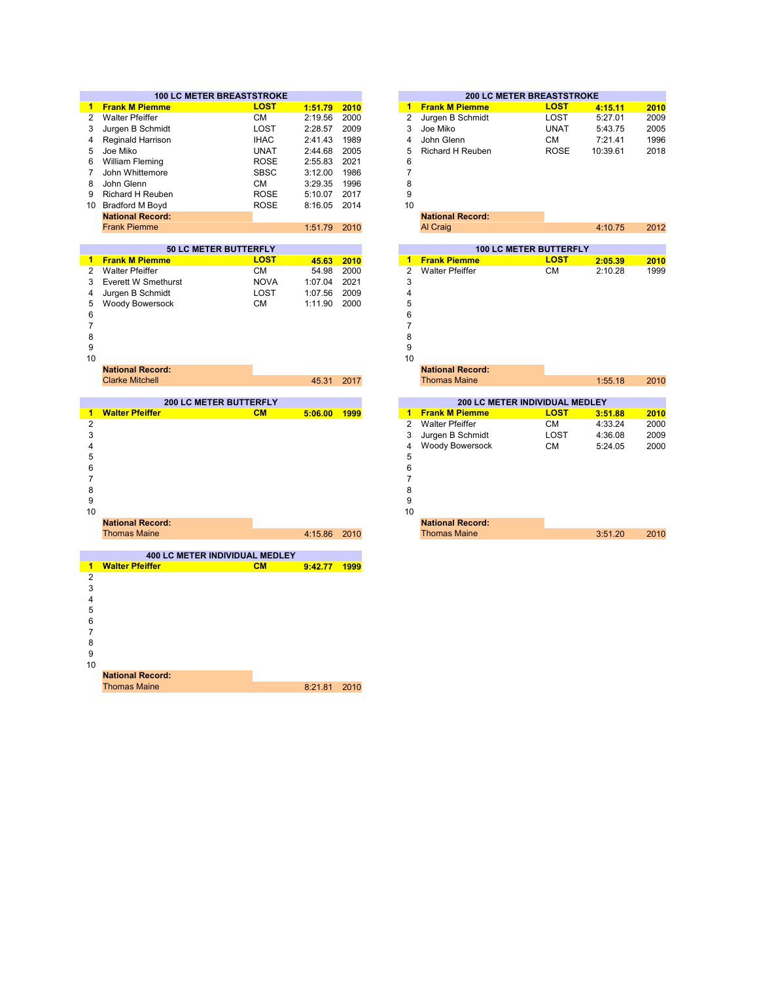|                     | <b>100 LC METER BREASTSTROKE</b>           |                   |                  |              |
|---------------------|--------------------------------------------|-------------------|------------------|--------------|
| 1.                  | <b>Frank M Piemme</b>                      | <b>LOST</b>       | 1:51.79          | 2010         |
| $\overline{2}$      | <b>Walter Pfeiffer</b>                     | <b>CM</b>         | 2:19.56          | 2000         |
| 3                   | Jurgen B Schmidt                           | LOST              | 2:28.57          | 2009         |
|                     | Reginald Harrison                          | <b>IHAC</b>       | 2:41.43          | 1989         |
|                     | Joe Miko                                   | <b>UNAT</b>       | 2:44.68          | 2005         |
|                     | William Fleming                            | <b>ROSE</b>       | 2:55.83          | 2021         |
| 7                   | John Whittemore                            | <b>SBSC</b>       | 3:12.00          | 1986         |
| 8                   | John Glenn                                 | <b>CM</b>         | 3:29.35          | 1996         |
| 9                   | Richard H Reuben                           | <b>ROSE</b>       | 5:10.07          | 2017         |
| 10                  | <b>Bradford M Boyd</b>                     | <b>ROSE</b>       | 8:16.05          | 2014         |
|                     | <b>National Record:</b>                    |                   |                  |              |
|                     | <b>Frank Piemme</b>                        |                   | 1:51.79          | 2010         |
|                     |                                            |                   |                  |              |
|                     | 50 LC METER BUTTERFLY                      |                   |                  |              |
|                     | 1 Frank M Piemme<br><b>Walter Pfeiffer</b> | <b>LOST</b>       | 45.63            | 2010         |
| $\overline{2}$<br>3 | Everett W Smethurst                        | СM<br><b>NOVA</b> | 54.98<br>1:07.04 | 2000<br>2021 |
| 4                   | Jurgen B Schmidt                           | LOST              | 1:07.56          | 2009         |
| 5                   | Woody Bowersock                            | <b>CM</b>         | 1:11.90          | 2000         |
| 6                   |                                            |                   |                  |              |
| $\overline{7}$      |                                            |                   |                  |              |
| 8                   |                                            |                   |                  |              |
| 9                   |                                            |                   |                  |              |
| 10                  |                                            |                   |                  |              |
|                     | <b>National Record:</b>                    |                   |                  |              |
|                     | <b>Clarke Mitchell</b>                     |                   | 45.31            | 2017         |
|                     |                                            |                   |                  |              |
|                     | <b>200 LC METER BUTTERFLY</b>              |                   |                  |              |
| 1                   | <b>Walter Pfeiffer</b>                     | CM                | 5:06.00 1999     |              |
| $\overline{2}$      |                                            |                   |                  |              |
| 3                   |                                            |                   |                  |              |
| 4                   |                                            |                   |                  |              |
| 5                   |                                            |                   |                  |              |
| 6                   |                                            |                   |                  |              |
| 7                   |                                            |                   |                  |              |
| 8                   |                                            |                   |                  |              |
| 9                   |                                            |                   |                  |              |
| 10                  |                                            |                   |                  |              |
|                     | <b>National Record:</b>                    |                   |                  |              |
|                     | <b>Thomas Maine</b>                        |                   | 4:15.86          | 2010         |
|                     | 400 LC METER INDIVIDUAL MEDLEY             |                   |                  |              |
|                     | <b>Walter Pfeiffer</b>                     | CM                |                  | 1999         |
| $\mathbf{1}$<br>2   |                                            |                   | 9:42.77          |              |
| 3                   |                                            |                   |                  |              |
| 4                   |                                            |                   |                  |              |
| 5                   |                                            |                   |                  |              |
| 6                   |                                            |                   |                  |              |
| $\overline{7}$      |                                            |                   |                  |              |
| 8                   |                                            |                   |                  |              |
| 9                   |                                            |                   |                  |              |
| 10                  |                                            |                   |                  |              |
|                     |                                            |                   |                  |              |

8:21.81 2010 **National Record:** Thomas Maine

| <b>0 LC METER BREASTSTROKE</b> |             |         |      |                |                                | <b>200 LC METER BREASTSTROKE</b> |          |      |
|--------------------------------|-------------|---------|------|----------------|--------------------------------|----------------------------------|----------|------|
| ië                             | <b>LOST</b> | 1:51.79 | 2010 | 1              | <b>Frank M Piemme</b>          | <b>LOST</b>                      | 4:15.11  | 2010 |
|                                | <b>CM</b>   | 2:19.56 | 2000 | 2              | Jurgen B Schmidt               | LOST                             | 5:27.01  | 2009 |
| dt                             | LOST        | 2:28.57 | 2009 | 3              | Joe Miko                       | <b>UNAT</b>                      | 5:43.75  | 2005 |
| ρn                             | <b>IHAC</b> | 2:41.43 | 1989 | 4              | John Glenn                     | CM                               | 7:21.41  | 1996 |
|                                | <b>UNAT</b> | 2:44.68 | 2005 | 5              | <b>Richard H Reuben</b>        | <b>ROSE</b>                      | 10:39.61 | 2018 |
|                                | <b>ROSE</b> | 2:55.83 | 2021 | 6              |                                |                                  |          |      |
| e                              | <b>SBSC</b> | 3:12.00 | 1986 | $\overline{7}$ |                                |                                  |          |      |
|                                | <b>CM</b>   | 3:29.35 | 1996 | 8              |                                |                                  |          |      |
| en                             | <b>ROSE</b> | 5:10.07 | 2017 | 9              |                                |                                  |          |      |
|                                | <b>ROSE</b> | 8:16.05 | 2014 | 10             |                                |                                  |          |      |
| d:                             |             |         |      |                | <b>National Record:</b>        |                                  |          |      |
|                                |             | 1:51.79 | 2010 |                | Al Craig                       |                                  | 4:10.75  | 2012 |
|                                |             |         |      |                |                                |                                  |          |      |
| <b>50 LC METER BUTTERFLY</b>   |             |         |      |                |                                | <b>100 LC METER BUTTERFLY</b>    |          |      |
| ۱ē                             | <b>LOST</b> | 45.63   | 2010 | 1              | <b>Frank Piemme</b>            | <b>LOST</b>                      | 2:05.39  | 2010 |
|                                | <b>CM</b>   | 54.98   | 2000 | 2              | <b>Walter Pfeiffer</b>         | <b>CM</b>                        | 2:10.28  | 1999 |
| hurst                          | <b>NOVA</b> | 1:07.04 | 2021 | 3              |                                |                                  |          |      |
| dt                             | LOST        | 1:07.56 | 2009 | 4              |                                |                                  |          |      |
| ıck                            | <b>CM</b>   | 1:11.90 | 2000 | 5              |                                |                                  |          |      |
|                                |             |         |      | 6              |                                |                                  |          |      |
|                                |             |         |      | $\overline{7}$ |                                |                                  |          |      |
|                                |             |         |      | 8              |                                |                                  |          |      |
|                                |             |         |      | 9<br>10        |                                |                                  |          |      |
| d:                             |             |         |      |                | <b>National Record:</b>        |                                  |          |      |
|                                |             | 45.31   | 2017 |                | <b>Thomas Maine</b>            |                                  | 1:55.18  | 2010 |
|                                |             |         |      |                |                                |                                  |          |      |
| <b>200 LC METER BUTTERFLY</b>  |             |         |      |                | 200 LC METER INDIVIDUAL MEDLEY |                                  |          |      |
|                                | CM          | 5:06.00 | 1999 | 1              | <b>Frank M Piemme</b>          | <b>LOST</b>                      | 3:51.88  | 2010 |
|                                |             |         |      | 2              | <b>Walter Pfeiffer</b>         | <b>CM</b>                        | 4:33.24  | 2000 |
|                                |             |         |      | 3              | Jurgen B Schmidt               | LOST                             | 4:36.08  | 2009 |
|                                |             |         |      | 4              | Woody Bowersock                | <b>CM</b>                        | 5:24.05  | 2000 |
|                                |             |         |      | 5              |                                |                                  |          |      |
|                                |             |         |      | 6              |                                |                                  |          |      |
|                                |             |         |      | $\overline{7}$ |                                |                                  |          |      |
|                                |             |         |      | 8              |                                |                                  |          |      |
|                                |             |         |      | 9              |                                |                                  |          |      |
|                                |             |         |      | 10             |                                |                                  |          |      |
| d:                             |             |         |      |                | <b>National Record:</b>        |                                  |          |      |
|                                |             | 4:15.86 | 2010 |                | <b>Thomas Maine</b>            |                                  | 3:51.20  | 2010 |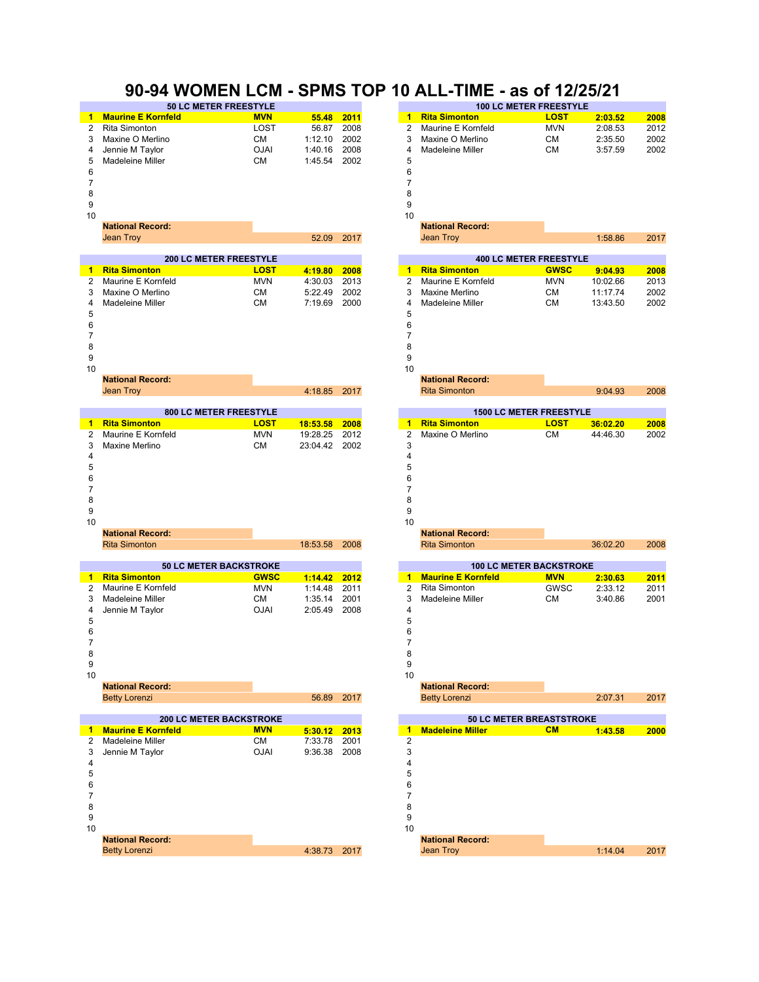### **90-94 WOMEN LCM - SPMS TOP 10 ALL-TIME - as of 12/25/21**

|    |                           | <b>50 LC METER FREESTYLE</b> |            |      |    |                      | <b>100 LC METER FREESTYLE</b> |         |      |
|----|---------------------------|------------------------------|------------|------|----|----------------------|-------------------------------|---------|------|
|    | <b>Maurine E Kornfeld</b> | <b>MVN</b>                   | 55.48 2011 |      |    | <b>Rita Simonton</b> | <b>LOST</b>                   | 2:03.52 | 2008 |
| 2  | Rita Simonton             | LOST                         | 56.87      | 2008 |    | Maurine E Kornfeld   | <b>MVN</b>                    | 2:08.53 | 2012 |
| 3  | Maxine O Merlino          | CМ                           | 1:12.10    | 2002 |    | Maxine O Merlino     | CМ                            | 2:35.50 | 2002 |
| 4  | Jennie M Taylor           | <b>OJAI</b>                  | 1:40.16    | 2008 | 4  | Madeleine Miller     | CМ                            | 3:57.59 | 2002 |
| 5  | Madeleine Miller          | <b>CM</b>                    | 1:45.54    | 2002 | 5  |                      |                               |         |      |
| 6  |                           |                              |            |      |    |                      |                               |         |      |
|    |                           |                              |            |      |    |                      |                               |         |      |
| 8  |                           |                              |            |      | 8  |                      |                               |         |      |
| 9  |                           |                              |            |      | 9  |                      |                               |         |      |
| 10 |                           |                              |            |      | 10 |                      |                               |         |      |

|                      | <b>200 LC METER FREESTYLE</b> |         |      |   |                      | <b>400 LC METER FREESTYLE</b> |          |      |
|----------------------|-------------------------------|---------|------|---|----------------------|-------------------------------|----------|------|
| <b>Rita Simonton</b> | LOST                          | 4:19.80 | 2008 |   | <b>Rita Simonton</b> | <b>GWSC</b>                   | 9:04.93  | 2008 |
| 2 Maurine E Kornfeld | <b>MVN</b>                    | 4:30.03 | 2013 |   | 2 Maurine E Kornfeld | <b>MVN</b>                    | 10:02.66 | 2013 |
| 3 Maxine O Merlino   | <b>CM</b>                     | 5:22.49 | 2002 | з | Maxine Merlino       | CМ                            | 11:17.74 |      |
| Madeleine Miller     | <b>CM</b>                     | 7:19.69 | 2000 | 4 | Madeleine Miller     | <b>CM</b>                     | 13:43.50 |      |
|                      |                               |         |      | 5 |                      |                               |          |      |
|                      |                               |         |      | 6 |                      |                               |          |      |
|                      |                               |         |      |   |                      |                               |          |      |



 $10$  and  $10$ 

| <b>National Record:</b> |
|-------------------------|
| $l_{\text{max}}$ Trave  |

|   | $\sim$ $\sim$ $\sim$ $\sim$ $\sim$ $\sim$ |             | $1.10.00$ 2011 |      |   |                                |             | $v \cdot v \cdot v$ | $-0.9$ |  |
|---|-------------------------------------------|-------------|----------------|------|---|--------------------------------|-------------|---------------------|--------|--|
|   |                                           |             |                |      |   |                                |             |                     |        |  |
|   | <b>800 LC METER FREESTYLE</b>             |             |                |      |   | <b>1500 LC METER FREESTYLE</b> |             |                     |        |  |
|   | <b>Rita Simonton</b>                      | <b>LOST</b> | 18:53.58 2008  |      |   | <b>Rita Simonton</b>           | <b>LOST</b> | 36:02.20            | 2008   |  |
|   | 2 Maurine E Kornfeld                      | <b>MVN</b>  | 19:28.25       | 2012 |   | Maxine O Merlino               | <b>CM</b>   | 44:46.30            | 2002   |  |
|   | 3 Maxine Merlino                          | СM          | 23:04.42       | 2002 | 3 |                                |             |                     |        |  |
| 4 |                                           |             |                |      |   |                                |             |                     |        |  |
| 5 |                                           |             |                |      | 5 |                                |             |                     |        |  |
| 6 |                                           |             |                |      | 6 |                                |             |                     |        |  |
|   |                                           |             |                |      |   |                                |             |                     |        |  |
|   |                                           |             |                |      |   |                                |             |                     |        |  |

18:53.58 2008 36:02.20 2008 Rita Simonton Rita Simonton **National Record: National Record:**

| <b>Rita Simonton</b>    | <b>GWSC</b>        |                                                                 |      |                                 | <b>Maurine E Kornfeld</b>             | <b>MVN</b>  | 2:30.63 | 2011                           |
|-------------------------|--------------------|-----------------------------------------------------------------|------|---------------------------------|---------------------------------------|-------------|---------|--------------------------------|
| Maurine E Kornfeld      | <b>MVN</b>         | 1:14.48                                                         | 2011 |                                 | <b>Rita Simonton</b>                  | <b>GWSC</b> | 2:33.12 | 2011                           |
| Madeleine Miller        | <b>CM</b>          | 1:35.14                                                         | 2001 |                                 | Madeleine Miller                      | <b>CM</b>   | 3:40.86 | 2001                           |
| Jennie M Taylor         | <b>OJAI</b>        | 2:05.49                                                         | 2008 |                                 |                                       |             |         |                                |
|                         |                    |                                                                 |      |                                 |                                       |             |         |                                |
|                         |                    |                                                                 |      |                                 |                                       |             |         |                                |
|                         |                    |                                                                 |      |                                 |                                       |             |         |                                |
|                         |                    |                                                                 |      |                                 |                                       |             |         |                                |
|                         |                    |                                                                 |      |                                 |                                       |             |         |                                |
|                         |                    |                                                                 |      |                                 |                                       |             |         |                                |
| <b>National Record:</b> |                    |                                                                 |      |                                 | <b>National Record:</b>               |             |         |                                |
| <b>Betty Lorenzi</b>    |                    |                                                                 |      |                                 | <b>Betty Lorenzi</b>                  |             | 2:07.31 | 2017                           |
|                         |                    |                                                                 |      |                                 |                                       |             |         |                                |
|                         |                    |                                                                 |      | <b>50 LC METER BREASTSTROKE</b> |                                       |             |         |                                |
|                         | $\mathcal{P}$<br>3 | <b>50 LC METER BACKSTROKE</b><br><b>200 LC METER BACKSTROKE</b> |      | $1:14.42$ 2012<br>56.89 2017    | 2<br>3<br>4<br>5<br>6<br>8<br>9<br>10 |             |         | <b>100 LC METER BACKSTROKE</b> |

|    | <b>200 LC METER BACKSTROKE</b> |             |                |      | <b>50 LC METER BREASTSTROKE</b> |                         |           |         |      |
|----|--------------------------------|-------------|----------------|------|---------------------------------|-------------------------|-----------|---------|------|
| 1. | <b>Maurine E Kornfeld</b>      | <b>MVN</b>  | $5:30.12$ 2013 |      | 4                               | <b>Madeleine Miller</b> | <b>CM</b> | 1:43.58 | 2000 |
|    | 2 Madeleine Miller             | СM          | 7:33.78        | 2001 | ≏                               |                         |           |         |      |
|    | 3 Jennie M Taylor              | <b>OJAI</b> | 9:36.38        | 2008 |                                 |                         |           |         |      |
| 4  |                                |             |                |      |                                 |                         |           |         |      |
| 5  |                                |             |                |      | 5                               |                         |           |         |      |
| 6  |                                |             |                |      | 6                               |                         |           |         |      |
|    |                                |             |                |      |                                 |                         |           |         |      |
| 8  |                                |             |                |      | 8                               |                         |           |         |      |
| 9  |                                |             |                |      |                                 |                         |           |         |      |
| 10 |                                |             |                |      | 10                              |                         |           |         |      |
|    | <b>National Record:</b>        |             |                |      |                                 | <b>National Record:</b> |           |         |      |
|    | <b>Betty Lorenzi</b>           |             | 4:38.73        | 2017 |                                 | Jean Troy               |           | 1:14.04 | 2017 |
|    |                                |             |                |      |                                 |                         |           |         |      |

| <b>50 LC METER FREESTYLE</b>  |             |         |      |    |                         | <b>100 LC METER FREESTYLE</b> |          |      |
|-------------------------------|-------------|---------|------|----|-------------------------|-------------------------------|----------|------|
| <b>Maurine E Kornfeld</b>     | <b>MVN</b>  | 55.48   | 2011 | 1  | <b>Rita Simonton</b>    | <b>LOST</b>                   | 2:03.52  | 2008 |
| Rita Simonton                 | LOST        | 56.87   | 2008 |    | Maurine E Kornfeld      | <b>MVN</b>                    | 2:08.53  | 2012 |
| Maxine O Merlino              | <b>CM</b>   | 1:12.10 | 2002 | 3  | Maxine O Merlino        | <b>CM</b>                     | 2:35.50  | 2002 |
| Jennie M Taylor               | <b>OJAI</b> | 1:40.16 | 2008 | 4  | Madeleine Miller        | <b>CM</b>                     | 3:57.59  | 2002 |
| Madeleine Miller              | <b>CM</b>   | 1:45.54 | 2002 | 5  |                         |                               |          |      |
|                               |             |         |      | 6  |                         |                               |          |      |
|                               |             |         |      |    |                         |                               |          |      |
|                               |             |         |      | 8  |                         |                               |          |      |
|                               |             |         |      | 9  |                         |                               |          |      |
|                               |             |         |      | 10 |                         |                               |          |      |
| <b>National Record:</b>       |             |         |      |    | <b>National Record:</b> |                               |          |      |
| Jean Trov                     |             | 52.09   | 2017 |    | Jean Troy               |                               | 1:58.86  | 2017 |
|                               |             |         |      |    |                         |                               |          |      |
| <b>200 LC METER FREESTYLE</b> |             |         |      |    |                         | <b>400 LC METER FREESTYLE</b> |          |      |
| <u>Rita Simonton</u>          | <b>LOST</b> | 4:19.80 | 2008 | 1  | <b>Rita Simonton</b>    | <b>GWSC</b>                   | 9:04.93  | 2008 |
| Maurine E Kornfeld            | MVN         | 4:30.03 | 2013 |    | Maurine E Kornfeld      | <b>MVN</b>                    | 10:02.66 | 2013 |
| Maxine O Merlino              | <b>CM</b>   | 5:22.49 | 2002 | 3  | Maxine Merlino          | <b>CM</b>                     | 11:17.74 | 2002 |
| Madeleine Miller              | <b>CM</b>   | 7:19.69 | 2000 | 4  | Madeleine Miller        | CМ                            | 13:43.50 | 2002 |

4:18.85 2017 9:04.93 2008 Jean Troy Rita Simonton **National Record: National Record:**

|   | <b>800 LC METER FREESTYLE</b> |             |          |      |    | <b>1500 LC METER FREESTYLE</b> |                         |             |          |      |
|---|-------------------------------|-------------|----------|------|----|--------------------------------|-------------------------|-------------|----------|------|
|   | 1 Rita Simonton               | <b>LOST</b> | 18:53.58 | 2008 | 1  |                                | <b>Rita Simonton</b>    | <b>LOST</b> | 36:02.20 | 2008 |
|   | 2 Maurine E Kornfeld          | <b>MVN</b>  | 19:28.25 | 2012 | 2  |                                | Maxine O Merlino        | <b>CM</b>   | 44:46.30 | 2002 |
|   | 3 Maxine Merlino              | СM          | 23:04.42 | 2002 | 3  |                                |                         |             |          |      |
| 4 |                               |             |          |      |    |                                |                         |             |          |      |
|   |                               |             |          |      | 5  |                                |                         |             |          |      |
| 6 |                               |             |          |      | 6  |                                |                         |             |          |      |
|   |                               |             |          |      |    |                                |                         |             |          |      |
| 8 |                               |             |          |      | 8  |                                |                         |             |          |      |
|   |                               |             |          |      | 9  |                                |                         |             |          |      |
| 0 |                               |             |          |      | 10 |                                |                         |             |          |      |
|   | <b>National Record:</b>       |             |          |      |    |                                | <b>National Record:</b> |             |          |      |

| <b>50 LC METER BACKSTROKE</b>  |             |         |      |
|--------------------------------|-------------|---------|------|
|                                | <b>GWSC</b> | 1:14.42 | 2012 |
| feld                           | <b>MVN</b>  | 1:14.48 | 2011 |
| r                              | <b>CM</b>   | 1:35.14 | 2001 |
|                                | <b>OJAI</b> | 2:05.49 | 2008 |
|                                |             |         |      |
|                                |             |         |      |
|                                |             |         |      |
|                                |             |         |      |
|                                |             |         |      |
|                                |             |         |      |
| d:                             |             |         |      |
|                                |             | 56.89   | 2017 |
|                                |             |         |      |
| <b>200 LC METER BACKSTROKE</b> |             |         |      |
| nfeld                          | <b>MVN</b>  | 5:30.12 | 2013 |
| r                              | <b>CM</b>   | 7:33.78 | 2001 |
|                                | <b>OJAI</b> | 9:36.38 | 2008 |
|                                |             |         |      |
|                                |             |         |      |
|                                |             |         |      |
|                                |             |         |      |
|                                |             |         |      |
|                                |             |         |      |
|                                |             |         |      |
| d:                             |             |         |      |
|                                |             |         |      |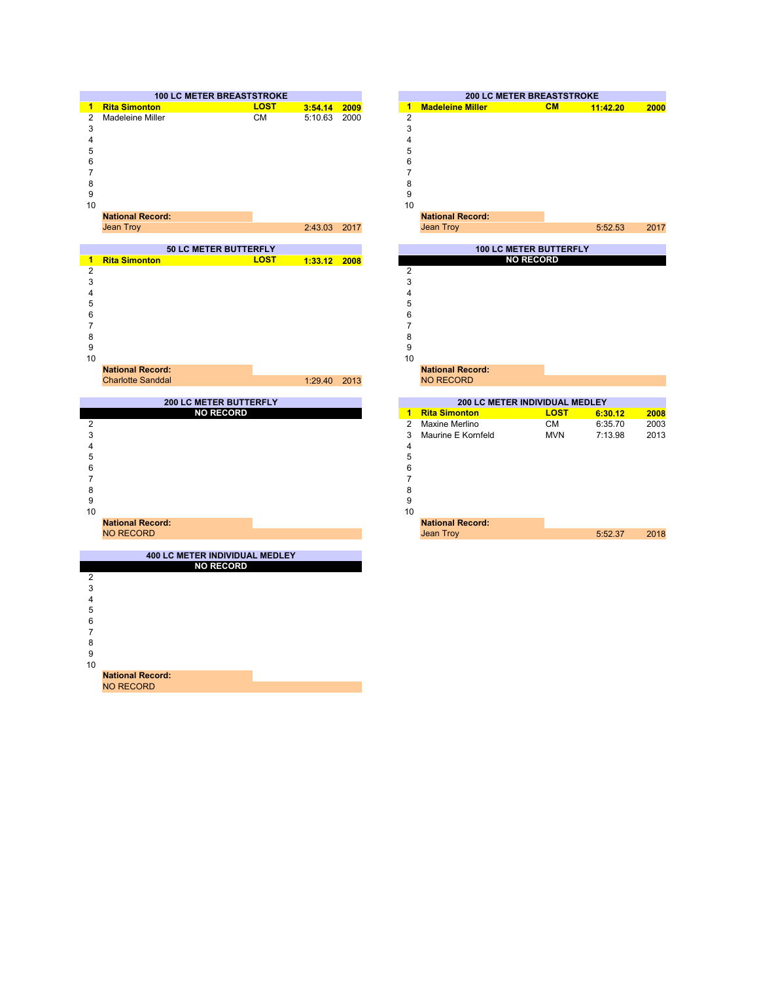

NO RECORD

**National Record:**



| 114007101100001 |         |  |
|-----------------|---------|--|
| Jean Troy       | 5:52.37 |  |
|                 |         |  |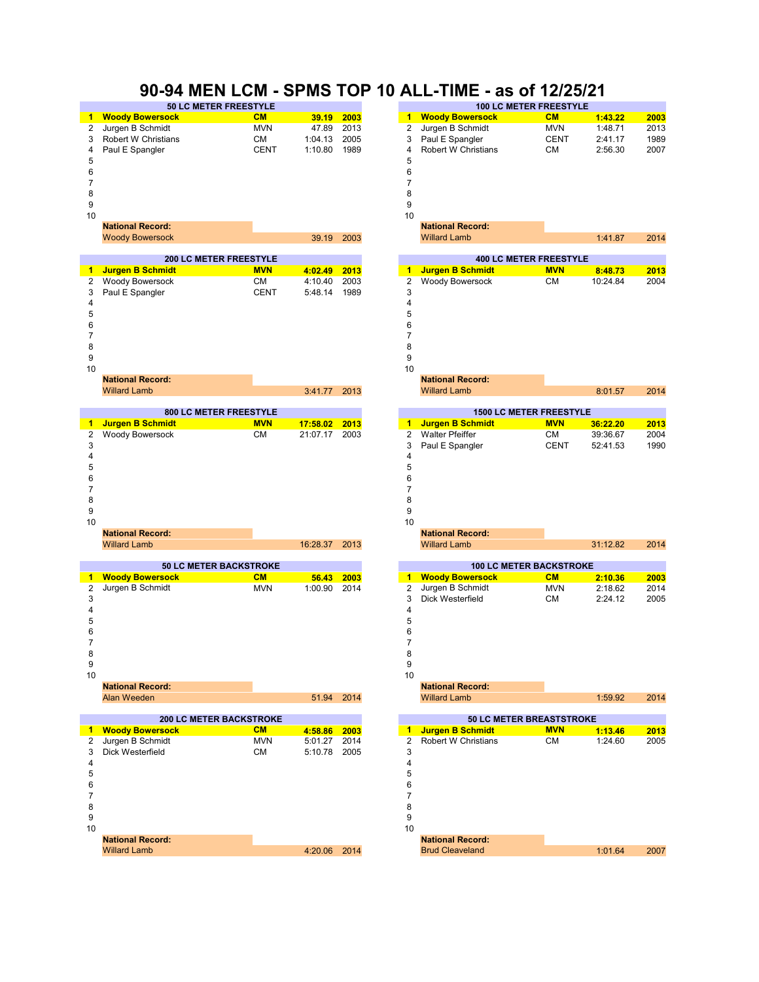### **90-94 MEN LCM - SPMS TOP 10 ALL-TIME - as of 12/25/21**

|    | <b>50 LC METER FREESTYLE</b> |             |         |      | <b>100 LC METER FREESTYLE</b> |                        |             |         |      |
|----|------------------------------|-------------|---------|------|-------------------------------|------------------------|-------------|---------|------|
|    | 1 Woody Bowersock            | CM          | 39.19   | 2003 |                               | <b>Woody Bowersock</b> | <b>CM</b>   | 1:43.22 | 2003 |
|    | 2 Jurgen B Schmidt           | <b>MVN</b>  | 47.89   | 2013 |                               | 2 Jurgen B Schmidt     | <b>MVN</b>  | 1:48.71 | 2013 |
|    | 3 Robert W Christians        | <b>CM</b>   | 1:04.13 | 2005 |                               | 3 Paul E Spangler      | <b>CENT</b> | 2:41.17 | 1989 |
|    | 4 Paul E Spangler            | <b>CENT</b> | 1:10.80 | 1989 |                               | 4 Robert W Christians  | <b>CM</b>   | 2:56.30 | 2007 |
| 5  |                              |             |         |      | 5                             |                        |             |         |      |
| 6  |                              |             |         |      | 6                             |                        |             |         |      |
|    |                              |             |         |      |                               |                        |             |         |      |
| 8  |                              |             |         |      | 8                             |                        |             |         |      |
| 9  |                              |             |         |      | 9                             |                        |             |         |      |
| 10 |                              |             |         |      | 10                            |                        |             |         |      |
|    | National Docords             |             |         |      |                               | National Docords       |             |         |      |

| oody Bowersock | 39.19 200 |  |
|----------------|-----------|--|
|                |           |  |

|    |                    | <b>200 LC METER FREESTYLE</b> |              |      |    |                   | <b>400 LC METER FREESTYLE</b> |          |      |
|----|--------------------|-------------------------------|--------------|------|----|-------------------|-------------------------------|----------|------|
|    | 1 Jurgen B Schmidt | <b>MVN</b>                    | 4:02.49 2013 |      |    | Jurgen B Schmidt  | <b>MVN</b>                    | 8:48.73  | 2013 |
|    | 2 Woody Bowersock  | <b>CM</b>                     | 4:10.40      | 2003 |    | 2 Woody Bowersock | <b>CM</b>                     | 10:24.84 | 2004 |
|    | 3 Paul E Spangler  | <b>CENT</b>                   | 5:48.14      | 1989 | 3  |                   |                               |          |      |
| 4  |                    |                               |              |      |    |                   |                               |          |      |
| 5  |                    |                               |              |      |    |                   |                               |          |      |
| 6  |                    |                               |              |      |    |                   |                               |          |      |
|    |                    |                               |              |      |    |                   |                               |          |      |
| 8  |                    |                               |              |      |    |                   |                               |          |      |
| 9  |                    |                               |              |      |    |                   |                               |          |      |
| 10 |                    |                               |              |      | 10 |                   |                               |          |      |

| <b>National Record:</b> |              | <b>National Record:</b> |
|-------------------------|--------------|-------------------------|
| <b>Willard Lamb</b>     | 3:41.77 2013 | <b>Willard Lamb</b>     |
|                         |              |                         |

|    | <b>800 LC METER FREESTYLE</b> |            |          |      |    | <b>1500 LC METER FREESTYLE</b> |             |          |      |  |  |  |
|----|-------------------------------|------------|----------|------|----|--------------------------------|-------------|----------|------|--|--|--|
|    | <b>Jurgen B Schmidt</b>       | <b>MVN</b> | 17:58.02 | 2013 |    | Jurgen B Schmidt               | <b>MVN</b>  | 36:22.20 | 2013 |  |  |  |
| 2  | <b>Woody Bowersock</b>        | <b>CM</b>  | 21:07.17 | 2003 |    | <b>Walter Pfeiffer</b>         | <b>CM</b>   | 39:36.67 | 2004 |  |  |  |
| 3  |                               |            |          |      | 3  | Paul E Spangler                | <b>CENT</b> | 52:41.53 | 1990 |  |  |  |
|    |                               |            |          |      |    |                                |             |          |      |  |  |  |
| 5  |                               |            |          |      |    |                                |             |          |      |  |  |  |
| 6  |                               |            |          |      |    |                                |             |          |      |  |  |  |
|    |                               |            |          |      |    |                                |             |          |      |  |  |  |
| 8  |                               |            |          |      |    |                                |             |          |      |  |  |  |
| 9  |                               |            |          |      |    |                                |             |          |      |  |  |  |
| 10 |                               |            |          |      | 10 |                                |             |          |      |  |  |  |
|    | <b>National Record:</b>       |            |          |      |    | <b>National Record:</b>        |             |          |      |  |  |  |
|    | <b>Willard Lamb</b>           |            | 16:28.37 | 2013 |    | <b>Willard Lamb</b>            |             | 31:12.82 | 2014 |  |  |  |

|    | <b>50 LC METER BACKSTROKE</b> |            |            |                                |    | <b>100 LC METER BACKSTROKE</b> |                         |            |         |      |  |
|----|-------------------------------|------------|------------|--------------------------------|----|--------------------------------|-------------------------|------------|---------|------|--|
|    | <b>Woody Bowersock</b>        | CM         | 56.43      | 2003                           |    | 1.                             | <b>Woody Bowersock</b>  | CM         | 2:10.36 | 2003 |  |
| 2  | Jurgen B Schmidt              | <b>MVN</b> | 1:00.90    | 2014                           |    | 2                              | Jurgen B Schmidt        | <b>MVN</b> | 2:18.62 | 2014 |  |
| 3  |                               |            |            |                                |    |                                | Dick Westerfield        | <b>CM</b>  | 2:24.12 | 2005 |  |
|    |                               |            |            |                                | 4  |                                |                         |            |         |      |  |
| 5  |                               |            |            |                                |    |                                |                         |            |         |      |  |
| 6  |                               |            |            |                                |    |                                |                         |            |         |      |  |
|    |                               |            |            |                                |    |                                |                         |            |         |      |  |
| 8  |                               |            |            |                                |    |                                |                         |            |         |      |  |
| 9  |                               |            |            |                                | 9  |                                |                         |            |         |      |  |
| 10 |                               |            |            |                                | 10 |                                |                         |            |         |      |  |
|    | <b>National Record:</b>       |            |            |                                |    |                                | <b>National Record:</b> |            |         |      |  |
|    | Alan Weeden                   |            | 51.94 2014 |                                |    |                                | <b>Willard Lamb</b>     |            | 1:59.92 | 2014 |  |
|    |                               |            |            |                                |    |                                |                         |            |         |      |  |
|    | <b>COLLO METER BAOKSTROKE</b> |            |            | <b>CALO METER BREAGTOTROVE</b> |    |                                |                         |            |         |      |  |

| <b>200 LC METER BACKSTRONE</b> |                         |            |         |      |    | <b>30 LC METER BREASTSTROKE</b> |            |         |      |  |  |
|--------------------------------|-------------------------|------------|---------|------|----|---------------------------------|------------|---------|------|--|--|
|                                | 1 Woody Bowersock       | CM         | 4:58.86 | 2003 |    | 1 Jurgen B Schmidt              | <b>MVN</b> | 1:13.46 | 2013 |  |  |
|                                | 2 Jurgen B Schmidt      | <b>MVN</b> | 5:01.27 | 2014 |    | 2 Robert W Christians           | <b>CM</b>  | 1:24.60 | 2005 |  |  |
|                                | 3 Dick Westerfield      | <b>CM</b>  | 5:10.78 | 2005 |    |                                 |            |         |      |  |  |
| 4                              |                         |            |         |      |    |                                 |            |         |      |  |  |
| 5                              |                         |            |         |      |    |                                 |            |         |      |  |  |
| 6                              |                         |            |         |      | 6  |                                 |            |         |      |  |  |
|                                |                         |            |         |      |    |                                 |            |         |      |  |  |
| 8                              |                         |            |         |      | 8  |                                 |            |         |      |  |  |
| 9                              |                         |            |         |      |    |                                 |            |         |      |  |  |
| 10                             |                         |            |         |      | 10 |                                 |            |         |      |  |  |
|                                | <b>National Record:</b> |            |         |      |    | <b>National Record:</b>         |            |         |      |  |  |
|                                | <b>Willard Lamb</b>     |            | 4:20.06 | 2014 |    | <b>Brud Cleaveland</b>          |            | 1:01.64 | 2007 |  |  |
|                                |                         |            |         |      |    |                                 |            |         |      |  |  |

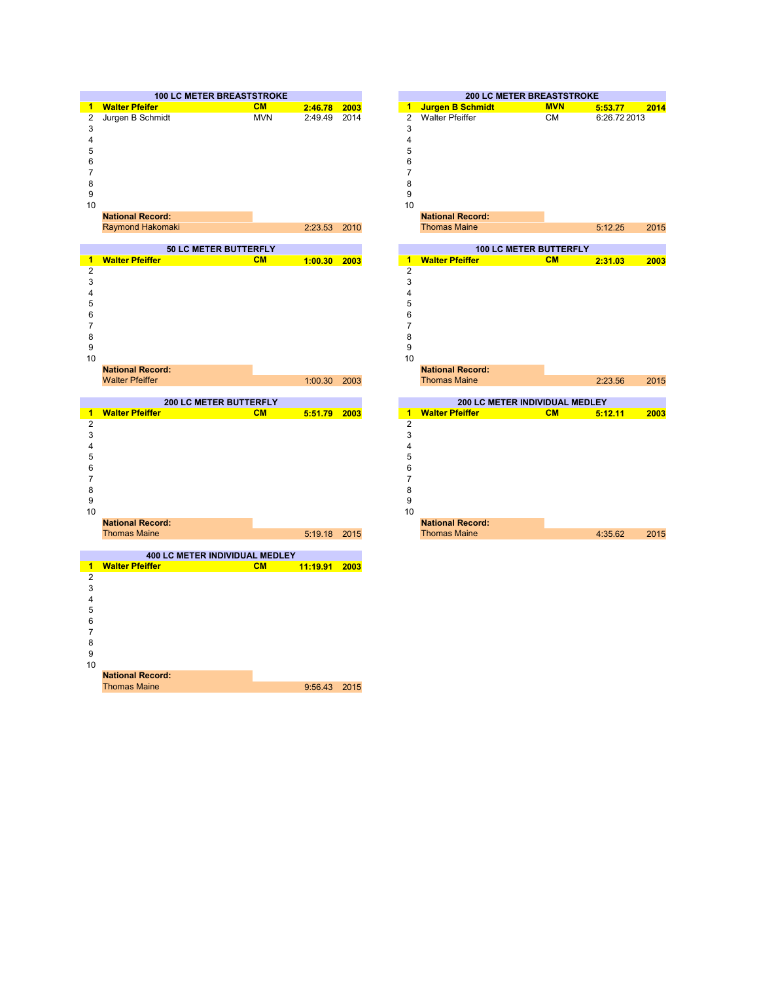

**National Record:** Thomas Maine

9:56.43 2015

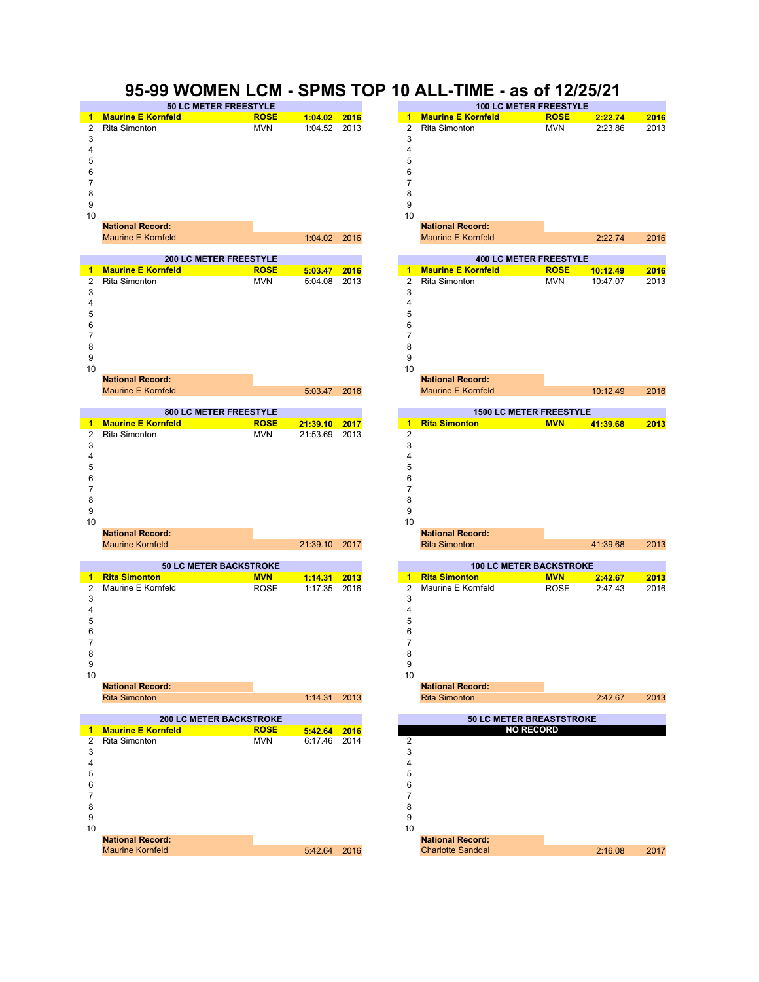#### **95-99 WOMEN LCM - SPMS TOP 10 ALL-TIME - as of 12/25/21**

|    | <b>50 LC METER FREESTYLE</b> |             |                |      |  |    | <b>100 LC METER FREESTYLE</b> |             |         |      |  |
|----|------------------------------|-------------|----------------|------|--|----|-------------------------------|-------------|---------|------|--|
|    | 1 Maurine E Kornfeld         | <b>ROSE</b> | $1:04.02$ 2016 |      |  | 1. | <b>Maurine E Kornfeld</b>     | <b>ROSE</b> | 2:22.74 | 2016 |  |
|    | 2 Rita Simonton              | <b>MVN</b>  | 1:04.52        | 2013 |  |    | 2 Rita Simonton               | <b>MVN</b>  | 2:23.86 | 2013 |  |
| 3  |                              |             |                |      |  |    |                               |             |         |      |  |
| 4  |                              |             |                |      |  |    |                               |             |         |      |  |
| 5  |                              |             |                |      |  |    |                               |             |         |      |  |
| 6  |                              |             |                |      |  | 6  |                               |             |         |      |  |
|    |                              |             |                |      |  |    |                               |             |         |      |  |
| 8  |                              |             |                |      |  |    |                               |             |         |      |  |
| 9  |                              |             |                |      |  |    |                               |             |         |      |  |
| 10 |                              |             |                |      |  | 10 |                               |             |         |      |  |
|    | <b>National Record:</b>      |             |                |      |  |    | <b>National Record:</b>       |             |         |      |  |

Maurine E Kornfeld

**200 LC METER FREESTYLE 400 LC METER FREESTYLE ROSE 5:03.47 2016 1 ROSE 10:12.49 2016 Maurine E Kornfeld Maurine E Kornfeld** MVN 5:04.08 2013 2 MVN 10:47.07 2013  $3 \hspace{2.5cm} 3$  $4 \overline{4}$  5 7 8 assessment and the contract of the contract of the contract of the contract of the contract of the contract o Rita Simonton MVN 5:04.08 2013 2 Rita Simonton



Maurine Kornfeld





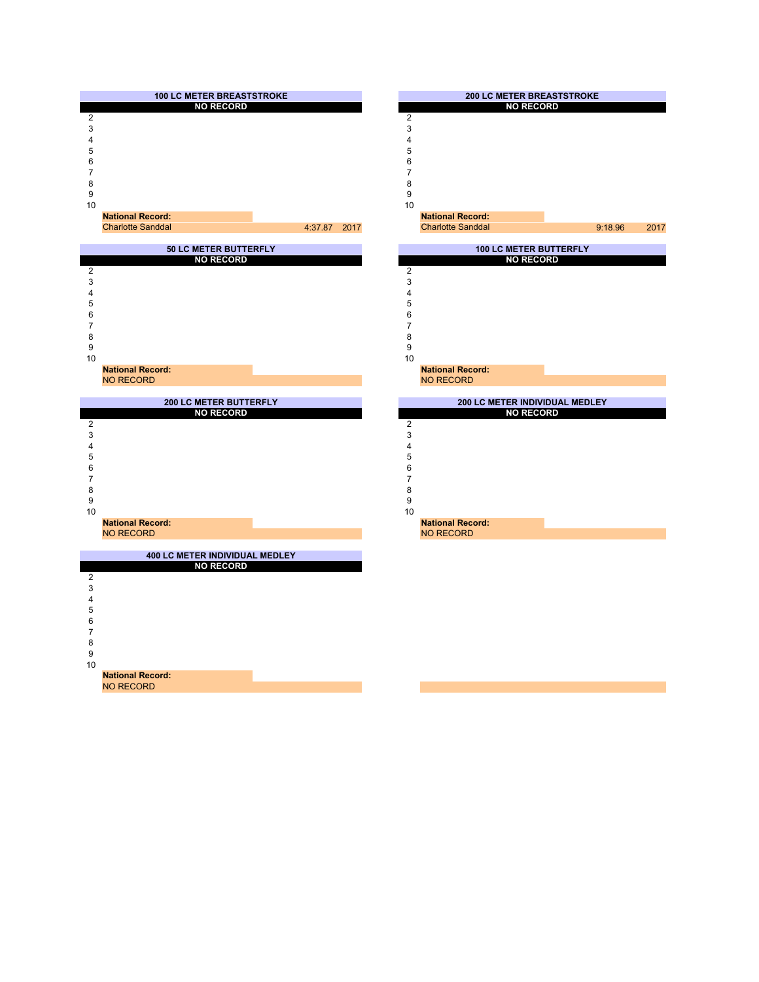

NO RECORD

**National Record:**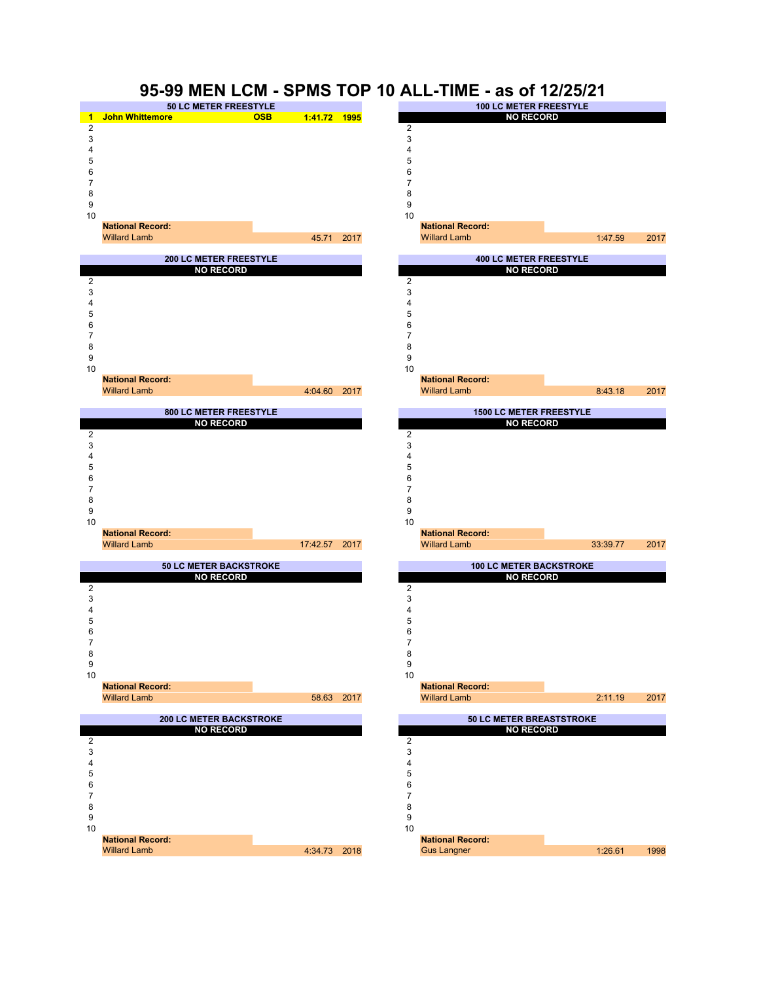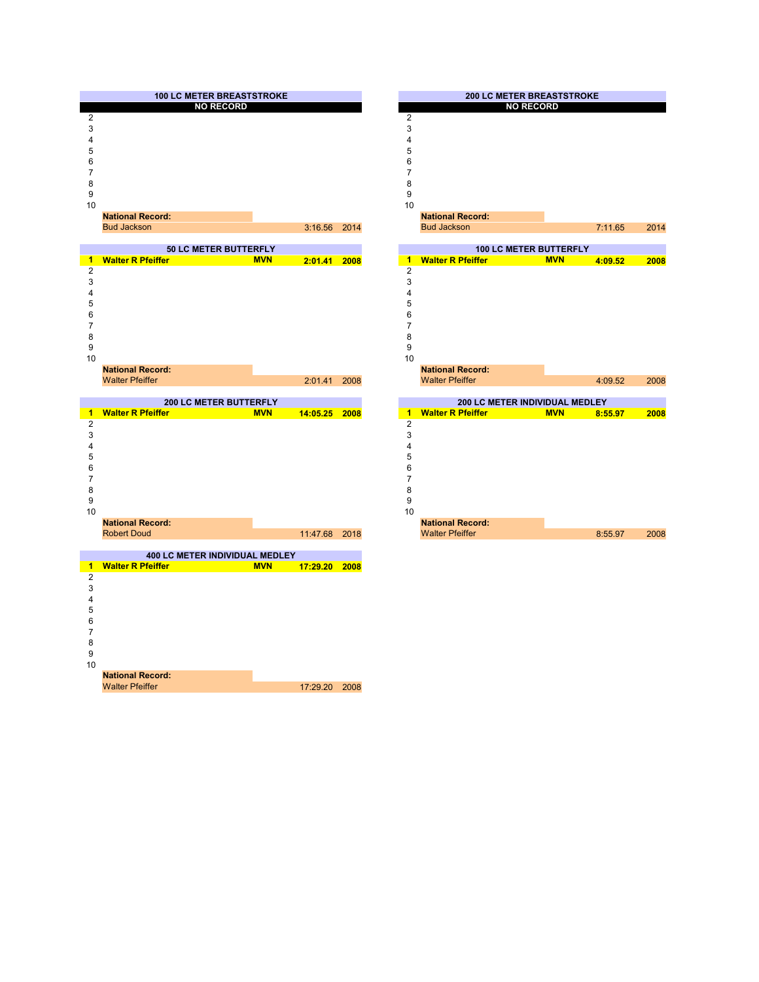



17:29.20 2008 **National Record:** Walter Pfeiffer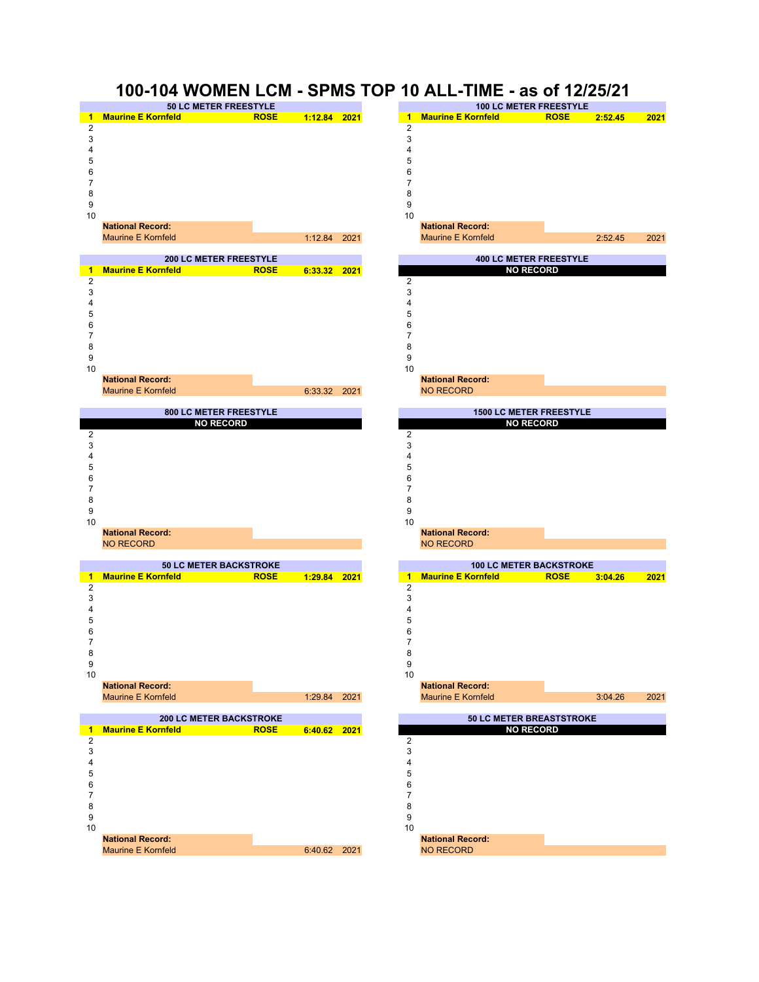